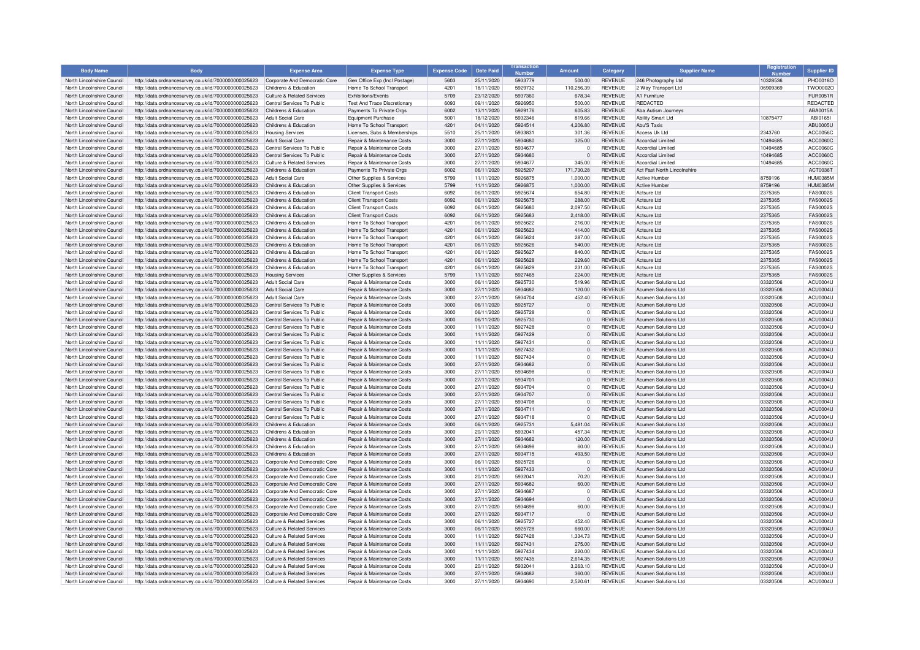| <b>Body Name</b>                                         | <b>Body</b>                                                                                                  | <b>Expense Area</b>                                         | <b>Expense Type</b>                                            | <b>Expense Code</b> | <b>Date Paid</b>         | ansactio<br>Number | Amount               | Category                         | <b>Supplier Name</b>                                | Registration         | <b>Supplier ID</b>                 |
|----------------------------------------------------------|--------------------------------------------------------------------------------------------------------------|-------------------------------------------------------------|----------------------------------------------------------------|---------------------|--------------------------|--------------------|----------------------|----------------------------------|-----------------------------------------------------|----------------------|------------------------------------|
| North Lincolnshire Council                               | http://data.ordnancesurvey.co.uk/id/7000000000025623                                                         | Corporate And Democratic Core                               | Gen Office Exp (Incl Postage                                   | 5603                | 25/11/2020               | 5933779            | 500.00               | <b>REVENUE</b>                   | 246 Photography Ltd                                 | 10328536             | PHO0018O                           |
| North Lincolnshire Council                               | http://data.ordnancesurvey.co.uk/id/7000000000025623                                                         | Childrens & Education                                       | Home To School Transport                                       | 4201                | 18/11/2020               | 5929732            | 110.256.39           | <b>REVENUE</b>                   | 2 Way Transport Ltd                                 | 06909369             | <b>TWO0002C</b>                    |
| North Lincolnshire Council                               | http://data.ordnancesurvey.co.uk/id/7000000000025623                                                         | Culture & Related Services                                  | Exhibitions/Events                                             | 5709                | 23/12/2020               | 5937360            | 678.34               | <b>REVENUE</b>                   | A1 Furniture                                        |                      | <b>FUR0051R</b>                    |
| North Lincolnshire Council                               | http://data.ordnancesurvey.co.uk/id/7000000000025623                                                         | Central Services To Public                                  | <b>Test And Trace Discretionary</b>                            | 6093                | 09/11/2020               | 5926950            | 500.00               | <b>REVENUE</b>                   | <b>REDACTED</b>                                     |                      | REDACTED                           |
| North Lincolnshire Council                               | http://data.ordnancesurvey.co.uk/id/7000000000025623                                                         | Childrens & Education                                       | Payments To Private Orgs                                       | 6002                | 13/11/2020               | 5929176            | 605.83               | <b>REVENUE</b>                   | Aba Autism Journeys                                 |                      | ABA0015A                           |
| North Lincolnshire Council                               | http://data.ordnancesurvey.co.uk/id/7000000000025623                                                         | Adult Social Care                                           | <b>Equipment Purchase</b>                                      | 5001                | 18/12/2020               | 5932346            | 819.66               | <b>REVENUE</b>                   | <b>Ability Smart Ltd</b>                            | 10875477             | ARI0165                            |
| North Lincolnshire Council                               | http://data.ordnancesurvey.co.uk/id/7000000000025623                                                         | Childrens & Education                                       | Home To School Transport                                       | 4201                | 04/11/2020               | 5924514            | 4,206.80             | <b>REVENUE</b>                   | Abu'S Taxis                                         |                      | ABU0005U                           |
| North Lincolnshire Council                               | http://data.ordnancesurvey.co.uk/id/7000000000025623                                                         | <b>Housing Services</b>                                     | Licenses, Subs & Membership:                                   | 5510                | 25/11/2020               | 5933831            | 301.36               | <b>REVENUE</b>                   | Access Uk Ltd                                       | 2343760              | ACC0056C                           |
| North Lincolnshire Council                               | http://data.ordnancesurvey.co.uk/id/7000000000025623                                                         | <b>Adult Social Care</b>                                    | Repair & Maintenance Costs                                     | 3000                | 27/11/2020               | 5934680            | 325.00               | <b>REVENUE</b>                   | Accordial Limited                                   | 10494685             | ACC0060C                           |
| North Lincolnshire Council                               | http://data.ordnancesurvey.co.uk/id/7000000000025623                                                         | Central Services To Public                                  | Repair & Maintenance Costs                                     | 3000                | 27/11/2020               | 5934677            | $^{\circ}$           | <b>REVENUE</b>                   | <b>Accordial Limited</b>                            | 10494685             | ACC0060C                           |
| North Lincolnshire Council                               | http://data.ordnancesurvey.co.uk/id/7000000000025623                                                         | Central Services To Public                                  | Repair & Maintenance Costs                                     | 3000                | 27/11/2020               | 5934680            | $\Omega$             | <b>REVENUE</b>                   | <b>Accordial Limited</b>                            | 10494685             | ACC0060C                           |
| North Lincolnshire Council                               | http://data.ordnancesurvey.co.uk/id/7000000000025623                                                         | <b>Culture &amp; Related Services</b>                       | Repair & Maintenance Costs                                     | 3000                | 27/11/2020               | 5934677            | 345.00               | <b>REVENUE</b>                   | Accordial Limited                                   | 10494685             | ACC0060C                           |
| North Lincolnshire Council                               | http://data.ordnancesurvey.co.uk/id/7000000000025623                                                         | Childrens & Education                                       | Payments To Private Orgs                                       | 6002                | 06/11/2020               | 5925207            | 171,730.28           | <b>REVENUE</b>                   | Act Fast North Lincolnshire                         |                      | ACT0036T                           |
| North Lincolnshire Council<br>North Lincolnshire Council | http://data.ordnancesurvey.co.uk/id/7000000000025623<br>http://data.ordnancesurvey.co.uk/id/7000000000025623 | <b>Adult Social Care</b><br>Childrens & Education           | Other Supplies & Services<br>Other Supplies & Services         | 5799<br>5799        | 11/11/2020<br>11/11/2020 | 5926875<br>5926875 | 1,000.00<br>1,000.00 | <b>REVENUE</b><br><b>REVENUE</b> | Active Humber<br><b>Active Humbe</b>                | 8759196<br>8759196   | <b>HUM0385M</b><br>HUM0385M        |
| North Lincolnshire Council                               | http://data.ordnancesurvey.co.uk/id/7000000000025623                                                         | Childrens & Education                                       | <b>Client Transport Costs</b>                                  | 6092                | 06/11/2020               | 5925674            | 654.80               | <b>REVENUE</b>                   | Actsure I to                                        | 2375365              | FAS0002S                           |
|                                                          |                                                                                                              |                                                             |                                                                |                     |                          |                    |                      |                                  |                                                     |                      |                                    |
| North Lincolnshire Council<br>North Lincolnshire Council | http://data.ordnancesurvey.co.uk/id/7000000000025623<br>http://data.ordnancesurvey.co.uk/id/7000000000025623 | Childrens & Education<br>Childrens & Education              | <b>Client Transport Costs</b><br><b>Client Transport Costs</b> | 6092<br>6092        | 06/11/2020<br>06/11/2020 | 5925675<br>5925680 | 288.00<br>2.097.50   | <b>REVENUE</b><br><b>REVENUE</b> | <b>Actsure Ltd</b><br>Actsure I to                  | 2375365<br>2375365   | <b>FAS0002S</b><br><b>FAS0002S</b> |
| North Lincolnshire Council                               | http://data.ordnancesurvey.co.uk/id/7000000000025623                                                         | Childrens & Education                                       | <b>Client Transport Costs</b>                                  | 6092                | 06/11/2020               | 5925683            | 2.418.00             | <b>REVENUE</b>                   | Actsure Ltd                                         | 2375365              | <b>FAS0002S</b>                    |
| North Lincolnshire Council                               | http://data.ordnancesurvey.co.uk/id/7000000000025623                                                         | Childrens & Education                                       | Home To School Transport                                       | 4201                | 06/11/2020               | 5925622            | 216.00               | <b>REVENUE</b>                   | Actsure Ltd                                         | 2375365              | <b>FAS0002S</b>                    |
| North Lincolnshire Council                               | http://data.ordnancesurvey.co.uk/id/7000000000025623                                                         | Childrens & Education                                       | Home To School Transpor                                        | 4201                | 06/11/2020               | 5925623            | 414.00               | <b>REVENUE</b>                   | Actsure I to                                        | 2375365              | <b>FAS0002S</b>                    |
| North Lincolnshire Council                               | http://data.ordnancesurvey.co.uk/id/7000000000025623                                                         | Childrens & Education                                       | Home To School Transport                                       | 4201                | 06/11/2020               | 5925624            | 287.00               | <b>REVENUE</b>                   | <b>Actsure Ltd</b>                                  | 2375365              | <b>FAS0002S</b>                    |
| North Lincolnshire Council                               | http://data.ordnancesurvey.co.uk/id/7000000000025623                                                         | Childrens & Education                                       | Home To School Transport                                       | 4201                | 06/11/2020               | 5925626            | 540.00               | <b>REVENUE</b>                   | Actsure I to                                        | 2375365              | <b>FAS0002S</b>                    |
| North Lincolnshire Council                               | http://data.ordnancesurvey.co.uk/id/7000000000025623                                                         | Childrens & Education                                       | Home To School Transport                                       | 420                 | 06/11/2020               | 5925627            | 840.00               | <b>REVENUE</b>                   | Actsure Ltc                                         | 2375365              | <b>FAS0002S</b>                    |
| North Lincolnshire Council                               | http://data.ordnancesurvey.co.uk/id/7000000000025623                                                         | Childrens & Education                                       | Home To School Transport                                       | 4201                | 06/11/2020               | 5925628            | 229.60               | <b>REVENUE</b>                   | <b>Actsure Ltd</b>                                  | 2375365              | <b>FAS0002S</b>                    |
| North Lincolnshire Council                               | http://data.ordnancesurvey.co.uk/id/7000000000025623                                                         | Childrens & Education                                       | Home To School Transport                                       | 4201                | 06/11/2020               | 5925629            | 231.00               | <b>REVENUE</b>                   | Actsure Ltd                                         | 2375365              | <b>FAS0002S</b>                    |
| North Lincolnshire Council                               | http://data.ordnancesurvey.co.uk/id/7000000000025623                                                         | <b>Housing Services</b>                                     | Other Supplies & Services                                      | 5799                | 11/11/2020               | 5927465            | 224.00               | <b>REVENUE</b>                   | Actsure I to                                        | 2375365              | <b>FAS0002S</b>                    |
| North Lincolnshire Council                               | http://data.ordnancesurvey.co.uk/id/7000000000025623                                                         | <b>Adult Social Care</b>                                    | Repair & Maintenance Costs                                     | 3000                | 06/11/2020               | 5925730            | 519.96               | <b>REVENUE</b>                   | Acumen Solutions Ltd                                | 03320506             | ACU0004L                           |
| North Lincolnshire Council                               | http://data.ordnancesurvey.co.uk/id/7000000000025623                                                         | <b>Adult Social Care</b>                                    | Repair & Maintenance Costs                                     | 3000                | 27/11/2020               | 5934682            | 120.00               | <b>REVENUE</b>                   | <b>Acumen Solutions Ltd</b>                         | 03320506             | ACU0004U                           |
| North Lincolnshire Council                               | http://data.ordnancesurvey.co.uk/id/7000000000025623                                                         | <b>Adult Social Care</b>                                    | Repair & Maintenance Costs                                     | 3000                | 27/11/2020               | 5934704            | 452.40               | <b>REVENUE</b>                   | Acumen Solutions Ltd                                | 03320506             | ACU0004U                           |
| North Lincolnshire Council                               | http://data.ordnancesurvey.co.uk/id/7000000000025623                                                         | Central Services To Public                                  | Repair & Maintenance Costs                                     | 3000                | 06/11/2020               | 5925727            |                      | <b>REVENUE</b>                   | <b>Acumen Solutions Ltd</b>                         | 03320506             | ACU0004U                           |
| North Lincolnshire Council                               | http://data.ordnancesurvey.co.uk/id/7000000000025623                                                         | Central Services To Public                                  | <b>Benair &amp; Maintenance Costs</b>                          | 3000                | 06/11/2020               | 5925728            | $\Omega$             | <b>REVENUE</b>                   | Acumen Solutions Ltd                                | 03320506             | ACU0004U                           |
| North Lincolnshire Council                               | http://data.ordnancesurvey.co.uk/id/7000000000025623                                                         | Central Services To Public                                  | Repair & Maintenance Costs                                     | 3000                | 06/11/2020               | 5925730            | $\Omega$             | <b>REVENUE</b>                   | Acumen Solutions Ltd                                | 03320506             | ACU0004U                           |
| North Lincolnshire Council                               | http://data.ordnancesurvey.co.uk/id/7000000000025623                                                         | Central Services To Public                                  | Repair & Maintenance Costs                                     | 3000                | 11/11/2020               | 5927428            | $\Omega$             | <b>REVENUE</b>                   | Acumen Solutions Ltd                                | 03320506             | ACU0004L                           |
| North Lincolnshire Council                               | http://data.ordnancesurvey.co.uk/id/7000000000025623                                                         | Central Services To Public                                  | <b>Benair &amp; Maintenance Costs</b>                          | 3000                | 11/11/2020               | 5927429            | $\Omega$             | <b>REVENUE</b>                   | Acumen Solutions Ltd                                | 03320506             | <b>ACLI0004L</b>                   |
| North Lincolnshire Council                               | http://data.ordnancesurvey.co.uk/id/7000000000025623                                                         | Central Services To Public                                  | Repair & Maintenance Costs                                     | 3000                | 11/11/2020               | 5927431            | $\Omega$             | <b>REVENUE</b>                   | <b>Acumen Solutions Ltd</b>                         | 03320506             | ACU0004U                           |
| North Lincolnshire Council                               | http://data.ordnancesurvey.co.uk/id/7000000000025623                                                         | Central Services To Public                                  | Repair & Maintenance Costs                                     | 3000                | 11/11/2020               | 5927432            | $\Omega$             | <b>REVENUE</b>                   | Acumen Solutions Ltd                                | 03320506             | ACU0004U                           |
| North Lincolnshire Council                               | http://data.ordnancesurvey.co.uk/id/7000000000025623                                                         | Central Services To Public                                  | Repair & Maintenance Costs                                     | 3000                | 11/11/2020               | 5927434            | $\Omega$             | <b>REVENUE</b>                   | <b>Acumen Solutions Ltd</b>                         | 03320506             | ACU0004L                           |
| North Lincolnshire Council                               | http://data.ordnancesurvey.co.uk/id/7000000000025623                                                         | Central Services To Public                                  | Repair & Maintenance Costs                                     | 3000                | 27/11/2020               | 5934682            | $\Omega$             | <b>REVENUE</b>                   | Acumen Solutions Ltd                                | 03320506             | ACU0004U                           |
| North Lincolnshire Council                               | http://data.ordnancesurvey.co.uk/id/7000000000025623                                                         | Central Services To Public                                  | Repair & Maintenance Costs                                     | 3000                | 27/11/2020               | 5934698            | $\Omega$             | <b>REVENUE</b>                   | Acumen Solutions Ltd                                | 03320506             | ACU0004U                           |
| North Lincolnshire Council                               | http://data.ordnancesurvey.co.uk/id/7000000000025623                                                         | Central Services To Public                                  | Repair & Maintenance Costs                                     | 3000                | 27/11/2020               | 5934701            | $\overline{0}$       | REVENUE                          | Acumen Solutions Ltd                                | 03320506             | ACU0004U                           |
| North Lincolnshire Council                               | http://data.ordnancesurvey.co.uk/id/7000000000025623                                                         | Central Services To Public                                  | Repair & Maintenance Costs                                     | 3000                | 27/11/2020               | 5934704            | $\Omega$             | <b>REVENUE</b>                   | <b>Acumen Solutions Ltd</b>                         | 03320506             | ACU0004U                           |
| North Lincolnshire Council                               | http://data.ordnancesurvey.co.uk/id/7000000000025623                                                         | Central Services To Public                                  | Repair & Maintenance Costs                                     | 3000                | 27/11/2020               | 5934707            | $\Omega$             | <b>REVENUE</b>                   | Acumen Solutions Ltd                                | 03320506             | <b>ACLI0004L</b>                   |
| North Lincolnshire Council                               | http://data.ordnancesurvey.co.uk/id/7000000000025623                                                         | Central Services To Public                                  | Repair & Maintenance Costs                                     | 3000                | 27/11/2020               | 5934708            | $\Omega$             | <b>REVENUE</b>                   | <b>Acumen Solutions Ltd</b>                         | 03320506             | ACU0004U                           |
| North Lincolnshire Council                               | http://data.ordnancesurvey.co.uk/id/7000000000025623                                                         | Central Services To Public                                  | Repair & Maintenance Costs                                     | 3000                | 27/11/2020               | 5934711            | $\mathbf{0}$         | <b>REVENUE</b>                   | <b>Acumen Solutions Ltd</b>                         | 03320506             | ACU0004U                           |
| North Lincolnshire Council                               | http://data.ordnancesurvey.co.uk/id/7000000000025623                                                         | Central Services To Public                                  | <b>Benair &amp; Maintenance Costs</b>                          | 3000                | 27/11/2020               | 5934718            | $\Omega$             | <b>REVENUE</b>                   | Acumen Solutions Ltd                                | 03320506             | ACU0004U                           |
| North Lincolnshire Council                               | http://data.ordnancesurvey.co.uk/id/7000000000025623                                                         | Childrens & Education                                       | Repair & Maintenance Costs                                     | 3000                | 06/11/2020               | 5925731            | 5,481.04             | <b>REVENUE</b>                   | <b>Acumen Solutions Ltd</b>                         | 03320506             | ACU0004U                           |
| North Lincolnshire Council                               | http://data.ordnancesurvey.co.uk/id/7000000000025623                                                         | Childrens & Education                                       | Repair & Maintenance Costs                                     | 3000                | 20/11/2020               | 5932041            | 457.34               | <b>REVENUE</b>                   | Acumen Solutions Ltd                                | 03320506             | ACU0004U                           |
| North Lincolnshire Council                               | http://data.ordnancesurvey.co.uk/id/7000000000025623                                                         | Childrens & Education                                       | Repair & Maintenance Costs                                     | 3000                | 27/11/2020               | 5934682            | 120.00               | <b>REVENUE</b>                   | <b>Acumen Solutions Ltd</b>                         | 03320506             | ACU0004U                           |
| North Lincolnshire Council                               | http://data.ordnancesurvey.co.uk/id/7000000000025623                                                         | Childrens & Education                                       | Repair & Maintenance Costs                                     | 3000                | 27/11/2020               | 5934698            | 60.00                | <b>REVENUE</b>                   | Acumen Solutions Ltd                                | 03320506             | <b>ACLI0004L</b>                   |
| North Lincolnshire Council                               | http://data.ordnancesurvey.co.uk/id/7000000000025623                                                         | Childrens & Education                                       | Repair & Maintenance Costs                                     | 3000                | 27/11/2020               | 5934715            | 493.50               | <b>REVENUE</b>                   | <b>Acumen Solutions Ltd</b>                         | 03320506             | ACU0004U                           |
| North Lincolnshire Council                               | http://data.ordnancesurvey.co.uk/id/7000000000025623                                                         | Corporate And Democratic Core                               | <b>Benair &amp; Maintenance Costs</b>                          | 3000                | 06/11/2020               | 5925726            | $\Omega$             | <b>REVENUE</b>                   | Acumen Solutions Ltd                                | 03320506             | ACU0004U                           |
| North Lincolnshire Council                               | http://data.ordnancesurvey.co.uk/id/7000000000025623                                                         | Corporate And Democratic Core                               | Repair & Maintenance Costs                                     | 3000                | 11/11/2020               | 5927433            | $\Omega$             | <b>REVENUE</b>                   | <b>Acumen Solutions Ltd</b>                         | 03320506             | ACU0004U                           |
| North Lincolnshire Council                               | http://data.ordnancesurvey.co.uk/id/7000000000025623                                                         | Corporate And Democratic Core                               | Repair & Maintenance Costs                                     | 3000                | 20/11/2020               | 5932041            | 70.20                | <b>REVENUE</b>                   | Acumen Solutions Ltd                                | 03320506             | ACU0004U                           |
| North Lincolnshire Council                               | http://data.ordnancesurvey.co.uk/id/7000000000025623                                                         | Corporate And Democratic Core                               | <b>Benair &amp; Maintenance Costs</b>                          | 3000                | 27/11/2020               | 5934682<br>5934687 | 60.00<br>$\Omega$    | <b>REVENUE</b>                   | Acumen Solutions Ltd                                | 03320506             | ACU0004U                           |
| North Lincolnshire Council                               | http://data.ordnancesurvey.co.uk/id/7000000000025623                                                         | Corporate And Democratic Core                               | Repair & Maintenance Costs                                     | 3000                | 27/11/2020               |                    |                      | <b>REVENUE</b>                   | <b>Acumen Solutions Ltd</b>                         | 03320506             | ACU0004U                           |
| North Lincolnshire Council                               | http://data.ordnancesurvey.co.uk/id/7000000000025623                                                         | Corporate And Democratic Core                               | Repair & Maintenance Costs                                     | 3000                | 27/11/2020               | 5934694            |                      | <b>REVENUE</b>                   | Acumen Solutions Ltd                                | 03320506             | ACU0004U                           |
| North Lincolnshire Council                               | http://data.ordnancesurvey.co.uk/id/7000000000025623                                                         | Corporate And Democratic Core                               | Repair & Maintenance Costs                                     | 3000                | 27/11/2020               | 5934698<br>5934717 | 60.00<br>$\Omega$    | <b>REVENUE</b>                   | <b>Acumen Solutions Ltd</b>                         | 03320506             | ACU0004L                           |
| North Lincolnshire Council<br>North Lincolnshire Council | http://data.ordnancesurvey.co.uk/id/7000000000025623                                                         | Corporate And Democratic Core<br>Culture & Related Services | Repair & Maintenance Costs<br>Repair & Maintenance Costs       | 3000<br>3000        | 27/11/2020<br>06/11/2020 | 5925727            | 452.40               | <b>REVENUE</b><br><b>REVENUE</b> | <b>Acumen Solutions Ltd</b><br>Acumen Solutions Ltd | 03320506<br>03320506 | ACU0004U<br><b>ACLI0004L</b>       |
| North Lincolnshire Council                               | http://data.ordnancesurvey.co.uk/id/7000000000025623<br>http://data.ordnancesurvey.co.uk/id/7000000000025623 | <b>Culture &amp; Related Services</b>                       | Repair & Maintenance Costs                                     | 3000                | 06/11/2020               | 5925728            | 660.00               | <b>REVENUE</b>                   | <b>Acumen Solutions Ltd</b>                         | 03320506             | ACU0004U                           |
| North Lincolnshire Council                               | http://data.ordnancesurvey.co.uk/id/7000000000025623                                                         | <b>Culture &amp; Related Services</b>                       | Repair & Maintenance Costs                                     | 3000                | 11/11/2020               | 5927428            | 1.334.73             | <b>REVENUE</b>                   | <b>Acumen Solutions Ltd</b>                         | 03320506             | ACU0004U                           |
| North Lincolnshire Council                               | http://data.ordnancesurvey.co.uk/id/7000000000025623                                                         | Culture & Related Services                                  | <b>Repair &amp; Maintenance Costs</b>                          | 3000                | 11/11/2020               | 5927431            | 275.00               | <b>REVENUE</b>                   | Acumen Solutions Ltd                                | 03320506             | ACU0004U                           |
| North Lincolnshire Council                               | http://data.ordnancesurvey.co.uk/id/7000000000025623                                                         | <b>Culture &amp; Related Services</b>                       | Repair & Maintenance Costs                                     | 3000                | 11/11/2020               | 5927434            | 220.00               | <b>REVENUE</b>                   | Acumen Solutions Ltd                                | 03320506             | <b>ACLI0004L</b>                   |
| North Lincolnshire Council                               | http://data.ordnancesurvey.co.uk/id/7000000000025623                                                         | <b>Culture &amp; Related Services</b>                       | Repair & Maintenance Costs                                     | 3000                | 11/11/2020               | 5927435            | 2,614.35             | <b>REVENUE</b>                   | Acumen Solutions Ltd                                | 03320506             | ACU0004U                           |
| North Lincolnshire Council                               | http://data.ordnancesurvey.co.uk/id/7000000000025623                                                         | Culture & Related Services                                  | Repair & Maintenance Costs                                     | 3000                | 20/11/2020               | 5932041            | 3,263.10             | <b>REVENUE</b>                   | Acumen Solutions Ltd                                | 03320506             | ACU0004U                           |
| North Lincolnshire Council                               | http://data.ordnancesurvey.co.uk/id/7000000000025623                                                         | <b>Culture &amp; Related Services</b>                       | Repair & Maintenance Costs                                     | 3000                | 27/11/2020               | 5934682            | 360.00               | <b>REVENUE</b>                   | Acumen Solutions Ltd                                | 03320506             | ACU0004U                           |
| North Lincolnshire Council                               | http://data.ordnancesurvey.co.uk/id/7000000000025623                                                         | Culture & Related Services                                  | Repair & Maintenance Costs                                     | 3000                | 27/11/2020               | 5934690            | 2.520.61             | <b>REVENUE</b>                   | <b>Acumen Solutions Ltd</b>                         | 03320506             | ACU0004U                           |
|                                                          |                                                                                                              |                                                             |                                                                |                     |                          |                    |                      |                                  |                                                     |                      |                                    |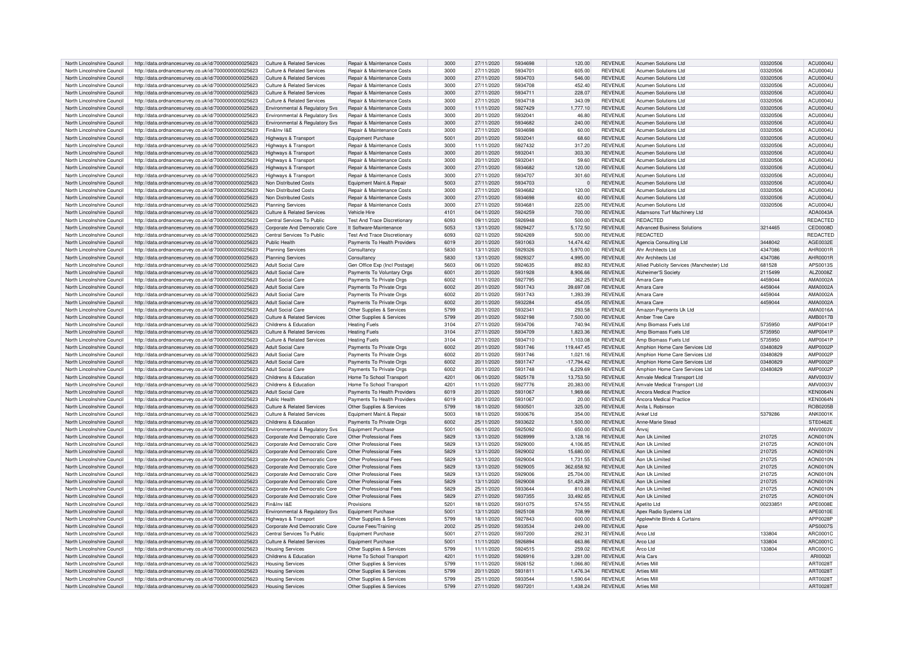|                            |                                                      | Culture & Related Services                |                                       | 3000 |            | 5934698 |              | <b>REVENUE</b> |                                            | 03320506 |                  |
|----------------------------|------------------------------------------------------|-------------------------------------------|---------------------------------------|------|------------|---------|--------------|----------------|--------------------------------------------|----------|------------------|
| North Lincolnshire Council | http://data.ordnancesurvey.co.uk/id/7000000000025623 |                                           | Repair & Maintenance Costs            |      | 27/11/2020 |         | 120.00       |                | <b>Acumen Solutions Ltd</b>                |          | ACU0004U         |
| North Lincolnshire Council | http://data.ordnancesurvey.co.uk/id/7000000000025623 | <b>Culture &amp; Related Services</b>     | Repair & Maintenance Costs            | 3000 | 27/11/2020 | 5934701 | 605.00       | <b>REVENUE</b> | <b>Acumen Solutions Ltd</b>                | 03320506 | ACU0004U         |
| North Lincolnshire Council | http://data.ordnancesurvey.co.uk/id/7000000000025623 | Culture & Related Services                | Repair & Maintenance Costs            | 3000 | 27/11/2020 | 5934703 | 546.00       | <b>REVENUE</b> | <b>Acumen Solutions Ltd</b>                | 03320506 | ACU0004U         |
|                            |                                                      |                                           |                                       |      |            |         |              |                |                                            |          |                  |
| North Lincolnshire Council | http://data.ordnancesurvey.co.uk/id/7000000000025623 | Culture & Related Services                | <b>Benair &amp; Maintenance Costs</b> | 3000 | 27/11/2020 | 5934708 | 452.40       | <b>REVENUE</b> | Acumen Solutions Ltd                       | 03320506 | <b>ACLI0004L</b> |
| North Lincolnshire Council | http://data.ordnancesurvey.co.uk/id/7000000000025623 | <b>Culture &amp; Related Services</b>     | Repair & Maintenance Costs            | 3000 | 27/11/2020 | 5934711 | 228.07       | <b>REVENUE</b> | <b>Acumen Solutions Ltd</b>                | 03320506 | ACU0004U         |
| North Lincolnshire Council | http://data.ordnancesurvey.co.uk/id/7000000000025623 | Culture & Related Services                | Repair & Maintenance Costs            | 3000 | 27/11/2020 | 5934718 | 343.09       | <b>REVENUE</b> | Acumen Solutions Ltd                       | 03320506 | ACU0004L         |
|                            |                                                      |                                           |                                       |      |            |         |              |                |                                            |          |                  |
| North Lincolnshire Council | http://data.ordnancesurvey.co.uk/id/7000000000025623 | <b>Environmental &amp; Regulatory Svs</b> | Repair & Maintenance Costs            | 3000 | 11/11/2020 | 5927429 | 1,777.10     | <b>REVENUE</b> | <b>Acumen Solutions Ltd</b>                | 03320506 | ACU0004U         |
| North Lincolnshire Council | http://data.ordnancesurvey.co.uk/id/7000000000025623 | Environmental & Regulatory Svs            | Repair & Maintenance Costs            | 3000 | 20/11/2020 | 5932041 | 46.80        | <b>REVENUE</b> | <b>Acumen Solutions Ltd</b>                | 03320506 | ACU0004U         |
|                            |                                                      |                                           |                                       |      |            |         |              |                |                                            |          |                  |
| North Lincolnshire Council | http://data.ordnancesurvey.co.uk/id/7000000000025623 | Environmental & Regulatory Svs            | Repair & Maintenance Costs            | 3000 | 27/11/2020 | 5934682 | 240.00       | <b>REVENUE</b> | Acumen Solutions Ltd                       | 03320506 | ACU0004U         |
| North Lincolnshire Council | http://data.ordnancesurvey.co.uk/id/7000000000025623 | Fin&Inv I&F                               | Repair & Maintenance Costs            | 3000 | 27/11/2020 | 5934698 | 60.00        | <b>REVENUE</b> | <b>Acumen Solutions Ltd</b>                | 03320506 | ACU0004U         |
|                            |                                                      |                                           |                                       |      |            |         |              |                |                                            |          |                  |
| North Lincolnshire Council | http://data.ordnancesurvey.co.uk/id/7000000000025623 | Highways & Transport                      | Equipment Purchase                    | 5001 | 20/11/2020 | 5932041 | 68.60        | <b>REVENUE</b> | <b>Acumen Solutions Ltd</b>                | 03320506 | ACU0004U         |
| North Lincolnshire Council | http://data.ordnancesurvey.co.uk/id/7000000000025623 | <b>Highways &amp; Transport</b>           | <b>Benair &amp; Maintenance Costs</b> | 3000 | 11/11/2020 | 5927432 | 317.20       | <b>REVENUE</b> | <b>Acumen Solutions Ltd</b>                | 03320506 | ACU0004U         |
| North Lincolnshire Council | http://data.ordnancesurvey.co.uk/id/7000000000025623 | Highways & Transport                      | Repair & Maintenance Costs            | 3000 | 20/11/2020 | 5932041 | 303.30       | <b>REVENUE</b> | Acumen Solutions Ltd                       | 03320506 | ACU0004U         |
|                            |                                                      |                                           |                                       |      |            |         |              |                |                                            |          |                  |
| North Lincolnshire Council | http://data.ordnancesurvey.co.uk/id/7000000000025623 | Highways & Transport                      | Repair & Maintenance Costs            | 3000 | 20/11/2020 | 5932041 | 59.60        | <b>REVENUE</b> | Acumen Solutions Ltd                       | 03320506 | ACU0004U         |
| North Lincolnshire Council | http://data.ordnancesurvey.co.uk/id/7000000000025623 | Highways & Transport                      | Repair & Maintenance Costs            | 3000 | 27/11/2020 | 5934682 | 120.00       | <b>REVENUE</b> | Acumen Solutions Ltd                       | 03320506 | ACU0004U         |
|                            |                                                      |                                           |                                       |      |            |         |              |                |                                            |          |                  |
| North Lincolnshire Council | http://data.ordnancesurvey.co.uk/id/7000000000025623 | <b>Highways &amp; Transport</b>           | Repair & Maintenance Costs            | 3000 | 27/11/2020 | 5934707 | 301.60       | <b>REVENUE</b> | <b>Acumen Solutions Ltd</b>                | 03320506 | ACU0004U         |
| North Lincolnshire Council | http://data.ordnancesurvey.co.uk/id/7000000000025623 | Non Distributed Costs                     | Equipment Maint.& Repair              | 5003 | 27/11/2020 | 5934703 |              | <b>REVENUE</b> | <b>Acumen Solutions Ltd</b>                | 03320506 | ACU0004U         |
| North Lincolnshire Council |                                                      | Non Distributed Costs                     |                                       | 3000 |            | 5934682 | 120.00       | <b>REVENUE</b> | Acumen Solutions Ltd                       |          | ACLIODDAL        |
|                            | http://data.ordnancesurvey.co.uk/id/7000000000025623 |                                           | Repair & Maintenance Costs            |      | 27/11/2020 |         |              |                |                                            | 03320506 |                  |
| North Lincolnshire Council | http://data.ordnancesurvey.co.uk/id/7000000000025623 | Non Distributed Costs                     | Repair & Maintenance Costs            | 3000 | 27/11/2020 | 5934698 | 60.00        | <b>REVENUE</b> | Acumen Solutions Ltd                       | 03320506 | ACU0004U         |
| North Lincolnshire Council |                                                      |                                           | Repair & Maintenance Costs            | 3000 | 27/11/2020 | 5934681 | 225.00       | <b>REVENUE</b> | Acumen Solutions Ltd                       |          | ACU0004U         |
|                            | http://data.ordnancesurvey.co.uk/id/7000000000025623 | <b>Planning Services</b>                  |                                       |      |            |         |              |                |                                            | 03320506 |                  |
| North Lincolnshire Council | http://data.ordnancesurvey.co.uk/id/7000000000025623 | Culture & Related Services                | Vehicle Hire                          | 4101 | 04/11/2020 | 5924259 | 700.00       | <b>REVENUE</b> | Adamsons Turf Machinery Ltd                |          | ADA0043A         |
| North Lincolnshire Council | http://data.ordnancesurvey.co.uk/id/7000000000025623 | Central Services To Public                | <b>Test And Trace Discretionary</b>   | 6093 | 09/11/2020 | 5926948 | 500.00       | <b>REVENUE</b> | REDACTED                                   |          | <b>REDACTED</b>  |
|                            |                                                      |                                           |                                       |      |            |         |              |                |                                            |          |                  |
| North Lincolnshire Council | http://data.ordnancesurvey.co.uk/id/7000000000025623 | Corporate And Democratic Core             | It Software-Maintenance               | 5053 | 13/11/2020 | 5929427 | 5,172.50     | <b>REVENUE</b> | <b>Advanced Business Solutions</b>         | 3214465  | CED0008D         |
| North Lincolnshire Council | http://data.ordnancesurvey.co.uk/id/7000000000025623 | Central Services To Public                | Test And Trace Discretionary          | 6093 | 02/11/2020 | 5924269 | 500.00       | <b>REVENUE</b> | <b>REDACTED</b>                            |          | REDACTED         |
| North Lincolnshire Council | http://data.ordnancesurvey.co.uk/id/7000000000025623 | <b>Public Health</b>                      | Payments To Health Providers          | 6019 | 20/11/2020 | 5931063 | 14,474.42    | <b>REVENUE</b> | Agencia Consulting Ltd                     | 3448042  | AGE0032E         |
|                            |                                                      |                                           |                                       |      |            |         |              |                |                                            |          |                  |
| North Lincolnshire Council | http://data.ordnancesurvey.co.uk/id/7000000000025623 | <b>Planning Services</b>                  | Consultancy                           | 5830 | 13/11/2020 | 5929326 | 5.970.00     | <b>REVENUE</b> | Ahr Architects I td                        | 4347086  | AHR0001F         |
| North Lincolnshire Council | http://data.ordnancesurvey.co.uk/id/7000000000025623 | <b>Planning Services</b>                  | Consultancy                           | 5830 | 13/11/2020 | 5929327 | 4.995.00     | <b>REVENUE</b> | Ahr Architects Ltd                         | 4347086  | AHR0001R         |
|                            |                                                      |                                           |                                       |      |            |         |              |                |                                            |          |                  |
| North Lincolnshire Council | http://data.ordnancesurvey.co.uk/id/7000000000025623 | Adult Social Care                         | Gen Office Exp (Incl Postage)         | 5603 | 06/11/2020 | 5924635 | 892.83       | <b>REVENUE</b> | Allied Publicity Services (Manchester) Ltd | 681528   | APS0013S         |
| North Lincolnshire Council | http://data.ordnancesurvey.co.uk/id/7000000000025623 | Adult Social Care                         | Payments To Voluntary Orgs            | 6001 | 20/11/2020 | 5931928 | 8,906.66     | <b>REVENUE</b> | Alzheimer'S Society                        | 2115499  | ALZ0008Z         |
|                            |                                                      |                                           |                                       |      |            |         |              |                |                                            |          |                  |
| North Lincolnshire Council | http://data.ordnancesurvey.co.uk/id/7000000000025623 | Adult Social Care                         | Payments To Private Orgs              | 6002 | 11/11/2020 | 5927795 | 362.25       | <b>REVENUE</b> | Amara Care                                 | 4459044  | AMA0002A         |
| North Lincolnshire Council | http://data.ordnancesurvey.co.uk/id/7000000000025623 | Adult Social Care                         | Payments To Private Orgs              | 6002 | 20/11/2020 | 5931743 | 39.697.08    | <b>REVENUE</b> | Amara Care                                 | 4459044  | AMA0002A         |
| North Lincolnshire Council |                                                      | Adult Social Care                         |                                       | 6002 | 20/11/2020 | 5931743 |              | <b>REVENUE</b> | Amara Care                                 |          | AMA0002A         |
|                            | http://data.ordnancesurvey.co.uk/id/7000000000025623 |                                           | Payments To Private Orgs              |      |            |         | 1,393.39     |                |                                            | 4459044  |                  |
| North Lincolnshire Council | http://data.ordnancesurvey.co.uk/id/7000000000025623 | <b>Adult Social Care</b>                  | Payments To Private Orgs              | 6002 | 20/11/2020 | 5932284 | 454.05       | <b>REVENUE</b> | Amara Care                                 | 4459044  | AMA0002A         |
| North Lincolnshire Council | http://data.ordnancesurvey.co.uk/id/7000000000025623 | Adult Social Care                         | Other Supplies & Services             | 5799 | 20/11/2020 | 5932341 | 293.58       | <b>REVENUE</b> | Amazon Payments Uk Ltd                     |          | AMA0016A         |
|                            |                                                      |                                           |                                       |      |            |         |              |                |                                            |          |                  |
| North Lincolnshire Council | http://data.ordnancesurvey.co.uk/id/7000000000025623 | <b>Culture &amp; Related Services</b>     | Other Supplies & Services             | 5799 | 20/11/2020 | 5932198 | 7,500.00     | <b>REVENUE</b> | Amber Tree Care                            |          | AMB0017B         |
| North Lincolnshire Council | http://data.ordnancesurvey.co.uk/id/7000000000025623 | Childrens & Education                     | <b>Heating Fuels</b>                  | 3104 | 27/11/2020 | 5934706 | 740.94       | <b>REVENUE</b> | Amp Biomass Fuels Ltd                      | 5735950  | AMP0041P         |
|                            |                                                      |                                           |                                       |      |            |         |              |                |                                            |          |                  |
| North Lincolnshire Council | http://data.ordnancesurvey.co.uk/id/7000000000025623 | Culture & Related Services                | <b>Heating Fuels</b>                  | 3104 | 27/11/2020 | 5934709 | 1.823.36     | <b>REVENUE</b> | Amn Biomass Fuels Ltd                      | 5735950  | AMP0041P         |
| North Lincolnshire Council | http://data.ordnancesurvey.co.uk/id/7000000000025623 | Culture & Related Services                | <b>Heating Fuels</b>                  | 3104 | 27/11/2020 | 5934710 | 1.103.08     | <b>REVENUE</b> | Amn Rinmass Fuels Ltd                      | 5735950  | AMP0041P         |
|                            |                                                      | Adult Social Care                         |                                       |      |            |         |              |                |                                            |          | AMP0002P         |
| North Lincolnshire Council | http://data.ordnancesurvey.co.uk/id/7000000000025623 |                                           | Payments To Private Orgs              | 6002 | 20/11/2020 | 5931746 | 119,447.45   | <b>REVENUE</b> | Amphion Home Care Services Ltd             | 03480829 |                  |
| North Lincolnshire Council | http://data.ordnancesurvey.co.uk/id/7000000000025623 | Adult Social Care                         | Payments To Private Orgs              | 6002 | 20/11/2020 | 5931746 | 1.021.16     | <b>REVENUE</b> | Amphion Home Care Services Ltd             | 03480829 | AMP0002P         |
| North Lincolnshire Council | http://data.ordnancesurvey.co.uk/id/7000000000025623 | <b>Adult Social Care</b>                  | Payments To Private Orgs              | 6002 | 20/11/2020 | 5931747 | $-17,794.42$ | <b>REVENUE</b> | Amphion Home Care Services Ltd             | 03480829 | <b>AMP0002P</b>  |
|                            |                                                      |                                           |                                       |      |            |         |              |                |                                            |          |                  |
| North Lincolnshire Council | http://data.ordnancesurvey.co.uk/id/7000000000025623 | Adult Social Care                         | Payments To Private Orgs              | 6002 | 20/11/2020 | 5931748 | 6.229.69     | <b>REVENUE</b> | Amphion Home Care Services Ltd             | 03480829 | AMP0002P         |
| North Lincolnshire Council | http://data.ordnancesurvey.co.uk/id/7000000000025623 | Childrens & Education                     | Home To School Transport              | 4201 | 06/11/2020 | 5925178 | 13,753.50    | <b>REVENUE</b> | Amvale Medical Transport Ltd               |          | AMV0003V         |
|                            |                                                      |                                           |                                       |      |            |         |              |                |                                            |          |                  |
| North Lincolnshire Council | http://data.ordnancesurvey.co.uk/id/7000000000025623 | Childrens & Education                     | Home To School Transport              | 4201 | 11/11/2020 | 5927776 | 20,383.00    | <b>REVENUE</b> | Amvale Medical Transport Ltd               |          | AMV0003V         |
| North Lincolnshire Council | http://data.ordnancesurvey.co.uk/id/7000000000025623 | <b>Adult Social Care</b>                  | Payments To Health Providers          | 6019 | 20/11/2020 | 5931067 | 1.969.66     | <b>REVENUE</b> | Ancora Medical Practice                    |          | <b>KEN0064N</b>  |
|                            |                                                      | Public Health                             |                                       | 6019 |            | 5931067 |              | <b>REVENUE</b> | Ancora Medical Practice                    |          |                  |
| North Lincolnshire Council | http://data.ordnancesurvey.co.uk/id/7000000000025623 |                                           | Payments To Health Providers          |      | 20/11/2020 |         | 20.00        |                |                                            |          | <b>KEN0064N</b>  |
| North Lincolnshire Council | http://data.ordnancesurvey.co.uk/id/7000000000025623 | <b>Culture &amp; Related Services</b>     | Other Supplies & Services             | 5799 | 18/11/2020 | 5930501 | 325.00       | <b>REVENUE</b> | Anita L Robinson                           |          | <b>ROB0205B</b>  |
| North Lincolnshire Council |                                                      | <b>Culture &amp; Related Services</b>     | Equipment Maint.& Repair              | 5003 | 18/11/2020 | 5930676 | 354.00       | <b>REVENUE</b> | Ankef I td                                 | 5379286  | <b>ANK0001K</b>  |
|                            | http://data.ordnancesurvey.co.uk/id/7000000000025623 |                                           |                                       |      |            |         |              |                |                                            |          |                  |
| North Lincolnshire Council | http://data.ordnancesurvey.co.uk/id/7000000000025623 | Childrens & Education                     | Payments To Private Orgs              | 6002 | 25/11/2020 | 5933622 | 1,500.00     | <b>REVENUE</b> | Anne-Marie Stead                           |          | STE0462E         |
| North Lincolnshire Council | http://data.ordnancesurvey.co.uk/id/7000000000025623 | Environmental & Regulatory Svs            | <b>Equipment Purchase</b>             | 5001 | 06/11/2020 | 5925092 | 650.00       | <b>REVENUE</b> | Anvsi                                      |          | <b>ANV0003V</b>  |
|                            |                                                      |                                           |                                       |      |            |         |              |                |                                            |          |                  |
| North Lincolnshire Council | http://data.ordnancesurvey.co.uk/id/7000000000025623 | Corporate And Democratic Core             | Other Professional Fees               | 5829 | 13/11/2020 | 5928999 | 3,128.16     | <b>REVENUE</b> | Aon Uk Limited                             | 210725   | <b>AON0010N</b>  |
| North Lincolnshire Council | http://data.ordnancesurvey.co.uk/id/7000000000025623 | Corporate And Democratic Core             | Other Professional Fees               | 5829 | 13/11/2020 | 5929000 | 4.106.85     | <b>REVENUE</b> | Ann I lk I imited                          | 210725   | AON0010N         |
| North Lincolnshire Council |                                                      | Corporate And Democratic Core             | Other Professional Fees               | 5829 | 13/11/2020 | 5929002 | 15,680.00    | <b>REVENUE</b> | Aon Uk Limited                             | 210725   | AON0010N         |
|                            | http://data.ordnancesurvey.co.uk/id/7000000000025623 |                                           |                                       |      |            |         |              |                |                                            |          |                  |
| North Lincolnshire Council | http://data.ordnancesurvey.co.uk/id/7000000000025623 | Corporate And Democratic Core             | Other Professional Fees               | 5829 | 13/11/2020 | 5929004 | 1,731.55     | <b>REVENUE</b> | Aon Uk Limited                             | 210725   | AON0010N         |
| North Lincolnshire Council | http://data.ordnancesurvey.co.uk/id/7000000000025623 | Corporate And Democratic Core             | Other Professional Fees               | 5829 | 13/11/2020 | 5929005 | 362,658.92   | <b>REVENUE</b> | Aon Uk Limited                             | 210725   | <b>AON0010N</b>  |
|                            |                                                      |                                           |                                       |      |            |         |              |                |                                            |          |                  |
| North Lincolnshire Council | http://data.ordnancesurvey.co.uk/id/7000000000025623 | Corporate And Democratic Core             | Other Professional Fees               | 5829 | 13/11/2020 | 5929006 | 25.704.00    | <b>REVENUE</b> | Aon Uk Limited                             | 210725   | AON0010N         |
| North Lincolnshire Council | http://data.ordnancesurvey.co.uk/id/7000000000025623 | Corporate And Democratic Core             | Other Professional Fees               | 5829 | 13/11/2020 | 5929008 | 51,429.28    | <b>REVENUE</b> | Aon Uk Limited                             | 210725   | <b>AON0010N</b>  |
| North Lincolnshire Council |                                                      |                                           |                                       |      |            |         |              | <b>REVENUE</b> | Ann I lk I imited                          |          | AON0010N         |
|                            |                                                      |                                           |                                       |      |            |         |              |                |                                            |          |                  |
| North Lincolnshire Council | http://data.ordnancesurvey.co.uk/id/7000000000025623 | Corporate And Democratic Core             | Other Professional Fees               | 5829 | 25/11/2020 | 5933644 | 810.88       |                |                                            | 210725   |                  |
| North Lincolnshire Council | http://data.ordnancesurvey.co.uk/id/7000000000025623 | Corporate And Democratic Core             | Other Professional Fees               | 5829 | 27/11/2020 | 5937355 | 33,492.65    | <b>REVENUE</b> | Aon Uk Limited                             | 210725   | AON0010N         |
|                            |                                                      |                                           |                                       |      |            |         |              |                |                                            |          |                  |
|                            | http://data.ordnancesurvey.co.uk/id/7000000000025623 | Fin&Inv I&F                               | Provisions                            | 5201 | 18/11/2020 | 5931075 | 574.55       | <b>REVENUE</b> | Apetito Ltd                                | 0023385  | APE0008E         |
| North Lincolnshire Council | http://data.ordnancesurvey.co.uk/id/7000000000025623 | Environmental & Regulatory Svs            | Equipment Purchase                    | 5001 | 13/11/2020 | 5925108 | 708.99       | <b>REVENUE</b> | Apex Radio Systems Ltd                     |          | APE0010E         |
| North Lincolnshire Council |                                                      |                                           |                                       |      | 18/11/2020 | 5927843 | 600.00       |                | Applewhite Blinds & Curtains               |          |                  |
|                            | http://data.ordnancesurvey.co.uk/id/7000000000025623 | Highways & Transport                      | Other Supplies & Services             | 5799 |            |         |              | <b>REVENUE</b> |                                            |          | APP0028P         |
| North Lincolnshire Council | http://data.ordnancesurvey.co.uk/id/7000000000025623 | Cornorate And Democratic Core             | Course Fees/Training                  | 2002 | 25/11/2020 | 5933534 | 249.00       | <b>REVENUE</b> | Anse                                       |          | APS0007S         |
| North Lincolnshire Council |                                                      | Central Services To Public                | Equipment Purchase                    | 5001 |            | 5937200 | 292.31       | <b>REVENUE</b> | Arco Ltd                                   | 133804   | ARC0001C         |
|                            | http://data.ordnancesurvey.co.uk/id/7000000000025623 |                                           |                                       |      | 27/11/2020 |         |              |                |                                            |          |                  |
| North Lincolnshire Council | http://data.ordnancesurvey.co.uk/id/7000000000025623 | Culture & Related Services                | <b>Equipment Purchase</b>             | 5001 | 11/11/2020 | 5926894 | 663.86       | <b>REVENUE</b> | Arco I td                                  | 133804   | ARC0001C         |
| North Lincolnshire Council | http://data.ordnancesurvey.co.uk/id/7000000000025623 | <b>Housing Services</b>                   | Other Supplies & Services             | 5799 | 11/11/2020 | 5924515 | 259.02       | <b>REVENUE</b> | Arco I td                                  | 133804   | ARC0001C         |
|                            |                                                      |                                           |                                       |      |            |         |              |                |                                            |          |                  |
| North Lincolnshire Council | http://data.ordnancesurvey.co.uk/id/7000000000025623 | Childrens & Education                     | Home To School Transport              | 4201 | 11/11/2020 | 5926916 | 3.281.00     | <b>REVENUE</b> | Aria Cars                                  |          | ARI00021         |
| North Lincolnshire Council | http://data.ordnancesurvey.co.uk/id/7000000000025623 | <b>Housing Services</b>                   | Other Supplies & Services             | 5799 | 11/11/2020 | 5926152 | 1,066.80     | <b>REVENUE</b> | <b>Arties Mill</b>                         |          | ART00281         |
|                            |                                                      |                                           |                                       |      |            |         |              |                |                                            |          |                  |
| North Lincolnshire Council | http://data.ordnancesurvey.co.uk/id/7000000000025623 | <b>Housing Services</b>                   | Other Supplies & Services             | 5799 | 20/11/2020 | 5931811 | 1,476.34     | <b>REVENUE</b> | <b>Arties Mill</b>                         |          | ART00281         |
| North Lincolnshire Council | http://data.ordnancesurvey.co.uk/id/7000000000025623 | <b>Housing Services</b>                   | Other Supplies & Services             | 5799 | 25/11/2020 | 5933544 | 1.590.64     | <b>REVENUE</b> | <b>Arties Mill</b>                         |          | ART0028T         |
| North Lincolnshire Council | http://data.ordnancesurvey.co.uk/id/7000000000025623 | <b>Housing Services</b>                   | Other Supplies & Services             | 5799 | 27/11/2020 | 5937201 | 1.438.24     | <b>REVENUE</b> | <b>Arties Mill</b>                         |          | ART0028T         |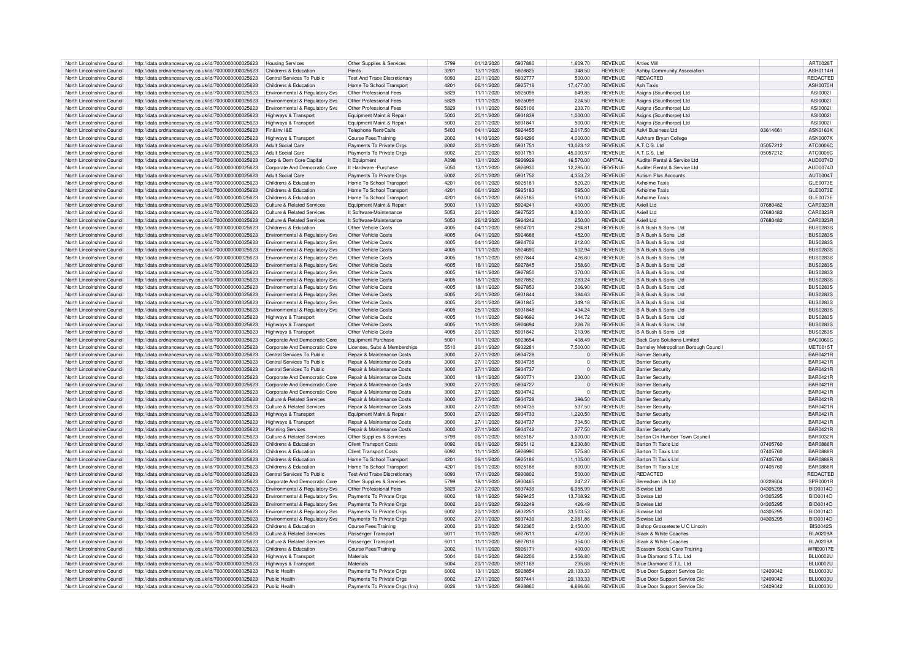| North Lincolnshire Council | http://data.ordnancesurvey.co.uk/id/7000000000025623 | <b>Housing Services</b>                    | Other Supplies & Services             | 5799 | 01/12/2020 | 5937880 | 1,609.70    | <b>REVENUE</b> | <b>Arties Mill</b>                    |          | ART0028T        |
|----------------------------|------------------------------------------------------|--------------------------------------------|---------------------------------------|------|------------|---------|-------------|----------------|---------------------------------------|----------|-----------------|
|                            |                                                      |                                            |                                       |      |            |         |             |                |                                       |          |                 |
| North Lincolnshire Council | http://data.ordnancesurvey.co.uk/id/7000000000025623 | Childrens & Education                      | Rents                                 | 3201 | 13/11/2020 | 5928825 | 348.50      | <b>REVENUE</b> | Ashby Community Association           |          | ASH0114H        |
| North Lincolnshire Council | http://data.ordnancesurvey.co.uk/id/7000000000025623 | Central Services To Public                 | <b>Test And Trace Discretionary</b>   | 6093 | 20/11/2020 | 5932777 | 500.00      | <b>REVENUE</b> | <b>REDACTED</b>                       |          | REDACTED        |
| North Lincolnshire Council | http://data.ordnancesurvey.co.uk/id/7000000000025623 | Childrens & Education                      | Home To School Transport              | 4201 | 06/11/2020 | 5925716 | 17,477.00   | <b>REVENUE</b> | Ash Taxis                             |          | <b>ASH0070F</b> |
| North Lincolnshire Council | http://data.ordnancesurvey.co.uk/id/7000000000025623 | Environmental & Regulatory Sys             | Other Professional Fees               | 5829 | 11/11/2020 | 5925098 | 649.85      | <b>REVENUE</b> | Asigns (Scunthorpe) Ltd               |          | ASI0002         |
|                            |                                                      |                                            |                                       |      |            |         |             |                |                                       |          |                 |
| North Lincolnshire Council | http://data.ordnancesurvey.co.uk/id/7000000000025623 | Environmental & Regulatory Svs             | Other Professional Fees               | 5829 | 11/11/2020 | 5925099 | 224.50      | <b>REVENUE</b> | Asigns (Scunthorpe) Ltd               |          | ASI0002         |
| North Lincolnshire Council | http://data.ordnancesurvey.co.uk/id/7000000000025623 | Environmental & Regulatory Svs             | Other Professional Fees               | 5829 | 11/11/2020 | 5925106 | 233.70      | <b>REVENUE</b> | Asigns (Scunthorpe) Ltd               |          | ASI0002         |
| North Lincolnshire Council | http://data.ordnancesurvey.co.uk/id/7000000000025623 | Highways & Transport                       | Equipment Maint.& Repair              | 5003 | 20/11/2020 | 5931839 | 1,000.00    | <b>REVENUE</b> | Asigns (Scunthorpe) Ltd               |          | <b>ASI0002I</b> |
|                            |                                                      |                                            |                                       | 5003 | 20/11/2020 | 5931841 | 500.00      | <b>REVENUE</b> |                                       |          |                 |
| North Lincolnshire Council | http://data.ordnancesurvey.co.uk/id/7000000000025623 | Highways & Transport                       | Equipment Maint.& Repair              |      |            |         |             |                | Asigns (Scunthorpe) Ltd               |          | ASI0002I        |
| North Lincolnshire Council | http://data.ordnancesurvey.co.uk/id/7000000000025623 | Fin&Inv I&E                                | <b>Telephone Rent/Calls</b>           | 5403 | 04/11/2020 | 5924455 | 2,017.50    | <b>REVENUE</b> | Ask4 Business Ltd                     | 03614661 | <b>ASK0163K</b> |
| North Lincolnshire Council | http://data.ordnancesurvey.co.uk/id/7000000000025623 | Highways & Transport                       | Course Fees/Training                  | 2002 | 14/10/2020 | 5934296 | 4.000.00    | <b>REVENUE</b> | Askham Brvan College                  |          | <b>ASK0007K</b> |
| North Lincolnshire Council | http://data.ordnancesurvey.co.uk/id/7000000000025623 | Adult Social Care                          | Payments To Private Orgs              | 6002 | 20/11/2020 | 5931751 | 13,023.12   | <b>REVENUE</b> | A.T.C.S. Ltd                          | 05057212 | ATC0006C        |
|                            |                                                      |                                            |                                       |      |            |         |             |                |                                       |          |                 |
| North Lincolnshire Council | http://data.ordnancesurvey.co.uk/id/7000000000025623 | <b>Adult Social Care</b>                   | Payments To Private Orgs              | 6002 | 20/11/2020 | 5931751 | 45.000.57   | <b>REVENUE</b> | ATCS Ite                              | 05057212 | ATC0006C        |
| North Lincolnshire Council | http://data.ordnancesurvey.co.uk/id/7000000000025623 | Corp & Dem Core Capital                    | It Equipment                          | A098 | 13/11/2020 | 5926929 | 16,570.00   | CAPITAL        | Auditel Rental & Service Ltd          |          | AUD0074D        |
| North Lincolnshire Council | http://data.ordnancesurvey.co.uk/id/7000000000025623 | Corporate And Democratic Core              | It Hardware - Purchase                | 5050 | 13/11/2020 | 5926930 | 12,295.00   | <b>REVENUE</b> | Auditel Rental & Service Ltd          |          | AUD0074D        |
| North Lincolnshire Council | http://data.ordnancesurvey.co.uk/id/7000000000025623 | <b>Adult Social Care</b>                   | Payments To Private Orgs              | 6002 | 20/11/2020 | 5931752 | 4,353.72    | <b>REVENUE</b> | <b>Autism Plus Accounts</b>           |          | <b>AUT0004T</b> |
|                            |                                                      |                                            |                                       |      |            |         |             |                |                                       |          |                 |
| North Lincolnshire Council | http://data.ordnancesurvey.co.uk/id/7000000000025623 | Childrens & Education                      | Home To School Transpor               | 4201 | 06/11/2020 | 5925181 | 520.20      | <b>REVENUE</b> | Axholme Taxis                         |          | GLE0073E        |
| North Lincolnshire Council | http://data.ordnancesurvey.co.uk/id/7000000000025623 | Childrens & Education                      | Home To School Transpor               | 4201 | 06/11/2020 | 5925183 | 595.00      | <b>REVENUE</b> | Ayholme Taxis                         |          | GLE0073E        |
| North Lincolnshire Council | http://data.ordnancesurvey.co.uk/id/7000000000025623 | Childrens & Education                      | Home To School Transpor               | 4201 | 06/11/2020 | 5925185 | 510.00      | <b>REVENUE</b> | <b>Axholme Taxis</b>                  |          | GLE0073E        |
|                            |                                                      |                                            |                                       |      |            |         |             |                |                                       |          |                 |
| North Lincolnshire Council | http://data.ordnancesurvey.co.uk/id/7000000000025623 | Culture & Related Services                 | Foujoment Maint & Repai               | 5003 | 11/11/2020 | 5924241 | 400.00      | <b>REVENUE</b> | Axiell Ltd                            | 07680482 | CAR0323F        |
| North Lincolnshire Council | http://data.ordnancesurvey.co.uk/id/7000000000025623 | <b>Culture &amp; Related Services</b>      | It Software-Maintenance               | 5053 | 20/11/2020 | 5927525 | 8,000.00    | <b>REVENUE</b> | Axiell I to                           | 07680482 | CAR0323E        |
| North Lincolnshire Council | http://data.ordnancesurvey.co.uk/id/7000000000025623 | Culture & Related Services                 | It Software-Maintenance               | 5053 | 26/12/2020 | 5924242 | 250.00      | <b>REVENUE</b> | Axiell Ltd                            | 07680482 | CAR0323F        |
| North Lincolnshire Council |                                                      |                                            | Other Vehicle Costs                   | 4005 |            | 5924701 |             | <b>REVENUE</b> | B A Bush & Sons I to                  |          | BUS02835        |
|                            | http://data.ordnancesurvey.co.uk/id/7000000000025623 | Childrens & Education                      |                                       |      | 04/11/2020 |         | 294.81      |                |                                       |          |                 |
| North Lincolnshire Council | http://data.ordnancesurvey.co.uk/id/7000000000025623 | <b>Environmental &amp; Regulatory Svs</b>  | Other Vehicle Costs                   | 4005 | 04/11/2020 | 5924688 | 452.00      | <b>REVENUE</b> | B A Bush & Sons I to                  |          | <b>BUS0283S</b> |
| North Lincolnshire Council | http://data.ordnancesurvey.co.uk/id/7000000000025623 | Environmental & Regulatory Svs             | Other Vehicle Costs                   | 4005 | 04/11/2020 | 5924702 | 212.00      | <b>REVENUE</b> | B A Bush & Sons Ltd                   |          | <b>BUS02839</b> |
| North Lincolnshire Council | http://data.ordnancesurvey.co.uk/id/7000000000025623 | Environmental & Regulatory Svs             | Other Vehicle Costs                   | 4005 | 11/11/2020 | 5924690 | 502.94      | <b>REVENUE</b> | B A Bush & Sons I to                  |          | BUS02835        |
|                            |                                                      |                                            |                                       |      |            |         |             |                |                                       |          |                 |
| North Lincolnshire Council | http://data.ordnancesurvey.co.uk/id/7000000000025623 | Environmental & Regulatory Sys             | Other Vehicle Costs                   | 4005 | 18/11/2020 | 5927844 | 426.60      | <b>REVENUE</b> | B A Bush & Sons Ltd                   |          | <b>BUS0283S</b> |
| North Lincolnshire Council | http://data.ordnancesurvey.co.uk/id/7000000000025623 | Environmental & Regulatory Svs             | Other Vehicle Costs                   | 4005 | 18/11/2020 | 5927845 | 358.60      | <b>REVENUE</b> | B A Bush & Sons Ltd                   |          | <b>BUS0283S</b> |
| North Lincolnshire Council | http://data.ordnancesurvey.co.uk/id/7000000000025623 | Environmental & Regulatory Svs             | Other Vehicle Costs                   | 4005 | 18/11/2020 | 5927850 | 370.00      | <b>REVENUE</b> | B A Bush & Sons Ltd                   |          | <b>BUS0283S</b> |
|                            |                                                      |                                            |                                       |      |            |         |             |                |                                       |          |                 |
| North Lincolnshire Council | http://data.ordnancesurvey.co.uk/id/7000000000025623 | Environmental & Regulatory Svs             | Other Vehicle Costs                   | 4005 | 18/11/2020 | 5927852 | 283.24      | <b>REVENUE</b> | B A Bush & Sons Ltd                   |          | <b>BUS0283S</b> |
| North Lincolnshire Council | http://data.ordnancesurvey.co.uk/id/7000000000025623 | Environmental & Regulatory Svs             | Other Vehicle Costs                   | 4005 | 18/11/2020 | 5927853 | 306.90      | <b>REVENUE</b> | B A Bush & Sons Ltd                   |          | <b>BUS0283S</b> |
| North Lincolnshire Council | http://data.ordnancesurvey.co.uk/id/7000000000025623 | <b>Environmental &amp; Regulatory Svs</b>  | Other Vehicle Costs                   | 4005 | 20/11/2020 | 5931844 | 384.63      | <b>REVENUE</b> | B A Bush & Sons Ltd                   |          | <b>BUS0283S</b> |
| North Lincolnshire Council |                                                      |                                            | Other Vehicle Costs                   | 4005 |            | 5931845 |             | <b>REVENUE</b> | B A Bush & Sons Ltd                   |          | BUS02835        |
|                            | http://data.ordnancesurvey.co.uk/id/7000000000025623 | Environmental & Regulatory Svs             |                                       |      | 20/11/2020 |         | 349.18      |                |                                       |          |                 |
| North Lincolnshire Council | http://data.ordnancesurvey.co.uk/id/7000000000025623 | Environmental & Regulatory Svs             | <b>Other Vehicle Costs</b>            | 4005 | 25/11/2020 | 5931848 | 434.24      | <b>REVENUE</b> | B A Bush & Sons Ltd                   |          | <b>BUS0283S</b> |
| North Lincolnshire Council | http://data.ordnancesurvey.co.uk/id/7000000000025623 | Highways & Transport                       | Other Vehicle Costs                   | 4005 | 11/11/2020 | 5924692 | 344.72      | <b>REVENUE</b> | B A Bush & Sons Ltd                   |          | <b>BUS02839</b> |
| North Lincolnshire Council | http://data.ordnancesurvey.co.uk/id/7000000000025623 | Highways & Transpor                        | Other Vehicle Costs                   | 4005 | 11/11/2020 | 5924694 | 226.78      | <b>REVENUE</b> | B A Bush & Sons Ltd                   |          | <b>BUS0283S</b> |
|                            |                                                      |                                            |                                       |      |            |         |             |                |                                       |          |                 |
| North Lincolnshire Council | http://data.ordnancesurvey.co.uk/id/7000000000025623 | Highways & Transport                       | Other Vehicle Costs                   | 4005 | 20/11/2020 | 5931842 | 213.96      | <b>REVENUE</b> | B A Bush & Sons Ltd                   |          | <b>BUS0283S</b> |
| North Lincolnshire Council | http://data.ordnancesurvey.co.uk/id/7000000000025623 | Corporate And Democratic Core              | Equipment Purchase                    | 5001 | 11/11/2020 | 5923654 | 408.49      | <b>REVENUE</b> | <b>Back Care Solutions Limited</b>    |          | <b>BAC0060C</b> |
| North Lincolnshire Council | http://data.ordnancesurvey.co.uk/id/7000000000025623 | Corporate And Democratic Core              | Licenses, Subs & Memberships          | 5510 | 20/11/2020 | 593228  | 7.500.00    | <b>REVENUE</b> | Barnsley Metropolitan Borough Council |          | <b>MET0015T</b> |
|                            |                                                      |                                            | <b>Benair &amp; Maintenance Costs</b> |      |            | 5934728 | $\Omega$    | REVENUE        |                                       |          | <b>BAR0421R</b> |
| North Lincolnshire Council | http://data.ordnancesurvey.co.uk/id/7000000000025623 | Central Services To Public                 |                                       | 3000 | 27/11/2020 |         |             |                | <b>Barrier Security</b>               |          |                 |
| North Lincolnshire Council | http://data.ordnancesurvey.co.uk/id/7000000000025623 | Central Services To Public                 | <b>Benair &amp; Maintenance Costs</b> | 3000 | 27/11/2020 | 5934735 | $\circ$     | <b>REVENUE</b> | <b>Barrier Security</b>               |          | <b>BAR0421F</b> |
| North Lincolnshire Council | http://data.ordnancesurvey.co.uk/id/7000000000025623 | Central Services To Public                 | Repair & Maintenance Costs            | 3000 | 27/11/2020 | 5934737 | $\Omega$    | <b>REVENUE</b> | <b>Barrier Security</b>               |          | <b>BAR0421R</b> |
| North Lincolnshire Council | http://data.ordnancesurvey.co.uk/id/7000000000025623 | Cornorate And Democratic Core              | Repair & Maintenance Costs            | 3000 | 18/11/2020 | 5930771 | 230.00      | <b>REVENUE</b> | <b>Barrier Security</b>               |          | BAR0421B        |
|                            |                                                      |                                            |                                       |      |            |         |             |                |                                       |          |                 |
| North Lincolnshire Council | http://data.ordnancesurvey.co.uk/id/7000000000025623 | Corporate And Democratic Core              | Repair & Maintenance Costs            | 3000 | 27/11/2020 | 5934727 | $\mathbf 0$ | <b>REVENUE</b> | <b>Barrier Security</b>               |          | <b>BAR0421R</b> |
| North Lincolnshire Council | http://data.ordnancesurvey.co.uk/id/7000000000025623 | Corporate And Democratic Core              | Repair & Maintenance Costs            | 3000 | 27/11/2020 | 5934742 | $\Omega$    | <b>REVENUE</b> | <b>Barrier Security</b>               |          | <b>BAR0421F</b> |
| North Lincolnshire Council | http://data.ordnancesurvey.co.uk/id/7000000000025623 | <b>Culture &amp; Related Services</b>      | <b>Benair &amp; Maintenance Costs</b> | 3000 | 27/11/2020 | 5934728 | 396.50      | REVENUE        | <b>Barrier Security</b>               |          | BAR0421F        |
| North Lincolnshire Council | http://data.ordnancesurvey.co.uk/id/7000000000025623 | Culture & Related Services                 | Repair & Maintenance Costs            | 3000 | 27/11/2020 | 5934735 | 537.50      | <b>REVENUE</b> | <b>Barrier Security</b>               |          | <b>BAR0421R</b> |
|                            |                                                      |                                            |                                       |      |            |         |             |                |                                       |          |                 |
| North Lincolnshire Council | http://data.ordnancesurvey.co.uk/id/7000000000025623 | Highways & Transport                       | Equipment Maint.& Repair              | 5003 | 27/11/2020 | 5934733 | 1,220.50    | <b>REVENUE</b> | <b>Barrier Security</b>               |          | <b>BAR0421R</b> |
| North Lincolnshire Council | http://data.ordnancesurvey.co.uk/id/7000000000025623 | Highways & Transport                       | Repair & Maintenance Costs            | 3000 | 27/11/2020 | 5934737 | 734.50      | <b>REVENUE</b> | <b>Barrier Security</b>               |          | <b>BAR0421R</b> |
| North Lincolnshire Council | http://data.ordnancesurvey.co.uk/id/7000000000025623 | <b>Planning Services</b>                   | Repair & Maintenance Costs            | 3000 | 27/11/2020 | 5934742 | 277.50      | <b>REVENUE</b> | <b>Barrier Security</b>               |          | <b>BAR0421R</b> |
|                            |                                                      |                                            |                                       |      |            |         |             |                |                                       |          |                 |
| North Lincolnshire Council | http://data.ordnancesurvey.co.uk/id/7000000000025623 | <b>Culture &amp; Related Services</b>      | Other Supplies & Services             | 5799 | 06/11/2020 | 5925187 | 3,600.00    | <b>REVENUE</b> | Barton On Humber Town Council         |          | <b>BAR0032R</b> |
| North Lincolnshire Council | http://data.ordnancesurvey.co.uk/id/7000000000025623 | Childrens & Education                      | <b>Client Transport Costs</b>         | 6092 | 06/11/2020 | 5925112 | 8,230.80    | <b>REVENUE</b> | <b>Barton Tt Tavis Ltd</b>            | 07405760 | <b>BAR0888R</b> |
| North Lincolnshire Council | http://data.ordnancesurvey.co.uk/id/7000000000025623 | Childrens & Education                      | <b>Client Transport Costs</b>         | 6092 | 11/11/2020 | 5926990 | 575.80      | <b>REVENUE</b> | <b>Barton Tt Taxis Ltd</b>            | 07405760 | <b>BAR0888R</b> |
| North Lincolnshire Council |                                                      |                                            |                                       | 4201 |            | 5925186 |             |                | Barton Tt Taxis I td                  |          | <b>BAR0888R</b> |
|                            | http://data.ordnancesurvey.co.uk/id/7000000000025623 | Childrens & Education                      | Home To School Transport              |      | 06/11/2020 |         | 1,105.00    | <b>REVENUE</b> |                                       | 07405760 |                 |
| North Lincolnshire Council | http://data.ordnancesurvey.co.uk/id/7000000000025623 | Childrens & Education                      | Home To School Transport              | 4201 | 06/11/2020 | 5925188 | 800.00      | <b>REVENUE</b> | Barton Tt Taxis Ltd                   | 07405760 | <b>BAR0888R</b> |
| North Lincolnshire Council | http://data.ordnancesurvey.co.uk/id/7000000000025623 | Central Services To Public                 | <b>Test And Trace Discretionan</b>    | 6093 | 17/11/2020 | 5930802 | 500.00      | <b>REVENUE</b> | <b>REDACTED</b>                       |          | <b>REDACTED</b> |
| North Lincolnshire Council | http://data.ordnancesurvey.co.uk/id/7000000000025623 | Cornorate And Democratic Core              | Other Supplies & Services             | 5799 | 18/11/2020 | 5930465 | 247.27      | <b>REVENUE</b> | Berendsen Uk I td                     | 00228604 | SPR0001R        |
|                            |                                                      |                                            |                                       |      |            |         |             |                |                                       |          |                 |
| North Lincolnshire Council | http://data.ordnancesurvey.co.uk/id/7000000000025623 | Environmental & Regulatory Svs             | Other Professional Fees               | 5829 | 27/11/2020 | 5937439 | 6.955.99    | <b>REVENUE</b> | <b>Rinwise Ltd</b>                    | 04305295 | <b>BIO0014O</b> |
| North Lincolnshire Council | http://data.ordnancesurvey.co.uk/id/7000000000025623 | Environmental & Regulatory Svs             | Payments To Private Orgs              | 6002 | 18/11/2020 | 5929425 | 13,708.92   | <b>REVENUE</b> | Rinwise I to                          | 04305295 | <b>BIO0014O</b> |
| North Lincolnshire Council | http://data.ordnancesurvey.co.uk/id/7000000000025623 | <b>Environmental &amp; Regulatory Svs</b>  | Payments To Private Orgs              | 6002 | 20/11/2020 | 5932249 | 426.49      | <b>REVENUE</b> | <b>Biowise Ltd</b>                    | 04305295 | <b>BIO0014O</b> |
|                            |                                                      |                                            |                                       |      |            |         |             |                | <b>Rinwise Ltd</b>                    |          |                 |
| North Lincolnshire Council | http://data.ordnancesurvey.co.uk/id/7000000000025623 | Environmental & Regulatory Svs             | Payments To Private Orgs              | 6002 | 20/11/2020 | 5932251 | 33,503.53   | <b>REVENUE</b> |                                       | 04305295 | <b>BIO0014O</b> |
| North Lincolnshire Council | http://data.ordnancesurvey.co.uk/id/7000000000025623 | <b>Environmental &amp; Regulatory Sys.</b> | Payments To Private Orgs              | 6002 | 27/11/2020 | 5937439 | 2.061.86    | <b>REVENUE</b> | <b>Biowise Ltd</b>                    | 04305295 | <b>BIO0014O</b> |
| North Lincolnshire Council | http://data.ordnancesurvey.co.uk/id/7000000000025623 | Childrens & Education                      | Course Fees/Training                  | 2002 | 20/11/2020 | 5932365 | 2.450.00    | <b>REVENUE</b> | Bishop Grosseteste U C Lincoln        |          | <b>BIS0042S</b> |
| North Lincolnshire Council | http://data.ordnancesurvey.co.uk/id/7000000000025623 | <b>Culture &amp; Related Services</b>      | Passenger Transport                   | 6011 | 11/11/2020 | 5927611 | 472.00      | <b>REVENUE</b> | <b>Black &amp; White Coaches</b>      |          | <b>BLA0209A</b> |
|                            |                                                      |                                            |                                       |      |            |         |             |                |                                       |          |                 |
| North Lincolnshire Council | http://data.ordnancesurvey.co.uk/id/7000000000025623 | Culture & Related Services                 | Passenger Transpor                    | 6011 | 11/11/2020 | 5927616 | 354.00      | <b>REVENUE</b> | Black & White Coache                  |          | BI A0209A       |
| North Lincolnshire Council | http://data.ordnancesurvey.co.uk/id/7000000000025623 | Childrens & Education                      | Course Fees/Training                  | 2002 | 11/11/2020 | 592617  | 400.00      | <b>REVENUE</b> | <b>Blossom Social Care Training</b>   |          | <b>WRE0017E</b> |
| North Lincolnshire Council | http://data.ordnancesurvey.co.uk/id/7000000000025623 | <b>Highways &amp; Transport</b>            | Materials                             | 5004 | 06/11/2020 | 5922206 | 2.356.80    | <b>REVENUE</b> | Blue Diamond S.T.L. Ltd               |          | BLU0002U        |
| North Lincolnshire Council | http://data.ordnancesurvey.co.uk/id/7000000000025623 | Highways & Transport                       | Materials                             | 5004 | 20/11/2020 | 5921169 | 235.68      | <b>REVENUE</b> | Blue Diamond S T L Ltd                |          | <b>BLU0002U</b> |
|                            |                                                      |                                            |                                       |      |            |         |             |                |                                       |          |                 |
| North Lincolnshire Council | http://data.ordnancesurvey.co.uk/id/7000000000025623 | Public Health                              | Payments To Private Orgs              | 6002 | 13/11/2020 | 5928854 | 20,133.33   | <b>REVENUE</b> | Blue Door Support Service Cic         | 12409042 | BLU0033U        |
| North Lincolnshire Council | http://data.ordnancesurvey.co.uk/id/7000000000025623 | Public Health                              | Payments To Private Orgs              | 6002 | 27/11/2020 | 5937441 | 20,133.33   | <b>REVENUE</b> | Blue Door Support Service Cic         | 12409042 | BLU0033U        |
|                            |                                                      | Public Health                              | Payments To Private Orgs (Inv)        | 6026 | 13/11/2020 | 5928860 | 6.666.66    | <b>REVENUE</b> | Blue Door Support Service Cic         | 12409042 | BLU0033U        |
| North Lincolnshire Council | http://data.ordnancesurvey.co.uk/id/7000000000025623 |                                            |                                       |      |            |         |             |                |                                       |          |                 |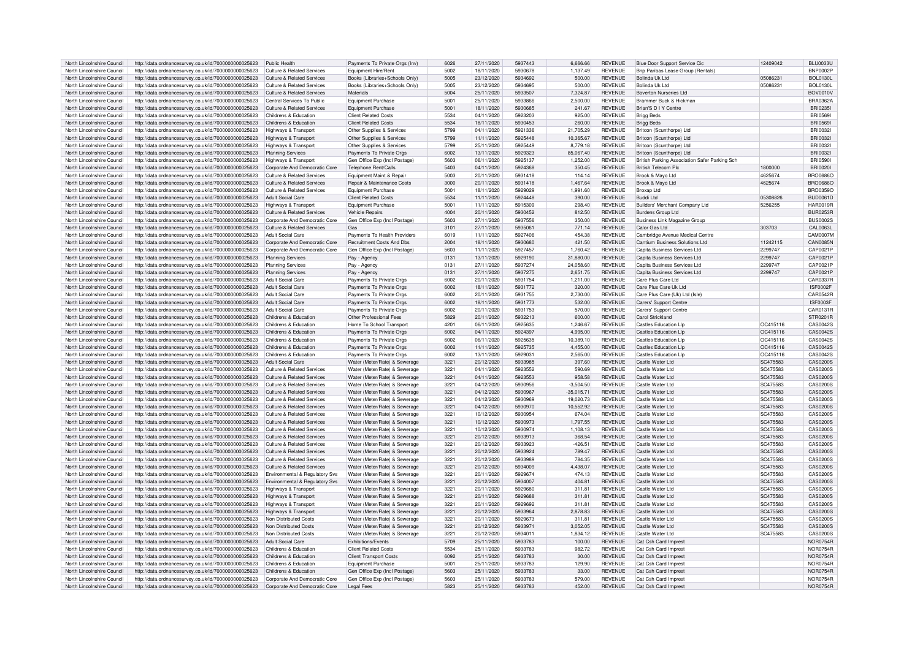| North Lincolnshire Council | http://data.ordnancesurvey.co.uk/id/7000000000025623 | Public Health                         | Payments To Private Orgs (Inv)   | 6026    | 27/11/2020 | 5937443 | 6,666.66    | <b>REVENUE</b> | Blue Door Support Service Cic                 | 12409042 | <b>BLU0033U</b> |
|----------------------------|------------------------------------------------------|---------------------------------------|----------------------------------|---------|------------|---------|-------------|----------------|-----------------------------------------------|----------|-----------------|
| North Lincolnshire Council | http://data.ordnancesurvey.co.uk/id/7000000000025623 | Culture & Related Services            | Equipment Hire/Rent              | 5002    | 18/11/2020 | 5930678 | 1.137.49    | <b>REVENUE</b> | Bnp Paribas Lease Group (Rentals)             |          | <b>BNP0002P</b> |
|                            |                                                      |                                       |                                  |         |            |         |             |                |                                               |          |                 |
| North Lincolnshire Council | http://data.ordnancesurvey.co.uk/id/7000000000025623 | Culture & Related Services            | Books (Libraries+Schools Only)   | 5005    | 23/12/2020 | 5934692 | 500.00      | <b>REVENUE</b> | Bolinda Uk I td                               | 05086231 | <b>BOL0130L</b> |
| North Lincolnshire Council | http://data.ordnancesurvey.co.uk/id/7000000000025623 | Culture & Related Services            | Books (Libraries+Schools Only)   | 5005    | 23/12/2020 | 5934695 | 500.00      | <b>REVENUE</b> | Rolinda I Ik I td                             | 05086231 | <b>BOL0130L</b> |
| North Lincolnshire Council | http://data.ordnancesurvey.co.uk/id/7000000000025623 | <b>Culture &amp; Related Services</b> | Materials                        | 5004    | 25/11/2020 | 5933507 | 7,324.87    | <b>REVENUE</b> | <b>Boverton Nurseries Ltd</b>                 |          | <b>BOV0010V</b> |
| North Lincolnshire Council | http://data.ordnancesurvey.co.uk/id/7000000000025623 | Central Services To Public            | <b>Equipment Purchase</b>        | 5001    | 25/11/2020 | 5933866 | 2,500.00    | <b>REVENUE</b> | <b>Brammer Buck &amp; Hickman</b>             |          | BRA0362A        |
| North Lincolnshire Council | http://data.ordnancesurvey.co.uk/id/7000000000025623 | Culture & Related Services            | <b>Equipment Purchase</b>        | 5001    | 18/11/2020 | 5930685 | 241.67      | <b>REVENUE</b> | Brian'S D I Y Centre                          |          | <b>BRI02351</b> |
| North Lincolnshire Council | http://data.ordnancesurvey.co.uk/id/7000000000025623 | Childrens & Education                 | <b>Client Related Costs</b>      | 5534    | 04/11/2020 | 5923203 | 925.00      | <b>REVENUE</b> | <b>Brigg Beds</b>                             |          | <b>BRI05691</b> |
|                            |                                                      |                                       |                                  |         |            |         |             |                |                                               |          |                 |
| North Lincolnshire Council | http://data.ordnancesurvey.co.uk/id/7000000000025623 | Childrens & Education                 | <b>Client Related Costs</b>      | 5534    | 18/11/2020 | 5930453 | 260.00      | REVENUE        | <b>Brigg Beds</b>                             |          | <b>BRI05691</b> |
| North Lincolnshire Council | http://data.ordnancesurvey.co.uk/id/7000000000025623 | Highways & Transport                  | Other Supplies & Services        | 5799    | 04/11/2020 | 5921336 | 21,705.29   | <b>REVENUE</b> | Britcon (Scunthorpe) Ltd                      |          | <b>BRI00321</b> |
| North Lincolnshire Council | http://data.ordnancesurvey.co.uk/id/7000000000025623 | Highways & Transport                  | Other Supplies & Services        | 5799    | 11/11/2020 | 5925448 | 10.365.67   | <b>REVENUE</b> | Britcon (Scunthorpe) Ltd                      |          | <b>BRI00321</b> |
| North Lincolnshire Council | http://data.ordnancesurvey.co.uk/id/7000000000025623 | <b>Highways &amp; Transport</b>       | Other Supplies & Services        | 5799    | 25/11/2020 | 5925449 | 8.779.18    | <b>REVENUE</b> | Britcon (Scunthorpe) Ltd                      |          | BRI0032L        |
| North Lincolnshire Council | http://data.ordnancesurvey.co.uk/id/7000000000025623 | <b>Planning Services</b>              | Payments To Private Orgs         | 6002    | 13/11/2020 | 5929323 | 85.067.40   | <b>REVENUE</b> | Britcon (Scunthorpe) Ltd                      |          | <b>BRI00321</b> |
|                            |                                                      |                                       |                                  |         |            |         |             |                |                                               |          |                 |
| North Lincolnshire Council | http://data.ordnancesurvey.co.uk/id/7000000000025623 | Highways & Transport                  | Gen Office Exp (Incl Postage)    | 5603    | 06/11/2020 | 5925137 | 1,252.00    | <b>REVENUE</b> | British Parking Association Safer Parking Sch |          | <b>BRI05901</b> |
| North Lincolnshire Council | http://data.ordnancesurvey.co.uk/id/7000000000025623 | Corporate And Democratic Core         | Telephone Rent/Calls             | 5403    | 04/11/2020 | 5924368 | 350.45      | <b>REVENUE</b> | <b>British Telecom Plc</b>                    | 1800000  | <b>BRI00201</b> |
| North Lincolnshire Council | http://data.ordnancesurvey.co.uk/id/7000000000025623 | <b>Culture &amp; Related Services</b> | Equipment Maint.& Repair         | 5003    | 20/11/2020 | 5931418 | 114.14      | <b>REVENUE</b> | Brook & Mayo Ltd                              | 4625674  | <b>BRO0686O</b> |
| North Lincolnshire Council | http://data.ordnancesurvey.co.uk/id/7000000000025623 | <b>Culture &amp; Related Services</b> | Repair & Maintenance Costs       | 3000    | 20/11/2020 | 5931418 | 1.467.64    | <b>REVENUE</b> | Brook & Mavo Ltd                              | 4625674  | <b>BRO0686O</b> |
| North Lincolnshire Council | http://data.ordnancesurvey.co.uk/id/7000000000025623 | Culture & Related Services            | Equipment Purchase               | 5001    | 18/11/2020 | 5929029 | 1,991.60    | <b>REVENUE</b> | Broxap Ltd                                    |          | <b>BRO0359O</b> |
| North Lincolnshire Council |                                                      | <b>Adult Social Care</b>              | <b>Client Related Costs</b>      | 5534    |            | 5924448 | 390.00      | <b>REVENUE</b> | <b>Buddi Ltd</b>                              | 0530882  | <b>BUD0061D</b> |
|                            | http://data.ordnancesurvey.co.uk/id/7000000000025623 |                                       |                                  |         | 11/11/2020 |         |             |                |                                               |          |                 |
| North Lincolnshire Council | http://data.ordnancesurvey.co.uk/id/7000000000025623 | Highways & Transport                  | Foujoment Purchase               | 500     | 11/11/2020 | 5915309 | 298.40      | <b>REVENUE</b> | Builders' Merchant Company Ltd                | 5256255  | <b>HAR0019R</b> |
| North Lincolnshire Council | http://data.ordnancesurvey.co.uk/id/7000000000025623 | Culture & Related Services            | Vehicle Repairs                  | 4004    | 20/11/2020 | 5930452 | 812.50      | <b>REVENUE</b> | <b>Burdens Group Ltd</b>                      |          | <b>BUR0253R</b> |
| North Lincolnshire Council | http://data.ordnancesurvey.co.uk/id/7000000000025623 | Corporate And Democratic Core         | Gen Office Exp (Incl Postage)    | 5603    | 27/11/2020 | 5937556 | 350.00      | <b>REVENUE</b> | <b>Business Link Magazine Group</b>           |          | <b>BUS0002S</b> |
| North Lincolnshire Council | http://data.ordnancesurvey.co.uk/id/7000000000025623 | Culture & Related Services            | Gas                              | 3101    | 27/11/2020 | 5935061 | 771.14      | <b>REVENUE</b> | Calor Gas Ltd                                 | 303703   | <b>CAL0063L</b> |
|                            |                                                      |                                       |                                  |         |            |         |             |                |                                               |          | CAM0007M        |
| North Lincolnshire Council | http://data.ordnancesurvey.co.uk/id/7000000000025623 | <b>Adult Social Care</b>              | Payments To Health Providers     | 6019    | 11/11/2020 | 5927406 | 454.38      | <b>REVENUE</b> | Cambridge Avenue Medical Centre               |          |                 |
| North Lincolnshire Council | http://data.ordnancesurvey.co.uk/id/7000000000025623 | Corporate And Democratic Core         | <b>Recruitment Costs And Dbs</b> | 2004    | 18/11/2020 | 5930680 | 421.50      | <b>REVENUE</b> | Cantium Business Solutions Ltd                | 11242115 | <b>CAN0085N</b> |
| North Lincolnshire Council | http://data.ordnancesurvey.co.uk/id/7000000000025623 | Corporate And Democratic Core         | Gen Office Exp (Incl Postage)    | 5603    | 11/11/2020 | 5927457 | 1.760.42    | <b>REVENUE</b> | Capita Business Services Ltd                  | 2299747  | CAP0021P        |
| North Lincolnshire Council | http://data.ordnancesurvey.co.uk/id/7000000000025623 | <b>Planning Services</b>              | Pay - Agency                     | 0131    | 13/11/2020 | 5929190 | 31,880.00   | <b>REVENUE</b> | Capita Business Services Ltd                  | 2299747  | CAP0021P        |
| North Lincolnshire Council | http://data.ordnancesurvey.co.uk/id/7000000000025623 | <b>Planning Services</b>              | Pay - Agency                     | 0131    | 27/11/2020 | 5937274 | 24,058.60   | <b>REVENUE</b> | Capita Business Services Ltd                  | 2299747  | CAP0021P        |
|                            |                                                      |                                       |                                  | 0131    |            | 5937275 |             | <b>REVENUE</b> |                                               |          | CAP0021P        |
| North Lincolnshire Council | http://data.ordnancesurvey.co.uk/id/7000000000025623 | <b>Planning Services</b>              | Pay - Agency                     |         | 27/11/2020 |         | 2,651.75    |                | Capita Business Services Ltd                  | 2299747  |                 |
| North Lincolnshire Council | http://data.ordnancesurvey.co.uk/id/7000000000025623 | Adult Social Care                     | Payments To Private Orgs         | 6002    | 20/11/2020 | 5931754 | 1,211.00    | REVENUE        | Care Plus Care Ltd                            |          | CAR0337R        |
| North Lincolnshire Council | http://data.ordnancesurvey.co.uk/id/7000000000025623 | Adult Social Care                     | Payments To Private Orgs         | 6002    | 18/11/2020 | 5931772 | 320.00      | <b>REVENUE</b> | Care Plus Care Uk I td                        |          | <b>ISF0002F</b> |
| North Lincolnshire Council | http://data.ordnancesurvey.co.uk/id/7000000000025623 | Adult Social Care                     | Payments To Private Orgs         | 6002    | 20/11/2020 | 5931755 | 2,730.00    | <b>REVENUE</b> | Care Plus Care (Uk) Ltd (Isle)                |          | <b>CAR0542R</b> |
| North Lincolnshire Council | http://data.ordnancesurvey.co.uk/id/7000000000025623 | Adult Social Care                     | Payments To Private Orgs         | 6002    | 18/11/2020 | 5931773 | 532.00      | <b>REVENUE</b> | Carers' Support Centre                        |          | ISF0003F        |
| North Lincolnshire Council |                                                      | Adult Social Care                     |                                  | 6002    |            | 5931753 |             | <b>REVENUE</b> |                                               |          | CAR0131R        |
|                            | http://data.ordnancesurvey.co.uk/id/7000000000025623 |                                       | Payments To Private Orgs         |         | 20/11/2020 |         | 570.00      |                | Carers' Support Centre                        |          |                 |
| North Lincolnshire Council | http://data.ordnancesurvey.co.uk/id/7000000000025623 | Childrens & Education                 | Other Professional Fees          | 5829    | 20/11/2020 | 5932213 | 600.00      | <b>REVENUE</b> | Carol Strickland                              |          | STR0201R        |
| North Lincolnshire Council | http://data.ordnancesurvey.co.uk/id/7000000000025623 | Childrens & Education                 | Home To School Transport         | 4201    | 06/11/2020 | 5925635 | 1,246.67    | <b>REVENUE</b> | <b>Castles Education Lip</b>                  | OC415116 | CAS0042S        |
| North Lincolnshire Council | http://data.ordnancesurvey.co.uk/id/7000000000025623 | Childrens & Education                 | Payments To Private Orgs         | 6002    | 04/11/2020 | 5924397 | 4.995.00    | <b>REVENUE</b> | Castles Education Lin                         | OC415116 | CAS0042S        |
| North Lincolnshire Council | http://data.ordnancesurvey.co.uk/id/7000000000025623 | Childrens & Education                 | Payments To Private Orgs         | 6002    | 06/11/2020 | 5925635 | 10.389.10   | <b>REVENUE</b> | Castles Education Lip                         | OC415116 | CAS0042S        |
| North Lincolnshire Council | http://data.ordnancesurvey.co.uk/id/7000000000025623 | Childrens & Education                 | Payments To Private Orgs         | 6002    | 11/11/2020 | 5925735 | 4,455.00    | <b>REVENUE</b> | <b>Castles Education Lin</b>                  | OC415116 | CAS0042S        |
|                            |                                                      |                                       |                                  |         |            |         |             |                |                                               |          |                 |
| North Lincolnshire Council | http://data.ordnancesurvey.co.uk/id/7000000000025623 | Childrens & Education                 | Payments To Private Oras         | 6002    | 13/11/2020 | 5929031 | 2.565.00    | <b>REVENUE</b> | Castles Education Lin                         | OC415116 | CAS0042S        |
| North Lincolnshire Council | http://data.ordnancesurvey.co.uk/id/7000000000025623 | Adult Social Care                     | Water (Meter/Rate) & Sewerage    | 3221    | 20/12/2020 | 5933985 | 397.60      | <b>REVENUE</b> | Castle Water Ltd                              | SC475583 | CAS0200S        |
| North Lincolnshire Council | http://data.ordnancesurvey.co.uk/id/7000000000025623 | Culture & Related Services            | Water (Meter/Rate) & Sewerage    | 3221    | 04/11/2020 | 5923552 | 590.69      | <b>REVENUE</b> | Castle Water Ltd                              | SC475583 | CAS0200S        |
| North Lincolnshire Council | http://data.ordnancesurvey.co.uk/id/7000000000025623 | Culture & Related Services            | Water (Meter/Rate) & Sewerage    | 3221    | 04/11/2020 | 5923553 | 958.58      | <b>REVENUE</b> | Castle Water Ltd                              | SC475583 | CAS0200S        |
| North Lincolnshire Council | http://data.ordnancesurvey.co.uk/id/7000000000025623 | <b>Culture &amp; Related Services</b> | Water (Meter/Rate) & Sewerage    | 3221    | 04/12/2020 | 5930956 | $-3,504.50$ | <b>REVENUE</b> | Castle Water Ltd                              | SC475583 | CAS0200S        |
|                            |                                                      |                                       |                                  |         |            |         |             |                |                                               |          |                 |
| North Lincolnshire Council | http://data.ordnancesurvey.co.uk/id/7000000000025623 | Culture & Related Services            | Water (Meter/Rate) & Sewerage    | 3221    | 04/12/2020 | 5930967 | $-35.015.7$ | <b>REVENUE</b> | Castle Water I td                             | SC475583 | CAS0200S        |
| North Lincolnshire Council | http://data.ordnancesurvey.co.uk/id/7000000000025623 | <b>Culture &amp; Related Services</b> | Water (Meter/Rate) & Sewerage    | $322 -$ | 04/12/2020 | 5930969 | 19,020.73   | <b>REVENUE</b> | Castle Water Ltd                              | SC475583 | CAS0200S        |
| North Lincolnshire Council | http://data.ordnancesurvey.co.uk/id/7000000000025623 | <b>Culture &amp; Related Services</b> | Water (Meter/Rate) & Sewerage    | 3221    | 04/12/2020 | 5930970 | 10.552.92   | <b>REVENUE</b> | Castle Water Ltd                              | SC475583 | <b>CAS0200S</b> |
| North Lincolnshire Council | http://data.ordnancesurvey.co.uk/id/7000000000025623 | Culture & Related Services            | Water (Meter/Rate) & Sewerage    | 3221    | 10/12/2020 | 5930954 | 674.04      | <b>REVENUE</b> | Castle Water Ltd                              | SC475583 | CAS0200S        |
| North Lincolnshire Council | http://data.ordnancesurvey.co.uk/id/7000000000025623 | <b>Culture &amp; Related Services</b> | Water (Meter/Rate) & Sewerage    | 3221    | 10/12/2020 | 5930973 | 1,797.55    | <b>REVENUE</b> | Castle Water I td                             | SC475583 | CAS0200S        |
|                            |                                                      |                                       |                                  |         |            |         |             |                |                                               |          |                 |
| North Lincolnshire Council | http://data.ordnancesurvey.co.uk/id/7000000000025623 | Culture & Related Services            | Water (Meter/Rate) & Sewerage    | 3221    | 10/12/2020 | 5930974 | 1.108.13    | REVENUE        | Castle Water Ltd                              | SC475583 | CAS0200S        |
| North Lincolnshire Council | http://data.ordnancesurvey.co.uk/id/7000000000025623 | Culture & Related Services            | Water (Meter/Rate) & Sewerage    | $322 -$ | 20/12/2020 | 5933913 | 368.54      | <b>REVENUE</b> | Castle Water Ltd                              | SC475583 | CAS0200S        |
| North Lincolnshire Council | http://data.ordnancesurvey.co.uk/id/7000000000025623 | Culture & Related Services            | Water (Meter/Rate) & Sewerage    | 3221    | 20/12/2020 | 5933923 | $-426.51$   | <b>REVENUE</b> | Castle Water Ltd                              | SC475583 | CAS0200S        |
| North Lincolnshire Council | http://data.ordnancesurvey.co.uk/id/7000000000025623 | Culture & Related Services            | Water (Meter/Rate) & Sewerage    | 3221    | 20/12/2020 | 5933924 | 789.47      | <b>REVENUE</b> | Castle Water I td                             | SC475583 | CAS0200S        |
| North Lincolnshire Council | http://data.ordnancesurvey.co.uk/id/7000000000025623 | Culture & Related Services            | Water (Meter/Rate) & Sewerage    | 3221    | 20/12/2020 | 5933989 | 784.35      | <b>REVENUE</b> | Castle Water Ltd                              | SC475583 | CAS0200S        |
| North Lincolnshire Council | http://data.ordnancesurvey.co.uk/id/7000000000025623 | <b>Culture &amp; Related Services</b> | Water (Meter/Rate) & Sewerage    | 3221    | 20/12/2020 | 5934009 | 4,438.07    | <b>REVENUE</b> | Castle Water Ltd                              | SC475583 | CAS0200S        |
|                            |                                                      |                                       |                                  |         |            |         |             |                |                                               |          |                 |
| North Lincolnshire Council | http://data.ordnancesurvey.co.uk/id/7000000000025623 | Environmental & Regulatory Svs        | Water (Meter/Rate) & Sewerage    | $322 -$ | 20/11/2020 | 5929674 | 474.13      | <b>REVENUE</b> | Castle Water Ltd                              | SC475583 | CAS0200S        |
| North Lincolnshire Council | http://data.ordnancesurvey.co.uk/id/7000000000025623 | Environmental & Regulatory Svs        | Water (Meter/Rate) & Sewerage    | 3221    | 20/12/2020 | 5934007 | 404.8       | <b>REVENUE</b> | Castle Water Ltd                              | SC475583 | CAS0200S        |
| North Lincolnshire Council | http://data.ordnancesurvey.co.uk/id/7000000000025623 | Highways & Transport                  | Water (Meter/Rate) & Sewerage    | 3221    | 20/11/2020 | 5929680 | 311.8       | <b>REVENUE</b> | Castle Water Ltd                              | SC475583 | CAS0200S        |
| North Lincolnshire Council | http://data.ordnancesurvey.co.uk/id/7000000000025623 | Highways & Transport                  | Water (Meter/Rate) & Sewerage    | 3221    | 20/11/2020 | 5929688 | 311.8       | <b>REVENUE</b> | Castle Water Ltd                              | SC475583 | CAS0200S        |
| North Lincolnshire Council | http://data.ordnancesurvey.co.uk/id/7000000000025623 | Highways & Transport                  | Water (Meter/Rate) & Sewerage    | 3221    | 20/11/2020 | 5929692 | 311.81      | <b>REVENUE</b> | Castle Water Ltd                              | SC475583 | CAS0200S        |
|                            |                                                      |                                       |                                  |         |            |         |             |                |                                               |          |                 |
| North Lincolnshire Council | http://data.ordnancesurvey.co.uk/id/7000000000025623 | Highways & Transport                  | Water (Meter/Rate) & Sewerage    | 3221    | 20/12/2020 | 5933964 | 2,878.83    | <b>REVENUE</b> | Castle Water Ltd                              | SC475583 | CAS0200S        |
| North Lincolnshire Council | http://data.ordnancesurvey.co.uk/id/7000000000025623 | Non Distributed Costs                 | Water (Meter/Rate) & Sewerage    | 3221    | 20/11/2020 | 5929673 | 311.8       | <b>REVENUE</b> | Castle Water Ltd                              | SC475583 | CAS0200S        |
| North Lincolnshire Council | http://data.ordnancesurvey.co.uk/id/7000000000025623 | Non Distributed Costs                 | Water (Meter/Rate) & Sewerage    | 3221    | 20/12/2020 | 5933971 | 3.052.05    | <b>REVENUE</b> | Castle Water Ltd                              | SC475583 | CAS0200S        |
| North Lincolnshire Council | http://data.ordnancesurvey.co.uk/id/7000000000025623 | Non Distributed Costs                 | Water (Meter/Rate) & Sewerage    | 3221    | 20/12/2020 | 5934011 | 1,834.12    | REVENUE        | Castle Water I td                             | SC475583 | CAS0200S        |
| North Lincolnshire Council | http://data.ordnancesurvey.co.uk/id/7000000000025623 | <b>Adult Social Care</b>              | <b>Exhibitions/Fvents</b>        | 5709    | 25/11/2020 | 5933783 | 100.00      | <b>REVENUE</b> | Cat Csh Card Impres                           |          | <b>NOR0754F</b> |
|                            |                                                      |                                       |                                  | 5534    |            | 5933783 |             | <b>REVENUE</b> |                                               |          |                 |
| North Lincolnshire Council | http://data.ordnancesurvey.co.uk/id/7000000000025623 | Childrens & Education                 | <b>Client Related Costs</b>      |         | 25/11/2020 |         | 982.72      |                | Cat Csh Card Imprest                          |          | NOR0754R        |
| North Lincolnshire Council | http://data.ordnancesurvey.co.uk/id/7000000000025623 | Childrens & Education                 | <b>Client Transport Costs</b>    | 6092    | 25/11/2020 | 5933783 | 30.00       | <b>REVENUE</b> | Cat Csh Card Impres                           |          | <b>NOR0754R</b> |
| North Lincolnshire Council | http://data.ordnancesurvey.co.uk/id/7000000000025623 | Childrens & Education                 | <b>Equipment Purchase</b>        | 5001    | 25/11/2020 | 5933783 | 129.90      | <b>REVENUE</b> | Cat Csh Card Impres                           |          | <b>NOR0754R</b> |
| North Lincolnshire Council | http://data.ordnancesurvey.co.uk/id/7000000000025623 | Childrens & Education                 | Gen Office Exp (Incl Postage)    | 5603    | 25/11/2020 | 5933783 | 33.00       | <b>REVENUE</b> | Cat Csh Card Imprest                          |          | NOR0754R        |
| North Lincolnshire Council | http://data.ordnancesurvey.co.uk/id/7000000000025623 | Corporate And Democratic Core         | Gen Office Exp (Incl Postage)    | 5603    | 25/11/2020 | 5933783 | 579.00      | <b>REVENUE</b> | Cat Csh Card Imprest                          |          | <b>NOR0754R</b> |
|                            |                                                      |                                       |                                  | 5823    |            | 5933783 | 452.00      |                |                                               |          |                 |
| North Lincolnshire Council | http://data.ordnancesurvey.co.uk/id/7000000000025623 | Corporate And Democratic Core         | <b>Legal Fees</b>                |         | 25/11/2020 |         |             | <b>REVENUE</b> | Cat Csh Card Imprest                          |          | <b>NOR0754R</b> |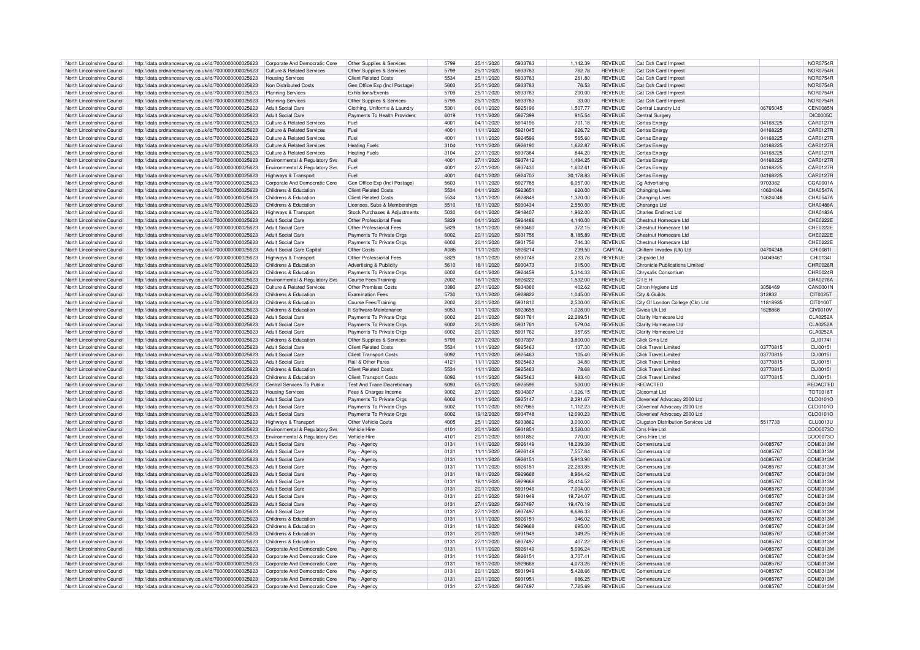| North Lincolnshire Council                               | http://data.ordnancesurvey.co.uk/id/7000000000025623                                                         | Corporate And Democratic Core                                  | Other Supplies & Services           | 5799         | 25/11/2020               | 5933783            | 1,142.39           | <b>REVENUE</b>                   | Cat Csh Card Imprest                      |                      | NOR0754R             |
|----------------------------------------------------------|--------------------------------------------------------------------------------------------------------------|----------------------------------------------------------------|-------------------------------------|--------------|--------------------------|--------------------|--------------------|----------------------------------|-------------------------------------------|----------------------|----------------------|
|                                                          |                                                                                                              |                                                                |                                     |              |                          |                    |                    |                                  |                                           |                      |                      |
| North Lincolnshire Council                               | http://data.ordnancesurvey.co.uk/id/7000000000025623                                                         | <b>Culture &amp; Related Services</b>                          | Other Supplies & Services           | 5799         | 25/11/2020               | 5933783            | 762.78             | <b>REVENUE</b>                   | Cat Csh Card Imprest                      |                      | <b>NOR0754R</b>      |
| North Lincolnshire Council                               | http://data.ordnancesurvey.co.uk/id/7000000000025623                                                         | <b>Housing Services</b>                                        | <b>Client Related Costs</b>         | 5534         | 25/11/2020               | 5933783            | 261.80             | <b>REVENUE</b>                   | Cat Csh Card Impres                       |                      | <b>NOR0754R</b>      |
| North Lincolnshire Council                               | http://data.ordnancesurvey.co.uk/id/7000000000025623                                                         | Non Distributed Costs                                          | Gen Office Exp (Incl Postage)       | 5603         | 25/11/2020               | 5933783            | 76.53              | <b>REVENUE</b>                   | Cat Csh Card Imprest                      |                      | NOR0754R             |
| North Lincolnshire Council                               | http://data.ordnancesurvey.co.uk/id/7000000000025623                                                         | <b>Planning Services</b>                                       | <b>Exhibitions/Events</b>           | 5709         | 25/11/2020               | 5933783            | 200.00             | <b>REVENUE</b>                   | Cat Csh Card Impres                       |                      | NOR0754R             |
|                                                          |                                                                                                              |                                                                |                                     |              |                          |                    |                    |                                  |                                           |                      |                      |
| North Lincolnshire Council                               | http://data.ordnancesurvey.co.uk/id/7000000000025623                                                         | <b>Planning Services</b>                                       | Other Supplies & Services           | 5799         | 25/11/2020               | 5933783            | 33.00              | <b>REVENUE</b>                   | Cat Csh Card Imprest                      |                      | <b>NOR0754R</b>      |
| North Lincolnshire Council                               | http://data.ordnancesurvey.co.uk/id/7000000000025623                                                         | <b>Adult Social Care</b>                                       | Clothing, Uniforms & Laundry        | 5301         | 06/11/2020               | 5925196            | 1.507.77           | <b>REVENUE</b>                   | Central Laundry Ltd                       | 06765045             | CEN0085N             |
| North Lincolnshire Council                               | http://data.ordnancesurvey.co.uk/id/7000000000025623                                                         | <b>Adult Social Care</b>                                       | Payments To Health Providers        | 6019         | 11/11/2020               | 5927399            | 915.54             | <b>REVENUE</b>                   | Central Surgery                           |                      | <b>DIC0005C</b>      |
|                                                          |                                                                                                              |                                                                |                                     |              |                          |                    |                    |                                  |                                           |                      |                      |
| North Lincolnshire Council                               | http://data.ordnancesurvey.co.uk/id/7000000000025623                                                         | Culture & Related Services                                     | Fuel                                | $400 -$      | 04/11/2020               | 5914196            | 701.18             | <b>REVENUE</b>                   | Certas Energy                             | 04168225             | CAR0127R             |
| North Lincolnshire Council                               | http://data.ordnancesurvey.co.uk/id/7000000000025623                                                         | Culture & Related Services                                     | Fuel                                | 4001         | 11/11/2020               | 5921045            | 626.72             | <b>REVENUE</b>                   | Certas Energy                             | 04168225             | CAR0127R             |
| North Lincolnshire Council                               | http://data.ordnancesurvey.co.uk/id/7000000000025623                                                         | <b>Culture &amp; Related Services</b>                          | Fuel                                | 4001         | 11/11/2020               | 5924599            | 565.60             | <b>REVENUE</b>                   | Certas Energy                             | 04168225             | CAR0127R             |
| North Lincolnshire Council                               | http://data.ordnancesurvey.co.uk/id/7000000000025623                                                         | Culture & Related Services                                     | <b>Heating Fuels</b>                | 3104         | 11/11/2020               | 5926190            | 1,622.87           | <b>REVENUE</b>                   | Certas Energy                             | 04168225             | CAR0127R             |
|                                                          |                                                                                                              |                                                                |                                     |              |                          |                    |                    |                                  |                                           |                      |                      |
| North Lincolnshire Council                               | http://data.ordnancesurvey.co.uk/id/7000000000025623                                                         | Culture & Related Services                                     | <b>Heating Fuels</b>                | 3104         | 27/11/2020               | 5937384            | 844.20             | <b>REVENUE</b>                   | Certas Energy                             | 04168225             | CAR0127R             |
| North Lincolnshire Council                               | http://data.ordnancesurvey.co.uk/id/7000000000025623                                                         | Environmental & Regulatory Svs                                 | Fuel                                | 4001         | 27/11/2020               | 5937412            | 1,484.25           | <b>REVENUE</b>                   | Certas Energ                              | 04168225             | CAR0127R             |
| North Lincolnshire Council                               | http://data.ordnancesurvey.co.uk/id/7000000000025623                                                         | Environmental & Regulatory Svs                                 | Fuel                                | 4001         | 27/11/2020               | 5937430            | 1,602.61           | <b>REVENUE</b>                   | Certas Energ                              | 04168225             | CAR0127R             |
|                                                          |                                                                                                              |                                                                |                                     |              |                          |                    |                    |                                  |                                           |                      |                      |
| North Lincolnshire Council                               | http://data.ordnancesurvey.co.uk/id/7000000000025623                                                         | Highways & Transport                                           | Fuel                                | 4001         | 04/11/2020               | 5924703            | 30,178.83          | <b>REVENUE</b>                   | Certas Energy                             | 04168225             | CAR0127R             |
| North Lincolnshire Council                               | http://data.ordnancesurvey.co.uk/id/7000000000025623                                                         | Corporate And Democratic Core                                  | Gen Office Exp (Incl Postage)       | 5603         | 11/11/2020               | 5927785            | 6.057.00           | <b>REVENUE</b>                   | Cg Advertising                            | 9703382              | CGA0001A             |
| North Lincolnshire Council                               | http://data.ordnancesurvey.co.uk/id/7000000000025623                                                         | Childrens & Education                                          | <b>Client Related Costs</b>         | 5534         | 04/11/2020               | 5923651            | 620.00             | <b>REVENUE</b>                   | <b>Changing Lives</b>                     | 10624046             | CHA0547A             |
| North Lincolnshire Council                               |                                                                                                              | Childrens & Education                                          | <b>Client Related Costs</b>         | 5534         | 13/11/2020               | 5928849            | 1,320.00           | <b>REVENUE</b>                   |                                           | 10624046             | CHA0547A             |
|                                                          | http://data.ordnancesurvey.co.uk/id/7000000000025623                                                         |                                                                |                                     |              |                          |                    |                    |                                  | Changing Lives                            |                      |                      |
| North Lincolnshire Council                               | http://data.ordnancesurvey.co.uk/id/7000000000025623                                                         | Childrens & Education                                          | Licenses, Subs & Memberships        | 5510         | 18/11/2020               | 5930434            | 2.550.00           | <b>REVENUE</b>                   | Charanga I to                             |                      | CHA0486A             |
| North Lincolnshire Council                               | http://data.ordnancesurvey.co.uk/id/7000000000025623                                                         | <b>Highways &amp; Transport</b>                                | Stock Purchases & Adjustments       | 5030         | 04/11/2020               | 5918407            | 1,962.00           | <b>REVENUE</b>                   | Charles Endirect I td                     |                      | CHA0183A             |
| North Lincolnshire Council                               | http://data.ordnancesurvey.co.uk/id/7000000000025623                                                         | Adult Social Care                                              | Other Professional Fees             | 5829         | 04/11/2020               | 5924486            | 4.140.00           | <b>REVENUE</b>                   | Chestnut Homecare Ltd                     |                      | CHE0222E             |
|                                                          |                                                                                                              |                                                                |                                     |              |                          |                    |                    |                                  |                                           |                      |                      |
| North Lincolnshire Council                               | http://data.ordnancesurvey.co.uk/id/7000000000025623                                                         | <b>Adult Social Care</b>                                       | Other Professional Fees             | 5829         | 18/11/2020               | 5930460            | 372.15             | <b>REVENUE</b>                   | Chestnut Homecare I td                    |                      | CHE0222E             |
| North Lincolnshire Council                               | http://data.ordnancesurvey.co.uk/id/7000000000025623                                                         | <b>Adult Social Care</b>                                       | Payments To Private Orgs            | 6002         | 20/11/2020               | 5931756            | 8,185.89           | <b>REVENUE</b>                   | Chestnut Homecare I td                    |                      | CHE0222E             |
| North Lincolnshire Council                               | http://data.ordnancesurvey.co.uk/id/7000000000025623                                                         | <b>Adult Social Care</b>                                       | Payments To Private Orgs            | 6002         | 20/11/2020               | 5931756            | 744.30             | <b>REVENUE</b>                   | Chestnut Homecare Ltd                     |                      | CHE0222E             |
|                                                          |                                                                                                              |                                                                |                                     |              |                          |                    |                    |                                  |                                           |                      |                      |
| North Lincolnshire Council                               | http://data.ordnancesurvey.co.uk/id/7000000000025623                                                         | <b>Adult Social Care Capital</b>                               | Other Costs                         | A085         | 11/11/2020               | 5926214            | 239.50             | CAPITAL                          | Chiltern Invadex (Uk) I td                | 04704248             | CHI0081              |
| North Lincolnshire Council                               | http://data.ordnancesurvey.co.uk/id/7000000000025623                                                         | Highways & Transport                                           | Other Professional Fees             | 5829         | 18/11/2020               | 5930748            | 233.76             | <b>REVENUE</b>                   | Chipside Ltd                              | 04049461             | CHI01341             |
| North Lincolnshire Council                               | http://data.ordnancesurvey.co.uk/id/7000000000025623                                                         | Childrens & Education                                          | <b>Advertising &amp; Publicity</b>  | 5610         | 18/11/2020               | 5930473            | 315.00             | <b>REVENUE</b>                   | <b>Chronicle Publications Limited</b>     |                      | CHR0026R             |
|                                                          |                                                                                                              |                                                                |                                     | 6002         |                          | 5924459            |                    | <b>REVENUE</b>                   | Chrysalis Consortium                      |                      | CHR0024R             |
| North Lincolnshire Council                               | http://data.ordnancesurvey.co.uk/id/7000000000025623                                                         | Childrens & Education                                          | Payments To Private Orgs            |              | 04/11/2020               |                    | 5,314.33           |                                  |                                           |                      |                      |
| North Lincolnshire Council                               | http://data.ordnancesurvey.co.uk/id/7000000000025623                                                         | Environmental & Regulatory Svs                                 | Course Fees/Training                | 2002         | 18/11/2020               | 5926222            | 1,532.00           | <b>REVENUE</b>                   | CIEH                                      |                      | CHA0276A             |
| North Lincolnshire Council                               | http://data.ordnancesurvey.co.uk/id/7000000000025623                                                         | Culture & Related Services                                     | Other Premises Costs                | 3390         | 27/11/2020               | 5934366            | 402.62             | <b>REVENUE</b>                   | Citron Hygiene Ltd                        | 3056469              | CAN0001N             |
| North Lincolnshire Council                               | http://data.ordnancesurvey.co.uk/id/7000000000025623                                                         | Childrens & Education                                          | <b>Examination Fees</b>             | 5730         | 13/11/2020               | 5928822            | 1,045.00           | <b>REVENUE</b>                   | City & Guilds                             | 312832               | CIT0025T             |
|                                                          |                                                                                                              |                                                                |                                     |              |                          |                    |                    |                                  |                                           |                      |                      |
| North Lincolnshire Council                               | http://data.ordnancesurvey.co.uk/id/7000000000025623                                                         | Childrens & Education                                          | Course Fees/Training                | 2002         | 20/11/2020               | 5931810            | 2,500.00           | <b>REVENUE</b>                   | City Of London College (Clc) Ltd          | 11818935             | CIT0100T             |
| North Lincolnshire Council                               | http://data.ordnancesurvey.co.uk/id/7000000000025623                                                         | Childrens & Education                                          | It Software-Maintenance             | 5053         | 11/11/2020               | 5923655            | 1.028.00           | <b>REVENUE</b>                   | Civica Uk Ltd                             | 1628868              | <b>CIV0010V</b>      |
| North Lincolnshire Council                               | http://data.ordnancesurvey.co.uk/id/7000000000025623                                                         | <b>Adult Social Care</b>                                       | Payments To Private Orgs            | 6002         | 20/11/2020               | 5931761            | 22,289.51          | <b>REVENUE</b>                   | Clarity Homecare Ltd                      |                      | CLA0252A             |
|                                                          |                                                                                                              |                                                                |                                     |              |                          |                    |                    |                                  |                                           |                      |                      |
| North Lincolnshire Council                               | http://data.ordnancesurvey.co.uk/id/7000000000025623                                                         | <b>Adult Social Care</b>                                       | Payments To Private Orgs            | 6002         | 20/11/2020               | 5931761            | 579.04             | <b>REVENUE</b>                   | Clarity Homecare Ltd                      |                      | <b>CLA0252A</b>      |
| North Lincolnshire Council                               | http://data.ordnancesurvey.co.uk/id/7000000000025623                                                         | <b>Adult Social Care</b>                                       | Payments To Private Orgs            | 6002         | 20/11/2020               | 5931762            | 357.65             | <b>REVENUE</b>                   | Clarity Homecare Ltd                      |                      | <b>CLA0252A</b>      |
| North Lincolnshire Council                               | http://data.ordnancesurvey.co.uk/id/7000000000025623                                                         | Childrens & Education                                          | Other Supplies & Services           | 5799         | 27/11/2020               | 5937397            | 3,800.00           | <b>REVENUE</b>                   | Click Cms Ltd                             |                      | <b>CLI01741</b>      |
| North Lincolnshire Council                               |                                                                                                              | Adult Social Care                                              | <b>Client Related Costs</b>         | 5534         | 11/11/2020               | 5925463            | 137.30             | <b>REVENUE</b>                   | Click Travel Limited                      | 03770815             | <b>CLI0015I</b>      |
|                                                          | http://data.ordnancesurvey.co.uk/id/7000000000025623                                                         |                                                                |                                     |              |                          |                    |                    |                                  |                                           |                      |                      |
| North Lincolnshire Council                               | http://data.ordnancesurvey.co.uk/id/7000000000025623                                                         | <b>Adult Social Care</b>                                       | <b>Client Transport Costs</b>       | 6092         | 11/11/2020               | 5925463            | 105.40             | <b>REVENUE</b>                   | Click Travel Limited                      | 03770815             | <b>CLI0015I</b>      |
| North Lincolnshire Council                               | http://data.ordnancesurvey.co.uk/id/7000000000025623                                                         | <b>Adult Social Care</b>                                       | Rail & Other Fares                  | 4121         | 11/11/2020               | 5925463            | 34.80              | <b>REVENUE</b>                   | Click Travel Limited                      | 03770815             | CI 10015             |
| North Lincolnshire Council                               | http://data.ordnancesurvey.co.uk/id/7000000000025623                                                         | Childrens & Education                                          | <b>Client Related Costs</b>         | 5534         | 11/11/2020               | 5925463            | 78.68              | <b>REVENUE</b>                   | Click Travel Limited                      | 03770815             | <b>CLI0015I</b>      |
|                                                          |                                                                                                              |                                                                |                                     |              |                          |                    |                    |                                  |                                           |                      |                      |
| North Lincolnshire Council                               | http://data.ordnancesurvey.co.uk/id/7000000000025623                                                         | Childrens & Education                                          | <b>Client Transport Costs</b>       | 6092         | 11/11/2020               | 5925463            | 983.40             | <b>REVENUE</b>                   | Click Travel Limited                      | 03770815             | <b>CLI0015I</b>      |
| North Lincolnshire Council                               | http://data.ordnancesurvey.co.uk/id/7000000000025623                                                         | Central Services To Public                                     | <b>Test And Trace Discretionary</b> | 6093         | 05/11/2020               | 5925596            | 500.00             | <b>REVENUE</b>                   | <b>REDACTED</b>                           |                      | REDACTED             |
| North Lincolnshire Council                               | http://data.ordnancesurvey.co.uk/id/7000000000025623                                                         | <b>Housing Services</b>                                        | Fees & Charges Income               | 9002         | 27/11/2020               | 5934307            | $-1.026.15$        | <b>REVENUE</b>                   | Closomat I td                             |                      | <b>TOT0018T</b>      |
|                                                          |                                                                                                              | <b>Adult Social Care</b>                                       |                                     | 6002         |                          | 5925147            |                    | <b>REVENUE</b>                   |                                           |                      |                      |
| North Lincolnshire Council                               | http://data.ordnancesurvey.co.uk/id/7000000000025623                                                         |                                                                | Payments To Private Orgs            |              | 11/11/2020               |                    | 2,291.67           |                                  | Cloverleaf Advocacy 2000 Ltd              |                      | CLO0101O             |
| North Lincolnshire Council                               | http://data.ordnancesurvey.co.uk/id/7000000000025623                                                         | <b>Adult Social Care</b>                                       | Payments To Private Orgs            | 6002         | 11/11/2020               | 5927985            | 1.112.23           | <b>REVENUE</b>                   | Cloverleaf Advocacy 2000 Ltd              |                      | CLO0101O             |
| North Lincolnshire Council                               | http://data.ordnancesurvey.co.uk/id/7000000000025623                                                         | <b>Adult Social Care</b>                                       | Payments To Private Orgs            | 6002         | 19/12/2020               | 5934748            | 12,090.23          | <b>REVENUE</b>                   | Cloverleaf Advocacy 2000 Ltd              |                      | CLO0101O             |
| North Lincolnshire Council                               | http://data.ordnancesurvey.co.uk/id/7000000000025623                                                         | Highways & Transport                                           | Other Vehicle Costs                 | 4005         | 25/11/2020               | 5933862            | 3,000.00           | <b>REVENUE</b>                   | <b>Clugston Distribution Services Ltd</b> | 5517733              | <b>CLU0013U</b>      |
|                                                          |                                                                                                              |                                                                |                                     |              |                          |                    |                    |                                  |                                           |                      |                      |
| North Lincolnshire Council                               | http://data.ordnancesurvey.co.uk/id/7000000000025623                                                         | Environmental & Regulatory Svs                                 | Vehicle Hire                        | 4101         | 20/11/2020               | 5931851            | 3,520.00           | <b>REVENUE</b>                   | Cms Hire Ltd                              |                      | COO0073O             |
| North Lincolnshire Council                               | http://data.ordnancesurvey.co.uk/id/7000000000025623                                                         | Environmental & Regulatory Svs                                 | Vehicle Hire                        | 4101         | 20/11/2020               | 5931852            | 770.00             | <b>REVENUE</b>                   | Cms Hire I td                             |                      | COO0073O             |
| North Lincolnshire Council                               | http://data.ordnancesurvey.co.uk/id/7000000000025623                                                         | <b>Adult Social Care</b>                                       | Pay - Agenc                         | 0131         | 11/11/2020               | 5926149            | 18,239.39          | <b>REVENUE</b>                   | Comensura I td                            | 04085767             | COM0313M             |
| North Lincolnshire Council                               | http://data.ordnancesurvey.co.uk/id/7000000000025623                                                         | <b>Adult Social Care</b>                                       |                                     | 0131         | 11/11/2020               | 5926149            | 7,557.84           | <b>REVENUE</b>                   | Comensura I td                            | 04085767             | COM0313M             |
|                                                          |                                                                                                              |                                                                | Pay - Agency                        |              |                          |                    |                    |                                  |                                           |                      |                      |
| North Lincolnshire Council                               | http://data.ordnancesurvey.co.uk/id/7000000000025623                                                         | <b>Adult Social Care</b>                                       | Pay - Agency                        | 0131         | 11/11/2020               | 5926151            | 5,913.90           | <b>REVENUE</b>                   | Comensura I td                            | 04085767             | COM0313M             |
| North Lincolnshire Council                               | http://data.ordnancesurvey.co.uk/id/7000000000025623                                                         | <b>Adult Social Care</b>                                       | Pay - Agency                        | 0131         | 11/11/2020               | 5926151            | 22,283.85          | <b>REVENUE</b>                   | Comensura Ltd                             | 04085767             | COM0313M             |
| North Lincolnshire Council                               | http://data.ordnancesurvey.co.uk/id/7000000000025623                                                         | <b>Adult Social Care</b>                                       | Pay - Agency                        | 0131         | 18/11/2020               | 5929668            | 8.964.42           | <b>REVENUE</b>                   | Comensura I td                            | 04085767             | COM0313M             |
|                                                          |                                                                                                              |                                                                |                                     |              |                          |                    |                    |                                  |                                           |                      |                      |
| North Lincolnshire Council                               |                                                                                                              |                                                                |                                     |              |                          |                    |                    |                                  |                                           |                      | COM0313M             |
| North Lincolnshire Council                               | http://data.ordnancesurvey.co.uk/id/7000000000025623                                                         | Adult Social Care                                              | Pay - Agency                        | 0131         | 18/11/2020               | 5929668            | 20.414.52          | <b>REVENUE</b>                   | Comensura Ltd                             | 04085767             |                      |
|                                                          | http://data.ordnancesurvey.co.uk/id/7000000000025623                                                         | <b>Adult Social Care</b>                                       | Pay - Agency                        | 0131         | 20/11/2020               | 5931949            | 7.004.00           | <b>REVENUE</b>                   | Comensura Ltd                             | 04085767             | COM0313M             |
| North Lincolnshire Council                               |                                                                                                              | Adult Social Care                                              |                                     | 0131         |                          | 5931949            | 19.724.07          |                                  | Comensura Ltd                             | 0408576              | COM0313M             |
|                                                          | http://data.ordnancesurvey.co.uk/id/7000000000025623                                                         |                                                                | Pay - Agency                        |              | 20/11/2020               |                    |                    | <b>REVENUE</b>                   |                                           |                      |                      |
| North Lincolnshire Council                               | http://data.ordnancesurvey.co.uk/id/7000000000025623                                                         | <b>Adult Social Care</b>                                       | Pay - Agency                        | 0131         | 27/11/2020               | 5937497            | 19,470.19          | <b>REVENUE</b>                   | Comensura Ltd                             | 04085767             | COM0313M             |
| North Lincolnshire Council                               | http://data.ordnancesurvey.co.uk/id/7000000000025623                                                         | Adult Social Care                                              | Pay - Agency                        | 0131         | 27/11/2020               | 5937497            | 6,686.33           | <b>REVENUE</b>                   | Comensura Ltd                             | 04085767             | COM0313M             |
| North Lincolnshire Council                               | http://data.ordnancesurvey.co.uk/id/7000000000025623                                                         | Childrens & Education                                          |                                     | 0131         | 11/11/2020               | 5926151            | 346.02             | <b>REVENUE</b>                   | Comensura I td                            | 04085767             | COM0313M             |
|                                                          |                                                                                                              |                                                                | Pay - Agency                        |              |                          |                    |                    |                                  |                                           |                      |                      |
| North Lincolnshire Council                               | http://data.ordnancesurvey.co.uk/id/7000000000025623                                                         | Childrens & Education                                          | Pay - Agency                        | 0131         | 18/11/2020               | 5929668            | 695.00             | <b>REVENUE</b>                   | Comensura Ltd                             | 04085767             | COM0313M             |
| North Lincolnshire Council                               | http://data.ordnancesurvey.co.uk/id/7000000000025623                                                         | Childrens & Education                                          | Pay - Agency                        | 0131         | 20/11/2020               | 5931949            | 349.25             | <b>REVENUE</b>                   | Comensura Ltd                             | 04085767             | COM0313M             |
| North Lincolnshire Council                               | http://data.ordnancesurvey.co.uk/id/7000000000025623                                                         | Childrens & Education                                          | Pay - Agency                        | 0131         | 27/11/2020               | 5937497            | 407.22             | <b>REVENUE</b>                   | Comensura Ltd                             | 04085767             | COM0313M             |
|                                                          |                                                                                                              |                                                                |                                     |              |                          |                    |                    |                                  |                                           |                      |                      |
| North Lincolnshire Council                               | http://data.ordnancesurvey.co.uk/id/7000000000025623                                                         | Corporate And Democratic Core                                  | Pay - Agency                        | 0131         | 11/11/2020               | 5926149            | 5,096.24           | <b>REVENUE</b>                   | Comensura Ltd                             | 04085767             | COM0313M             |
| North Lincolnshire Council                               | http://data.ordnancesurvey.co.uk/id/7000000000025623                                                         | Corporate And Democratic Core                                  | Pay - Agency                        | 0131         | 11/11/2020               | 5926151            | 3.707.41           | <b>REVENUE</b>                   | Comensura Ltd                             | 04085767             | COM0313M             |
| North Lincolnshire Council                               | http://data.ordnancesurvey.co.uk/id/7000000000025623                                                         | Corporate And Democratic Core                                  | Pay - Agency                        | 0131         | 18/11/2020               | 5929668            | 4,073.26           | <b>REVENUE</b>                   | Comensura Ltd                             | 04085767             | COM0313M             |
|                                                          |                                                                                                              |                                                                |                                     |              |                          |                    |                    |                                  |                                           |                      |                      |
| North Lincolnshire Council                               | http://data.ordnancesurvey.co.uk/id/7000000000025623                                                         | Corporate And Democratic Core                                  | Pay - Agency                        | 0131         | 20/11/2020               | 5931949            | 5,428.66           | <b>REVENUE</b>                   | Comensura Ltd                             | 04085767             | COM0313M             |
| North Lincolnshire Council<br>North Lincolnshire Council | http://data.ordnancesurvey.co.uk/id/7000000000025623<br>http://data.ordnancesurvey.co.uk/id/7000000000025623 | Corporate And Democratic Core<br>Corporate And Democratic Core | Pay - Agency<br>Pay - Agency        | 0131<br>0131 | 20/11/2020<br>27/11/2020 | 5931951<br>5937497 | 686.25<br>7.725.69 | <b>REVENUE</b><br><b>REVENUE</b> | Comensura I td<br>Comensura Ltd           | 04085767<br>04085767 | COM0313M<br>COM0313M |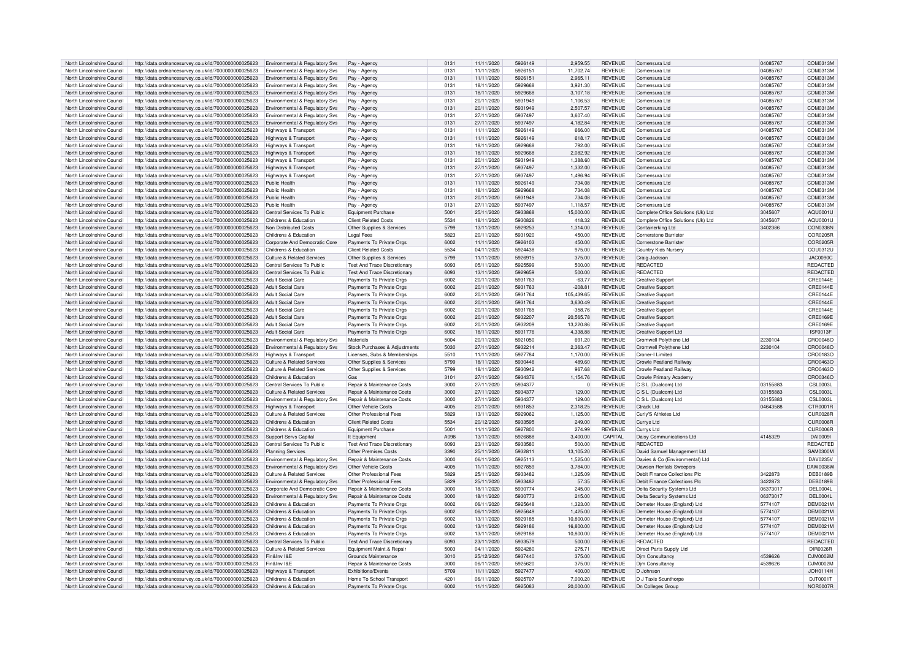| North Lincolnshire Council | http://data.ordnancesurvey.co.uk/id/7000000000025623 | Environmental & Regulatory Svs             | Pay - Agency                          | 0131 | 11/11/2020 | 5926149 | 2,959.55   | <b>REVENUE</b> | Comensura Ltd                      | 04085767 | COM0313M        |
|----------------------------|------------------------------------------------------|--------------------------------------------|---------------------------------------|------|------------|---------|------------|----------------|------------------------------------|----------|-----------------|
|                            |                                                      |                                            |                                       |      |            |         |            |                |                                    |          |                 |
| North Lincolnshire Council | http://data.ordnancesurvey.co.uk/id/7000000000025623 | <b>Environmental &amp; Requiatory Sys.</b> | Pay - Agency                          | 0131 | 11/11/2020 | 5926151 | 11.702.74  | <b>REVENUE</b> | Comensura I td                     | 04085767 | COM0313M        |
| North Lincolnshire Council | http://data.ordnancesurvey.co.uk/id/7000000000025623 | <b>Environmental &amp; Regulatory Sys</b>  | Pay - Agency                          | 0131 | 11/11/2020 | 5926151 | 2,965.11   | <b>REVENUE</b> | Comensura Ltd                      | 04085767 | COM0313M        |
| North Lincolnshire Council | http://data.ordnancesurvey.co.uk/id/7000000000025623 | Environmental & Regulatory Svs             | Pay - Agency                          | 0131 | 18/11/2020 | 5929668 | 3,921.30   | <b>REVENUE</b> | Comensura Ltd                      | 04085767 | COM0313M        |
| North Lincolnshire Council | http://data.ordnancesurvey.co.uk/id/7000000000025623 | Environmental & Regulatory Svs             | Pay - Agency                          | 0131 | 18/11/2020 | 5929668 | 3,107.18   | <b>REVENUE</b> | Comensura Ltd                      | 04085767 | COM0313M        |
|                            |                                                      |                                            |                                       |      |            |         |            |                |                                    |          |                 |
| North Lincolnshire Council | http://data.ordnancesurvey.co.uk/id/7000000000025623 | Environmental & Regulatory Svs             | Pay - Agency                          | 0131 | 20/11/2020 | 5931949 | 1,106.53   | <b>REVENUE</b> | Comensura Ltd                      | 04085767 | COM0313M        |
| North Lincolnshire Council | http://data.ordnancesurvey.co.uk/id/7000000000025623 | Environmental & Regulatory Svs             | Pay - Agency                          | 0131 | 20/11/2020 | 5931949 | 2,507.57   | <b>REVENUE</b> | Comensura Ltd                      | 04085767 | COM0313M        |
| North Lincolnshire Council | http://data.ordnancesurvey.co.uk/id/7000000000025623 | Environmental & Regulatory Svs             | Pay - Agency                          | 0131 | 27/11/2020 | 5937497 | 3.607.40   | <b>REVENUE</b> | Comensura I td                     | 04085767 | COM0313M        |
|                            |                                                      |                                            |                                       | 0131 |            | 5937497 |            | <b>REVENUE</b> | Comensura I td                     |          | COM0313M        |
| North Lincolnshire Council | http://data.ordnancesurvey.co.uk/id/7000000000025623 | Environmental & Regulatory Svs             | Pay - Agency                          |      | 27/11/2020 |         | 4,182.84   |                |                                    | 04085767 |                 |
| North Lincolnshire Council | http://data.ordnancesurvey.co.uk/id/7000000000025623 | Highways & Transport                       | Pay - Agency                          | 0131 | 11/11/2020 | 5926149 | 666.00     | <b>REVENUE</b> | Comensura Ltd                      | 04085767 | COM0313M        |
| North Lincolnshire Council | http://data.ordnancesurvey.co.uk/id/7000000000025623 | Highways & Transport                       | Pay - Agency                          | 0131 | 11/11/2020 | 5926149 | 618.17     | <b>REVENUE</b> | Comensura I td                     | 04085767 | COM0313M        |
| North Lincolnshire Council | http://data.ordnancesurvey.co.uk/id/7000000000025623 | Highways & Transport                       | Pay - Agency                          | 0131 | 18/11/2020 | 5929668 | 792.00     | <b>REVENUE</b> | Comensura I td                     | 04085767 | COM0313M        |
|                            |                                                      |                                            |                                       |      |            |         |            |                |                                    |          |                 |
| North Lincolnshire Council | http://data.ordnancesurvey.co.uk/id/7000000000025623 | Highways & Transport                       | Pay - Agenc                           | 0131 | 18/11/2020 | 5929668 | 2,082.92   | <b>REVENUE</b> | Comensura I td                     | 04085767 | COM0313M        |
| North Lincolnshire Council | http://data.ordnancesurvey.co.uk/id/7000000000025623 | Highways & Transport                       | Pay - Agency                          | 0131 | 20/11/2020 | 5931949 | 1,388.60   | <b>REVENUE</b> | Comensura I td                     | 04085767 | COM0313M        |
| North Lincolnshire Council | http://data.ordnancesurvey.co.uk/id/7000000000025623 | Highways & Transport                       | Pay - Agency                          | 0131 | 27/11/2020 | 5937497 | 1,332.00   | <b>REVENUE</b> | Comensura Ltd                      | 04085767 | COM0313M        |
| North Lincolnshire Council | http://data.ordnancesurvey.co.uk/id/7000000000025623 | Highways & Transport                       | Pay - Agency                          | 0131 | 27/11/2020 | 5937497 | 1.496.94   | <b>REVENUE</b> | Comensura Ltd                      | 04085767 | COM0313M        |
|                            |                                                      |                                            |                                       |      |            |         |            |                |                                    |          |                 |
| North Lincolnshire Council | http://data.ordnancesurvey.co.uk/id/7000000000025623 | Public Health                              | Pay - Agency                          | 0131 | 11/11/2020 | 5926149 | 734.08     | <b>REVENUE</b> | Comensura I td                     | 04085767 | COM0313M        |
| North Lincolnshire Council | http://data.ordnancesurvey.co.uk/id/7000000000025623 | Public Health                              | Pay - Agency                          | 0131 | 18/11/2020 | 5929668 | 734.08     | <b>REVENUE</b> | Comensura Ltd                      | 04085767 | COM0313M        |
| North Lincolnshire Council | http://data.ordnancesurvey.co.uk/id/7000000000025623 | <b>Public Health</b>                       | Pay - Agency                          | 0131 | 20/11/2020 | 5931949 | 734.08     | <b>REVENUE</b> | Comensura Ltd                      | 04085767 | COM0313M        |
| North Lincolnshire Council | http://data.ordnancesurvey.co.uk/id/7000000000025623 | Public Health                              | Pay - Agency                          | 0131 | 27/11/2020 | 5937497 | 1,118.57   | <b>REVENUE</b> | Comensura I td                     | 04085767 | COM0313M        |
|                            |                                                      |                                            |                                       |      |            |         |            |                |                                    |          |                 |
| North Lincolnshire Council | http://data.ordnancesurvey.co.uk/id/7000000000025623 | Central Services To Public                 | <b>Equipment Purchase</b>             | 5001 | 25/11/2020 | 5933868 | 15,000.00  | <b>REVENUE</b> | Complete Office Solutions (Uk) Ltd | 3045607  | AQU0001U        |
| North Lincolnshire Council | http://data.ordnancesurvey.co.uk/id/7000000000025623 | Childrens & Education                      | <b>Client Related Costs</b>           | 5534 | 18/11/2020 | 5930826 | 418.32     | <b>REVENUE</b> | Complete Office Solutions (Uk) Ltd | 3045607  | AQU0001U        |
| North Lincolnshire Council | http://data.ordnancesurvey.co.uk/id/7000000000025623 | Non Distributed Costs                      | Other Supplies & Services             | 5799 | 13/11/2020 | 5929253 | 1,314.00   | <b>REVENUE</b> | Containerking Ltd                  | 3402386  | <b>CON0338N</b> |
|                            |                                                      |                                            |                                       |      |            |         |            |                |                                    |          |                 |
| North Lincolnshire Council | http://data.ordnancesurvey.co.uk/id/7000000000025623 | Childrens & Education                      | Legal Fees                            | 5823 | 20/11/2020 | 5931920 | 450.00     | <b>REVENUE</b> | Cornerstone Barriste               |          | COR0205R        |
| North Lincolnshire Council | http://data.ordnancesurvey.co.uk/id/7000000000025623 | Corporate And Democratic Core              | Payments To Private Orgs              | 6002 | 11/11/2020 | 5926103 | 450.00     | <b>REVENUE</b> | Cornerstone Barriste               |          | COR0205E        |
| North Lincolnshire Council | http://data.ordnancesurvey.co.uk/id/7000000000025623 | Childrens & Education                      | <b>Client Related Costs</b>           | 5534 | 04/11/2020 | 5924438 | 975.00     | <b>REVENUE</b> | Country Kids Nursery               |          | COU0312U        |
| North Lincolnshire Council | http://data.ordnancesurvey.co.uk/id/7000000000025623 | <b>Culture &amp; Related Services</b>      | Other Supplies & Services             | 5799 | 11/11/2020 | 5926915 | 375.00     | <b>REVENUE</b> | Craig Jackson                      |          | <b>JAC0090C</b> |
|                            |                                                      |                                            |                                       |      |            |         |            |                |                                    |          |                 |
| North Lincolnshire Council | http://data.ordnancesurvey.co.uk/id/7000000000025623 | Central Services To Public                 | <b>Test And Trace Discretionary</b>   | 6093 | 05/11/2020 | 5925599 | 500.00     | <b>REVENUE</b> | <b>REDACTED</b>                    |          | REDACTED        |
| North Lincolnshire Council | http://data.ordnancesurvey.co.uk/id/7000000000025623 | Central Services To Public                 | <b>Test And Trace Discretionary</b>   | 6093 | 13/11/2020 | 5929659 | 500.00     | <b>REVENUE</b> | REDACTED                           |          | REDACTED        |
| North Lincolnshire Council | http://data.ordnancesurvey.co.uk/id/7000000000025623 | Adult Social Care                          | Payments To Private Orgs              | 6002 | 20/11/2020 | 5931763 | $-63.77$   | <b>REVENUE</b> | <b>Creative Suppor</b>             |          | CRE0144F        |
|                            |                                                      |                                            |                                       | 6002 |            |         |            |                |                                    |          |                 |
| North Lincolnshire Council | http://data.ordnancesurvey.co.uk/id/7000000000025623 | Adult Social Care                          | Payments To Private Orgs              |      | 20/11/2020 | 5931763 | $-208.81$  | <b>REVENUE</b> | <b>Creative Support</b>            |          | CRE0144E        |
| North Lincolnshire Council | http://data.ordnancesurvey.co.uk/id/7000000000025623 | <b>Adult Social Care</b>                   | Payments To Private Orgs              | 6002 | 20/11/2020 | 5931764 | 105.439.65 | <b>REVENUE</b> | <b>Creative Support</b>            |          | CRE0144E        |
| North Lincolnshire Council | http://data.ordnancesurvey.co.uk/id/7000000000025623 | <b>Adult Social Care</b>                   | Payments To Private Orgs              | 6002 | 20/11/2020 | 5931764 | 3,630.49   | <b>REVENUE</b> | <b>Creative Support</b>            |          | CRE0144E        |
| North Lincolnshire Council | http://data.ordnancesurvey.co.uk/id/7000000000025623 | <b>Adult Social Care</b>                   | Payments To Private Orgs              | 6002 | 20/11/2020 | 5931765 | $-358.76$  | <b>REVENUE</b> | <b>Creative Support</b>            |          | CRE0144E        |
|                            |                                                      |                                            |                                       |      |            |         |            |                |                                    |          |                 |
| North Lincolnshire Council | http://data.ordnancesurvey.co.uk/id/7000000000025623 | Adult Social Care                          | Payments To Private Orgs              | 6002 | 20/11/2020 | 5932207 | 20.565.78  | <b>REVENUE</b> | <b>Creative Support</b>            |          | CRE0169E        |
| North Lincolnshire Council | http://data.ordnancesurvey.co.uk/id/7000000000025623 | Adult Social Care                          | Payments To Private Orgs              | 6002 | 20/11/2020 | 5932209 | 13,220.86  | <b>REVENUE</b> | <b>Creative Support</b>            |          | CRE0169E        |
| North Lincolnshire Council | http://data.ordnancesurvey.co.uk/id/7000000000025623 | Adult Social Care                          | Payments To Private Orgs              | 6002 | 18/11/2020 | 5931776 | 4.338.88   | <b>REVENUE</b> | <b>Creative Support Ltd</b>        |          | <b>ISE0013E</b> |
| North Lincolnshire Council | http://data.ordnancesurvey.co.uk/id/7000000000025623 | Environmental & Regulatory Svs             | Materials                             | 5004 | 20/11/2020 | 5921050 | 691.20     | <b>REVENUE</b> | Cromwell Polythene Ltd             | 2230104  | CRO0048O        |
|                            |                                                      |                                            |                                       |      |            |         |            |                |                                    |          |                 |
| North Lincolnshire Council | http://data.ordnancesurvey.co.uk/id/7000000000025623 | <b>Environmental &amp; Regulatory Svs</b>  | Stock Purchases & Adjustments         | 5030 | 27/11/2020 | 5932214 | 2,363.47   | <b>REVENUE</b> | Cromwell Polythene Ltd             | 2230104  | CRO0048O        |
| North Lincolnshire Council | http://data.ordnancesurvey.co.uk/id/7000000000025623 | Highways & Transport                       | Licenses, Subs & Memberships          | 5510 | 11/11/2020 | 5927784 | 1,170.00   | <b>REVENUE</b> | Croner-I I imited                  |          | CRO0183C        |
| North Lincolnshire Council | http://data.ordnancesurvey.co.uk/id/7000000000025623 | Culture & Related Services                 | Other Supplies & Services             | 5799 | 18/11/2020 | 5930446 | 489.60     | <b>REVENUE</b> | Crowle Peatland Railway            |          | CRO0463O        |
| North Lincolnshire Council |                                                      | Culture & Related Services                 |                                       | 5799 |            | 5930942 | 967.68     | <b>REVENUE</b> |                                    |          |                 |
|                            | http://data.ordnancesurvey.co.uk/id/7000000000025623 |                                            | Other Supplies & Services             |      | 18/11/2020 |         |            |                | Crowle Peatland Railway            |          | CRO0463C        |
| North Lincolnshire Council | http://data.ordnancesurvey.co.uk/id/7000000000025623 | Childrens & Education                      | Gas                                   | 3101 | 27/11/2020 | 5934376 | 1.154.76   | <b>REVENUE</b> | Crowle Primary Academ              |          | CRO0346C        |
| North Lincolnshire Council | http://data.ordnancesurvey.co.uk/id/7000000000025623 | Central Services To Public                 | Repair & Maintenance Costs            | 3000 | 27/11/2020 | 5934377 |            | <b>REVENUE</b> | C.S.I. (Dualcom) I to              | 03155883 | <b>CSL0003L</b> |
| North Lincolnshire Council | http://data.ordnancesurvey.co.uk/id/7000000000025623 | <b>Culture &amp; Related Services</b>      | Repair & Maintenance Costs            | 3000 | 27/11/2020 | 5934377 | 129.00     | <b>REVENUE</b> | C S L (Dualcom) Ltd                | 03155883 | <b>CSL0003L</b> |
|                            |                                                      |                                            |                                       | 3000 |            |         |            |                |                                    |          |                 |
| North Lincolnshire Council | http://data.ordnancesurvey.co.uk/id/7000000000025623 | Environmental & Regulatory Svs             | Repair & Maintenance Costs            |      | 27/11/2020 | 5934377 | 129.00     | <b>REVENUE</b> | C S L (Dualcom) Ltd                | 03155883 | <b>CSL0003L</b> |
| North Lincolnshire Council | http://data.ordnancesurvey.co.uk/id/7000000000025623 | Highways & Transport                       | Other Vehicle Costs                   | 4005 | 20/11/2020 | 5931853 | 2,318.25   | <b>REVENUE</b> | Ctrack I td                        | 04643588 | CTR0001R        |
| North Lincolnshire Council | http://data.ordnancesurvey.co.uk/id/7000000000025623 | <b>Culture &amp; Related Services</b>      | Other Professional Fees               | 5829 | 13/11/2020 | 5929062 | 1,125.00   | <b>REVENUE</b> | Curly'S Athletes Ltd               |          | <b>CUR0028R</b> |
| North Lincolnshire Council | http://data.ordnancesurvey.co.uk/id/7000000000025623 | Childrens & Education                      | <b>Client Related Costs</b>           | 5534 | 20/12/2020 | 5933595 | 249.00     | <b>REVENUE</b> | <b>Currys Ltd</b>                  |          | CUR0006R        |
|                            |                                                      |                                            |                                       |      |            |         |            |                |                                    |          |                 |
| North Lincolnshire Council | http://data.ordnancesurvey.co.uk/id/7000000000025623 | Childrens & Education                      | <b>Equipment Purchase</b>             | 5001 | 11/11/2020 | 5927800 | 274.99     | <b>REVENUE</b> | Currys Ltd                         |          | CUR0006R        |
| North Lincolnshire Council | http://data.ordnancesurvey.co.uk/id/7000000000025623 | Support Servs Capital                      | It Fauinment                          | A098 | 13/11/2020 | 5926888 | 3.400.00   | CAPITAL        | Daisy Communications Ltd           | 4145329  | DAI00091        |
| North Lincolnshire Council | http://data.ordnancesurvey.co.uk/id/7000000000025623 | Central Services To Public                 | <b>Test And Trace Discretionary</b>   | 6093 | 23/11/2020 | 5933580 | 500.00     | <b>REVENUE</b> | <b>REDACTED</b>                    |          | REDACTED        |
| North Lincolnshire Council | http://data.ordnancesurvey.co.uk/id/7000000000025623 | <b>Planning Services</b>                   | Other Premises Costs                  | 3390 | 25/11/2020 | 5932811 | 13,105.20  | <b>REVENUE</b> | David Samuel Management Ltd        |          | SAM0300M        |
|                            |                                                      |                                            |                                       |      |            |         |            |                |                                    |          |                 |
| North Lincolnshire Council | http://data.ordnancesurvey.co.uk/id/7000000000025623 | Environmental & Regulatory Svs             | Repair & Maintenance Costs            | 3000 | 06/11/2020 | 5925113 | 1,525.00   | <b>REVENUE</b> | Davies & Co (Environmental) Ltd    |          | DAV0235V        |
| North Lincolnshire Council | http://data.ordnancesurvey.co.uk/id/7000000000025623 | Environmental & Regulatory Svs             | Other Vehicle Costs                   | 4005 | 11/11/2020 | 5927859 | 3.784.00   | <b>REVENUE</b> | Dawson Rentals Sweepers            |          | DAW0036W        |
| North Lincolnshire Council | http://data.ordnancesurvey.co.uk/id/7000000000025623 | <b>Culture &amp; Related Services</b>      | Other Professional Fees               | 5829 | 25/11/2020 | 5933482 | 1,325.09   | <b>REVENUE</b> | Debit Finance Collections Plc      | 3422873  | <b>DEB0189B</b> |
| North Lincolnshire Council | http://data.ordnancesurvey.co.uk/id/7000000000025623 | Environmental & Regulatory Svs             | Other Professional Fees               | 5829 | 25/11/2020 | 5933482 | 57.35      | <b>REVENUE</b> | Debit Finance Collections Plo      | 3422873  | <b>DEB0189B</b> |
|                            |                                                      |                                            |                                       |      |            |         |            |                |                                    |          |                 |
| North Lincolnshire Council | http://data.ordnancesurvey.co.uk/id/7000000000025623 | Corporate And Democratic Core              | <b>Benair &amp; Maintenance Costs</b> | 3000 | 18/11/2020 | 5930774 | 245.00     | <b>REVENUE</b> | Delta Security Systems Ltd         | 06373017 | DFI 0004L       |
| North Lincolnshire Council | http://data.ordnancesurvey.co.uk/id/7000000000025623 | Environmental & Regulatory Sys             | Repair & Maintenance Costs            | 3000 | 18/11/2020 | 5930773 | 215.00     | <b>REVENUE</b> | Delta Security Systems Ltd         | 06373017 | DEL0004L        |
| North Lincolnshire Council | http://data.ordnancesurvey.co.uk/id/7000000000025623 | Childrens & Education                      | Payments To Private Orgs              | 6002 | 06/11/2020 | 5925648 | 1.323.00   | <b>REVENUE</b> | Demeter House (England) Ltd        | 5774107  | DEM0021M        |
| North Lincolnshire Council | http://data.ordnancesurvey.co.uk/id/7000000000025623 | Childrens & Education                      | Payments To Private Orgs              | 6002 | 06/11/2020 | 5925649 | 1,425.00   | <b>REVENUE</b> | Demeter House (England) Ltd        | 5774107  | <b>DEM0021M</b> |
|                            |                                                      |                                            |                                       |      |            |         |            |                |                                    |          |                 |
| North Lincolnshire Council | http://data.ordnancesurvey.co.uk/id/7000000000025623 | Childrens & Education                      | Payments To Private Orgs              | 6002 | 13/11/2020 | 5929185 | 10,800.00  | <b>REVENUE</b> | Demeter House (England) Ltd        | 5774107  | <b>DEM0021M</b> |
| North Lincolnshire Council | http://data.ordnancesurvey.co.uk/id/7000000000025623 | Childrens & Education                      | Payments To Private Orgs              | 6002 | 13/11/2020 | 5929186 | 16,800.00  | <b>REVENUE</b> | Demeter House (England) Ltd        | 5774107  | <b>DEM0021M</b> |
| North Lincolnshire Council | http://data.ordnancesurvey.co.uk/id/7000000000025623 | Childrens & Education                      | Payments To Private Orgs              | 6002 | 13/11/2020 | 5929188 | 10,800.00  | <b>REVENUE</b> | Demeter House (England) Ltd        | 5774107  | <b>DEM0021M</b> |
| North Lincolnshire Council | http://data.ordnancesurvey.co.uk/id/7000000000025623 | Central Services To Public                 | <b>Test And Trace Discretionary</b>   | 6093 | 23/11/2020 | 5933579 | 500.00     | <b>REVENUE</b> | <b>REDACTED</b>                    |          | REDACTED        |
|                            |                                                      |                                            |                                       |      |            |         |            |                |                                    |          |                 |
| North Lincolnshire Council | http://data.ordnancesurvey.co.uk/id/7000000000025623 | Culture & Related Services                 | Equipment Maint.& Repair              | 5003 | 04/11/2020 | 5924280 | 275.71     | <b>REVENUE</b> | Direct Parts Supply Ltd            |          | DIR0026R        |
| North Lincolnshire Council | http://data.ordnancesurvey.co.uk/id/7000000000025623 | Fin&Inv I&F                                | Grounds Maintenance                   | 3010 | 25/12/2020 | 5937440 | 375.00     | <b>REVENUE</b> | <b>Dim Consultancy</b>             | 4539626  | DJM0002M        |
| North Lincolnshire Council | http://data.ordnancesurvey.co.uk/id/7000000000025623 | Fin&Inv I&E                                | Repair & Maintenance Costs            | 3000 | 06/11/2020 | 5925620 | 375.00     | <b>REVENUE</b> | <b>Dim Consultancy</b>             | 4539626  | DJM0002M        |
| North Lincolnshire Council |                                                      |                                            | <b>Exhibitions/Events</b>             | 5709 |            | 5927477 | 400.00     | <b>REVENUE</b> | D.Johnson                          |          | JOH0114H        |
|                            | http://data.ordnancesurvey.co.uk/id/7000000000025623 | Highways & Transport                       |                                       |      | 11/11/2020 |         |            |                |                                    |          |                 |
| North Lincolnshire Council | http://data.ordnancesurvey.co.uk/id/7000000000025623 | Childrens & Education                      | Home To School Transport              | 4201 | 06/11/2020 | 5925707 | 7,000.20   | <b>REVENUE</b> | D J Taxis Scunthorpe               |          | DJT0001T        |
|                            | http://data.ordnancesurvey.co.uk/id/7000000000025623 | Childrens & Education                      | Payments To Private Orgs              | 6002 | 11/11/2020 | 5925083 | 20,000.00  | <b>REVENUE</b> | <b>Dn Colleges Group</b>           |          | <b>NOR0007R</b> |
| North Lincolnshire Council |                                                      |                                            |                                       |      |            |         |            |                |                                    |          |                 |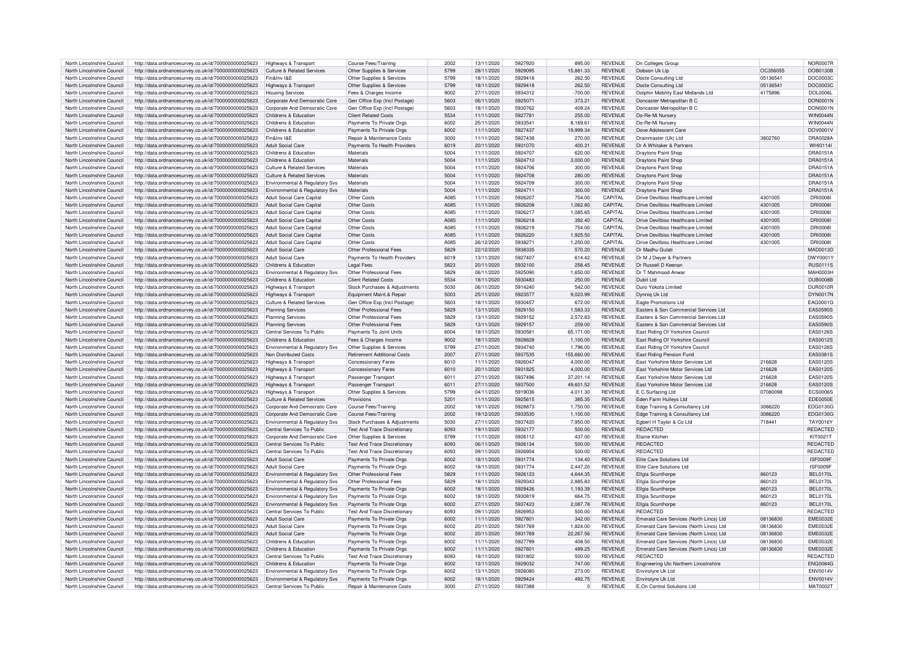| North Lincolnshire Council | http://data.ordnancesurvey.co.uk/id/7000000000025623 | Highways & Transport                      | Course Fees/Training                  | 2002 | 13/11/2020 | 5927920 | 895.00         | <b>REVENUE</b> | Dn Colleges Group                        |          | <b>NOR0007R</b> |
|----------------------------|------------------------------------------------------|-------------------------------------------|---------------------------------------|------|------------|---------|----------------|----------------|------------------------------------------|----------|-----------------|
| North Lincolnshire Council | http://data.ordnancesurvey.co.uk/id/7000000000025623 | Culture & Related Services                | Other Supplies & Services             | 5799 | 28/11/2020 | 5929095 | 15,881.33      | <b>REVENUE</b> | Dobson Uk Lin                            | OC356055 | DOB0130E        |
| North Lincolnshire Council | http://data.ordnancesurvey.co.uk/id/7000000000025623 | Fin&Inv I&F                               | Other Supplies & Services             | 5799 | 18/11/2020 | 5929418 | 262.50         | <b>REVENUE</b> | Docte Consulting Ltd                     | 0513654  | <b>DOC0003C</b> |
| North Lincolnshire Council | http://data.ordnancesurvey.co.uk/id/7000000000025623 |                                           | Other Supplies & Services             | 5799 | 18/11/2020 | 5929418 | 262.50         | <b>REVENUE</b> | Docte Consulting Ltd                     | 05136541 | DOC0003C        |
|                            |                                                      | Highways & Transport                      |                                       | 9002 | 27/11/2020 | 5934312 | $-700.00$      | <b>REVENUE</b> |                                          |          |                 |
| North Lincolnshire Council | http://data.ordnancesurvey.co.uk/id/7000000000025623 | <b>Housing Services</b>                   | Fees & Charges Income                 |      |            |         |                |                | Dolphin Mobility East Midlands Ltd       | 4175896  | DOL0006L        |
| North Lincolnshire Council | http://data.ordnancesurvey.co.uk/id/7000000000025623 | Corporate And Democratic Core             | Gen Office Exp (Incl Postage)         | 5603 | 06/11/2020 | 5925071 | 373.21         | <b>REVENUE</b> | Doncaster Metropolitan B C               |          | <b>DON0001N</b> |
| North Lincolnshire Council | http://data.ordnancesurvey.co.uk/id/7000000000025623 | Corporate And Democratic Core             | Gen Office Exp (Incl Postage)         | 5603 | 18/11/2020 | 5930762 | 409.24         | <b>REVENUE</b> | Doncaster Metropolitan B C               |          | DON0001N        |
| North Lincolnshire Council | http://data.ordnancesurvey.co.uk/id/7000000000025623 | Childrens & Education                     | <b>Client Related Costs</b>           | 5534 | 11/11/2020 | 592778  | 255.00         | REVENUE        | Do-Re-Mi Nursery                         |          | <b>WIN0044N</b> |
| North Lincolnshire Council | http://data.ordnancesurvey.co.uk/id/7000000000025623 | Childrens & Education                     | Payments To Private Orgs              | 6002 | 25/11/2020 | 5933541 | 8,169.61       | <b>REVENUE</b> | Do-Re-Mi Nursery                         |          | <b>WIN0044N</b> |
| North Lincolnshire Council | http://data.ordnancesurvey.co.uk/id/7000000000025623 | Childrens & Education                     | Payments To Private Orgs              | 6002 | 11/11/2020 | 5927437 | 19,999.34      | <b>REVENUE</b> | Dove Adolescent Care                     |          | DOV0001V        |
| North Lincolnshire Council | http://data.ordnancesurvey.co.uk/id/7000000000025623 | Fin&Inv I&F                               | <b>Benair &amp; Maintenance Costs</b> | 3000 | 11/11/2020 | 5927438 | 270.00         | <b>REVENUE</b> | Drainmaster (Uk) I td                    | 3802760  | DRA0028A        |
| North Lincolnshire Council | http://data.ordnancesurvey.co.uk/id/7000000000025623 | <b>Adult Social Care</b>                  | Payments To Health Providers          | 6019 | 20/11/2020 | 5931070 | 400.31         | <b>REVENUE</b> | Dr A Whitaker & Partners                 |          | WHI0114         |
| North Lincolnshire Council | http://data.ordnancesurvey.co.uk/id/7000000000025623 | Childrens & Education                     | Materials                             | 5004 | 11/11/2020 | 5924707 | 620.00         | <b>REVENUE</b> | Draytons Paint Shon                      |          | DRA0151A        |
| North Lincolnshire Council | http://data.ordnancesurvey.co.uk/id/7000000000025623 | Childrens & Education                     | Materials                             | 5004 | 11/11/2020 | 5924710 | 3,000.00       | <b>REVENUE</b> | <b>Draytons Paint Shop</b>               |          | <b>DRA0151A</b> |
| North Lincolnshire Council |                                                      | Culture & Related Services                | Materials                             | 5004 | 11/11/2020 | 5924706 | 300.00         | <b>REVENUE</b> | Draytons Paint Shor                      |          | DRA0151A        |
|                            | http://data.ordnancesurvey.co.uk/id/7000000000025623 |                                           |                                       |      |            |         |                |                |                                          |          |                 |
| North Lincolnshire Council | http://data.ordnancesurvey.co.uk/id/7000000000025623 | Culture & Related Services                | Materials                             | 5004 | 11/11/2020 | 5924708 | 280.00         | <b>REVENUE</b> | <b>Draytons Paint Shor</b>               |          | <b>DRA0151A</b> |
| North Lincolnshire Council | http://data.ordnancesurvey.co.uk/id/7000000000025623 | Environmental & Regulatory Svs            | Materials                             | 5004 | 11/11/2020 | 5924709 | 300.00         | <b>REVENUE</b> | Draytons Paint Shor                      |          | <b>DRA0151A</b> |
| North Lincolnshire Council | http://data.ordnancesurvey.co.uk/id/7000000000025623 | Environmental & Regulatory Svs            | Materials                             | 5004 | 11/11/2020 | 5924711 | 300.00         | <b>REVENUE</b> | <b>Draytons Paint Shop</b>               |          | <b>DRA0151A</b> |
| North Lincolnshire Council | http://data.ordnancesurvey.co.uk/id/7000000000025623 | Adult Social Care Capital                 | Other Costs                           | A085 | 11/11/2020 | 5926207 | 754.00         | CAPITAI        | Drive Devilbiss Healthcare Limited       | 4301005  | <b>DRI0008</b>  |
| North Lincolnshire Council | http://data.ordnancesurvey.co.uk/id/7000000000025623 | Adult Social Care Capital                 | Other Costs                           | A085 | 11/11/2020 | 5926208 | 1,062.80       | CAPITAI        | Drive Devilbiss Healthcare Limited       | 4301005  | <b>DRI0008</b>  |
| North Lincolnshire Council | http://data.ordnancesurvey.co.uk/id/7000000000025623 | Adult Social Care Capital                 | Other Costs                           | A085 | 11/11/2020 | 5926217 | 1.085.65       | CAPITAL        | Drive Devilbiss Healthcare Limited       | 4301005  | <b>DRI0008I</b> |
| North Lincolnshire Council | http://data.ordnancesurvey.co.uk/id/7000000000025623 | <b>Adult Social Care Capital</b>          | Other Costs                           | A085 | 11/11/2020 | 5926218 | 392.40         | <b>CAPITAL</b> | Drive Devilhiss Healthcare Limited       | 4301005  | <b>DRI0008I</b> |
| North Lincolnshire Council | http://data.ordnancesurvey.co.uk/id/7000000000025623 | Adult Social Care Capital                 | Other Costs                           | A085 | 11/11/2020 | 5926219 | 754.00         | <b>CAPITAL</b> | Drive Devilbiss Healthcare Limited       | 4301005  | <b>DRI0008I</b> |
| North Lincolnshire Council | http://data.ordnancesurvey.co.uk/id/7000000000025623 | <b>Adult Social Care Capital</b>          | Other Costs                           | A085 | 11/11/2020 | 5926220 | 1,925.50       | CAPITAL        | Drive Devilbiss Healthcare Limited       | 4301005  | <b>DRI0008I</b> |
| North Lincolnshire Council | http://data.ordnancesurvey.co.uk/id/7000000000025623 | <b>Adult Social Care Capital</b>          | Other Costs                           | A085 | 26/12/2020 | 593827  | 1.250.00       | CAPITAI        | Drive Devilbiss Healthcare Limited       | 4301005  | <b>DRI0008</b>  |
|                            |                                                      |                                           |                                       |      |            | 5938335 |                |                |                                          |          |                 |
| North Lincolnshire Council | http://data.ordnancesurvey.co.uk/id/7000000000025623 | <b>Adult Social Care</b>                  | Other Professional Fees               | 5829 | 22/12/2020 |         | 570.20         | <b>REVENUE</b> | Dr Madhu Gulati                          |          | MAD0013D        |
| North Lincolnshire Council | http://data.ordnancesurvey.co.uk/id/7000000000025623 | <b>Adult Social Care</b>                  | Payments To Health Providers          | 6019 | 13/11/2020 | 5927407 | 614.42         | <b>REVENUE</b> | Dr M J Dwyer & Partners                  |          | DWY0001\        |
| North Lincolnshire Council | http://data.ordnancesurvey.co.uk/id/7000000000025623 | Childrens & Education                     | <b>Legal Fees</b>                     | 5823 | 20/11/2020 | 5932100 | 258.45         | <b>REVENUE</b> | Dr Russell D Keenar                      |          | <b>RUS0111S</b> |
| North Lincolnshire Council | http://data.ordnancesurvey.co.uk/id/7000000000025623 | Environmental & Regulatory Svs            | Other Professional Fees               | 5829 | 06/11/2020 | 5925090 | 1,650.00       | <b>REVENUE</b> | Dr T Mahmood Anwar                       |          | <b>MAH0003H</b> |
| North Lincolnshire Council | http://data.ordnancesurvey.co.uk/id/7000000000025623 | Childrens & Education                     | <b>Client Related Costs</b>           | 5534 | 18/11/2020 | 5930483 | 250.00         | <b>REVENUE</b> | Dubit I td                               |          | <b>DUB0008B</b> |
| North Lincolnshire Council | http://data.ordnancesurvey.co.uk/id/7000000000025623 | Highways & Transpor                       | Stock Purchases & Adjustments         | 5030 | 06/11/2020 | 5914240 | 542.00         | <b>REVENUE</b> | Duro Yokota Limited                      |          | DUR0010R        |
| North Lincolnshire Council | http://data.ordnancesurvey.co.uk/id/7000000000025623 | Highways & Transport                      | Equipment Maint.& Repair              | 5003 | 25/11/2020 | 5923577 | 9,023.99       | <b>REVENUE</b> | Dynnig Uk Ltd                            |          | DYN0017N        |
| North Lincolnshire Council | http://data.ordnancesurvey.co.uk/id/7000000000025623 | <b>Culture &amp; Related Services</b>     | Gen Office Exp (Incl Postage)         | 5603 | 18/11/2020 | 5930457 | 672.00         | <b>REVENUE</b> | Eagle Promotions Ltd                     |          | EAG0001G        |
| North Lincolnshire Council | http://data.ordnancesurvey.co.uk/id/7000000000025623 | <b>Planning Services</b>                  | Other Professional Fees               | 5829 | 13/11/2020 | 5929150 | 1,583.33       | <b>REVENUE</b> | Easters & Son Commercial Services Ltd    |          | <b>EAS0590S</b> |
| North Lincolnshire Council |                                                      |                                           | Other Professional Fees               | 5829 | 13/11/2020 | 5929152 | 2,572.83       | <b>REVENUE</b> | Easters & Son Commercial Services Ltd    |          | <b>EAS0590S</b> |
|                            | http://data.ordnancesurvey.co.uk/id/7000000000025623 | <b>Planning Services</b>                  |                                       |      |            |         |                |                |                                          |          |                 |
| North Lincolnshire Council | http://data.ordnancesurvey.co.uk/id/7000000000025623 | Planning Services                         | Other Professional Fees               | 5829 | 13/11/2020 | 5929157 | 259.00         | <b>REVENUE</b> | Easters & Son Commercial Services Ltd    |          | <b>EAS0590S</b> |
| North Lincolnshire Council | http://data.ordnancesurvey.co.uk/id/7000000000025623 | Central Services To Public                | Payments To Joint Units               | 6004 | 18/11/2020 | 593058  | 65.171.00      | <b>REVENUE</b> | East Riding Of Yorkshire Council         |          | <b>EAS0126S</b> |
| North Lincolnshire Council | http://data.ordnancesurvey.co.uk/id/7000000000025623 | Childrens & Education                     | Fees & Charges Income                 | 9002 | 18/11/2020 | 5928828 | 1,100.00       | <b>REVENUE</b> | East Riding Of Yorkshire Council         |          | EAS0012S        |
| North Lincolnshire Council | http://data.ordnancesurvey.co.uk/id/7000000000025623 | Environmental & Regulatory Svs            | Other Supplies & Services             | 5799 | 27/11/2020 | 5934740 | 1,796.00       | <b>REVENUE</b> | East Riding Of Yorkshire Council         |          | EAS0126S        |
| North Lincolnshire Council | http://data.ordnancesurvey.co.uk/id/7000000000025623 | Non Distributed Costs                     | <b>Retirement Additional Costs</b>    | 2007 | 27/11/2020 | 5937535 | 155,660.00     | REVENUE        | East Riding Pension Fund                 |          | EAS0381S        |
| North Lincolnshire Council | http://data.ordnancesurvey.co.uk/id/7000000000025623 | Highways & Transpor                       | <b>Concessionary Fares</b>            | 6010 | 11/11/2020 | 5926047 | 4.000.00       | <b>REVENUE</b> | East Yorkshire Motor Services Ltd        | 216628   | EAS0120S        |
| North Lincolnshire Council | http://data.ordnancesurvey.co.uk/id/7000000000025623 | Highways & Transport                      | <b>Concessionary Fares</b>            | 6010 | 20/11/2020 | 5931825 | 4,000.00       | <b>REVENUE</b> | <b>Fast Yorkshire Motor Services Ltd</b> | 216628   | EAS0120S        |
| North Lincolnshire Council | http://data.ordnancesurvey.co.uk/id/7000000000025623 | Highways & Transport                      | Passenger Transport                   | 6011 | 27/11/2020 | 5937496 | 37,201.14      | <b>REVENUE</b> | <b>Fast Yorkshire Motor Services Ltd</b> | 216628   | <b>EAS0120S</b> |
| North Lincolnshire Council | http://data.ordnancesurvey.co.uk/id/7000000000025623 | Highways & Transpor                       | Passenger Transport                   | 6011 | 27/11/2020 | 5937500 | 49.601.52      | <b>REVENUE</b> | East Yorkshire Motor Services Ltd        | 216628   | <b>EAS0120S</b> |
| North Lincolnshire Council | http://data.ordnancesurvey.co.uk/id/7000000000025623 | <b>Highways &amp; Transport</b>           | Other Supplies & Services             | 5799 | 04/11/2020 | 5919036 | 4.011.30       | <b>REVENUE</b> | F.C. Surfacing Ltd.                      | 07080098 | <b>ECS0006S</b> |
|                            |                                                      |                                           |                                       |      |            | 5925615 |                |                |                                          |          |                 |
| North Lincolnshire Council | http://data.ordnancesurvey.co.uk/id/7000000000025623 | <b>Culture &amp; Related Services</b>     | Provisions                            | 5201 | 11/11/2020 |         | 385.35         | <b>REVENUE</b> | Eden Farm Hulleys Ltd                    |          | <b>EDE0050E</b> |
| North Lincolnshire Council | http://data.ordnancesurvey.co.uk/id/7000000000025623 | Corporate And Democratic Core             | <b>Course Fees/Training</b>           | 2002 | 18/11/2020 | 5928873 | 1.750.00       | <b>REVENUE</b> | Edge Training & Consultancy Ltd          | 3086220  | EDG0130G        |
| North Lincolnshire Council | http://data.ordnancesurvey.co.uk/id/7000000000025623 | Corporate And Democratic Core             | <b>Course Fees/Training</b>           | 2002 | 19/12/2020 | 5933535 | 1,100.00       | REVENUE        | Edge Training & Consultancy Ltd          | 3086220  | EDG0130G        |
| North Lincolnshire Council | http://data.ordnancesurvey.co.uk/id/7000000000025623 | Environmental & Regulatory Svs            | Stock Purchases & Adjustments         | 5030 | 27/11/2020 | 5937420 | 7,950.00       | <b>REVENUE</b> | Egbert H Taylor & Co Ltd                 | 718441   | <b>TAY0016Y</b> |
| North Lincolnshire Council | http://data.ordnancesurvey.co.uk/id/7000000000025623 | Central Services To Public                | <b>Test And Trace Discretionary</b>   | 6093 | 19/11/2020 | 5932177 | 500.00         | <b>REVENUE</b> | <b>REDACTED</b>                          |          | REDACTED        |
| North Lincolnshire Council | http://data.ordnancesurvey.co.uk/id/7000000000025623 | Corporate And Democratic Core             | Other Supplies & Services             | 5799 | 11/11/2020 | 5926112 | 437.00         | <b>REVENUE</b> | Elaine Kitcher                           |          | KIT0021T        |
| North Lincolnshire Council | http://data.ordnancesurvey.co.uk/id/7000000000025623 | Central Services To Public                | <b>Test And Trace Discretionary</b>   | 6093 | 06/11/2020 | 5926134 | 500.00         | <b>REVENUE</b> | <b>REDACTED</b>                          |          | REDACTED        |
| North Lincolnshire Council | http://data.ordnancesurvey.co.uk/id/7000000000025623 | Central Services To Public                | <b>Test And Trace Discretionary</b>   | 6093 | 09/11/2020 | 5926954 | 500.00         | <b>REVENUE</b> | <b>REDACTED</b>                          |          | REDACTED        |
| North Lincolnshire Council | http://data.ordnancesurvey.co.uk/id/7000000000025623 | <b>Adult Social Care</b>                  | Payments To Private Orgs              | 6002 | 18/11/2020 | 5931774 | 134.40         | <b>REVENUE</b> | Elite Care Solutions Ltd                 |          | ISF0009F        |
| North Lincolnshire Council | http://data.ordnancesurvey.co.uk/id/7000000000025623 | <b>Adult Social Care</b>                  | Payments To Private Orgs              | 6002 | 18/11/2020 | 5931774 | 2,447.20       | REVENUE        | Elite Care Solutions Ltd                 |          | ISF0009F        |
| North Lincolnshire Council |                                                      |                                           |                                       | 5829 |            | 5926123 |                |                |                                          | 860123   |                 |
|                            | http://data.ordnancesurvey.co.uk/id/7000000000025623 | <b>Environmental &amp; Regulatory Svs</b> | Other Professional Fees               |      | 11/11/2020 |         | 4,644.35       | <b>REVENUE</b> | Ellgia Scunthorpe                        |          | <b>BEL0170L</b> |
| North Lincolnshire Council | http://data.ordnancesurvey.co.uk/id/7000000000025623 | Environmental & Regulatory Svs            | Other Professional Fees               | 5829 | 18/11/2020 | 5929343 | 2,885.83       | <b>REVENUE</b> | Ellgia Scunthorpe                        | 860123   | <b>BEL0170L</b> |
| North Lincolnshire Council | http://data.ordnancesurvey.co.uk/id/7000000000025623 | Environmental & Regulatory Svs            | Payments To Private Orgs              | 6002 | 18/11/2020 | 5929426 | 1,193.39       | <b>REVENUE</b> | Ellgia Scunthorpe                        | 860123   | <b>BEL0170L</b> |
| North Lincolnshire Council | http://data.ordnancesurvey.co.uk/id/7000000000025623 | Environmental & Regulatory Svs            | Payments To Private Orgs              | 6002 | 18/11/2020 | 5930819 | 664.75         | <b>REVENUE</b> | Ellgia Scunthorpe                        | 860123   | <b>BEL0170L</b> |
| North Lincolnshire Council | http://data.ordnancesurvey.co.uk/id/7000000000025623 | <b>Environmental &amp; Regulatory Svs</b> | Payments To Private Orgs              | 6002 | 27/11/2020 | 5937423 | 2,087.78       | <b>REVENUE</b> | Ellgia Scunthorpe                        | 860123   | <b>BEL0170L</b> |
| North Lincolnshire Council | http://data.ordnancesurvey.co.uk/id/7000000000025623 | Central Services To Public                | <b>Test And Trace Discretionary</b>   | 6093 | 09/11/2020 | 5926953 | 500.00         | <b>REVENUE</b> | <b>REDACTED</b>                          |          | REDACTED        |
| North Lincolnshire Council | http://data.ordnancesurvey.co.uk/id/7000000000025623 | Adult Social Care                         | Payments To Private Orgs              | 6002 | 11/11/2020 | 5927801 | 342.00         | <b>REVENUE</b> | Emerald Care Services (North Lincs) Ltd  | 08136830 | <b>EME0032E</b> |
| North Lincolnshire Council | http://data.ordnancesurvey.co.uk/id/7000000000025623 | <b>Adult Social Care</b>                  | Payments To Private Orgs              | 6002 | 20/11/2020 | 5931769 | 1.824.00       | <b>REVENUE</b> | Emerald Care Services (North Lincs) Ltd  | 08136830 | <b>EME0032E</b> |
| North Lincolnshire Council | http://data.ordnancesurvey.co.uk/id/7000000000025623 | <b>Adult Social Care</b>                  | Payments To Private Orgs              | 6002 | 20/11/2020 | 5931769 | 22,267.56      | <b>REVENUE</b> | Emerald Care Services (North Lincs) Ltd  | 08136830 | <b>EME0032E</b> |
|                            |                                                      | Childrens & Education                     |                                       | 6002 |            | 5927799 | 408.50         | <b>REVENUE</b> |                                          | 08136830 | <b>EME0032E</b> |
| North Lincolnshire Council | http://data.ordnancesurvey.co.uk/id/7000000000025623 |                                           | Payments To Private Orgs              |      | 11/11/2020 |         |                |                | Emerald Care Services (North Lincs) Ltd  |          |                 |
| North Lincolnshire Council | http://data.ordnancesurvey.co.uk/id/7000000000025623 | Childrens & Education                     | Payments To Private Orgs              | 6002 | 11/11/2020 | 592780  | 489.25         | <b>REVENUE</b> | Emerald Care Services (North Lincs) Ltd  | 08136830 | <b>EME0032E</b> |
| North Lincolnshire Council | http://data.ordnancesurvey.co.uk/id/7000000000025623 | Central Services To Public                | <b>Test And Trace Discretionary</b>   | 6093 | 18/11/2020 | 5931802 | 500.00         | <b>REVENUE</b> | <b>REDACTED</b>                          |          | REDACTED        |
| North Lincolnshire Council | http://data.ordnancesurvey.co.uk/id/7000000000025623 | Childrens & Education                     | Payments To Private Orgs              | 6002 | 13/11/2020 | 5929032 | 747.00         | <b>REVENUE</b> | Engineering Utc Northern Lincolnshire    |          | <b>ENG0084G</b> |
| North Lincolnshire Council | http://data.ordnancesurvey.co.uk/id/7000000000025623 | Environmental & Regulatory Svs            | Payments To Private Orgs              | 6002 | 13/11/2020 | 5926080 | 273.00         | <b>REVENUE</b> | Envirotyre Uk Ltd                        |          | <b>ENV0014V</b> |
| North Lincolnshire Council | http://data.ordnancesurvey.co.uk/id/7000000000025623 | <b>Environmental &amp; Requiatory Sys</b> | Payments To Private Orgs              | 6002 | 18/11/2020 | 5929424 | 492.75         | <b>REVENUE</b> | Fnvirotyre Uk I td                       |          | <b>ENV0014V</b> |
| North Lincolnshire Council | http://data.ordnancesurvey.co.uk/id/7000000000025623 | Central Services To Public                | <b>Benair &amp; Maintenance Costs</b> | 3000 | 27/11/2020 | 5937388 | $\overline{0}$ | <b>REVENUE</b> | E.On Control Solutions Ltd               |          | <b>MAT0002T</b> |
|                            |                                                      |                                           |                                       |      |            |         |                |                |                                          |          |                 |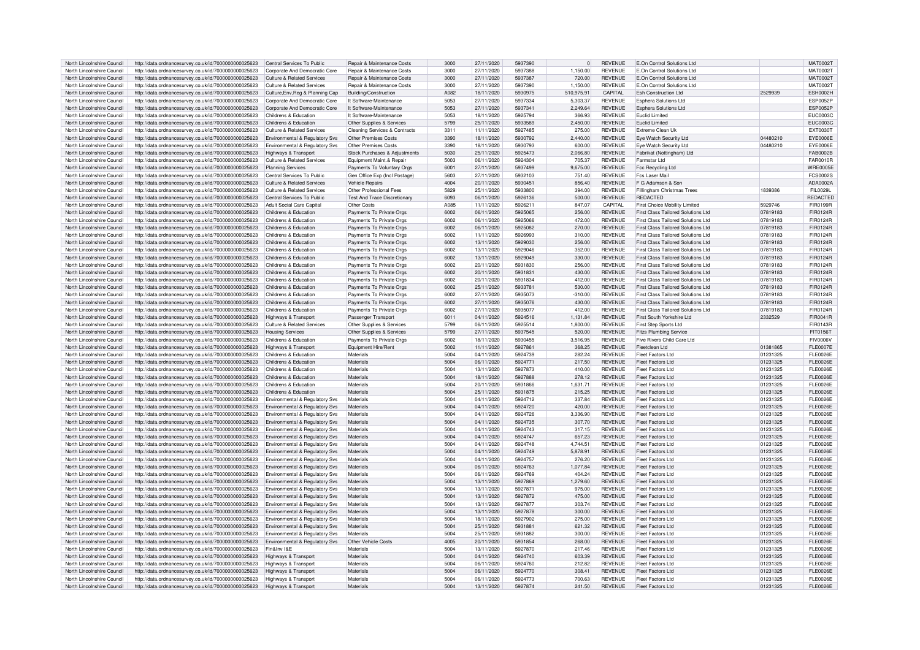| North Lincolnshire Council                               | http://data.ordnancesurvey.co.uk/id/7000000000025623                                                         | Central Services To Public                   | Repair & Maintenance Costs               | 3000         | 27/11/2020               | 5937390            | $\Omega$         | <b>REVENUE</b>                   | E.On Control Solutions Ltd                    |                      | <b>MAT0002T</b>              |
|----------------------------------------------------------|--------------------------------------------------------------------------------------------------------------|----------------------------------------------|------------------------------------------|--------------|--------------------------|--------------------|------------------|----------------------------------|-----------------------------------------------|----------------------|------------------------------|
| North Lincolnshire Council                               | http://data.ordnancesurvey.co.uk/id/7000000000025623                                                         | Corporate And Democratic Core                | <b>Benair &amp; Maintenance Costs</b>    | 3000         | 27/11/2020               | 5937388            | 1.150.00         | <b>REVENUE</b>                   | F.On Control Solutions Ltd                    |                      | MAT0002T                     |
| North Lincolnshire Council                               | http://data.ordnancesurvey.co.uk/id/7000000000025623                                                         | Culture & Related Services                   | <b>Benair &amp; Maintenance Costs</b>    | 3000         | 27/11/2020               | 5937387            | 720.00           | <b>REVENUE</b>                   | E.On Control Solutions Ltd                    |                      | <b>MAT0002T</b>              |
|                                                          |                                                                                                              |                                              |                                          |              |                          |                    |                  |                                  |                                               |                      |                              |
| North Lincolnshire Council                               | http://data.ordnancesurvey.co.uk/id/7000000000025623                                                         | Culture & Related Services                   | <b>Benair &amp; Maintenance Costs</b>    | 3000         | 27/11/2020               | 5937390            | 1.150.00         | <b>REVENUE</b>                   | E.On Control Solutions Ltd                    |                      | MAT0002T                     |
| North Lincolnshire Council                               | http://data.ordnancesurvey.co.uk/id/7000000000025623                                                         | Culture, Env, Reg & Planning Cap             | <b>Building/Construction</b>             | A082         | 18/11/2020               | 5930975            | 510,975.91       | CAPITAL                          | <b>Esh Construction Ltd</b>                   | 2529939              | <b>ESH0002H</b>              |
| North Lincolnshire Council                               | http://data.ordnancesurvey.co.uk/id/7000000000025623                                                         | Corporate And Democratic Core                | It Software-Maintenance                  | 5053         | 27/11/2020               | 5937334            | 5,303.37         | <b>REVENUE</b>                   | <b>Esphera Solutions Ltd</b>                  |                      | <b>ESP0052F</b>              |
| North Lincolnshire Council                               | http://data.ordnancesurvey.co.uk/id/7000000000025623                                                         | Corporate And Democratic Core                | It Software-Maintenance                  | 5053         | 27/11/2020               | 5937341            | 2,249.64         | <b>REVENUE</b>                   | Esphera Solutions Ltd                         |                      | <b>ESP0052F</b>              |
| North Lincolnshire Council                               | http://data.ordnancesurvey.co.uk/id/7000000000025623                                                         | Childrens & Education                        | It Software-Maintenance                  | 5053         | 18/11/2020               | 5925794            | 366.93           | <b>REVENUE</b>                   | <b>Euclid Limited</b>                         |                      | <b>EUC0003C</b>              |
| North Lincolnshire Council                               | http://data.ordnancesurvey.co.uk/id/7000000000025623                                                         | Childrens & Education                        | Other Supplies & Services                | 5799         | 25/11/2020               | 5933589            | 2,450.00         | <b>REVENUE</b>                   | <b>Euclid Limited</b>                         |                      | <b>EUC0003C</b>              |
| North Lincolnshire Council                               | http://data.ordnancesurvey.co.uk/id/7000000000025623                                                         | Culture & Related Services                   | <b>Cleaning Services &amp; Contracts</b> | 3311         | 11/11/2020               | 5927485            | 275.00           | <b>REVENUE</b>                   | Extreme Clean Uk                              |                      | EXT0030T                     |
|                                                          |                                                                                                              | Environmental & Regulatory Svs               | Other Premises Costs                     | 3390         | 18/11/2020               | 5930792            | 2,440.00         | <b>REVENUE</b>                   | Eye Watch Security Ltd                        | 04480210             | EYE0006E                     |
| North Lincolnshire Council                               | http://data.ordnancesurvey.co.uk/id/7000000000025623                                                         |                                              |                                          |              |                          |                    |                  |                                  |                                               |                      |                              |
| North Lincolnshire Council                               | http://data.ordnancesurvey.co.uk/id/7000000000025623                                                         | Environmental & Regulatory Svs               | Other Premises Costs                     | 3390         | 18/11/2020               | 5930793            | 600.00           | <b>REVENUE</b>                   | Eye Watch Security Ltd                        | 04480210             | <b>EYE0006E</b>              |
| North Lincolnshire Council                               | http://data.ordnancesurvey.co.uk/id/7000000000025623                                                         | Highways & Transport                         | Stock Purchases & Adiustments            | 5030         | 25/11/2020               | 5925473            | 2.066.80         | <b>REVENUE</b>                   | Fabrikat (Nottingham) Ltd                     |                      | FAB0002B                     |
| North Lincolnshire Council                               | http://data.ordnancesurvey.co.uk/id/7000000000025623                                                         | Culture & Related Services                   | Equipment Maint.& Repair                 | 5003         | 06/11/2020               | 5924304            | 705.37           | <b>REVENUE</b>                   | Farmstar I td                                 |                      | FAR0010R                     |
| North Lincolnshire Council                               | http://data.ordnancesurvey.co.uk/id/7000000000025623                                                         | <b>Planning Services</b>                     | Payments To Voluntary Orgs               | 6001         | 27/11/2020               | 5937499            | 9,675.00         | <b>REVENUE</b>                   | Fcc Recycling Ltd                             |                      | <b>WRE0005E</b>              |
| North Lincolnshire Council                               | http://data.ordnancesurvey.co.uk/id/7000000000025623                                                         | Central Services To Public                   | Gen Office Exp (Incl Postage)            | 5603         | 27/11/2020               | 5932103            | 751.40           | <b>REVENUE</b>                   | Fcs Laser Mail                                |                      | <b>FCS0002S</b>              |
| North Lincolnshire Council                               | http://data.ordnancesurvey.co.uk/id/7000000000025623                                                         | Culture & Related Services                   | <b>Vehicle Repairs</b>                   | 4004         | 20/11/2020               | 5930451            | 856.40           | <b>REVENUE</b>                   | F G Adamson & Son                             |                      | ADA0002A                     |
| North Lincolnshire Council                               | http://data.ordnancesurvey.co.uk/id/7000000000025623                                                         | <b>Culture &amp; Related Services</b>        | Other Professional Fees                  | 5829         | 25/11/2020               | 5933800            | 394.00           | <b>REVENUE</b>                   | Fillingham Christmas Trees                    | 1839386              | FIL0029L                     |
| North Lincolnshire Council                               | http://data.ordnancesurvey.co.uk/id/7000000000025623                                                         | Central Services To Public                   | <b>Test And Trace Discretionan</b>       | 6093         | 06/11/2020               | 5926136            | 500.00           | <b>REVENUE</b>                   | <b>REDACTED</b>                               |                      | <b>REDACTED</b>              |
| North Lincolnshire Council                               | http://data.ordnancesurvey.co.uk/id/7000000000025623                                                         | Adult Social Care Capital                    | Other Costs                              | A085         | 11/11/2020               | 5926211            | 847.07           | <b>CAPITAL</b>                   | First Choice Mobility Limited                 | 5929746              | FIR0199R                     |
|                                                          |                                                                                                              |                                              |                                          |              |                          |                    |                  |                                  |                                               |                      |                              |
| North Lincolnshire Council                               | http://data.ordnancesurvey.co.uk/id/7000000000025623                                                         | Childrens & Education                        | Payments To Private Orgs                 | 6002         | 06/11/2020               | 5925065            | 256.00           | <b>REVENUE</b>                   | First Class Tailored Solutions Ltd            | 07819183             | FIR0124R                     |
| North Lincolnshire Council                               | http://data.ordnancesurvey.co.uk/id/7000000000025623                                                         | Childrens & Education                        | Payments To Private Orgs                 | 6002         | 06/11/2020               | 5925066            | 472.00           | <b>REVENUE</b>                   | First Class Tailored Solutions Ltd            | 07819183             | FIR0124R                     |
| North Lincolnshire Council                               | http://data.ordnancesurvey.co.uk/id/7000000000025623                                                         | Childrens & Education                        | Payments To Private Orgs                 | 6002         | 06/11/2020               | 5925082            | 270.00           | <b>REVENUE</b>                   | First Class Tailored Solutions Ltd            | 07819183             | FIR0124R                     |
| North Lincolnshire Council                               | http://data.ordnancesurvey.co.uk/id/7000000000025623                                                         | Childrens & Education                        | Payments To Private Orgs                 | 6002         | 11/11/2020               | 5926993            | 310.00           | <b>REVENUE</b>                   | First Class Tailored Solutions Ltd            | 07819183             | FIR0124R                     |
| North Lincolnshire Council                               | http://data.ordnancesurvey.co.uk/id/7000000000025623                                                         | Childrens & Education                        | Payments To Private Orgs                 | 6002         | 13/11/2020               | 5929030            | 256.00           | <b>REVENUE</b>                   | First Class Tailored Solutions Ltd            | 07819183             | FIR0124R                     |
| North Lincolnshire Council                               | http://data.ordnancesurvey.co.uk/id/7000000000025623                                                         | Childrens & Education                        | Payments To Private Orgs                 | 6002         | 13/11/2020               | 5929046            | 352.00           | <b>REVENUE</b>                   | First Class Tailored Solutions Ltd.           | 07819183             | FIR0124R                     |
| North Lincolnshire Council                               | http://data.ordnancesurvey.co.uk/id/7000000000025623                                                         | Childrens & Education                        | Payments To Private Orgs                 | 6002         | 13/11/2020               | 5929049            | 330.00           | <b>REVENUE</b>                   | First Class Tailored Solutions Ltd            | 07819183             | FIR0124R                     |
| North Lincolnshire Council                               | http://data.ordnancesurvey.co.uk/id/7000000000025623                                                         | Childrens & Education                        | Payments To Private Orgs                 | 6002         | 20/11/2020               | 5931830            | 256.00           | <b>REVENUE</b>                   | First Class Tailored Solutions Ltd            | 07819183             | <b>FIR0124R</b>              |
| North Lincolnshire Council                               | http://data.ordnancesurvey.co.uk/id/7000000000025623                                                         | Childrens & Education                        | Payments To Private Orgs                 | 6002         | 20/11/2020               | 5931831            | 430.00           | <b>REVENUE</b>                   | First Class Tailored Solutions Ltd            | 07819183             | <b>FIR0124R</b>              |
|                                                          | http://data.ordnancesurvey.co.uk/id/7000000000025623                                                         | Childrens & Education                        |                                          | 6002         | 20/11/2020               | 5931834            | 412.00           | <b>REVENUE</b>                   | First Class Tailored Solutions Ltd            | 07819183             | <b>FIR0124R</b>              |
| North Lincolnshire Council                               |                                                                                                              |                                              | Payments To Private Orgs                 |              |                          |                    |                  |                                  |                                               |                      |                              |
| North Lincolnshire Council                               | http://data.ordnancesurvey.co.uk/id/7000000000025623                                                         | Childrens & Education                        | Payments To Private Orgs                 | 6002         | 25/11/2020               | 5933781            | 530.00           | <b>REVENUE</b>                   | First Class Tailored Solutions Ltd            | 07819183             | FIR0124R                     |
| North Lincolnshire Council                               | http://data.ordnancesurvey.co.uk/id/7000000000025623                                                         | Childrens & Education                        | Payments To Private Orgs                 | 6002         | 27/11/2020               | 5935073            | $-310.00$        | <b>REVENUE</b>                   | First Class Tailored Solutions Ltd            | 07819183             | <b>FIR0124R</b>              |
| North Lincolnshire Council                               | http://data.ordnancesurvey.co.uk/id/7000000000025623                                                         | Childrens & Education                        | Payments To Private Orgs                 | 6002         | 27/11/2020               | 5935076            | 430.00           | <b>REVENUE</b>                   | First Class Tailored Solutions Ltd            | 07819183             | FIR0124R                     |
| North Lincolnshire Council                               | http://data.ordnancesurvey.co.uk/id/7000000000025623                                                         | Childrens & Education                        | Payments To Private Orgs                 | 6002         | 27/11/2020               | 5935077            | 412.00           | <b>REVENUE</b>                   | First Class Tailored Solutions Ltd            | 07819183             | FIR0124R                     |
| North Lincolnshire Council                               | http://data.ordnancesurvey.co.uk/id/7000000000025623                                                         | Highways & Transport                         | Passenger Transport                      | 6011         | 04/11/2020               | 5924516            | 1,131.84         | <b>REVENUE</b>                   | First South Yorkshire Ltd                     | 2332529              | FIR0041R                     |
| North Lincolnshire Council                               | http://data.ordnancesurvey.co.uk/id/7000000000025623                                                         | <b>Culture &amp; Related Services</b>        | Other Supplies & Services                | 5799         | 06/11/2020               | 5925514            | 1,800.00         | <b>REVENUE</b>                   | First Step Sports Ltd                         |                      | FIR0143R                     |
|                                                          |                                                                                                              |                                              |                                          |              |                          |                    |                  |                                  |                                               |                      |                              |
| North Lincolnshire Council                               |                                                                                                              |                                              |                                          | 5799         | 27/11/2020               | 5937545            | 520.00           | <b>REVENUE</b>                   |                                               |                      | FIT01561                     |
|                                                          | http://data.ordnancesurvey.co.uk/id/7000000000025623                                                         | <b>Housing Services</b>                      | Other Supplies & Services                | 6002         |                          | 5930455            |                  |                                  | <b>Fitzs Plumbing Service</b>                 |                      |                              |
| North Lincolnshire Council                               | http://data.ordnancesurvey.co.uk/id/7000000000025623                                                         | Childrens & Education                        | Payments To Private Orgs                 |              | 18/11/2020               |                    | 3,516.95         | <b>REVENUE</b>                   | Five Rivers Child Care Ltd                    |                      | <b>FIV0006V</b>              |
| North Lincolnshire Council                               | http://data.ordnancesurvey.co.uk/id/7000000000025623                                                         | <b>Highways &amp; Transport</b>              | Equipment Hire/Rent                      | 5002         | 11/11/2020               | 5927861            | 368.25           | <b>REVENUE</b>                   | Fleetclean Ltd                                | 01381865             | <b>FLE0007E</b>              |
| North Lincolnshire Council                               | http://data.ordnancesurvey.co.uk/id/7000000000025623                                                         | Childrens & Education                        | Materials                                | 5004         | 04/11/2020               | 5924739            | 282.24           | <b>REVENUE</b>                   | Fleet Factors Ltd                             | 01231325             | <b>FLE0026E</b>              |
| North Lincolnshire Council                               | http://data.ordnancesurvey.co.uk/id/7000000000025623                                                         | Childrens & Education                        | Materials                                | 5004         | 06/11/2020               | 5924771            | 217.50           | <b>REVENUE</b>                   | <b>Fleet Factors Ltd</b>                      | 01231325             | <b>FLE0026E</b>              |
| North Lincolnshire Council                               | http://data.ordnancesurvey.co.uk/id/7000000000025623                                                         | Childrens & Education                        | Materials                                | 5004         | 13/11/2020               | 5927873            | 410.00           | <b>REVENUE</b>                   | <b>Fleet Factors Ltd</b>                      | 01231325             | <b>FLE0026E</b>              |
| North Lincolnshire Council                               | http://data.ordnancesurvey.co.uk/id/7000000000025623                                                         | Childrens & Education                        | Materials                                | 5004         | 18/11/2020               | 5927888            | 278.12           | <b>REVENUE</b>                   | Fleet Factors Ltd                             | 01231325             | <b>FLE0026E</b>              |
| North Lincolnshire Council                               | http://data.ordnancesurvey.co.uk/id/7000000000025623                                                         | Childrens & Education                        | Materials                                | 5004         | 20/11/2020               | 5931866            | 1,631.71         | <b>REVENUE</b>                   | <b>Fleet Factors Ltd</b>                      | 01231325             | <b>FLE0026E</b>              |
| North Lincolnshire Council                               | http://data.ordnancesurvey.co.uk/id/7000000000025623                                                         | Childrens & Education                        | Materials                                | 5004         | 25/11/2020               | 5931875            | 215.25           | <b>REVENUE</b>                   | Fleet Factors I td                            | 01231325             | <b>FLE0026E</b>              |
| North Lincolnshire Council                               | http://data.ordnancesurvey.co.uk/id/7000000000025623                                                         | <b>Environmental &amp; Regulatory Svs</b>    | Materials                                | 5004         | 04/11/2020               | 5924712            | 337.84           | <b>REVENUE</b>                   | <b>Fleet Factors Ltd</b>                      | 01231325             | FI F0026F                    |
| North Lincolnshire Council                               | http://data.ordnancesurvey.co.uk/id/7000000000025623                                                         | Environmental & Regulatory Svs               | Materials                                | 5004         | 04/11/2020               | 5924720            | 420.00           | <b>REVENUE</b>                   | <b>Fleet Factors Ltd</b>                      | 01231325             | <b>FLE0026E</b>              |
| North Lincolnshire Council                               | http://data.ordnancesurvey.co.uk/id/7000000000025623                                                         | Environmental & Regulatory Sys               | Materials                                | 5004         | 04/11/2020               | 5924726            | 3.336.90         | <b>REVENUE</b>                   | <b>Fleet Factors Ltd</b>                      | 01231325             | <b>FLE0026E</b>              |
| North Lincolnshire Council                               |                                                                                                              |                                              | Materials                                | 5004         | 04/11/2020               | 5924735            | 307.70           | <b>REVENUE</b>                   | Fleet Factors Ltd                             | 01231325             | <b>FLE0026E</b>              |
|                                                          | http://data.ordnancesurvey.co.uk/id/7000000000025623                                                         | Environmental & Regulatory Svs               | Materials                                | 5004         | 04/11/2020               | 5924743            | 317.15           | <b>REVENUE</b>                   | Fleet Factors Ltd                             |                      | <b>FLE0026E</b>              |
| North Lincolnshire Council                               | http://data.ordnancesurvey.co.uk/id/7000000000025623                                                         | Environmental & Regulatory Svs               | Materials                                |              |                          |                    |                  |                                  |                                               | 01231325             |                              |
| North Lincolnshire Council                               | http://data.ordnancesurvey.co.uk/id/7000000000025623                                                         | Environmental & Regulatory Svs               |                                          | 5004         | 04/11/2020               | 5924747            | 657.23           | <b>REVENUE</b>                   | <b>Fleet Factors Ltd</b>                      | 01231325             | <b>FLE0026E</b>              |
| North Lincolnshire Council                               | http://data.ordnancesurvey.co.uk/id/7000000000025623                                                         | Environmental & Regulatory Svs               | Materials                                | 5004         | 04/11/2020               | 5924748            | 4.744.5          | <b>REVENUE</b>                   | Fleet Factors Ltd                             | 01231325             | <b>FLE0026E</b>              |
| North Lincolnshire Council                               | http://data.ordnancesurvey.co.uk/id/7000000000025623                                                         | Environmental & Regulatory Svs               | Materials                                | 5004         | 04/11/2020               | 5924749            | 5,878.91         | <b>REVENUE</b>                   | <b>Fleet Factors Ltd</b>                      | 01231325             | <b>FLE0026E</b>              |
| North Lincolnshire Council                               | http://data.ordnancesurvey.co.uk/id/7000000000025623                                                         | Environmental & Regulatory Svs               | Materials                                | 5004         | 04/11/2020               | 5924757            | 276.20           | <b>REVENUE</b>                   | <b>Fleet Factors Ltd</b>                      | 01231325             | <b>FLE0026E</b>              |
| North Lincolnshire Council                               | http://data.ordnancesurvey.co.uk/id/7000000000025623                                                         | Environmental & Regulatory Svs               | Materials                                | 5004         | 06/11/2020               | 5924763            | 1.077.84         | <b>REVENUE</b>                   | <b>Fleet Factors Ltd</b>                      | 01231325             | <b>FLE0026E</b>              |
| North Lincolnshire Council                               | http://data.ordnancesurvey.co.uk/id/7000000000025623                                                         | Environmental & Regulatory Svs               | Materials                                | 5004         | 06/11/2020               | 5924769            | 404.24           | <b>REVENUE</b>                   | Fleet Factors Ltd                             | 01231325             | <b>FLE0026E</b>              |
| North Lincolnshire Council                               | http://data.ordnancesurvey.co.uk/id/7000000000025623                                                         | Environmental & Regulatory Svs               | Materials                                | 5004         | 13/11/2020               | 5927869            | 1.279.60         | <b>REVENUE</b>                   | Fleet Factors Ltd                             | 01231325             | <b>FLE0026E</b>              |
| North Lincolnshire Council                               | http://data.ordnancesurvey.co.uk/id/7000000000025623                                                         | Environmental & Regulatory Svs               | Materials                                | 5004         | 13/11/2020               | 5927871            | 975.00           | <b>REVENUE</b>                   | Fleet Factors Ltd                             | 01231325             | FI F0026F                    |
| North Lincolnshire Council                               | http://data.ordnancesurvey.co.uk/id/7000000000025623                                                         | Environmental & Regulatory Svs               | Materials                                | 5004         | 13/11/2020               | 5927872            | 475.00           | <b>REVENUE</b>                   | <b>Fleet Factors Ltd</b>                      | 01231325             | <b>FLE0026E</b>              |
| North Lincolnshire Council                               | http://data.ordnancesurvey.co.uk/id/7000000000025623                                                         | Environmental & Regulatory Svs               | Materials                                | 5004         | 13/11/2020               | 5927877            | 303.74           | <b>REVENUE</b>                   | Fleet Factors Ltd                             | 01231325             | <b>FLE0026E</b>              |
| North Lincolnshire Council                               | http://data.ordnancesurvey.co.uk/id/7000000000025623                                                         | Environmental & Regulatory Svs               | Materials                                | 5004         | 13/11/2020               | 5927878            | 300.00           | <b>REVENUE</b>                   | <b>Fleet Factors Ltd</b>                      | 01231325             | FL E0026E                    |
| North Lincolnshire Council                               |                                                                                                              |                                              | Materials                                | 5004         | 18/11/2020               | 5927902            | 275.00           |                                  | <b>Fleet Factors Ltd</b>                      | 01231325             |                              |
| North Lincolnshire Council                               | http://data.ordnancesurvey.co.uk/id/7000000000025623                                                         | Environmental & Regulatory Svs               | Materials                                | 5004         |                          | 5931881            |                  | <b>REVENUE</b><br><b>REVENUE</b> | Fleet Factors Ltd                             |                      | <b>FLE0026E</b><br>FL E0026E |
|                                                          | http://data.ordnancesurvey.co.uk/id/7000000000025623                                                         | <b>Environmental &amp; Regulatory Svs</b>    |                                          |              | 25/11/2020               |                    | 621.32           |                                  |                                               | 01231325             |                              |
| North Lincolnshire Council                               | http://data.ordnancesurvey.co.uk/id/7000000000025623                                                         | Environmental & Regulatory Svs               | Materials                                | 5004         | 25/11/2020               | 5931882            | 300.00           | <b>REVENUE</b>                   | <b>Fleet Factors Ltd</b>                      | 01231325             | <b>FLE0026E</b>              |
| North Lincolnshire Council                               | http://data.ordnancesurvey.co.uk/id/7000000000025623                                                         | Environmental & Regulatory Svs               | Other Vehicle Costs                      | 4005         | 20/11/2020               | 5931854            | 268.00           | <b>REVENUE</b>                   | Fleet Factors I td                            | 01231325             | <b>FLE0026E</b>              |
| North Lincolnshire Council                               | http://data.ordnancesurvey.co.uk/id/7000000000025623                                                         | Fin&Inv I&F                                  | Materials                                | 5004         | 13/11/2020               | 5927870            | 217.46           | <b>REVENUE</b>                   | Fleet Factors Ltd                             | 01231325             | FI F0026F                    |
| North Lincolnshire Council                               | http://data.ordnancesurvey.co.uk/id/7000000000025623                                                         | <b>Highways &amp; Transport</b>              | Materials                                | 5004         | 04/11/2020               | 5924740            | 603.39           | <b>REVENUE</b>                   | <b>Fleet Factors Ltd</b>                      | 01231325             | <b>FLE0026E</b>              |
| North Lincolnshire Council                               | http://data.ordnancesurvey.co.uk/id/7000000000025623                                                         | Highways & Transport                         | Materials                                | 5004         | 06/11/2020               | 5924760            | 212.82           | <b>REVENUE</b>                   | Fleet Factors Ltd                             | 01231325             | FI F0026F                    |
| North Lincolnshire Council                               | http://data.ordnancesurvey.co.uk/id/7000000000025623                                                         | Highways & Transpor                          | Materials                                | 5004         | 06/11/2020               | 5924770            | 308.41           | <b>REVENUE</b>                   | Fleet Factors Ltd                             | 01231325             | <b>FLE0026E</b>              |
| North Lincolnshire Council<br>North Lincolnshire Council | http://data.ordnancesurvey.co.uk/id/7000000000025623<br>http://data.ordnancesurvey.co.uk/id/7000000000025623 | Highways & Transport<br>Highways & Transport | Materials<br>Materials                   | 5004<br>5004 | 06/11/2020<br>13/11/2020 | 5924773<br>5927874 | 700.63<br>241.50 | <b>REVENUE</b><br><b>REVENUE</b> | Fleet Factors Ltd<br><b>Fleet Factors Ltd</b> | 01231325<br>01231325 | FL E0026E<br><b>FLE0026E</b> |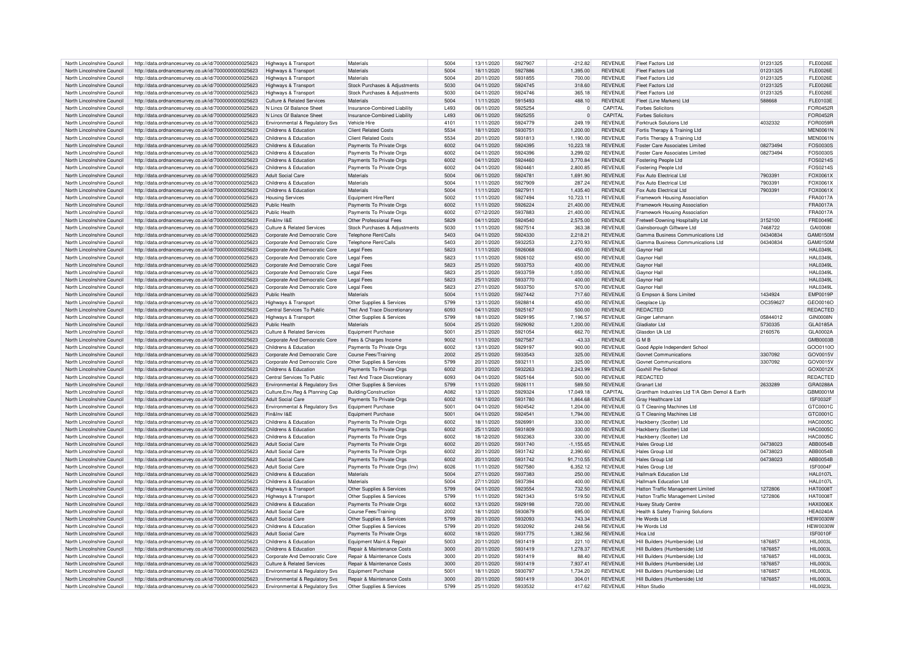| North Lincolnshire Council                               | http://data.ordnancesurvey.co.uk/id/7000000000025623                                                         | Highways & Transport                                             | Materials                                               | 5004         | 13/11/2020               | 5927907            | $-212.82$        | <b>REVENUE</b>                   | Fleet Factors Ltd                                      | 01231325 | <b>FLE0026E</b>                     |
|----------------------------------------------------------|--------------------------------------------------------------------------------------------------------------|------------------------------------------------------------------|---------------------------------------------------------|--------------|--------------------------|--------------------|------------------|----------------------------------|--------------------------------------------------------|----------|-------------------------------------|
|                                                          |                                                                                                              |                                                                  |                                                         |              |                          |                    |                  |                                  |                                                        |          |                                     |
| North Lincolnshire Council                               | http://data.ordnancesurvey.co.uk/id/7000000000025623                                                         | Highways & Transport                                             | Materials                                               | 5004         | 18/11/2020               | 5927886            | 1.395.00         | <b>REVENUE</b>                   | <b>Fleet Factors Ltd</b>                               | 01231325 | <b>FLE0026E</b>                     |
| North Lincolnshire Council                               | http://data.ordnancesurvey.co.uk/id/7000000000025623                                                         | Highways & Transport                                             | Materials                                               | 5004         | 20/11/2020               | 5931855            | 700.00           | <b>REVENUE</b>                   | Fleet Factors Ltd                                      | 01231325 | <b>FLE0026E</b>                     |
| North Lincolnshire Council                               | http://data.ordnancesurvey.co.uk/id/7000000000025623                                                         | Highways & Transport                                             | Stock Purchases & Adjustments                           | 5030         | 04/11/2020               | 5924745            | 318.60           | REVENUE                          | Fleet Factors Ltd                                      | 01231325 | <b>FLE0026E</b>                     |
| North Lincolnshire Council                               | http://data.ordnancesurvey.co.uk/id/7000000000025623                                                         | Highways & Transport                                             | Stock Purchases & Adjustments                           | 5030         | 04/11/2020               | 5924746            | 365.18           | <b>REVENUE</b>                   | <b>Fleet Factors Ltd</b>                               | 01231325 | <b>FLE0026E</b>                     |
| North Lincolnshire Council                               | http://data.ordnancesurvey.co.uk/id/7000000000025623                                                         | <b>Culture &amp; Related Services</b>                            | Materials                                               | 5004         | 11/11/2020               | 5915493            | 488.10           | <b>REVENUE</b>                   | Fleet (Line Markers) Ltd                               | 588668   | FL E0103E                           |
|                                                          |                                                                                                              |                                                                  |                                                         |              |                          |                    |                  |                                  |                                                        |          |                                     |
| North Lincolnshire Council                               | http://data.ordnancesurvey.co.uk/id/7000000000025623                                                         | N Lincs Gf Balance Sheet                                         | Insurance-Combined Liability                            | L493         | 06/11/2020               | 5925254            | $\overline{0}$   | CAPITAL                          | <b>Forbes Solicitors</b>                               |          | FOR0452R                            |
| North Lincolnshire Council                               | http://data.ordnancesurvey.co.uk/id/7000000000025623                                                         | N Lincs Gf Balance Sheet                                         | Insurance-Combined Liability                            | L493         | 06/11/2020               | 5925255            | $\mathbf 0$      | CAPITAL                          | <b>Forbes Solicitors</b>                               |          | FOR0452R                            |
| North Lincolnshire Council                               | http://data.ordnancesurvey.co.uk/id/7000000000025623                                                         | Environmental & Regulatory Svs                                   | Vehicle Hire                                            | $410^{-}$    | 11/11/2020               | 5924779            | 249.19           | <b>REVENUE</b>                   | Forktruck Solutions Ltd                                | 4032332  | FOR0059R                            |
| North Lincolnshire Council                               | http://data.ordnancesurvey.co.uk/id/7000000000025623                                                         | Childrens & Education                                            | <b>Client Related Costs</b>                             | 5534         | 18/11/2020               | 5930751            | 1,200.00         | <b>REVENUE</b>                   | Fortis Therapy & Training Ltd                          |          | <b>MEN0061N</b>                     |
|                                                          |                                                                                                              |                                                                  |                                                         |              |                          |                    |                  |                                  |                                                        |          |                                     |
| North Lincolnshire Council                               | http://data.ordnancesurvey.co.uk/id/7000000000025623                                                         | Childrens & Education                                            | <b>Client Related Costs</b>                             | 5534         | 20/11/2020               | 5931813            | 1,190.00         | <b>REVENUE</b>                   | Fortis Therapy & Training Ltd                          |          | <b>MEN0061N</b>                     |
| North Lincolnshire Council                               | http://data.ordnancesurvey.co.uk/id/7000000000025623                                                         | Childrens & Education                                            | Payments To Private Orgs                                | 6002         | 04/11/2020               | 5924395            | 10.223.18        | <b>REVENUE</b>                   | <b>Foster Care Associates Limited</b>                  | 08273494 | FOS0030S                            |
| North Lincolnshire Council                               | http://data.ordnancesurvey.co.uk/id/7000000000025623                                                         | Childrens & Education                                            | Payments To Private Orgs                                | 6002         | 04/11/2020               | 5924396            | 3,299.02         | <b>REVENUE</b>                   | Foster Care Associates Limited                         | 08273494 | FOS0030S                            |
| North Lincolnshire Council                               | http://data.ordnancesurvey.co.uk/id/7000000000025623                                                         | Childrens & Education                                            | Payments To Private Orgs                                | 6002         | 04/11/2020               | 5924460            | 3.770.84         | <b>REVENUE</b>                   | Fostering People Ltd                                   |          | FOS0214S                            |
| North Lincolnshire Council                               | http://data.ordnancesurvey.co.uk/id/7000000000025623                                                         | Childrens & Education                                            | Payments To Private Orgs                                | 6002         | 04/11/2020               | 5924461            | 2,800.85         | <b>REVENUE</b>                   | Fostering People Ltd                                   |          | FOS0214S                            |
| North Lincolnshire Council                               |                                                                                                              | Adult Social Care                                                | Materials                                               | 5004         | 06/11/2020               | 5924781            | 1.691.90         | <b>REVENUE</b>                   | Fox Auto Electrical Ltd                                | 7903391  | <b>FOX0061X</b>                     |
|                                                          | http://data.ordnancesurvey.co.uk/id/7000000000025623                                                         |                                                                  |                                                         |              |                          |                    |                  |                                  |                                                        |          |                                     |
| North Lincolnshire Council                               | http://data.ordnancesurvey.co.uk/id/7000000000025623                                                         | Childrens & Education                                            | Materials                                               | 5004         | 11/11/2020               | 5927909            | 287.24           | REVENUE                          | Fox Auto Flectrical Ltd                                | 7903391  | FOX0061X                            |
| North Lincolnshire Council                               | http://data.ordnancesurvey.co.uk/id/7000000000025623                                                         | Childrens & Education                                            | Materials                                               | 5004         | 11/11/2020               | 5927911            | 1,435.40         | REVENUE                          | Fox Auto Flectrical Ltd                                | 7903391  | FOX0061X                            |
| North Lincolnshire Council                               | http://data.ordnancesurvey.co.uk/id/7000000000025623                                                         | <b>Housing Services</b>                                          | Equipment Hire/Rent                                     | 5002         | 11/11/2020               | 5927494            | 10,723.11        | REVENUE                          | Framework Housing Association                          |          | <b>FRA0017A</b>                     |
| North Lincolnshire Council                               | http://data.ordnancesurvey.co.uk/id/7000000000025623                                                         | Public Health                                                    | Payments To Private Orgs                                | 6002         | 11/11/2020               | 5926224            | 21,400.00        | <b>REVENUE</b>                   | Framework Housing Association                          |          | <b>FRA0017A</b>                     |
| North Lincolnshire Council                               |                                                                                                              | Public Health                                                    |                                                         | 6002         |                          | 5937883            | 21.400.00        | <b>REVENUE</b>                   |                                                        |          | <b>FRA0017A</b>                     |
|                                                          | http://data.ordnancesurvey.co.uk/id/7000000000025623                                                         |                                                                  | Payments To Private Orgs                                |              | 07/12/2020               |                    |                  |                                  | Framework Housing Association                          |          |                                     |
| North Lincolnshire Council                               | http://data.ordnancesurvey.co.uk/id/7000000000025623                                                         | Fin&Inv I&F                                                      | Other Professional Fees                                 | 5829         | 04/11/2020               | 5924540            | 2,575.00         | <b>REVENUE</b>                   | Fretwell-Downing Hospitality Ltd                       | 3152100  | ERE0049E                            |
| North Lincolnshire Council                               | http://data.ordnancesurvey.co.uk/id/7000000000025623                                                         | <b>Culture &amp; Related Services</b>                            | Stock Purchases & Adiustments                           | 5030         | 11/11/2020               | 5927514            | 363.38           | <b>REVENUE</b>                   | Gainsborough Giftware Ltd                              | 7468722  | GAI0008I                            |
| North Lincolnshire Council                               | http://data.ordnancesurvey.co.uk/id/7000000000025623                                                         | Corporate And Democratic Core                                    | Telephone Rent/Calls                                    | 5403         | 04/11/2020               | 5924330            | 2.218.21         | REVENUE                          | Gamma Business Communications Ltd                      | 04340834 | <b>GAM0150M</b>                     |
| North Lincolnshire Council                               | http://data.ordnancesurvey.co.uk/id/7000000000025623                                                         | Corporate And Democratic Core                                    | Telephone Rent/Calls                                    | 5403         | 20/11/2020               | 5932253            | 2,270.93         | <b>REVENUE</b>                   | Gamma Business Communications Ltd                      | 04340834 | GAM0150M                            |
| North Lincolnshire Council                               | http://data.ordnancesurvey.co.uk/id/7000000000025623                                                         | Corporate And Democratic Core                                    | Legal Fees                                              | 5823         | 11/11/2020               | 5926068            | 450.00           | <b>REVENUE</b>                   | Gaynor Hall                                            |          | <b>HAL0349L</b>                     |
|                                                          |                                                                                                              |                                                                  |                                                         | 5823         | 11/11/2020               | 5926102            |                  |                                  |                                                        |          | HAI 0349I                           |
| North Lincolnshire Council                               | http://data.ordnancesurvey.co.uk/id/7000000000025623                                                         | Corporate And Democratic Core                                    | <b>Legal Fees</b>                                       |              |                          |                    | 650.00           | <b>REVENUE</b>                   | Gaynor Hal                                             |          |                                     |
| North Lincolnshire Council                               | http://data.ordnancesurvey.co.uk/id/7000000000025623                                                         | Corporate And Democratic Core                                    | <b>Legal Fees</b>                                       | 5823         | 25/11/2020               | 5933753            | 400.00           | <b>REVENUE</b>                   | Gaynor Hal                                             |          | <b>HAL0349L</b>                     |
| North Lincolnshire Council                               | http://data.ordnancesurvey.co.uk/id/7000000000025623                                                         | Corporate And Democratic Core                                    | Legal Fees                                              | 5823         | 25/11/2020               | 5933759            | 1,050.00         | <b>REVENUE</b>                   | Gavnor Hal                                             |          | <b>HAL0349L</b>                     |
| North Lincolnshire Council                               | http://data.ordnancesurvey.co.uk/id/7000000000025623                                                         | Corporate And Democratic Core                                    | <b>Legal Fees</b>                                       | 5823         | 25/11/2020               | 5933770            | 400.00           | <b>REVENUE</b>                   | Gaynor Hal                                             |          | <b>HAL0349L</b>                     |
| North Lincolnshire Council                               | http://data.ordnancesurvey.co.uk/id/7000000000025623                                                         | Corporate And Democratic Core                                    | <b>Legal Fees</b>                                       | 5823         | 27/11/2020               | 5933750            | 570.00           | <b>REVENUE</b>                   | Gaynor Hall                                            |          | <b>HAL0349L</b>                     |
|                                                          |                                                                                                              | Public Health                                                    | Materials                                               | 5004         |                          | 5927442            |                  | <b>REVENUE</b>                   |                                                        | 1434924  | <b>EMP0019P</b>                     |
| North Lincolnshire Council                               | http://data.ordnancesurvey.co.uk/id/7000000000025623                                                         |                                                                  |                                                         |              | 11/11/2020               |                    | 717.60           |                                  | G Empson & Sons Limited                                |          |                                     |
| North Lincolnshire Council                               | http://data.ordnancesurvey.co.uk/id/7000000000025623                                                         | Highways & Transport                                             | Other Supplies & Services                               | 5799         | 13/11/2020               | 5928814            | 450.00           | <b>REVENUE</b>                   | Geoplace Lip                                           | OC359627 | GEO0016C                            |
| North Lincolnshire Council                               | http://data.ordnancesurvey.co.uk/id/7000000000025623                                                         | Central Services To Public                                       | <b>Test And Trace Discretionary</b>                     | 6093         | 04/11/2020               | 5925167            | 500.00           | <b>REVENUE</b>                   | REDACTED                                               |          | REDACTED                            |
| North Lincolnshire Council                               | http://data.ordnancesurvey.co.uk/id/7000000000025623                                                         | Highways & Transport                                             | Other Supplies & Services                               | 5799         | 18/11/2020               | 5929195            | 7,196.57         | <b>REVENUE</b>                   | Ginger Lehmann                                         | 05844012 | <b>GIN0008N</b>                     |
| North Lincolnshire Council                               | http://data.ordnancesurvey.co.uk/id/7000000000025623                                                         | Public Health                                                    | Materials                                               | 5004         | 25/11/2020               | 5929092            | 1.200.00         | <b>REVENUE</b>                   | <b>Gladiator Ltd</b>                                   | 5730335  | <b>GLA0185A</b>                     |
| North Lincolnshire Council                               |                                                                                                              | Culture & Related Services                                       |                                                         | 5001         |                          | 5921054            |                  | <b>REVENUE</b>                   | Glasdon Lik Ltd                                        | 2160576  | GLA0002A                            |
|                                                          | http://data.ordnancesurvey.co.uk/id/7000000000025623                                                         |                                                                  | Equipment Purchase                                      |              | 25/11/2020               |                    | 662.70           |                                  |                                                        |          |                                     |
| North Lincolnshire Council                               | http://data.ordnancesurvey.co.uk/id/7000000000025623                                                         | Corporate And Democratic Core                                    | Fees & Charges Income                                   | 9002         | 11/11/2020               | 5927587            | $-43.33$         | <b>REVENUE</b>                   | <b>GMB</b>                                             |          | GMB0003B                            |
| North Lincolnshire Council                               | http://data.ordnancesurvey.co.uk/id/7000000000025623                                                         | Childrens & Education                                            | Payments To Private Orgs                                | 6002         | 13/11/2020               | 5929197            | 900.00           | <b>REVENUE</b>                   | Good Apple Independent School                          |          | GOO0110C                            |
| North Lincolnshire Council                               | http://data.ordnancesurvey.co.uk/id/7000000000025623                                                         | Corporate And Democratic Core                                    | Course Fees/Training                                    | 2002         | 25/11/2020               | 5933543            | 325.00           | REVENUE                          | <b>Govnet Communications</b>                           | 3307092  | GOV0015V                            |
| North Lincolnshire Council                               | http://data.ordnancesurvey.co.uk/id/7000000000025623                                                         | Corporate And Democratic Core                                    | Other Supplies & Services                               | 5799         | 20/11/2020               | 5932111            | 325.00           | <b>REVENUE</b>                   | Govnet Communications                                  | 3307092  | GOV0015V                            |
| North Lincolnshire Council                               | http://data.ordnancesurvey.co.uk/id/7000000000025623                                                         | Childrens & Education                                            | Payments To Private Orgs                                | 6002         | 20/11/2020               | 5932263            | 2.243.99         | <b>REVENUE</b>                   | Goxhill Pre-School                                     |          | GOX0012X                            |
|                                                          |                                                                                                              |                                                                  |                                                         |              |                          |                    |                  |                                  | <b>REDACTED</b>                                        |          |                                     |
| North Lincolnshire Council                               | http://data.ordnancesurvey.co.uk/id/7000000000025623                                                         | Central Services To Public                                       | <b>Test And Trace Discretionary</b>                     | 6093         | 04/11/2020               | 5925164            | 500.00           | <b>REVENUE</b>                   |                                                        |          | REDACTED                            |
| North Lincolnshire Council                               | http://data.ordnancesurvey.co.uk/id/7000000000025623                                                         | Environmental & Regulatory Svs                                   | Other Supplies & Service                                | 5799         | 11/11/2020               | 5926111            | 589.50           | <b>REVENUE</b>                   | Granart Ltd                                            | 2633289  | GRA0288A                            |
| North Lincolnshire Council                               | http://data.ordnancesurvey.co.uk/id/7000000000025623                                                         | Culture, Env, Reg & Planning Cap                                 | Building/Construction                                   | A082         | 13/11/2020               | 5929324            | 17.049.18        | CAPITAI                          | Grantham Industries Ltd T/A Gbm Demol & Earth          |          | GBM0001N                            |
| North Lincolnshire Council                               | http://data.ordnancesurvey.co.uk/id/7000000000025623                                                         | <b>Adult Social Care</b>                                         | Payments To Private Orgs                                | 6002         | 18/11/2020               | 5931780            | 1,864.68         | REVENUE                          | Gray Healthcare Ltd                                    |          | <b>ISF0032E</b>                     |
| North Lincolnshire Council                               | http://data.ordnancesurvey.co.uk/id/7000000000025623                                                         | <b>Environmental &amp; Requiatory Sys.</b>                       | Foujoment Purchase                                      | 5001         | 04/11/2020               | 5924542            | 1.204.00         | <b>REVENUE</b>                   | G T Cleaning Machines Ltd                              |          | GTC0001C                            |
|                                                          |                                                                                                              | Fin&Inv I&F                                                      |                                                         | 5001         |                          | 5924541            |                  |                                  |                                                        |          |                                     |
| North Lincolnshire Council                               | http://data.ordnancesurvey.co.uk/id/7000000000025623                                                         |                                                                  | Equipment Purchase                                      |              | 04/11/2020               |                    | 1,794.00         | <b>REVENUE</b>                   | G T Cleaning Machines Ltd                              |          | GTC0001C                            |
| North Lincolnshire Council                               | http://data.ordnancesurvey.co.uk/id/7000000000025623                                                         | Childrens & Education                                            | Payments To Private Orgs                                | 6002         | 18/11/2020               | 5926991            | 330.00           | <b>REVENUE</b>                   | Hackberry (Scotter) Ltd                                |          | <b>HAC0005C</b>                     |
| North Lincolnshire Council                               | http://data.ordnancesurvey.co.uk/id/7000000000025623                                                         | Childrens & Education                                            | Payments To Private Orgs                                | 6002         | 25/11/2020               | 5931809            | 330.00           | <b>REVENUE</b>                   | Hackberry (Scotter) Ltd                                |          | <b>HAC0005C</b>                     |
| North Lincolnshire Council                               | http://data.ordnancesurvey.co.uk/id/7000000000025623                                                         | Childrens & Education                                            | Payments To Private Orgs                                | 6002         | 18/12/2020               | 5932363            | 330.00           | <b>REVENUE</b>                   | Hackberry (Scotter) Ltd                                |          | <b>HAC0005C</b>                     |
| North Lincolnshire Council                               | http://data.ordnancesurvey.co.uk/id/7000000000025623                                                         | Adult Social Care                                                | Payments To Private Orgs                                | 6002         | 20/11/2020               | 5931740            | $-1,155.65$      | <b>REVENUE</b>                   | Hales Group Ltd                                        | 04738023 | ABB0054B                            |
| North Lincolnshire Council                               | http://data.ordnancesurvey.co.uk/id/7000000000025623                                                         | <b>Adult Social Care</b>                                         | Payments To Private Orgs                                | 6002         | 20/11/2020               | 5931742            | 2,390.60         | <b>REVENUE</b>                   | Hales Group Ltd                                        | 04738023 | ABB0054B                            |
|                                                          |                                                                                                              |                                                                  |                                                         |              |                          |                    |                  |                                  |                                                        |          |                                     |
| North Lincolnshire Council                               | http://data.ordnancesurvey.co.uk/id/7000000000025623                                                         | <b>Adult Social Care</b>                                         | Payments To Private Orgs                                | 6002         | 20/11/2020               | 5931742            | 91,710.55        | <b>REVENUE</b>                   | Hales Group Ltd                                        | 04738023 | ABB0054B                            |
| North Lincolnshire Council                               | http://data.ordnancesurvey.co.uk/id/7000000000025623                                                         | <b>Adult Social Care</b>                                         | Payments To Private Orgs (Inv)                          | 6026         | 11/11/2020               | 5927580            | 6,352.12         | <b>REVENUE</b>                   | Hales Group Ltd                                        |          | <b>ISF0004F</b>                     |
| North Lincolnshire Council                               | http://data.ordnancesurvey.co.uk/id/7000000000025623                                                         | Childrens & Education                                            | Materials                                               | 5004         | 27/11/2020               | 5937383            | 250.00           | <b>REVENUE</b>                   | <b>Hallmark Education Ltd</b>                          |          | <b>HAL0107L</b>                     |
| North Lincolnshire Council                               | http://data.ordnancesurvey.co.uk/id/7000000000025623                                                         | Childrens & Education                                            | Materials                                               | 5004         | 27/11/2020               | 5937394            | 400.00           | <b>REVENUE</b>                   | <b>Hallmark Education Ltd</b>                          |          | <b>HAL0107L</b>                     |
| North Lincolnshire Council                               | http://data.ordnancesurvey.co.uk/id/7000000000025623                                                         | Highways & Transport                                             | Other Supplies & Services                               | 5799         | 04/11/2020               | 5923554            | 732.50           | <b>REVENUE</b>                   | Hatton Traffic Management Limited                      | 1272806  | HAT0008T                            |
| North Lincolnshire Council                               |                                                                                                              | Highways & Transport                                             |                                                         | 5799         | 11/11/2020               | 5921343            | 519.50           | <b>REVENUE</b>                   | Hatton Traffic Management Limited                      | 1272806  | <b>HAT00081</b>                     |
|                                                          | http://data.ordnancesurvey.co.uk/id/7000000000025623                                                         |                                                                  | Other Supplies & Services                               |              |                          |                    |                  |                                  |                                                        |          |                                     |
| North Lincolnshire Council                               | http://data.ordnancesurvey.co.uk/id/7000000000025623                                                         | Childrens & Education                                            | Payments To Private Orgs                                | 6002         | 13/11/2020               | 5929198            | 720.00           | <b>REVENUE</b>                   | Haxey Study Centre                                     |          | HAX0006X                            |
| North Lincolnshire Council                               | http://data.ordnancesurvey.co.uk/id/7000000000025623                                                         | <b>Adult Social Care</b>                                         | Course Fees/Training                                    | 2002         | 18/11/2020               | 5930879            | 695.00           | REVENUE                          | Health & Safety Training Solutions                     |          | <b>HFA0240A</b>                     |
| North Lincolnshire Council                               | http://data.ordnancesurvey.co.uk/id/7000000000025623                                                         | <b>Adult Social Care</b>                                         | Other Supplies & Services                               | 5799         | 20/11/2020               | 5932093            | 743.34           | <b>REVENUE</b>                   | He Words Ltd                                           |          | <b>HEW0030W</b>                     |
| North Lincolnshire Council                               | http://data.ordnancesurvey.co.uk/id/7000000000025623                                                         | Childrens & Education                                            | Other Supplies & Services                               | 5799         | 20/11/2020               | 5932092            | 248.56           | <b>REVENUE</b>                   | He Words Ltd                                           |          | <b>HEW0030W</b>                     |
| North Lincolnshire Council                               | http://data.ordnancesurvey.co.uk/id/7000000000025623                                                         | <b>Adult Social Care</b>                                         | Payments To Private Orgs                                | 6002         | 18/11/2020               | 5931775            | 1.382.56         | <b>REVENUE</b>                   | Hica I td                                              |          | <b>ISF0010F</b>                     |
|                                                          |                                                                                                              |                                                                  |                                                         |              |                          | 5931419            |                  |                                  |                                                        | 1876857  |                                     |
| North Lincolnshire Council                               | http://data.ordnancesurvey.co.uk/id/7000000000025623                                                         | Childrens & Education                                            | Equipment Maint.& Repair                                | 5003         | 20/11/2020               |                    | 221.10           | <b>REVENUE</b>                   | Hill Builders (Humberside) Ltd                         |          | <b>HIL0003L</b>                     |
| North Lincolnshire Council                               | http://data.ordnancesurvey.co.uk/id/7000000000025623                                                         | Childrens & Education                                            | <b>Benair &amp; Maintenance Costs</b>                   | 3000         | 20/11/2020               | 5931419            | 1.278.37         | <b>REVENUE</b>                   | Hill Builders (Humberside) I to                        | 1876857  | <b>HII 0003I</b>                    |
| North Lincolnshire Council                               | http://data.ordnancesurvey.co.uk/id/7000000000025623                                                         | Corporate And Democratic Core                                    | Repair & Maintenance Costs                              | 3000         | 20/11/2020               | 5931419            | 88.40            | <b>REVENUE</b>                   | Hill Builders (Humberside) Ltd                         | 1876857  | HII 0003I                           |
| North Lincolnshire Council                               | http://data.ordnancesurvey.co.uk/id/7000000000025623                                                         | Culture & Related Services                                       | Repair & Maintenance Costs                              | 3000         | 20/11/2020               | 5931419            | 7.937.41         | <b>REVENUE</b>                   | Hill Builders (Humberside) Ltd                         | 1876857  | <b>HIL0003L</b>                     |
| North Lincolnshire Council                               |                                                                                                              |                                                                  |                                                         |              |                          |                    |                  |                                  |                                                        |          |                                     |
|                                                          |                                                                                                              |                                                                  |                                                         |              | 18/11/2020               | 5930797            | 1.734.20         |                                  |                                                        |          |                                     |
|                                                          | http://data.ordnancesurvey.co.uk/id/7000000000025623                                                         | Environmental & Regulatory Svs                                   | Equipment Purchase                                      | 5001         |                          |                    |                  | <b>REVENUE</b>                   | Hill Builders (Humberside) Ltd                         | 1876857  | <b>HIL0003L</b>                     |
| North Lincolnshire Council<br>North Lincolnshire Council | http://data.ordnancesurvey.co.uk/id/7000000000025623<br>http://data.ordnancesurvey.co.uk/id/7000000000025623 | Environmental & Regulatory Svs<br>Environmental & Regulatory Svs | Repair & Maintenance Costs<br>Other Supplies & Services | 3000<br>5799 | 20/11/2020<br>25/11/2020 | 5931419<br>5933532 | 304.01<br>417.62 | <b>REVENUE</b><br><b>REVENUE</b> | Hill Builders (Humberside) Ltd<br><b>Hilton Studio</b> | 1876857  | <b>HII 0003I</b><br><b>HIL0023L</b> |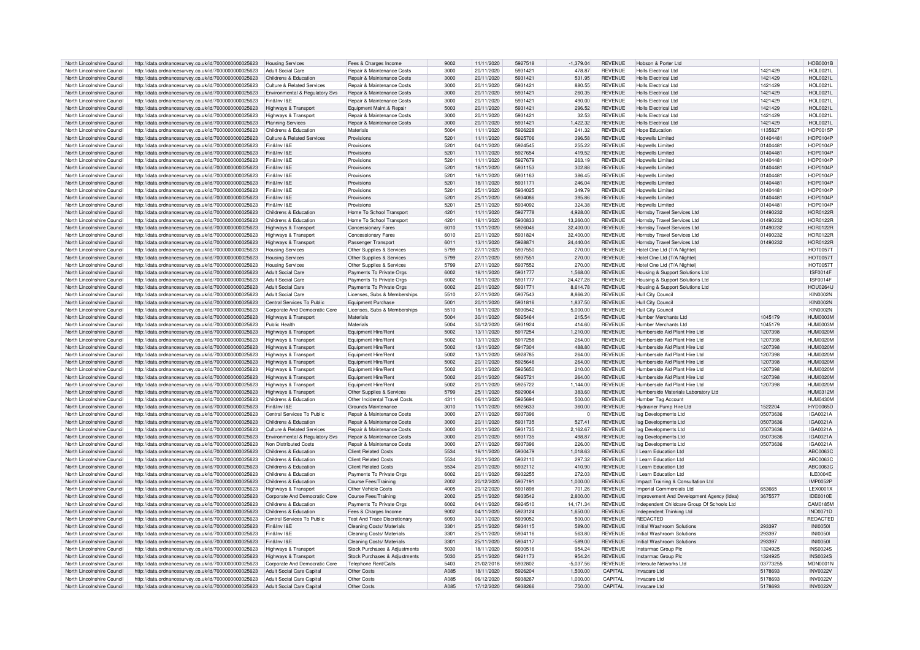| North Lincolnshire Council                               | http://data.ordnancesurvey.co.uk/id/7000000000025623                                                         | <b>Housing Services</b>                                | Fees & Charges Income               | 9002             | 11/11/2020               | 5927518            | $-1,379.04$        | <b>REVENUE</b>     | Hobson & Porter Ltd                        |                    | <b>HOB0001E</b>                    |
|----------------------------------------------------------|--------------------------------------------------------------------------------------------------------------|--------------------------------------------------------|-------------------------------------|------------------|--------------------------|--------------------|--------------------|--------------------|--------------------------------------------|--------------------|------------------------------------|
| North Lincolnshire Council                               | http://data.ordnancesurvey.co.uk/id/7000000000025623                                                         | Adult Social Care                                      | Repair & Maintenance Costs          | 3000             | 20/11/2020               | 5931421            | 478.87             | <b>REVENUE</b>     | Holls Flectrical I td                      | 1421429            | <b>HOL0021L</b>                    |
|                                                          |                                                                                                              |                                                        |                                     |                  |                          |                    |                    |                    |                                            |                    |                                    |
| North Lincolnshire Council                               | http://data.ordnancesurvey.co.uk/id/7000000000025623                                                         | Childrens & Education                                  | Repair & Maintenance Costs          | 3000             | 20/11/2020               | 5931421            | 531.95             | <b>REVENUE</b>     | <b>Holls Electrical Ltd</b>                | 1421429            | <b>HOL0021L</b>                    |
| North Lincolnshire Council                               | http://data.ordnancesurvey.co.uk/id/7000000000025623                                                         | Culture & Related Services                             | Repair & Maintenance Costs          | 3000             | 20/11/2020               | 5931421            | 880.55             | <b>REVENUE</b>     | <b>Holls Electrical Ltd</b>                | 1421429            | <b>HOL0021L</b>                    |
| North Lincolnshire Council                               | http://data.ordnancesurvey.co.uk/id/7000000000025623                                                         | <b>Environmental &amp; Regulatory Sys.</b>             | Repair & Maintenance Costs          | 3000             | 20/11/2020               | 5931421            | 260.35             | <b>REVENUE</b>     | Holls Flectrical Ltd                       | 1421429            | <b>HOL0021L</b>                    |
| North Lincolnshire Council                               | http://data.ordnancesurvey.co.uk/id/7000000000025623                                                         | Fin&Inv I&E                                            | Repair & Maintenance Costs          | 3000             | 20/11/2020               | 5931421            | 490.00             | REVENUE            | Holls Flectrical I td                      | 1421429            | <b>HOL0021L</b>                    |
| North Lincolnshire Council                               | http://data.ordnancesurvey.co.uk/id/7000000000025623                                                         | <b>Highways &amp; Transport</b>                        | Foujnment Maint & Renair            | 5003             | 20/11/2020               | 5931421            | 296.52             | <b>REVENUE</b>     | Holls Flectrical I td                      | 1421429            | <b>HOL0021L</b>                    |
|                                                          |                                                                                                              |                                                        |                                     |                  |                          |                    |                    |                    |                                            |                    |                                    |
| North Lincolnshire Council                               | http://data.ordnancesurvey.co.uk/id/7000000000025623                                                         | <b>Highways &amp; Transport</b>                        | Repair & Maintenance Costs          | 3000             | 20/11/2020               | 5931421            | 32.53              | <b>REVENUE</b>     | Holls Flectrical Ltd                       | 1421429            | <b>HOL0021L</b>                    |
| North Lincolnshire Council                               | http://data.ordnancesurvey.co.uk/id/7000000000025623                                                         | <b>Planning Services</b>                               | Repair & Maintenance Costs          | 3000             | 20/11/2020               | 5931421            | 1.422.32           | <b>REVENUE</b>     | <b>Holls Electrical Ltd</b>                | 1421429            | <b>HOL0021L</b>                    |
| North Lincolnshire Council                               | http://data.ordnancesurvey.co.uk/id/7000000000025623                                                         | Childrens & Education                                  | Materials                           | 5004             | 11/11/2020               | 5926228            | 241.32             | <b>REVENUE</b>     | <b>Hope Education</b>                      | 1135827            | <b>HOP0015P</b>                    |
| North Lincolnshire Council                               | http://data.ordnancesurvey.co.uk/id/7000000000025623                                                         | <b>Culture &amp; Related Services</b>                  | Provisions                          | 5201             | 11/11/2020               | 5925706            | 396.58             | <b>REVENUE</b>     | <b>Hopwells Limited</b>                    | 01404481           | <b>HOP0104P</b>                    |
|                                                          |                                                                                                              |                                                        |                                     |                  |                          |                    |                    | <b>REVENUE</b>     |                                            |                    | <b>HOP0104P</b>                    |
| North Lincolnshire Council                               | http://data.ordnancesurvey.co.uk/id/7000000000025623                                                         | Fin&Inv I&F                                            | Provisions                          | $520 -$          | 04/11/2020               | 5924545            | 255.22             |                    | Honwells I imited                          | 0140448            |                                    |
| North Lincolnshire Council                               | http://data.ordnancesurvey.co.uk/id/7000000000025623                                                         | Fin&Inv I&F                                            | Provisions                          | 520 <sup>1</sup> | 11/11/2020               | 5927654            | 419.52             | REVENUE            | <b>Hopwells Limited</b>                    | 01404481           | <b>HOP0104P</b>                    |
| North Lincolnshire Council                               | http://data.ordnancesurvey.co.uk/id/7000000000025623                                                         | Fin&Inv I&E                                            | Provisions                          | 5201             | 11/11/2020               | 5927679            | 263.19             | <b>REVENUE</b>     | <b>Hopwells Limited</b>                    | 01404481           | <b>HOP0104P</b>                    |
| North Lincolnshire Council                               | http://data.ordnancesurvey.co.uk/id/7000000000025623                                                         | Fin&Inv I&F                                            | Provisions                          | 5201             | 18/11/2020               | 5931153            | 302.88             | <b>REVENUE</b>     | <b>Hopwells Limited</b>                    | 01404481           | <b>HOP0104P</b>                    |
|                                                          |                                                                                                              |                                                        |                                     |                  |                          |                    |                    |                    |                                            |                    |                                    |
| North Lincolnshire Council                               | http://data.ordnancesurvey.co.uk/id/7000000000025623                                                         | Fin&Inv I&E                                            | Provisions                          | 5201             | 18/11/2020               | 5931163            | 386.45             | <b>REVENUE</b>     | <b>Hopwells Limited</b>                    | 01404481           | <b>HOP0104F</b>                    |
| North Lincolnshire Council                               | http://data.ordnancesurvey.co.uk/id/7000000000025623                                                         | Fin&Inv I&F                                            | Provisions                          | 5201             | 18/11/2020               | 5931171            | 246.04             | <b>REVENUE</b>     | Honwells Limited                           | 0140448            | <b>HOP0104F</b>                    |
| North Lincolnshire Council                               | http://data.ordnancesurvey.co.uk/id/7000000000025623                                                         | Fin&Inv I&F                                            | Provisions                          | 520 <sup>1</sup> | 25/11/2020               | 5934025            | 349.79             | <b>REVENUE</b>     | <b>Hopwells Limited</b>                    | 01404481           | <b>HOP0104F</b>                    |
| North Lincolnshire Council                               | http://data.ordnancesurvey.co.uk/id/7000000000025623                                                         | Fin&Inv I&E                                            | Provisions                          | 5201             | 25/11/2020               | 5934086            | 395.86             | <b>REVENUE</b>     | <b>Hopwells Limited</b>                    | 01404481           | <b>HOP0104P</b>                    |
|                                                          |                                                                                                              | Fin&Inv I&F                                            | Provisions                          |                  |                          | 5934092            |                    |                    | Honwells I imited                          |                    | <b>HOP0104P</b>                    |
| North Lincolnshire Council                               | http://data.ordnancesurvey.co.uk/id/7000000000025623                                                         |                                                        |                                     | 5201             | 25/11/2020               |                    | 324.38             | <b>REVENUE</b>     |                                            | 01404481           |                                    |
| North Lincolnshire Council                               | http://data.ordnancesurvey.co.uk/id/7000000000025623                                                         | Childrens & Education                                  | Home To School Transport            | $420^{\circ}$    | 11/11/2020               | 5927778            | 4,928.00           | <b>REVENUE</b>     | Hornsby Travel Services Ltd                | 01490232           | <b>HOR0122R</b>                    |
| North Lincolnshire Council                               | http://data.ordnancesurvey.co.uk/id/7000000000025623                                                         | Childrens & Education                                  | Home To School Transpor             | $420 -$          | 18/11/2020               | 5930833            | 13,260.00          | <b>REVENUE</b>     | Hornshy Travel Services I td               | 01490232           | <b>HOR0122R</b>                    |
| North Lincolnshire Council                               | http://data.ordnancesurvey.co.uk/id/7000000000025623                                                         | Highways & Transport                                   | <b>Concessionary Fares</b>          | 6010             | 11/11/2020               | 5926046            | 32,400.00          | <b>REVENUE</b>     | Hornsby Travel Services Ltd                | 01490232           | <b>HOR0122R</b>                    |
|                                                          |                                                                                                              |                                                        |                                     | 6010             |                          |                    | 32,400.00          | <b>REVENUE</b>     |                                            | 01490232           | <b>HOR0122R</b>                    |
| North Lincolnshire Council                               | http://data.ordnancesurvey.co.uk/id/7000000000025623                                                         | Highways & Transport                                   | <b>Concessionary Fares</b>          |                  | 20/11/2020               | 5931824            |                    |                    | Hornsby Travel Services Ltd                |                    |                                    |
| North Lincolnshire Council                               | http://data.ordnancesurvey.co.uk/id/7000000000025623                                                         | Highways & Transport                                   | Passenger Transpor                  | 6011             | 13/11/2020               | 5928871            | 24,440.04          | REVENUE            | Hornsby Travel Services Ltd                | 01490232           | <b>HOR0122R</b>                    |
| North Lincolnshire Council                               | http://data.ordnancesurvey.co.uk/id/7000000000025623                                                         | <b>Housing Services</b>                                | Other Supplies & Services           | 5799             | 27/11/2020               | 5937550            | 270.00             | <b>REVENUE</b>     | Hotel One Ltd (T/A Nightel)                |                    | <b>HOT0057T</b>                    |
| North Lincolnshire Council                               | http://data.ordnancesurvey.co.uk/id/7000000000025623                                                         | <b>Housing Services</b>                                | Other Supplies & Services           | 5799             | 27/11/2020               | 5937551            | 270.00             | <b>REVENUE</b>     | Hotel One Ltd (T/A Nightel)                |                    | HOT00571                           |
| North Lincolnshire Council                               |                                                                                                              | <b>Housing Services</b>                                |                                     | 5799             | 27/11/2020               | 5937552            | 270.00             | <b>REVENUE</b>     | Hotel One Ltd (T/A Nightel)                |                    | <b>HOT0057T</b>                    |
|                                                          | http://data.ordnancesurvey.co.uk/id/7000000000025623                                                         |                                                        | Other Supplies & Services           |                  |                          |                    |                    |                    |                                            |                    |                                    |
| North Lincolnshire Council                               | http://data.ordnancesurvey.co.uk/id/7000000000025623                                                         | Adult Social Care                                      | Payments To Private Orgs            | 6002             | 18/11/2020               | 5931777            | 1.568.00           | <b>REVENUE</b>     | Housing & Support Solutions Ltd            |                    | <b>ISF0014F</b>                    |
| North Lincolnshire Council                               | http://data.ordnancesurvey.co.uk/id/7000000000025623                                                         | Adult Social Care                                      | Payments To Private Orgs            | 6002             | 18/11/2020               | 5931777            | 24,427.28          | <b>REVENUE</b>     | Housing & Support Solutions Ltd            |                    | <b>ISF0014F</b>                    |
| North Lincolnshire Council                               | http://data.ordnancesurvey.co.uk/id/7000000000025623                                                         | Adult Social Care                                      | Payments To Private Orgs            | 6002             | 20/11/2020               | 5931771            | 8,614.78           | <b>REVENUE</b>     | Housing & Support Solutions Ltd            |                    | <b>HOU0264L</b>                    |
|                                                          |                                                                                                              | Adult Social Care                                      |                                     |                  |                          | 5937543            |                    |                    |                                            |                    |                                    |
| North Lincolnshire Council                               | http://data.ordnancesurvey.co.uk/id/7000000000025623                                                         |                                                        | Licenses, Subs & Memberships        | 5510             | 27/11/2020               |                    | 8,866.20           | <b>REVENUE</b>     | <b>Hull City Council</b>                   |                    | <b>KIN0002N</b>                    |
| North Lincolnshire Council                               | http://data.ordnancesurvey.co.uk/id/7000000000025623                                                         | Central Services To Public                             | Equipment Purchase                  | 5001             | 20/11/2020               | 5931816            | 1.837.50           | <b>REVENUE</b>     | <b>Hull City Council</b>                   |                    | <b>KIN0002N</b>                    |
| North Lincolnshire Council                               | http://data.ordnancesurvey.co.uk/id/7000000000025623                                                         | Corporate And Democratic Core                          | Licenses, Subs & Memberships        | 5510             | 18/11/2020               | 5930542            | 5,000.00           | <b>REVENUE</b>     | <b>Hull City Council</b>                   |                    | KIN0002N                           |
| North Lincolnshire Council                               | http://data.ordnancesurvey.co.uk/id/7000000000025623                                                         | Highways & Transport                                   | <b>Materials</b>                    | 5004             | 30/11/2020               | 5925464            | 215.54             | <b>REVENUE</b>     | Humber Merchants I td                      | 1045179            | HUM0003M                           |
| North Lincolnshire Council                               |                                                                                                              | Public Health                                          | Materials                           | 5004             | 30/12/2020               | 5931924            | 414.60             | <b>REVENUE</b>     | <b>Humber Merchants Ltd</b>                | 1045179            | HUM0003M                           |
|                                                          | http://data.ordnancesurvey.co.uk/id/7000000000025623                                                         |                                                        |                                     |                  |                          |                    |                    |                    |                                            |                    |                                    |
| North Lincolnshire Council                               | http://data.ordnancesurvey.co.uk/id/7000000000025623                                                         | <b>Highways &amp; Transport</b>                        | Equipment Hire/Rent                 | 5002             | 13/11/2020               | 5917254            | 1,210.00           | <b>REVENUE</b>     | Humberside Aid Plant Hire Ltd              | 1207398            | HUM0020M                           |
| North Lincolnshire Council                               | http://data.ordnancesurvey.co.uk/id/7000000000025623                                                         | Highways & Transpor                                    | Equipment Hire/Rent                 | 5002             | 13/11/2020               | 5917258            | 264.00             | <b>REVENUE</b>     | Humberside Aid Plant Hire Ltd              | 1207398            | <b>HUM0020M</b>                    |
| North Lincolnshire Council                               | http://data.ordnancesurvey.co.uk/id/7000000000025623                                                         | Highways & Transpor                                    | Equipment Hire/Rent                 | 5002             | 13/11/2020               | 5917304            | 488.80             | <b>REVENUE</b>     | Humberside Aid Plant Hire I to             | 1207398            | <b>HUM0020M</b>                    |
| North Lincolnshire Council                               | http://data.ordnancesurvey.co.uk/id/7000000000025623                                                         | <b>Highways &amp; Transport</b>                        | Equipment Hire/Rent                 | 5002             | 13/11/2020               | 5928785            | 264.00             | <b>REVENUE</b>     | Humberside Aid Plant Hire Ltd              | 1207398            | HUM0020M                           |
|                                                          |                                                                                                              |                                                        |                                     |                  |                          |                    |                    |                    |                                            |                    |                                    |
| North Lincolnshire Council                               | http://data.ordnancesurvey.co.uk/id/7000000000025623                                                         | Highways & Transport                                   | Equipment Hire/Rent                 | 5002             | 20/11/2020               | 5925646            | 264.00             | <b>REVENUE</b>     | Humberside Aid Plant Hire Ltd              | 1207398            | HUM0020M                           |
| North Lincolnshire Council                               | http://data.ordnancesurvey.co.uk/id/7000000000025623                                                         | <b>Highways &amp; Transport</b>                        | Equipment Hire/Rent                 | 5002             | 20/11/2020               | 5925650            | 210.00             | <b>REVENUE</b>     | Humberside Aid Plant Hire I to             | 1207398            | HUM0020M                           |
| North Lincolnshire Council                               | http://data.ordnancesurvey.co.uk/id/7000000000025623                                                         | Highways & Transport                                   | Equipment Hire/Rent                 | 5002             | 20/11/2020               | 5925721            | 264.00             | <b>REVENUE</b>     | Humberside Aid Plant Hire Ltd              | 1207398            | <b>HUM0020M</b>                    |
| North Lincolnshire Council                               |                                                                                                              |                                                        | Equipment Hire/Rent                 | 5002             | 20/11/2020               | 5925722            | 1,144.00           | <b>REVENUE</b>     | Humberside Aid Plant Hire Ltd              | 1207398            | HUM0020M                           |
|                                                          | http://data.ordnancesurvey.co.uk/id/7000000000025623                                                         | Highways & Transport                                   |                                     |                  |                          |                    |                    |                    |                                            |                    |                                    |
| North Lincolnshire Council                               | http://data.ordnancesurvey.co.uk/id/7000000000025623                                                         | Highways & Transport                                   | Other Supplies & Services           | 5799             | 25/11/2020               | 5929064            | 383.60             | <b>REVENUE</b>     | Humberside Materials Laboratory Ltd        |                    |                                    |
| North Lincolnshire Council                               | http://data.ordnancesurvey.co.uk/id/7000000000025623                                                         | Childrens & Education                                  | Other Incidental Travel Costs       | 4311             |                          |                    |                    |                    |                                            |                    | <b>HUM0312M</b>                    |
| North Lincolnshire Council                               | http://data.ordnancesurvey.co.uk/id/7000000000025623                                                         |                                                        |                                     |                  | 06/11/2020               | 5925694            | 500.00             | <b>REVENUE</b>     | Humber Tag Account                         |                    | <b>HUM0430M</b>                    |
| North Lincolnshire Council                               |                                                                                                              | Fin&Inv I&F                                            |                                     | 3010             |                          | 5925633            | 360.00             | <b>REVENUE</b>     |                                            | 1522204            |                                    |
|                                                          |                                                                                                              |                                                        | Grounds Maintenance                 |                  | 11/11/2020               |                    |                    |                    | Hydrainer Pump Hire Ltd                    |                    | <b>HYD0065D</b>                    |
|                                                          | http://data.ordnancesurvey.co.uk/id/7000000000025623                                                         | Central Services To Public                             | Repair & Maintenance Costs          | 3000             | 27/11/2020               | 5937396            | $\Omega$           | <b>REVENUE</b>     | lag Developments Ltd                       | 05073636           | IGA0021A                           |
| North Lincolnshire Council                               | http://data.ordnancesurvey.co.uk/id/7000000000025623                                                         | Childrens & Education                                  | Repair & Maintenance Costs          | 3000             | 20/11/2020               | 5931735            | 527.41             | <b>REVENUE</b>     | lag Developments Ltd                       | 05073636           | <b>IGA0021A</b>                    |
| North Lincolnshire Council                               | http://data.ordnancesurvey.co.uk/id/7000000000025623                                                         | Culture & Related Services                             | Repair & Maintenance Costs          | 3000             | 20/11/2020               | 5931735            | 2,162.67           | <b>REVENUE</b>     | lag Developments Ltd                       | 05073636           | IGA0021A                           |
| North Lincolnshire Council                               |                                                                                                              | Environmental & Regulatory Svs                         | Repair & Maintenance Costs          | 3000             | 20/11/2020               | 5931735            | 498.87             | <b>REVENUE</b>     | lag Developments Ltd                       |                    | IGA0021A                           |
|                                                          | http://data.ordnancesurvey.co.uk/id/7000000000025623                                                         |                                                        |                                     |                  |                          |                    |                    |                    |                                            | 05073636           |                                    |
| North Lincolnshire Council                               | http://data.ordnancesurvey.co.uk/id/7000000000025623                                                         | Non Distributed Costs                                  | Repair & Maintenance Costs          | 3000             | 27/11/2020               | 5937396            | 226.00             | <b>REVENUE</b>     | lag Developments Ltd                       | 05073636           | IGA0021A                           |
| North Lincolnshire Council                               | http://data.ordnancesurvey.co.uk/id/7000000000025623                                                         | Childrens & Education                                  | Client Related Costs                | 5534             | 18/11/2020               | 5930479            | 1.018.63           | <b>REVENUE</b>     | I Learn Education Ltd                      |                    | ABC0063C                           |
| North Lincolnshire Council                               | http://data.ordnancesurvey.co.uk/id/7000000000025623                                                         | Childrens & Education                                  | <b>Client Related Costs</b>         | 5534             | 20/11/2020               | 5932110            | 297.32             | <b>REVENUE</b>     | I Learn Education Ltd                      |                    | ABC0063C                           |
| North Lincolnshire Council                               | http://data.ordnancesurvey.co.uk/id/7000000000025623                                                         | Childrens & Education                                  | <b>Client Related Costs</b>         | 5534             | 20/11/2020               | 5932112            | 410.90             | <b>REVENUE</b>     | I Learn Education Ltd                      |                    | ABC0063C                           |
|                                                          |                                                                                                              |                                                        |                                     |                  |                          |                    |                    |                    |                                            |                    |                                    |
| North Lincolnshire Council                               | http://data.ordnancesurvey.co.uk/id/7000000000025623                                                         | Childrens & Education                                  | Payments To Private Orgs            | 6002             | 20/11/2020               | 5932255            | 272.03             | <b>REVENUE</b>     | I Learn Education Ltd                      |                    | ILE0004E                           |
| North Lincolnshire Council                               | http://data.ordnancesurvey.co.uk/id/7000000000025623                                                         | Childrens & Education                                  | Course Fees/Training                | 2002             | 20/12/2020               | 5937191            | 1.000.00           | <b>REVENUE</b>     | Impact Training & Consultation Ltd         |                    | <b>IMP0052P</b>                    |
| North Lincolnshire Council                               | http://data.ordnancesurvey.co.uk/id/7000000000025623                                                         | Highways & Transpor                                    | Other Vehicle Costs                 | 4005             | 20/12/2020               | 5931898            | 701.26             | <b>REVENUE</b>     | Imperial Commercials Ltd                   | 653665             | LEX0001X                           |
| North Lincolnshire Council                               | http://data.ordnancesurvey.co.uk/id/7000000000025623                                                         | Corporate And Democratic Core                          | Course Fees/Training                | 2002             | 25/11/2020               | 5933542            | 2,800.00           | <b>REVENUE</b>     | Improvement And Development Agency (Idea)  | 3675577            | IDE0010E                           |
|                                                          |                                                                                                              |                                                        |                                     | 6002             |                          | 5924510            |                    |                    |                                            |                    | CAM0185N                           |
| North Lincolnshire Council                               | http://data.ordnancesurvey.co.uk/id/7000000000025623                                                         | Childrens & Education                                  | Payments To Private Orgs            |                  | 04/11/2020               |                    | 14,171.34          | <b>REVENUE</b>     | Independent Childcare Group Of Schools Ltd |                    |                                    |
| North Lincolnshire Council                               | http://data.ordnancesurvey.co.uk/id/7000000000025623                                                         | Childrens & Education                                  | Fees & Charges Income               | 9002             | 04/11/2020               | 5923124            | 1,650.00           | <b>REVENUE</b>     | Independent Thinking Ltd                   |                    | <b>IND0071D</b>                    |
| North Lincolnshire Council                               | http://data.ordnancesurvey.co.uk/id/7000000000025623                                                         | Central Services To Public                             | <b>Test And Trace Discretionary</b> | 6093             | 30/11/2020               | 5939052            | 500.00             | <b>REVENUE</b>     | <b>REDACTED</b>                            |                    | REDACTED                           |
| North Lincolnshire Council                               | http://data.ordnancesurvey.co.uk/id/7000000000025623                                                         | Fin&Inv I&F                                            | Cleaning Costs/ Materials           | 3301             | 25/11/2020               | 5934115            | 589.00             | <b>REVENUE</b>     | Initial Washroom Solutions                 | 293397             | <b>INI00501</b>                    |
| North Lincolnshire Council                               |                                                                                                              | Fin&Inv I&E                                            |                                     | 3301             |                          | 5934116            |                    |                    | Initial Washroom Solutions                 |                    |                                    |
|                                                          | http://data.ordnancesurvey.co.uk/id/7000000000025623                                                         |                                                        | Cleaning Costs/ Materials           |                  | 25/11/2020               |                    | 563.80             | <b>REVENUE</b>     |                                            | 293397             | <b>INI00501</b>                    |
| North Lincolnshire Council                               | http://data.ordnancesurvey.co.uk/id/7000000000025623                                                         | Fin&Inv I&E                                            | Cleaning Costs/ Materials           | 3301             | 25/11/2020               | 5934117            | $-589.00$          | <b>REVENUE</b>     | Initial Washroom Solutions                 | 293397             | <b>INI00501</b>                    |
| North Lincolnshire Council                               | http://data.ordnancesurvey.co.uk/id/7000000000025623                                                         | Highways & Transport                                   | Stock Purchases & Adjustments       | 5030             | 18/11/2020               | 5930516            | 954.24             | <b>REVENUE</b>     | Instarmac Group Plc                        | 1324925            | <b>INS0024S</b>                    |
| North Lincolnshire Council                               | http://data.ordnancesurvey.co.uk/id/7000000000025623                                                         | Highways & Transpor                                    | Stock Purchases & Adiustments       | 5030             | 25/11/2020               | 5921173            | 954.24             | <b>REVENUE</b>     | Instarmac Group Plc                        | 1324925            | <b>INS0024S</b>                    |
| North Lincolnshire Council                               | http://data.ordnancesurvey.co.uk/id/7000000000025623                                                         | Corporate And Democratic Core                          | Telephone Rent/Calls                | 5403             | 21/02/2018               | 5932802            | $-5,037.56$        | <b>REVENUE</b>     | Interoute Networks Ltd                     | 03773255           | <b>MDN0001N</b>                    |
|                                                          |                                                                                                              |                                                        |                                     |                  |                          |                    |                    |                    |                                            |                    |                                    |
| North Lincolnshire Council                               | http://data.ordnancesurvey.co.uk/id/7000000000025623                                                         | Adult Social Care Capital                              | Other Costs                         | A085             | 18/11/2020               | 5926204            | 1,500.00           | CAPITAL            | Invacare Ltd                               | 5178693            | <b>INV0022V</b>                    |
| North Lincolnshire Council<br>North Lincolnshire Council | http://data.ordnancesurvey.co.uk/id/7000000000025623<br>http://data.ordnancesurvey.co.uk/id/7000000000025623 | Adult Social Care Capital<br>Adult Social Care Capital | Other Costs<br>Other Costs          | A085<br>A085     | 06/12/2020<br>17/12/2020 | 5938267<br>5938266 | 1,000.00<br>750.00 | CAPITAL<br>CAPITAL | Invacare I to<br>Invacare Ltd              | 5178693<br>5178693 | <b>INV0022V</b><br><b>INV0022V</b> |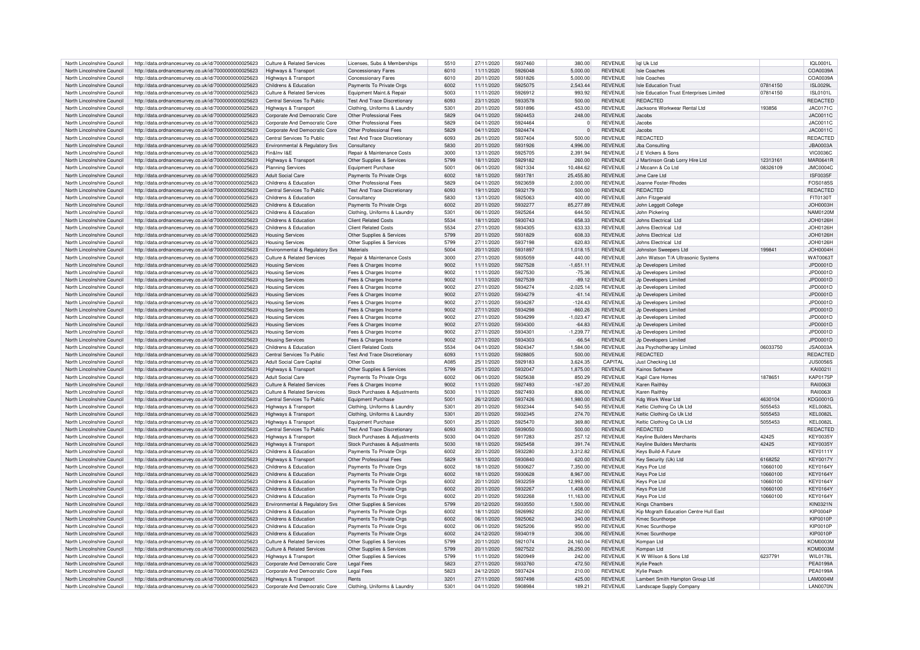| North Lincolnshire Council |                                                                                                              | Culture & Related Services            |                                       | 5510             |            | 5937460 |              |                                  |                                                             |          | 101 00011            |
|----------------------------|--------------------------------------------------------------------------------------------------------------|---------------------------------------|---------------------------------------|------------------|------------|---------|--------------|----------------------------------|-------------------------------------------------------------|----------|----------------------|
|                            | http://data.ordnancesurvey.co.uk/id/7000000000025623                                                         |                                       | Licenses, Subs & Memberships          |                  | 27/11/2020 |         | 380.00       | <b>REVENUE</b>                   | Iql Uk Ltd                                                  |          |                      |
| North Lincolnshire Council | http://data.ordnancesurvey.co.uk/id/7000000000025623                                                         | Highways & Transport                  | <b>Concessionary Fares</b>            | 6010             | 11/11/2020 | 5926048 | 5.000.00     | <b>REVENUE</b>                   | <b>Isle Coaches</b>                                         |          | COA0039A             |
| North Lincolnshire Council | http://data.ordnancesurvey.co.uk/id/7000000000025623                                                         | <b>Highways &amp; Transport</b>       | Concessionary Fares                   | 6010             | 20/11/2020 | 5931826 | 5,000.00     | <b>REVENUE</b>                   | Isle Coaches                                                |          | COA0039A             |
| North Lincolnshire Council | http://data.ordnancesurvey.co.uk/id/7000000000025623                                                         | Childrens & Education                 | Payments To Private Orgs              | 6002             | 11/11/2020 | 5925075 | 2.543.44     | <b>REVENUE</b>                   | <b>Isle Education Trust</b>                                 | 07814150 | ISL0029L             |
| North Lincolnshire Council | http://data.ordnancesurvey.co.uk/id/7000000000025623                                                         | <b>Culture &amp; Related Services</b> | Equipment Maint.& Repair              | 5003             | 11/11/2020 | 5926912 | 993.92       | <b>REVENUE</b>                   | Isle Education Trust Enterprises Limited                    | 07814150 | <b>ISL0101L</b>      |
|                            |                                                                                                              |                                       |                                       |                  |            |         |              |                                  |                                                             |          |                      |
| North Lincolnshire Council | http://data.ordnancesurvey.co.uk/id/7000000000025623                                                         | Central Services To Public            | Test And Trace Discretionary          | 6093             | 23/11/2020 | 5933578 | 500.00       | <b>REVENUE</b>                   | <b>REDACTED</b>                                             |          | <b>REDACTED</b>      |
| North Lincolnshire Council | http://data.ordnancesurvey.co.uk/id/7000000000025623                                                         | Highways & Transport                  | Clothing, Uniforms & Laundry          | 5301             | 20/11/2020 | 5931896 | 453.00       | <b>REVENUE</b>                   | Jacksons Workwear Rental Ltd                                | 193856   | JAC0171C             |
| North Lincolnshire Council | http://data.ordnancesurvey.co.uk/id/7000000000025623                                                         | Corporate And Democratic Core         | Other Professional Fees               | 5829             | 04/11/2020 | 5924453 | 248.00       | <b>REVENUE</b>                   | Jacobs                                                      |          | <b>JAC0011C</b>      |
|                            |                                                                                                              |                                       |                                       |                  |            |         |              |                                  |                                                             |          |                      |
| North Lincolnshire Council | http://data.ordnancesurvey.co.uk/id/7000000000025623                                                         | Corporate And Democratic Core         | Other Professional Fees               | 5829             | 04/11/2020 | 5924464 | $\mathbf{0}$ | <b>REVENUE</b>                   | Jacobs                                                      |          | <b>JAC0011C</b>      |
| North Lincolnshire Council | http://data.ordnancesurvey.co.uk/id/7000000000025623                                                         | Corporate And Democratic Core         | Other Professional Fees               | 5829             | 04/11/2020 | 5924474 | $\mathbf 0$  | <b>REVENUE</b>                   | Jacobs                                                      |          | JAC0011C             |
| North Lincolnshire Council | http://data.ordnancesurvey.co.uk/id/7000000000025623                                                         | Central Services To Public            | <b>Test And Trace Discretionary</b>   | 6093             | 26/11/2020 | 5937404 | 500.00       | <b>REVENUE</b>                   | <b>REDACTED</b>                                             |          | REDACTED             |
| North Lincolnshire Council | http://data.ordnancesurvey.co.uk/id/7000000000025623                                                         | Environmental & Regulatory Svs        | Consultancy                           | 5830             | 20/11/2020 | 5931926 | 4.996.00     | <b>REVENUE</b>                   | Jba Consulting                                              |          | <b>JBA0003A</b>      |
|                            |                                                                                                              |                                       |                                       |                  |            |         |              |                                  |                                                             |          |                      |
| North Lincolnshire Council | http://data.ordnancesurvey.co.uk/id/7000000000025623                                                         | Fin&Inv I&F                           | <b>Repair &amp; Maintenance Costs</b> | 3000             | 13/11/2020 | 5925705 | 2.391.94     | <b>REVENUE</b>                   | <b>IF Vickers &amp; Sons</b>                                |          | <b>VIC0036C</b>      |
| North Lincolnshire Council | http://data.ordnancesurvey.co.uk/id/7000000000025623                                                         | Highways & Transport                  | Other Supplies & Services             | 5799             | 18/11/2020 | 5929182 | 260.00       | <b>REVENUE</b>                   | J Martinson Grab Lorry Hire Ltd                             | 12313161 | MAR0641F             |
| North Lincolnshire Council | http://data.ordnancesurvey.co.uk/id/7000000000025623                                                         | <b>Planning Services</b>              | Equipment Purchase                    | 5001             | 06/11/2020 | 5921334 | 10,484.62    | <b>REVENUE</b>                   | J Mccann & Co Ltd                                           | 08326109 | <b>JMC0004C</b>      |
|                            |                                                                                                              |                                       |                                       |                  |            | 5931781 |              | <b>REVENUE</b>                   | Jme Care Ltd                                                |          |                      |
| North Lincolnshire Council | http://data.ordnancesurvey.co.uk/id/7000000000025623                                                         | <b>Adult Social Care</b>              | Payments To Private Orgs              | 6002             | 18/11/2020 |         | 25,455.80    |                                  |                                                             |          | <b>ISF0035F</b>      |
| North Lincolnshire Council | http://data.ordnancesurvey.co.uk/id/7000000000025623                                                         | Childrens & Education                 | Other Professional Fees               | 5829             | 04/11/2020 | 5923659 | 2.000.00     | <b>REVENUE</b>                   | Joanne Foster-Rhodes                                        |          | FOS0185S             |
| North Lincolnshire Council | http://data.ordnancesurvey.co.uk/id/7000000000025623                                                         | Central Services To Public            | <b>Test And Trace Discretionary</b>   | 6093             | 19/11/2020 | 5932179 | 500.00       | <b>REVENUE</b>                   | <b>REDACTED</b>                                             |          | REDACTED             |
| North Lincolnshire Council | http://data.ordnancesurvey.co.uk/id/7000000000025623                                                         | Childrens & Education                 | Consultancy                           | 5830             | 13/11/2020 | 5925063 | 400.00       | <b>REVENUE</b>                   | John Fitzgerald                                             |          | FIT0130T             |
|                            |                                                                                                              |                                       |                                       |                  |            |         |              |                                  |                                                             |          |                      |
| North Lincolnshire Council | http://data.ordnancesurvey.co.uk/id/7000000000025623                                                         | Childrens & Education                 | Payments To Private Orgs              | 6002             | 20/11/2020 | 5932277 | 85,277.89    | <b>REVENUE</b>                   | John Leggott College                                        |          | JOH0003F             |
| North Lincolnshire Council | http://data.ordnancesurvey.co.uk/id/7000000000025623                                                         | Childrens & Education                 | Clothing, Uniforms & Laundry          | 5301             | 06/11/2020 | 5925264 | 644.50       | <b>REVENUE</b>                   | John Pickering                                              |          | <b>NAM0120N</b>      |
| North Lincolnshire Council | http://data.ordnancesurvey.co.uk/id/7000000000025623                                                         | Childrens & Education                 | <b>Client Related Costs</b>           | 5534             | 18/11/2020 | 5930743 | 658.33       | <b>REVENUE</b>                   | Johns Electrical Ltd                                        |          | <b>JOH0126H</b>      |
| North Lincolnshire Council | http://data.ordnancesurvey.co.uk/id/7000000000025623                                                         | Childrens & Education                 | <b>Client Related Costs</b>           | 5534             | 27/11/2020 | 5934305 | 633.33       | <b>REVENUE</b>                   | Johns Flectrical Ltd                                        |          | JOH0126H             |
|                            |                                                                                                              |                                       |                                       |                  |            |         |              |                                  |                                                             |          |                      |
| North Lincolnshire Council | http://data.ordnancesurvey.co.uk/id/7000000000025623                                                         | <b>Housing Services</b>               | Other Supplies & Services             | 5799             | 20/11/2020 | 5931829 | 608.33       | <b>REVENUE</b>                   | Johns Electrical Ltd                                        |          | JOH0126H             |
| North Lincolnshire Council | http://data.ordnancesurvey.co.uk/id/7000000000025623                                                         | <b>Housing Services</b>               | Other Supplies & Services             | 5799             | 27/11/2020 | 5937198 | 620.83       | <b>REVENUE</b>                   | Johns Electrical Ltd                                        |          | JOH0126H             |
| North Lincolnshire Council | http://data.ordnancesurvey.co.uk/id/7000000000025623                                                         | Environmental & Regulatory Svs        | Materials                             | 5004             | 20/11/2020 | 5931897 | 1,018.15     | <b>REVENUE</b>                   | Johnston Sweepers Ltd                                       | 199841   | JOH0004F             |
|                            |                                                                                                              |                                       |                                       |                  |            | 5935059 |              |                                  |                                                             |          |                      |
| North Lincolnshire Council | http://data.ordnancesurvey.co.uk/id/7000000000025623                                                         | <b>Culture &amp; Related Services</b> | Repair & Maintenance Costs            | 3000             | 27/11/2020 |         | 440.00       | <b>REVENUE</b>                   | John Watson T/A Ultrasonic Systems                          |          | WAT00631             |
| North Lincolnshire Council | http://data.ordnancesurvey.co.uk/id/7000000000025623                                                         | <b>Housing Services</b>               | Fees & Charges Income                 | 9002             | 11/11/2020 | 5927528 | $-1,651.11$  | <b>REVENUE</b>                   | Jp Developers Limited                                       |          | JPD0001D             |
| North Lincolnshire Council | http://data.ordnancesurvey.co.uk/id/7000000000025623                                                         | <b>Housing Services</b>               | Fees & Charges Income                 | 9002             | 11/11/2020 | 5927530 | $-75.36$     | <b>REVENUE</b>                   | Jp Developers Limited                                       |          | JPD0001D             |
| North Lincolnshire Council | http://data.ordnancesurvey.co.uk/id/7000000000025623                                                         | <b>Housing Services</b>               | Fees & Charges Income                 | 9002             | 11/11/2020 | 5927539 | $-89.12$     | <b>REVENUE</b>                   | Jp Developers Limited                                       |          | JPD0001D             |
|                            |                                                                                                              |                                       |                                       |                  |            |         |              |                                  |                                                             |          |                      |
| North Lincolnshire Council | http://data.ordnancesurvey.co.uk/id/7000000000025623                                                         | <b>Housing Services</b>               | Fees & Charges Income                 | 9002             | 27/11/2020 | 5934274 | $-2.025.14$  | <b>REVENUE</b>                   | Jp Developers Limited                                       |          | JPD0001D             |
| North Lincolnshire Council | http://data.ordnancesurvey.co.uk/id/7000000000025623                                                         | <b>Housing Services</b>               | Fees & Charges Income                 | 9002             | 27/11/2020 | 5934279 | $-61.14$     | <b>REVENUE</b>                   | Jn Developers Limited                                       |          | JPD0001D             |
| North Lincolnshire Council | http://data.ordnancesurvey.co.uk/id/7000000000025623                                                         | <b>Housing Services</b>               | Fees & Charges Income                 | 9002             | 27/11/2020 | 5934287 | $-124.43$    | <b>REVENUE</b>                   | Jn Developers Limited                                       |          | JPD0001D             |
|                            |                                                                                                              |                                       |                                       |                  |            |         |              |                                  |                                                             |          |                      |
| North Lincolnshire Council | http://data.ordnancesurvey.co.uk/id/7000000000025623                                                         | <b>Housing Services</b>               | Fees & Charges Income                 | 9002             | 27/11/2020 | 5934298 | $-860.26$    | <b>REVENUE</b>                   | Jp Developers Limited                                       |          | JPD0001D             |
| North Lincolnshire Council | http://data.ordnancesurvey.co.uk/id/7000000000025623                                                         | <b>Housing Services</b>               | Fees & Charges Income                 | 9002             | 27/11/2020 | 5934299 | $-1,023.47$  | <b>REVENUE</b>                   | Jp Developers Limited                                       |          | JPD0001D             |
| North Lincolnshire Council | http://data.ordnancesurvey.co.uk/id/7000000000025623                                                         | <b>Housing Services</b>               | Fees & Charges Income                 | 9002             | 27/11/2020 | 5934300 | $-64.83$     | <b>REVENUE</b>                   | Jp Developers Limited                                       |          | JPD0001D             |
| North Lincolnshire Council | http://data.ordnancesurvey.co.uk/id/7000000000025623                                                         | <b>Housing Services</b>               | Fees & Charges Income                 | 9002             | 27/11/2020 | 5934301 | $-1.239.77$  | <b>REVENUE</b>                   | Jn Developers Limited                                       |          | JPD0001D             |
|                            |                                                                                                              |                                       |                                       |                  |            |         |              |                                  |                                                             |          |                      |
| North Lincolnshire Council | http://data.ordnancesurvey.co.uk/id/7000000000025623                                                         | <b>Housing Services</b>               | Fees & Charges Income                 | 9002             | 27/11/2020 | 5934303 | $-66.54$     | <b>REVENUE</b>                   | Jp Developers Limited                                       |          | JPD0001D             |
| North Lincolnshire Council | http://data.ordnancesurvey.co.uk/id/7000000000025623                                                         | Childrens & Education                 | <b>Client Related Costs</b>           | 5534             | 04/11/2020 | 5924347 | 1,584.00     | <b>REVENUE</b>                   | Jsa Psychotherapy Limited                                   | 06033750 | <b>JSA0003A</b>      |
| North Lincolnshire Council | http://data.ordnancesurvey.co.uk/id/7000000000025623                                                         | Central Services To Public            | Test And Trace Discretionary          | 6093             | 11/11/2020 | 5928805 | 500.00       | <b>REVENUE</b>                   | <b>REDACTED</b>                                             |          | REDACTED             |
|                            |                                                                                                              |                                       |                                       | A085             |            | 5929183 |              | CAPITAL                          |                                                             |          |                      |
| North Lincolnshire Council | http://data.ordnancesurvey.co.uk/id/7000000000025623                                                         | <b>Adult Social Care Capital</b>      | Other Costs                           |                  | 25/11/2020 |         | 3,624.35     |                                  | Just Checking Ltd                                           |          | <b>JUS0056S</b>      |
| North Lincolnshire Council |                                                                                                              |                                       | Other Supplies & Services             |                  |            |         |              | <b>REVENUE</b>                   | Kainos Software                                             |          |                      |
|                            | http://data.ordnancesurvey.co.uk/id/7000000000025623                                                         | Highways & Transport                  |                                       | 5799             | 25/11/2020 | 5932047 | 1.875.00     |                                  |                                                             |          | KAI0021I             |
| North Lincolnshire Council |                                                                                                              | <b>Adult Social Care</b>              |                                       |                  | 06/11/2020 | 5925638 |              | <b>REVENUE</b>                   |                                                             | 1878651  |                      |
|                            | http://data.ordnancesurvey.co.uk/id/7000000000025623                                                         |                                       | Payments To Private Orgs              | 6002             |            |         | 850.29       |                                  | Kapil Care Homes                                            |          | <b>KAP0175F</b>      |
| North Lincolnshire Council | http://data.ordnancesurvey.co.uk/id/7000000000025623                                                         | <b>Culture &amp; Related Services</b> | Fees & Charges Income                 | 9002             | 11/11/2020 | 5927493 | $-167.20$    | <b>REVENUE</b>                   | Karen Raithb                                                |          | RAI0063I             |
| North Lincolnshire Council | http://data.ordnancesurvey.co.uk/id/7000000000025623                                                         | <b>Culture &amp; Related Services</b> | Stock Purchases & Adjustments         | 5030             | 11/11/2020 | 5927493 | 836.00       | <b>REVENUE</b>                   | Karen Raithby                                               |          | RAI0063I             |
| North Lincolnshire Council | http://data.ordnancesurvey.co.uk/id/7000000000025623                                                         | Central Services To Public            | <b>Equipment Purchase</b>             | 5001             | 26/12/2020 | 5937426 | 1,980.00     | <b>REVENUE</b>                   | Kdg Work Wear Ltd                                           | 4630104  | <b>KDG0001G</b>      |
| North Lincolnshire Council | http://data.ordnancesurvey.co.uk/id/7000000000025623                                                         | <b>Highways &amp; Transport</b>       | Clothing, Uniforms & Laundry          | 5301             | 20/11/2020 | 5932344 | 540.55       | <b>REVENUE</b>                   | Keltic Clothing Co Uk Ltd                                   | 5055453  | <b>KEL0082L</b>      |
|                            |                                                                                                              |                                       |                                       |                  |            |         |              |                                  |                                                             |          |                      |
| North Lincolnshire Council | http://data.ordnancesurvey.co.uk/id/7000000000025623                                                         | Highways & Transport                  | Clothing, Uniforms & Laundry          | 5301             | 20/11/2020 | 5932345 | 274.70       | <b>REVENUE</b>                   | Keltic Clothing Co Uk Ltd                                   | 5055453  | <b>KEL0082L</b>      |
| North Lincolnshire Council | http://data.ordnancesurvey.co.uk/id/7000000000025623                                                         | Highways & Transport                  | Equipment Purchase                    | 5001             | 25/11/2020 | 5925470 | 369.80       | <b>REVENUE</b>                   | Keltic Clothing Co Uk Ltd                                   | 5055453  | <b>KEL0082L</b>      |
| North Lincolnshire Council | http://data.ordnancesurvey.co.uk/id/7000000000025623                                                         | Central Services To Public            | <b>Test And Trace Discretionary</b>   | 6093             | 30/11/2020 | 5939050 | 500.00       | <b>REVENUE</b>                   | <b>REDACTED</b>                                             |          | REDACTED             |
| North Lincolnshire Council | http://data.ordnancesurvey.co.uk/id/7000000000025623                                                         | Highways & Transport                  | Stock Purchases & Adjustments         | 5030             | 04/11/2020 | 5917283 | 257.12       | <b>REVENUE</b>                   | Keyline Builders Merchants                                  | 42425    | <b>KEY0035Y</b>      |
|                            |                                                                                                              |                                       |                                       |                  |            |         |              |                                  |                                                             |          |                      |
| North Lincolnshire Council | http://data.ordnancesurvey.co.uk/id/7000000000025623                                                         | Highways & Transport                  | Stock Purchases & Adjustments         | 5030             | 18/11/2020 | 5925458 | 391.74       | <b>REVENUE</b>                   | Keyline Builders Merchants                                  | 42425    | <b>KEY0035Y</b>      |
| North Lincolnshire Council | http://data.ordnancesurvey.co.uk/id/7000000000025623                                                         | Childrens & Education                 | Payments To Private Orgs              | 6002             | 20/11/2020 | 5932280 | 3,312.82     | <b>REVENUE</b>                   | Keys Build-A Future                                         |          | <b>KFY0111Y</b>      |
| North Lincolnshire Council | http://data.ordnancesurvey.co.uk/id/7000000000025623                                                         | Highways & Transport                  | Other Professional Fees               | 5829             | 18/11/2020 | 5930840 | 620.00       | <b>REVENUE</b>                   | Key Security (Uk) Ltd                                       | 6168252  | <b>KFY0017Y</b>      |
|                            |                                                                                                              |                                       |                                       |                  | 18/11/2020 |         |              |                                  |                                                             | 10660100 |                      |
| North Lincolnshire Council | http://data.ordnancesurvey.co.uk/id/7000000000025623                                                         | Childrens & Education                 | Payments To Private Orgs              | 6002             |            | 5930627 | 7,350.00     | <b>REVENUE</b>                   | Keys Pce Ltd                                                |          | <b>KEY0164Y</b>      |
| North Lincolnshire Council | http://data.ordnancesurvey.co.uk/id/7000000000025623                                                         | Childrens & Education                 | Payments To Private Orgs              | 6002             | 18/11/2020 | 5930628 | 8.967.00     | <b>REVENUE</b>                   | Keys Pce Ltd                                                | 10660100 | KFY0164\             |
| North Lincolnshire Council | http://data.ordnancesurvey.co.uk/id/7000000000025623                                                         | Childrens & Education                 | Payments To Private Orgs              | 6002             | 20/11/2020 | 5932259 | 12.993.00    | <b>REVENUE</b>                   | Kevs Pce Ltd                                                | 10660100 | KFY0164\             |
| North Lincolnshire Council | http://data.ordnancesurvey.co.uk/id/7000000000025623                                                         | Childrens & Education                 | Payments To Private Orgs              | 6002             | 20/11/2020 | 5932267 | 1,408.00     | <b>REVENUE</b>                   | Keys Pce Ltd                                                | 10660100 | <b>KEY0164Y</b>      |
|                            |                                                                                                              |                                       |                                       |                  |            |         |              |                                  |                                                             |          |                      |
| North Lincolnshire Council | http://data.ordnancesurvey.co.uk/id/7000000000025623                                                         | Childrens & Education                 | Payments To Private Orgs              | 6002             | 20/11/2020 | 5932268 | 11.163.00    | <b>REVENUE</b>                   | Keys Pce Ltd                                                | 10660100 | <b>KEY0164Y</b>      |
| North Lincolnshire Council | http://data.ordnancesurvey.co.uk/id/7000000000025623                                                         | Environmental & Regulatory Svs        | Other Supplies & Services             | 5799             | 20/12/2020 | 5933550 | 1,500.00     | <b>REVENUE</b>                   | <b>Kings Chambers</b>                                       |          | <b>KIN0321N</b>      |
| North Lincolnshire Council | http://data.ordnancesurvey.co.uk/id/7000000000025623                                                         | Childrens & Education                 | Payments To Private Orgs              | 6002             | 18/11/2020 | 5926992 | 252.00       | <b>REVENUE</b>                   | Kip Mcgrath Education Centre Hull Eas                       |          | KIP0004P             |
| North Lincolnshire Council | http://data.ordnancesurvey.co.uk/id/7000000000025623                                                         | Childrens & Education                 | Payments To Private Orgs              | 6002             | 06/11/2020 | 5925062 | 340.00       | <b>REVENUE</b>                   | Kmec Scunthorne                                             |          | <b>KIP0010P</b>      |
|                            |                                                                                                              |                                       |                                       |                  |            | 5925206 |              | <b>REVENUE</b>                   |                                                             |          |                      |
| North Lincolnshire Council | http://data.ordnancesurvey.co.uk/id/7000000000025623                                                         | Childrens & Education                 | Payments To Private Orgs              | 6002             | 06/11/2020 |         | 950.00       |                                  | Kmec Scunthorne                                             |          | <b>KIP0010P</b>      |
| North Lincolnshire Council | http://data.ordnancesurvey.co.uk/id/7000000000025623                                                         | Childrens & Education                 | Payments To Private Orgs              | 6002             | 24/12/2020 | 5934019 | 306.00       | <b>REVENUE</b>                   | Kmec Scunthorpe                                             |          | <b>KIP0010P</b>      |
| North Lincolnshire Council | http://data.ordnancesurvey.co.uk/id/7000000000025623                                                         | Culture & Related Services            | Other Supplies & Services             | 5799             | 20/11/2020 | 5921074 | 24.160.04    | <b>REVENUE</b>                   | Kompan I to                                                 |          | <b>KOM0003I</b>      |
|                            |                                                                                                              |                                       |                                       | 5799             |            | 5927522 |              | <b>REVENUE</b>                   |                                                             |          |                      |
| North Lincolnshire Council | http://data.ordnancesurvey.co.uk/id/7000000000025623                                                         | <b>Culture &amp; Related Services</b> | Other Supplies & Services             |                  | 20/11/2020 |         | 26,250.00    |                                  | Kompan Ltd                                                  |          | <b>KOM0003M</b>      |
| North Lincolnshire Council | http://data.ordnancesurvey.co.uk/id/7000000000025623                                                         | <b>Highways &amp; Transport</b>       | Other Supplies & Services             | 5799             | 11/11/2020 | 5920949 | 242.00       | <b>REVENUE</b>                   | K W Wilson & Sons Ltd                                       | 6237791  | <b>WIL0178L</b>      |
| North Lincolnshire Council | http://data.ordnancesurvey.co.uk/id/7000000000025623                                                         | Corporate And Democratic Core         | <b>Legal Fees</b>                     | 5823             | 27/11/2020 | 5933760 | 472.50       | <b>REVENUE</b>                   | Kylie Peach                                                 |          | <b>PEA0199A</b>      |
| North Lincolnshire Council | http://data.ordnancesurvey.co.uk/id/7000000000025623                                                         | Corporate And Democratic Core         | <b>Legal Fees</b>                     | 5823             | 24/12/2020 | 5937424 | 210.00       | <b>REVENUE</b>                   | Kylie Peach                                                 |          | <b>PEA0199A</b>      |
| North Lincolnshire Council |                                                                                                              | Highways & Transport                  | Rents                                 | 320 <sup>1</sup> | 27/11/2020 | 5937498 | 425.00       |                                  |                                                             |          |                      |
| North Lincolnshire Council | http://data.ordnancesurvey.co.uk/id/7000000000025623<br>http://data.ordnancesurvey.co.uk/id/7000000000025623 | Corporate And Democratic Core         | Clothing, Uniforms & Laundry          | 5301             | 04/11/2020 | 5908984 | 189.21       | <b>REVENUE</b><br><b>REVENUE</b> | Lambert Smith Hampton Group Ltd<br>Landscape Supply Company |          | LAM0004M<br>LAN0070N |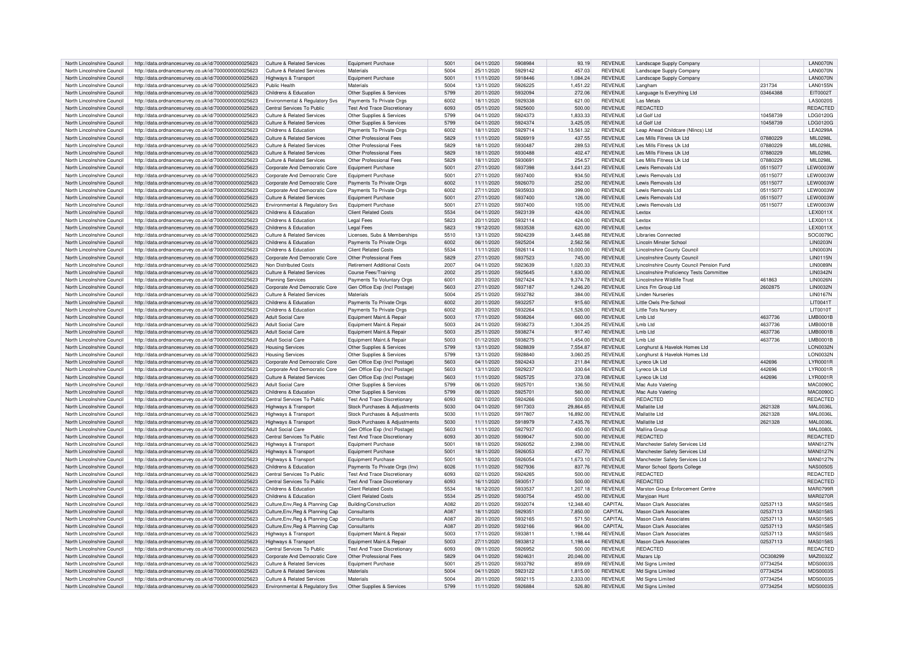| North Lincolnshire Council | http://data.ordnancesurvey.co.uk/id/7000000000025623 | Culture & Related Services            | Equipment Purchase                  | 5001 | 04/11/2020 | 5908984 | 93.19     | <b>REVENUE</b> | Landscape Supply Company                        |          | <b>LAN0070N</b>  |
|----------------------------|------------------------------------------------------|---------------------------------------|-------------------------------------|------|------------|---------|-----------|----------------|-------------------------------------------------|----------|------------------|
| North Lincolnshire Council |                                                      | <b>Culture &amp; Related Services</b> | Materials                           | 5004 | 25/11/2020 | 5929142 | 457.03    | <b>REVENUE</b> |                                                 |          | LAN0070N         |
|                            | http://data.ordnancesurvey.co.uk/id/7000000000025623 |                                       |                                     |      |            |         |           |                | Landscape Supply Company                        |          |                  |
| North Lincolnshire Council | http://data.ordnancesurvey.co.uk/id/7000000000025623 | <b>Highways &amp; Transport</b>       | Equipment Purchase                  | 5001 | 11/11/2020 | 5918446 | 1.084.24  | <b>REVENUE</b> | Landscape Supply Company                        |          | LAN0070N         |
| North Lincolnshire Council | http://data.ordnancesurvey.co.uk/id/7000000000025623 | Public Health                         | Materials                           | 5004 | 13/11/2020 | 5926225 | 1,451.22  | <b>REVENUE</b> | Langham                                         | 231734   | <b>LAN0155N</b>  |
| North Lincolnshire Council | http://data.ordnancesurvey.co.uk/id/7000000000025623 | Childrens & Education                 | Other Supplies & Services           | 5799 | 20/11/2020 | 5932094 | 272.06    | <b>REVENUE</b> | Language Is Everything Ltd                      | 03464388 | EIT0002T         |
| North Lincolnshire Council | http://data.ordnancesurvey.co.uk/id/7000000000025623 | Environmental & Regulatory Svs        | Payments To Private Orgs            | 6002 | 18/11/2020 | 5929338 | 621.00    | <b>REVENUE</b> | Las Metals                                      |          | <b>LAS0020S</b>  |
|                            |                                                      |                                       |                                     |      |            |         |           |                | <b>REDACTED</b>                                 |          |                  |
| North Lincolnshire Council | http://data.ordnancesurvey.co.uk/id/7000000000025623 | Central Services To Public            | <b>Test And Trace Discretionary</b> | 6093 | 05/11/2020 | 5925600 | 500.00    | <b>REVENUE</b> |                                                 |          | REDACTED         |
| North Lincolnshire Council | http://data.ordnancesurvey.co.uk/id/7000000000025623 | Culture & Related Services            | Other Supplies & Services           | 5799 | 04/11/2020 | 5924373 | 1,833.33  | <b>REVENUE</b> | Ld Golf Ltd                                     | 10458739 | LDG0120G         |
| North Lincolnshire Council | http://data.ordnancesurvey.co.uk/id/7000000000025623 | Culture & Related Services            | Other Supplies & Services           | 5799 | 04/11/2020 | 5924374 | 3,425.05  | <b>REVENUE</b> | I d Golf I to                                   | 10458739 | LDG0120G         |
| North Lincolnshire Council | http://data.ordnancesurvey.co.uk/id/7000000000025623 | Childrens & Education                 | Payments To Private Orgs            | 6002 | 18/11/2020 | 5929714 | 13,561.32 | <b>REVENUE</b> | Leap Ahead Childcare (Nlincs) Ltd               |          | <b>LEA0299A</b>  |
| North Lincolnshire Council |                                                      | <b>Culture &amp; Related Services</b> | Other Professional Fees             | 5829 | 11/11/2020 | 5926919 | 437.55    | <b>REVENUE</b> | Les Mills Fitness Uk Ltd                        | 07880229 | MIL0298L         |
|                            | http://data.ordnancesurvey.co.uk/id/7000000000025623 |                                       |                                     |      |            |         |           |                |                                                 |          |                  |
| North Lincolnshire Council | http://data.ordnancesurvey.co.uk/id/7000000000025623 | Culture & Related Services            | Other Professional Fees             | 5829 | 18/11/2020 | 5930487 | 289.53    | <b>REVENUE</b> | Les Mills Fitness Lik Ltd                       | 07880229 | MIL0298L         |
| North Lincolnshire Council | http://data.ordnancesurvey.co.uk/id/7000000000025623 | <b>Culture &amp; Related Services</b> | Other Professional Fees             | 5829 | 18/11/2020 | 5930488 | 402.47    | <b>REVENUE</b> | Les Mills Fitness Uk Ltd                        | 07880229 | MIL0298L         |
| North Lincolnshire Council | http://data.ordnancesurvey.co.uk/id/7000000000025623 | Culture & Related Services            | Other Professional Fees             | 5829 | 18/11/2020 | 5930691 | 254.57    | <b>REVENUE</b> | Les Mills Fitness Uk Ltd                        | 07880229 | MII 0298I        |
| North Lincolnshire Council | http://data.ordnancesurvey.co.uk/id/7000000000025623 | Corporate And Democratic Core         | Equipment Purchase                  | 5001 | 27/11/2020 | 5937398 | 3,641.23  | <b>REVENUE</b> | Lewis Removals Ltd                              | 05115077 | <b>LEW0003W</b>  |
|                            |                                                      |                                       |                                     | 5001 |            | 5937400 |           | <b>REVENUE</b> | Lewis Removals Ltd                              |          | <b>I EW0003W</b> |
| North Lincolnshire Council | http://data.ordnancesurvey.co.uk/id/7000000000025623 | Corporate And Democratic Core         | Equipment Purchase                  |      | 27/11/2020 |         | 934.50    |                |                                                 | 05115077 |                  |
| North Lincolnshire Council | http://data.ordnancesurvey.co.uk/id/7000000000025623 | Corporate And Democratic Core         | Payments To Private Orgs            | 6002 | 11/11/2020 | 5926070 | 252.00    | <b>REVENUE</b> | Lewis Removals Ltd                              | 05115077 | <b>I EW0003W</b> |
| North Lincolnshire Council | http://data.ordnancesurvey.co.uk/id/7000000000025623 | Corporate And Democratic Core         | Payments To Private Orgs            | 6002 | 27/11/2020 | 5935933 | 399.00    | <b>REVENUE</b> | Lewis Removals Ltd                              | 05115077 | <b>I EW0003W</b> |
| North Lincolnshire Council | http://data.ordnancesurvey.co.uk/id/7000000000025623 | <b>Culture &amp; Related Services</b> | <b>Equipment Purchase</b>           | 500  | 27/11/2020 | 5937400 | 126.00    | <b>REVENUE</b> | Lewis Removals Ltd                              | 05115077 | <b>LEW0003W</b>  |
| North Lincolnshire Council | http://data.ordnancesurvey.co.uk/id/7000000000025623 | Environmental & Regulatory Sys        | <b>Foujoment Purchase</b>           | 5001 | 27/11/2020 | 5937400 | 105.00    | <b>REVENUE</b> | Lewis Removals Ltd                              | 05115077 | LEW0003W         |
|                            |                                                      |                                       |                                     |      |            |         |           |                |                                                 |          |                  |
| North Lincolnshire Council | http://data.ordnancesurvey.co.uk/id/7000000000025623 | Childrens & Education                 | <b>Client Related Costs</b>         | 5534 | 04/11/2020 | 5923139 | 424.00    | <b>REVENUE</b> | Lextox                                          |          | <b>I EX0011X</b> |
| North Lincolnshire Council | http://data.ordnancesurvey.co.uk/id/7000000000025623 | Childrens & Education                 | <b>Legal Fees</b>                   | 5823 | 20/11/2020 | 5932114 | 424.00    | <b>REVENUE</b> | Lexton                                          |          | <b>LEX0011X</b>  |
| North Lincolnshire Council | http://data.ordnancesurvey.co.uk/id/7000000000025623 | Childrens & Education                 | <b>Legal Fees</b>                   | 5823 | 19/12/2020 | 5933538 | 620.00    | <b>REVENUE</b> | Lexto>                                          |          | LEX0011X         |
| North Lincolnshire Council | http://data.ordnancesurvey.co.uk/id/7000000000025623 | Culture & Related Services            | Licenses, Subs & Memberships        | 5510 | 13/11/2020 | 5924239 | 3.445.88  | <b>REVENUE</b> | Libraries Connected                             |          | SOC0079C         |
|                            |                                                      |                                       |                                     |      |            |         |           |                |                                                 |          |                  |
| North Lincolnshire Council | http://data.ordnancesurvey.co.uk/id/7000000000025623 | Childrens & Education                 | Payments To Private Orgs            | 6002 | 06/11/2020 | 5925204 | 2,562.56  | <b>REVENUE</b> | Lincoln Minster Schoo                           |          | <b>LIN0203N</b>  |
| North Lincolnshire Council | http://data.ordnancesurvey.co.uk/id/7000000000025623 | Childrens & Education                 | <b>Client Related Costs</b>         | 5534 | 11/11/2020 | 5926114 | 10.000.00 | <b>REVENUE</b> | Lincolnshire County Council                     |          | <b>LIN0003N</b>  |
| North Lincolnshire Council | http://data.ordnancesurvey.co.uk/id/7000000000025623 | Corporate And Democratic Core         | Other Professional Fees             | 5829 | 27/11/2020 | 5937523 | 745.00    | <b>REVENUE</b> | <b>Lincolnshire County Council</b>              |          | <b>I IN0115N</b> |
| North Lincolnshire Council | http://data.ordnancesurvey.co.uk/id/7000000000025623 | Non Distributed Costs                 | <b>Retirement Additional Costs</b>  | 2007 | 04/11/2020 | 5923639 | 1,020.33  | <b>REVENUE</b> | Lincolnshire County Council Pension Fund        |          | <b>LIN0089N</b>  |
|                            |                                                      |                                       |                                     |      |            |         |           |                |                                                 |          |                  |
| North Lincolnshire Council | http://data.ordnancesurvey.co.uk/id/7000000000025623 | <b>Culture &amp; Related Services</b> | Course Fees/Training                | 2002 | 25/11/2020 | 5925645 | 1,630.00  | <b>REVENUE</b> | <b>Lincolnshire Proficiency Tests Committee</b> |          | <b>LIN0342N</b>  |
| North Lincolnshire Council | http://data.ordnancesurvey.co.uk/id/7000000000025623 | <b>Planning Services</b>              | Payments To Voluntary Orgs          | 6001 | 20/11/2020 | 5927424 | 9,374.78  | <b>REVENUE</b> | Lincolnshire Wildlife Trust                     | 461863   | <b>LIN0026N</b>  |
| North Lincolnshire Council | http://data.ordnancesurvey.co.uk/id/7000000000025623 | Corporate And Democratic Core         | Gen Office Exp (Incl Postage)       | 5603 | 27/11/2020 | 5937187 | 1,246.20  | <b>REVENUE</b> | Lincs Fm Group Ltd                              | 2602875  | <b>LIN0032N</b>  |
| North Lincolnshire Council | http://data.ordnancesurvey.co.uk/id/7000000000025623 | Culture & Related Services            | Materials                           | 5004 | 25/11/2020 | 5932782 | 384.00    | <b>REVENUE</b> | Linden Nurseries                                |          | <b>LIN0167N</b>  |
|                            |                                                      |                                       |                                     |      |            |         |           |                |                                                 |          |                  |
| North Lincolnshire Council | http://data.ordnancesurvey.co.uk/id/7000000000025623 | Childrens & Education                 | Payments To Private Orgs            | 6002 | 20/11/2020 | 5932257 | 915.60    | <b>REVENUE</b> | Little Owls Pre-School                          |          | LIT0041T         |
| North Lincolnshire Council | http://data.ordnancesurvey.co.uk/id/7000000000025623 | Childrens & Education                 | Payments To Private Orgs            | 6002 | 20/11/2020 | 5932264 | 1,526.00  | <b>REVENUE</b> | <b>Little Tots Nursery</b>                      |          | <b>LIT0010T</b>  |
| North Lincolnshire Council | http://data.ordnancesurvey.co.uk/id/7000000000025623 | <b>Adult Social Care</b>              | Equipment Maint.& Repair            | 5003 | 17/11/2020 | 5938264 | 660.00    | <b>REVENUE</b> | Lmb Ltd                                         | 4637736  | LMB0001B         |
| North Lincolnshire Council | http://data.ordnancesurvey.co.uk/id/7000000000025623 | <b>Adult Social Care</b>              | Equipment Maint.& Repair            | 5003 | 24/11/2020 | 5938273 | 1.304.25  | <b>REVENUE</b> | Lmb Ltd                                         | 4637736  | <b>LMB0001B</b>  |
|                            |                                                      |                                       |                                     |      |            |         |           |                | I mb I td                                       |          | <b>I MB0001B</b> |
| North Lincolnshire Council | http://data.ordnancesurvey.co.uk/id/7000000000025623 | Adult Social Care                     | Equipment Maint.& Repair            | 5003 | 25/11/2020 | 5938274 | 917.40    | <b>REVENUE</b> |                                                 | 4637736  |                  |
| North Lincolnshire Council | http://data.ordnancesurvey.co.uk/id/7000000000025623 | <b>Adult Social Care</b>              | Equipment Maint.& Repair            | 5003 | 01/12/2020 | 5938275 | 1,454.00  | <b>REVENUE</b> | I mb I td                                       | 4637736  | LMB0001B         |
| North Lincolnshire Council | http://data.ordnancesurvey.co.uk/id/7000000000025623 | <b>Housing Services</b>               | Other Supplies & Services           | 5799 | 13/11/2020 | 5928839 | 7,554.87  | <b>REVENUE</b> | Longburst & Havelok Homes Ltd                   |          | <b>LON0032M</b>  |
| North Lincolnshire Council | http://data.ordnancesurvey.co.uk/id/7000000000025623 | <b>Housing Services</b>               | Other Supplies & Services           | 5799 | 13/11/2020 | 5928840 | 3,060.25  | REVENUE        | Longhurst & Havelok Homes Ltd                   |          | LON0032M         |
|                            | http://data.ordnancesurvey.co.uk/id/7000000000025623 |                                       | Gen Office Exp (Incl Postage)       | 5603 | 04/11/2020 | 5924243 | 211.84    | <b>REVENUE</b> | Lyreco Uk Ltd                                   | 442696   | <b>LYR0001R</b>  |
| North Lincolnshire Council |                                                      | Corporate And Democratic Core         |                                     |      |            |         |           |                |                                                 |          |                  |
| North Lincolnshire Council | http://data.ordnancesurvey.co.uk/id/7000000000025623 | Corporate And Democratic Core         | Gen Office Exp (Incl Postage)       | 5603 | 13/11/2020 | 5929237 | 330.64    | <b>REVENUE</b> | I vreco Uk I to                                 | 442696   | <b>LYR0001R</b>  |
| North Lincolnshire Council | http://data.ordnancesurvey.co.uk/id/7000000000025623 | Culture & Related Services            | Gen Office Exp (Incl Postage)       | 5603 | 11/11/2020 | 5925725 | 373.08    | <b>REVENUE</b> | Lyreco Uk Ltd                                   | 442696   | <b>LYR0001R</b>  |
| North Lincolnshire Council | http://data.ordnancesurvey.co.uk/id/7000000000025623 | <b>Adult Social Care</b>              | Other Supplies & Services           | 5799 | 06/11/2020 | 5925701 | 136.50    | <b>REVENUE</b> | Mac Auto Valetino                               |          | <b>MAC0090C</b>  |
| North Lincolnshire Council | http://data.ordnancesurvey.co.uk/id/7000000000025623 | Childrens & Education                 | Other Supplies & Services           | 5799 | 06/11/2020 | 5925701 | 560.00    | REVENUE        | Mac Auto Valeting                               |          | <b>MAC0090C</b>  |
|                            |                                                      |                                       |                                     |      |            |         |           |                |                                                 |          |                  |
| North Lincolnshire Council | http://data.ordnancesurvey.co.uk/id/7000000000025623 | Central Services To Public            | <b>Test And Trace Discretionary</b> | 6093 | 02/11/2020 | 5924266 | 500.00    | <b>REVENUE</b> | <b>REDACTED</b>                                 |          | <b>REDACTED</b>  |
| North Lincolnshire Council | http://data.ordnancesurvey.co.uk/id/7000000000025623 | Highways & Transport                  | Stock Purchases & Adiustments       | 5030 | 04/11/2020 | 5917303 | 29.864.65 | <b>REVENUE</b> | Mallatite Ltd                                   | 2621328  | <b>MAL0036L</b>  |
| North Lincolnshire Council | http://data.ordnancesurvey.co.uk/id/7000000000025623 | Highways & Transport                  | Stock Purchases & Adjustments       | 5030 | 11/11/2020 | 5917807 | 16,892.00 | <b>REVENUE</b> | Mallatite Ltd                                   | 2621328  | <b>MAL0036L</b>  |
| North Lincolnshire Council | http://data.ordnancesurvey.co.uk/id/7000000000025623 | Highways & Transport                  | Stock Purchases & Adjustments       | 5030 | 11/11/2020 | 5918979 | 7,435.76  | <b>REVENUE</b> | Mallatite I td                                  | 2621328  | MAI 0036L        |
|                            |                                                      |                                       |                                     |      |            |         |           |                |                                                 |          |                  |
| North Lincolnshire Council | http://data.ordnancesurvey.co.uk/id/7000000000025623 | <b>Adult Social Care</b>              | Gen Office Exp (Incl Postage)       | 5603 | 11/11/2020 | 5927937 | 450.00    | <b>REVENUE</b> | Mallina Group                                   |          | <b>MAL0080L</b>  |
| North Lincolnshire Council | http://data.ordnancesurvey.co.uk/id/7000000000025623 | Central Services To Public            | <b>Test And Trace Discretionary</b> | 6093 | 30/11/2020 | 5939047 | 500.00    | <b>REVENUE</b> | <b>REDACTED</b>                                 |          | REDACTED         |
| North Lincolnshire Council | http://data.ordnancesurvey.co.uk/id/7000000000025623 | Highways & Transport                  | Foujoment Purchase                  | 5001 | 18/11/2020 | 5926052 | 2,398.00  | <b>REVENUE</b> | Manchester Safety Services Ltd                  |          | <b>MAN0127N</b>  |
| North Lincolnshire Council | http://data.ordnancesurvey.co.uk/id/7000000000025623 | Highways & Transport                  | Equipment Purchase                  | 5001 | 18/11/2020 | 5926053 | 457.70    | <b>REVENUE</b> | Manchester Safety Services Ltd                  |          | <b>MAN0127N</b>  |
| North Lincolnshire Council | http://data.ordnancesurvey.co.uk/id/7000000000025623 | Highways & Transport                  | Equipment Purchase                  | 500  | 18/11/2020 | 5926054 | 1.673.10  | <b>REVENUE</b> | Manchester Safety Services Ltd                  |          | <b>MAN0127N</b>  |
|                            |                                                      |                                       |                                     |      |            |         |           |                |                                                 |          |                  |
| North Lincolnshire Council | http://data.ordnancesurvey.co.uk/id/7000000000025623 | Childrens & Education                 | Payments To Private Orgs (Inv)      | 6026 | 11/11/2020 | 5927936 | 837.76    | <b>REVENUE</b> | Manor School Sports College                     |          | <b>NAS0050S</b>  |
| North Lincolnshire Council | http://data.ordnancesurvey.co.uk/id/7000000000025623 | Central Services To Public            | <b>Test And Trace Discretionar</b>  | 6093 | 02/11/2020 | 5924265 | 500.00    | <b>REVENUE</b> | REDACTED                                        |          | REDACTED         |
| North Lincolnshire Council | http://data.ordnancesurvey.co.uk/id/7000000000025623 | Central Services To Public            | <b>Test And Trace Discretionary</b> | 6093 | 16/11/2020 | 5930517 | 500.00    | <b>REVENUE</b> | <b>REDACTED</b>                                 |          | REDACTED         |
| North Lincolnshire Council | http://data.ordnancesurvey.co.uk/id/7000000000025623 | Childrens & Education                 | Client Related Costs                | 5534 | 18/12/2020 | 5933537 | 1,207.18  | <b>REVENUE</b> | Marston Group Enforcement Centre                |          | <b>MAR0799R</b>  |
| North Lincolnshire Council | http://data.ordnancesurvey.co.uk/id/7000000000025623 | Childrens & Education                 | <b>Client Related Costs</b>         | 5534 | 25/11/2020 | 5930754 | 450.00    | <b>REVENUE</b> | Maryjoan Hunt                                   |          | <b>MAR0270R</b>  |
|                            |                                                      |                                       |                                     |      |            |         |           |                |                                                 |          |                  |
| North Lincolnshire Council | http://data.ordnancesurvey.co.uk/id/7000000000025623 | Culture, Env, Reg & Planning Cap      | Building/Construction               | A082 | 20/11/2020 | 5932074 | 12,348.40 | CAPITAL        | Mason Clark Associates                          | 02537113 | MAS0158S         |
| North Lincolnshire Council | http://data.ordnancesurvey.co.uk/id/7000000000025623 | Culture, Env, Reg & Planning Cap      | Consultants                         | A087 | 18/11/2020 | 5929351 | 7,850.00  | CAPITAL        | Mason Clark Associates                          | 02537113 | MAS0158S         |
| North Lincolnshire Council | http://data.ordnancesurvey.co.uk/id/7000000000025623 | Culture, Env, Reg & Planning Cap      | Consultants                         | A087 | 20/11/2020 | 5932165 | 571.50    | CAPITAL        | <b>Mason Clark Associates</b>                   | 02537113 | <b>MAS0158S</b>  |
| North Lincolnshire Council | http://data.ordnancesurvey.co.uk/id/7000000000025623 | Culture, Env, Reg & Planning Cap      | Consultants                         | A087 | 20/11/2020 | 5932166 | 964.00    | CAPITAL        | Mason Clark Associates                          | 02537113 | <b>MAS0158S</b>  |
|                            |                                                      |                                       |                                     |      |            |         |           |                |                                                 |          |                  |
| North Lincolnshire Council | http://data.ordnancesurvey.co.uk/id/7000000000025623 | Highways & Transport                  | Equipment Maint.& Repair            | 5003 | 17/11/2020 | 5933811 | 1.198.44  | <b>REVENUE</b> | Mason Clark Associates                          | 02537113 | MAS0158S         |
| North Lincolnshire Council | http://data.ordnancesurvey.co.uk/id/7000000000025623 | Highways & Transport                  | Equipment Maint.& Repair            | 5003 | 27/11/2020 | 5933812 | 1,198.44  | <b>REVENUE</b> | <b>Mason Clark Associates</b>                   | 02537113 | <b>MAS0158S</b>  |
| North Lincolnshire Council | http://data.ordnancesurvey.co.uk/id/7000000000025623 | Central Services To Public            | <b>Test And Trace Discretionar</b>  | 6093 | 09/11/2020 | 5926952 | 500.00    | <b>REVENUE</b> | <b>REDACTED</b>                                 |          | <b>REDACTED</b>  |
| North Lincolnshire Council | http://data.ordnancesurvey.co.uk/id/7000000000025623 | Corporate And Democratic Core         | Other Professional Fees             | 5829 | 04/11/2020 | 5924631 | 20,046.00 | <b>REVENUE</b> | Mazars Llp                                      | OC308299 | MAZ0032Z         |
| North Lincolnshire Council |                                                      |                                       |                                     |      |            |         |           |                |                                                 |          |                  |
|                            |                                                      |                                       |                                     |      |            |         |           |                |                                                 |          |                  |
|                            | http://data.ordnancesurvey.co.uk/id/7000000000025623 | <b>Culture &amp; Related Services</b> | Foujoment Purchase                  | 5001 | 25/11/2020 | 5933792 | 859.69    | <b>REVENUE</b> | Md Sians Limited                                | 07734254 | MDS0003S         |
| North Lincolnshire Council | http://data.ordnancesurvey.co.uk/id/7000000000025623 | <b>Culture &amp; Related Services</b> | Materials                           | 5004 | 04/11/2020 | 5923122 | 1,815.00  | <b>REVENUE</b> | Md Signs Limited                                | 07734254 | MDS0003S         |
| North Lincolnshire Council | http://data.ordnancesurvey.co.uk/id/7000000000025623 | Culture & Related Services            | Materials                           | 5004 | 20/11/2020 | 5932115 | 2.333.00  | <b>REVENUE</b> | Md Signs Limited                                | 07734254 | MDS00035         |
| North Lincolnshire Council | http://data.ordnancesurvey.co.uk/id/7000000000025623 | Environmental & Regulatory Svs        | Other Supplies & Services           | 5799 | 11/11/2020 | 5926884 | 526.80    | <b>REVENUE</b> | Md Signs Limited                                | 07734254 | <b>MDS0003S</b>  |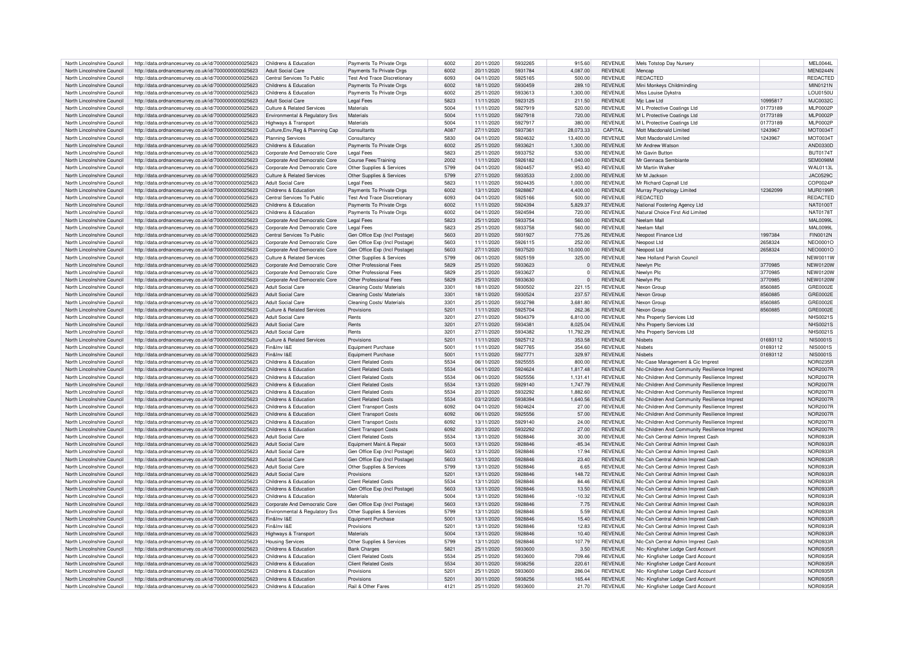| North Lincolnshire Council | http://data.ordnancesurvey.co.uk/id/7000000000025623 | Childrens & Education                 | Payments To Private Orgs           | 6002             | 20/11/2020 | 5932265 | 915.60       | <b>REVENUE</b> | Mels Totstop Day Nursery                      |          | MEL0044L        |
|----------------------------|------------------------------------------------------|---------------------------------------|------------------------------------|------------------|------------|---------|--------------|----------------|-----------------------------------------------|----------|-----------------|
|                            |                                                      |                                       |                                    |                  |            |         |              |                |                                               |          | <b>MFN0244N</b> |
| North Lincolnshire Council | http://data.ordnancesurvey.co.uk/id/7000000000025623 | Adult Social Care                     | Payments To Private Orgs           | 6002             | 20/11/2020 | 5931784 | 4,087.00     | <b>REVENUE</b> | Mencan                                        |          |                 |
| North Lincolnshire Council | http://data.ordnancesurvey.co.uk/id/7000000000025623 | Central Services To Public            | <b>Test And Trace Discretionan</b> | 6093             | 04/11/2020 | 5925165 | 500.00       | <b>REVENUE</b> | <b>REDACTED</b>                               |          | REDACTED        |
| North Lincolnshire Council | http://data.ordnancesurvey.co.uk/id/7000000000025623 | Childrens & Education                 | Payments To Private Orgs           | 6002             | 18/11/2020 | 5930459 | 289.10       | <b>REVENUE</b> | Mini Monkeys Childminding                     |          | MIN0121N        |
| North Lincolnshire Council | http://data.ordnancesurvey.co.uk/id/7000000000025623 | Childrens & Education                 | Payments To Private Orgs           | 6002             | 25/11/2020 | 5933613 | 1,300.00     | <b>REVENUE</b> | Miss Louise Dykstra                           |          | LOU0150U        |
| North Lincolnshire Council | http://data.ordnancesurvey.co.uk/id/7000000000025623 | <b>Adult Social Care</b>              | <b>Legal Fees</b>                  | 5823             | 11/11/2020 | 5923125 | 211.50       | <b>REVENUE</b> | Mic Law Ltd                                   | 10995817 | MJC0032C        |
|                            |                                                      |                                       |                                    |                  |            |         |              |                |                                               |          |                 |
| North Lincolnshire Council | http://data.ordnancesurvey.co.uk/id/7000000000025623 | Culture & Related Services            | Materials                          | 5004             | 11/11/2020 | 5927919 | 520.00       | <b>REVENUE</b> | M L Protective Coatings Ltd                   | 01773189 | <b>MLP0002P</b> |
| North Lincolnshire Council | http://data.ordnancesurvey.co.uk/id/7000000000025623 | Environmental & Regulatory Svs        | Materials                          | 5004             | 11/11/2020 | 5927918 | 720.00       | <b>REVENUE</b> | M L Protective Coatings Ltd                   | 01773189 | <b>MLP0002P</b> |
| North Lincolnshire Council | http://data.ordnancesurvey.co.uk/id/7000000000025623 | Highways & Transport                  | Materials                          | 5004             | 11/11/2020 | 5927917 | 380.00       | <b>REVENUE</b> | M L Protective Coatings Ltd                   | 01773189 | <b>MLP0002P</b> |
| North Lincolnshire Council | http://data.ordnancesurvey.co.uk/id/7000000000025623 | Culture, Env, Reg & Planning Cap      | Consultants                        | A087             | 27/11/2020 | 5937361 | 28,073.33    | CAPITAL        | Mott Macdonald Limited                        | 1243967  | MOT0034T        |
| North Lincolnshire Council |                                                      |                                       | Consultance                        | 5830             |            | 5924632 |              | <b>REVENUE</b> | Mott Macdonald Limited                        |          |                 |
|                            | http://data.ordnancesurvey.co.uk/id/7000000000025623 | <b>Planning Services</b>              |                                    |                  | 04/11/2020 |         | 13,400.00    |                |                                               | 1243967  | MOT0034T        |
| North Lincolnshire Council | http://data.ordnancesurvey.co.uk/id/7000000000025623 | Childrens & Education                 | Payments To Private Orgs           | 6002             | 25/11/2020 | 5933621 | 1,300.00     | <b>REVENUE</b> | Mr Andrew Watson                              |          | AND0330D        |
| North Lincolnshire Council | http://data.ordnancesurvey.co.uk/id/7000000000025623 | Corporate And Democratic Core         | <b>Legal Fees</b>                  | 5823             | 25/11/2020 | 5933752 | 530.00       | <b>REVENUE</b> | Mr Gavin Buttor                               |          | <b>BUT01747</b> |
| North Lincolnshire Council | http://data.ordnancesurvey.co.uk/id/7000000000025623 | Corporate And Democratic Core         | Course Fees/Training               | 2002             | 11/11/2020 | 5926182 | 1,040.00     | <b>REVENUE</b> | Mr Gennaca Sembiante                          |          | SEM0098M        |
| North Lincolnshire Council | http://data.ordnancesurvey.co.uk/id/7000000000025623 | Corporate And Democratic Core         | Other Supplies & Services          | 5799             | 04/11/2020 | 5924457 | 953.40       | <b>REVENUE</b> | Mr Martin Walker                              |          | WAI 0113I       |
| North Lincolnshire Council | http://data.ordnancesurvey.co.uk/id/7000000000025623 | Culture & Related Services            | Other Supplies & Services          | 5799             | 27/11/2020 | 5933533 | 2.000.00     | <b>REVENUE</b> | Mr M Jackson                                  |          | <b>JAC0529C</b> |
|                            |                                                      | Adult Social Care                     |                                    | 5823             |            | 5924435 |              | <b>REVENUE</b> |                                               |          |                 |
| North Lincolnshire Council | http://data.ordnancesurvey.co.uk/id/7000000000025623 |                                       | I egal Fees                        |                  | 11/11/2020 |         | 1.000.00     |                | Mr Richard Copnall Ltd                        |          | COP0024P        |
| North Lincolnshire Council | http://data.ordnancesurvey.co.uk/id/7000000000025623 | Childrens & Education                 | Payments To Private Orgs           | 6002             | 13/11/2020 | 5928867 | 4,400.00     | <b>REVENUE</b> | Murray Psychology Limited                     | 12362099 | <b>MUR0199F</b> |
| North Lincolnshire Council | http://data.ordnancesurvey.co.uk/id/7000000000025623 | Central Services To Public            | <b>Test And Trace Discretionar</b> | 6093             | 04/11/2020 | 5925166 | 500.00       | <b>REVENUE</b> | REDACTED                                      |          | REDACTED        |
| North Lincolnshire Council | http://data.ordnancesurvey.co.uk/id/7000000000025623 | Childrens & Education                 | Payments To Private Orgs           | 6002             | 11/11/2020 | 5924394 | 5,829.37     | <b>REVENUE</b> | National Fostering Agency Ltd                 |          | NAT01001        |
| North Lincolnshire Council | http://data.ordnancesurvey.co.uk/id/7000000000025623 | Childrens & Education                 | Payments To Private Orgs           | 6002             | 04/11/2020 | 5924594 | 720.00       | <b>REVENUE</b> | Natural Choice First Aid Limited              |          | <b>NAT0178T</b> |
|                            |                                                      |                                       |                                    | 5823             |            | 5933754 |              | <b>REVENUE</b> | Neelam Mal                                    |          | MAI 00991       |
| North Lincolnshire Council | http://data.ordnancesurvey.co.uk/id/7000000000025623 | Corporate And Democratic Core         | <b>Legal Fees</b>                  |                  | 25/11/2020 |         | 560.00       |                |                                               |          |                 |
| North Lincolnshire Council | http://data.ordnancesurvey.co.uk/id/7000000000025623 | Corporate And Democratic Core         | Legal Fees                         | 5823             | 25/11/2020 | 5933758 | 560.00       | <b>REVENUE</b> | Neelam Mal                                    |          | <b>MAL0099L</b> |
| North Lincolnshire Council | http://data.ordnancesurvey.co.uk/id/7000000000025623 | Central Services To Public            | Gen Office Exp (Incl Postage       | 5603             | 20/11/2020 | 5931927 | 775.26       | <b>REVENUE</b> | Neopost Finance Ltd                           | 1997384  | <b>FIN0012N</b> |
| North Lincolnshire Council | http://data.ordnancesurvey.co.uk/id/7000000000025623 | Corporate And Democratic Core         | Gen Office Exp (Incl Postage       | 5603             | 11/11/2020 | 5926115 | 252.00       | REVENUE        | Neopost Ltd                                   | 2658324  | NEO0001C        |
| North Lincolnshire Council | http://data.ordnancesurvey.co.uk/id/7000000000025623 | Corporate And Democratic Core         | Gen Office Exp (Incl Postage)      | 5603             | 27/11/2020 | 5937520 | 10.000.00    | <b>REVENUE</b> | Neopost Ltd                                   | 2658324  | <b>NEO0001C</b> |
| North Lincolnshire Council |                                                      | Culture & Related Services            |                                    | 5799             | 06/11/2020 | 5925159 | 325.00       | <b>REVENUE</b> | New Holland Parish Counci                     |          | <b>NEW0011W</b> |
|                            | http://data.ordnancesurvey.co.uk/id/7000000000025623 |                                       | Other Supplies & Services          |                  |            |         |              |                |                                               |          |                 |
| North Lincolnshire Council | http://data.ordnancesurvey.co.uk/id/7000000000025623 | Corporate And Democratic Core         | Other Professional Fees            | 5829             | 25/11/2020 | 5933623 | $\Omega$     | <b>REVENUE</b> | Newlyn Plc                                    | 3770985  | <b>NEW0120W</b> |
| North Lincolnshire Council | http://data.ordnancesurvey.co.uk/id/7000000000025623 | Corporate And Democratic Core         | Other Professional Fees            | 5829             | 25/11/2020 | 5933627 | $\mathbf{0}$ | <b>REVENUE</b> | Newlyn Plc                                    | 3770985  | <b>NEW0120W</b> |
| North Lincolnshire Council | http://data.ordnancesurvey.co.uk/id/7000000000025623 | Corporate And Democratic Core         | Other Professional Fees            | 5829             | 25/11/2020 | 5933630 | $\Omega$     | <b>REVENUE</b> | Newlyn Plc                                    | 3770985  | <b>NEW0120W</b> |
| North Lincolnshire Council | http://data.ordnancesurvey.co.uk/id/7000000000025623 | <b>Adult Social Care</b>              | Cleaning Costs/ Materials          | 3301             | 18/11/2020 | 5930502 | 221.15       | <b>REVENUE</b> | Nexon Group                                   | 8560885  | GRE0002E        |
|                            |                                                      |                                       | Cleaning Costs/ Materials          | 3301             |            | 5930524 |              | <b>REVENUE</b> |                                               |          | GRE0002E        |
| North Lincolnshire Council | http://data.ordnancesurvey.co.uk/id/7000000000025623 | <b>Adult Social Care</b>              |                                    |                  | 18/11/2020 |         | 237.57       |                | Nexon Group                                   | 8560885  |                 |
| North Lincolnshire Council | http://data.ordnancesurvey.co.uk/id/7000000000025623 | <b>Adult Social Care</b>              | Cleaning Costs/ Materials          | 330 <sup>°</sup> | 25/11/2020 | 5932798 | 3,681.80     | <b>REVENUE</b> | Nexon Group                                   | 8560885  | GRE0002E        |
| North Lincolnshire Council | http://data.ordnancesurvey.co.uk/id/7000000000025623 | <b>Culture &amp; Related Services</b> | Provisions                         | 5201             | 11/11/2020 | 5925704 | 262.36       | <b>REVENUE</b> | Nexon Group                                   | 8560885  | GRE0002E        |
| North Lincolnshire Council | http://data.ordnancesurvey.co.uk/id/7000000000025623 | Adult Social Care                     | Rents                              | 320 <sup>1</sup> | 27/11/2020 | 5934379 | 6.810.00     | <b>REVENUE</b> | Nhs Property Services Ltd                     |          | NHS0021S        |
| North Lincolnshire Council | http://data.ordnancesurvey.co.uk/id/7000000000025623 | Adult Social Care                     | Rents                              | 3201             | 27/11/2020 | 5934381 | 8.025.04     | <b>REVENUE</b> | Nhs Property Services Ltd                     |          | <b>NHS0021S</b> |
| North Lincolnshire Council |                                                      | Adult Social Care                     | Rents                              | 3201             |            | 5934382 |              | <b>REVENUE</b> |                                               |          | <b>NHS0021S</b> |
|                            | http://data.ordnancesurvey.co.uk/id/7000000000025623 |                                       |                                    |                  | 27/11/2020 |         | 11,792.29    |                | Nhs Property Services Ltd                     |          |                 |
| North Lincolnshire Council | http://data.ordnancesurvey.co.uk/id/7000000000025623 | Culture & Related Services            | Provisions                         | 520              | 11/11/2020 | 5925712 | 353.58       | <b>REVENUE</b> | <b>Nishets</b>                                | 01693112 | <b>NIS0001S</b> |
| North Lincolnshire Council | http://data.ordnancesurvey.co.uk/id/7000000000025623 | Fin&Inv I&F                           | Equipment Purchase                 | 5001             | 11/11/2020 | 5927765 | 354.60       | <b>REVENUE</b> | Nishets                                       | 01693112 | <b>NIS0001S</b> |
| North Lincolnshire Council | http://data.ordnancesurvey.co.uk/id/7000000000025623 | Fin&Inv I&F                           | Equipment Purchase                 | 5001             | 11/11/2020 | 5927771 | 329.97       | <b>REVENUE</b> | <b>Nishets</b>                                | 01693112 | <b>NIS0001S</b> |
| North Lincolnshire Council | http://data.ordnancesurvey.co.uk/id/7000000000025623 | Childrens & Education                 | <b>Client Related Costs</b>        | 5534             | 06/11/2020 | 5925555 | 800.00       | <b>REVENUE</b> | Nic-Case Management & Cic Imprest             |          | <b>NOR0235F</b> |
| North Lincolnshire Council | http://data.ordnancesurvey.co.uk/id/7000000000025623 | Childrens & Education                 | <b>Client Related Costs</b>        | 5534             | 04/11/2020 | 5924624 | 1,817.48     | <b>REVENUE</b> | NIc-Children And Community Resilience Imprest |          | <b>NOR2007R</b> |
|                            |                                                      |                                       |                                    |                  |            |         |              |                |                                               |          |                 |
| North Lincolnshire Council | http://data.ordnancesurvey.co.uk/id/7000000000025623 | Childrens & Education                 | <b>Client Related Costs</b>        | 5534             | 06/11/2020 | 5925556 | 1.131.41     | <b>REVENUE</b> | NIc-Children And Community Resilience Imprest |          | <b>NOR2007R</b> |
| North Lincolnshire Council | http://data.ordnancesurvey.co.uk/id/7000000000025623 | Childrens & Education                 | <b>Client Related Costs</b>        | 5534             | 13/11/2020 | 5929140 | 1,747.79     | <b>REVENUE</b> | NIc-Children And Community Resilience Imprest |          | <b>NOR2007F</b> |
| North Lincolnshire Council | http://data.ordnancesurvey.co.uk/id/7000000000025623 | Childrens & Education                 | <b>Client Related Costs</b>        | 5534             | 20/11/2020 | 5932292 | 1.882.60     | REVENUE        | NIc-Children And Community Resilience Imprest |          | <b>NOR2007F</b> |
| North Lincolnshire Council | http://data.ordnancesurvey.co.uk/id/7000000000025623 | Childrens & Education                 | <b>Client Related Costs</b>        | 5534             | 03/12/2020 | 5938394 | 1,640.56     | <b>REVENUE</b> | NIc-Children And Community Resilience Imprest |          | <b>NOR2007R</b> |
| North Lincolnshire Council | http://data.ordnancesurvey.co.uk/id/7000000000025623 | Childrens & Education                 | <b>Client Transport Costs</b>      | 6092             | 04/11/2020 | 5924624 | 27.00        | <b>REVENUE</b> | Nlc-Children And Community Resilience Imprest |          | <b>NOR2007R</b> |
|                            |                                                      |                                       |                                    |                  |            |         |              |                |                                               |          |                 |
| North Lincolnshire Council | http://data.ordnancesurvey.co.uk/id/7000000000025623 | Childrens & Education                 | <b>Client Transport Costs</b>      | 6092             | 06/11/2020 | 5925556 | 57.00        | <b>REVENUE</b> | NIc-Children And Community Resilience Imprest |          | <b>NOR2007R</b> |
| North Lincolnshire Council | http://data.ordnancesurvey.co.uk/id/7000000000025623 | Childrens & Education                 | <b>Client Transport Costs</b>      | 6092             | 13/11/2020 | 5929140 | 24.00        | <b>REVENUE</b> | NIc-Children And Community Resilience Imprest |          | <b>NOR2007R</b> |
| North Lincolnshire Council | http://data.ordnancesurvey.co.uk/id/7000000000025623 | Childrens & Education                 | Client Transport Costs             | 6092             | 20/11/2020 | 5932292 | 27.00        | <b>REVENUE</b> | NIc-Children And Community Resilience Imprest |          | <b>NOR2007R</b> |
| North Lincolnshire Council | http://data.ordnancesurvey.co.uk/id/7000000000025623 | Adult Social Care                     | <b>Client Related Costs</b>        | 5534             | 13/11/2020 | 5928846 | 30.00        | <b>REVENUE</b> | NIc-Csh Central Admin Imprest Cash            |          | NOR0933R        |
| North Lincolnshire Council | http://data.ordnancesurvey.co.uk/id/7000000000025623 | Adult Social Care                     | Equipment Maint.& Repair           | 5003             | 13/11/2020 | 5928846 | $-85.34$     | <b>REVENUE</b> | Nic-Csh Central Admin Imprest Cash            |          | <b>NOR0933R</b> |
|                            |                                                      |                                       |                                    |                  |            | 5928846 |              |                |                                               |          |                 |
| North Lincolnshire Council | http://data.ordnancesurvey.co.uk/id/7000000000025623 | <b>Adult Social Care</b>              | Gen Office Exp (Incl Postage)      | 5603             | 13/11/2020 |         | 17.94        | <b>REVENUE</b> | Nic-Csh Central Admin Imprest Cash            |          | NOR0933R        |
| North Lincolnshire Council | http://data.ordnancesurvey.co.uk/id/7000000000025623 | <b>Adult Social Care</b>              | Gen Office Exp (Incl Postage)      | 5603             | 13/11/2020 | 5928846 | 23.40        | <b>REVENUE</b> | NIc-Csh Central Admin Imprest Cash            |          | <b>NOR0933F</b> |
| North Lincolnshire Council | http://data.ordnancesurvey.co.uk/id/7000000000025623 | Adult Social Care                     | Other Supplies & Services          | 5799             | 13/11/2020 | 5928846 | 6.65         | <b>REVENUE</b> | Nic-Csh Central Admin Imprest Cash            |          | <b>NOR0933F</b> |
| North Lincolnshire Council | http://data.ordnancesurvey.co.uk/id/7000000000025623 | Adult Social Care                     | Provisions                         | 520              | 13/11/2020 | 5928846 | 148.72       | REVENUE        | NIc-Csh Central Admin Imprest Cash            |          | NOR0933R        |
| North Lincolnshire Council | http://data.ordnancesurvey.co.uk/id/7000000000025623 | Childrens & Education                 | Client Related Costs               | 5534             | 13/11/2020 | 5928846 | 84.46        | <b>REVENUE</b> | NIc-Csh Central Admin Imprest Cash            |          | NOR0933F        |
| North Lincolnshire Council |                                                      | Childrens & Education                 | Gen Office Exp (Incl Postage)      | 5603             | 13/11/2020 | 5928846 | 13.50        | <b>REVENUE</b> | NIc-Csh Central Admin Imprest Cash            |          | <b>NOR0933R</b> |
|                            | http://data.ordnancesurvey.co.uk/id/7000000000025623 |                                       |                                    |                  |            |         |              |                |                                               |          |                 |
| North Lincolnshire Council | http://data.ordnancesurvey.co.uk/id/7000000000025623 | Childrens & Education                 | Materials                          | 5004             | 13/11/2020 | 5928846 | $-10.32$     | <b>REVENUE</b> | NIc-Csh Central Admin Imprest Cash            |          | <b>NOR0933F</b> |
| North Lincolnshire Council | http://data.ordnancesurvey.co.uk/id/7000000000025623 | Corporate And Democratic Core         | Gen Office Exp (Incl Postage)      | 5603             | 13/11/2020 | 5928846 | 7.75         | <b>REVENUE</b> | NIc-Csh Central Admin Imprest Cash            |          | <b>NOR0933F</b> |
| North Lincolnshire Council | http://data.ordnancesurvey.co.uk/id/7000000000025623 | Environmental & Regulatory Sys        | Other Supplies & Services          | 5799             | 13/11/2020 | 5928846 | 5.59         | <b>REVENUE</b> | Nic-Csh Central Admin Imprest Cash            |          | <b>NOR0933F</b> |
| North Lincolnshire Council | http://data.ordnancesurvey.co.uk/id/7000000000025623 | Fin&Inv I&F                           | Equipment Purchase                 | 5001             | 13/11/2020 | 5928846 | 15.40        | <b>REVENUE</b> | NIc-Csh Central Admin Imprest Cash            |          | <b>NOR0933R</b> |
| North Lincolnshire Council | http://data.ordnancesurvey.co.uk/id/7000000000025623 | Fin&Inv I&F                           | Provisions                         | 5201             | 13/11/2020 | 5928846 | 12.83        | <b>REVENUE</b> | NIc-Csh Central Admin Imprest Cash            |          | <b>NOR0933F</b> |
|                            |                                                      |                                       | Materials                          |                  |            |         |              |                |                                               |          |                 |
| North Lincolnshire Council | http://data.ordnancesurvey.co.uk/id/7000000000025623 | Highways & Transport                  |                                    | 5004             | 13/11/2020 | 5928846 | 10.40        | <b>REVENUE</b> | NIc-Csh Central Admin Imprest Cash            |          | <b>NOR0933F</b> |
| North Lincolnshire Council | http://data.ordnancesurvey.co.uk/id/7000000000025623 | <b>Housing Services</b>               | Other Supplies & Services          | 5799             | 13/11/2020 | 5928846 | 107.79       | <b>REVENUE</b> | Nic-Csh Central Admin Imprest Cash            |          | <b>NOR0933F</b> |
| North Lincolnshire Council | http://data.ordnancesurvey.co.uk/id/7000000000025623 | Childrens & Education                 | <b>Bank Charges</b>                | 5821             | 25/11/2020 | 5933600 | 3.50         | <b>REVENUE</b> | Nic- Kingfisher Lodge Card Account            |          | NOR0935R        |
| North Lincolnshire Council | http://data.ordnancesurvey.co.uk/id/7000000000025623 | Childrens & Education                 | <b>Client Related Costs</b>        | 5534             | 25/11/2020 | 5933600 | 709.46       | <b>REVENUE</b> | Nic- Kingfisher Lodge Card Account            |          | <b>NOR0935R</b> |
| North Lincolnshire Council | http://data.ordnancesurvey.co.uk/id/7000000000025623 | Childrens & Education                 | <b>Client Related Costs</b>        | 5534             | 30/11/2020 | 5938256 | 220.61       | <b>REVENUE</b> | Nlc- Kingfisher Lodge Card Account            |          | NOR0935R        |
| North Lincolnshire Council | http://data.ordnancesurvey.co.uk/id/7000000000025623 | Childrens & Education                 | Provisions                         | 5201             | 25/11/2020 | 5933600 | 286.04       | <b>REVENUE</b> | Nic- Kingfisher Lodge Card Account            |          | NOR0935R        |
|                            |                                                      |                                       |                                    |                  |            |         |              |                |                                               |          |                 |
| North Lincolnshire Council | http://data.ordnancesurvey.co.uk/id/7000000000025623 | Childrens & Education                 | Provisions                         | 520              | 30/11/2020 | 5938256 | 165.44       | <b>REVENUE</b> | Nlc- Kingfisher Lodge Card Account            |          | NOR0935R        |
| North Lincolnshire Council | http://data.ordnancesurvey.co.uk/id/7000000000025623 | Childrens & Education                 | Rail & Other Fares                 | $412 -$          | 25/11/2020 | 5933600 | 21.70        | <b>REVENUE</b> | Nic- Kingfisher Lodge Card Account            |          | NOR0935R        |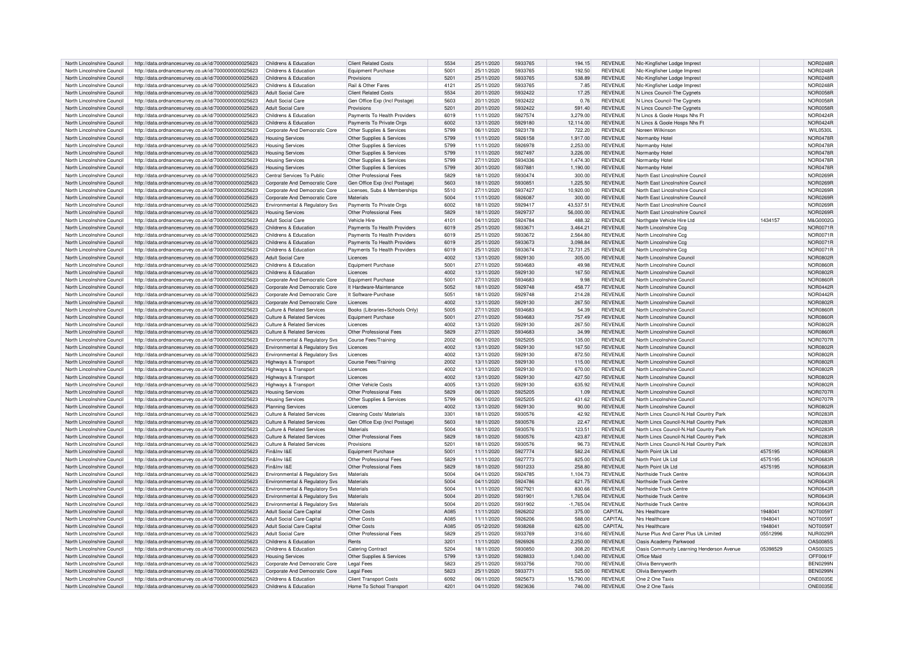| North Lincolnshire Council | http://data.ordnancesurvey.co.uk/id/7000000000025623 | Childrens & Education                 | <b>Client Related Costs</b>    | 5534             | 25/11/2020 | 5933765 | 194.15      | <b>REVENUE</b> | NIc-Kingfisher Lodge Imprest              |          | NOR0248R        |
|----------------------------|------------------------------------------------------|---------------------------------------|--------------------------------|------------------|------------|---------|-------------|----------------|-------------------------------------------|----------|-----------------|
| North Lincolnshire Council | http://data.ordnancesurvey.co.uk/id/7000000000025623 | Childrens & Education                 | Equipment Purchase             | 5001             | 25/11/2020 | 5933765 | 192.50      | <b>REVENUE</b> | NIc-Kingfisher Lodge Imprest              |          | <b>NOR0248R</b> |
|                            |                                                      |                                       |                                |                  |            |         |             |                |                                           |          |                 |
| North Lincolnshire Council | http://data.ordnancesurvey.co.uk/id/7000000000025623 | Childrens & Education                 | Provisions                     | 5201             | 25/11/2020 | 5933765 | 538.89      | <b>REVENUE</b> | NIc-Kingfisher Lodge Imprest              |          | <b>NOR0248R</b> |
| North Lincolnshire Council | http://data.ordnancesurvey.co.uk/id/7000000000025623 | Childrens & Education                 | Rail & Other Fares             | 4121             | 25/11/2020 | 5933765 | 7.85        | <b>REVENUE</b> | NIc-Kingfisher Lodge Imprest              |          | NOR0248R        |
| North Lincolnshire Council | http://data.ordnancesurvey.co.uk/id/7000000000025623 | <b>Adult Social Care</b>              | <b>Client Related Costs</b>    | 5534             | 20/11/2020 | 5932422 | 17.25       | <b>REVENUE</b> | N Lincs Council-The Cygnets               |          | NOR0058R        |
| North Lincolnshire Council | http://data.ordnancesurvey.co.uk/id/7000000000025623 | <b>Adult Social Care</b>              | Gen Office Exp (Incl Postage)  | 5603             | 20/11/2020 | 5932422 | 0.76        | <b>REVENUE</b> | N Lincs Council-The Cygnets               |          | NOR0058R        |
| North Lincolnshire Council |                                                      | <b>Adult Social Care</b>              | Provisions                     |                  | 20/11/2020 | 5932422 | 591.40      | <b>REVENUE</b> |                                           |          | <b>NOR0058F</b> |
|                            | http://data.ordnancesurvey.co.uk/id/7000000000025623 |                                       |                                | 5201             |            |         |             |                | N Lincs Council-The Cygnets               |          |                 |
| North Lincolnshire Council | http://data.ordnancesurvey.co.uk/id/7000000000025623 | Childrens & Education                 | Payments To Health Providers   | 6019             | 11/11/2020 | 5927574 | 3.279.00    | <b>REVENUE</b> | N Lincs & Goole Hosps Nhs F               |          | <b>NOR0424R</b> |
| North Lincolnshire Council | http://data.ordnancesurvey.co.uk/id/7000000000025623 | Childrens & Education                 | Payments To Private Orgs       | 6002             | 13/11/2020 | 5929180 | 12,114.00   | <b>REVENUE</b> | N Lincs & Goole Hosps Nhs Ft              |          | NOR0424R        |
| North Lincolnshire Council | http://data.ordnancesurvey.co.uk/id/7000000000025623 | Corporate And Democratic Core         | Other Supplies & Services      | 5799             | 06/11/2020 | 5923178 | 722.20      | <b>REVENUE</b> | Noreen Wilkinson                          |          | <b>WIL0530L</b> |
| North Lincolnshire Council | http://data.ordnancesurvey.co.uk/id/7000000000025623 | <b>Housing Services</b>               | Other Supplies & Services      | 5799             | 11/11/2020 | 5926158 | 1,917.00    | <b>REVENUE</b> | Normanby Hotel                            |          | <b>NOR0478R</b> |
|                            |                                                      |                                       |                                |                  |            |         |             |                |                                           |          |                 |
| North Lincolnshire Council | http://data.ordnancesurvey.co.uk/id/7000000000025623 | <b>Housing Services</b>               | Other Supplies & Services      | 5799             | 11/11/2020 | 5926978 | 2.253.00    | <b>REVENUE</b> | Normanby Hote                             |          | <b>NOR0478R</b> |
| North Lincolnshire Council | http://data.ordnancesurvey.co.uk/id/7000000000025623 | <b>Housing Services</b>               | Other Supplies & Services      | 5799             | 11/11/2020 | 5927497 | 3,226.00    | <b>REVENUE</b> | Normanby Hotel                            |          | <b>NOR0478R</b> |
| North Lincolnshire Council | http://data.ordnancesurvey.co.uk/id/7000000000025623 | <b>Housing Services</b>               | Other Supplies & Services      | 5799             | 27/11/2020 | 5934336 | 1,474.30    | <b>REVENUE</b> | Normanby Hote                             |          | <b>NOR0478R</b> |
| North Lincolnshire Council | http://data.ordnancesurvey.co.uk/id/7000000000025623 | <b>Housing Services</b>               | Other Supplies & Services      | 5799             | 30/11/2020 | 5937881 | 1,190.00    | <b>REVENUE</b> | Normanby Hote                             |          | NOR0478R        |
|                            |                                                      |                                       |                                |                  |            |         |             |                |                                           |          |                 |
| North Lincolnshire Council | http://data.ordnancesurvey.co.uk/id/7000000000025623 | Central Services To Public            | Other Professional Fees        | 5829             | 18/11/2020 | 5930474 | 300.00      | <b>REVENUE</b> | North East Lincolnshire Council           |          | NOR0269R        |
| North Lincolnshire Council | http://data.ordnancesurvey.co.uk/id/7000000000025623 | Corporate And Democratic Core         | Gen Office Exp (Incl Postage)  | 5603             | 18/11/2020 | 5930851 | 1,225.50    | <b>REVENUE</b> | North East Lincolnshire Council           |          | NOR0269R        |
| North Lincolnshire Council | http://data.ordnancesurvey.co.uk/id/7000000000025623 | Corporate And Democratic Core         | Licenses, Subs & Memberships   | 5510             | 27/11/2020 | 5937427 | 10.920.00   | <b>REVENUE</b> | North East Lincolnshire Council           |          | <b>NOR0269R</b> |
| North Lincolnshire Council | http://data.ordnancesurvey.co.uk/id/7000000000025623 | Corporate And Democratic Core         | Materials                      | 5004             | 11/11/2020 | 5926087 | 300.00      | <b>REVENUE</b> | North East Lincolnshire Council           |          | <b>NOR0269R</b> |
|                            |                                                      |                                       |                                |                  |            |         |             |                |                                           |          |                 |
| North Lincolnshire Council | http://data.ordnancesurvey.co.uk/id/7000000000025623 | Environmental & Regulatory Svs        | Payments To Private Orgs       | 6002             | 18/11/2020 | 5929417 | 43,537.51   | <b>REVENUE</b> | North East Lincolnshire Council           |          | NOR0269R        |
| North Lincolnshire Council | http://data.ordnancesurvey.co.uk/id/7000000000025623 | <b>Housing Services</b>               | Other Professional Fees        | 5829             | 18/11/2020 | 5929737 | 56,000.00   | <b>REVENUE</b> | North East Lincolnshire Council           |          | NOR0269F        |
| North Lincolnshire Council | http://data.ordnancesurvey.co.uk/id/7000000000025623 | <b>Adult Social Care</b>              | Vehicle Hire                   | 4101             | 04/11/2020 | 5924784 | 488.32      | <b>REVENUE</b> | Northgate Vehicle Hire Ltd                | 1434157  | M&G0002G        |
| North Lincolnshire Council | http://data.ordnancesurvey.co.uk/id/7000000000025623 | Childrens & Education                 | Payments To Health Providers   | 6019             | 25/11/2020 | 5933671 | 3.464.21    | <b>REVENUE</b> | North Lincolnshire Cca                    |          | <b>NOR0071R</b> |
|                            |                                                      |                                       |                                |                  |            |         |             |                |                                           |          |                 |
| North Lincolnshire Council | http://data.ordnancesurvey.co.uk/id/7000000000025623 | Childrens & Education                 | Payments To Health Providers   | 6019             | 25/11/2020 | 5933672 | 2.564.80    | <b>REVENUE</b> | North Lincolnshire Cca                    |          | <b>NOR0071R</b> |
| North Lincolnshire Council | http://data.ordnancesurvey.co.uk/id/7000000000025623 | Childrens & Education                 | Payments To Health Providers   | 6019             | 25/11/2020 | 5933673 | 3,098.84    | <b>REVENUE</b> | North Lincolnshire Ccg                    |          | <b>NOR0071R</b> |
| North Lincolnshire Council | http://data.ordnancesurvey.co.uk/id/7000000000025623 | Childrens & Education                 | Payments To Health Providers   | 6019             | 25/11/2020 | 5933674 | 72,731.25   | <b>REVENUE</b> | North Lincolnshire Ccg                    |          | <b>NOR0071R</b> |
| North Lincolnshire Council | http://data.ordnancesurvey.co.uk/id/7000000000025623 | <b>Adult Social Care</b>              | Licences                       | 4002             | 13/11/2020 | 5929130 | 305.00      | <b>REVENUE</b> | North Lincolnshire Council                |          | <b>NOR0802F</b> |
|                            |                                                      |                                       |                                |                  |            |         |             |                |                                           |          |                 |
| North Lincolnshire Council | http://data.ordnancesurvey.co.uk/id/7000000000025623 | Childrens & Education                 | Equipment Purchase             | 5001             | 27/11/2020 | 5934683 | 49.98       | <b>REVENUE</b> | North Lincolnshire Council                |          | <b>NOR0860R</b> |
| North Lincolnshire Council | http://data.ordnancesurvey.co.uk/id/7000000000025623 | Childrens & Education                 | <b>Licences</b>                | 4002             | 13/11/2020 | 5929130 | 167.50      | <b>REVENUE</b> | North Lincolnshire Council                |          | <b>NOR0802R</b> |
| North Lincolnshire Council | http://data.ordnancesurvey.co.uk/id/7000000000025623 | Corporate And Democratic Core         | <b>Equipment Purchase</b>      | 500              | 27/11/2020 | 5934683 | 9.98        | <b>REVENUE</b> | North Lincolnshire Council                |          | <b>NOR0860R</b> |
| North Lincolnshire Council | http://data.ordnancesurvey.co.uk/id/7000000000025623 | Corporate And Democratic Core         | It Hardware-Maintenance        | 5052             | 18/11/2020 | 5929748 | 458.77      | <b>REVENUE</b> | North Lincolnshire Council                |          | <b>NOR0442R</b> |
|                            |                                                      |                                       |                                |                  |            | 5929748 |             |                |                                           |          |                 |
| North Lincolnshire Council | http://data.ordnancesurvey.co.uk/id/7000000000025623 | Corporate And Democratic Core         | It Software-Purchase           | 5051             | 18/11/2020 |         | 214.28      | <b>REVENUE</b> | North Lincolnshire Council                |          | NOR0442R        |
| North Lincolnshire Council | http://data.ordnancesurvey.co.uk/id/7000000000025623 | Cornorate And Democratic Core         | <b>Licences</b>                | 4002             | 13/11/2020 | 5929130 | 267.50      | <b>REVENUE</b> | North Lincolnshire Council                |          | <b>NOR0802R</b> |
| North Lincolnshire Council | http://data.ordnancesurvey.co.uk/id/7000000000025623 | Culture & Related Services            | Books (Libraries+Schools Only) | 5005             | 27/11/2020 | 5934683 | 54.39       | <b>REVENUE</b> | North Lincolnshire Council                |          | NOR0860R        |
| North Lincolnshire Council | http://data.ordnancesurvey.co.uk/id/7000000000025623 | Culture & Related Services            | <b>Equipment Purchase</b>      | 5001             | 27/11/2020 | 5934683 | 757.49      | <b>REVENUE</b> | North Lincolnshire Council                |          | <b>NOR0860R</b> |
|                            |                                                      |                                       |                                |                  | 13/11/2020 |         | 267.50      |                | North Lincolnshire Council                |          |                 |
| North Lincolnshire Council | http://data.ordnancesurvey.co.uk/id/7000000000025623 | Culture & Related Services            | Licences                       | 4002             |            | 5929130 |             | <b>REVENUE</b> |                                           |          | NOR0802F        |
| North Lincolnshire Council | http://data.ordnancesurvey.co.uk/id/7000000000025623 | <b>Culture &amp; Related Services</b> | Other Professional Fees        | 5829             | 27/11/2020 | 5934683 | 34.99       | <b>REVENUE</b> | North Lincolnshire Council                |          | <b>NOR0860R</b> |
| North Lincolnshire Council | http://data.ordnancesurvey.co.uk/id/7000000000025623 | Environmental & Regulatory Sys        | Course Fees/Training           | 2002             | 06/11/2020 | 5925205 | 135.00      | <b>REVENUE</b> | North Lincolnshire Council                |          | <b>NOR0707R</b> |
| North Lincolnshire Council | http://data.ordnancesurvey.co.uk/id/7000000000025623 | Environmental & Regulatory Svs        | Licences                       | 4002             | 13/11/2020 | 5929130 | 167.50      | <b>REVENUE</b> | North Lincolnshire Council                |          | <b>NOR0802F</b> |
|                            |                                                      |                                       |                                | 4002             |            | 5929130 |             | <b>REVENUE</b> | North Lincolnshire Counci                 |          |                 |
| North Lincolnshire Council | http://data.ordnancesurvey.co.uk/id/7000000000025623 | Environmental & Regulatory Svs        | Licences                       |                  | 13/11/2020 |         | 872.50      |                |                                           |          | <b>NOR0802R</b> |
| North Lincolnshire Council | http://data.ordnancesurvey.co.uk/id/7000000000025623 | Highways & Transport                  | Course Fees/Training           | 2002             | 13/11/2020 | 5929130 | 115.00      | <b>REVENUE</b> | North Lincolnshire Council                |          | <b>NOR0802R</b> |
| North Lincolnshire Council | http://data.ordnancesurvey.co.uk/id/7000000000025623 | <b>Highways &amp; Transport</b>       | Licences                       | 4002             | 13/11/2020 | 5929130 | 670.00      | <b>REVENUE</b> | North Lincolnshire Counci                 |          | <b>NOR0802F</b> |
| North Lincolnshire Council | http://data.ordnancesurvey.co.uk/id/7000000000025623 | <b>Highways &amp; Transpor</b>        | Licences                       | 4002             | 13/11/2020 | 5929130 | 427.50      | <b>REVENUE</b> | North Lincolnshire Council                |          | <b>NOR0802R</b> |
|                            |                                                      |                                       | Other Vehicle Costs            | 4005             |            |         |             | <b>REVENUE</b> | North Lincolnshire Council                |          | <b>NOR0802F</b> |
| North Lincolnshire Council | http://data.ordnancesurvey.co.uk/id/7000000000025623 | <b>Highways &amp; Transpor</b>        |                                |                  | 13/11/2020 | 5929130 | 635.92      |                |                                           |          |                 |
| North Lincolnshire Council | http://data.ordnancesurvey.co.uk/id/7000000000025623 | <b>Housing Services</b>               | Other Professional Fees        | 5829             | 06/11/2020 | 5925205 | 1.09        | <b>REVENUE</b> | North Lincolnshire Council                |          | <b>NOR0707F</b> |
| North Lincolnshire Council | http://data.ordnancesurvey.co.uk/id/7000000000025623 | <b>Housing Services</b>               | Other Supplies & Services      | 5799             | 06/11/2020 | 5925205 | 431.62      | <b>REVENUE</b> | North Lincolnshire Council                |          | NOR0707R        |
| North Lincolnshire Council | http://data.ordnancesurvey.co.uk/id/7000000000025623 | <b>Planning Services</b>              | Licences                       | 4002             | 13/11/2020 | 5929130 | 90.00       | <b>REVENUE</b> | North Lincolnshire Council                |          | <b>NOR0802R</b> |
| North Lincolnshire Council | http://data.ordnancesurvey.co.uk/id/7000000000025623 | Culture & Related Services            | Cleaning Costs/ Materials      | 3301             | 18/11/2020 | 5930576 | 42.92       | <b>REVENUE</b> | North Lincs Council-N.Hall Country Park   |          | <b>NOR0283R</b> |
|                            |                                                      |                                       |                                |                  |            |         |             |                |                                           |          |                 |
| North Lincolnshire Council | http://data.ordnancesurvey.co.uk/id/7000000000025623 | Culture & Related Services            | Gen Office Exp (Incl Postage)  | 5603             | 18/11/2020 | 5930576 | 22.47       | <b>REVENUE</b> | North Lincs Council-N.Hall Country Park   |          | NOR0283R        |
| North Lincolnshire Council | http://data.ordnancesurvey.co.uk/id/7000000000025623 | Culture & Related Services            | <b>Materials</b>               | 5004             | 18/11/2020 | 5930576 | 123.51      | <b>REVENUE</b> | North Lincs Council-N.Hall Country Park   |          | NOR0283R        |
| North Lincolnshire Council | http://data.ordnancesurvey.co.uk/id/7000000000025623 | Culture & Related Services            | Other Professional Fees        | 5829             | 18/11/2020 | 5930576 | 423.87      | <b>REVENUE</b> | North Lincs Council-N.Hall Country Park   |          | NOR0283R        |
| North Lincolnshire Council | http://data.ordnancesurvey.co.uk/id/7000000000025623 | Culture & Related Services            | Provisions                     | 520 <sup>1</sup> | 18/11/2020 | 5930576 | 96.73       | <b>REVENUE</b> | North Lincs Council-N.Hall Country Park   |          | NOR0283R        |
|                            |                                                      |                                       |                                |                  |            |         |             |                |                                           |          |                 |
| North Lincolnshire Council | http://data.ordnancesurvey.co.uk/id/7000000000025623 | Fin&Inv I&F                           | Equipment Purchase             | 5001             | 11/11/2020 | 5927774 | 582.24      | <b>REVENUE</b> | North Point Uk Ltd                        | 4575195  | <b>NOR0683R</b> |
| North Lincolnshire Council | http://data.ordnancesurvey.co.uk/id/7000000000025623 | Fin&Inv I&F                           | Other Professional Fees        | 5829             | 11/11/2020 | 5927773 | 825.00      | <b>REVENUE</b> | North Point Uk Ltd                        | 4575195  | <b>NOR0683R</b> |
| North Lincolnshire Council | http://data.ordnancesurvey.co.uk/id/7000000000025623 | Fin&Inv I&F                           | Other Professional Fees        | 5829             | 18/11/2020 | 5931233 | 258.80      | <b>REVENUE</b> | North Point Llk Ltd                       | 4575195  | <b>NOR0683R</b> |
| North Lincolnshire Council | http://data.ordnancesurvey.co.uk/id/7000000000025623 | Environmental & Regulatory Svs        | Materials                      | 5004             | 04/11/2020 | 5924785 | 1,104.73    | <b>REVENUE</b> | Northside Truck Centre                    |          | NOR0643R        |
|                            |                                                      |                                       |                                |                  |            |         |             |                |                                           |          |                 |
| North Lincolnshire Council | http://data.ordnancesurvey.co.uk/id/7000000000025623 | Environmental & Regulatory Svs        | Materials                      | 5004             | 04/11/2020 | 5924786 | 621.75      | <b>REVENUE</b> | Northside Truck Centre                    |          | NOR0643F        |
| North Lincolnshire Council | http://data.ordnancesurvey.co.uk/id/7000000000025623 | Environmental & Regulatory Svs        | Materials                      | 5004             | 11/11/2020 | 5927921 | 830.66      | <b>REVENUE</b> | Northside Truck Centre                    |          | <b>NOR0643R</b> |
| North Lincolnshire Council | http://data.ordnancesurvey.co.uk/id/7000000000025623 | Environmental & Regulatory Svs        | Materials                      | 5004             | 20/11/2020 | 5931901 | 1.765.04    | <b>REVENUE</b> | Northside Truck Centre                    |          | <b>NOR0643R</b> |
| North Lincolnshire Council | http://data.ordnancesurvey.co.uk/id/7000000000025623 | Environmental & Regulatory Svs        | Materials                      | 5004             | 20/11/2020 | 5931902 | $-1,765.04$ | <b>REVENUE</b> | Northside Truck Centre                    |          | <b>NOR0643R</b> |
|                            |                                                      |                                       |                                |                  |            |         |             | CAPITAI        | Nrs Healthcare                            |          |                 |
| North Lincolnshire Council | http://data.ordnancesurvey.co.uk/id/7000000000025623 | Adult Social Care Capital             | Other Costs                    | A085             | 11/11/2020 | 5926202 | 375.00      |                |                                           | 1948041  | <b>NOT0059T</b> |
| North Lincolnshire Council | http://data.ordnancesurvey.co.uk/id/7000000000025623 | Adult Social Care Capita              | Other Costs                    | A085             | 11/11/2020 | 5926206 | 588.00      | CAPITAL        | Nrs Healthcare                            | 1948041  | <b>NOT0059T</b> |
| North Lincolnshire Council | http://data.ordnancesurvey.co.uk/id/7000000000025623 | <b>Adult Social Care Capital</b>      | Other Costs                    | A085             | 05/12/2020 | 5938268 | 625.00      | CAPITAL        | Nrs Healthcare                            | 1948041  | NOT00591        |
| North Lincolnshire Council | http://data.ordnancesurvey.co.uk/id/7000000000025623 | <b>Adult Social Care</b>              | Other Professional Fees        | 5829             | 25/11/2020 | 5933769 | 316.60      | <b>REVENUE</b> | Nurse Plus And Carer Plus Uk Limited      | 05512996 | <b>NUR0029R</b> |
|                            |                                                      | Childrens & Education                 | Rents                          | 320 <sup>1</sup> |            |         |             |                |                                           |          | <b>OAS0085S</b> |
| North Lincolnshire Council | http://data.ordnancesurvey.co.uk/id/7000000000025623 |                                       |                                |                  | 11/11/2020 | 5926926 | 2,250.00    | <b>REVENUE</b> | Oasis Academy Parkwood                    |          |                 |
| North Lincolnshire Council | http://data.ordnancesurvey.co.uk/id/7000000000025623 | Childrens & Education                 | <b>Catering Contract</b>       | 5204             | 18/11/2020 | 5930850 | 308.20      | <b>REVENUE</b> | Oasis Community Learning Henderson Avenue | 05398529 | OAS0032S        |
| North Lincolnshire Council | http://data.ordnancesurvey.co.uk/id/7000000000025623 | <b>Housing Services</b>               | Other Supplies & Services      | 5799             | 13/11/2020 | 5928833 | 1,040.00    | <b>REVENUE</b> | Office Maid                               |          | OFF0061F        |
| North Lincolnshire Council | http://data.ordnancesurvey.co.uk/id/7000000000025623 | Corporate And Democratic Core         | <b>Legal Fees</b>              | 5823             | 25/11/2020 | 5933756 | 700.00      | <b>REVENUE</b> | Olivia Bennyworth                         |          | <b>BEN0299M</b> |
| North Lincolnshire Council | http://data.ordnancesurvey.co.uk/id/7000000000025623 | Corporate And Democratic Core         | <b>Legal Fees</b>              | 5823             | 25/11/2020 | 5933771 | 525.00      | <b>REVENUE</b> | Olivia Bennyworth                         |          | <b>BEN0299N</b> |
|                            |                                                      |                                       |                                |                  |            | 5925673 |             | <b>REVENUE</b> |                                           |          | ONE0035E        |
| North Lincolnshire Council | http://data.ordnancesurvey.co.uk/id/7000000000025623 | Childrens & Education                 | <b>Client Transport Costs</b>  | 6092             | 06/11/2020 |         | 15.790.00   |                | One 2 One Taxis                           |          |                 |
| North Lincolnshire Council | http://data.ordnancesurvey.co.uk/id/7000000000025623 | Childrens & Education                 | Home To School Transport       | 4201             | 04/11/2020 | 5923636 | 746.00      | <b>REVENUE</b> | One 2 One Taxis                           |          | <b>ONE0035E</b> |
|                            |                                                      |                                       |                                |                  |            |         |             |                |                                           |          |                 |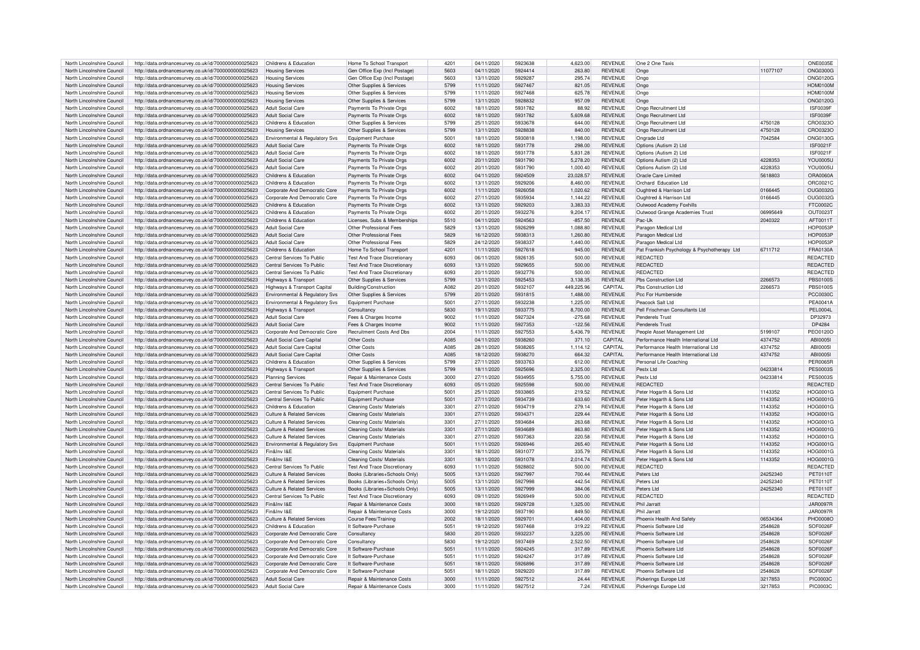| North Lincolnshire Council                               | http://data.ordnancesurvey.co.uk/id/7000000000025623                                                                           | Childrens & Education                      | Home To School Transport                                            | 4201         | 04/11/2020               | 5923638            | 4.623.00      | <b>REVENUE</b>                   | One 2 One Taxis                                |                    | <b>ONE0035E</b>                    |
|----------------------------------------------------------|--------------------------------------------------------------------------------------------------------------------------------|--------------------------------------------|---------------------------------------------------------------------|--------------|--------------------------|--------------------|---------------|----------------------------------|------------------------------------------------|--------------------|------------------------------------|
|                                                          |                                                                                                                                |                                            |                                                                     | 5603         |                          | 5924414            |               |                                  |                                                | 11077107           |                                    |
| North Lincolnshire Council                               | http://data.ordnancesurvey.co.uk/id/7000000000025623                                                                           | <b>Housing Services</b>                    | Gen Office Exp (Incl Postage)                                       |              | 04/11/2020               |                    | 263.80        | <b>REVENUE</b>                   | Ongo                                           |                    | <b>ONG0300G</b>                    |
| North Lincolnshire Council                               | http://data.ordnancesurvey.co.uk/id/7000000000025623                                                                           | <b>Housing Services</b>                    | Gen Office Exp (Incl Postage                                        | 5603         | 13/11/2020               | 5929287            | 295.74        | <b>REVENUE</b>                   | Ongo                                           |                    | ONG01200                           |
| North Lincolnshire Council                               | http://data.ordnancesurvey.co.uk/id/7000000000025623                                                                           | <b>Housing Services</b>                    | Other Supplies & Services                                           | 5799         | 11/11/2020               | 5927467            | 821.05        | <b>REVENUE</b>                   | Ongo                                           |                    | HOM0100M                           |
| North Lincolnshire Council                               | http://data.ordnancesurvey.co.uk/id/7000000000025623                                                                           | <b>Housing Services</b>                    | Other Supplies & Services                                           | 5799         | 11/11/2020               | 5927468            | 625.78        | <b>REVENUE</b>                   | Ongo                                           |                    | <b>HOM0100M</b>                    |
| North Lincolnshire Council                               | http://data.ordnancesurvey.co.uk/id/7000000000025623                                                                           | <b>Housing Services</b>                    | Other Supplies & Services                                           | 5799         | 13/11/2020               | 5928832            | 957.09        | <b>REVENUE</b>                   | Ongo                                           |                    | ONG0120G                           |
| North Lincolnshire Council                               |                                                                                                                                |                                            |                                                                     | 6002         | 18/11/2020               | 5931782            | 88.92         | <b>REVENUE</b>                   |                                                |                    | ISF0039F                           |
|                                                          | http://data.ordnancesurvey.co.uk/id/7000000000025623                                                                           | <b>Adult Social Care</b>                   | Payments To Private Orgs                                            |              |                          |                    |               |                                  | Ongo Recruitment Ltd                           |                    |                                    |
| North Lincolnshire Council                               | http://data.ordnancesurvey.co.uk/id/7000000000025623                                                                           | Adult Social Care                          | Payments To Private Orgs                                            | 6002         | 18/11/2020               | 5931782            | 5,609.68      | <b>REVENUE</b>                   | Ongo Recruitment Ltd                           |                    | <b>ISF0039F</b>                    |
| North Lincolnshire Council                               | http://data.ordnancesurvey.co.uk/id/7000000000025623                                                                           | Childrens & Education                      | Other Supplies & Services                                           | 5799         | 25/11/2020               | 5933678            | 644.00        | <b>REVENUE</b>                   | Ongo Recruitment Ltd                           | 4750128            | CRO0323C                           |
| North Lincolnshire Council                               | http://data.ordnancesurvey.co.uk/id/7000000000025623                                                                           | <b>Housing Services</b>                    | Other Supplies & Services                                           | 5799         | 13/11/2020               | 5928838            | 840.00        | <b>REVENUE</b>                   | Ongo Recruitment Ltd                           | 4750128            | CRO0323C                           |
| North Lincolnshire Council                               | http://data.ordnancesurvey.co.uk/id/7000000000025623                                                                           | Environmental & Regulatory Svs             | <b>Equipment Purchase</b>                                           | 5001         | 18/11/2020               | 5930818            | 1,198.00      | <b>REVENUE</b>                   | Ongrade I td                                   | 7042584            | ONG01300                           |
| North Lincolnshire Council                               | http://data.ordnancesurvey.co.uk/id/7000000000025623                                                                           | <b>Adult Social Care</b>                   | Payments To Private Orgs                                            | 6002         | 18/11/2020               | 5931778            | 298.00        | <b>REVENUE</b>                   | Options (Autism 2) Ltd                         |                    | <b>ISF0021F</b>                    |
|                                                          |                                                                                                                                |                                            |                                                                     |              |                          |                    |               |                                  |                                                |                    |                                    |
| North Lincolnshire Council                               | http://data.ordnancesurvey.co.uk/id/7000000000025623                                                                           | <b>Adult Social Care</b>                   | Payments To Private Orgs                                            | 6002         | 18/11/2020               | 5931778            | 5.831.28      | <b>REVENUE</b>                   | Options (Autism 2) Ltd                         |                    | <b>ISF0021F</b>                    |
| North Lincolnshire Council                               | http://data.ordnancesurvey.co.uk/id/7000000000025623                                                                           | <b>Adult Social Care</b>                   | Payments To Private Orgs                                            | 6002         | 20/11/2020               | 5931790            | 5,278.20      | <b>REVENUE</b>                   | Options Autism (2) Ltd                         | 4228353            | <b>YOU0005L</b>                    |
| North Lincolnshire Council                               | http://data.ordnancesurvey.co.uk/id/7000000000025623                                                                           | <b>Adult Social Care</b>                   | Payments To Private Orgs                                            | 6002         | 20/11/2020               | 5931790            | 1.000.40      | <b>REVENUE</b>                   | Options Autism (2) Ltd                         | 4228353            | YOU0005l                           |
| North Lincolnshire Council                               | http://data.ordnancesurvey.co.uk/id/7000000000025623                                                                           | Childrens & Education                      | Payments To Private Orgs                                            | 6002         | 04/11/2020               | 5924509            | 23.028.57     | <b>REVENUE</b>                   | Oracle Care Limited                            | 5618803            | ORA0060A                           |
| North Lincolnshire Council                               | http://data.ordnancesurvey.co.uk/id/7000000000025623                                                                           | Childrens & Education                      | Payments To Private Orgs                                            | 6002         | 13/11/2020               | 5929206            | 8,460.00      | <b>REVENUE</b>                   | Orchard Education Ltd                          |                    | ORC0021C                           |
| North Lincolnshire Council                               |                                                                                                                                |                                            |                                                                     | 6002         |                          | 5926058            |               | <b>REVENUE</b>                   |                                                | 0166445            | OUG0032G                           |
|                                                          | http://data.ordnancesurvey.co.uk/id/7000000000025623                                                                           | Corporate And Democratic Core              | Payments To Private Orgs                                            |              | 11/11/2020               |                    | 1,020.62      |                                  | Oughtred & Harrison Ltd                        |                    |                                    |
| North Lincolnshire Council                               | http://data.ordnancesurvey.co.uk/id/7000000000025623                                                                           | Corporate And Democratic Core              | Payments To Private Orgs                                            | 6002         | 27/11/2020               | 5935934            | 1,144.22      | <b>REVENUE</b>                   | Oughtred & Harrison Ltd                        | 0166445            | OUG0032G                           |
| North Lincolnshire Council                               | http://data.ordnancesurvey.co.uk/id/7000000000025623                                                                           | Childrens & Education                      | Payments To Private Orgs                                            | 6002         | 13/11/2020               | 5929203            | 3,383.33      | REVENUE                          | Outwood Academy Foxhills                       |                    | FTC0002C                           |
| North Lincolnshire Council                               | http://data.ordnancesurvey.co.uk/id/7000000000025623                                                                           | Childrens & Education                      | Payments To Private Orgs                                            | 6002         | 20/11/2020               | 5932276            | 9.204.17      | <b>REVENUE</b>                   | Outwood Grange Academies Trust                 | 06995649           | OUT0023T                           |
| North Lincolnshire Council                               | http://data.ordnancesurvey.co.uk/id/7000000000025623                                                                           | Childrens & Education                      | Licenses, Subs & Memberships                                        | 5510         | 04/11/2020               | 5924563            | $-857.50$     | <b>REVENUE</b>                   | Pac-Uk                                         | 2040322            | AFT0011T                           |
| North Lincolnshire Council                               | http://data.ordnancesurvey.co.uk/id/7000000000025623                                                                           | Adult Social Care                          | Other Professional Fees                                             | 5829         | 13/11/2020               | 5926299            | 1.088.80      | <b>REVENUE</b>                   | Paragon Medical Ltd                            |                    | <b>HOP0053F</b>                    |
|                                                          |                                                                                                                                |                                            |                                                                     |              |                          |                    |               |                                  |                                                |                    |                                    |
| North Lincolnshire Council                               | http://data.ordnancesurvey.co.uk/id/7000000000025623                                                                           | <b>Adult Social Care</b>                   | Other Professional Fees                                             | 5829         | 16/12/2020               | 5938313            | 1,260.80      | REVENUE                          | Paragon Medical Ltd                            |                    | <b>HOP0053F</b>                    |
| North Lincolnshire Council                               | http://data.ordnancesurvey.co.uk/id/7000000000025623                                                                           | <b>Adult Social Care</b>                   | Other Professional Fees                                             | 5829         | 24/12/2020               | 5938337            | 1.440.00      | <b>REVENUE</b>                   | Paragon Medical Ltd                            |                    | <b>HOP0053R</b>                    |
| North Lincolnshire Council                               | http://data.ordnancesurvey.co.uk/id/7000000000025623                                                                           | Childrens & Education                      | Home To School Transport                                            | 4201         | 11/11/2020               | 5927618            | 945.00        | REVENUE                          | Pat Frankish Psychology & Psychotherapy Ltd    | 6711712            | FRA0130A                           |
| North Lincolnshire Council                               | http://data.ordnancesurvey.co.uk/id/7000000000025623                                                                           | Central Services To Public                 | <b>Test And Trace Discretionary</b>                                 | 6093         | 06/11/2020               | 5926135            | 500.00        | <b>REVENUE</b>                   | <b>REDACTED</b>                                |                    | <b>REDACTED</b>                    |
| North Lincolnshire Council                               |                                                                                                                                | Central Services To Public                 | Test And Trace Discretionary                                        | 6093         | 13/11/2020               | 5929655            | 500.00        | <b>REVENUE</b>                   | <b>REDACTED</b>                                |                    | REDACTED                           |
|                                                          | http://data.ordnancesurvey.co.uk/id/7000000000025623                                                                           |                                            |                                                                     |              |                          |                    |               |                                  |                                                |                    |                                    |
| North Lincolnshire Council                               | http://data.ordnancesurvey.co.uk/id/7000000000025623                                                                           | Central Services To Public                 | <b>Test And Trace Discretionary</b>                                 | 6093         | 20/11/2020               | 5932776            | 500.00        | <b>REVENUE</b>                   | <b>REDACTED</b>                                |                    | REDACTED                           |
| North Lincolnshire Council                               | http://data.ordnancesurvey.co.uk/id/7000000000025623                                                                           | Highways & Transport                       | Other Supplies & Services                                           | 5799         | 13/11/2020               | 5925453            | 3,138.35      | <b>REVENUE</b>                   | Pbs Construction Ltd                           | 2266573            | <b>PBS0100S</b>                    |
| North Lincolnshire Council                               | http://data.ordnancesurvey.co.uk/id/7000000000025623                                                                           | Highways & Transport Capital               | Building/Construction                                               | A082         | 20/11/2020               | 5932107            | 449.225.96    | CAPITAL                          | Phs Construction Ltd                           | 2266573            | <b>PBS0100S</b>                    |
| North Lincolnshire Council                               | http://data.ordnancesurvey.co.uk/id/7000000000025623                                                                           | Environmental & Regulatory Svs             | Other Supplies & Services                                           | 5799         | 20/11/2020               | 5931815            | 1,488.00      | <b>REVENUE</b>                   | Pcc For Humberside                             |                    | <b>PCC0030C</b>                    |
| North Lincolnshire Council                               | http://data.ordnancesurvey.co.uk/id/7000000000025623                                                                           | Environmental & Regulatory Svs             |                                                                     | 5001         | 27/11/2020               | 5932238            | 1,225.00      | <b>REVENUE</b>                   | Peacock Salt Ltd                               |                    | <b>PEA0041A</b>                    |
|                                                          |                                                                                                                                |                                            | <b>Equipment Purchase</b>                                           |              |                          |                    |               |                                  |                                                |                    |                                    |
| North Lincolnshire Council                               | http://data.ordnancesurvey.co.uk/id/7000000000025623                                                                           | Highways & Transport                       | Consultancy                                                         | 5830         | 19/11/2020               | 5933775            | 8.700.00      | <b>REVENUE</b>                   | Pell Frischman Consultants I td.               |                    | PFI 0004                           |
| North Lincolnshire Council                               | http://data.ordnancesurvey.co.uk/id/7000000000025623                                                                           | Adult Social Care                          | Fees & Charges Income                                               | 9002         | 11/11/2020               | 5927324            | $-275.68$     | <b>REVENUE</b>                   | Penderels Trust                                |                    | DP32973                            |
| North Lincolnshire Council                               | http://data.ordnancesurvey.co.uk/id/7000000000025623                                                                           | <b>Adult Social Care</b>                   | Fees & Charges Income                                               | 9002         | 11/11/2020               | 5927353            |               | REVENUE                          |                                                |                    |                                    |
|                                                          |                                                                                                                                |                                            |                                                                     |              |                          |                    | $-122.56$     |                                  | <b>Penderels Trust</b>                         |                    | DP4284                             |
|                                                          |                                                                                                                                |                                            |                                                                     |              |                          |                    |               |                                  |                                                |                    |                                    |
| North Lincolnshire Council                               | http://data.ordnancesurvey.co.uk/id/7000000000025623                                                                           | Cornorate And Democratic Core              | Recruitment Costs And Dbs                                           | 2004         | 11/11/2020               | 5927553            | 5.436.79      | <b>REVENUE</b>                   | People Asset Management I td                   | 5199107            | <b>PEO0120C</b>                    |
| North Lincolnshire Council                               | http://data.ordnancesurvey.co.uk/id/7000000000025623                                                                           | Adult Social Care Capital                  | Other Costs                                                         | A085         | 04/11/2020               | 5938260            | 371.10        | <b>CAPITAL</b>                   | Performance Health International Ltd           | 4374752            | ABI0005I                           |
| North Lincolnshire Council                               | http://data.ordnancesurvey.co.uk/id/7000000000025623                                                                           | Adult Social Care Capital                  | Other Costs                                                         | A085         | 28/11/2020               | 5938265            | 1,114.12      | CAPITAL                          | Performance Health International Ltd           | 4374752            | <b>ABI0005I</b>                    |
| North Lincolnshire Council                               | http://data.ordnancesurvey.co.uk/id/7000000000025623                                                                           | Adult Social Care Capital                  | Other Costs                                                         | A085         | 18/12/2020               | 5938270            | 664.32        | CAPITAL                          | Performance Health International Ltd           | 4374752            | <b>ABI0005I</b>                    |
| North Lincolnshire Council                               | http://data.ordnancesurvey.co.uk/id/7000000000025623                                                                           | Childrens & Education                      | Other Supplies & Services                                           | 5799         | 27/11/2020               | 5933763            | 612.00        | <b>REVENUE</b>                   | Personal Life Coaching                         |                    | <b>PFR0065F</b>                    |
| North Lincolnshire Council                               |                                                                                                                                |                                            | Other Supplies & Services                                           |              |                          |                    |               |                                  |                                                |                    |                                    |
|                                                          | http://data.ordnancesurvey.co.uk/id/7000000000025623                                                                           | Highways & Transport                       |                                                                     | 5799         | 18/11/2020               | 5925696            | 2.325.00      | <b>REVENUE</b>                   | Pestx Ltd                                      | 04233814           | <b>PES0003S</b>                    |
| North Lincolnshire Council                               | http://data.ordnancesurvey.co.uk/id/7000000000025623                                                                           | <b>Planning Services</b>                   | <b>Repair &amp; Maintenance Costs</b>                               | 3000         | 27/11/2020               | 5934955            | 5.755.00      | <b>REVENUE</b>                   | Pestx I td                                     | 04233814           | <b>PES0003S</b>                    |
| North Lincolnshire Council                               | http://data.ordnancesurvey.co.uk/id/7000000000025623                                                                           | Central Services To Public                 | <b>Test And Trace Discretionary</b>                                 | 6093         | 05/11/2020               | 5925598            | 500.00        | <b>REVENUE</b>                   | <b>REDACTED</b>                                |                    | <b>REDACTED</b>                    |
| North Lincolnshire Council                               | http://data.ordnancesurvev.co.uk/id/7000000000025623                                                                           | Central Services To Public                 | Equipment Purchase                                                  | 5001         | 25/11/2020               | 5933865            | 219.52        | <b>REVENUE</b>                   | Peter Hogarth & Sons Ltd                       | 1143352            | HOG0001G                           |
| North Lincolnshire Council                               | http://data.ordnancesurvey.co.uk/id/7000000000025623                                                                           | Central Services To Public                 | <b>Equipment Purchase</b>                                           | 5001         | 27/11/2020               | 5934739            | 633.60        | REVENUE                          | Peter Hogarth & Sons Ltd                       | 1143352            | HOG0001G                           |
| North Lincolnshire Council                               | http://data.ordnancesurvey.co.uk/id/7000000000025623                                                                           | Childrens & Education                      | Cleaning Costs/ Materials                                           | 3301         | 27/11/2020               | 5934719            | 279.14        | <b>REVENUE</b>                   | Peter Hogarth & Sons Ltd                       | 1143352            | HOG0001G                           |
|                                                          |                                                                                                                                |                                            |                                                                     |              |                          |                    |               |                                  |                                                |                    |                                    |
| North Lincolnshire Council                               | http://data.ordnancesurvey.co.uk/id/7000000000025623                                                                           | Culture & Related Services                 | Cleaning Costs/ Materials                                           | 3301         | 27/11/2020               | 5934371            | 229.44        | <b>REVENUE</b>                   | Peter Hogarth & Sons Ltd                       | 1143352            | <b>HOG0001G</b>                    |
| North Lincolnshire Council                               | http://data.ordnancesurvey.co.uk/id/7000000000025623                                                                           | Culture & Related Services                 | Cleaning Costs/ Materials                                           | 3301         | 27/11/2020               | 5934684            | 263.68        | <b>REVENUE</b>                   | Peter Hogarth & Sons Ltd                       | 1143352            | <b>HOG0001G</b>                    |
| North Lincolnshire Council                               | http://data.ordnancesurvey.co.uk/id/7000000000025623                                                                           | <b>Culture &amp; Related Services</b>      | Cleaning Costs/ Materials                                           | 3301         | 27/11/2020               | 5934689            | 863.80        | <b>REVENUE</b>                   | Peter Hogarth & Sons Ltd                       | 1143352            | HOG0001G                           |
| North Lincolnshire Council                               | http://data.ordnancesurvey.co.uk/id/7000000000025623                                                                           | Culture & Related Services                 | Cleaning Costs/ Materials                                           | 3301         | 27/11/2020               | 5937363            | 220.58        | <b>REVENUE</b>                   | Peter Hogarth & Sons Ltd                       | 1143352            | <b>HOG0001G</b>                    |
| North Lincolnshire Council                               | http://data.ordnancesurvey.co.uk/id/7000000000025623                                                                           | <b>Environmental &amp; Regulatory Sys.</b> | Foujoment Purchase                                                  | 5001         | 11/11/2020               | 5926946            | 265.40        | <b>REVENUE</b>                   | Peter Hogarth & Sons Ltd                       | 1143352            | HOG0001G                           |
| North Lincolnshire Council                               |                                                                                                                                | Fin&Inv I&F                                |                                                                     | 3301         |                          | 5931077            |               | <b>REVENUE</b>                   |                                                |                    |                                    |
|                                                          | http://data.ordnancesurvey.co.uk/id/7000000000025623                                                                           |                                            | Cleaning Costs/ Materials                                           |              | 18/11/2020               |                    | 335.79        |                                  | Peter Hogarth & Sons Ltd                       | 1143352            | <b>HOG0001G</b>                    |
| North Lincolnshire Council                               | http://data.ordnancesurvey.co.uk/id/7000000000025623                                                                           | Fin&Inv I&F                                | Cleaning Costs/ Materials                                           | 3301         | 18/11/2020               | 5931078            | 2,014.74      | <b>REVENUE</b>                   | Peter Hogarth & Sons Ltd                       | 1143352            | HOG0001G                           |
| North Lincolnshire Council                               | http://data.ordnancesurvey.co.uk/id/7000000000025623                                                                           | Central Services To Public                 | <b>Test And Trace Discretionary</b>                                 | 6093         | 11/11/2020               | 5928802            | 500.00        | <b>REVENUE</b>                   | <b>REDACTED</b>                                |                    | REDACTED                           |
| North Lincolnshire Council                               | http://data.ordnancesurvey.co.uk/id/7000000000025623                                                                           | Culture & Related Services                 | Books (Libraries+Schools Only)                                      | 5005         | 13/11/2020               | 5927997            | 700.44        | <b>REVENUE</b>                   | Peters Ltd                                     | 24252340           | PET0110T                           |
| North Lincolnshire Council                               | http://data.ordnancesurvey.co.uk/id/7000000000025623                                                                           | <b>Culture &amp; Related Services</b>      | Books (Libraries+Schools Only)                                      | 5005         | 13/11/2020               | 5927998            | 442.54        | <b>REVENUE</b>                   | Peters Ltd                                     | 24252340           | PET0110T                           |
| North Lincolnshire Council                               |                                                                                                                                | Culture & Related Services                 | Books (Libraries+Schools Only)                                      | 5005         | 13/11/2020               | 5927999            | 384.06        | <b>REVENUE</b>                   | Peters Ltd                                     | 24252340           | PET0110T                           |
| North Lincolnshire Council                               | http://data.ordnancesurvey.co.uk/id/7000000000025623                                                                           | Central Services To Public                 | <b>Test And Trace Discretionary</b>                                 | 6093         | 09/11/2020               | 5926949            |               |                                  | <b>REDACTED</b>                                |                    |                                    |
|                                                          | http://data.ordnancesurvey.co.uk/id/7000000000025623                                                                           |                                            |                                                                     |              |                          |                    | 500.00        | REVENUE                          |                                                |                    | REDACTED                           |
| North Lincolnshire Council                               | http://data.ordnancesurvey.co.uk/id/7000000000025623                                                                           | Fin&Inv I&F                                | Repair & Maintenance Costs                                          | 3000         | 18/11/2020               | 5929728            | 1,325.00      | <b>REVENUE</b>                   | Phil Jarratt                                   |                    | <b>JAR0097R</b>                    |
| North Lincolnshire Council                               | http://data.ordnancesurvey.co.uk/id/7000000000025623                                                                           | Fin&Inv I&F                                | Repair & Maintenance Costs                                          | 3000         | 19/12/2020               | 5937190            | 849.50        | REVENUE                          | Phil Jarratt                                   |                    | <b>JAR0097R</b>                    |
| North Lincolnshire Council                               | http://data.ordnancesurvey.co.uk/id/7000000000025623                                                                           | <b>Culture &amp; Related Services</b>      | Course Fees/Training                                                | 2002         | 18/11/2020               | 5929701            | 1,404.00      | <b>REVENUE</b>                   | Phoenix Health And Safety                      | 06534364           | <b>PHO0008C</b>                    |
| North Lincolnshire Council                               | http://data.ordnancesurvey.co.uk/id/7000000000025623                                                                           | Childrens & Education                      | It Software-Purchase                                                | 5051         | 19/12/2020               | 5937468            | 319.22        | <b>REVENUE</b>                   | Phoenix Software Ltd                           | 2548628            | SOF0026F                           |
| North Lincolnshire Council                               |                                                                                                                                | Corporate And Democratic Core              | Consultancy                                                         | 5830         | 20/11/2020               | 5932237            |               | <b>REVENUE</b>                   | Phoenix Software Ltd                           | 2548628            | SOE0026E                           |
|                                                          | http://data.ordnancesurvey.co.uk/id/7000000000025623                                                                           |                                            |                                                                     |              |                          |                    | 3,225.00      |                                  |                                                |                    |                                    |
| North Lincolnshire Council                               | http://data.ordnancesurvey.co.uk/id/7000000000025623                                                                           | Corporate And Democratic Core              | Consultancy                                                         | 5830         | 19/12/2020               | 5937469            | 2,522.50      | <b>REVENUE</b>                   | Phoenix Software Ltd                           | 2548628            | SOF0026F                           |
| North Lincolnshire Council                               | http://data.ordnancesurvey.co.uk/id/7000000000025623                                                                           | Corporate And Democratic Core              | It Software-Purchase                                                | 5051         | 11/11/2020               | 5924245            | 317.89        | <b>REVENUE</b>                   | Phoenix Software Ltd                           | 2548628            | SOF0026F                           |
| North Lincolnshire Council                               | http://data.ordnancesurvey.co.uk/id/7000000000025623                                                                           | Corporate And Democratic Core              | It Software-Purchase                                                | 505          | 11/11/2020               | 5924247            | 317.89        | <b>REVENUE</b>                   | Phoenix Software Ltd                           | 2548628            | SOF0026F                           |
| North Lincolnshire Council                               | http://data.ordnancesurvey.co.uk/id/7000000000025623                                                                           | Corporate And Democratic Core              | It Software-Purchase                                                | 5051         | 18/11/2020               | 5926896            | 317.89        | <b>REVENUE</b>                   | Phoenix Software Ltd                           | 2548628            | SOF0026F                           |
|                                                          |                                                                                                                                |                                            | It Software-Purchase                                                |              | 18/11/2020               | 5929220            | 317.89        |                                  | Phoenix Software Ltd                           |                    |                                    |
| North Lincolnshire Council                               | http://data.ordnancesurvey.co.uk/id/7000000000025623                                                                           | Corporate And Democratic Core              |                                                                     | 5051         |                          |                    |               | <b>REVENUE</b>                   |                                                | 2548628            | SOF0026F                           |
| North Lincolnshire Council<br>North Lincolnshire Council | http://data.ordnancesurvey.co.uk/id/7000000000025623<br>http://data.ordnancesurvey.co.uk/id/7000000000025623 Adult Social Care | Adult Social Care                          | <b>Repair &amp; Maintenance Costs</b><br>Repair & Maintenance Costs | 3000<br>3000 | 11/11/2020<br>11/11/2020 | 5927512<br>5927512 | 24.44<br>7.24 | <b>REVENUE</b><br><b>REVENUE</b> | Pickerings Europe Ltd<br>Pickerings Europe Ltd | 3217853<br>3217853 | <b>PIC0003C</b><br><b>PIC0003C</b> |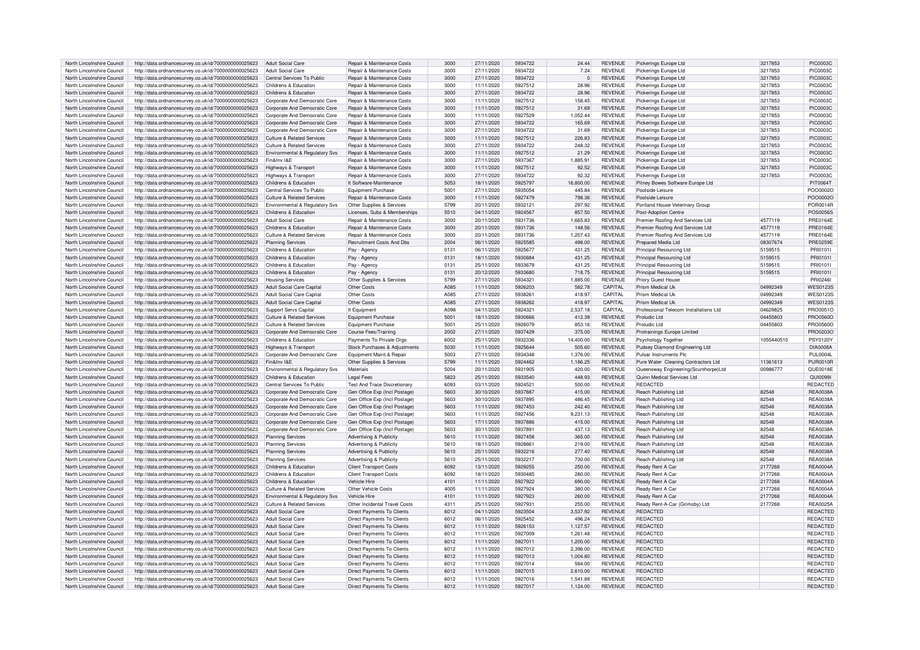| North Lincolnshire Council |                                                      |                                            |                                       |      |            |         |             |                |                                         |            |                 |
|----------------------------|------------------------------------------------------|--------------------------------------------|---------------------------------------|------|------------|---------|-------------|----------------|-----------------------------------------|------------|-----------------|
|                            | http://data.ordnancesurvey.co.uk/id/7000000000025623 | Adult Social Care                          | <b>Benair &amp; Maintenance Costs</b> | 3000 | 27/11/2020 | 5934722 | 24.44       | <b>REVENUE</b> | Pickerings Europe Ltd                   | 3217853    | <b>PIC0003C</b> |
| North Lincolnshire Council | http://data.ordnancesurvey.co.uk/id/7000000000025623 | Adult Social Care                          | <b>Benair &amp; Maintenance Costs</b> | 3000 | 27/11/2020 | 5934722 | 7.24        | <b>REVENUE</b> | Pickerings Europe Ltd                   | 3217853    | <b>PIC0003C</b> |
| North Lincolnshire Council | http://data.ordnancesurvey.co.uk/id/7000000000025623 | Central Services To Public                 | Repair & Maintenance Costs            | 3000 | 27/11/2020 | 5934722 | $\mathbf 0$ | <b>REVENUE</b> | Pickerings Europe Ltd                   | 3217853    | <b>PIC0003C</b> |
|                            |                                                      |                                            |                                       |      |            |         |             |                |                                         |            |                 |
| North Lincolnshire Council | http://data.ordnancesurvey.co.uk/id/7000000000025623 | Childrens & Education                      | Repair & Maintenance Costs            | 3000 | 11/11/2020 | 5927512 | 28.96       | <b>REVENUE</b> | Pickerings Europe Ltd                   | 3217853    | <b>PIC0003C</b> |
| North Lincolnshire Council | http://data.ordnancesurvey.co.uk/id/7000000000025623 | Childrens & Education                      | Repair & Maintenance Costs            | 3000 | 27/11/2020 | 5934722 | 28.96       | <b>REVENUE</b> | Pickerings Europe Ltd                   | 3217853    | <b>PIC0003C</b> |
| North Lincolnshire Council | http://data.ordnancesurvey.co.uk/id/7000000000025623 | Corporate And Democratic Core              | Repair & Maintenance Costs            | 3000 | 11/11/2020 | 5927512 | 158.45      | <b>REVENUE</b> | Pickerings Europe Ltd                   | 3217853    | <b>PIC0003C</b> |
|                            |                                                      |                                            |                                       |      |            |         |             |                |                                         |            |                 |
| North Lincolnshire Council | http://data.ordnancesurvey.co.uk/id/7000000000025623 | Corporate And Democratic Core              | Repair & Maintenance Costs            | 3000 | 11/11/2020 | 5927512 | 31.69       | <b>REVENUE</b> | Pickerings Europe Ltd                   | 3217853    | <b>PIC0003C</b> |
| North Lincolnshire Council | http://data.ordnancesurvey.co.uk/id/7000000000025623 | Corporate And Democratic Core              | Repair & Maintenance Costs            | 3000 | 11/11/2020 | 5927529 | 1,052.44    | <b>REVENUE</b> | Pickerings Europe Ltd                   | 3217853    | <b>PIC0003C</b> |
|                            |                                                      |                                            |                                       |      |            |         |             |                |                                         |            |                 |
| North Lincolnshire Council | http://data.ordnancesurvey.co.uk/id/7000000000025623 | Corporate And Democratic Core              | Repair & Maintenance Costs            | 3000 | 27/11/2020 | 5934722 | 165.69      | <b>REVENUE</b> | Pickerings Europe Ltd                   | 3217853    | <b>PIC0003C</b> |
| North Lincolnshire Council | http://data.ordnancesurvey.co.uk/id/7000000000025623 | Corporate And Democratic Core              | <b>Benair &amp; Maintenance Costs</b> | 3000 | 27/11/2020 | 5934722 | 31.69       | <b>REVENUE</b> | Pickerings Europe Ltd                   | 3217853    | <b>PIC0003C</b> |
|                            |                                                      |                                            |                                       |      |            |         |             |                |                                         |            |                 |
| North Lincolnshire Council | http://data.ordnancesurvey.co.uk/id/7000000000025623 | Culture & Related Services                 | Repair & Maintenance Costs            | 3000 | 11/11/2020 | 5927512 | 226.83      | <b>REVENUE</b> | Pickerings Europe Ltd                   | 3217853    | <b>PIC0003C</b> |
| North Lincolnshire Council | http://data.ordnancesurvey.co.uk/id/7000000000025623 | Culture & Related Services                 | Repair & Maintenance Costs            | 3000 | 27/11/2020 | 5934722 | 248.32      | <b>REVENUE</b> | Pickerings Europe Ltd                   | 3217853    | <b>PIC0003C</b> |
| North Lincolnshire Council |                                                      |                                            |                                       | 3000 |            | 5927512 |             | <b>REVENUE</b> |                                         | 3217853    | <b>PIC0003C</b> |
|                            | http://data.ordnancesurvey.co.uk/id/7000000000025623 | Environmental & Regulatory Svs             | Repair & Maintenance Costs            |      | 11/11/2020 |         | 21.29       |                | Pickerings Europe Ltd                   |            |                 |
| North Lincolnshire Council | http://data.ordnancesurvey.co.uk/id/7000000000025623 | Fin&Inv I&F                                | Repair & Maintenance Costs            | 3000 | 27/11/2020 | 5937367 | 1,885.91    | <b>REVENUE</b> | Pickerings Europe Ltd                   | 3217853    | <b>PIC0003C</b> |
| North Lincolnshire Council | http://data.ordnancesurvey.co.uk/id/7000000000025623 | Highways & Transport                       | Repair & Maintenance Costs            | 3000 | 11/11/2020 | 5927512 | 92.52       | <b>REVENUE</b> | Pickerings Europe Ltd                   | 3217853    | <b>PIC0003C</b> |
|                            |                                                      |                                            |                                       |      |            |         |             |                |                                         |            |                 |
| North Lincolnshire Council | http://data.ordnancesurvey.co.uk/id/7000000000025623 | Highways & Transport                       | Repair & Maintenance Costs            | 3000 | 27/11/2020 | 5934722 | 92.32       | <b>REVENUE</b> | Pickerings Europe Ltd                   | 3217853    | PIC0003C        |
| North Lincolnshire Council | http://data.ordnancesurvey.co.uk/id/7000000000025623 | Childrens & Education                      | It Software-Maintenance               | 5053 | 18/11/2020 | 5925797 | 16,800.00   | <b>REVENUE</b> | Pitney Bowes Software Europe Ltd        |            | PIT0064T        |
|                            |                                                      | Central Services To Public                 |                                       | 5001 |            | 5935054 | 445.84      | <b>REVENUE</b> | Poolside Leisure                        |            | PO00002C        |
| North Lincolnshire Council | http://data.ordnancesurvey.co.uk/id/7000000000025623 |                                            | Equipment Purchase                    |      | 27/11/2020 |         |             |                |                                         |            |                 |
| North Lincolnshire Council | http://data.ordnancesurvey.co.uk/id/7000000000025623 | Culture & Related Services                 | Repair & Maintenance Costs            | 3000 | 11/11/2020 | 5927479 | 798.36      | <b>REVENUE</b> | Poolside Leisure                        |            | POO0002C        |
| North Lincolnshire Council | http://data.ordnancesurvey.co.uk/id/7000000000025623 | Environmental & Regulatory Svs             | Other Supplies & Services             | 5799 | 20/11/2020 | 5932121 | 297.92      | <b>REVENUE</b> | Portland House Veterinary Group         |            | POR0014F        |
|                            |                                                      |                                            |                                       |      |            |         |             |                |                                         |            |                 |
| North Lincolnshire Council | http://data.ordnancesurvey.co.uk/id/7000000000025623 | Childrens & Education                      | Licenses, Subs & Memberships          | 5510 | 04/11/2020 | 5924567 | 857.50      | <b>REVENUE</b> | Post-Adoption Centre                    |            | POS0056S        |
| North Lincolnshire Council | http://data.ordnancesurvey.co.uk/id/7000000000025623 | <b>Adult Social Care</b>                   | <b>Benair &amp; Maintenance Costs</b> | 3000 | 20/11/2020 | 5931736 | 1,665.83    | <b>REVENUE</b> | Premier Roofing And Services Ltd        | 4577119    | <b>PRE0164E</b> |
|                            |                                                      |                                            |                                       |      |            |         |             |                |                                         |            |                 |
| North Lincolnshire Council | http://data.ordnancesurvey.co.uk/id/7000000000025623 | Childrens & Education                      | <b>Benair &amp; Maintenance Costs</b> | 3000 | 20/11/2020 | 5931736 | 148.56      | <b>REVENUE</b> | Premier Roofing And Services Ltd        | 4577119    | <b>PRE0164E</b> |
| North Lincolnshire Council | http://data.ordnancesurvey.co.uk/id/7000000000025623 | <b>Culture &amp; Related Services</b>      | Repair & Maintenance Costs            | 3000 | 20/11/2020 | 5931736 | 1,207.43    | <b>REVENUE</b> | Premier Roofing And Services Ltd        | 4577119    | <b>PRE0164E</b> |
| North Lincolnshire Council |                                                      | <b>Planning Services</b>                   | <b>Recruitment Costs And Dbs</b>      | 2004 | 06/11/2020 | 5925585 | 498.00      | <b>REVENUE</b> | Prepared Media I td                     | 08307674   | PRF0259F        |
|                            | http://data.ordnancesurvey.co.uk/id/7000000000025623 |                                            |                                       |      |            |         |             |                |                                         |            |                 |
| North Lincolnshire Council | http://data.ordnancesurvey.co.uk/id/7000000000025623 | Childrens & Education                      | Pay - Agency                          | 0131 | 06/11/2020 | 5925677 | 431.25      | <b>REVENUE</b> | Principal Resourcing Ltd                | 5159515    | PRI0101I        |
| North Lincolnshire Council | http://data.ordnancesurvey.co.uk/id/7000000000025623 | Childrens & Education                      | Pay - Agency                          | 0131 | 18/11/2020 | 5930884 | 431.25      | <b>REVENUE</b> | Principal Resourcing Ltd                | 5159515    | PRI01011        |
|                            |                                                      |                                            |                                       |      |            |         |             |                |                                         |            |                 |
| North Lincolnshire Council | http://data.ordnancesurvey.co.uk/id/7000000000025623 | Childrens & Education                      | Pay - Agency                          | 0131 | 25/11/2020 | 5933679 | 431.25      | <b>REVENUE</b> | Principal Resourcing Ltd                | 5159515    | PRI01011        |
| North Lincolnshire Council | http://data.ordnancesurvey.co.uk/id/7000000000025623 | Childrens & Education                      | Pay - Agency                          | 0131 | 20/12/2020 | 5933680 | 718.75      | <b>REVENUE</b> | Principal Resourcing Ltd                | 5159515    | PRI0101I        |
|                            |                                                      |                                            |                                       |      |            |         |             |                |                                         |            |                 |
| North Lincolnshire Council | http://data.ordnancesurvey.co.uk/id/7000000000025623 | <b>Housing Services</b>                    | Other Supplies & Services             | 5799 | 27/11/2020 | 5934321 | 1,885.00    | <b>REVENUE</b> | Priory Guest House                      |            | PRI02461        |
| North Lincolnshire Council | http://data.ordnancesurvey.co.uk/id/7000000000025623 | Adult Social Care Capital                  | Other Costs                           | A085 | 11/11/2020 | 5926203 | 582.78      | CAPITAL        | Prism Medical Uk                        | 04992349   | <b>WES01239</b> |
| North Lincolnshire Council | http://data.ordnancesurvey.co.uk/id/7000000000025623 | <b>Adult Social Care Capital</b>           | Other Costs                           | A085 | 27/11/2020 | 5938261 | 418.97      | CAPITAL        | Prism Medical Llk                       | 04992349   | <b>WES01235</b> |
|                            |                                                      |                                            |                                       |      |            |         |             |                |                                         |            |                 |
| North Lincolnshire Council | http://data.ordnancesurvey.co.uk/id/7000000000025623 | <b>Adult Social Care Capital</b>           | Other Costs                           | A085 | 27/11/2020 | 5938262 | 418.97      | CAPITAL        | Prism Medical Uk                        | 04992349   | <b>WES01235</b> |
| North Lincolnshire Council | http://data.ordnancesurvey.co.uk/id/7000000000025623 | <b>Support Servs Capital</b>               | It Equipment                          | A098 | 04/11/2020 | 5924321 | 2.537.18    | CAPITAL        | Professional Telecom Installations I td | 04629825   | PRO0051C        |
|                            |                                                      |                                            |                                       |      |            |         |             |                |                                         |            |                 |
| North Lincolnshire Council | http://data.ordnancesurvey.co.uk/id/7000000000025623 | <b>Culture &amp; Related Services</b>      | <b>Equipment Purchase</b>             | 5001 | 18/11/2020 | 5930666 | 412.39      | <b>REVENUE</b> | Proludic Ltd                            | 04455803   | <b>PRO0560C</b> |
| North Lincolnshire Council | http://data.ordnancesurvey.co.uk/id/7000000000025623 | <b>Culture &amp; Related Services</b>      | <b>Equipment Purchase</b>             | 5001 | 25/11/2020 | 5926079 | 853.16      | <b>REVENUE</b> | Proludic Ltd                            | 04455803   | <b>PRO0560C</b> |
| North Lincolnshire Council | http://data.ordnancesurvey.co.uk/id/7000000000025623 | Cornorate And Democratic Core              | Course Fees/Training                  | 2002 | 27/11/2020 | 5937429 | 375.00      | <b>REVENUE</b> | Protrainings Europe Limited             |            | PRO0203C        |
|                            |                                                      |                                            |                                       |      |            |         |             |                |                                         |            |                 |
| North Lincolnshire Council | http://data.ordnancesurvey.co.uk/id/7000000000025623 | Childrens & Education                      | Payments To Private Orgs              | 6002 | 25/11/2020 | 5932336 | 14.400.00   | <b>REVENUE</b> | Psychology Together                     | 1055440510 | <b>PSY0120Y</b> |
|                            |                                                      |                                            |                                       |      |            |         |             |                |                                         |            |                 |
|                            |                                                      |                                            |                                       |      |            |         |             |                |                                         |            |                 |
| North Lincolnshire Council | http://data.ordnancesurvey.co.uk/id/7000000000025623 | Highways & Transport                       | Stock Purchases & Adjustments         | 5030 | 11/11/2020 | 5925644 | 505.60      | <b>REVENUE</b> | Pudsey Diamond Engineering Ltd          |            | <b>DIA0008A</b> |
| North Lincolnshire Council | http://data.ordnancesurvey.co.uk/id/7000000000025623 | Corporate And Democratic Core              | Foujoment Maint & Repai               | 5003 | 27/11/2020 | 5934348 | 1,376.00    | <b>REVENUE</b> | Pulsar Instruments Plo                  |            | <b>PUL0004L</b> |
|                            |                                                      |                                            |                                       |      |            |         |             |                |                                         |            |                 |
| North Lincolnshire Council | http://data.ordnancesurvey.co.uk/id/7000000000025623 | Fin&Inv I&F                                | Other Supplies & Services             | 5799 | 11/11/2020 | 5924462 | 1,186.25    | <b>REVENUE</b> | Pure Water Cleaning Contractors Ltd     | 11361613   | <b>PUR0010F</b> |
| North Lincolnshire Council | http://data.ordnancesurvey.co.uk/id/7000000000025623 | <b>Environmental &amp; Requlatory Sys.</b> | Materials                             | 5004 | 20/11/2020 | 5931905 | 420.00      | <b>REVENUE</b> | Queensway Engineering(Scunthorpe)Ltd    | 00986777   | QUE0018E        |
| North Lincolnshire Council |                                                      | Childrens & Education                      | Legal Fees                            | 5823 | 25/11/2020 | 5933540 | 448.93      | <b>REVENUE</b> | Quinn Medical Services Ltd              |            | QUI0099         |
|                            | http://data.ordnancesurvey.co.uk/id/7000000000025623 |                                            |                                       |      |            |         |             |                |                                         |            |                 |
| North Lincolnshire Council | http://data.ordnancesurvey.co.uk/id/7000000000025623 | Central Services To Public                 | Test And Trace Discretionary          | 6093 | 03/11/2020 | 592452  | 500.00      | <b>REVENUE</b> | <b>REDACTED</b>                         |            | <b>REDACTED</b> |
| North Lincolnshire Council | http://data.ordnancesurvey.co.uk/id/7000000000025623 | Corporate And Democratic Core              | Gen Office Exp (Incl Postage          | 5603 | 30/10/2020 | 5937887 | 415.00      | <b>REVENUE</b> | Reach Publishing Ltd                    | 82548      | REA0038A        |
|                            |                                                      |                                            |                                       |      |            |         |             |                |                                         |            |                 |
| North Lincolnshire Council | http://data.ordnancesurvey.co.uk/id/7000000000025623 | Corporate And Democratic Core              | Gen Office Exp (Incl Postage          | 5603 | 30/10/2020 | 5937895 | 486.45      | <b>REVENUE</b> | Reach Publishing Ltd                    | 82548      | RFA0038/        |
| North Lincolnshire Council | http://data.ordnancesurvey.co.uk/id/7000000000025623 | Corporate And Democratic Core              | Gen Office Exp (Incl Postage          | 5603 | 11/11/2020 | 5927453 | 242.40      | <b>REVENUE</b> | Reach Publishing Ltd                    | 82548      | <b>REA0038A</b> |
|                            |                                                      |                                            |                                       | 5603 | 11/11/2020 | 5927456 | 9.231.13    | <b>REVENUE</b> |                                         | 82548      | <b>REA0038A</b> |
| North Lincolnshire Council | http://data.ordnancesurvey.co.uk/id/7000000000025623 | Corporate And Democratic Core              | Gen Office Exp (Incl Postage)         |      |            |         |             |                | Reach Publishing Ltd                    |            |                 |
| North Lincolnshire Council | http://data.ordnancesurvey.co.uk/id/7000000000025623 | Corporate And Democratic Core              | Gen Office Exp (Incl Postage)         | 5603 | 17/11/2020 | 5937886 | 415.00      | <b>REVENUE</b> | Reach Publishing Ltd                    | 82548      | <b>REA0038A</b> |
| North Lincolnshire Council | http://data.ordnancesurvey.co.uk/id/7000000000025623 | Corporate And Democratic Core              | Gen Office Exp (Incl Postage)         | 5603 | 30/11/2020 | 593789  | 437.13      | <b>REVENUE</b> | Reach Publishing Ltd                    | 82548      | <b>REA0038A</b> |
| North Lincolnshire Council |                                                      |                                            |                                       | 5610 | 11/11/2020 | 5927458 | 365.00      |                |                                         | 82548      |                 |
|                            | http://data.ordnancesurvey.co.uk/id/7000000000025623 | <b>Planning Services</b>                   | Advertising & Publicity               |      |            |         |             | <b>REVENUE</b> | Reach Publishing Ltd                    |            | <b>REA0038A</b> |
| North Lincolnshire Council | http://data.ordnancesurvey.co.uk/id/7000000000025623 | <b>Planning Services</b>                   | Advertising & Publicity               | 5610 | 18/11/2020 | 5928861 | 219.00      | <b>REVENUE</b> | Reach Publishing Ltd                    | 82548      | <b>REA0038A</b> |
| North Lincolnshire Council | http://data.ordnancesurvey.co.uk/id/7000000000025623 | <b>Planning Services</b>                   | Advertising & Publicity               | 5610 | 25/11/2020 | 5932216 | 277.40      | <b>REVENUE</b> | Reach Publishing Ltd                    | 82548      | <b>REA0038A</b> |
|                            |                                                      |                                            |                                       |      |            |         |             |                |                                         |            |                 |
| North Lincolnshire Council | http://data.ordnancesurvey.co.uk/id/7000000000025623 | <b>Planning Services</b>                   | Advertising & Publicity               | 5610 | 25/11/2020 | 5932217 | 730.00      | <b>REVENUE</b> | Reach Publishing Ltd                    | 82548      | REA0038A        |
| North Lincolnshire Council | http://data.ordnancesurvey.co.uk/id/7000000000025623 | Childrens & Education                      | <b>Client Transport Costs</b>         | 6092 | 13/11/2020 | 5929255 | 250.00      | <b>REVENUE</b> | Ready Rent A Car                        | 2177268    | <b>REA0004A</b> |
|                            |                                                      |                                            |                                       |      |            |         |             |                |                                         |            |                 |
| North Lincolnshire Council | http://data.ordnancesurvey.co.uk/id/7000000000025623 | Childrens & Education                      | <b>Client Transport Costs</b>         | 6092 | 18/11/2020 | 5930485 | 280.00      | <b>REVENUE</b> | Ready Rent A Car                        | 2177268    | <b>REA0004A</b> |
| North Lincolnshire Council | http://data.ordnancesurvey.co.uk/id/7000000000025623 | Childrens & Education                      | Vehicle Hire                          | 4101 | 11/11/2020 | 5927922 | 690.00      | <b>REVENUE</b> | Ready Rent A Car                        | 2177268    | <b>REA0004A</b> |
| North Lincolnshire Council | http://data.ordnancesurvey.co.uk/id/7000000000025623 | Culture & Related Services                 | Other Vehicle Costs                   | 4005 | 11/11/2020 | 5927924 | 380.00      | <b>REVENUE</b> | Ready Rent A Car                        | 2177268    | <b>REA0004A</b> |
|                            |                                                      |                                            |                                       |      |            |         |             |                |                                         |            |                 |
| North Lincolnshire Council | http://data.ordnancesurvey.co.uk/id/7000000000025623 | Environmental & Regulatory Svs             | Vehicle Hire                          | 4101 | 11/11/2020 | 5927923 | 260.00      | <b>REVENUE</b> | Ready Rent A Car                        | 2177268    | <b>REA0004A</b> |
| North Lincolnshire Council | http://data.ordnancesurvey.co.uk/id/7000000000025623 | Culture & Related Services                 | Other Incidental Travel Costs         | 4311 | 25/11/2020 | 5927931 | 255.00      | <b>REVENUE</b> | Ready Rent-A-Car (Grimsby) Ltd          | 2177268    | <b>REA0025A</b> |
|                            |                                                      |                                            |                                       |      |            |         |             |                |                                         |            |                 |
| North Lincolnshire Council | http://data.ordnancesurvey.co.uk/id/7000000000025623 | <b>Adult Social Care</b>                   | Direct Payments To Clients            | 6012 | 04/11/2020 | 5923504 | 3.537.92    | <b>REVENUE</b> | <b>REDACTED</b>                         |            | <b>REDACTED</b> |
| North Lincolnshire Council | http://data.ordnancesurvey.co.uk/id/7000000000025623 | Adult Social Care                          | Direct Payments To Clients            | 6012 | 06/11/2020 | 5925452 | 496.24      | <b>REVENUE</b> | <b>REDACTED</b>                         |            | REDACTED        |
| North Lincolnshire Council |                                                      | Adult Social Care                          |                                       | 6012 |            | 5926153 |             | <b>REVENUE</b> | <b>REDACTED</b>                         |            | REDACTED        |
|                            | http://data.ordnancesurvey.co.uk/id/7000000000025623 |                                            | Direct Payments To Clients            |      | 11/11/2020 |         | 1,127.57    |                |                                         |            |                 |
| North Lincolnshire Council | http://data.ordnancesurvey.co.uk/id/7000000000025623 | <b>Adult Social Care</b>                   | Direct Payments To Clients            | 6012 | 11/11/2020 | 5927009 | 1.261.48    | <b>REVENUE</b> | <b>REDACTED</b>                         |            | REDACTED        |
| North Lincolnshire Council | http://data.ordnancesurvey.co.uk/id/7000000000025623 | <b>Adult Social Care</b>                   | Direct Payments To Clients            | 6012 | 11/11/2020 | 5927011 | 1,200.00    | <b>REVENUE</b> | REDACTED                                |            | REDACTED        |
|                            |                                                      |                                            |                                       |      |            |         |             |                |                                         |            |                 |
| North Lincolnshire Council | http://data.ordnancesurvey.co.uk/id/7000000000025623 | <b>Adult Social Care</b>                   | Direct Payments To Clients            | 6012 | 11/11/2020 | 5927012 | 2.396.00    | <b>REVENUE</b> | REDACTED                                |            | REDACTED        |
| North Lincolnshire Council | http://data.ordnancesurvey.co.uk/id/7000000000025623 | <b>Adult Social Care</b>                   | <b>Direct Payments To Clients</b>     | 6012 | 11/11/2020 | 5927013 | 1.004.80    | <b>REVENUE</b> | <b>REDACTED</b>                         |            | REDACTED        |
| North Lincolnshire Council | http://data.ordnancesurvey.co.uk/id/7000000000025623 | <b>Adult Social Care</b>                   | Direct Payments To Clients            | 6012 | 11/11/2020 | 5927014 | 584.00      | <b>REVENUE</b> | REDACTED                                |            | REDACTED        |
|                            |                                                      |                                            |                                       |      |            |         |             |                |                                         |            |                 |
| North Lincolnshire Council | http://data.ordnancesurvey.co.uk/id/7000000000025623 | <b>Adult Social Care</b>                   | Direct Payments To Clients            | 6012 | 11/11/2020 | 5927015 | 2,610.00    | <b>REVENUE</b> | <b>REDACTED</b>                         |            | REDACTED        |
| North Lincolnshire Council | http://data.ordnancesurvey.co.uk/id/7000000000025623 | Adult Social Care                          | Direct Payments To Clients            | 6012 | 11/11/2020 | 5927016 | 1.541.89    | <b>REVENUE</b> | REDACTED                                |            | REDACTED        |
| North Lincolnshire Council | http://data.ordnancesurvey.co.uk/id/7000000000025623 | Adult Social Care                          | Direct Payments To Clients            | 6012 | 11/11/2020 | 5927017 | 1,124.00    | <b>REVENUE</b> | REDACTED                                |            | REDACTED        |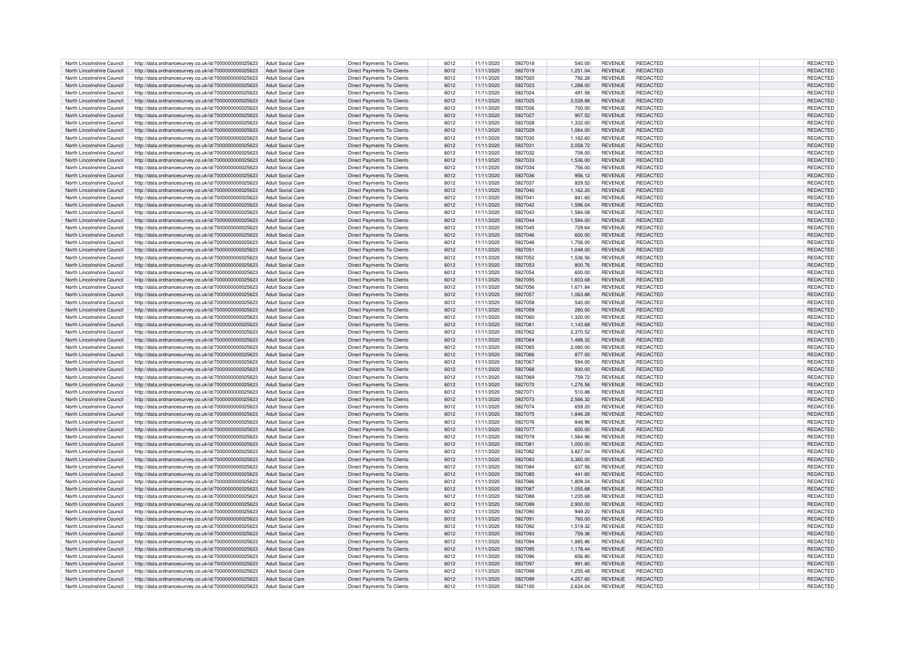| North Lincolnshire Council | http://data.ordnancesurvey.co.uk/id/7000000000025623 | Adult Social Care        | Direct Payments To Clients        | 6012 | 11/11/2020 | 5927018 | 540.00   | <b>REVENUE</b> | <b>REDACTED</b> | REDACTED        |  |
|----------------------------|------------------------------------------------------|--------------------------|-----------------------------------|------|------------|---------|----------|----------------|-----------------|-----------------|--|
| North Lincolnshire Council | http://data.ordnancesurvey.co.uk/id/7000000000025623 | <b>Adult Social Care</b> | <b>Direct Payments To Clients</b> | 6012 | 11/11/2020 | 5927019 | 1.251.04 | <b>REVENUE</b> | REDACTED        | REDACTED        |  |
| North Lincolnshire Council | http://data.ordnancesurvey.co.uk/id/7000000000025623 | <b>Adult Social Care</b> | <b>Direct Payments To Clients</b> | 6012 | 11/11/2020 | 5927020 | 792.28   | <b>REVENUE</b> | REDACTED        | REDACTED        |  |
| North Lincolnshire Council | http://data.ordnancesurvey.co.uk/id/7000000000025623 | <b>Adult Social Care</b> | Direct Payments To Clients        | 6012 | 11/11/2020 | 5927023 | 1,288.00 | <b>REVENUE</b> | REDACTED        | REDACTED        |  |
|                            |                                                      |                          |                                   |      |            |         |          |                |                 |                 |  |
| North Lincolnshire Council | http://data.ordnancesurvey.co.uk/id/7000000000025623 | <b>Adult Social Care</b> | Direct Payments To Clients        | 6012 | 11/11/2020 | 5927024 | 491.56   | <b>REVENUE</b> | REDACTED        | REDACTED        |  |
| North Lincolnshire Council | http://data.ordnancesurvey.co.uk/id/7000000000025623 | <b>Adult Social Care</b> | <b>Direct Payments To Clients</b> | 6012 | 11/11/2020 | 5927025 | 2,028.88 | <b>REVENUE</b> | <b>REDACTED</b> | REDACTED        |  |
| North Lincolnshire Council | http://data.ordnancesurvey.co.uk/id/7000000000025623 | <b>Adult Social Care</b> | Direct Payments To Clients        | 6012 | 11/11/2020 | 5927026 | 700.00   | <b>REVENUE</b> | <b>REDACTED</b> | REDACTED        |  |
| North Lincolnshire Council | http://data.ordnancesurvey.co.uk/id/7000000000025623 | <b>Adult Social Care</b> | <b>Direct Payments To Clients</b> | 6012 | 11/11/2020 | 5927027 | 907.52   | <b>REVENUE</b> | REDACTED        | REDACTED        |  |
| North Lincolnshire Council | http://data.ordnancesurvey.co.uk/id/7000000000025623 | <b>Adult Social Care</b> | Direct Payments To Clients        | 6012 | 11/11/2020 | 5927028 | 1,332.00 | <b>REVENUE</b> | <b>REDACTED</b> | REDACTED        |  |
| North Lincolnshire Council | http://data.ordnancesurvey.co.uk/id/7000000000025623 | <b>Adult Social Care</b> | Direct Payments To Clients        | 6012 | 11/11/2020 | 5927029 | 1,064.00 | <b>REVENUE</b> | REDACTED        | REDACTED        |  |
| North Lincolnshire Council | http://data.ordnancesurvey.co.uk/id/7000000000025623 | <b>Adult Social Care</b> | <b>Direct Payments To Clients</b> | 6012 | 11/11/2020 | 5927030 | 1,162.60 | <b>REVENUE</b> | REDACTED        | REDACTED        |  |
| North Lincolnshire Council | http://data.ordnancesurvey.co.uk/id/7000000000025623 | <b>Adult Social Care</b> | Direct Payments To Clients        | 6012 | 11/11/2020 | 5927031 | 2,058.72 | <b>REVENUE</b> | REDACTED        | REDACTED        |  |
| North Lincolnshire Council | http://data.ordnancesurvey.co.uk/id/7000000000025623 | <b>Adult Social Care</b> | <b>Direct Payments To Clients</b> | 6012 | 11/11/2020 | 5927032 |          | <b>REVENUE</b> | REDACTED        | REDACTED        |  |
|                            |                                                      |                          |                                   |      |            |         | 708.00   |                |                 |                 |  |
| North Lincolnshire Council | http://data.ordnancesurvey.co.uk/id/7000000000025623 | <b>Adult Social Care</b> | Direct Payments To Clients        | 6012 | 11/11/2020 | 5927033 | 1,536.00 | <b>REVENUE</b> | REDACTED        | REDACTED        |  |
| North Lincolnshire Council | http://data.ordnancesurvey.co.uk/id/7000000000025623 | <b>Adult Social Care</b> | Direct Payments To Clients        | 6012 | 11/11/2020 | 5927034 | 756.00   | <b>REVENUE</b> | REDACTED        | REDACTED        |  |
| North Lincolnshire Council | http://data.ordnancesurvey.co.uk/id/7000000000025623 | <b>Adult Social Care</b> | Direct Payments To Clients        | 6012 | 11/11/2020 | 5927036 | 956.12   | <b>REVENUE</b> | REDACTED        | REDACTED        |  |
| North Lincolnshire Council | http://data.ordnancesurvey.co.uk/id/7000000000025623 | <b>Adult Social Care</b> | Direct Payments To Clients        | 6012 | 11/11/2020 | 5927037 | 829.52   | <b>REVENUE</b> | <b>REDACTED</b> | REDACTED        |  |
| North Lincolnshire Council | http://data.ordnancesurvey.co.uk/id/7000000000025623 | <b>Adult Social Care</b> | Direct Payments To Clients        | 6012 | 11/11/2020 | 5927040 | 1.162.20 | <b>REVENUE</b> | REDACTED        | REDACTED        |  |
| North Lincolnshire Council | http://data.ordnancesurvey.co.uk/id/7000000000025623 | <b>Adult Social Care</b> | <b>Direct Payments To Clients</b> | 6012 | 11/11/2020 | 5927041 | 841.60   | <b>REVENUE</b> | REDACTED        | REDACTED        |  |
| North Lincolnshire Council | http://data.ordnancesurvey.co.uk/id/7000000000025623 | <b>Adult Social Care</b> | <b>Direct Payments To Clients</b> | 6012 | 11/11/2020 | 5927042 | 1,596.04 | <b>REVENUE</b> | <b>REDACTED</b> | REDACTED        |  |
|                            |                                                      |                          |                                   |      |            |         |          |                |                 |                 |  |
| North Lincolnshire Council | http://data.ordnancesurvey.co.uk/id/7000000000025623 | <b>Adult Social Care</b> | <b>Direct Payments To Clients</b> | 6012 | 11/11/2020 | 5927043 | 1.584.08 | <b>REVENUE</b> | REDACTED        | REDACTED        |  |
| North Lincolnshire Council | http://data.ordnancesurvey.co.uk/id/7000000000025623 | <b>Adult Social Care</b> | Direct Payments To Clients        | 6012 | 11/11/2020 | 5927044 | 1,594.00 | <b>REVENUE</b> | <b>REDACTED</b> | REDACTED        |  |
| North Lincolnshire Council | http://data.ordnancesurvey.co.uk/id/7000000000025623 | <b>Adult Social Care</b> | Direct Payments To Clients        | 6012 | 11/11/2020 | 5927045 | 729.64   | <b>REVENUE</b> | REDACTED        | REDACTED        |  |
| North Lincolnshire Council | http://data.ordnancesurvey.co.uk/id/7000000000025623 | <b>Adult Social Care</b> | Direct Payments To Clients        | 6012 | 11/11/2020 | 5927046 | 600.00   | <b>REVENUE</b> | REDACTED        | REDACTED        |  |
| North Lincolnshire Council | http://data.ordnancesurvey.co.uk/id/7000000000025623 | <b>Adult Social Care</b> | Direct Payments To Clients        | 6012 | 11/11/2020 | 5927048 | 1,706.00 | <b>REVENUE</b> | <b>REDACTED</b> | REDACTED        |  |
| North Lincolnshire Council | http://data.ordnancesurvey.co.uk/id/7000000000025623 | <b>Adult Social Care</b> | Direct Payments To Clients        | 6012 | 11/11/2020 | 5927051 | 1,048.00 | <b>REVENUE</b> | REDACTED        | REDACTED        |  |
| North Lincolnshire Council | http://data.ordnancesurvey.co.uk/id/7000000000025623 | <b>Adult Social Care</b> | <b>Direct Payments To Clients</b> | 6012 | 11/11/2020 | 5927052 | 1,536.56 | <b>REVENUE</b> | <b>REDACTED</b> | REDACTED        |  |
| North Lincolnshire Council | http://data.ordnancesurvey.co.uk/id/7000000000025623 | <b>Adult Social Care</b> | <b>Direct Payments To Clients</b> | 6012 | 11/11/2020 | 5927053 | 800.76   | <b>REVENUE</b> | <b>REDACTED</b> | REDACTED        |  |
|                            |                                                      | <b>Adult Social Care</b> |                                   | 6012 | 11/11/2020 |         |          | <b>REVENUE</b> | REDACTED        |                 |  |
| North Lincolnshire Council | http://data.ordnancesurvey.co.uk/id/7000000000025623 |                          | Direct Payments To Clients        |      |            | 5927054 | 600.00   |                |                 | REDACTED        |  |
| North Lincolnshire Council | http://data.ordnancesurvey.co.uk/id/7000000000025623 | <b>Adult Social Care</b> | Direct Payments To Clients        | 6012 | 11/11/2020 | 5927055 | 1,603.68 | <b>REVENUE</b> | REDACTED        | REDACTED        |  |
| North Lincolnshire Council | http://data.ordnancesurvey.co.uk/id/7000000000025623 | Adult Social Care        | <b>Direct Payments To Clients</b> | 6012 | 11/11/2020 | 5927056 | 1,671.84 | <b>REVENUE</b> | REDACTED        | REDACTED        |  |
| North Lincolnshire Council | http://data.ordnancesurvey.co.uk/id/7000000000025623 | <b>Adult Social Care</b> | Direct Payments To Clients        | 6012 | 11/11/2020 | 5927057 | 1,063.88 | <b>REVENUE</b> | REDACTED        | REDACTED        |  |
| North Lincolnshire Council | http://data.ordnancesurvey.co.uk/id/7000000000025623 | <b>Adult Social Care</b> | <b>Direct Payments To Clients</b> | 6012 | 11/11/2020 | 5927058 | 540.00   | <b>REVENUE</b> | REDACTED        | REDACTED        |  |
| North Lincolnshire Council | http://data.ordnancesurvey.co.uk/id/7000000000025623 | Adult Social Care        | Direct Payments To Clients        | 6012 | 11/11/2020 | 5927059 | 280.00   | <b>REVENUE</b> | REDACTED        | REDACTED        |  |
| North Lincolnshire Council | http://data.ordnancesurvey.co.uk/id/7000000000025623 | Adult Social Care        | Direct Payments To Clients        | 6012 | 11/11/2020 | 5927060 | 1,320.00 | <b>REVENUE</b> | REDACTED        | REDACTED        |  |
|                            |                                                      |                          | Direct Payments To Clients        |      |            | 5927061 |          |                | <b>REDACTED</b> |                 |  |
| North Lincolnshire Council | http://data.ordnancesurvey.co.uk/id/7000000000025623 | Adult Social Care        |                                   | 6012 | 11/11/2020 |         | 1,143.68 | <b>REVENUE</b> |                 | REDACTED        |  |
| North Lincolnshire Council | http://data.ordnancesurvey.co.uk/id/7000000000025623 | <b>Adult Social Care</b> | Direct Payments To Clients        | 6012 | 11/11/2020 | 5927062 | 2,370.52 | <b>REVENUE</b> | <b>REDACTED</b> | REDACTED        |  |
| North Lincolnshire Council | http://data.ordnancesurvey.co.uk/id/7000000000025623 | <b>Adult Social Care</b> | <b>Direct Payments To Clients</b> | 6012 | 11/11/2020 | 5927064 | 1.488.32 | <b>REVENUE</b> | REDACTED        | REDACTED        |  |
| North Lincolnshire Council | http://data.ordnancesurvey.co.uk/id/7000000000025623 | <b>Adult Social Care</b> | Direct Payments To Clients        | 6012 | 11/11/2020 | 5927065 | 2,080.00 | <b>REVENUE</b> | <b>REDACTED</b> | REDACTED        |  |
| North Lincolnshire Council | http://data.ordnancesurvey.co.uk/id/7000000000025623 | <b>Adult Social Care</b> | <b>Direct Payments To Clients</b> | 6012 | 11/11/2020 | 5927066 | 877.00   | <b>REVENUE</b> | REDACTED        | REDACTED        |  |
| North Lincolnshire Council | http://data.ordnancesurvey.co.uk/id/7000000000025623 | <b>Adult Social Care</b> | Direct Payments To Clients        | 6012 | 11/11/2020 | 5927067 | 594.00   | <b>REVENUE</b> | REDACTED        | <b>REDACTED</b> |  |
| North Lincolnshire Council | http://data.ordnancesurvey.co.uk/id/7000000000025623 | <b>Adult Social Care</b> | Direct Payments To Clients        | 6012 | 11/11/2020 | 5927068 | 930.00   | <b>REVENUE</b> | REDACTED        | REDACTED        |  |
| North Lincolnshire Council | http://data.ordnancesurvey.co.uk/id/7000000000025623 | <b>Adult Social Care</b> | Direct Payments To Clients        | 6012 | 11/11/2020 | 5927069 | 759.72   | <b>REVENUE</b> | REDACTED        | REDACTED        |  |
| North Lincolnshire Council | http://data.ordnancesurvey.co.uk/id/7000000000025623 | <b>Adult Social Care</b> | Direct Payments To Clients        | 6012 | 11/11/2020 | 5927070 | 1.276.56 | <b>REVENUE</b> | REDACTED        | REDACTED        |  |
|                            |                                                      |                          |                                   |      |            |         |          |                |                 |                 |  |
| North Lincolnshire Council | http://data.ordnancesurvey.co.uk/id/7000000000025623 | <b>Adult Social Care</b> | Direct Payments To Clients        | 6012 | 11/11/2020 | 5927071 | 510.88   | <b>REVENUE</b> | REDACTED        | REDACTED        |  |
| North Lincolnshire Council | http://data.ordnancesurvey.co.uk/id/7000000000025623 | <b>Adult Social Care</b> | Direct Payments To Clients        | 6012 | 11/11/2020 | 5927073 | 2.566.32 | <b>REVENUE</b> | REDACTED        | REDACTED        |  |
| North Lincolnshire Council | http://data.ordnancesurvey.co.uk/id/7000000000025623 | <b>Adult Social Care</b> | <b>Direct Payments To Clients</b> | 6012 | 11/11/2020 | 5927074 | 659.20   | <b>REVENUE</b> | <b>REDACTED</b> | REDACTED        |  |
| North Lincolnshire Council | http://data.ordnancesurvey.co.uk/id/7000000000025623 | <b>Adult Social Care</b> | <b>Direct Payments To Clients</b> | 6012 | 11/11/2020 | 5927075 | 1,846.28 | <b>REVENUE</b> | <b>REDACTED</b> | REDACTED        |  |
| North Lincolnshire Council | http://data.ordnancesurvey.co.uk/id/7000000000025623 | <b>Adult Social Care</b> | Direct Payments To Clients        | 6012 | 11/11/2020 | 5927076 | 848.96   | <b>REVENUE</b> | <b>REDACTED</b> | REDACTED        |  |
| North Lincolnshire Council | http://data.ordnancesurvey.co.uk/id/7000000000025623 | <b>Adult Social Care</b> | Direct Payments To Clients        | 6012 | 11/11/2020 | 5927077 | 600.00   | <b>REVENUE</b> | REDACTED        | REDACTED        |  |
| North Lincolnshire Council | http://data.ordnancesurvey.co.uk/id/7000000000025623 | Adult Social Care        | <b>Direct Payments To Clients</b> | 6012 | 11/11/2020 | 5927079 | 1,564.96 | <b>REVENUE</b> | REDACTED        | REDACTED        |  |
| North Lincolnshire Council | http://data.ordnancesurvey.co.uk/id/7000000000025623 | <b>Adult Social Care</b> | Direct Payments To Clients        | 6012 | 11/11/2020 | 5927081 | 1,000.00 | <b>REVENUE</b> | REDACTED        | REDACTED        |  |
| North Lincolnshire Council | http://data.ordnancesurvey.co.uk/id/7000000000025623 | <b>Adult Social Care</b> | Direct Payments To Clients        | 6012 | 11/11/2020 | 5927082 | 3,827.04 | <b>REVENUE</b> | REDACTED        | REDACTED        |  |
| North Lincolnshire Council |                                                      |                          |                                   |      |            | 5927083 |          |                | REDACTED        |                 |  |
|                            | http://data.ordnancesurvey.co.uk/id/7000000000025623 | <b>Adult Social Care</b> | Direct Payments To Clients        | 6012 | 11/11/2020 |         | 3,360.00 | <b>REVENUE</b> |                 | REDACTED        |  |
| North Lincolnshire Council | http://data.ordnancesurvey.co.uk/id/7000000000025623 | <b>Adult Social Care</b> | Direct Payments To Clients        | 6012 | 11/11/2020 | 5927084 | 637.56   | <b>REVENUE</b> | REDACTED        | REDACTED        |  |
| North Lincolnshire Council | http://data.ordnancesurvey.co.uk/id/7000000000025623 | <b>Adult Social Care</b> | <b>Direct Payments To Clients</b> | 6012 | 11/11/2020 | 5927085 | 441.60   | <b>REVENUE</b> | <b>REDACTED</b> | REDACTED        |  |
| North Lincolnshire Council | http://data.ordnancesurvey.co.uk/id/7000000000025623 | <b>Adult Social Care</b> | <b>Direct Payments To Clients</b> | 6012 | 11/11/2020 | 5927086 | 1,809.24 | <b>REVENUE</b> | <b>REDACTED</b> | REDACTED        |  |
| North Lincolnshire Council | http://data.ordnancesurvey.co.uk/id/7000000000025623 | <b>Adult Social Care</b> | <b>Direct Payments To Clients</b> | 6012 | 11/11/2020 | 5927087 | 1,055.68 | <b>REVENUE</b> | REDACTED        | REDACTED        |  |
| North Lincolnshire Council | http://data.ordnancesurvey.co.uk/id/7000000000025623 | <b>Adult Social Care</b> | Direct Payments To Clients        | 6012 | 11/11/2020 | 5927088 | 1,235.68 | <b>REVENUE</b> | <b>REDACTED</b> | REDACTED        |  |
| North Lincolnshire Council | http://data.ordnancesurvey.co.uk/id/7000000000025623 | <b>Adult Social Care</b> | Direct Payments To Clients        | 6012 | 11/11/2020 | 5927089 | 2,900.00 | <b>REVENUE</b> | REDACTED        | REDACTED        |  |
| North Lincolnshire Council | http://data.ordnancesurvey.co.uk/id/7000000000025623 | <b>Adult Social Care</b> | Direct Payments To Clients        | 6012 | 11/11/2020 | 5927090 | 949.20   | <b>REVENUE</b> | REDACTED        | REDACTED        |  |
| North Lincolnshire Council | http://data.ordnancesurvey.co.uk/id/7000000000025623 | <b>Adult Social Care</b> | Direct Payments To Clients        | 6012 | 11/11/2020 | 5927091 | 760.00   | <b>REVENUE</b> | REDACTED        | REDACTED        |  |
|                            |                                                      |                          |                                   |      |            |         |          |                |                 |                 |  |
| North Lincolnshire Council | http://data.ordnancesurvey.co.uk/id/7000000000025623 | <b>Adult Social Care</b> | <b>Direct Payments To Clients</b> | 6012 | 11/11/2020 | 5927092 | 1,519.32 | <b>REVENUE</b> | REDACTED        | REDACTED        |  |
| North Lincolnshire Council | http://data.ordnancesurvey.co.uk/id/7000000000025623 | <b>Adult Social Care</b> | Direct Payments To Clients        | 6012 | 11/11/2020 | 5927093 | 759.36   | <b>REVENUE</b> | REDACTED        | REDACTED        |  |
| North Lincolnshire Council | http://data.ordnancesurvey.co.uk/id/7000000000025623 | <b>Adult Social Care</b> | Direct Payments To Clients        | 6012 | 11/11/2020 | 5927094 | 1,885.86 | <b>REVENUE</b> | REDACTED        | REDACTED        |  |
| North Lincolnshire Council | http://data.ordnancesurvey.co.uk/id/7000000000025623 | <b>Adult Social Care</b> | Direct Payments To Clients        | 6012 | 11/11/2020 | 5927095 | 1.178.44 | <b>REVENUE</b> | REDACTED        | REDACTED        |  |
| North Lincolnshire Council | http://data.ordnancesurvey.co.uk/id/7000000000025623 | <b>Adult Social Care</b> | <b>Direct Payments To Clients</b> | 6012 | 11/11/2020 | 5927096 | 656.80   | <b>REVENUE</b> | <b>REDACTED</b> | REDACTED        |  |
| North Lincolnshire Council | http://data.ordnancesurvey.co.uk/id/7000000000025623 | <b>Adult Social Care</b> | Direct Payments To Clients        | 6012 | 11/11/2020 | 5927097 | 991.80   | <b>REVENUE</b> | REDACTED        | REDACTED        |  |
| North Lincolnshire Council | http://data.ordnancesurvey.co.uk/id/7000000000025623 | <b>Adult Social Care</b> | Direct Payments To Clients        | 6012 | 11/11/2020 | 5927098 | 1,255.48 | <b>REVENUE</b> | REDACTED        | REDACTED        |  |
| North Lincolnshire Council | http://data.ordnancesurvey.co.uk/id/7000000000025623 | Adult Social Care        | Direct Payments To Clients        | 6012 | 11/11/2020 | 5927099 | 4,257.60 | <b>REVENUE</b> | <b>REDACTED</b> | REDACTED        |  |
|                            |                                                      |                          |                                   |      |            |         |          |                |                 |                 |  |
| North Lincolnshire Council | http://data.ordnancesurvey.co.uk/id/7000000000025623 | Adult Social Care        | Direct Payments To Clients        | 6012 | 11/11/2020 | 5927100 | 2,634.04 | <b>REVENUE</b> | REDACTED        | REDACTED        |  |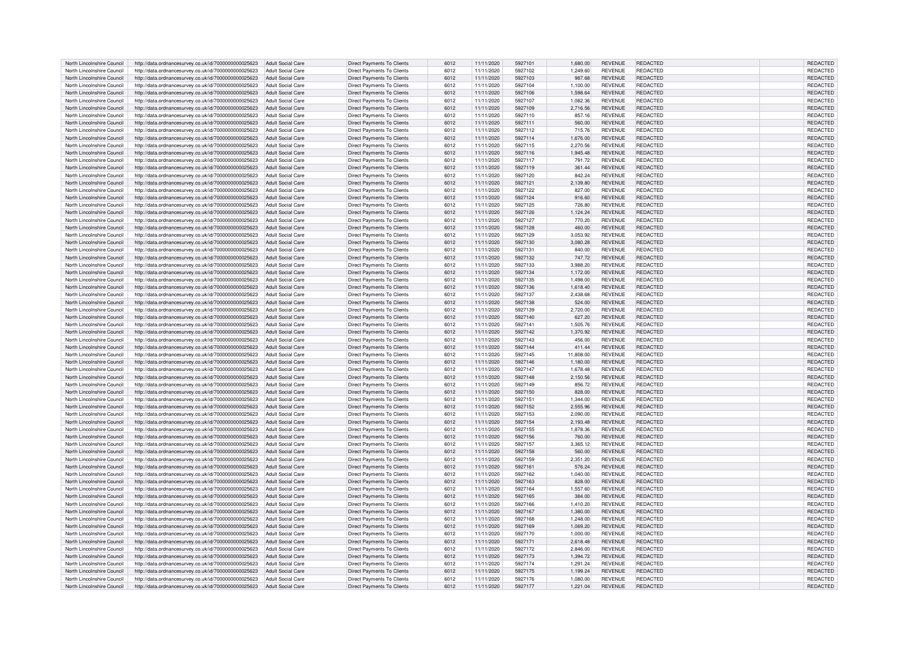| North Lincolnshire Council | http://data.ordnancesurvey.co.uk/id/7000000000025623 | Adult Social Care        | Direct Payments To Clients        | 6012 | 11/11/2020 | 5927101 | 1.680.00  | <b>REVENUE</b> | <b>REDACTED</b> | REDACTED        |
|----------------------------|------------------------------------------------------|--------------------------|-----------------------------------|------|------------|---------|-----------|----------------|-----------------|-----------------|
| North Lincolnshire Council | http://data.ordnancesurvey.co.uk/id/7000000000025623 | <b>Adult Social Care</b> | Direct Payments To Clients        | 6012 | 11/11/2020 | 5927102 | 1,249.60  | <b>REVENUE</b> | REDACTED        | REDACTED        |
| North Lincolnshire Council | http://data.ordnancesurvey.co.uk/id/7000000000025623 | <b>Adult Social Care</b> | Direct Payments To Clients        | 6012 | 11/11/2020 | 5927103 | 987.68    | <b>REVENUE</b> | REDACTED        | REDACTED        |
| North Lincolnshire Council |                                                      | <b>Adult Social Care</b> |                                   | 6012 | 11/11/2020 | 5927104 | 1.100.00  | <b>REVENUE</b> | REDACTED        |                 |
|                            | http://data.ordnancesurvey.co.uk/id/7000000000025623 |                          | Direct Payments To Clients        |      |            |         |           |                |                 | REDACTED        |
| North Lincolnshire Council | http://data.ordnancesurvey.co.uk/id/7000000000025623 | <b>Adult Social Care</b> | Direct Payments To Clients        | 6012 | 11/11/2020 | 5927106 | 1,598.64  | <b>REVENUE</b> | REDACTED        | REDACTED        |
| North Lincolnshire Council | http://data.ordnancesurvey.co.uk/id/7000000000025623 | <b>Adult Social Care</b> | Direct Payments To Clients        | 6012 | 11/11/2020 | 5927107 | 1,082.36  | <b>REVENUE</b> | REDACTED        | REDACTED        |
| North Lincolnshire Council | http://data.ordnancesurvey.co.uk/id/7000000000025623 | <b>Adult Social Care</b> | Direct Payments To Clients        | 6012 | 11/11/2020 | 5927109 | 2,716.56  | <b>REVENUE</b> | REDACTED        | REDACTED        |
| North Lincolnshire Council | http://data.ordnancesurvey.co.uk/id/7000000000025623 | <b>Adult Social Care</b> | Direct Payments To Clients        | 6012 | 11/11/2020 | 5927110 | 857.16    | <b>REVENUE</b> | <b>REDACTED</b> | REDACTED        |
| North Lincolnshire Council | http://data.ordnancesurvey.co.uk/id/7000000000025623 | <b>Adult Social Care</b> | <b>Direct Payments To Clients</b> | 6012 | 11/11/2020 | 5927111 | 560.00    | <b>REVENUE</b> | REDACTED        | REDACTED        |
| North Lincolnshire Council | http://data.ordnancesurvey.co.uk/id/7000000000025623 | <b>Adult Social Care</b> | Direct Payments To Clients        | 6012 | 11/11/2020 | 5927112 | 715.76    | <b>REVENUE</b> | <b>REDACTED</b> | REDACTED        |
| North Lincolnshire Council | http://data.ordnancesurvey.co.uk/id/7000000000025623 | <b>Adult Social Care</b> | <b>Direct Payments To Clients</b> | 6012 | 11/11/2020 | 5927114 | 1,676.00  | <b>REVENUE</b> | REDACTED        | REDACTED        |
| North Lincolnshire Council |                                                      | <b>Adult Social Care</b> |                                   | 6012 | 11/11/2020 | 5927115 | 2.270.56  | <b>REVENUE</b> | REDACTED        |                 |
|                            | http://data.ordnancesurvey.co.uk/id/7000000000025623 |                          | Direct Payments To Clients        |      |            |         |           |                |                 | REDACTED        |
| North Lincolnshire Council | http://data.ordnancesurvey.co.uk/id/7000000000025623 | <b>Adult Social Care</b> | Direct Payments To Clients        | 6012 | 11/11/2020 | 5927116 | 1,945.48  | <b>REVENUE</b> | REDACTED        | REDACTED        |
| North Lincolnshire Council | http://data.ordnancesurvey.co.uk/id/7000000000025623 | <b>Adult Social Care</b> | <b>Direct Payments To Clients</b> | 6012 | 11/11/2020 | 5927117 | 791.72    | <b>REVENUE</b> | REDACTED        | REDACTED        |
| North Lincolnshire Council | http://data.ordnancesurvey.co.uk/id/7000000000025623 | <b>Adult Social Care</b> | Direct Payments To Clients        | 6012 | 11/11/2020 | 5927119 | 361.44    | <b>REVENUE</b> | REDACTED        | REDACTED        |
| North Lincolnshire Council | http://data.ordnancesurvey.co.uk/id/7000000000025623 | <b>Adult Social Care</b> | <b>Direct Payments To Clients</b> | 6012 | 11/11/2020 | 5927120 | 842.24    | <b>REVENUE</b> | <b>REDACTED</b> | REDACTED        |
| North Lincolnshire Council | http://data.ordnancesurvey.co.uk/id/7000000000025623 | <b>Adult Social Care</b> | Direct Payments To Clients        | 6012 | 11/11/2020 | 5927121 | 2.139.80  | <b>REVENUE</b> | REDACTED        | REDACTED        |
| North Lincolnshire Council | http://data.ordnancesurvey.co.uk/id/7000000000025623 | <b>Adult Social Care</b> | Direct Payments To Clients        | 6012 | 11/11/2020 | 5927122 | 827.00    | <b>REVENUE</b> | <b>REDACTED</b> | REDACTED        |
| North Lincolnshire Council | http://data.ordnancesurvey.co.uk/id/7000000000025623 | <b>Adult Social Care</b> | Direct Payments To Clients        | 6012 | 11/11/2020 | 5927124 | 916.60    | <b>REVENUE</b> | REDACTED        | REDACTED        |
| North Lincolnshire Council | http://data.ordnancesurvey.co.uk/id/7000000000025623 | <b>Adult Social Care</b> | Direct Payments To Clients        | 6012 | 11/11/2020 | 5927125 | 726.80    | <b>REVENUE</b> | REDACTED        | REDACTED        |
| North Lincolnshire Council | http://data.ordnancesurvey.co.uk/id/7000000000025623 | Adult Social Care        | Direct Payments To Clients        | 6012 | 11/11/2020 | 5927126 | 1,124.24  | <b>REVENUE</b> | <b>REDACTED</b> | REDACTED        |
| North Lincolnshire Council |                                                      | <b>Adult Social Care</b> | Direct Payments To Clients        | 6012 | 11/11/2020 | 5927127 | 770.20    | <b>REVENUE</b> | REDACTED        | REDACTED        |
|                            | http://data.ordnancesurvey.co.uk/id/7000000000025623 |                          |                                   |      |            |         |           |                |                 |                 |
| North Lincolnshire Council | http://data.ordnancesurvey.co.uk/id/7000000000025623 | <b>Adult Social Care</b> | Direct Payments To Clients        | 6012 | 11/11/2020 | 5927128 | 460.00    | <b>REVENUE</b> | <b>REDACTED</b> | REDACTED        |
| North Lincolnshire Council | http://data.ordnancesurvey.co.uk/id/7000000000025623 | <b>Adult Social Care</b> | Direct Payments To Clients        | 6012 | 11/11/2020 | 5927129 | 3,053.92  | <b>REVENUE</b> | <b>REDACTED</b> | REDACTED        |
| North Lincolnshire Council | http://data.ordnancesurvey.co.uk/id/7000000000025623 | <b>Adult Social Care</b> | Direct Payments To Clients        | 6012 | 11/11/2020 | 5927130 | 3,080.28  | <b>REVENUE</b> | <b>REDACTED</b> | REDACTED        |
| North Lincolnshire Council | http://data.ordnancesurvey.co.uk/id/7000000000025623 | <b>Adult Social Care</b> | Direct Payments To Clients        | 6012 | 11/11/2020 | 5927131 | 840.00    | <b>REVENUE</b> | <b>REDACTED</b> | REDACTED        |
| North Lincolnshire Council | http://data.ordnancesurvey.co.uk/id/7000000000025623 | <b>Adult Social Care</b> | <b>Direct Payments To Clients</b> | 6012 | 11/11/2020 | 5927132 | 747.72    | <b>REVENUE</b> | <b>REDACTED</b> | REDACTED        |
| North Lincolnshire Council | http://data.ordnancesurvey.co.uk/id/7000000000025623 | <b>Adult Social Care</b> | <b>Direct Payments To Clients</b> | 6012 | 11/11/2020 | 5927133 | 3.988.20  | <b>REVENUE</b> | REDACTED        | REDACTED        |
| North Lincolnshire Council | http://data.ordnancesurvey.co.uk/id/7000000000025623 | <b>Adult Social Care</b> | <b>Direct Payments To Clients</b> | 6012 | 11/11/2020 | 5927134 | 1,172.00  | <b>REVENUE</b> | REDACTED        | REDACTED        |
| North Lincolnshire Council | http://data.ordnancesurvey.co.uk/id/7000000000025623 | <b>Adult Social Care</b> | Direct Payments To Clients        | 6012 | 11/11/2020 | 5927135 | 1,498.00  | <b>REVENUE</b> | <b>REDACTED</b> | REDACTED        |
| North Lincolnshire Council | http://data.ordnancesurvey.co.uk/id/7000000000025623 | Adult Social Care        | Direct Payments To Clients        | 6012 | 11/11/2020 | 5927136 | 1,618.40  | <b>REVENUE</b> | REDACTED        | REDACTED        |
| North Lincolnshire Council | http://data.ordnancesurvey.co.uk/id/7000000000025623 | <b>Adult Social Care</b> | Direct Payments To Clients        | 6012 | 11/11/2020 | 5927137 | 2,438.68  | <b>REVENUE</b> | <b>REDACTED</b> | REDACTED        |
| North Lincolnshire Council | http://data.ordnancesurvey.co.uk/id/7000000000025623 | <b>Adult Social Care</b> | Direct Payments To Clients        | 6012 | 11/11/2020 | 5927138 | 524.00    | <b>REVENUE</b> | REDACTED        | REDACTED        |
| North Lincolnshire Council | http://data.ordnancesurvey.co.uk/id/7000000000025623 | <b>Adult Social Care</b> | Direct Payments To Clients        | 6012 | 11/11/2020 | 5927139 | 2,720.00  | <b>REVENUE</b> | REDACTED        | REDACTED        |
| North Lincolnshire Council | http://data.ordnancesurvey.co.uk/id/7000000000025623 | <b>Adult Social Care</b> | Direct Payments To Clients        | 6012 | 11/11/2020 | 5927140 | 627.20    | <b>REVENUE</b> | REDACTED        | <b>REDACTED</b> |
|                            |                                                      |                          |                                   |      |            |         |           |                |                 |                 |
| North Lincolnshire Council | http://data.ordnancesurvey.co.uk/id/7000000000025623 | <b>Adult Social Care</b> | <b>Direct Payments To Clients</b> | 6012 | 11/11/2020 | 5927141 | 1,505.76  | <b>REVENUE</b> | REDACTED        | REDACTED        |
| North Lincolnshire Council | http://data.ordnancesurvey.co.uk/id/7000000000025623 | <b>Adult Social Care</b> | <b>Direct Payments To Clients</b> | 6012 | 11/11/2020 | 5927142 | 1,370.92  | <b>REVENUE</b> | <b>REDACTED</b> | REDACTED        |
| North Lincolnshire Council | http://data.ordnancesurvey.co.uk/id/7000000000025623 | <b>Adult Social Care</b> | Direct Payments To Clients        | 6012 | 11/11/2020 | 5927143 | 456.00    | <b>REVENUE</b> | <b>REDACTED</b> | REDACTED        |
| North Lincolnshire Council | http://data.ordnancesurvey.co.uk/id/7000000000025623 | <b>Adult Social Care</b> | <b>Direct Payments To Clients</b> | 6012 | 11/11/2020 | 5927144 | 411.44    | <b>REVENUE</b> | REDACTED        | REDACTED        |
| North Lincolnshire Council | http://data.ordnancesurvey.co.uk/id/7000000000025623 | <b>Adult Social Care</b> | Direct Payments To Clients        | 6012 | 11/11/2020 | 5927145 | 11,808.00 | <b>REVENUE</b> | REDACTED        | REDACTED        |
| North Lincolnshire Council | http://data.ordnancesurvey.co.uk/id/7000000000025623 | <b>Adult Social Care</b> | <b>Direct Payments To Clients</b> | 6012 | 11/11/2020 | 5927146 | 1,180.00  | <b>REVENUE</b> | REDACTED        | REDACTED        |
| North Lincolnshire Council | http://data.ordnancesurvey.co.uk/id/7000000000025623 | <b>Adult Social Care</b> | Direct Payments To Clients        | 6012 | 11/11/2020 | 5927147 | 1,678.48  | <b>REVENUE</b> | REDACTED        | REDACTED        |
| North Lincolnshire Council | http://data.ordnancesurvey.co.uk/id/7000000000025623 | <b>Adult Social Care</b> | Direct Payments To Clients        | 6012 | 11/11/2020 | 5927148 | 2,150.56  | <b>REVENUE</b> | REDACTED        | REDACTED        |
| North Lincolnshire Council | http://data.ordnancesurvey.co.uk/id/7000000000025623 | <b>Adult Social Care</b> | Direct Payments To Clients        | 6012 | 11/11/2020 | 5927149 | 856.72    | <b>REVENUE</b> | REDACTED        | REDACTED        |
| North Lincolnshire Council | http://data.ordnancesurvey.co.uk/id/7000000000025623 | <b>Adult Social Care</b> | Direct Payments To Clients        | 6012 | 11/11/2020 | 5927150 | 828.00    | <b>REVENUE</b> | REDACTED        | REDACTED        |
| North Lincolnshire Council | http://data.ordnancesurvey.co.uk/id/7000000000025623 | <b>Adult Social Care</b> | <b>Direct Payments To Clients</b> | 6012 | 11/11/2020 | 5927151 | 1,344.00  | <b>REVENUE</b> | REDACTED        | REDACTED        |
| North Lincolnshire Council | http://data.ordnancesurvey.co.uk/id/7000000000025623 | <b>Adult Social Care</b> | Direct Payments To Clients        | 6012 | 11/11/2020 | 5927152 | 2,555.96  | <b>REVENUE</b> | <b>REDACTED</b> | REDACTED        |
| North Lincolnshire Council | http://data.ordnancesurvey.co.uk/id/7000000000025623 | <b>Adult Social Care</b> | <b>Direct Payments To Clients</b> | 6012 | 11/11/2020 | 5927153 | 2.090.00  | <b>REVENUE</b> | REDACTED        | REDACTED        |
|                            |                                                      |                          |                                   |      |            |         |           |                |                 |                 |
| North Lincolnshire Council | http://data.ordnancesurvey.co.uk/id/7000000000025623 | <b>Adult Social Care</b> | Direct Payments To Clients        | 6012 | 11/11/2020 | 5927154 | 2,193.48  | <b>REVENUE</b> | REDACTED        | REDACTED        |
| North Lincolnshire Council | http://data.ordnancesurvey.co.uk/id/7000000000025623 | <b>Adult Social Care</b> | Direct Payments To Clients        | 6012 | 11/11/2020 | 5927155 | 1,878.36  | <b>REVENUE</b> | REDACTED        | REDACTED        |
| North Lincolnshire Council | http://data.ordnancesurvey.co.uk/id/7000000000025623 | <b>Adult Social Care</b> | <b>Direct Payments To Clients</b> | 6012 | 11/11/2020 | 5927156 | 760.00    | <b>REVENUE</b> | REDACTED        | REDACTED        |
| North Lincolnshire Council | http://data.ordnancesurvey.co.uk/id/7000000000025623 | <b>Adult Social Care</b> | Direct Payments To Clients        | 6012 | 11/11/2020 | 5927157 | 3,365.12  | <b>REVENUE</b> | <b>REDACTED</b> | REDACTED        |
| North Lincolnshire Council | http://data.ordnancesurvey.co.uk/id/7000000000025623 | Adult Social Care        | <b>Direct Payments To Clients</b> | 6012 | 11/11/2020 | 5927158 | 560.00    | <b>REVENUE</b> | REDACTED        | REDACTED        |
| North Lincolnshire Council | http://data.ordnancesurvey.co.uk/id/7000000000025623 | Adult Social Care        | Direct Payments To Clients        | 6012 | 11/11/2020 | 5927159 | 2,351.20  | <b>REVENUE</b> | REDACTED        | REDACTED        |
| North Lincolnshire Council | http://data.ordnancesurvey.co.uk/id/7000000000025623 | <b>Adult Social Care</b> | Direct Payments To Clients        | 6012 | 11/11/2020 | 5927161 | 576.24    | <b>REVENUE</b> | REDACTED        | REDACTED        |
| North Lincolnshire Council | http://data.ordnancesurvey.co.uk/id/7000000000025623 | <b>Adult Social Care</b> | <b>Direct Payments To Clients</b> | 6012 | 11/11/2020 | 5927162 | 1,040.00  | <b>REVENUE</b> | REDACTED        | REDACTED        |
| North Lincolnshire Council | http://data.ordnancesurvey.co.uk/id/7000000000025623 | <b>Adult Social Care</b> | Direct Payments To Clients        | 6012 | 11/11/2020 | 5927163 | 828.00    | <b>REVENUE</b> | <b>REDACTED</b> | REDACTED        |
| North Lincolnshire Council | http://data.ordnancesurvey.co.uk/id/7000000000025623 | <b>Adult Social Care</b> | <b>Direct Payments To Clients</b> | 6012 | 11/11/2020 | 5927164 | 1.557.60  | <b>REVENUE</b> | REDACTED        | REDACTED        |
| North Lincolnshire Council | http://data.ordnancesurvey.co.uk/id/7000000000025623 | <b>Adult Social Care</b> | Direct Payments To Clients        | 6012 | 11/11/2020 | 5927165 | 384.00    | <b>REVENUE</b> | <b>REDACTED</b> | REDACTED        |
| North Lincolnshire Council | http://data.ordnancesurvey.co.uk/id/7000000000025623 | <b>Adult Social Care</b> | <b>Direct Payments To Clients</b> | 6012 | 11/11/2020 | 5927166 | 1,410.20  | <b>REVENUE</b> | <b>REDACTED</b> | REDACTED        |
| North Lincolnshire Council | http://data.ordnancesurvey.co.uk/id/7000000000025623 | <b>Adult Social Care</b> | <b>Direct Payments To Clients</b> | 6012 | 11/11/2020 | 5927167 | 1,380.00  | <b>REVENUE</b> | REDACTED        | REDACTED        |
| North Lincolnshire Council | http://data.ordnancesurvey.co.uk/id/7000000000025623 | <b>Adult Social Care</b> | Direct Payments To Clients        | 6012 | 11/11/2020 | 5927168 | 1,248.00  | <b>REVENUE</b> | REDACTED        | REDACTED        |
| North Lincolnshire Council | http://data.ordnancesurvey.co.uk/id/7000000000025623 | Adult Social Care        | <b>Direct Payments To Clients</b> | 6012 | 11/11/2020 | 5927169 |           | <b>REVENUE</b> | REDACTED        | REDACTED        |
|                            |                                                      |                          |                                   |      |            |         | 1.069.20  |                |                 |                 |
| North Lincolnshire Council | http://data.ordnancesurvey.co.uk/id/7000000000025623 | <b>Adult Social Care</b> | Direct Payments To Clients        | 6012 | 11/11/2020 | 5927170 | 1,000.00  | <b>REVENUE</b> | REDACTED        | REDACTED        |
| North Lincolnshire Council | http://data.ordnancesurvey.co.uk/id/7000000000025623 | <b>Adult Social Care</b> | Direct Payments To Clients        | 6012 | 11/11/2020 | 5927171 | 2,618.48  | <b>REVENUE</b> | <b>REDACTED</b> | REDACTED        |
| North Lincolnshire Council | http://data.ordnancesurvey.co.uk/id/7000000000025623 | <b>Adult Social Care</b> | Direct Payments To Clients        | 6012 | 11/11/2020 | 5927172 | 2.846.00  | <b>REVENUE</b> | REDACTED        | REDACTED        |
| North Lincolnshire Council | http://data.ordnancesurvey.co.uk/id/7000000000025623 | <b>Adult Social Care</b> | <b>Direct Payments To Clients</b> | 6012 | 11/11/2020 | 5927173 | 1,394.72  | <b>REVENUE</b> | <b>REDACTED</b> | REDACTED        |
| North Lincolnshire Council | http://data.ordnancesurvey.co.uk/id/7000000000025623 | <b>Adult Social Care</b> | Direct Payments To Clients        | 6012 | 11/11/2020 | 5927174 | 1,291.24  | <b>REVENUE</b> | REDACTED        | REDACTED        |
| North Lincolnshire Council | http://data.ordnancesurvey.co.uk/id/7000000000025623 | <b>Adult Social Care</b> | <b>Direct Payments To Clients</b> | 6012 | 11/11/2020 | 5927175 | 1,199.24  | <b>REVENUE</b> | REDACTED        | REDACTED        |
| North Lincolnshire Council | http://data.ordnancesurvey.co.uk/id/7000000000025623 | Adult Social Care        | Direct Payments To Clients        | 6012 | 11/11/2020 | 5927176 | 1.080.00  | <b>REVENUE</b> | <b>REDACTED</b> | REDACTED        |
| North Lincolnshire Council | http://data.ordnancesurvey.co.uk/id/7000000000025623 | Adult Social Care        | Direct Payments To Clients        | 6012 | 11/11/2020 | 5927177 | 1,221.04  | <b>REVENUE</b> | REDACTED        | REDACTED        |
|                            |                                                      |                          |                                   |      |            |         |           |                |                 |                 |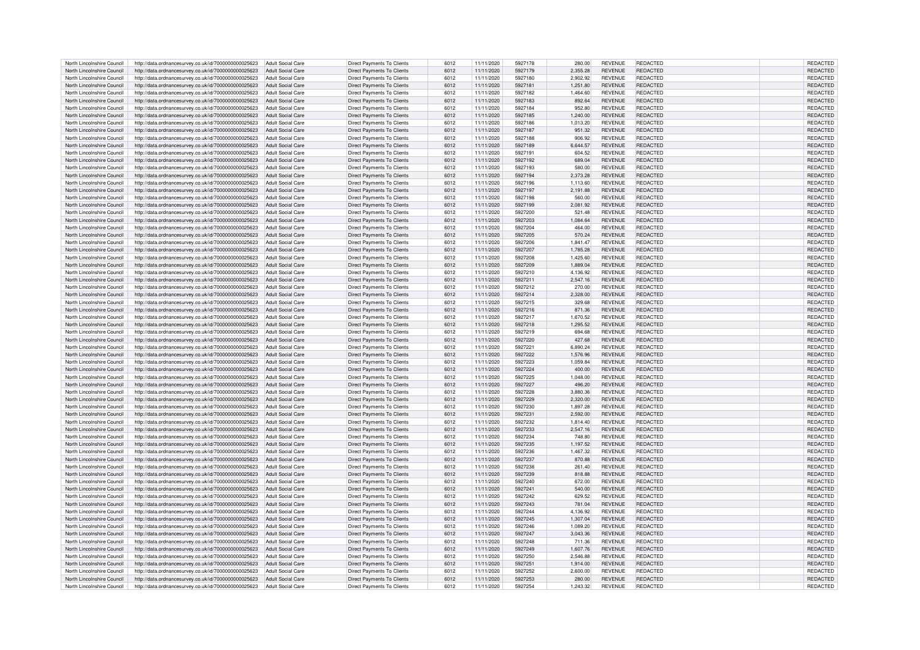| North Lincolnshire Council | http://data.ordnancesurvey.co.uk/id/7000000000025623 | <b>Adult Social Care</b> | Direct Payments To Clients        | 6012 | 11/11/2020 | 5927178 | 280.00   | <b>REVENUE</b> | REDACTED        | REDACTED        |
|----------------------------|------------------------------------------------------|--------------------------|-----------------------------------|------|------------|---------|----------|----------------|-----------------|-----------------|
| North Lincolnshire Council | http://data.ordnancesurvey.co.uk/id/7000000000025623 | <b>Adult Social Care</b> | <b>Direct Payments To Clients</b> | 6012 | 11/11/2020 | 5927179 | 2.355.28 | REVENUE        | <b>REDACTED</b> | <b>REDACTED</b> |
|                            |                                                      |                          |                                   |      |            |         |          |                |                 |                 |
| North Lincolnshire Council | http://data.ordnancesurvey.co.uk/id/7000000000025623 | <b>Adult Social Care</b> | <b>Direct Payments To Clients</b> | 6012 | 11/11/2020 | 5927180 | 2,902.92 | <b>REVENUE</b> | REDACTED        | REDACTED        |
| North Lincolnshire Council | http://data.ordnancesurvey.co.uk/id/7000000000025623 | <b>Adult Social Care</b> | Direct Payments To Clients        | 6012 | 11/11/2020 | 5927181 | 1,251.80 | <b>REVENUE</b> | REDACTED        | REDACTED        |
| North Lincolnshire Council | http://data.ordnancesurvey.co.uk/id/7000000000025623 | <b>Adult Social Care</b> | Direct Payments To Clients        | 6012 | 11/11/2020 | 5927182 | 1,464.60 | <b>REVENUE</b> | REDACTED        | REDACTED        |
| North Lincolnshire Council | http://data.ordnancesurvey.co.uk/id/7000000000025623 | <b>Adult Social Care</b> | <b>Direct Payments To Clients</b> | 6012 | 11/11/2020 | 5927183 | 892.64   | <b>REVENUE</b> | REDACTED        | REDACTED        |
| North Lincolnshire Council | http://data.ordnancesurvey.co.uk/id/7000000000025623 | <b>Adult Social Care</b> | Direct Payments To Clients        | 6012 | 11/11/2020 | 5927184 | 952.80   | <b>REVENUE</b> | <b>REDACTED</b> | REDACTED        |
| North Lincolnshire Council | http://data.ordnancesurvey.co.uk/id/7000000000025623 | <b>Adult Social Care</b> | <b>Direct Payments To Clients</b> | 6012 | 11/11/2020 | 5927185 | 1.240.00 | <b>REVENUE</b> | REDACTED        | <b>REDACTED</b> |
|                            |                                                      |                          |                                   |      |            |         |          |                |                 |                 |
| North Lincolnshire Council | http://data.ordnancesurvey.co.uk/id/7000000000025623 | <b>Adult Social Care</b> | Direct Payments To Clients        | 6012 | 11/11/2020 | 5927186 | 1,013.20 | <b>REVENUE</b> | <b>REDACTED</b> | REDACTED        |
| North Lincolnshire Council | http://data.ordnancesurvey.co.uk/id/7000000000025623 | <b>Adult Social Care</b> | Direct Payments To Clients        | 6012 | 11/11/2020 | 5927187 | 951.32   | <b>REVENUE</b> | REDACTED        | REDACTED        |
| North Lincolnshire Council | http://data.ordnancesurvey.co.uk/id/7000000000025623 | <b>Adult Social Care</b> | <b>Direct Payments To Clients</b> | 6012 | 11/11/2020 | 5927188 | 906.92   | <b>REVENUE</b> | REDACTED        | <b>REDACTED</b> |
| North Lincolnshire Council | http://data.ordnancesurvey.co.uk/id/7000000000025623 | <b>Adult Social Care</b> | Direct Payments To Clients        | 6012 | 11/11/2020 | 5927189 | 6,644.57 | <b>REVENUE</b> | <b>REDACTED</b> | REDACTED        |
| North Lincolnshire Council | http://data.ordnancesurvey.co.uk/id/7000000000025623 | Adult Social Care        | Direct Payments To Clients        | 6012 | 11/11/2020 | 5927191 | 604.52   | REVENUE        | REDACTED        | REDACTED        |
|                            |                                                      |                          |                                   |      |            |         |          |                |                 |                 |
| North Lincolnshire Council | http://data.ordnancesurvey.co.uk/id/7000000000025623 | <b>Adult Social Care</b> | Direct Payments To Clients        | 6012 | 11/11/2020 | 5927192 | 689.04   | REVENUE        | REDACTED        | REDACTED        |
| North Lincolnshire Council | http://data.ordnancesurvey.co.uk/id/7000000000025623 | <b>Adult Social Care</b> | Direct Payments To Clients        | 6012 | 11/11/2020 | 5927193 | 580.00   | <b>REVENUE</b> | REDACTED        | REDACTED        |
| North Lincolnshire Council | http://data.ordnancesurvey.co.uk/id/7000000000025623 | <b>Adult Social Care</b> | Direct Payments To Clients        | 6012 | 11/11/2020 | 5927194 | 2,373.28 | REVENUE        | REDACTED        | <b>REDACTED</b> |
| North Lincolnshire Council | http://data.ordnancesurvey.co.uk/id/7000000000025623 | <b>Adult Social Care</b> | <b>Direct Payments To Clients</b> | 6012 | 11/11/2020 | 5927196 | 1,113.60 | REVENUE        | <b>REDACTED</b> | REDACTED        |
| North Lincolnshire Council | http://data.ordnancesurvey.co.uk/id/7000000000025623 | <b>Adult Social Care</b> | Direct Payments To Clients        | 6012 | 11/11/2020 | 5927197 | 2.191.88 | <b>REVENUE</b> | REDACTED        | <b>REDACTED</b> |
|                            |                                                      |                          |                                   |      |            |         |          |                |                 |                 |
| North Lincolnshire Council | http://data.ordnancesurvey.co.uk/id/7000000000025623 | <b>Adult Social Care</b> | <b>Direct Payments To Clients</b> | 6012 | 11/11/2020 | 5927198 | 560.00   | <b>REVENUE</b> | <b>REDACTED</b> | REDACTED        |
| North Lincolnshire Council | http://data.ordnancesurvey.co.uk/id/7000000000025623 | <b>Adult Social Care</b> | Direct Payments To Clients        | 6012 | 11/11/2020 | 5927199 | 2,081.92 | REVENUE        | REDACTED        | REDACTED        |
| North Lincolnshire Council | http://data.ordnancesurvey.co.uk/id/7000000000025623 | <b>Adult Social Care</b> | <b>Direct Payments To Clients</b> | 6012 | 11/11/2020 | 5927200 | 521.48   | REVENUE        | REDACTED        | REDACTED        |
| North Lincolnshire Council | http://data.ordnancesurvey.co.uk/id/7000000000025623 | <b>Adult Social Care</b> | Direct Payments To Clients        | 6012 | 11/11/2020 | 5927203 | 1,084.64 | REVENUE        | <b>REDACTED</b> | REDACTED        |
| North Lincolnshire Council | http://data.ordnancesurvey.co.uk/id/7000000000025623 | <b>Adult Social Care</b> | Direct Payments To Clients        | 6012 | 11/11/2020 | 5927204 | 464.00   | <b>REVENUE</b> | REDACTED        | REDACTED        |
|                            |                                                      |                          |                                   |      |            |         |          |                |                 |                 |
| North Lincolnshire Council | http://data.ordnancesurvey.co.uk/id/7000000000025623 | <b>Adult Social Care</b> | Direct Payments To Clients        | 6012 | 11/11/2020 | 5927205 | 570.24   | <b>REVENUE</b> | REDACTED        | REDACTED        |
| North Lincolnshire Council | http://data.ordnancesurvey.co.uk/id/7000000000025623 | <b>Adult Social Care</b> | Direct Payments To Clients        | 6012 | 11/11/2020 | 5927206 | 1,841.47 | <b>REVENUE</b> | <b>REDACTED</b> | REDACTED        |
| North Lincolnshire Council | http://data.ordnancesurvey.co.uk/id/7000000000025623 | <b>Adult Social Care</b> | <b>Direct Payments To Clients</b> | 6012 | 11/11/2020 | 5927207 | 1,785.28 | <b>REVENUE</b> | REDACTED        | REDACTED        |
| North Lincolnshire Council | http://data.ordnancesurvey.co.uk/id/7000000000025623 | <b>Adult Social Care</b> | <b>Direct Payments To Clients</b> | 6012 | 11/11/2020 | 5927208 | 1,425.60 | <b>REVENUE</b> | <b>REDACTED</b> | <b>REDACTED</b> |
| North Lincolnshire Council | http://data.ordnancesurvey.co.uk/id/7000000000025623 | <b>Adult Social Care</b> | <b>Direct Payments To Clients</b> | 6012 | 11/11/2020 | 5927209 | 1,889.04 | REVENUE        | <b>REDACTED</b> | REDACTED        |
|                            |                                                      |                          |                                   |      |            |         |          |                |                 |                 |
| North Lincolnshire Council | http://data.ordnancesurvey.co.uk/id/7000000000025623 | <b>Adult Social Care</b> | <b>Direct Payments To Clients</b> | 6012 | 11/11/2020 | 5927210 | 4,136.92 | <b>REVENUE</b> | REDACTED        | REDACTED        |
| North Lincolnshire Council | http://data.ordnancesurvey.co.uk/id/7000000000025623 | Adult Social Care        | Direct Payments To Clients        | 6012 | 11/11/2020 | 592721  | 2,547.16 | <b>REVENUE</b> | REDACTED        | REDACTED        |
| North Lincolnshire Council | http://data.ordnancesurvey.co.uk/id/7000000000025623 | <b>Adult Social Care</b> | <b>Direct Payments To Clients</b> | 6012 | 11/11/2020 | 5927212 | 270.00   | REVENUE        | REDACTED        | REDACTED        |
| North Lincolnshire Council | http://data.ordnancesurvey.co.uk/id/7000000000025623 | <b>Adult Social Care</b> | Direct Payments To Clients        | 6012 | 11/11/2020 | 5927214 | 2,328.00 | REVENUE        | REDACTED        | REDACTED        |
| North Lincolnshire Council | http://data.ordnancesurvey.co.uk/id/7000000000025623 | Adult Social Care        | Direct Payments To Clients        | 6012 | 11/11/2020 | 5927215 | 329.68   | <b>REVENUE</b> | REDACTED        | REDACTED        |
|                            |                                                      |                          |                                   |      |            |         |          |                |                 |                 |
| North Lincolnshire Council | http://data.ordnancesurvey.co.uk/id/7000000000025623 | Adult Social Care        | Direct Payments To Clients        | 6012 | 11/11/2020 | 5927216 | 871.36   | REVENUE        | REDACTED        | REDACTED        |
| North Lincolnshire Council | http://data.ordnancesurvey.co.uk/id/7000000000025623 | Adult Social Care        | Direct Payments To Clients        | 6012 | 11/11/2020 | 5927217 | 1,670.52 | REVENUE        | REDACTED        | REDACTED        |
| North Lincolnshire Council | http://data.ordnancesurvey.co.uk/id/7000000000025623 | Adult Social Care        | Direct Payments To Clients        | 6012 | 11/11/2020 | 5927218 | 1,295.52 | REVENUE        | <b>REDACTED</b> | REDACTED        |
| North Lincolnshire Council | http://data.ordnancesurvey.co.uk/id/7000000000025623 | <b>Adult Social Care</b> | Direct Payments To Clients        | 6012 | 11/11/2020 | 5927219 | 694.68   | <b>REVENUE</b> | <b>REDACTED</b> | REDACTED        |
| North Lincolnshire Council | http://data.ordnancesurvey.co.uk/id/7000000000025623 | <b>Adult Social Care</b> | <b>Direct Payments To Clients</b> | 6012 | 11/11/2020 | 5927220 | 427.68   | <b>REVENUE</b> | REDACTED        | REDACTED        |
| North Lincolnshire Council |                                                      |                          |                                   |      |            |         |          |                | <b>REDACTED</b> |                 |
|                            | http://data.ordnancesurvey.co.uk/id/7000000000025623 | <b>Adult Social Care</b> | Direct Payments To Clients        | 6012 | 11/11/2020 | 5927221 | 6,890.24 | REVENUE        |                 | REDACTED        |
| North Lincolnshire Council | http://data.ordnancesurvey.co.uk/id/7000000000025623 | <b>Adult Social Care</b> | <b>Direct Payments To Clients</b> | 6012 | 11/11/2020 | 5927222 | 1,576.96 | REVENUE        | REDACTED        | REDACTED        |
| North Lincolnshire Council | http://data.ordnancesurvey.co.uk/id/7000000000025623 | <b>Adult Social Care</b> | <b>Direct Payments To Clients</b> | 6012 | 11/11/2020 | 5927223 | 1.059.84 | <b>REVENUE</b> | REDACTED        | <b>REDACTED</b> |
| North Lincolnshire Council | http://data.ordnancesurvey.co.uk/id/7000000000025623 | <b>Adult Social Care</b> | Direct Payments To Clients        | 6012 | 11/11/2020 | 5927224 | 400.00   | REVENUE        | <b>REDACTED</b> | REDACTED        |
| North Lincolnshire Council | http://data.ordnancesurvey.co.uk/id/7000000000025623 | <b>Adult Social Care</b> | Direct Payments To Clients        | 6012 | 11/11/2020 | 5927225 | 1.048.00 | <b>REVENUE</b> | REDACTED        | <b>REDACTED</b> |
|                            |                                                      |                          |                                   |      |            |         |          |                |                 |                 |
| North Lincolnshire Council | http://data.ordnancesurvey.co.uk/id/7000000000025623 | <b>Adult Social Care</b> | Direct Payments To Clients        | 6012 | 11/11/2020 | 5927227 | 496.20   | REVENUE        | REDACTED        | REDACTED        |
| North Lincolnshire Council | http://data.ordnancesurvey.co.uk/id/7000000000025623 | <b>Adult Social Care</b> | Direct Payments To Clients        | 6012 | 11/11/2020 | 5927228 | 3,880.36 | <b>REVENUE</b> | <b>REDACTED</b> | <b>REDACTED</b> |
| North Lincolnshire Council | http://data.ordnancesurvey.co.uk/id/7000000000025623 | <b>Adult Social Care</b> | Direct Payments To Clients        | 6012 | 11/11/2020 | 5927229 | 2.320.00 | <b>REVENUE</b> | REDACTED        | REDACTED        |
| North Lincolnshire Council | http://data.ordnancesurvey.co.uk/id/7000000000025623 | Adult Social Care        | <b>Direct Payments To Clients</b> | 6012 | 11/11/2020 | 5927230 | 1.897.28 | <b>REVENUE</b> | <b>REDACTED</b> | REDACTED        |
| North Lincolnshire Council | http://data.ordnancesurvey.co.uk/id/7000000000025623 | <b>Adult Social Care</b> | <b>Direct Payments To Clients</b> | 6012 | 11/11/2020 | 592723  | 2,592.00 | <b>REVENUE</b> | <b>REDACTED</b> | REDACTED        |
|                            |                                                      |                          |                                   |      |            | 5927232 |          | REVENUE        | REDACTED        |                 |
| North Lincolnshire Council | http://data.ordnancesurvey.co.uk/id/7000000000025623 | <b>Adult Social Care</b> | Direct Payments To Clients        | 6012 | 11/11/2020 |         | 1.814.40 |                |                 | REDACTED        |
| North Lincolnshire Council | http://data.ordnancesurvey.co.uk/id/7000000000025623 | <b>Adult Social Care</b> | Direct Payments To Clients        | 6012 | 11/11/2020 | 5927233 | 2,547.16 | <b>REVENUE</b> | REDACTED        | REDACTED        |
| North Lincolnshire Council | http://data.ordnancesurvey.co.uk/id/7000000000025623 | <b>Adult Social Care</b> | <b>Direct Payments To Clients</b> | 6012 | 11/11/2020 | 5927234 | 748.80   | REVENUE        | REDACTED        | REDACTED        |
| North Lincolnshire Council | http://data.ordnancesurvey.co.uk/id/7000000000025623 | <b>Adult Social Care</b> | Direct Payments To Clients        | 6012 | 11/11/2020 | 5927235 | 1,197.52 | REVENUE        | REDACTED        | REDACTED        |
| North Lincolnshire Council | http://data.ordnancesurvey.co.uk/id/7000000000025623 | <b>Adult Social Care</b> | Direct Payments To Clients        | 6012 | 11/11/2020 | 5927236 | 1,467.32 | REVENUE        | REDACTED        | REDACTED        |
| North Lincolnshire Council | http://data.ordnancesurvey.co.uk/id/7000000000025623 | <b>Adult Social Care</b> | Direct Payments To Clients        | 6012 | 11/11/2020 | 5927237 | 870.88   | <b>REVENUE</b> | REDACTED        | REDACTED        |
|                            |                                                      |                          |                                   |      |            |         |          |                |                 |                 |
| North Lincolnshire Council | http://data.ordnancesurvey.co.uk/id/7000000000025623 | Adult Social Care        | Direct Payments To Clients        | 6012 | 11/11/2020 | 5927238 | 261.40   | <b>REVENUE</b> | REDACTED        | REDACTED        |
| North Lincolnshire Council | http://data.ordnancesurvey.co.uk/id/7000000000025623 | <b>Adult Social Care</b> | Direct Payments To Clients        | 6012 | 11/11/2020 | 5927239 | 818.88   | REVENUE        | REDACTED        | REDACTED        |
| North Lincolnshire Council | http://data.ordnancesurvey.co.uk/id/7000000000025623 | <b>Adult Social Care</b> | <b>Direct Payments To Clients</b> | 6012 | 11/11/2020 | 5927240 | 672.00   | <b>REVENUE</b> | <b>REDACTED</b> | REDACTED        |
| North Lincolnshire Council | http://data.ordnancesurvey.co.uk/id/7000000000025623 | <b>Adult Social Care</b> | <b>Direct Payments To Clients</b> | 6012 | 11/11/2020 | 5927241 | 540.00   | <b>REVENUE</b> | REDACTED        | REDACTED        |
| North Lincolnshire Council | http://data.ordnancesurvey.co.uk/id/7000000000025623 | <b>Adult Social Care</b> | Direct Payments To Clients        | 6012 | 11/11/2020 | 5927242 | 629.52   | REVENUE        | <b>REDACTED</b> | REDACTED        |
| North Lincolnshire Council | http://data.ordnancesurvey.co.uk/id/7000000000025623 | <b>Adult Social Care</b> | Direct Payments To Clients        | 6012 | 11/11/2020 | 5927243 | 781.04   | REVENUE        | REDACTED        | REDACTED        |
|                            |                                                      |                          |                                   |      |            |         |          |                |                 |                 |
| North Lincolnshire Council | http://data.ordnancesurvey.co.uk/id/7000000000025623 | <b>Adult Social Care</b> | Direct Payments To Clients        | 6012 | 11/11/2020 | 5927244 | 4,136.92 | <b>REVENUE</b> | REDACTED        | REDACTED        |
| North Lincolnshire Council | http://data.ordnancesurvey.co.uk/id/7000000000025623 | <b>Adult Social Care</b> | Direct Payments To Clients        | 6012 | 11/11/2020 | 5927245 | 1,307.04 | REVENUE        | REDACTED        | REDACTED        |
| North Lincolnshire Council | http://data.ordnancesurvey.co.uk/id/7000000000025623 | <b>Adult Social Care</b> | <b>Direct Payments To Clients</b> | 6012 | 11/11/2020 | 5927246 | 1,089.20 | <b>REVENUE</b> | REDACTED        | REDACTED        |
| North Lincolnshire Council | http://data.ordnancesurvey.co.uk/id/7000000000025623 | <b>Adult Social Care</b> | Direct Payments To Clients        | 6012 | 11/11/2020 | 5927247 | 3,043.36 | <b>REVENUE</b> | <b>REDACTED</b> | REDACTED        |
| North Lincolnshire Council | http://data.ordnancesurvey.co.uk/id/7000000000025623 | <b>Adult Social Care</b> | Direct Payments To Clients        | 6012 | 11/11/2020 | 5927248 | 711.36   | <b>REVENUE</b> | REDACTED        | REDACTED        |
|                            |                                                      |                          |                                   |      |            |         |          |                |                 |                 |
| North Lincolnshire Council | http://data.ordnancesurvey.co.uk/id/7000000000025623 | <b>Adult Social Care</b> | Direct Payments To Clients        | 6012 | 11/11/2020 | 5927249 | 1.607.76 | REVENUE        | REDACTED        | REDACTED        |
| North Lincolnshire Council | http://data.ordnancesurvey.co.uk/id/7000000000025623 | <b>Adult Social Care</b> | <b>Direct Payments To Clients</b> | 6012 | 11/11/2020 | 5927250 | 2,546.88 | <b>REVENUE</b> | <b>REDACTED</b> | REDACTED        |
| North Lincolnshire Council | http://data.ordnancesurvey.co.uk/id/7000000000025623 | <b>Adult Social Care</b> | <b>Direct Payments To Clients</b> | 6012 | 11/11/2020 | 5927251 | 1,914.00 | <b>REVENUE</b> | REDACTED        | REDACTED        |
| North Lincolnshire Council | http://data.ordnancesurvey.co.uk/id/7000000000025623 | <b>Adult Social Care</b> | <b>Direct Payments To Clients</b> | 6012 | 11/11/2020 | 5927252 | 2,600.00 | REVENUE        | REDACTED        | REDACTED        |
| North Lincolnshire Council | http://data.ordnancesurvey.co.uk/id/7000000000025623 | Adult Social Care        | Direct Payments To Clients        | 6012 | 11/11/2020 | 5927253 | 280.00   | <b>REVENUE</b> | <b>REDACTED</b> | REDACTED        |
|                            |                                                      |                          |                                   |      |            |         |          |                |                 |                 |
| North Lincolnshire Council | http://data.ordnancesurvey.co.uk/id/7000000000025623 | Adult Social Care        | Direct Payments To Clients        | 6012 | 11/11/2020 | 5927254 | 1.243.32 | <b>REVENUE</b> | REDACTED        | REDACTED        |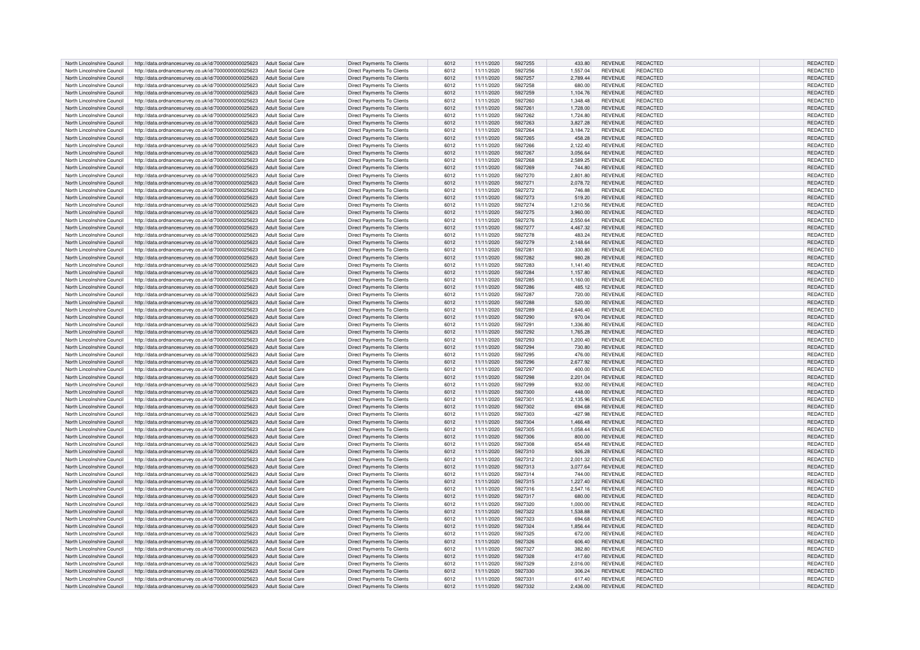| North Lincolnshire Council | http://data.ordnancesurvey.co.uk/id/7000000000025623 | Adult Social Care        | Direct Payments To Clients        | 6012 | 11/11/2020 | 5927255 | 433.80    | <b>REVENUE</b> | <b>REDACTED</b> | REDACTED        |
|----------------------------|------------------------------------------------------|--------------------------|-----------------------------------|------|------------|---------|-----------|----------------|-----------------|-----------------|
| North Lincolnshire Council | http://data.ordnancesurvey.co.uk/id/7000000000025623 | <b>Adult Social Care</b> | Direct Payments To Clients        | 6012 | 11/11/2020 | 5927256 | 1,557.04  | <b>REVENUE</b> | REDACTED        | REDACTED        |
| North Lincolnshire Council | http://data.ordnancesurvey.co.uk/id/7000000000025623 | <b>Adult Social Care</b> | Direct Payments To Clients        | 6012 | 11/11/2020 | 5927257 | 2,789.44  | <b>REVENUE</b> | REDACTED        | REDACTED        |
| North Lincolnshire Council |                                                      | <b>Adult Social Care</b> |                                   | 6012 | 11/11/2020 | 5927258 | 680.00    | <b>REVENUE</b> | REDACTED        |                 |
|                            | http://data.ordnancesurvey.co.uk/id/7000000000025623 |                          | Direct Payments To Clients        |      |            |         |           |                |                 | REDACTED        |
| North Lincolnshire Council | http://data.ordnancesurvey.co.uk/id/7000000000025623 | <b>Adult Social Care</b> | Direct Payments To Clients        | 6012 | 11/11/2020 | 5927259 | 1.104.76  | <b>REVENUE</b> | REDACTED        | REDACTED        |
| North Lincolnshire Council | http://data.ordnancesurvey.co.uk/id/7000000000025623 | <b>Adult Social Care</b> | Direct Payments To Clients        | 6012 | 11/11/2020 | 5927260 | 1,348.48  | <b>REVENUE</b> | REDACTED        | REDACTED        |
| North Lincolnshire Council | http://data.ordnancesurvey.co.uk/id/7000000000025623 | <b>Adult Social Care</b> | Direct Payments To Clients        | 6012 | 11/11/2020 | 5927261 | 1,728.00  | <b>REVENUE</b> | REDACTED        | REDACTED        |
| North Lincolnshire Council | http://data.ordnancesurvey.co.uk/id/7000000000025623 | <b>Adult Social Care</b> | Direct Payments To Clients        | 6012 | 11/11/2020 | 5927262 | 1,724.80  | <b>REVENUE</b> | <b>REDACTED</b> | REDACTED        |
| North Lincolnshire Council | http://data.ordnancesurvey.co.uk/id/7000000000025623 | <b>Adult Social Care</b> | <b>Direct Payments To Clients</b> | 6012 | 11/11/2020 | 5927263 | 3.827.28  | <b>REVENUE</b> | REDACTED        | REDACTED        |
| North Lincolnshire Council | http://data.ordnancesurvey.co.uk/id/7000000000025623 | <b>Adult Social Care</b> | Direct Payments To Clients        | 6012 | 11/11/2020 | 5927264 | 3,184.72  | <b>REVENUE</b> | <b>REDACTED</b> | REDACTED        |
| North Lincolnshire Council | http://data.ordnancesurvey.co.uk/id/7000000000025623 | <b>Adult Social Care</b> | <b>Direct Payments To Clients</b> | 6012 | 11/11/2020 | 5927265 | 458.28    | <b>REVENUE</b> | REDACTED        | REDACTED        |
| North Lincolnshire Council |                                                      | <b>Adult Social Care</b> |                                   | 6012 | 11/11/2020 | 5927266 | 2,122.40  | <b>REVENUE</b> | REDACTED        |                 |
|                            | http://data.ordnancesurvey.co.uk/id/7000000000025623 |                          | Direct Payments To Clients        |      |            |         |           |                |                 | REDACTED        |
| North Lincolnshire Council | http://data.ordnancesurvey.co.uk/id/7000000000025623 | <b>Adult Social Care</b> | Direct Payments To Clients        | 6012 | 11/11/2020 | 5927267 | 3,056.64  | <b>REVENUE</b> | REDACTED        | REDACTED        |
| North Lincolnshire Council | http://data.ordnancesurvey.co.uk/id/7000000000025623 | <b>Adult Social Care</b> | <b>Direct Payments To Clients</b> | 6012 | 11/11/2020 | 5927268 | 2.589.25  | <b>REVENUE</b> | REDACTED        | REDACTED        |
| North Lincolnshire Council | http://data.ordnancesurvey.co.uk/id/7000000000025623 | <b>Adult Social Care</b> | Direct Payments To Clients        | 6012 | 11/11/2020 | 5927269 | 744.80    | <b>REVENUE</b> | REDACTED        | REDACTED        |
| North Lincolnshire Council | http://data.ordnancesurvey.co.uk/id/7000000000025623 | <b>Adult Social Care</b> | <b>Direct Payments To Clients</b> | 6012 | 11/11/2020 | 5927270 | 2,801.80  | <b>REVENUE</b> | <b>REDACTED</b> | REDACTED        |
| North Lincolnshire Council | http://data.ordnancesurvey.co.uk/id/7000000000025623 | <b>Adult Social Care</b> | Direct Payments To Clients        | 6012 | 11/11/2020 | 5927271 | 2.078.72  | <b>REVENUE</b> | REDACTED        | REDACTED        |
| North Lincolnshire Council | http://data.ordnancesurvey.co.uk/id/7000000000025623 | <b>Adult Social Care</b> | Direct Payments To Clients        | 6012 | 11/11/2020 | 5927272 | 746.88    | <b>REVENUE</b> | <b>REDACTED</b> | REDACTED        |
| North Lincolnshire Council | http://data.ordnancesurvey.co.uk/id/7000000000025623 | <b>Adult Social Care</b> | Direct Payments To Clients        | 6012 | 11/11/2020 | 5927273 | 519.20    | <b>REVENUE</b> | REDACTED        | REDACTED        |
| North Lincolnshire Council | http://data.ordnancesurvey.co.uk/id/7000000000025623 | <b>Adult Social Care</b> | Direct Payments To Clients        | 6012 | 11/11/2020 | 5927274 | 1,210.56  | <b>REVENUE</b> | REDACTED        | REDACTED        |
| North Lincolnshire Council | http://data.ordnancesurvey.co.uk/id/7000000000025623 | Adult Social Care        | Direct Payments To Clients        | 6012 | 11/11/2020 | 5927275 | 3,960.00  | <b>REVENUE</b> | <b>REDACTED</b> | REDACTED        |
| North Lincolnshire Council |                                                      | <b>Adult Social Care</b> | Direct Payments To Clients        | 6012 | 11/11/2020 | 5927276 | 2,550.64  | <b>REVENUE</b> | REDACTED        | REDACTED        |
| North Lincolnshire Council | http://data.ordnancesurvey.co.uk/id/7000000000025623 | <b>Adult Social Care</b> |                                   | 6012 |            | 5927277 |           |                | <b>REDACTED</b> |                 |
|                            | http://data.ordnancesurvey.co.uk/id/7000000000025623 |                          | Direct Payments To Clients        |      | 11/11/2020 |         | 4,467.32  | <b>REVENUE</b> |                 | REDACTED        |
| North Lincolnshire Council | http://data.ordnancesurvey.co.uk/id/7000000000025623 | <b>Adult Social Care</b> | Direct Payments To Clients        | 6012 | 11/11/2020 | 5927278 | 483.24    | <b>REVENUE</b> | <b>REDACTED</b> | REDACTED        |
| North Lincolnshire Council | http://data.ordnancesurvey.co.uk/id/7000000000025623 | <b>Adult Social Care</b> | Direct Payments To Clients        | 6012 | 11/11/2020 | 5927279 | 2,148.64  | <b>REVENUE</b> | <b>REDACTED</b> | REDACTED        |
| North Lincolnshire Council | http://data.ordnancesurvey.co.uk/id/7000000000025623 | <b>Adult Social Care</b> | Direct Payments To Clients        | 6012 | 11/11/2020 | 5927281 | 330.80    | <b>REVENUE</b> | <b>REDACTED</b> | REDACTED        |
| North Lincolnshire Council | http://data.ordnancesurvey.co.uk/id/7000000000025623 | <b>Adult Social Care</b> | <b>Direct Payments To Clients</b> | 6012 | 11/11/2020 | 5927282 | 980.28    | <b>REVENUE</b> | <b>REDACTED</b> | REDACTED        |
| North Lincolnshire Council | http://data.ordnancesurvey.co.uk/id/7000000000025623 | <b>Adult Social Care</b> | <b>Direct Payments To Clients</b> | 6012 | 11/11/2020 | 5927283 | 1.141.40  | <b>REVENUE</b> | REDACTED        | REDACTED        |
| North Lincolnshire Council | http://data.ordnancesurvey.co.uk/id/7000000000025623 | <b>Adult Social Care</b> | <b>Direct Payments To Clients</b> | 6012 | 11/11/2020 | 5927284 | 1,157.80  | <b>REVENUE</b> | REDACTED        | REDACTED        |
| North Lincolnshire Council | http://data.ordnancesurvey.co.uk/id/7000000000025623 | <b>Adult Social Care</b> | Direct Payments To Clients        | 6012 | 11/11/2020 | 5927285 | 1,160.00  | <b>REVENUE</b> | <b>REDACTED</b> | REDACTED        |
| North Lincolnshire Council | http://data.ordnancesurvey.co.uk/id/7000000000025623 | Adult Social Care        | Direct Payments To Clients        | 6012 | 11/11/2020 | 5927286 | 485.12    | <b>REVENUE</b> | REDACTED        | REDACTED        |
| North Lincolnshire Council | http://data.ordnancesurvey.co.uk/id/7000000000025623 | <b>Adult Social Care</b> | <b>Direct Payments To Clients</b> | 6012 | 11/11/2020 | 5927287 | 720.00    | <b>REVENUE</b> | <b>REDACTED</b> | REDACTED        |
| North Lincolnshire Council | http://data.ordnancesurvey.co.uk/id/7000000000025623 | <b>Adult Social Care</b> | Direct Payments To Clients        | 6012 | 11/11/2020 | 5927288 | 520.00    | <b>REVENUE</b> | REDACTED        | REDACTED        |
| North Lincolnshire Council | http://data.ordnancesurvey.co.uk/id/7000000000025623 | <b>Adult Social Care</b> | Direct Payments To Clients        | 6012 | 11/11/2020 | 5927289 | 2,646.40  | <b>REVENUE</b> | REDACTED        | REDACTED        |
| North Lincolnshire Council | http://data.ordnancesurvey.co.uk/id/7000000000025623 | <b>Adult Social Care</b> |                                   | 6012 | 11/11/2020 | 5927290 | 970.04    | <b>REVENUE</b> | REDACTED        | <b>REDACTED</b> |
|                            |                                                      |                          | Direct Payments To Clients        |      |            |         |           |                |                 |                 |
| North Lincolnshire Council | http://data.ordnancesurvey.co.uk/id/7000000000025623 | <b>Adult Social Care</b> | <b>Direct Payments To Clients</b> | 6012 | 11/11/2020 | 5927291 | 1,336.80  | <b>REVENUE</b> | REDACTED        | REDACTED        |
| North Lincolnshire Council | http://data.ordnancesurvey.co.uk/id/7000000000025623 | <b>Adult Social Care</b> | <b>Direct Payments To Clients</b> | 6012 | 11/11/2020 | 5927292 | 1,765.28  | <b>REVENUE</b> | <b>REDACTED</b> | REDACTED        |
| North Lincolnshire Council | http://data.ordnancesurvey.co.uk/id/7000000000025623 | <b>Adult Social Care</b> | Direct Payments To Clients        | 6012 | 11/11/2020 | 5927293 | 1,200.40  | <b>REVENUE</b> | <b>REDACTED</b> | REDACTED        |
| North Lincolnshire Council | http://data.ordnancesurvey.co.uk/id/7000000000025623 | <b>Adult Social Care</b> | <b>Direct Payments To Clients</b> | 6012 | 11/11/2020 | 5927294 | 730.80    | <b>REVENUE</b> | REDACTED        | REDACTED        |
| North Lincolnshire Council | http://data.ordnancesurvey.co.uk/id/7000000000025623 | <b>Adult Social Care</b> | Direct Payments To Clients        | 6012 | 11/11/2020 | 5927295 | 476.00    | <b>REVENUE</b> | REDACTED        | REDACTED        |
| North Lincolnshire Council | http://data.ordnancesurvey.co.uk/id/7000000000025623 | <b>Adult Social Care</b> | <b>Direct Payments To Clients</b> | 6012 | 11/11/2020 | 5927296 | 2,677.92  | <b>REVENUE</b> | REDACTED        | REDACTED        |
| North Lincolnshire Council | http://data.ordnancesurvey.co.uk/id/7000000000025623 | <b>Adult Social Care</b> | Direct Payments To Clients        | 6012 | 11/11/2020 | 5927297 | 400.00    | <b>REVENUE</b> | REDACTED        | REDACTED        |
| North Lincolnshire Council | http://data.ordnancesurvey.co.uk/id/7000000000025623 | <b>Adult Social Care</b> | Direct Payments To Clients        | 6012 | 11/11/2020 | 5927298 | 2,201.04  | <b>REVENUE</b> | REDACTED        | REDACTED        |
| North Lincolnshire Council | http://data.ordnancesurvey.co.uk/id/7000000000025623 | <b>Adult Social Care</b> | Direct Payments To Clients        | 6012 | 11/11/2020 | 5927299 | 932.00    | <b>REVENUE</b> | REDACTED        | REDACTED        |
| North Lincolnshire Council | http://data.ordnancesurvey.co.uk/id/7000000000025623 | <b>Adult Social Care</b> | Direct Payments To Clients        | 6012 | 11/11/2020 | 5927300 | 448.00    | <b>REVENUE</b> | REDACTED        | REDACTED        |
| North Lincolnshire Council | http://data.ordnancesurvey.co.uk/id/7000000000025623 | <b>Adult Social Care</b> | Direct Payments To Clients        | 6012 | 11/11/2020 | 5927301 | 2,135.96  | <b>REVENUE</b> | REDACTED        | REDACTED        |
| North Lincolnshire Council | http://data.ordnancesurvey.co.uk/id/7000000000025623 | <b>Adult Social Care</b> | Direct Payments To Clients        | 6012 | 11/11/2020 | 5927302 | 694.68    | <b>REVENUE</b> | <b>REDACTED</b> | REDACTED        |
| North Lincolnshire Council | http://data.ordnancesurvey.co.uk/id/7000000000025623 | <b>Adult Social Care</b> | <b>Direct Payments To Clients</b> | 6012 | 11/11/2020 | 5927303 | $-427.98$ | <b>REVENUE</b> | REDACTED        | REDACTED        |
|                            |                                                      |                          |                                   |      |            |         |           |                |                 |                 |
| North Lincolnshire Council | http://data.ordnancesurvey.co.uk/id/7000000000025623 | <b>Adult Social Care</b> | Direct Payments To Clients        | 6012 | 11/11/2020 | 5927304 | 1,466.48  | <b>REVENUE</b> | <b>REDACTED</b> | REDACTED        |
| North Lincolnshire Council | http://data.ordnancesurvey.co.uk/id/7000000000025623 | <b>Adult Social Care</b> | Direct Payments To Clients        | 6012 | 11/11/2020 | 5927305 | 1,058.44  | <b>REVENUE</b> | REDACTED        | REDACTED        |
| North Lincolnshire Council | http://data.ordnancesurvey.co.uk/id/7000000000025623 | <b>Adult Social Care</b> | <b>Direct Payments To Clients</b> | 6012 | 11/11/2020 | 5927306 | 800.00    | <b>REVENUE</b> | REDACTED        | REDACTED        |
| North Lincolnshire Council | http://data.ordnancesurvey.co.uk/id/7000000000025623 | <b>Adult Social Care</b> | Direct Payments To Clients        | 6012 | 11/11/2020 | 5927308 | 654.48    | <b>REVENUE</b> | <b>REDACTED</b> | REDACTED        |
| North Lincolnshire Council | http://data.ordnancesurvey.co.uk/id/7000000000025623 | Adult Social Care        | <b>Direct Payments To Clients</b> | 6012 | 11/11/2020 | 5927310 | 926.28    | <b>REVENUE</b> | REDACTED        | REDACTED        |
| North Lincolnshire Council | http://data.ordnancesurvey.co.uk/id/7000000000025623 | Adult Social Care        | Direct Payments To Clients        | 6012 | 11/11/2020 | 5927312 | 2,001.32  | <b>REVENUE</b> | REDACTED        | REDACTED        |
| North Lincolnshire Council | http://data.ordnancesurvey.co.uk/id/7000000000025623 | <b>Adult Social Care</b> | Direct Payments To Clients        | 6012 | 11/11/2020 | 5927313 | 3,077.64  | <b>REVENUE</b> | REDACTED        | REDACTED        |
| North Lincolnshire Council | http://data.ordnancesurvey.co.uk/id/7000000000025623 | <b>Adult Social Care</b> | <b>Direct Payments To Clients</b> | 6012 | 11/11/2020 | 5927314 | 744.00    | <b>REVENUE</b> | REDACTED        | REDACTED        |
| North Lincolnshire Council | http://data.ordnancesurvey.co.uk/id/7000000000025623 | <b>Adult Social Care</b> | Direct Payments To Clients        | 6012 | 11/11/2020 | 5927315 | 1,227.40  | <b>REVENUE</b> | <b>REDACTED</b> | REDACTED        |
| North Lincolnshire Council | http://data.ordnancesurvey.co.uk/id/7000000000025623 | <b>Adult Social Care</b> | <b>Direct Payments To Clients</b> | 6012 | 11/11/2020 | 5927316 | 2.547.16  | <b>REVENUE</b> | REDACTED        | REDACTED        |
| North Lincolnshire Council | http://data.ordnancesurvey.co.uk/id/7000000000025623 | <b>Adult Social Care</b> | Direct Payments To Clients        | 6012 | 11/11/2020 | 5927317 | 680.00    | <b>REVENUE</b> | <b>REDACTED</b> | REDACTED        |
| North Lincolnshire Council | http://data.ordnancesurvey.co.uk/id/7000000000025623 | <b>Adult Social Care</b> | Direct Payments To Clients        | 6012 | 11/11/2020 | 5927320 | 1.000.00  | <b>REVENUE</b> | <b>REDACTED</b> | REDACTED        |
|                            |                                                      |                          |                                   |      |            |         |           |                |                 |                 |
| North Lincolnshire Council | http://data.ordnancesurvey.co.uk/id/7000000000025623 | <b>Adult Social Care</b> | <b>Direct Payments To Clients</b> | 6012 | 11/11/2020 | 5927322 | 1,538.88  | <b>REVENUE</b> | REDACTED        | REDACTED        |
| North Lincolnshire Council | http://data.ordnancesurvey.co.uk/id/7000000000025623 | <b>Adult Social Care</b> | Direct Payments To Clients        | 6012 | 11/11/2020 | 5927323 | 694.68    | <b>REVENUE</b> | REDACTED        | REDACTED        |
| North Lincolnshire Council | http://data.ordnancesurvey.co.uk/id/7000000000025623 | Adult Social Care        | <b>Direct Payments To Clients</b> | 6012 | 11/11/2020 | 5927324 | 1.856.44  | <b>REVENUE</b> | REDACTED        | REDACTED        |
| North Lincolnshire Council | http://data.ordnancesurvey.co.uk/id/7000000000025623 | <b>Adult Social Care</b> | Direct Payments To Clients        | 6012 | 11/11/2020 | 5927325 | 672.00    | <b>REVENUE</b> | REDACTED        | REDACTED        |
| North Lincolnshire Council | http://data.ordnancesurvey.co.uk/id/7000000000025623 | <b>Adult Social Care</b> | Direct Payments To Clients        | 6012 | 11/11/2020 | 5927326 | 606.40    | <b>REVENUE</b> | <b>REDACTED</b> | REDACTED        |
| North Lincolnshire Council | http://data.ordnancesurvey.co.uk/id/7000000000025623 | <b>Adult Social Care</b> | Direct Payments To Clients        | 6012 | 11/11/2020 | 5927327 | 382.80    | <b>REVENUE</b> | REDACTED        | REDACTED        |
| North Lincolnshire Council | http://data.ordnancesurvey.co.uk/id/7000000000025623 | <b>Adult Social Care</b> | <b>Direct Payments To Clients</b> | 6012 | 11/11/2020 | 5927328 | 417.60    | <b>REVENUE</b> | <b>REDACTED</b> | REDACTED        |
| North Lincolnshire Council | http://data.ordnancesurvey.co.uk/id/7000000000025623 | <b>Adult Social Care</b> | Direct Payments To Clients        | 6012 | 11/11/2020 | 5927329 | 2,016.00  | <b>REVENUE</b> | REDACTED        | REDACTED        |
| North Lincolnshire Council | http://data.ordnancesurvey.co.uk/id/7000000000025623 | <b>Adult Social Care</b> | <b>Direct Payments To Clients</b> | 6012 | 11/11/2020 | 5927330 | 306.24    | <b>REVENUE</b> | REDACTED        | REDACTED        |
| North Lincolnshire Council | http://data.ordnancesurvey.co.uk/id/7000000000025623 | Adult Social Care        | Direct Payments To Clients        | 6012 | 11/11/2020 | 5927331 | 617.40    | <b>REVENUE</b> | <b>REDACTED</b> | REDACTED        |
| North Lincolnshire Council | http://data.ordnancesurvey.co.uk/id/7000000000025623 | Adult Social Care        | Direct Payments To Clients        | 6012 | 11/11/2020 | 5927332 | 2,436.00  | <b>REVENUE</b> | REDACTED        | REDACTED        |
|                            |                                                      |                          |                                   |      |            |         |           |                |                 |                 |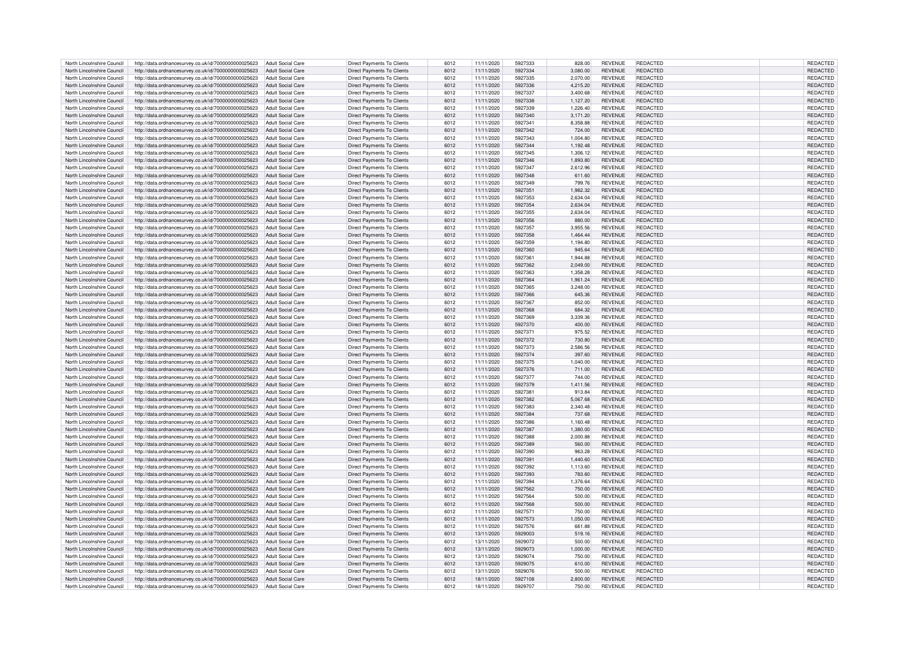| North Lincolnshire Council | http://data.ordnancesurvey.co.uk/id/7000000000025623 | <b>Adult Social Care</b> | Direct Payments To Clients        | 6012 | 11/11/2020 | 5927333 | 828.00   | <b>REVENUE</b> | REDACTED        | REDACTED        |
|----------------------------|------------------------------------------------------|--------------------------|-----------------------------------|------|------------|---------|----------|----------------|-----------------|-----------------|
| North Lincolnshire Council | http://data.ordnancesurvey.co.uk/id/7000000000025623 | <b>Adult Social Care</b> | <b>Direct Payments To Clients</b> | 6012 | 11/11/2020 | 5927334 | 3.080.00 | REVENUE        | <b>REDACTED</b> | <b>REDACTED</b> |
|                            |                                                      |                          |                                   |      |            |         |          |                |                 |                 |
| North Lincolnshire Council | http://data.ordnancesurvey.co.uk/id/7000000000025623 | <b>Adult Social Care</b> | <b>Direct Payments To Clients</b> | 6012 | 11/11/2020 | 5927335 | 2,070.00 | <b>REVENUE</b> | REDACTED        | REDACTED        |
| North Lincolnshire Council | http://data.ordnancesurvey.co.uk/id/7000000000025623 | <b>Adult Social Care</b> | Direct Payments To Clients        | 6012 | 11/11/2020 | 5927336 | 4,215.20 | <b>REVENUE</b> | REDACTED        | REDACTED        |
| North Lincolnshire Council | http://data.ordnancesurvey.co.uk/id/7000000000025623 | <b>Adult Social Care</b> | Direct Payments To Clients        | 6012 | 11/11/2020 | 5927337 | 3,400.68 | <b>REVENUE</b> | REDACTED        | REDACTED        |
| North Lincolnshire Council | http://data.ordnancesurvey.co.uk/id/7000000000025623 | <b>Adult Social Care</b> | <b>Direct Payments To Clients</b> | 6012 | 11/11/2020 | 5927338 | 1,127.20 | <b>REVENUE</b> | REDACTED        | REDACTED        |
| North Lincolnshire Council | http://data.ordnancesurvey.co.uk/id/7000000000025623 | <b>Adult Social Care</b> | Direct Payments To Clients        | 6012 | 11/11/2020 | 5927339 | 1,226.40 | <b>REVENUE</b> | <b>REDACTED</b> | REDACTED        |
| North Lincolnshire Council | http://data.ordnancesurvey.co.uk/id/7000000000025623 | <b>Adult Social Care</b> | <b>Direct Payments To Clients</b> | 6012 | 11/11/2020 | 5927340 | 3,171.20 | <b>REVENUE</b> | REDACTED        | <b>REDACTED</b> |
|                            |                                                      |                          |                                   |      |            |         |          |                |                 |                 |
| North Lincolnshire Council | http://data.ordnancesurvey.co.uk/id/7000000000025623 | <b>Adult Social Care</b> | Direct Payments To Clients        | 6012 | 11/11/2020 | 592734  | 8,358.88 | <b>REVENUE</b> | <b>REDACTED</b> | REDACTED        |
| North Lincolnshire Council | http://data.ordnancesurvey.co.uk/id/7000000000025623 | <b>Adult Social Care</b> | Direct Payments To Clients        | 6012 | 11/11/2020 | 5927342 | 724.00   | <b>REVENUE</b> | REDACTED        | REDACTED        |
| North Lincolnshire Council | http://data.ordnancesurvey.co.uk/id/7000000000025623 | <b>Adult Social Care</b> | <b>Direct Payments To Clients</b> | 6012 | 11/11/2020 | 5927343 | 1,004.80 | <b>REVENUE</b> | REDACTED        | <b>REDACTED</b> |
| North Lincolnshire Council | http://data.ordnancesurvey.co.uk/id/7000000000025623 | <b>Adult Social Care</b> | Direct Payments To Clients        | 6012 | 11/11/2020 | 5927344 | 1,192.48 | REVENUE        | <b>REDACTED</b> | REDACTED        |
| North Lincolnshire Council | http://data.ordnancesurvey.co.uk/id/7000000000025623 | Adult Social Care        | Direct Payments To Clients        | 6012 | 11/11/2020 | 5927345 | 1,306.12 | REVENUE        | REDACTED        | REDACTED        |
|                            |                                                      |                          |                                   |      |            |         |          |                |                 |                 |
| North Lincolnshire Council | http://data.ordnancesurvey.co.uk/id/7000000000025623 | <b>Adult Social Care</b> | Direct Payments To Clients        | 6012 | 11/11/2020 | 5927346 | 1,893.80 | REVENUE        | REDACTED        | REDACTED        |
| North Lincolnshire Council | http://data.ordnancesurvey.co.uk/id/7000000000025623 | <b>Adult Social Care</b> | Direct Payments To Clients        | 6012 | 11/11/2020 | 5927347 | 2,612.96 | REVENUE        | REDACTED        | REDACTED        |
| North Lincolnshire Council | http://data.ordnancesurvey.co.uk/id/7000000000025623 | <b>Adult Social Care</b> | Direct Payments To Clients        | 6012 | 11/11/2020 | 5927348 | 611.60   | REVENUE        | REDACTED        | <b>REDACTED</b> |
| North Lincolnshire Council | http://data.ordnancesurvey.co.uk/id/7000000000025623 | <b>Adult Social Care</b> | <b>Direct Payments To Clients</b> | 6012 | 11/11/2020 | 5927349 | 799.76   | <b>REVENUE</b> | <b>REDACTED</b> | REDACTED        |
| North Lincolnshire Council | http://data.ordnancesurvey.co.uk/id/7000000000025623 | <b>Adult Social Care</b> | Direct Payments To Clients        | 6012 | 11/11/2020 | 5927351 | 1.982.32 | <b>REVENUE</b> | REDACTED        | <b>REDACTED</b> |
|                            |                                                      |                          |                                   |      |            |         |          |                |                 |                 |
| North Lincolnshire Council | http://data.ordnancesurvey.co.uk/id/7000000000025623 | <b>Adult Social Care</b> | <b>Direct Payments To Clients</b> | 6012 | 11/11/2020 | 5927353 | 2,634.04 | REVENUE        | <b>REDACTED</b> | REDACTED        |
| North Lincolnshire Council | http://data.ordnancesurvey.co.uk/id/7000000000025623 | <b>Adult Social Care</b> | Direct Payments To Clients        | 6012 | 11/11/2020 | 5927354 | 2,634.04 | REVENUE        | REDACTED        | REDACTED        |
| North Lincolnshire Council | http://data.ordnancesurvey.co.uk/id/7000000000025623 | <b>Adult Social Care</b> | <b>Direct Payments To Clients</b> | 6012 | 11/11/2020 | 5927355 | 2,634.04 | REVENUE        | REDACTED        | REDACTED        |
| North Lincolnshire Council | http://data.ordnancesurvey.co.uk/id/7000000000025623 | <b>Adult Social Care</b> | Direct Payments To Clients        | 6012 | 11/11/2020 | 5927356 | 880.00   | REVENUE        | <b>REDACTED</b> | REDACTED        |
| North Lincolnshire Council | http://data.ordnancesurvey.co.uk/id/7000000000025623 | <b>Adult Social Care</b> | Direct Payments To Clients        | 6012 | 11/11/2020 | 5927357 | 3,955.56 | REVENUE        | REDACTED        | REDACTED        |
|                            |                                                      |                          |                                   |      |            |         |          |                |                 |                 |
| North Lincolnshire Council | http://data.ordnancesurvey.co.uk/id/7000000000025623 | <b>Adult Social Care</b> | Direct Payments To Clients        | 6012 | 11/11/2020 | 5927358 | 1,464.44 | <b>REVENUE</b> | REDACTED        | REDACTED        |
| North Lincolnshire Council | http://data.ordnancesurvey.co.uk/id/7000000000025623 | <b>Adult Social Care</b> | Direct Payments To Clients        | 6012 | 11/11/2020 | 5927359 | 1,194.80 | <b>REVENUE</b> | <b>REDACTED</b> | REDACTED        |
| North Lincolnshire Council | http://data.ordnancesurvey.co.uk/id/7000000000025623 | <b>Adult Social Care</b> | <b>Direct Payments To Clients</b> | 6012 | 11/11/2020 | 5927360 | 945.64   | <b>REVENUE</b> | REDACTED        | REDACTED        |
| North Lincolnshire Council | http://data.ordnancesurvey.co.uk/id/7000000000025623 | <b>Adult Social Care</b> | <b>Direct Payments To Clients</b> | 6012 | 11/11/2020 | 592736  | 1.944.88 | <b>REVENUE</b> | <b>REDACTED</b> | <b>REDACTED</b> |
| North Lincolnshire Council | http://data.ordnancesurvey.co.uk/id/7000000000025623 | <b>Adult Social Care</b> | <b>Direct Payments To Clients</b> | 6012 | 11/11/2020 | 5927362 | 2,049.00 | REVENUE        | <b>REDACTED</b> | REDACTED        |
|                            |                                                      |                          |                                   |      |            |         |          |                |                 |                 |
| North Lincolnshire Council | http://data.ordnancesurvey.co.uk/id/7000000000025623 | <b>Adult Social Care</b> | <b>Direct Payments To Clients</b> | 6012 | 11/11/2020 | 5927363 | 1,358.28 | <b>REVENUE</b> | REDACTED        | REDACTED        |
| North Lincolnshire Council | http://data.ordnancesurvey.co.uk/id/7000000000025623 | Adult Social Care        | Direct Payments To Clients        | 6012 | 11/11/2020 | 5927364 | 1,961.24 | REVENUE        | REDACTED        | REDACTED        |
| North Lincolnshire Council | http://data.ordnancesurvey.co.uk/id/7000000000025623 | <b>Adult Social Care</b> | <b>Direct Payments To Clients</b> | 6012 | 11/11/2020 | 5927365 | 3,248.00 | REVENUE        | REDACTED        | REDACTED        |
| North Lincolnshire Council | http://data.ordnancesurvey.co.uk/id/7000000000025623 | <b>Adult Social Care</b> | Direct Payments To Clients        | 6012 | 11/11/2020 | 5927366 | 645.36   | REVENUE        | REDACTED        | REDACTED        |
| North Lincolnshire Council | http://data.ordnancesurvey.co.uk/id/7000000000025623 | Adult Social Care        | Direct Payments To Clients        | 6012 | 11/11/2020 | 5927367 | 852.00   | <b>REVENUE</b> | REDACTED        | REDACTED        |
|                            |                                                      |                          |                                   |      |            |         |          |                |                 |                 |
| North Lincolnshire Council | http://data.ordnancesurvey.co.uk/id/7000000000025623 | Adult Social Care        | Direct Payments To Clients        | 6012 | 11/11/2020 | 5927368 | 684.32   | REVENUE        | REDACTED        | REDACTED        |
| North Lincolnshire Council | http://data.ordnancesurvey.co.uk/id/7000000000025623 | Adult Social Care        | Direct Payments To Clients        | 6012 | 11/11/2020 | 5927369 | 3,339.36 | REVENUE        | REDACTED        | REDACTED        |
| North Lincolnshire Council | http://data.ordnancesurvey.co.uk/id/7000000000025623 | Adult Social Care        | Direct Payments To Clients        | 6012 | 11/11/2020 | 5927370 | 400.00   | REVENUE        | <b>REDACTED</b> | REDACTED        |
| North Lincolnshire Council | http://data.ordnancesurvey.co.uk/id/7000000000025623 | <b>Adult Social Care</b> | Direct Payments To Clients        | 6012 | 11/11/2020 | 5927371 | 975.52   | <b>REVENUE</b> | <b>REDACTED</b> | REDACTED        |
| North Lincolnshire Council | http://data.ordnancesurvey.co.uk/id/7000000000025623 | <b>Adult Social Care</b> | <b>Direct Payments To Clients</b> | 6012 | 11/11/2020 | 5927372 | 730.80   | <b>REVENUE</b> | REDACTED        | <b>REDACTED</b> |
| North Lincolnshire Council |                                                      |                          |                                   |      |            |         |          |                | <b>REDACTED</b> |                 |
|                            | http://data.ordnancesurvey.co.uk/id/7000000000025623 | <b>Adult Social Care</b> | Direct Payments To Clients        | 6012 | 11/11/2020 | 5927373 | 2,586.56 | REVENUE        |                 | REDACTED        |
| North Lincolnshire Council | http://data.ordnancesurvey.co.uk/id/7000000000025623 | <b>Adult Social Care</b> | <b>Direct Payments To Clients</b> | 6012 | 11/11/2020 | 5927374 | 397.60   | REVENUE        | REDACTED        | REDACTED        |
| North Lincolnshire Council | http://data.ordnancesurvey.co.uk/id/7000000000025623 | <b>Adult Social Care</b> | <b>Direct Payments To Clients</b> | 6012 | 11/11/2020 | 5927375 | 1.040.00 | <b>REVENUE</b> | REDACTED        | <b>REDACTED</b> |
| North Lincolnshire Council | http://data.ordnancesurvey.co.uk/id/7000000000025623 | <b>Adult Social Care</b> | Direct Payments To Clients        | 6012 | 11/11/2020 | 5927376 | 711.00   | REVENUE        | <b>REDACTED</b> | REDACTED        |
| North Lincolnshire Council | http://data.ordnancesurvey.co.uk/id/7000000000025623 | <b>Adult Social Care</b> | Direct Payments To Clients        | 6012 | 11/11/2020 | 5927377 | 744.00   | <b>REVENUE</b> | REDACTED        | <b>REDACTED</b> |
|                            |                                                      |                          |                                   |      |            |         |          |                |                 |                 |
| North Lincolnshire Council | http://data.ordnancesurvey.co.uk/id/7000000000025623 | <b>Adult Social Care</b> | Direct Payments To Clients        | 6012 | 11/11/2020 | 5927379 | 1,411.56 | <b>REVENUE</b> | REDACTED        | REDACTED        |
| North Lincolnshire Council | http://data.ordnancesurvey.co.uk/id/7000000000025623 | <b>Adult Social Care</b> | Direct Payments To Clients        | 6012 | 11/11/2020 | 5927381 | 913.84   | <b>REVENUE</b> | <b>REDACTED</b> | <b>REDACTED</b> |
| North Lincolnshire Council | http://data.ordnancesurvey.co.uk/id/7000000000025623 | <b>Adult Social Care</b> | Direct Payments To Clients        | 6012 | 11/11/2020 | 5927382 | 5.067.68 | <b>REVENUE</b> | REDACTED        | REDACTED        |
| North Lincolnshire Council | http://data.ordnancesurvey.co.uk/id/7000000000025623 | Adult Social Care        | <b>Direct Payments To Clients</b> | 6012 | 11/11/2020 | 5927383 | 2,340.48 | <b>REVENUE</b> | <b>REDACTED</b> | REDACTED        |
| North Lincolnshire Council | http://data.ordnancesurvey.co.uk/id/7000000000025623 | <b>Adult Social Care</b> | <b>Direct Payments To Clients</b> | 6012 | 11/11/2020 | 5927384 | 737.68   | <b>REVENUE</b> | <b>REDACTED</b> | REDACTED        |
|                            |                                                      |                          |                                   |      | 11/11/2020 | 5927386 |          | <b>REVENUE</b> | REDACTED        |                 |
| North Lincolnshire Council | http://data.ordnancesurvey.co.uk/id/7000000000025623 | <b>Adult Social Care</b> | Direct Payments To Clients        | 6012 |            |         | 1,160.48 |                |                 | REDACTED        |
| North Lincolnshire Council | http://data.ordnancesurvey.co.uk/id/7000000000025623 | <b>Adult Social Care</b> | Direct Payments To Clients        | 6012 | 11/11/2020 | 5927387 | 1,380.00 | <b>REVENUE</b> | REDACTED        | REDACTED        |
| North Lincolnshire Council | http://data.ordnancesurvey.co.uk/id/7000000000025623 | <b>Adult Social Care</b> | <b>Direct Payments To Clients</b> | 6012 | 11/11/2020 | 5927388 | 2,000.88 | REVENUE        | REDACTED        | REDACTED        |
| North Lincolnshire Council | http://data.ordnancesurvey.co.uk/id/7000000000025623 | <b>Adult Social Care</b> | Direct Payments To Clients        | 6012 | 11/11/2020 | 5927389 | 560.00   | <b>REVENUE</b> | REDACTED        | REDACTED        |
| North Lincolnshire Council | http://data.ordnancesurvey.co.uk/id/7000000000025623 | <b>Adult Social Care</b> | Direct Payments To Clients        | 6012 | 11/11/2020 | 5927390 | 963.28   | <b>REVENUE</b> | REDACTED        | REDACTED        |
| North Lincolnshire Council | http://data.ordnancesurvey.co.uk/id/7000000000025623 | <b>Adult Social Care</b> | Direct Payments To Clients        | 6012 | 11/11/2020 | 592739  | 1,440.60 | <b>REVENUE</b> | REDACTED        | REDACTED        |
|                            |                                                      |                          |                                   |      |            |         |          |                |                 |                 |
| North Lincolnshire Council | http://data.ordnancesurvey.co.uk/id/7000000000025623 | Adult Social Care        | Direct Payments To Clients        | 6012 | 11/11/2020 | 5927392 | 1,113.60 | <b>REVENUE</b> | REDACTED        | REDACTED        |
| North Lincolnshire Council | http://data.ordnancesurvey.co.uk/id/7000000000025623 | <b>Adult Social Care</b> | Direct Payments To Clients        | 6012 | 11/11/2020 | 5927393 | 783.60   | REVENUE        | REDACTED        | REDACTED        |
| North Lincolnshire Council | http://data.ordnancesurvey.co.uk/id/7000000000025623 | <b>Adult Social Care</b> | <b>Direct Payments To Clients</b> | 6012 | 11/11/2020 | 5927394 | 1,376.64 | <b>REVENUE</b> | <b>REDACTED</b> | REDACTED        |
| North Lincolnshire Council | http://data.ordnancesurvey.co.uk/id/7000000000025623 | <b>Adult Social Care</b> | <b>Direct Payments To Clients</b> | 6012 | 11/11/2020 | 5927562 | 750.00   | <b>REVENUE</b> | REDACTED        | REDACTED        |
| North Lincolnshire Council | http://data.ordnancesurvey.co.uk/id/7000000000025623 | <b>Adult Social Care</b> | Direct Payments To Clients        | 6012 | 11/11/2020 | 5927564 | 500.00   | REVENUE        | <b>REDACTED</b> | REDACTED        |
| North Lincolnshire Council | http://data.ordnancesurvey.co.uk/id/7000000000025623 | <b>Adult Social Care</b> | Direct Payments To Clients        | 6012 | 11/11/2020 | 5927568 | 500.00   | <b>REVENUE</b> | REDACTED        | REDACTED        |
|                            |                                                      |                          |                                   |      |            |         |          |                |                 |                 |
| North Lincolnshire Council | http://data.ordnancesurvey.co.uk/id/7000000000025623 | <b>Adult Social Care</b> | Direct Payments To Clients        | 6012 | 11/11/2020 | 592757  | 750.00   | <b>REVENUE</b> | REDACTED        | REDACTED        |
| North Lincolnshire Council | http://data.ordnancesurvey.co.uk/id/7000000000025623 | <b>Adult Social Care</b> | Direct Payments To Clients        | 6012 | 11/11/2020 | 5927573 | 1,050.00 | REVENUE        | REDACTED        | REDACTED        |
| North Lincolnshire Council | http://data.ordnancesurvey.co.uk/id/7000000000025623 | <b>Adult Social Care</b> | <b>Direct Payments To Clients</b> | 6012 | 11/11/2020 | 5927576 | 661.88   | <b>REVENUE</b> | REDACTED        | REDACTED        |
| North Lincolnshire Council | http://data.ordnancesurvey.co.uk/id/7000000000025623 | <b>Adult Social Care</b> | Direct Payments To Clients        | 6012 | 13/11/2020 | 5929003 | 519.16   | <b>REVENUE</b> | <b>REDACTED</b> | REDACTED        |
| North Lincolnshire Council | http://data.ordnancesurvey.co.uk/id/7000000000025623 | <b>Adult Social Care</b> | Direct Payments To Clients        | 6012 | 13/11/2020 | 5929072 | 500.00   | <b>REVENUE</b> | REDACTED        | REDACTED        |
|                            |                                                      |                          |                                   |      |            |         |          |                |                 |                 |
| North Lincolnshire Council | http://data.ordnancesurvey.co.uk/id/7000000000025623 | <b>Adult Social Care</b> | Direct Payments To Clients        | 6012 | 13/11/2020 | 5929073 | 1.000.00 | <b>REVENUE</b> | REDACTED        | REDACTED        |
| North Lincolnshire Council | http://data.ordnancesurvey.co.uk/id/7000000000025623 | <b>Adult Social Care</b> | <b>Direct Payments To Clients</b> | 6012 | 13/11/2020 | 5929074 | 750.00   | <b>REVENUE</b> | <b>REDACTED</b> | REDACTED        |
| North Lincolnshire Council | http://data.ordnancesurvey.co.uk/id/7000000000025623 | <b>Adult Social Care</b> | <b>Direct Payments To Clients</b> | 6012 | 13/11/2020 | 5929075 | 610.00   | <b>REVENUE</b> | REDACTED        | REDACTED        |
| North Lincolnshire Council | http://data.ordnancesurvey.co.uk/id/7000000000025623 | <b>Adult Social Care</b> | <b>Direct Payments To Clients</b> | 6012 | 13/11/2020 | 5929076 | 500.00   | <b>REVENUE</b> | REDACTED        | REDACTED        |
| North Lincolnshire Council | http://data.ordnancesurvey.co.uk/id/7000000000025623 | Adult Social Care        | Direct Payments To Clients        | 6012 | 18/11/2020 | 5927108 | 2,800.00 | <b>REVENUE</b> | <b>REDACTED</b> | REDACTED        |
|                            |                                                      |                          |                                   |      |            |         |          |                |                 |                 |
| North Lincolnshire Council | http://data.ordnancesurvey.co.uk/id/7000000000025623 | Adult Social Care        | Direct Payments To Clients        | 6012 | 18/11/2020 | 5929707 | 750.00   | <b>REVENUE</b> | REDACTED        | REDACTED        |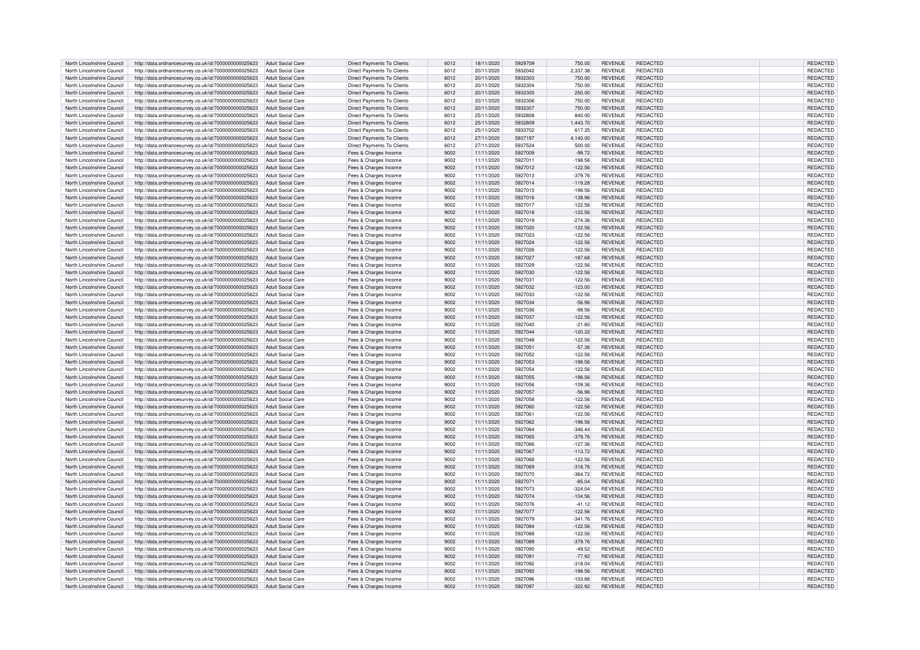| North Lincolnshire Council | http://data.ordnancesurvey.co.uk/id/7000000000025623 | <b>Adult Social Care</b> | Direct Payments To Clients        | 6012 | 18/11/2020 | 5929709 | 750.00    | <b>REVENUE</b> | REDACTED        | <b>REDACTED</b> |
|----------------------------|------------------------------------------------------|--------------------------|-----------------------------------|------|------------|---------|-----------|----------------|-----------------|-----------------|
| North Lincolnshire Council | http://data.ordnancesurvey.co.uk/id/7000000000025623 | <b>Adult Social Care</b> | Direct Payments To Clients        | 6012 | 20/11/2020 | 5932042 | 2,337.38  | REVENUE        | <b>REDACTED</b> | REDACTED        |
|                            |                                                      |                          |                                   |      |            |         |           |                |                 |                 |
| North Lincolnshire Council | http://data.ordnancesurvey.co.uk/id/7000000000025623 | <b>Adult Social Care</b> | <b>Direct Payments To Clients</b> | 6012 | 20/11/2020 | 5932303 | 750.00    | <b>REVENUE</b> | REDACTED        | REDACTED        |
| North Lincolnshire Council | http://data.ordnancesurvey.co.uk/id/7000000000025623 | <b>Adult Social Care</b> | Direct Payments To Clients        | 6012 | 20/11/2020 | 5932304 | 750.00    | <b>REVENUE</b> | REDACTED        | <b>REDACTED</b> |
| North Lincolnshire Council | http://data.ordnancesurvey.co.uk/id/7000000000025623 | <b>Adult Social Care</b> | Direct Payments To Clients        | 6012 | 20/11/2020 | 5932305 | 250.00    | <b>REVENUE</b> | REDACTED        | REDACTED        |
| North Lincolnshire Council | http://data.ordnancesurvey.co.uk/id/7000000000025623 | <b>Adult Social Care</b> | Direct Payments To Clients        | 6012 | 20/11/2020 | 5932306 | 750.00    | <b>REVENUE</b> | REDACTED        | REDACTED        |
| North Lincolnshire Council | http://data.ordnancesurvey.co.uk/id/7000000000025623 | <b>Adult Social Care</b> | Direct Payments To Clients        | 6012 | 20/11/2020 | 5932307 | 750.00    | <b>REVENUE</b> | <b>REDACTED</b> | <b>REDACTED</b> |
| North Lincolnshire Council | http://data.ordnancesurvey.co.uk/id/7000000000025623 | <b>Adult Social Care</b> | Direct Payments To Clients        | 6012 | 25/11/2020 | 5932808 | 840.00    | <b>REVENUE</b> | <b>REDACTED</b> | REDACTED        |
|                            |                                                      |                          |                                   |      |            |         |           |                |                 |                 |
| North Lincolnshire Council | http://data.ordnancesurvey.co.uk/id/7000000000025623 | <b>Adult Social Care</b> | <b>Direct Payments To Clients</b> | 6012 | 25/11/2020 | 5932809 | 1.443.70  | <b>REVENUE</b> | REDACTED        | <b>REDACTED</b> |
| North Lincolnshire Council | http://data.ordnancesurvey.co.uk/id/7000000000025623 | <b>Adult Social Care</b> | Direct Payments To Clients        | 6012 | 25/11/2020 | 5933702 | 617.25    | <b>REVENUE</b> | <b>REDACTED</b> | REDACTED        |
| North Lincolnshire Council | http://data.ordnancesurvey.co.uk/id/7000000000025623 | <b>Adult Social Care</b> | <b>Direct Payments To Clients</b> | 6012 | 27/11/2020 | 5937197 | 4,140.00  | REVENUE        | REDACTED        | REDACTED        |
| North Lincolnshire Council | http://data.ordnancesurvey.co.uk/id/7000000000025623 | <b>Adult Social Care</b> | Direct Payments To Clients        | 6012 | 27/11/2020 | 5937524 | 500.00    | REVENUE        | REDACTED        | REDACTED        |
| North Lincolnshire Council | http://data.ordnancesurvey.co.uk/id/7000000000025623 | <b>Adult Social Care</b> | Fees & Charges Income             | 9002 | 11/11/2020 | 5927009 | $-99.72$  | REVENUE        | <b>REDACTED</b> | REDACTED        |
|                            |                                                      |                          |                                   |      |            |         |           |                |                 |                 |
| North Lincolnshire Council | http://data.ordnancesurvey.co.uk/id/7000000000025623 | <b>Adult Social Care</b> | Fees & Charges Income             | 9002 | 11/11/2020 | 5927011 | $-198.56$ | REVENUE        | REDACTED        | REDACTED        |
| North Lincolnshire Council | http://data.ordnancesurvey.co.uk/id/7000000000025623 | <b>Adult Social Care</b> | Fees & Charges Income             | 9002 | 11/11/2020 | 5927012 | $-122.56$ | <b>REVENUE</b> | REDACTED        | REDACTED        |
| North Lincolnshire Council | http://data.ordnancesurvey.co.uk/id/7000000000025623 | <b>Adult Social Care</b> | Fees & Charges Income             | 9002 | 11/11/2020 | 5927013 | $-379.76$ | REVENUE        | REDACTED        | REDACTED        |
| North Lincolnshire Council | http://data.ordnancesurvey.co.uk/id/7000000000025623 | <b>Adult Social Care</b> | Fees & Charges Income             | 9002 | 11/11/2020 | 5927014 | $-119.28$ | <b>REVENUE</b> | REDACTED        | <b>REDACTED</b> |
| North Lincolnshire Council | http://data.ordnancesurvey.co.uk/id/7000000000025623 | <b>Adult Social Care</b> | Fees & Charges Income             | 9002 | 11/11/2020 | 5927015 | $-198.56$ | REVENUE        | <b>REDACTED</b> | REDACTED        |
|                            |                                                      |                          |                                   |      |            |         |           |                |                 |                 |
| North Lincolnshire Council | http://data.ordnancesurvey.co.uk/id/7000000000025623 | <b>Adult Social Care</b> | Fees & Charges Income             | 9002 | 11/11/2020 | 5927016 | $-138.96$ | <b>REVENUE</b> | REDACTED        | REDACTED        |
| North Lincolnshire Council | http://data.ordnancesurvey.co.uk/id/7000000000025623 | <b>Adult Social Care</b> | Fees & Charges Income             | 9002 | 11/11/2020 | 5927017 | $-122.56$ | <b>REVENUE</b> | <b>REDACTED</b> | REDACTED        |
| North Lincolnshire Council | http://data.ordnancesurvey.co.uk/id/7000000000025623 | Adult Social Care        | Fees & Charges Income             | 9002 | 11/11/2020 | 5927018 | $-122.56$ | REVENUE        | <b>REDACTED</b> | REDACTED        |
| North Lincolnshire Council | http://data.ordnancesurvey.co.uk/id/7000000000025623 | <b>Adult Social Care</b> | Fees & Charges Income             | 9002 | 11/11/2020 | 5927019 | $-274.36$ | REVENUE        | REDACTED        | REDACTED        |
| North Lincolnshire Council | http://data.ordnancesurvey.co.uk/id/7000000000025623 | <b>Adult Social Care</b> | Fees & Charges Income             | 9002 | 11/11/2020 | 5927020 | $-122.56$ | REVENUE        | <b>REDACTED</b> | REDACTED        |
|                            |                                                      |                          |                                   |      |            |         |           |                |                 |                 |
| North Lincolnshire Council | http://data.ordnancesurvey.co.uk/id/7000000000025623 | <b>Adult Social Care</b> | Fees & Charges Income             | 9002 | 11/11/2020 | 5927023 | $-122.56$ | <b>REVENUE</b> | REDACTED        | REDACTED        |
| North Lincolnshire Council | http://data.ordnancesurvey.co.uk/id/7000000000025623 | <b>Adult Social Care</b> | Fees & Charges Income             | 9002 | 11/11/2020 | 5927024 | $-122.56$ | <b>REVENUE</b> | <b>REDACTED</b> | REDACTED        |
| North Lincolnshire Council | http://data.ordnancesurvey.co.uk/id/7000000000025623 | <b>Adult Social Care</b> | Fees & Charges Income             | 9002 | 11/11/2020 | 5927026 | $-122.56$ | <b>REVENUE</b> | <b>REDACTED</b> | REDACTED        |
| North Lincolnshire Council | http://data.ordnancesurvey.co.uk/id/7000000000025623 | <b>Adult Social Care</b> | Fees & Charges Income             | 9002 | 11/11/2020 | 5927027 | $-187.68$ | REVENUE        | <b>REDACTED</b> | REDACTED        |
| North Lincolnshire Council | http://data.ordnancesurvey.co.uk/id/7000000000025623 | <b>Adult Social Care</b> | Fees & Charges Income             | 9002 | 11/11/2020 | 5927029 | $-122.56$ | <b>REVENUE</b> | <b>REDACTED</b> | <b>REDACTED</b> |
| North Lincolnshire Council |                                                      | <b>Adult Social Care</b> |                                   | 9002 | 11/11/2020 | 5927030 | $-122.56$ | <b>REVENUE</b> | <b>REDACTED</b> | <b>REDACTED</b> |
|                            | http://data.ordnancesurvey.co.uk/id/7000000000025623 |                          | Fees & Charges Income             |      |            |         |           |                |                 |                 |
| North Lincolnshire Council | http://data.ordnancesurvey.co.uk/id/7000000000025623 | <b>Adult Social Care</b> | Fees & Charges Income             | 9002 | 11/11/2020 | 5927031 | $-122.56$ | <b>REVENUE</b> | <b>REDACTED</b> | REDACTED        |
| North Lincolnshire Council | http://data.ordnancesurvey.co.uk/id/7000000000025623 | <b>Adult Social Care</b> | Fees & Charges Income             | 9002 | 11/11/2020 | 5927032 | $-123.00$ | <b>REVENUE</b> | <b>REDACTED</b> | REDACTED        |
| North Lincolnshire Council | http://data.ordnancesurvey.co.uk/id/7000000000025623 | <b>Adult Social Care</b> | Fees & Charges Income             | 9002 | 11/11/2020 | 5927033 | $-122.56$ | REVENUE        | <b>REDACTED</b> | REDACTED        |
| North Lincolnshire Council | http://data.ordnancesurvey.co.uk/id/7000000000025623 | <b>Adult Social Care</b> | Fees & Charges Income             | 9002 | 11/11/2020 | 5927034 | $-56.96$  | <b>REVENUE</b> | REDACTED        | REDACTED        |
| North Lincolnshire Council |                                                      |                          |                                   | 9002 |            | 5927036 |           | REVENUE        | REDACTED        | REDACTED        |
|                            | http://data.ordnancesurvey.co.uk/id/7000000000025623 | <b>Adult Social Care</b> | Fees & Charges Income             |      | 11/11/2020 |         | $-98.56$  |                |                 |                 |
| North Lincolnshire Council | http://data.ordnancesurvey.co.uk/id/7000000000025623 | <b>Adult Social Care</b> | Fees & Charges Income             | 9002 | 11/11/2020 | 5927037 | $-122.56$ | <b>REVENUE</b> | REDACTED        | <b>REDACTED</b> |
| North Lincolnshire Council | http://data.ordnancesurvey.co.uk/id/7000000000025623 | <b>Adult Social Care</b> | Fees & Charges Income             | 9002 | 11/11/2020 | 5927040 | $-21.80$  | REVENUE        | REDACTED        | REDACTED        |
| North Lincolnshire Council | http://data.ordnancesurvey.co.uk/id/7000000000025623 | <b>Adult Social Care</b> | Fees & Charges Income             | 9002 | 11/11/2020 | 5927044 | $-120.32$ | REVENUE        | <b>REDACTED</b> | <b>REDACTED</b> |
| North Lincolnshire Council | http://data.ordnancesurvey.co.uk/id/7000000000025623 | <b>Adult Social Care</b> | Fees & Charges Income             | 9002 | 11/11/2020 | 5927048 | $-122.56$ | <b>REVENUE</b> | <b>REDACTED</b> | REDACTED        |
| North Lincolnshire Council | http://data.ordnancesurvey.co.uk/id/7000000000025623 | <b>Adult Social Care</b> |                                   | 9002 | 11/11/2020 | 5927051 | $-57.36$  | <b>REVENUE</b> | REDACTED        | REDACTED        |
|                            |                                                      |                          | Fees & Charges Income             |      |            |         |           |                |                 |                 |
| North Lincolnshire Council | http://data.ordnancesurvey.co.uk/id/7000000000025623 | <b>Adult Social Care</b> | Fees & Charges Income             | 9002 | 11/11/2020 | 5927052 | $-122.56$ | REVENUE        | <b>REDACTED</b> | REDACTED        |
| North Lincolnshire Council | http://data.ordnancesurvey.co.uk/id/7000000000025623 | <b>Adult Social Care</b> | Fees & Charges Income             | 9002 | 11/11/2020 | 5927053 | $-198.56$ | REVENUE        | REDACTED        | REDACTED        |
| North Lincolnshire Council | http://data.ordnancesurvey.co.uk/id/7000000000025623 | <b>Adult Social Care</b> | Fees & Charges Income             | 9002 | 11/11/2020 | 5927054 | $-122.56$ | <b>REVENUE</b> | <b>REDACTED</b> | REDACTED        |
| North Lincolnshire Council | http://data.ordnancesurvey.co.uk/id/7000000000025623 | <b>Adult Social Care</b> | Fees & Charges Income             | 9002 | 11/11/2020 | 5927055 | $-198.56$ | REVENUE        | REDACTED        | REDACTED        |
| North Lincolnshire Council |                                                      | <b>Adult Social Care</b> |                                   | 9002 |            | 5927056 |           | <b>REVENUE</b> | REDACTED        | REDACTED        |
|                            | http://data.ordnancesurvey.co.uk/id/7000000000025623 |                          | Fees & Charges Income             |      | 11/11/2020 |         | $-109.36$ |                |                 |                 |
| North Lincolnshire Council | http://data.ordnancesurvey.co.uk/id/7000000000025623 | <b>Adult Social Care</b> | Fees & Charges Income             | 9002 | 11/11/2020 | 5927057 | $-56.96$  | <b>REVENUE</b> | <b>REDACTED</b> | REDACTED        |
| North Lincolnshire Council | http://data.ordnancesurvey.co.uk/id/7000000000025623 | <b>Adult Social Care</b> | Fees & Charges Income             | 9002 | 11/11/2020 | 5927058 | $-122.56$ | <b>REVENUE</b> | REDACTED        | REDACTED        |
| North Lincolnshire Council | http://data.ordnancesurvey.co.uk/id/7000000000025623 | <b>Adult Social Care</b> | Fees & Charges Income             | 9002 | 11/11/2020 | 5927060 | $-122.56$ | <b>REVENUE</b> | <b>REDACTED</b> | REDACTED        |
| North Lincolnshire Council | http://data.ordnancesurvey.co.uk/id/7000000000025623 | <b>Adult Social Care</b> | Fees & Charges Income             | 9002 | 11/11/2020 | 5927061 | $-122.56$ | <b>REVENUE</b> | REDACTED        | REDACTED        |
| North Lincolnshire Council |                                                      | <b>Adult Social Care</b> |                                   | 9002 | 11/11/2020 | 5927062 | $-198.56$ | <b>REVENUE</b> | <b>REDACTED</b> | <b>REDACTED</b> |
|                            | http://data.ordnancesurvey.co.uk/id/7000000000025623 |                          | Fees & Charges Income             |      |            |         |           |                |                 |                 |
| North Lincolnshire Council | http://data.ordnancesurvey.co.uk/id/7000000000025623 | <b>Adult Social Care</b> | Fees & Charges Income             | 9002 | 11/11/2020 | 5927064 | $-346.44$ | <b>REVENUE</b> | <b>REDACTED</b> | REDACTED        |
| North Lincolnshire Council | http://data.ordnancesurvey.co.uk/id/7000000000025623 | <b>Adult Social Care</b> | Fees & Charges Income             | 9002 | 11/11/2020 | 5927065 | $-379.76$ | <b>REVENUE</b> | <b>REDACTED</b> | REDACTED        |
| North Lincolnshire Council | http://data.ordnancesurvey.co.uk/id/7000000000025623 | <b>Adult Social Care</b> | Fees & Charges Income             | 9002 | 11/11/2020 | 5927066 | $-127.36$ | REVENUE        | <b>REDACTED</b> | REDACTED        |
| North Lincolnshire Council | http://data.ordnancesurvey.co.uk/id/7000000000025623 | Adult Social Care        | Fees & Charges Income             | 9002 | 11/11/2020 | 5927067 | $-113.72$ | <b>REVENUE</b> | REDACTED        | REDACTED        |
| North Lincolnshire Council | http://data.ordnancesurvey.co.uk/id/7000000000025623 | Adult Social Care        | Fees & Charges Income             | 9002 | 11/11/2020 | 5927068 | $-122.56$ | REVENUE        | <b>REDACTED</b> | REDACTED        |
|                            |                                                      |                          |                                   | 9002 |            |         |           |                | <b>REDACTED</b> |                 |
| North Lincolnshire Council | http://data.ordnancesurvey.co.uk/id/7000000000025623 | <b>Adult Social Care</b> | Fees & Charges Income             |      | 11/11/2020 | 5927069 | $-318.76$ | <b>REVENUE</b> |                 | REDACTED        |
| North Lincolnshire Council | http://data.ordnancesurvey.co.uk/id/7000000000025623 | <b>Adult Social Care</b> | Fees & Charges Income             | 9002 | 11/11/2020 | 5927070 | $-364.72$ | <b>REVENUE</b> | <b>REDACTED</b> | <b>REDACTED</b> |
| North Lincolnshire Council | http://data.ordnancesurvey.co.uk/id/7000000000025623 | <b>Adult Social Care</b> | Fees & Charges Income             | 9002 | 11/11/2020 | 5927071 | $-85.04$  | <b>REVENUE</b> | <b>REDACTED</b> | REDACTED        |
| North Lincolnshire Council | http://data.ordnancesurvey.co.uk/id/7000000000025623 | <b>Adult Social Care</b> | Fees & Charges Income             | 9002 | 11/11/2020 | 5927073 | $-324.04$ | <b>REVENUE</b> | <b>REDACTED</b> | <b>REDACTED</b> |
| North Lincolnshire Council | http://data.ordnancesurvey.co.uk/id/7000000000025623 | <b>Adult Social Care</b> | Fees & Charges Income             | 9002 | 11/11/2020 | 5927074 | $-104.56$ | REVENUE        | <b>REDACTED</b> | REDACTED        |
| North Lincolnshire Council |                                                      |                          |                                   | 9002 |            | 5927076 |           |                | <b>REDACTED</b> |                 |
|                            | http://data.ordnancesurvey.co.uk/id/7000000000025623 | <b>Adult Social Care</b> | Fees & Charges Income             |      | 11/11/2020 |         | $-41.12$  | REVENUE        |                 | REDACTED        |
| North Lincolnshire Council | http://data.ordnancesurvey.co.uk/id/7000000000025623 | <b>Adult Social Care</b> | Fees & Charges Income             | 9002 | 11/11/2020 | 5927077 | $-122.56$ | REVENUE        | REDACTED        | REDACTED        |
| North Lincolnshire Council | http://data.ordnancesurvey.co.uk/id/7000000000025623 | <b>Adult Social Care</b> | Fees & Charges Income             | 9002 | 11/11/2020 | 5927079 | $-341.76$ | REVENUE        | <b>REDACTED</b> | REDACTED        |
| North Lincolnshire Council | http://data.ordnancesurvey.co.uk/id/7000000000025623 | <b>Adult Social Care</b> | Fees & Charges Income             | 9002 | 11/11/2020 | 5927084 | $-122.56$ | <b>REVENUE</b> | REDACTED        | <b>REDACTED</b> |
| North Lincolnshire Council | http://data.ordnancesurvey.co.uk/id/7000000000025623 | <b>Adult Social Care</b> | Fees & Charges Income             | 9002 | 11/11/2020 | 5927088 | $-122.56$ | <b>REVENUE</b> | REDACTED        | REDACTED        |
|                            |                                                      |                          |                                   | 9002 |            | 5927089 |           |                | REDACTED        |                 |
| North Lincolnshire Council | http://data.ordnancesurvey.co.uk/id/7000000000025623 | <b>Adult Social Care</b> | Fees & Charges Income             |      | 11/11/2020 |         | $-379.76$ | <b>REVENUE</b> |                 | <b>REDACTED</b> |
| North Lincolnshire Council | http://data.ordnancesurvey.co.uk/id/7000000000025623 | <b>Adult Social Care</b> | Fees & Charges Income             | 9002 | 11/11/2020 | 5927090 | $-49.52$  | <b>REVENUE</b> | REDACTED        | REDACTED        |
| North Lincolnshire Council | http://data.ordnancesurvey.co.uk/id/7000000000025623 | <b>Adult Social Care</b> | Fees & Charges Income             | 9002 | 11/11/2020 | 592709  | $-77.92$  | REVENUE        | <b>REDACTED</b> | REDACTED        |
| North Lincolnshire Council | http://data.ordnancesurvey.co.uk/id/7000000000025623 | <b>Adult Social Care</b> | Fees & Charges Income             | 9002 | 11/11/2020 | 5927092 | $-318.04$ | <b>REVENUE</b> | REDACTED        | REDACTED        |
| North Lincolnshire Council | http://data.ordnancesurvey.co.uk/id/7000000000025623 | <b>Adult Social Care</b> | Fees & Charges Income             | 9002 | 11/11/2020 | 5927093 | $-198.56$ | <b>REVENUE</b> | REDACTED        | REDACTED        |
| North Lincolnshire Council |                                                      | Adult Social Care        |                                   | 9002 | 11/11/2020 | 5927096 | $-103.88$ | <b>REVENUE</b> | <b>REDACTED</b> |                 |
|                            | http://data.ordnancesurvey.co.uk/id/7000000000025623 |                          | Fees & Charges Income             |      |            |         |           |                |                 | REDACTED        |
| North Lincolnshire Council | http://data.ordnancesurvey.co.uk/id/7000000000025623 | Adult Social Care        | Fees & Charges Income             | 9002 | 11/11/2020 | 5927097 | $-322.92$ | <b>REVENUE</b> | REDACTED        | REDACTED        |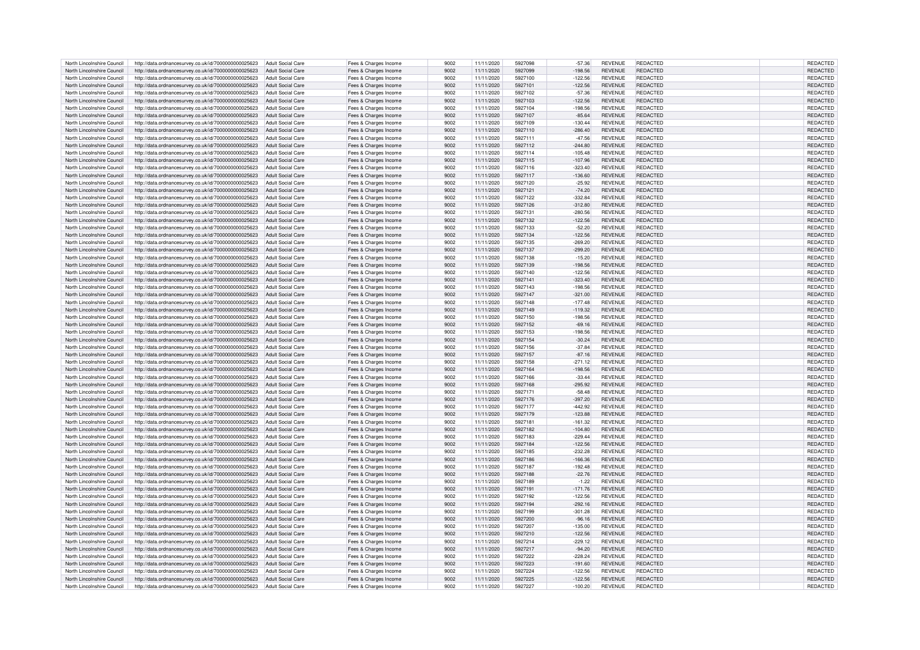| North Lincolnshire Council                               | http://data.ordnancesurvey.co.uk/id/7000000000025623                                                                           | Adult Social Care        | Fees & Charges Income                          | 9002         | 11/11/2020               | 5927098            | $-57.36$               | <b>REVENUE</b>                   | <b>REDACTED</b>      | REDACTED                    |
|----------------------------------------------------------|--------------------------------------------------------------------------------------------------------------------------------|--------------------------|------------------------------------------------|--------------|--------------------------|--------------------|------------------------|----------------------------------|----------------------|-----------------------------|
| North Lincolnshire Council                               | http://data.ordnancesurvey.co.uk/id/7000000000025623                                                                           | Adult Social Care        | Fees & Charges Income                          | 9002         | 11/11/2020               | 5927099            | $-198.56$              | <b>REVENUE</b>                   | REDACTED             | REDACTED                    |
| North Lincolnshire Council                               | http://data.ordnancesurvey.co.uk/id/7000000000025623                                                                           | Adult Social Care        | Fees & Charges Income                          | 9002         | 11/11/2020               | 5927100            | $-122.56$              | <b>REVENUE</b>                   | <b>REDACTED</b>      | REDACTED                    |
| North Lincolnshire Council                               | http://data.ordnancesurvey.co.uk/id/7000000000025623                                                                           | Adult Social Care        |                                                | 9002         | 11/11/2020               | 5927101            | $-122.56$              | <b>REVENUE</b>                   | REDACTED             | <b>REDACTED</b>             |
|                                                          |                                                                                                                                |                          | Fees & Charges Income                          |              |                          |                    |                        |                                  |                      |                             |
| North Lincolnshire Council                               | http://data.ordnancesurvey.co.uk/id/7000000000025623                                                                           | <b>Adult Social Care</b> | Fees & Charges Income                          | 9002         | 11/11/2020               | 5927102            | $-57.36$               | <b>REVENUE</b>                   | <b>REDACTED</b>      | REDACTED                    |
| North Lincolnshire Council                               | http://data.ordnancesurvey.co.uk/id/7000000000025623                                                                           | <b>Adult Social Care</b> | Fees & Charges Income                          | 9002         | 11/11/2020               | 5927103            | $-122.56$              | <b>REVENUE</b>                   | <b>REDACTED</b>      | REDACTED                    |
| North Lincolnshire Council                               | http://data.ordnancesurvey.co.uk/id/7000000000025623                                                                           | <b>Adult Social Care</b> | Fees & Charges Income                          | 9002         | 11/11/2020               | 5927104            | $-198.56$              | <b>REVENUE</b>                   | REDACTED             | REDACTED                    |
| North Lincolnshire Council                               | http://data.ordnancesurvey.co.uk/id/7000000000025623                                                                           | <b>Adult Social Care</b> | Fees & Charges Income                          | 9002         | 11/11/2020               | 5927107            | $-85.64$               | <b>REVENUE</b>                   | <b>REDACTED</b>      | REDACTED                    |
| North Lincolnshire Council                               | http://data.ordnancesurvey.co.uk/id/7000000000025623                                                                           | Adult Social Care        | Fees & Charges Income                          | 9002         | 11/11/2020               | 5927109            | $-130.44$              | <b>REVENUE</b>                   | REDACTED             | REDACTED                    |
| North Lincolnshire Council                               | http://data.ordnancesurvey.co.uk/id/7000000000025623                                                                           | <b>Adult Social Care</b> | Fees & Charges Income                          | 9002         | 11/11/2020               | 5927110            | $-286.40$              | <b>REVENUE</b>                   | REDACTED             | REDACTED                    |
| North Lincolnshire Council                               | http://data.ordnancesurvey.co.uk/id/7000000000025623                                                                           | Adult Social Care        | Fees & Charges Income                          | 9002         | 11/11/2020               | 5927111            | $-47.56$               | <b>REVENUE</b>                   | <b>REDACTED</b>      | REDACTED                    |
|                                                          |                                                                                                                                |                          |                                                |              |                          |                    |                        |                                  |                      |                             |
| North Lincolnshire Council                               | http://data.ordnancesurvey.co.uk/id/7000000000025623                                                                           | <b>Adult Social Care</b> | Fees & Charges Income                          | 9002         | 11/11/2020               | 5927112            | $-244.80$              | <b>REVENUE</b>                   | REDACTED             | REDACTED                    |
| North Lincolnshire Council                               | http://data.ordnancesurvey.co.uk/id/7000000000025623                                                                           | <b>Adult Social Care</b> | Fees & Charges Income                          | 9002         | 11/11/2020               | 5927114            | $-105.48$              | <b>REVENUE</b>                   | REDACTED             | REDACTED                    |
| North Lincolnshire Council                               | http://data.ordnancesurvey.co.uk/id/7000000000025623                                                                           | Adult Social Care        | Fees & Charges Income                          | 9002         | 11/11/2020               | 5927115            | $-107.96$              | <b>REVENUE</b>                   | <b>REDACTED</b>      | REDACTED                    |
| North Lincolnshire Council                               | http://data.ordnancesurvey.co.uk/id/7000000000025623                                                                           | <b>Adult Social Care</b> | Fees & Charges Income                          | 9002         | 11/11/2020               | 5927116            | $-323.40$              | <b>REVENUE</b>                   | <b>REDACTED</b>      | REDACTED                    |
| North Lincolnshire Council                               | http://data.ordnancesurvey.co.uk/id/7000000000025623                                                                           | <b>Adult Social Care</b> | Fees & Charges Income                          | 9002         | 11/11/2020               | 5927117            | $-136.60$              | <b>REVENUE</b>                   | <b>REDACTED</b>      | REDACTED                    |
| North Lincolnshire Council                               | http://data.ordnancesurvey.co.uk/id/7000000000025623                                                                           | <b>Adult Social Care</b> | Fees & Charges Income                          | 9002         | 11/11/2020               | 5927120            | $-25.92$               | <b>REVENUE</b>                   | REDACTED             | REDACTED                    |
| North Lincolnshire Council                               | http://data.ordnancesurvey.co.uk/id/7000000000025623                                                                           | <b>Adult Social Care</b> | Fees & Charges Income                          | 9002         | 11/11/2020               | 5927121            | $-74.20$               | <b>REVENUE</b>                   | <b>REDACTED</b>      | REDACTED                    |
| North Lincolnshire Council                               | http://data.ordnancesurvey.co.uk/id/7000000000025623                                                                           | <b>Adult Social Care</b> | Fees & Charges Income                          | 9002         | 11/11/2020               | 5927122            | $-332.84$              | <b>REVENUE</b>                   | <b>REDACTED</b>      | REDACTED                    |
| North Lincolnshire Council                               | http://data.ordnancesurvey.co.uk/id/7000000000025623                                                                           | <b>Adult Social Care</b> | Fees & Charges Income                          | 9002         | 11/11/2020               | 5927126            | $-312.80$              | <b>REVENUE</b>                   | REDACTED             | REDACTED                    |
|                                                          |                                                                                                                                |                          |                                                |              |                          |                    |                        |                                  | REDACTED             |                             |
| North Lincolnshire Council                               | http://data.ordnancesurvey.co.uk/id/7000000000025623                                                                           | Adult Social Care        | Fees & Charges Income                          | 9002         | 11/11/2020               | 5927131            | $-280.56$              | <b>REVENUE</b>                   |                      | REDACTED                    |
| North Lincolnshire Council                               | http://data.ordnancesurvey.co.uk/id/7000000000025623                                                                           | Adult Social Care        | Fees & Charges Income                          | 9002         | 11/11/2020               | 5927132            | $-122.56$              | <b>REVENUE</b>                   | REDACTED             | REDACTED                    |
| North Lincolnshire Council                               | http://data.ordnancesurvey.co.uk/id/7000000000025623                                                                           | Adult Social Care        | Fees & Charges Income                          | 9002         | 11/11/2020               | 5927133            | $-52.20$               | <b>REVENUE</b>                   | REDACTED             | REDACTED                    |
| North Lincolnshire Council                               | http://data.ordnancesurvey.co.uk/id/7000000000025623                                                                           | <b>Adult Social Care</b> | Fees & Charges Income                          | 9002         | 11/11/2020               | 5927134            | $-122.56$              | <b>REVENUE</b>                   | REDACTED             | REDACTED                    |
| North Lincolnshire Council                               | http://data.ordnancesurvey.co.uk/id/7000000000025623                                                                           | <b>Adult Social Care</b> | Fees & Charges Income                          | 9002         | 11/11/2020               | 5927135            | $-269.20$              | <b>REVENUE</b>                   | REDACTED             | REDACTED                    |
| North Lincolnshire Council                               | http://data.ordnancesurvey.co.uk/id/7000000000025623                                                                           | Adult Social Care        | Fees & Charges Income                          | 9002         | 11/11/2020               | 5927137            | $-299.20$              | <b>REVENUE</b>                   | REDACTED             | REDACTED                    |
| North Lincolnshire Council                               | http://data.ordnancesurvey.co.uk/id/7000000000025623                                                                           | <b>Adult Social Care</b> | Fees & Charges Income                          | 9002         | 11/11/2020               | 5927138            | $-15.20$               | <b>REVENUE</b>                   | REDACTED             | REDACTED                    |
| North Lincolnshire Council                               | http://data.ordnancesurvey.co.uk/id/7000000000025623                                                                           | <b>Adult Social Care</b> | Fees & Charges Income                          | 9002         | 11/11/2020               | 5927139            | $-198.56$              | <b>REVENUE</b>                   | <b>REDACTED</b>      | REDACTED                    |
| North Lincolnshire Council                               |                                                                                                                                | Adult Social Care        |                                                | 9002         | 11/11/2020               | 5927140            | $-122.56$              | <b>REVENUE</b>                   | REDACTED             | REDACTED                    |
|                                                          | http://data.ordnancesurvey.co.uk/id/7000000000025623                                                                           |                          | Fees & Charges Income                          |              |                          |                    |                        |                                  |                      |                             |
| North Lincolnshire Council                               | http://data.ordnancesurvey.co.uk/id/7000000000025623                                                                           | <b>Adult Social Care</b> | Fees & Charges Income                          | 9002         | 11/11/2020               | 5927141            | $-323.40$              | <b>REVENUE</b>                   | REDACTED             | REDACTED                    |
| North Lincolnshire Council                               | http://data.ordnancesurvey.co.uk/id/7000000000025623                                                                           | Adult Social Care        | Fees & Charges Income                          | 9002         | 11/11/2020               | 5927143            | $-198.56$              | <b>REVENUE</b>                   | REDACTED             | REDACTED                    |
| North Lincolnshire Council                               | http://data.ordnancesurvey.co.uk/id/7000000000025623                                                                           | <b>Adult Social Care</b> | Fees & Charges Income                          | 9002         | 11/11/2020               | 5927147            | $-321.00$              | <b>REVENUE</b>                   | REDACTED             | REDACTED                    |
| North Lincolnshire Council                               | http://data.ordnancesurvey.co.uk/id/7000000000025623                                                                           | <b>Adult Social Care</b> | Fees & Charges Income                          | 9002         | 11/11/2020               | 5927148            | $-177.48$              | <b>REVENUE</b>                   | REDACTED             | REDACTED                    |
| North Lincolnshire Council                               | http://data.ordnancesurvey.co.uk/id/7000000000025623                                                                           | <b>Adult Social Care</b> | Fees & Charges Income                          | 9002         | 11/11/2020               | 5927149            | $-119.32$              | <b>REVENUE</b>                   | REDACTED             | REDACTED                    |
| North Lincolnshire Council                               | http://data.ordnancesurvey.co.uk/id/7000000000025623                                                                           | <b>Adult Social Care</b> | Fees & Charges Income                          | 9002         | 11/11/2020               | 5927150            | $-198.56$              | <b>REVENUE</b>                   | REDACTED             | REDACTED                    |
| North Lincolnshire Council                               | http://data.ordnancesurvey.co.uk/id/7000000000025623                                                                           | <b>Adult Social Care</b> | Fees & Charges Income                          | 9002         | 11/11/2020               | 5927152            | $-69.16$               | <b>REVENUE</b>                   | REDACTED             | REDACTED                    |
| North Lincolnshire Council                               | http://data.ordnancesurvey.co.uk/id/7000000000025623                                                                           | <b>Adult Social Care</b> | Fees & Charges Income                          | 9002         | 11/11/2020               | 5927153            | $-198.56$              | <b>REVENUE</b>                   | <b>REDACTED</b>      | REDACTED                    |
| North Lincolnshire Council                               | http://data.ordnancesurvey.co.uk/id/7000000000025623                                                                           | <b>Adult Social Care</b> | Fees & Charges Income                          | 9002         | 11/11/2020               | 5927154            | $-30.24$               | <b>REVENUE</b>                   | <b>REDACTED</b>      | REDACTED                    |
| North Lincolnshire Council                               |                                                                                                                                | Adult Social Care        |                                                | 9002         | 11/11/2020               | 5927156            | $-37.84$               | <b>REVENUE</b>                   | REDACTED             | REDACTED                    |
|                                                          | http://data.ordnancesurvey.co.uk/id/7000000000025623                                                                           |                          | Fees & Charges Income                          |              |                          |                    |                        |                                  |                      |                             |
| North Lincolnshire Council                               | http://data.ordnancesurvey.co.uk/id/7000000000025623                                                                           | <b>Adult Social Care</b> | Fees & Charges Income                          | 9002         | 11/11/2020               | 5927157            | $-87.16$               | <b>REVENUE</b>                   | REDACTED             | REDACTED                    |
| North Lincolnshire Council                               | http://data.ordnancesurvey.co.uk/id/7000000000025623                                                                           | <b>Adult Social Care</b> | Fees & Charges Income                          | 9002         | 11/11/2020               | 5927158            | $-271.12$              | <b>REVENUE</b>                   | <b>REDACTED</b>      | REDACTED                    |
| North Lincolnshire Council                               | http://data.ordnancesurvey.co.uk/id/7000000000025623                                                                           | Adult Social Care        | Fees & Charges Income                          | 9002         | 11/11/2020               | 5927164            | $-198.56$              | <b>REVENUE</b>                   | REDACTED             | REDACTED                    |
| North Lincolnshire Council                               | http://data.ordnancesurvey.co.uk/id/7000000000025623                                                                           | <b>Adult Social Care</b> | Fees & Charges Income                          | 9002         | 11/11/2020               | 5927166            | $-33.44$               | <b>REVENUE</b>                   | REDACTED             | REDACTED                    |
| North Lincolnshire Council                               | http://data.ordnancesurvey.co.uk/id/7000000000025623                                                                           | <b>Adult Social Care</b> | Fees & Charges Income                          | 9002         | 11/11/2020               | 5927168            | $-295.92$              | <b>REVENUE</b>                   | REDACTED             | REDACTED                    |
| North Lincolnshire Council                               | http://data.ordnancesurvey.co.uk/id/7000000000025623                                                                           | <b>Adult Social Care</b> | Fees & Charges Income                          | 9002         | 11/11/2020               | 5927171            | $-58.48$               | <b>REVENUE</b>                   | REDACTED             | REDACTED                    |
| North Lincolnshire Council                               | http://data.ordnancesurvey.co.uk/id/7000000000025623                                                                           | <b>Adult Social Care</b> | Fees & Charges Income                          | 9002         | 11/11/2020               | 5927176            | $-397.20$              | <b>REVENUE</b>                   | <b>REDACTED</b>      | REDACTED                    |
| North Lincolnshire Council                               | http://data.ordnancesurvey.co.uk/id/7000000000025623                                                                           | <b>Adult Social Care</b> | Fees & Charges Income                          | 9002         | 11/11/2020               | 5927177            | $-442.92$              | <b>REVENUE</b>                   | REDACTED             | REDACTED                    |
| North Lincolnshire Council                               |                                                                                                                                | <b>Adult Social Care</b> |                                                | 9002         | 11/11/2020               | 5927179            | $-123.88$              | <b>REVENUE</b>                   | <b>REDACTED</b>      | <b>REDACTED</b>             |
|                                                          | http://data.ordnancesurvey.co.uk/id/7000000000025623                                                                           |                          | Fees & Charges Income                          |              |                          |                    |                        |                                  |                      |                             |
| North Lincolnshire Council                               | http://data.ordnancesurvey.co.uk/id/7000000000025623                                                                           | Adult Social Care        | Fees & Charges Income                          | 9002         | 11/11/2020               | 5927181            | $-161.32$              | <b>REVENUE</b>                   | <b>REDACTED</b>      | REDACTED                    |
| North Lincolnshire Council                               | http://data.ordnancesurvey.co.uk/id/7000000000025623                                                                           | <b>Adult Social Care</b> | Fees & Charges Income                          | 9002         | 11/11/2020               | 5927182            | $-104.80$              | <b>REVENUE</b>                   | <b>REDACTED</b>      | REDACTED                    |
| North Lincolnshire Council                               | http://data.ordnancesurvey.co.uk/id/7000000000025623                                                                           | Adult Social Care        | Fees & Charges Income                          | 9002         | 11/11/2020               | 5927183            | $-229.44$              | <b>REVENUE</b>                   | <b>REDACTED</b>      | REDACTED                    |
| North Lincolnshire Council                               | http://data.ordnancesurvey.co.uk/id/7000000000025623                                                                           | Adult Social Care        | Fees & Charges Income                          | 9002         |                          | 5927184            |                        | <b>REVENUE</b>                   | <b>REDACTED</b>      | REDACTED                    |
| North Lincolnshire Council                               |                                                                                                                                |                          |                                                |              | 11/11/2020               |                    | $-122.56$              |                                  |                      |                             |
|                                                          | http://data.ordnancesurvey.co.uk/id/7000000000025623                                                                           | Adult Social Care        | Fees & Charges Income                          | 9002         | 11/11/2020               | 5927185            | $-232.28$              | <b>REVENUE</b>                   | REDACTED             | REDACTED                    |
| North Lincolnshire Council                               |                                                                                                                                |                          |                                                | 9002         | 11/11/2020               | 5927186            | $-166.36$              | <b>REVENUE</b>                   | <b>REDACTED</b>      | REDACTED                    |
| North Lincolnshire Council                               | http://data.ordnancesurvey.co.uk/id/7000000000025623                                                                           | <b>Adult Social Care</b> | Fees & Charges Income                          | 9002         |                          | 5927187            |                        | <b>REVENUE</b>                   | REDACTED             |                             |
|                                                          | http://data.ordnancesurvey.co.uk/id/7000000000025623                                                                           | <b>Adult Social Care</b> | Fees & Charges Income                          |              | 11/11/2020               |                    | $-192.48$              |                                  |                      | REDACTED                    |
| North Lincolnshire Council                               | http://data.ordnancesurvey.co.uk/id/7000000000025623                                                                           | <b>Adult Social Care</b> | Fees & Charges Income                          | 9002         | 11/11/2020               | 5927188            | $-22.76$               | <b>REVENUE</b>                   | <b>REDACTED</b>      | <b>REDACTED</b>             |
| North Lincolnshire Council                               | http://data.ordnancesurvey.co.uk/id/7000000000025623                                                                           | <b>Adult Social Care</b> | Fees & Charges Income                          | 9002         | 11/11/2020               | 5927189            | $-1.22$                | <b>REVENUE</b>                   | <b>REDACTED</b>      | REDACTED                    |
| North Lincolnshire Council                               | http://data.ordnancesurvey.co.uk/id/7000000000025623                                                                           | <b>Adult Social Care</b> | Fees & Charges Income                          | 9002         | 11/11/2020               | 5927191            | $-171.76$              | <b>REVENUE</b>                   | <b>REDACTED</b>      | REDACTED                    |
| North Lincolnshire Council                               | http://data.ordnancesurvey.co.uk/id/7000000000025623                                                                           | Adult Social Care        | Fees & Charges Income                          | 9002         | 11/11/2020               | 5927192            | $-122.56$              | <b>REVENUE</b>                   | REDACTED             | REDACTED                    |
| North Lincolnshire Council                               | http://data.ordnancesurvey.co.uk/id/7000000000025623                                                                           | <b>Adult Social Care</b> | Fees & Charges Income                          | 9002         | 11/11/2020               | 5927194            | $-292.16$              | <b>REVENUE</b>                   | <b>REDACTED</b>      | REDACTED                    |
| North Lincolnshire Council                               | http://data.ordnancesurvey.co.uk/id/7000000000025623                                                                           | <b>Adult Social Care</b> | Fees & Charges Income                          | 9002         | 11/11/2020               | 5927199            | $-301.28$              | <b>REVENUE</b>                   | REDACTED             | REDACTED                    |
| North Lincolnshire Council                               | http://data.ordnancesurvey.co.uk/id/7000000000025623                                                                           | Adult Social Care        | Fees & Charges Income                          | 9002         | 11/11/2020               | 5927200            | $-96.16$               | <b>REVENUE</b>                   | <b>REDACTED</b>      | REDACTED                    |
| North Lincolnshire Council                               | http://data.ordnancesurvev.co.uk/id/7000000000025623                                                                           | Adult Social Care        | Fees & Charges Income                          | 9002         | 11/11/2020               | 5927207            | $-135.00$              | <b>REVENUE</b>                   | REDACTED             | <b>REDACTED</b>             |
| North Lincolnshire Council                               |                                                                                                                                | Adult Social Care        |                                                | 9002         | 11/11/2020               | 5927210            | $-122.56$              | <b>REVENUE</b>                   | <b>REDACTED</b>      | REDACTED                    |
|                                                          | http://data.ordnancesurvey.co.uk/id/7000000000025623                                                                           |                          | Fees & Charges Income                          |              |                          |                    |                        |                                  |                      |                             |
| North Lincolnshire Council                               | http://data.ordnancesurvey.co.uk/id/7000000000025623                                                                           | <b>Adult Social Care</b> | Fees & Charges Income                          | 9002         | 11/11/2020               | 5927214            | $-229.12$              | <b>REVENUE</b>                   | REDACTED             | REDACTED                    |
| North Lincolnshire Council                               | http://data.ordnancesurvey.co.uk/id/7000000000025623                                                                           | <b>Adult Social Care</b> | Fees & Charges Income                          | 9002         | 11/11/2020               | 5927217            | $-94.20$               | <b>REVENUE</b>                   | <b>REDACTED</b>      | REDACTED                    |
| North Lincolnshire Council                               | http://data.ordnancesurvey.co.uk/id/7000000000025623                                                                           | <b>Adult Social Care</b> | Fees & Charges Income                          | 9002         | 11/11/2020               | 5927222            | $-228.24$              | <b>REVENUE</b>                   | <b>REDACTED</b>      | REDACTED                    |
| North Lincolnshire Council                               | http://data.ordnancesurvey.co.uk/id/7000000000025623                                                                           | <b>Adult Social Care</b> | Fees & Charges Income                          | 9002         | 11/11/2020               | 5927223            | $-191.60$              | <b>REVENUE</b>                   | REDACTED             | REDACTED                    |
| North Lincolnshire Council                               | http://data.ordnancesurvey.co.uk/id/7000000000025623                                                                           | Adult Social Care        | Fees & Charges Income                          | 9002         | 11/11/2020               | 5927224            | $-122.56$              | <b>REVENUE</b>                   | <b>REDACTED</b>      | REDACTED                    |
| North Lincolnshire Council<br>North Lincolnshire Council | http://data.ordnancesurvey.co.uk/id/7000000000025623<br>http://data.ordnancesurvey.co.uk/id/7000000000025623 Adult Social Care | Adult Social Care        | Fees & Charges Income<br>Fees & Charges Income | 9002<br>9002 | 11/11/2020<br>11/11/2020 | 5927225<br>5927227 | $-122.56$<br>$-100.20$ | <b>REVENUE</b><br><b>REVENUE</b> | REDACTED<br>REDACTED | <b>REDACTED</b><br>REDACTED |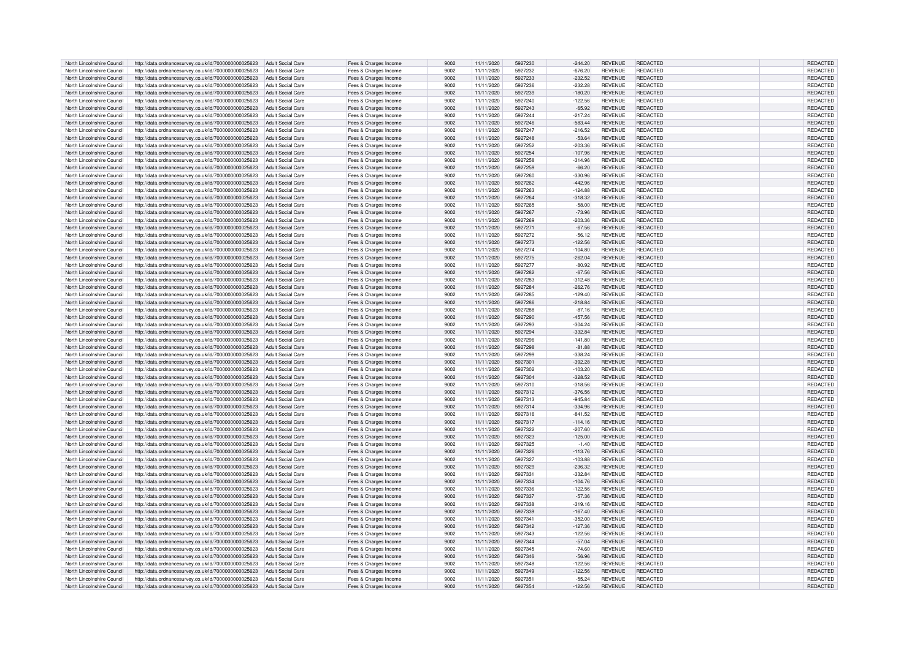| North Lincolnshire Council | http://data.ordnancesurvey.co.uk/id/7000000000025623 | Adult Social Care        | Fees & Charges Income | 9002 | 11/11/2020 | 5927230 | $-244.20$ | <b>REVENUE</b> | <b>REDACTED</b> | REDACTED        |
|----------------------------|------------------------------------------------------|--------------------------|-----------------------|------|------------|---------|-----------|----------------|-----------------|-----------------|
| North Lincolnshire Council | http://data.ordnancesurvey.co.uk/id/7000000000025623 | <b>Adult Social Care</b> | Fees & Charges Income | 9002 | 11/11/2020 | 5927232 | $-676.20$ | <b>REVENUE</b> | <b>REDACTED</b> | REDACTED        |
| North Lincolnshire Council | http://data.ordnancesurvey.co.uk/id/7000000000025623 | <b>Adult Social Care</b> | Fees & Charges Income | 9002 | 11/11/2020 | 5927233 | $-232.52$ | <b>REVENUE</b> | REDACTED        | REDACTED        |
|                            |                                                      |                          |                       |      |            |         |           |                |                 |                 |
| North Lincolnshire Council | http://data.ordnancesurvey.co.uk/id/7000000000025623 | <b>Adult Social Care</b> | Fees & Charges Income | 9002 | 11/11/2020 | 5927236 | $-232.28$ | <b>REVENUE</b> | REDACTED        | REDACTED        |
| North Lincolnshire Council | http://data.ordnancesurvey.co.uk/id/7000000000025623 | <b>Adult Social Care</b> | Fees & Charges Income | 9002 | 11/11/2020 | 5927239 | $-180.20$ | <b>REVENUE</b> | REDACTED        | REDACTED        |
| North Lincolnshire Council | http://data.ordnancesurvey.co.uk/id/7000000000025623 | <b>Adult Social Care</b> | Fees & Charges Income | 9002 | 11/11/2020 | 5927240 | $-122.56$ | <b>REVENUE</b> | REDACTED        | REDACTED        |
| North Lincolnshire Council | http://data.ordnancesurvey.co.uk/id/7000000000025623 | <b>Adult Social Care</b> | Fees & Charges Income | 9002 | 11/11/2020 | 5927243 | $-65.92$  | <b>REVENUE</b> | REDACTED        | REDACTED        |
| North Lincolnshire Council | http://data.ordnancesurvey.co.uk/id/7000000000025623 | <b>Adult Social Care</b> | Fees & Charges Income | 9002 | 11/11/2020 | 5927244 | $-217.24$ | <b>REVENUE</b> | <b>REDACTED</b> | REDACTED        |
| North Lincolnshire Council | http://data.ordnancesurvey.co.uk/id/7000000000025623 | <b>Adult Social Care</b> | Fees & Charges Income | 9002 | 11/11/2020 | 5927246 | $-583.44$ | <b>REVENUE</b> | REDACTED        | REDACTED        |
| North Lincolnshire Council | http://data.ordnancesurvey.co.uk/id/7000000000025623 | <b>Adult Social Care</b> | Fees & Charges Income | 9002 | 11/11/2020 | 5927247 | $-216.52$ | <b>REVENUE</b> | <b>REDACTED</b> | REDACTED        |
|                            |                                                      |                          |                       |      |            |         |           |                | <b>REDACTED</b> |                 |
| North Lincolnshire Council | http://data.ordnancesurvey.co.uk/id/7000000000025623 | <b>Adult Social Care</b> | Fees & Charges Income | 9002 | 11/11/2020 | 5927248 | $-53.64$  | <b>REVENUE</b> |                 | REDACTED        |
| North Lincolnshire Council | http://data.ordnancesurvey.co.uk/id/7000000000025623 | <b>Adult Social Care</b> | Fees & Charges Income | 9002 | 11/11/2020 | 5927252 | $-203.36$ | <b>REVENUE</b> | REDACTED        | REDACTED        |
| North Lincolnshire Council | http://data.ordnancesurvey.co.uk/id/7000000000025623 | Adult Social Care        | Fees & Charges Income | 9002 | 11/11/2020 | 5927254 | $-107.96$ | <b>REVENUE</b> | <b>REDACTED</b> | REDACTED        |
| North Lincolnshire Council | http://data.ordnancesurvey.co.uk/id/7000000000025623 | <b>Adult Social Care</b> | Fees & Charges Income | 9002 | 11/11/2020 | 5927258 | $-314.96$ | <b>REVENUE</b> | REDACTED        | REDACTED        |
| North Lincolnshire Council | http://data.ordnancesurvey.co.uk/id/7000000000025623 | Adult Social Care        | Fees & Charges Income | 9002 | 11/11/2020 | 5927259 | $-66.20$  | <b>REVENUE</b> | <b>REDACTED</b> | REDACTED        |
| North Lincolnshire Council | http://data.ordnancesurvey.co.uk/id/7000000000025623 | <b>Adult Social Care</b> | Fees & Charges Income | 9002 | 11/11/2020 | 5927260 | $-330.96$ | <b>REVENUE</b> | REDACTED        | REDACTED        |
| North Lincolnshire Council | http://data.ordnancesurvey.co.uk/id/7000000000025623 | <b>Adult Social Care</b> | Fees & Charges Income | 9002 | 11/11/2020 | 5927262 | $-442.96$ | <b>REVENUE</b> | REDACTED        | <b>REDACTED</b> |
| North Lincolnshire Council | http://data.ordnancesurvey.co.uk/id/7000000000025623 | <b>Adult Social Care</b> | Fees & Charges Income | 9002 | 11/11/2020 | 5927263 | $-124.88$ | <b>REVENUE</b> | <b>REDACTED</b> | REDACTED        |
|                            |                                                      |                          |                       |      |            | 5927264 |           |                |                 |                 |
| North Lincolnshire Council | http://data.ordnancesurvey.co.uk/id/7000000000025623 | <b>Adult Social Care</b> | Fees & Charges Income | 9002 | 11/11/2020 |         | $-318.32$ | <b>REVENUE</b> | <b>REDACTED</b> | REDACTED        |
| North Lincolnshire Council | http://data.ordnancesurvey.co.uk/id/7000000000025623 | <b>Adult Social Care</b> | Fees & Charges Income | 9002 | 11/11/2020 | 5927265 | $-58.00$  | <b>REVENUE</b> | <b>REDACTED</b> | REDACTED        |
| North Lincolnshire Council | http://data.ordnancesurvey.co.uk/id/7000000000025623 | Adult Social Care        | Fees & Charges Income | 9002 | 11/11/2020 | 5927267 | $-73.96$  | <b>REVENUE</b> | <b>REDACTED</b> | REDACTED        |
| North Lincolnshire Council | http://data.ordnancesurvey.co.uk/id/7000000000025623 | <b>Adult Social Care</b> | Fees & Charges Income | 9002 | 11/11/2020 | 5927269 | $-203.36$ | <b>REVENUE</b> | REDACTED        | REDACTED        |
| North Lincolnshire Council | http://data.ordnancesurvey.co.uk/id/7000000000025623 | <b>Adult Social Care</b> | Fees & Charges Income | 9002 | 11/11/2020 | 5927271 | $-67.56$  | <b>REVENUE</b> | <b>REDACTED</b> | REDACTED        |
| North Lincolnshire Council | http://data.ordnancesurvey.co.uk/id/7000000000025623 | <b>Adult Social Care</b> | Fees & Charges Income | 9002 | 11/11/2020 | 5927272 | $-56.12$  | <b>REVENUE</b> | <b>REDACTED</b> | REDACTED        |
| North Lincolnshire Council | http://data.ordnancesurvey.co.uk/id/7000000000025623 | <b>Adult Social Care</b> | Fees & Charges Income | 9002 | 11/11/2020 | 5927273 | $-122.56$ | <b>REVENUE</b> | <b>REDACTED</b> | REDACTED        |
|                            |                                                      |                          |                       |      |            |         |           |                |                 |                 |
| North Lincolnshire Council | http://data.ordnancesurvey.co.uk/id/7000000000025623 | <b>Adult Social Care</b> | Fees & Charges Income | 9002 | 11/11/2020 | 5927274 | $-104.80$ | <b>REVENUE</b> | <b>REDACTED</b> | REDACTED        |
| North Lincolnshire Council | http://data.ordnancesurvey.co.uk/id/7000000000025623 | <b>Adult Social Care</b> | Fees & Charges Income | 9002 | 11/11/2020 | 5927275 | $-262.04$ | <b>REVENUE</b> | <b>REDACTED</b> | REDACTED        |
| North Lincolnshire Council | http://data.ordnancesurvey.co.uk/id/7000000000025623 | <b>Adult Social Care</b> | Fees & Charges Income | 9002 | 11/11/2020 | 5927277 | $-80.92$  | <b>REVENUE</b> | <b>REDACTED</b> | REDACTED        |
| North Lincolnshire Council | http://data.ordnancesurvey.co.uk/id/7000000000025623 | <b>Adult Social Care</b> | Fees & Charges Income | 9002 | 11/11/2020 | 5927282 | $-67.56$  | <b>REVENUE</b> | <b>REDACTED</b> | REDACTED        |
| North Lincolnshire Council | http://data.ordnancesurvey.co.uk/id/7000000000025623 | <b>Adult Social Care</b> | Fees & Charges Income | 9002 | 11/11/2020 | 5927283 | $-312.48$ | <b>REVENUE</b> | <b>REDACTED</b> | REDACTED        |
| North Lincolnshire Council | http://data.ordnancesurvey.co.uk/id/7000000000025623 | Adult Social Care        | Fees & Charges Income | 9002 | 11/11/2020 | 5927284 | $-262.76$ | <b>REVENUE</b> | REDACTED        | REDACTED        |
| North Lincolnshire Council | http://data.ordnancesurvey.co.uk/id/7000000000025623 | <b>Adult Social Care</b> | Fees & Charges Income | 9002 | 11/11/2020 | 5927285 | $-129.40$ | <b>REVENUE</b> | <b>REDACTED</b> | REDACTED        |
|                            |                                                      |                          |                       |      |            |         |           |                |                 |                 |
| North Lincolnshire Council | http://data.ordnancesurvey.co.uk/id/7000000000025623 | Adult Social Care        | Fees & Charges Income | 9002 | 11/11/2020 | 5927286 | $-218.84$ | <b>REVENUE</b> | REDACTED        | REDACTED        |
| North Lincolnshire Council | http://data.ordnancesurvey.co.uk/id/7000000000025623 | <b>Adult Social Care</b> | Fees & Charges Income | 9002 | 11/11/2020 | 5927288 | $-87.16$  | <b>REVENUE</b> | REDACTED        | REDACTED        |
| North Lincolnshire Council | http://data.ordnancesurvey.co.uk/id/7000000000025623 | <b>Adult Social Care</b> | Fees & Charges Income | 9002 | 11/11/2020 | 5927290 | $-457.56$ | <b>REVENUE</b> | REDACTED        | <b>REDACTED</b> |
| North Lincolnshire Council | http://data.ordnancesurvey.co.uk/id/7000000000025623 | <b>Adult Social Care</b> | Fees & Charges Income | 9002 | 11/11/2020 | 5927293 | $-304.24$ | <b>REVENUE</b> | REDACTED        | REDACTED        |
| North Lincolnshire Council | http://data.ordnancesurvey.co.uk/id/7000000000025623 | <b>Adult Social Care</b> | Fees & Charges Income | 9002 | 11/11/2020 | 5927294 | $-332.84$ | <b>REVENUE</b> | <b>REDACTED</b> | REDACTED        |
| North Lincolnshire Council | http://data.ordnancesurvey.co.uk/id/7000000000025623 | <b>Adult Social Care</b> | Fees & Charges Income | 9002 | 11/11/2020 | 5927296 | $-141.80$ | <b>REVENUE</b> | <b>REDACTED</b> | REDACTED        |
| North Lincolnshire Council | http://data.ordnancesurvey.co.uk/id/7000000000025623 | <b>Adult Social Care</b> | Fees & Charges Income | 9002 | 11/11/2020 | 5927298 | $-81.88$  | <b>REVENUE</b> | REDACTED        | REDACTED        |
| North Lincolnshire Council |                                                      | <b>Adult Social Care</b> |                       | 9002 |            | 5927299 | $-338.24$ | <b>REVENUE</b> | <b>REDACTED</b> |                 |
|                            | http://data.ordnancesurvey.co.uk/id/7000000000025623 |                          | Fees & Charges Income |      | 11/11/2020 |         |           |                |                 | REDACTED        |
| North Lincolnshire Council | http://data.ordnancesurvey.co.uk/id/7000000000025623 | <b>Adult Social Care</b> | Fees & Charges Income | 9002 | 11/11/2020 | 5927301 | $-392.28$ | <b>REVENUE</b> | REDACTED        | REDACTED        |
| North Lincolnshire Council | http://data.ordnancesurvey.co.uk/id/7000000000025623 | <b>Adult Social Care</b> | Fees & Charges Income | 9002 | 11/11/2020 | 5927302 | $-103.20$ | <b>REVENUE</b> | REDACTED        | REDACTED        |
| North Lincolnshire Council | http://data.ordnancesurvey.co.uk/id/7000000000025623 | <b>Adult Social Care</b> | Fees & Charges Income | 9002 | 11/11/2020 | 5927304 | $-328.52$ | <b>REVENUE</b> | REDACTED        | REDACTED        |
| North Lincolnshire Council | http://data.ordnancesurvey.co.uk/id/7000000000025623 | <b>Adult Social Care</b> | Fees & Charges Income | 9002 | 11/11/2020 | 5927310 | $-318.56$ | <b>REVENUE</b> | REDACTED        | REDACTED        |
| North Lincolnshire Council | http://data.ordnancesurvey.co.uk/id/7000000000025623 | <b>Adult Social Care</b> | Fees & Charges Income | 9002 | 11/11/2020 | 5927312 | $-376.56$ | <b>REVENUE</b> | REDACTED        | REDACTED        |
| North Lincolnshire Council | http://data.ordnancesurvey.co.uk/id/7000000000025623 | <b>Adult Social Care</b> | Fees & Charges Income | 9002 | 11/11/2020 | 5927313 | $-945.84$ | <b>REVENUE</b> | <b>REDACTED</b> | REDACTED        |
| North Lincolnshire Council | http://data.ordnancesurvey.co.uk/id/7000000000025623 | <b>Adult Social Care</b> | Fees & Charges Income | 9002 | 11/11/2020 | 5927314 | $-334.96$ | <b>REVENUE</b> | <b>REDACTED</b> | REDACTED        |
| North Lincolnshire Council |                                                      | <b>Adult Social Care</b> |                       | 9002 | 11/11/2020 | 5927316 | $-841.52$ | <b>REVENUE</b> | REDACTED        | REDACTED        |
|                            | http://data.ordnancesurvey.co.uk/id/7000000000025623 |                          | Fees & Charges Income |      |            |         |           |                |                 |                 |
| North Lincolnshire Council | http://data.ordnancesurvey.co.uk/id/7000000000025623 | <b>Adult Social Care</b> | Fees & Charges Income | 9002 | 11/11/2020 | 5927317 | $-114.16$ | <b>REVENUE</b> | <b>REDACTED</b> | REDACTED        |
| North Lincolnshire Council | http://data.ordnancesurvey.co.uk/id/7000000000025623 | <b>Adult Social Care</b> | Fees & Charges Income | 9002 | 11/11/2020 | 5927322 | $-207.60$ | <b>REVENUE</b> | <b>REDACTED</b> | REDACTED        |
| North Lincolnshire Council | http://data.ordnancesurvey.co.uk/id/7000000000025623 | Adult Social Care        | Fees & Charges Income | 9002 | 11/11/2020 | 5927323 | $-125.00$ | <b>REVENUE</b> | <b>REDACTED</b> | REDACTED        |
| North Lincolnshire Council | http://data.ordnancesurvey.co.uk/id/7000000000025623 | <b>Adult Social Care</b> | Fees & Charges Income | 9002 | 11/11/2020 | 5927325 | $-1.40$   | <b>REVENUE</b> | <b>REDACTED</b> | REDACTED        |
| North Lincolnshire Council | http://data.ordnancesurvey.co.uk/id/7000000000025623 | Adult Social Care        | Fees & Charges Income | 9002 | 11/11/2020 | 5927326 | $-113.76$ | <b>REVENUE</b> | REDACTED        | REDACTED        |
| North Lincolnshire Council | http://data.ordnancesurvey.co.uk/id/7000000000025623 | Adult Social Care        | Fees & Charges Income | 9002 | 11/11/2020 | 5927327 | $-103.88$ | <b>REVENUE</b> | REDACTED        | REDACTED        |
| North Lincolnshire Council | http://data.ordnancesurvey.co.uk/id/7000000000025623 | Adult Social Care        | Fees & Charges Income | 9002 | 11/11/2020 | 5927329 | $-236.32$ | <b>REVENUE</b> | <b>REDACTED</b> | REDACTED        |
|                            |                                                      |                          |                       |      |            |         |           |                | <b>REDACTED</b> |                 |
| North Lincolnshire Council | http://data.ordnancesurvey.co.uk/id/7000000000025623 | <b>Adult Social Care</b> | Fees & Charges Income | 9002 | 11/11/2020 | 5927331 | $-332.84$ | <b>REVENUE</b> |                 | <b>REDACTED</b> |
| North Lincolnshire Council | http://data.ordnancesurvey.co.uk/id/7000000000025623 | <b>Adult Social Care</b> | Fees & Charges Income | 9002 | 11/11/2020 | 5927334 | $-104.76$ | <b>REVENUE</b> | <b>REDACTED</b> | REDACTED        |
| North Lincolnshire Council | http://data.ordnancesurvey.co.uk/id/7000000000025623 | <b>Adult Social Care</b> | Fees & Charges Income | 9002 | 11/11/2020 | 5927336 | $-122.56$ | <b>REVENUE</b> | REDACTED        | <b>REDACTED</b> |
| North Lincolnshire Council | http://data.ordnancesurvey.co.uk/id/7000000000025623 | <b>Adult Social Care</b> | Fees & Charges Income | 9002 | 11/11/2020 | 5927337 | $-57.36$  | <b>REVENUE</b> | <b>REDACTED</b> | REDACTED        |
| North Lincolnshire Council | http://data.ordnancesurvey.co.uk/id/7000000000025623 | <b>Adult Social Care</b> | Fees & Charges Income | 9002 | 11/11/2020 | 5927338 | $-319.16$ | <b>REVENUE</b> | <b>REDACTED</b> | REDACTED        |
| North Lincolnshire Council | http://data.ordnancesurvey.co.uk/id/7000000000025623 | <b>Adult Social Care</b> | Fees & Charges Income | 9002 | 11/11/2020 | 5927339 | $-167.40$ | <b>REVENUE</b> | REDACTED        | <b>REDACTED</b> |
| North Lincolnshire Council | http://data.ordnancesurvey.co.uk/id/7000000000025623 | <b>Adult Social Care</b> | Fees & Charges Income | 9002 | 11/11/2020 | 5927341 | $-352.00$ | <b>REVENUE</b> | <b>REDACTED</b> | REDACTED        |
| North Lincolnshire Council | http://data.ordnancesurvey.co.uk/id/7000000000025623 | Adult Social Care        | Fees & Charges Income | 9002 | 11/11/2020 | 5927342 | $-127.36$ | <b>REVENUE</b> | REDACTED        | <b>REDACTED</b> |
| North Lincolnshire Council |                                                      | <b>Adult Social Care</b> |                       | 9002 |            | 5927343 |           | <b>REVENUE</b> | REDACTED        |                 |
|                            | http://data.ordnancesurvey.co.uk/id/7000000000025623 |                          | Fees & Charges Income |      | 11/11/2020 |         | $-122.56$ |                |                 | REDACTED        |
| North Lincolnshire Council | http://data.ordnancesurvey.co.uk/id/7000000000025623 | <b>Adult Social Care</b> | Fees & Charges Income | 9002 | 11/11/2020 | 5927344 | $-57.04$  | <b>REVENUE</b> | <b>REDACTED</b> | REDACTED        |
| North Lincolnshire Council | http://data.ordnancesurvey.co.uk/id/7000000000025623 | <b>Adult Social Care</b> | Fees & Charges Income | 9002 | 11/11/2020 | 5927345 | $-74.60$  | <b>REVENUE</b> | REDACTED        | REDACTED        |
| North Lincolnshire Council | http://data.ordnancesurvey.co.uk/id/7000000000025623 | <b>Adult Social Care</b> | Fees & Charges Income | 9002 | 11/11/2020 | 5927346 | $-56.96$  | <b>REVENUE</b> | <b>REDACTED</b> | REDACTED        |
| North Lincolnshire Council | http://data.ordnancesurvey.co.uk/id/7000000000025623 | <b>Adult Social Care</b> | Fees & Charges Income | 9002 | 11/11/2020 | 5927348 | $-122.56$ | <b>REVENUE</b> | REDACTED        | REDACTED        |
| North Lincolnshire Council | http://data.ordnancesurvey.co.uk/id/7000000000025623 | <b>Adult Social Care</b> | Fees & Charges Income | 9002 | 11/11/2020 | 5927349 | $-122.56$ | <b>REVENUE</b> | REDACTED        | REDACTED        |
| North Lincolnshire Council | http://data.ordnancesurvey.co.uk/id/7000000000025623 | Adult Social Care        | Fees & Charges Income | 9002 | 11/11/2020 | 5927351 | $-55.24$  | <b>REVENUE</b> | <b>REDACTED</b> | <b>REDACTED</b> |
| North Lincolnshire Council | http://data.ordnancesurvey.co.uk/id/7000000000025623 | Adult Social Care        | Fees & Charges Income | 9002 | 11/11/2020 | 5927354 | $-122.56$ | <b>REVENUE</b> | REDACTED        | REDACTED        |
|                            |                                                      |                          |                       |      |            |         |           |                |                 |                 |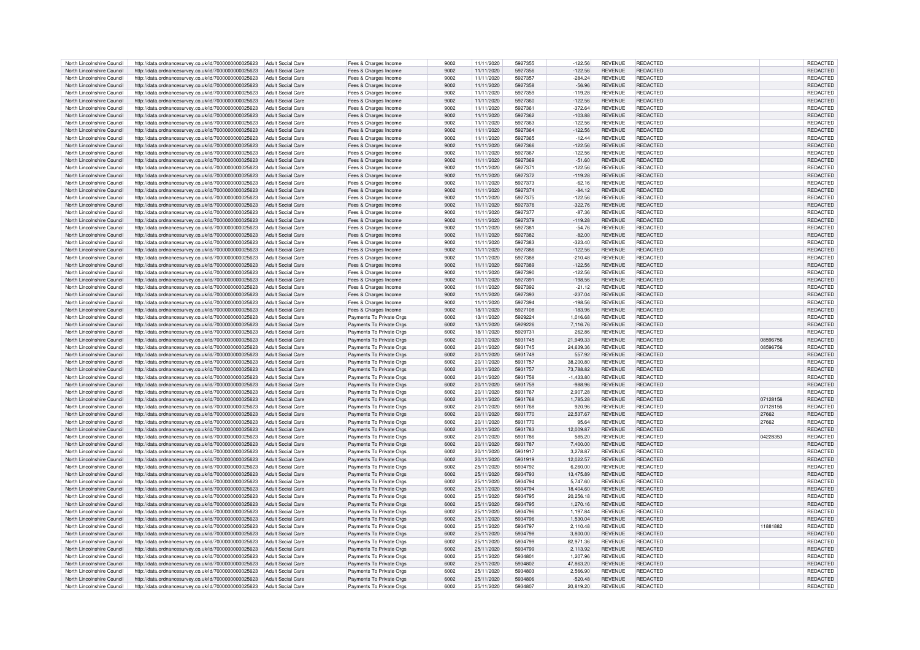| North Lincolnshire Council                               | http://data.ordnancesurvey.co.uk/id/7000000000025623                                                                           | Adult Social Care        | Fees & Charges Income                                | 9002         | 11/11/2020               | 5927355            | $-122.56$              | <b>REVENUE</b>                   | <b>REDACTED</b>      |          | REDACTED                    |
|----------------------------------------------------------|--------------------------------------------------------------------------------------------------------------------------------|--------------------------|------------------------------------------------------|--------------|--------------------------|--------------------|------------------------|----------------------------------|----------------------|----------|-----------------------------|
| North Lincolnshire Council                               | http://data.ordnancesurvey.co.uk/id/7000000000025623                                                                           | Adult Social Care        | Fees & Charges Income                                | 9002         | 11/11/2020               | 5927356            | $-122.56$              | <b>REVENUE</b>                   | REDACTED             |          | REDACTED                    |
| North Lincolnshire Council                               | http://data.ordnancesurvey.co.uk/id/7000000000025623                                                                           | Adult Social Care        | Fees & Charges Income                                | 9002         | 11/11/2020               | 5927357            | $-284.24$              | <b>REVENUE</b>                   | <b>REDACTED</b>      |          | REDACTED                    |
| North Lincolnshire Council                               | http://data.ordnancesurvey.co.uk/id/7000000000025623                                                                           | Adult Social Care        |                                                      | 9002         | 11/11/2020               | 5927358            | $-56.96$               | <b>REVENUE</b>                   | REDACTED             |          | REDACTED                    |
|                                                          |                                                                                                                                |                          | Fees & Charges Income                                |              |                          |                    |                        |                                  |                      |          |                             |
| North Lincolnshire Council                               | http://data.ordnancesurvey.co.uk/id/7000000000025623                                                                           | <b>Adult Social Care</b> | Fees & Charges Income                                | 9002         | 11/11/2020               | 5927359            | $-119.28$              | <b>REVENUE</b>                   | <b>REDACTED</b>      |          | REDACTED                    |
| North Lincolnshire Council                               | http://data.ordnancesurvey.co.uk/id/7000000000025623                                                                           | <b>Adult Social Care</b> | Fees & Charges Income                                | 9002         | 11/11/2020               | 5927360            | $-122.56$              | <b>REVENUE</b>                   | <b>REDACTED</b>      |          | REDACTED                    |
| North Lincolnshire Council                               | http://data.ordnancesurvey.co.uk/id/7000000000025623                                                                           | <b>Adult Social Care</b> | Fees & Charges Income                                | 9002         | 11/11/2020               | 5927361            | $-372.64$              | <b>REVENUE</b>                   | REDACTED             |          | REDACTED                    |
| North Lincolnshire Council                               | http://data.ordnancesurvey.co.uk/id/7000000000025623                                                                           | <b>Adult Social Care</b> | Fees & Charges Income                                | 9002         | 11/11/2020               | 5927362            | $-103.88$              | <b>REVENUE</b>                   | <b>REDACTED</b>      |          | REDACTED                    |
| North Lincolnshire Council                               | http://data.ordnancesurvey.co.uk/id/7000000000025623                                                                           | Adult Social Care        | Fees & Charges Income                                | 9002         | 11/11/2020               | 5927363            | $-122.56$              | <b>REVENUE</b>                   | REDACTED             |          | REDACTED                    |
| North Lincolnshire Council                               | http://data.ordnancesurvey.co.uk/id/7000000000025623                                                                           | <b>Adult Social Care</b> | Fees & Charges Income                                | 9002         | 11/11/2020               | 5927364            | $-122.56$              | <b>REVENUE</b>                   | REDACTED             |          | REDACTED                    |
| North Lincolnshire Council                               | http://data.ordnancesurvey.co.uk/id/7000000000025623                                                                           | Adult Social Care        | Fees & Charges Income                                | 9002         | 11/11/2020               | 5927365            | $-12.44$               | <b>REVENUE</b>                   | REDACTED             |          | REDACTED                    |
|                                                          |                                                                                                                                |                          |                                                      |              |                          |                    |                        |                                  |                      |          |                             |
| North Lincolnshire Council                               | http://data.ordnancesurvey.co.uk/id/7000000000025623                                                                           | <b>Adult Social Care</b> | Fees & Charges Income                                | 9002         | 11/11/2020               | 5927366            | $-122.56$              | <b>REVENUE</b>                   | REDACTED             |          | REDACTED                    |
| North Lincolnshire Council                               | http://data.ordnancesurvey.co.uk/id/7000000000025623                                                                           | Adult Social Care        | Fees & Charges Income                                | 9002         | 11/11/2020               | 5927367            | $-122.56$              | <b>REVENUE</b>                   | REDACTED             |          | REDACTED                    |
| North Lincolnshire Council                               | http://data.ordnancesurvey.co.uk/id/7000000000025623                                                                           | Adult Social Care        | Fees & Charges Income                                | 9002         | 11/11/2020               | 5927369            | $-51.60$               | <b>REVENUE</b>                   | <b>REDACTED</b>      |          | REDACTED                    |
| North Lincolnshire Council                               | http://data.ordnancesurvey.co.uk/id/7000000000025623                                                                           | <b>Adult Social Care</b> | Fees & Charges Income                                | 9002         | 11/11/2020               | 5927371            | $-122.56$              | <b>REVENUE</b>                   | <b>REDACTED</b>      |          | REDACTED                    |
| North Lincolnshire Council                               | http://data.ordnancesurvey.co.uk/id/7000000000025623                                                                           | <b>Adult Social Care</b> | Fees & Charges Income                                | 9002         | 11/11/2020               | 5927372            | $-119.28$              | <b>REVENUE</b>                   | <b>REDACTED</b>      |          | REDACTED                    |
| North Lincolnshire Council                               | http://data.ordnancesurvey.co.uk/id/7000000000025623                                                                           | Adult Social Care        | Fees & Charges Income                                | 9002         | 11/11/2020               | 5927373            | $-62.16$               | <b>REVENUE</b>                   | REDACTED             |          | REDACTED                    |
| North Lincolnshire Council                               | http://data.ordnancesurvey.co.uk/id/7000000000025623                                                                           | <b>Adult Social Care</b> | Fees & Charges Income                                | 9002         | 11/11/2020               | 5927374            | $-84.12$               | <b>REVENUE</b>                   | <b>REDACTED</b>      |          | REDACTED                    |
| North Lincolnshire Council                               | http://data.ordnancesurvey.co.uk/id/7000000000025623                                                                           | <b>Adult Social Care</b> | Fees & Charges Income                                | 9002         | 11/11/2020               | 5927375            | $-122.56$              | <b>REVENUE</b>                   | <b>REDACTED</b>      |          | REDACTED                    |
| North Lincolnshire Council                               | http://data.ordnancesurvey.co.uk/id/7000000000025623                                                                           | <b>Adult Social Care</b> | Fees & Charges Income                                | 9002         | 11/11/2020               | 5927376            | $-322.76$              | <b>REVENUE</b>                   | <b>REDACTED</b>      |          | REDACTED                    |
| North Lincolnshire Council                               |                                                                                                                                | Adult Social Care        |                                                      | 9002         |                          | 5927377            | $-87.36$               | <b>REVENUE</b>                   | REDACTED             |          |                             |
|                                                          | http://data.ordnancesurvey.co.uk/id/7000000000025623                                                                           |                          | Fees & Charges Income                                |              | 11/11/2020               |                    |                        |                                  |                      |          | REDACTED                    |
| North Lincolnshire Council                               | http://data.ordnancesurvey.co.uk/id/7000000000025623                                                                           | Adult Social Care        | Fees & Charges Income                                | 9002         | 11/11/2020               | 5927379            | $-119.28$              | <b>REVENUE</b>                   | REDACTED             |          | REDACTED                    |
| North Lincolnshire Council                               | http://data.ordnancesurvey.co.uk/id/7000000000025623                                                                           | Adult Social Care        | Fees & Charges Income                                | 9002         | 11/11/2020               | 5927381            | $-54.76$               | <b>REVENUE</b>                   | REDACTED             |          | REDACTED                    |
| North Lincolnshire Council                               | http://data.ordnancesurvey.co.uk/id/7000000000025623                                                                           | <b>Adult Social Care</b> | Fees & Charges Income                                | 9002         | 11/11/2020               | 5927382            | $-82.00$               | <b>REVENUE</b>                   | <b>REDACTED</b>      |          | REDACTED                    |
| North Lincolnshire Council                               | http://data.ordnancesurvey.co.uk/id/7000000000025623                                                                           | <b>Adult Social Care</b> | Fees & Charges Income                                | 9002         | 11/11/2020               | 5927383            | $-323.40$              | <b>REVENUE</b>                   | REDACTED             |          | REDACTED                    |
| North Lincolnshire Council                               | http://data.ordnancesurvey.co.uk/id/7000000000025623                                                                           | Adult Social Care        | Fees & Charges Income                                | 9002         | 11/11/2020               | 5927386            | $-122.56$              | <b>REVENUE</b>                   | REDACTED             |          | REDACTED                    |
| North Lincolnshire Council                               | http://data.ordnancesurvey.co.uk/id/7000000000025623                                                                           | <b>Adult Social Care</b> | Fees & Charges Income                                | 9002         | 11/11/2020               | 5927388            | $-210.48$              | <b>REVENUE</b>                   | REDACTED             |          | REDACTED                    |
| North Lincolnshire Council                               | http://data.ordnancesurvey.co.uk/id/7000000000025623                                                                           | <b>Adult Social Care</b> | Fees & Charges Income                                | 9002         | 11/11/2020               | 5927389            | $-122.56$              | <b>REVENUE</b>                   | <b>REDACTED</b>      |          | REDACTED                    |
| North Lincolnshire Council                               | http://data.ordnancesurvey.co.uk/id/7000000000025623                                                                           | Adult Social Care        | Fees & Charges Income                                | 9002         | 11/11/2020               | 5927390            | $-122.56$              | <b>REVENUE</b>                   | REDACTED             |          | REDACTED                    |
| North Lincolnshire Council                               | http://data.ordnancesurvey.co.uk/id/7000000000025623                                                                           | <b>Adult Social Care</b> | Fees & Charges Income                                | 9002         | 11/11/2020               | 5927391            | $-198.56$              | <b>REVENUE</b>                   | <b>REDACTED</b>      |          | REDACTED                    |
| North Lincolnshire Council                               | http://data.ordnancesurvey.co.uk/id/7000000000025623                                                                           | Adult Social Care        | Fees & Charges Income                                | 9002         | 11/11/2020               | 5927392            | $-21.12$               | <b>REVENUE</b>                   | REDACTED             |          | REDACTED                    |
| North Lincolnshire Council                               | http://data.ordnancesurvey.co.uk/id/7000000000025623                                                                           | <b>Adult Social Care</b> | Fees & Charges Income                                | 9002         | 11/11/2020               | 5927393            | $-237.04$              | <b>REVENUE</b>                   | <b>REDACTED</b>      |          | REDACTED                    |
|                                                          |                                                                                                                                |                          |                                                      |              |                          |                    |                        |                                  |                      |          |                             |
| North Lincolnshire Council                               | http://data.ordnancesurvey.co.uk/id/7000000000025623                                                                           | <b>Adult Social Care</b> | Fees & Charges Income                                | 9002         | 11/11/2020               | 5927394            | $-198.56$              | <b>REVENUE</b>                   | REDACTED             |          | REDACTED                    |
| North Lincolnshire Council                               | http://data.ordnancesurvey.co.uk/id/7000000000025623                                                                           | Adult Social Care        | Fees & Charges Income                                | 9002         | 18/11/2020               | 5927108            | $-183.96$              | <b>REVENUE</b>                   | <b>REDACTED</b>      |          | REDACTED                    |
| North Lincolnshire Council                               | http://data.ordnancesurvey.co.uk/id/7000000000025623                                                                           | <b>Adult Social Care</b> | Payments To Private Orgs                             | 6002         | 13/11/2020               | 5929224            | 1,016.68               | <b>REVENUE</b>                   | REDACTED             |          | REDACTED                    |
| North Lincolnshire Council                               | http://data.ordnancesurvey.co.uk/id/7000000000025623                                                                           | <b>Adult Social Care</b> | Payments To Private Orgs                             | 6002         | 13/11/2020               | 5929226            | 7,116.76               | <b>REVENUE</b>                   | REDACTED             |          | REDACTED                    |
| North Lincolnshire Council                               | http://data.ordnancesurvey.co.uk/id/7000000000025623                                                                           | <b>Adult Social Care</b> | Payments To Private Orgs                             | 6002         | 18/11/2020               | 5929731            | 262.86                 | <b>REVENUE</b>                   | <b>REDACTED</b>      |          | REDACTED                    |
| North Lincolnshire Council                               | http://data.ordnancesurvey.co.uk/id/7000000000025623                                                                           | <b>Adult Social Care</b> | Payments To Private Orgs                             | 6002         | 20/11/2020               | 5931745            | 21,949.33              | <b>REVENUE</b>                   | <b>REDACTED</b>      | 08596756 | REDACTED                    |
| North Lincolnshire Council                               | http://data.ordnancesurvey.co.uk/id/7000000000025623                                                                           | Adult Social Care        | Payments To Private Orgs                             | 6002         | 20/11/2020               | 5931745            | 24.639.36              | <b>REVENUE</b>                   | REDACTED             | 08596756 | REDACTED                    |
| North Lincolnshire Council                               | http://data.ordnancesurvey.co.uk/id/7000000000025623                                                                           | <b>Adult Social Care</b> | Payments To Private Orgs                             | 6002         | 20/11/2020               | 5931749            | 557.92                 | <b>REVENUE</b>                   | <b>REDACTED</b>      |          | REDACTED                    |
| North Lincolnshire Council                               | http://data.ordnancesurvey.co.uk/id/7000000000025623                                                                           | <b>Adult Social Care</b> | Payments To Private Orgs                             | 6002         | 20/11/2020               | 5931757            | 38,200.80              | <b>REVENUE</b>                   | REDACTED             |          | REDACTED                    |
| North Lincolnshire Council                               | http://data.ordnancesurvey.co.uk/id/7000000000025623                                                                           | Adult Social Care        | Payments To Private Orgs                             | 6002         | 20/11/2020               | 5931757            | 73.788.82              | <b>REVENUE</b>                   | REDACTED             |          | REDACTED                    |
| North Lincolnshire Council                               | http://data.ordnancesurvey.co.uk/id/7000000000025623                                                                           | <b>Adult Social Care</b> | Payments To Private Orgs                             | 6002         | 20/11/2020               | 5931758            | $-1,433.80$            | <b>REVENUE</b>                   | REDACTED             |          | REDACTED                    |
| North Lincolnshire Council                               | http://data.ordnancesurvey.co.uk/id/7000000000025623                                                                           | <b>Adult Social Care</b> |                                                      | <b>6002</b>  | 20/11/2020               | 5931759            | $-988.96$              | <b>REVENUE</b>                   | REDACTED             |          | REDACTED                    |
|                                                          |                                                                                                                                |                          | Payments To Private Orgs                             |              |                          |                    |                        |                                  |                      |          |                             |
| North Lincolnshire Council                               | http://data.ordnancesurvey.co.uk/id/7000000000025623                                                                           | <b>Adult Social Care</b> | Payments To Private Orgs                             | 6002         | 20/11/2020               | 5931767            | 2.907.28               | <b>REVENUE</b>                   | REDACTED             |          | REDACTED                    |
| North Lincolnshire Council                               | http://data.ordnancesurvey.co.uk/id/7000000000025623                                                                           | <b>Adult Social Care</b> | Payments To Private Orgs                             | 6002         | 20/11/2020               | 5931768            | 1,785.28               | <b>REVENUE</b>                   | <b>REDACTED</b>      | 07128156 | REDACTED                    |
| North Lincolnshire Council                               | http://data.ordnancesurvey.co.uk/id/7000000000025623                                                                           | Adult Social Care        | Payments To Private Orgs                             | 6002         | 20/11/2020               | 5931768            | 920.96                 | <b>REVENUE</b>                   | REDACTED             | 07128156 | REDACTED                    |
| North Lincolnshire Council                               | http://data.ordnancesurvey.co.uk/id/7000000000025623                                                                           | <b>Adult Social Care</b> | Payments To Private Orgs                             | 6002         | 20/11/2020               | 5931770            | 22.537.67              | <b>REVENUE</b>                   | REDACTED             | 27662    | REDACTED                    |
| North Lincolnshire Council                               | http://data.ordnancesurvey.co.uk/id/7000000000025623                                                                           | Adult Social Care        | Payments To Private Orgs                             | 6002         |                          |                    |                        |                                  |                      |          |                             |
| North Lincolnshire Council                               | http://data.ordnancesurvey.co.uk/id/7000000000025623                                                                           |                          |                                                      |              | 20/11/2020               | 5931770            | 95.64                  | <b>REVENUE</b>                   | <b>REDACTED</b>      | 27662    | REDACTED                    |
| North Lincolnshire Council                               |                                                                                                                                | <b>Adult Social Care</b> | Payments To Private Orgs                             | 6002         | 20/11/2020               | 5931783            | 12,009.87              | <b>REVENUE</b>                   | <b>REDACTED</b>      |          | REDACTED                    |
|                                                          | http://data.ordnancesurvey.co.uk/id/7000000000025623                                                                           | Adult Social Care        | Payments To Private Orgs                             | 6002         | 20/11/2020               | 5931786            | 585.20                 | <b>REVENUE</b>                   | <b>REDACTED</b>      | 04228353 | REDACTED                    |
|                                                          |                                                                                                                                |                          |                                                      | 6002         |                          | 5931787            |                        |                                  | <b>REDACTED</b>      |          |                             |
| North Lincolnshire Council                               | http://data.ordnancesurvey.co.uk/id/7000000000025623                                                                           | <b>Adult Social Care</b> | Payments To Private Orgs                             |              | 20/11/2020               |                    | 7,400.00               | <b>REVENUE</b>                   |                      |          | REDACTED                    |
| North Lincolnshire Council                               | http://data.ordnancesurvey.co.uk/id/7000000000025623                                                                           | Adult Social Care        | Payments To Private Oras                             | 6002         | 20/11/2020               | 5931917            | 3.278.87               | <b>REVENUE</b>                   | REDACTED             |          | REDACTED                    |
| North Lincolnshire Council                               | http://data.ordnancesurvey.co.uk/id/7000000000025623                                                                           | <b>Adult Social Care</b> | Payments To Private Orgs                             | 6002         | 20/11/2020               | 5931919            | 12,022.57              | <b>REVENUE</b>                   | <b>REDACTED</b>      |          | REDACTED                    |
| North Lincolnshire Council                               | http://data.ordnancesurvey.co.uk/id/7000000000025623                                                                           | <b>Adult Social Care</b> | Payments To Private Orgs                             | 6002         | 25/11/2020               | 5934792            | 6,260.00               | <b>REVENUE</b>                   | REDACTED             |          | REDACTED                    |
| North Lincolnshire Council                               | http://data.ordnancesurvey.co.uk/id/7000000000025623                                                                           | <b>Adult Social Care</b> | Payments To Private Orgs                             | 6002         | 25/11/2020               | 5934793            | 13,475.89              | <b>REVENUE</b>                   | <b>REDACTED</b>      |          | <b>REDACTED</b>             |
| North Lincolnshire Council                               | http://data.ordnancesurvey.co.uk/id/7000000000025623                                                                           | <b>Adult Social Care</b> | Payments To Private Orgs                             | 6002         | 25/11/2020               | 5934794            | 5,747.60               | <b>REVENUE</b>                   | <b>REDACTED</b>      |          | REDACTED                    |
| North Lincolnshire Council                               | http://data.ordnancesurvey.co.uk/id/7000000000025623                                                                           | <b>Adult Social Care</b> | Payments To Private Oras                             | 6002         | 25/11/2020               | 5934794            | 18,404.60              | <b>REVENUE</b>                   | <b>REDACTED</b>      |          | <b>REDACTED</b>             |
| North Lincolnshire Council                               | http://data.ordnancesurvey.co.uk/id/7000000000025623                                                                           | Adult Social Care        | Payments To Private Orgs                             | 6002         | 25/11/2020               | 5934795            | 20,256.18              | <b>REVENUE</b>                   | REDACTED             |          | REDACTED                    |
| North Lincolnshire Council                               | http://data.ordnancesurvey.co.uk/id/7000000000025623                                                                           | <b>Adult Social Care</b> | Payments To Private Orgs                             | 6002         | 25/11/2020               | 5934795            | 1,270.16               | <b>REVENUE</b>                   | <b>REDACTED</b>      |          | REDACTED                    |
| North Lincolnshire Council                               | http://data.ordnancesurvey.co.uk/id/7000000000025623                                                                           | <b>Adult Social Care</b> | Payments To Private Orgs                             | 6002         | 25/11/2020               | 5934796            | 1,197.84               | <b>REVENUE</b>                   | REDACTED             |          | REDACTED                    |
| North Lincolnshire Council                               | http://data.ordnancesurvey.co.uk/id/7000000000025623                                                                           | Adult Social Care        | Payments To Private Orgs                             | 6002         | 25/11/2020               | 5934796            | 1,530.04               | <b>REVENUE</b>                   | <b>REDACTED</b>      |          | REDACTED                    |
| North Lincolnshire Council                               | http://data.ordnancesurvey.co.uk/id/7000000000025623                                                                           | Adult Social Care        | Payments To Private Oras                             | 6002         | 25/11/2020               | 5934797            | 2.110.48               | <b>REVENUE</b>                   | REDACTED             | 11881882 | REDACTED                    |
| North Lincolnshire Council                               |                                                                                                                                | Adult Social Care        | Payments To Private Orgs                             | 6002         | 25/11/2020               | 5934798            | 3.800.00               | <b>REVENUE</b>                   | <b>REDACTED</b>      |          | REDACTED                    |
|                                                          | http://data.ordnancesurvey.co.uk/id/7000000000025623                                                                           | <b>Adult Social Care</b> |                                                      | 6002         |                          | 5934799            |                        | <b>REVENUE</b>                   | REDACTED             |          |                             |
| North Lincolnshire Council                               | http://data.ordnancesurvey.co.uk/id/7000000000025623                                                                           |                          | Payments To Private Orgs                             |              | 25/11/2020               |                    | 82,971.36              |                                  |                      |          | REDACTED                    |
| North Lincolnshire Council                               | http://data.ordnancesurvey.co.uk/id/7000000000025623                                                                           | <b>Adult Social Care</b> | Payments To Private Orgs                             | 6002         | 25/11/2020               | 5934799            | 2.113.92               | <b>REVENUE</b>                   | <b>REDACTED</b>      |          | REDACTED                    |
| North Lincolnshire Council                               | http://data.ordnancesurvey.co.uk/id/7000000000025623                                                                           | <b>Adult Social Care</b> | Payments To Private Orgs                             | 6002         | 25/11/2020               | 5934801            | 1,207.96               | <b>REVENUE</b>                   | <b>REDACTED</b>      |          | REDACTED                    |
| North Lincolnshire Council                               | http://data.ordnancesurvey.co.uk/id/7000000000025623                                                                           | <b>Adult Social Care</b> | Payments To Private Orgs                             | 6002         | 25/11/2020               | 5934802            | 47,863.20              | <b>REVENUE</b>                   | <b>REDACTED</b>      |          | REDACTED                    |
| North Lincolnshire Council                               | http://data.ordnancesurvey.co.uk/id/7000000000025623                                                                           | Adult Social Care        | Payments To Private Orgs                             | 6002         | 25/11/2020               | 5934803            | 2.566.90               | <b>REVENUE</b>                   | <b>REDACTED</b>      |          | REDACTED                    |
| North Lincolnshire Council<br>North Lincolnshire Council | http://data.ordnancesurvey.co.uk/id/7000000000025623<br>http://data.ordnancesurvey.co.uk/id/7000000000025623 Adult Social Care | Adult Social Care        | Payments To Private Orgs<br>Payments To Private Orgs | 6002<br>6002 | 25/11/2020<br>25/11/2020 | 5934806<br>5934807 | $-520.48$<br>20,819.20 | <b>REVENUE</b><br><b>REVENUE</b> | REDACTED<br>REDACTED |          | <b>REDACTED</b><br>REDACTED |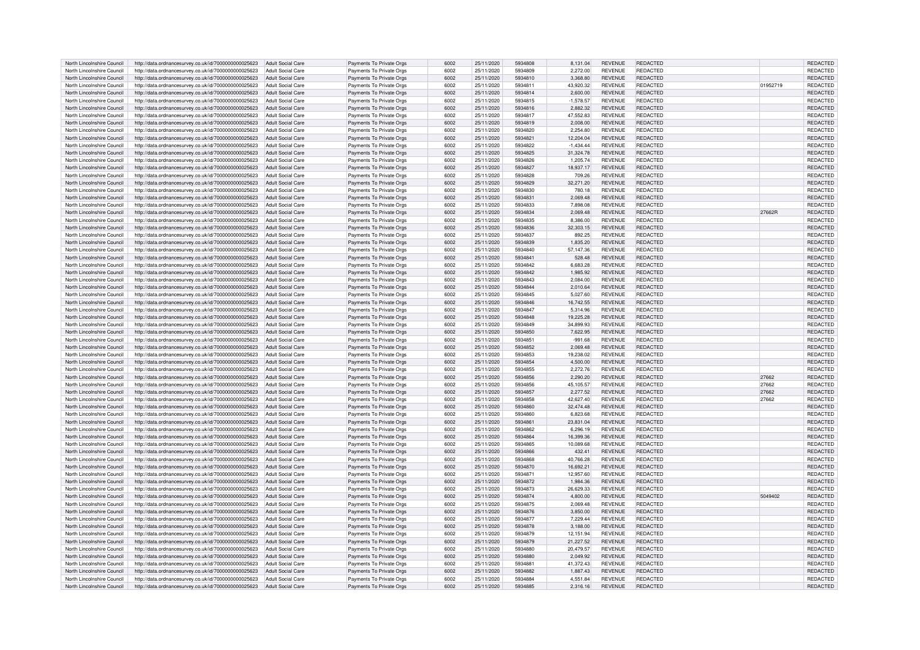| North Lincolnshire Council | http://data.ordnancesurvey.co.uk/id/7000000000025623                   | Adult Social Care        | Payments To Private Orgs | 6002 | 25/11/2020 | 5934808 | 8.131.04    | <b>REVENUE</b> | <b>REDACTED</b> |          | REDACTED        |
|----------------------------|------------------------------------------------------------------------|--------------------------|--------------------------|------|------------|---------|-------------|----------------|-----------------|----------|-----------------|
| North Lincolnshire Council | http://data.ordnancesurvey.co.uk/id/7000000000025623                   | Adult Social Care        | Payments To Private Orgs | 6002 | 25/11/2020 | 5934809 | 2,272.00    | <b>REVENUE</b> | REDACTED        |          | REDACTED        |
| North Lincolnshire Council | http://data.ordnancesurvey.co.uk/id/7000000000025623                   | Adult Social Care        | Payments To Private Orgs | 6002 | 25/11/2020 | 5934810 | 3,368.80    | <b>REVENUE</b> | REDACTED        |          | REDACTED        |
|                            |                                                                        |                          |                          |      |            |         |             |                |                 |          |                 |
| North Lincolnshire Council | http://data.ordnancesurvey.co.uk/id/7000000000025623                   | <b>Adult Social Care</b> | Payments To Private Oras | 6002 | 25/11/2020 | 5934811 | 43.920.32   | <b>REVENUE</b> | REDACTED        | 01952719 | REDACTED        |
| North Lincolnshire Council | http://data.ordnancesurvey.co.uk/id/7000000000025623                   | <b>Adult Social Care</b> | Payments To Private Orgs | 6002 | 25/11/2020 | 5934814 | 2,600.00    | <b>REVENUE</b> | REDACTED        |          | REDACTED        |
| North Lincolnshire Council | http://data.ordnancesurvey.co.uk/id/7000000000025623                   | <b>Adult Social Care</b> | Payments To Private Orgs | 6002 | 25/11/2020 | 5934815 | $-1,578.57$ | <b>REVENUE</b> | REDACTED        |          | REDACTED        |
| North Lincolnshire Council | http://data.ordnancesurvey.co.uk/id/7000000000025623                   | <b>Adult Social Care</b> | Payments To Private Orgs | 6002 | 25/11/2020 | 5934816 | 2,882.32    | <b>REVENUE</b> | REDACTED        |          | <b>REDACTED</b> |
| North Lincolnshire Council | http://data.ordnancesurvey.co.uk/id/7000000000025623                   | <b>Adult Social Care</b> | Payments To Private Orgs | 6002 | 25/11/2020 | 5934817 | 47,552.83   | <b>REVENUE</b> | <b>REDACTED</b> |          | REDACTED        |
| North Lincolnshire Council | http://data.ordnancesurvey.co.uk/id/7000000000025623                   | <b>Adult Social Care</b> | Payments To Private Orgs | 6002 | 25/11/2020 | 5934819 | 2.008.00    | <b>REVENUE</b> | REDACTED        |          | <b>REDACTED</b> |
| North Lincolnshire Council | http://data.ordnancesurvey.co.uk/id/7000000000025623                   | <b>Adult Social Care</b> | Payments To Private Orgs | 6002 | 25/11/2020 | 5934820 | 2,254.80    | <b>REVENUE</b> | <b>REDACTED</b> |          | REDACTED        |
|                            |                                                                        |                          |                          |      |            |         |             |                |                 |          |                 |
| North Lincolnshire Council | http://data.ordnancesurvey.co.uk/id/7000000000025623                   | <b>Adult Social Care</b> | Payments To Private Orgs | 6002 | 25/11/2020 | 5934821 | 12,204.04   | <b>REVENUE</b> | REDACTED        |          | REDACTED        |
| North Lincolnshire Council | http://data.ordnancesurvey.co.uk/id/7000000000025623                   | Adult Social Care        | Payments To Private Orgs | 6002 | 25/11/2020 | 5934822 | $-1,434.44$ | <b>REVENUE</b> | REDACTED        |          | REDACTED        |
| North Lincolnshire Council | http://data.ordnancesurvey.co.uk/id/7000000000025623                   | <b>Adult Social Care</b> | Payments To Private Orgs | 6002 | 25/11/2020 | 5934825 | 31,324.78   | <b>REVENUE</b> | <b>REDACTED</b> |          | REDACTED        |
| North Lincolnshire Council | http://data.ordnancesurvey.co.uk/id/7000000000025623                   | <b>Adult Social Care</b> | Payments To Private Oras | 6002 | 25/11/2020 | 5934826 | 1.205.74    | <b>REVENUE</b> | <b>REDACTED</b> |          | REDACTED        |
| North Lincolnshire Council | http://data.ordnancesurvey.co.uk/id/7000000000025623                   | <b>Adult Social Care</b> | Payments To Private Orgs | 6002 | 25/11/2020 | 5934827 | 18,937.17   | <b>REVENUE</b> | REDACTED        |          | REDACTED        |
| North Lincolnshire Council | http://data.ordnancesurvey.co.uk/id/7000000000025623                   | <b>Adult Social Care</b> | Payments To Private Orgs | 6002 | 25/11/2020 | 5934828 | 709.26      | <b>REVENUE</b> | REDACTED        |          | REDACTED        |
| North Lincolnshire Council |                                                                        | <b>Adult Social Care</b> | Payments To Private Orgs | 6002 | 25/11/2020 | 5934829 | 32,271.20   | <b>REVENUE</b> | <b>REDACTED</b> |          | REDACTED        |
|                            | http://data.ordnancesurvey.co.uk/id/7000000000025623                   |                          |                          |      |            |         |             |                |                 |          |                 |
| North Lincolnshire Council | http://data.ordnancesurvey.co.uk/id/7000000000025623                   | <b>Adult Social Care</b> | Payments To Private Orgs | 6002 | 25/11/2020 | 5934830 | 780.18      | <b>REVENUE</b> | <b>REDACTED</b> |          | REDACTED        |
| North Lincolnshire Council | http://data.ordnancesurvey.co.uk/id/7000000000025623                   | <b>Adult Social Care</b> | Payments To Private Orgs | 6002 | 25/11/2020 | 5934831 | 2,069.48    | <b>REVENUE</b> | <b>REDACTED</b> |          | REDACTED        |
| North Lincolnshire Council | http://data.ordnancesurvey.co.uk/id/7000000000025623                   | <b>Adult Social Care</b> | Payments To Private Orgs | 6002 | 25/11/2020 | 5934833 | 7,898.08    | <b>REVENUE</b> | <b>REDACTED</b> |          | REDACTED        |
| North Lincolnshire Council | http://data.ordnancesurvey.co.uk/id/7000000000025623                   | <b>Adult Social Care</b> | Payments To Private Orgs | 6002 | 25/11/2020 | 5934834 | 2,069.48    | <b>REVENUE</b> | <b>REDACTED</b> | 27662R   | REDACTED        |
| North Lincolnshire Council | http://data.ordnancesurvey.co.uk/id/7000000000025623                   | <b>Adult Social Care</b> | Payments To Private Orgs | 6002 | 25/11/2020 | 5934835 | 8,386.00    | <b>REVENUE</b> | REDACTED        |          | REDACTED        |
| North Lincolnshire Council | http://data.ordnancesurvey.co.uk/id/7000000000025623                   | <b>Adult Social Care</b> | Payments To Private Orgs | 6002 | 25/11/2020 | 5934836 | 32,303.15   | <b>REVENUE</b> | <b>REDACTED</b> |          | REDACTED        |
| North Lincolnshire Council |                                                                        | <b>Adult Social Care</b> |                          | 6002 |            | 5934837 |             | <b>REVENUE</b> | REDACTED        |          | REDACTED        |
|                            | http://data.ordnancesurvey.co.uk/id/7000000000025623                   |                          | Payments To Private Orgs |      | 25/11/2020 |         | 892.25      |                |                 |          |                 |
| North Lincolnshire Council | http://data.ordnancesurvey.co.uk/id/7000000000025623                   | <b>Adult Social Care</b> | Payments To Private Orgs | 6002 | 25/11/2020 | 5934839 | 1,835.20    | <b>REVENUE</b> | <b>REDACTED</b> |          | REDACTED        |
| North Lincolnshire Council | http://data.ordnancesurvey.co.uk/id/7000000000025623                   | <b>Adult Social Care</b> | Payments To Private Orgs | 6002 | 25/11/2020 | 5934840 | 57,147.36   | <b>REVENUE</b> | <b>REDACTED</b> |          | REDACTED        |
| North Lincolnshire Council | http://data.ordnancesurvey.co.uk/id/7000000000025623                   | <b>Adult Social Care</b> | Payments To Private Orgs | 6002 | 25/11/2020 | 5934841 | 528.48      | <b>REVENUE</b> | <b>REDACTED</b> |          | REDACTED        |
| North Lincolnshire Council | http://data.ordnancesurvey.co.uk/id/7000000000025623                   | <b>Adult Social Care</b> | Payments To Private Orgs | 6002 | 25/11/2020 | 5934842 | 6.683.28    | <b>REVENUE</b> | <b>REDACTED</b> |          | <b>REDACTED</b> |
| North Lincolnshire Council | http://data.ordnancesurvey.co.uk/id/7000000000025623                   | <b>Adult Social Care</b> | Payments To Private Orgs | 6002 | 25/11/2020 | 5934842 | 1.985.92    | <b>REVENUE</b> | REDACTED        |          | <b>REDACTED</b> |
| North Lincolnshire Council | http://data.ordnancesurvey.co.uk/id/7000000000025623                   | Adult Social Care        | Payments To Private Orgs | 6002 | 25/11/2020 | 5934843 | 2,084.00    | <b>REVENUE</b> | <b>REDACTED</b> |          | REDACTED        |
|                            |                                                                        |                          |                          |      |            |         |             |                |                 |          |                 |
| North Lincolnshire Council | http://data.ordnancesurvey.co.uk/id/7000000000025623                   | Adult Social Care        | Payments To Private Orgs | 6002 | 25/11/2020 | 5934844 | 2,010.64    | REVENUE        | <b>REDACTED</b> |          | REDACTED        |
| North Lincolnshire Council | http://data.ordnancesurvey.co.uk/id/7000000000025623                   | Adult Social Care        | Payments To Private Orgs | 6002 | 25/11/2020 | 5934845 | 5,027.60    | <b>REVENUE</b> | REDACTED        |          | REDACTED        |
| North Lincolnshire Council | http://data.ordnancesurvey.co.uk/id/7000000000025623                   | <b>Adult Social Care</b> | Payments To Private Orgs | 6002 | 25/11/2020 | 5934846 | 16,742.55   | <b>REVENUE</b> | REDACTED        |          | REDACTED        |
| North Lincolnshire Council | http://data.ordnancesurvey.co.uk/id/7000000000025623                   | <b>Adult Social Care</b> | Payments To Private Orgs | 6002 | 25/11/2020 | 5934847 | 5,314.96    | <b>REVENUE</b> | REDACTED        |          | REDACTED        |
| North Lincolnshire Council | http://data.ordnancesurvey.co.uk/id/7000000000025623                   | <b>Adult Social Care</b> | Payments To Private Orgs | 6002 | 25/11/2020 | 5934848 | 19,225.28   | <b>REVENUE</b> | REDACTED        |          | REDACTED        |
| North Lincolnshire Council | http://data.ordnancesurvey.co.uk/id/7000000000025623                   | <b>Adult Social Care</b> | Payments To Private Orgs | 6002 | 25/11/2020 | 5934849 | 34,899.93   | <b>REVENUE</b> | REDACTED        |          | REDACTED        |
| North Lincolnshire Council | http://data.ordnancesurvey.co.uk/id/7000000000025623                   | <b>Adult Social Care</b> | Payments To Private Orgs | 6002 | 25/11/2020 | 5934850 | 7,622.95    | <b>REVENUE</b> | <b>REDACTED</b> |          | <b>REDACTED</b> |
|                            |                                                                        |                          |                          |      |            |         |             |                |                 |          |                 |
| North Lincolnshire Council | http://data.ordnancesurvey.co.uk/id/7000000000025623                   | <b>Adult Social Care</b> | Payments To Private Orgs | 6002 | 25/11/2020 | 5934851 | $-991.68$   | <b>REVENUE</b> | <b>REDACTED</b> |          | REDACTED        |
| North Lincolnshire Council | http://data.ordnancesurvey.co.uk/id/7000000000025623                   | <b>Adult Social Care</b> | Payments To Private Orgs | 6002 | 25/11/2020 | 5934852 | 2,069.48    | <b>REVENUE</b> | REDACTED        |          | <b>REDACTED</b> |
| North Lincolnshire Council | http://data.ordnancesurvey.co.uk/id/7000000000025623                   | <b>Adult Social Care</b> | Payments To Private Orgs | 6002 | 25/11/2020 | 5934853 | 19,238.02   | <b>REVENUE</b> | <b>REDACTED</b> |          | REDACTED        |
| North Lincolnshire Council | http://data.ordnancesurvey.co.uk/id/7000000000025623                   | Adult Social Care        | Payments To Private Orgs | 6002 | 25/11/2020 | 5934854 | 4,500.00    | <b>REVENUE</b> | <b>REDACTED</b> |          | REDACTED        |
| North Lincolnshire Council | http://data.ordnancesurvey.co.uk/id/7000000000025623                   | <b>Adult Social Care</b> | Payments To Private Orgs | 6002 | 25/11/2020 | 5934855 | 2.272.76    | <b>REVENUE</b> | REDACTED        |          | REDACTED        |
| North Lincolnshire Council | http://data.ordnancesurvey.co.uk/id/7000000000025623                   | <b>Adult Social Care</b> | Payments To Private Orgs | 6002 | 25/11/2020 | 5934856 | 2,290.20    | <b>REVENUE</b> | REDACTED        | 27662    | REDACTED        |
| North Lincolnshire Council | http://data.ordnancesurvey.co.uk/id/7000000000025623                   | <b>Adult Social Care</b> | Payments To Private Orgs | 6002 | 25/11/2020 | 5934856 | 45,105.57   | <b>REVENUE</b> | REDACTED        | 27662    | REDACTED        |
|                            |                                                                        |                          |                          |      |            |         |             |                |                 |          |                 |
| North Lincolnshire Council | http://data.ordnancesurvey.co.uk/id/7000000000025623                   | <b>Adult Social Care</b> | Payments To Private Orgs | 6002 | 25/11/2020 | 5934857 | 2,277.52    | <b>REVENUE</b> | <b>REDACTED</b> | 27662    | REDACTED        |
| North Lincolnshire Council | http://data.ordnancesurvey.co.uk/id/7000000000025623                   | <b>Adult Social Care</b> | Payments To Private Orgs | 6002 | 25/11/2020 | 5934858 | 42,627.40   | <b>REVENUE</b> | REDACTED        | 27662    | REDACTED        |
| North Lincolnshire Council | http://data.ordnancesurvey.co.uk/id/7000000000025623                   | <b>Adult Social Care</b> | Payments To Private Orgs | 6002 | 25/11/2020 | 5934860 | 32,474.48   | <b>REVENUE</b> | <b>REDACTED</b> |          | REDACTED        |
| North Lincolnshire Council | http://data.ordnancesurvey.co.uk/id/7000000000025623                   | <b>Adult Social Care</b> | Payments To Private Orgs | 6002 | 25/11/2020 | 5934860 | 6.823.68    | <b>REVENUE</b> | REDACTED        |          | REDACTED        |
| North Lincolnshire Council | http://data.ordnancesurvey.co.uk/id/7000000000025623                   | Adult Social Care        | Payments To Private Orgs | 6002 | 25/11/2020 | 5934861 | 23.831.04   | <b>REVENUE</b> | <b>REDACTED</b> |          | <b>REDACTED</b> |
| North Lincolnshire Council | http://data.ordnancesurvey.co.uk/id/7000000000025623                   | Adult Social Care        | Payments To Private Orgs | 6002 | 25/11/2020 | 5934862 | 6.296.19    | <b>REVENUE</b> | <b>REDACTED</b> |          | REDACTED        |
| North Lincolnshire Council | http://data.ordnancesurvey.co.uk/id/7000000000025623                   | Adult Social Care        | Payments To Private Orgs | 6002 | 25/11/2020 | 5934864 | 16,399.36   | <b>REVENUE</b> | REDACTED        |          | REDACTED        |
|                            |                                                                        |                          |                          | 6002 |            | 5934865 |             |                | <b>REDACTED</b> |          |                 |
| North Lincolnshire Council | http://data.ordnancesurvey.co.uk/id/7000000000025623                   | Adult Social Care        | Payments To Private Orgs |      | 25/11/2020 |         | 10,089.68   | <b>REVENUE</b> |                 |          | REDACTED        |
| North Lincolnshire Council | http://data.ordnancesurvey.co.uk/id/7000000000025623                   | Adult Social Care        | Payments To Private Orgs | 6002 | 25/11/2020 | 5934866 | 432.41      | <b>REVENUE</b> | REDACTED        |          | <b>REDACTED</b> |
| North Lincolnshire Council | http://data.ordnancesurvey.co.uk/id/7000000000025623                   | <b>Adult Social Care</b> | Payments To Private Orgs | 6002 | 25/11/2020 | 5934868 | 40,766.28   | <b>REVENUE</b> | REDACTED        |          | REDACTED        |
| North Lincolnshire Council | http://data.ordnancesurvey.co.uk/id/7000000000025623                   | <b>Adult Social Care</b> | Payments To Private Orgs | 6002 | 25/11/2020 | 5934870 | 16,692.21   | <b>REVENUE</b> | <b>REDACTED</b> |          | REDACTED        |
| North Lincolnshire Council | http://data.ordnancesurvey.co.uk/id/7000000000025623                   | <b>Adult Social Care</b> | Payments To Private Orgs | 6002 | 25/11/2020 | 5934871 | 12,957.60   | <b>REVENUE</b> | <b>REDACTED</b> |          | REDACTED        |
| North Lincolnshire Council | http://data.ordnancesurvey.co.uk/id/7000000000025623                   | <b>Adult Social Care</b> | Payments To Private Orgs | 6002 | 25/11/2020 | 5934872 | 1,984.36    | <b>REVENUE</b> | <b>REDACTED</b> |          | REDACTED        |
| North Lincolnshire Council | http://data.ordnancesurvey.co.uk/id/7000000000025623                   | <b>Adult Social Care</b> | Payments To Private Oras | 6002 | 25/11/2020 | 5934873 | 26.629.33   | <b>REVENUE</b> | REDACTED        |          | <b>REDACTED</b> |
| North Lincolnshire Council | http://data.ordnancesurvey.co.uk/id/7000000000025623                   | <b>Adult Social Care</b> | Payments To Private Orgs | 6002 | 25/11/2020 | 5934874 | 4,800.00    | <b>REVENUE</b> | <b>REDACTED</b> | 5049402  | REDACTED        |
| North Lincolnshire Council |                                                                        | <b>Adult Social Care</b> |                          | 6002 | 25/11/2020 | 5934875 |             | <b>REVENUE</b> | REDACTED        |          |                 |
|                            | http://data.ordnancesurvey.co.uk/id/7000000000025623                   |                          | Payments To Private Orgs |      |            |         | 2,069.48    |                |                 |          | <b>REDACTED</b> |
| North Lincolnshire Council | http://data.ordnancesurvey.co.uk/id/7000000000025623                   | <b>Adult Social Care</b> | Payments To Private Orgs | 6002 | 25/11/2020 | 5934876 | 3,850.00    | <b>REVENUE</b> | <b>REDACTED</b> |          | <b>REDACTED</b> |
| North Lincolnshire Council | http://data.ordnancesurvey.co.uk/id/7000000000025623                   | <b>Adult Social Care</b> | Payments To Private Orgs | 6002 | 25/11/2020 | 5934877 | 7,229.44    | <b>REVENUE</b> | <b>REDACTED</b> |          | REDACTED        |
| North Lincolnshire Council | http://data.ordnancesurvey.co.uk/id/7000000000025623                   | <b>Adult Social Care</b> | Payments To Private Orgs | 6002 | 25/11/2020 | 5934878 | 3.188.00    | <b>REVENUE</b> | REDACTED        |          | <b>REDACTED</b> |
| North Lincolnshire Council | http://data.ordnancesurvey.co.uk/id/7000000000025623                   | <b>Adult Social Care</b> | Payments To Private Orgs | 6002 | 25/11/2020 | 5934879 | 12,151.94   | <b>REVENUE</b> | REDACTED        |          | REDACTED        |
| North Lincolnshire Council | http://data.ordnancesurvey.co.uk/id/7000000000025623                   | <b>Adult Social Care</b> | Payments To Private Orgs | 6002 | 25/11/2020 | 5934879 | 21,227.52   | <b>REVENUE</b> | REDACTED        |          | REDACTED        |
| North Lincolnshire Council | http://data.ordnancesurvey.co.uk/id/7000000000025623                   | <b>Adult Social Care</b> | Payments To Private Orgs | 6002 | 25/11/2020 | 5934880 | 20,479.57   | <b>REVENUE</b> | REDACTED        |          | REDACTED        |
|                            |                                                                        |                          |                          |      |            |         |             |                |                 |          |                 |
| North Lincolnshire Council | http://data.ordnancesurvey.co.uk/id/7000000000025623                   | <b>Adult Social Care</b> | Payments To Private Orgs | 6002 | 25/11/2020 | 5934880 | 2,049.92    | <b>REVENUE</b> | <b>REDACTED</b> |          | REDACTED        |
| North Lincolnshire Council | http://data.ordnancesurvey.co.uk/id/7000000000025623                   | <b>Adult Social Care</b> | Payments To Private Orgs | 6002 | 25/11/2020 | 593488  | 41,372.43   | <b>REVENUE</b> | REDACTED        |          | REDACTED        |
| North Lincolnshire Council | http://data.ordnancesurvey.co.uk/id/7000000000025623                   | <b>Adult Social Care</b> | Payments To Private Orgs | 6002 | 25/11/2020 | 5934882 | 1.887.43    | <b>REVENUE</b> | REDACTED        |          | <b>REDACTED</b> |
| North Lincolnshire Council | http://data.ordnancesurvey.co.uk/id/7000000000025623                   | Adult Social Care        | Payments To Private Orgs | 6002 | 25/11/2020 | 5934884 | 4.551.84    | <b>REVENUE</b> | REDACTED        |          | <b>REDACTED</b> |
| North Lincolnshire Council | http://data.ordnancesurvey.co.uk/id/7000000000025623 Adult Social Care |                          | Payments To Private Orgs | 6002 | 25/11/2020 | 5934885 | 2,316.16    | <b>REVENUE</b> | <b>REDACTED</b> |          | REDACTED        |
|                            |                                                                        |                          |                          |      |            |         |             |                |                 |          |                 |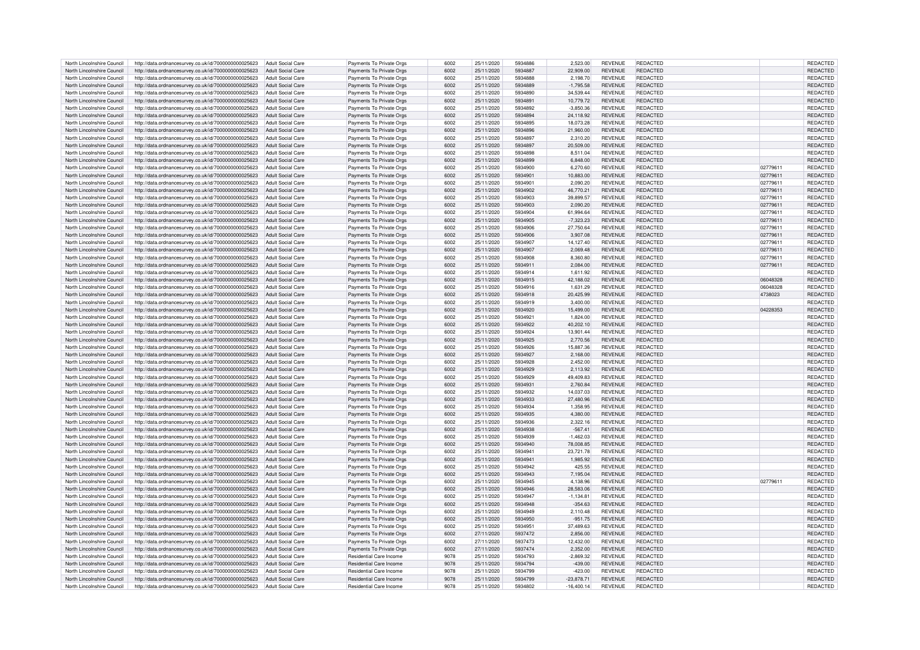| North Lincolnshire Council | http://data.ordnancesurvey.co.uk/id/7000000000025623                   | Adult Social Care        | Payments To Private Orgs | 6002 | 25/11/2020 | 5934886 | 2,523.00     | <b>REVENUE</b> | REDACTED        |          | REDACTED        |
|----------------------------|------------------------------------------------------------------------|--------------------------|--------------------------|------|------------|---------|--------------|----------------|-----------------|----------|-----------------|
| North Lincolnshire Council | http://data.ordnancesurvey.co.uk/id/7000000000025623                   | Adult Social Care        | Payments To Private Orgs | 6002 | 25/11/2020 | 5934887 | 22.909.00    | <b>REVENUE</b> | REDACTED        |          | <b>REDACTED</b> |
| North Lincolnshire Council | http://data.ordnancesurvey.co.uk/id/7000000000025623                   | Adult Social Care        | Payments To Private Orgs | 6002 | 25/11/2020 | 5934888 | 2.198.70     | <b>REVENUE</b> | REDACTED        |          | REDACTED        |
| North Lincolnshire Council | http://data.ordnancesurvey.co.uk/id/7000000000025623                   | Adult Social Care        | Payments To Private Orgs | 6002 | 25/11/2020 | 5934889 | $-1,795.58$  | <b>REVENUE</b> | REDACTED        |          | REDACTED        |
|                            |                                                                        |                          |                          |      |            |         |              |                |                 |          |                 |
| North Lincolnshire Council | http://data.ordnancesurvey.co.uk/id/7000000000025623                   | Adult Social Care        | Payments To Private Orgs | 6002 | 25/11/2020 | 5934890 | 34.539.44    | <b>REVENUE</b> | REDACTED        |          | REDACTED        |
| North Lincolnshire Council | http://data.ordnancesurvey.co.uk/id/7000000000025623                   | <b>Adult Social Care</b> | Payments To Private Orgs | 6002 | 25/11/2020 | 5934891 | 10,779.72    | <b>REVENUE</b> | REDACTED        |          | REDACTED        |
| North Lincolnshire Council | http://data.ordnancesurvey.co.uk/id/7000000000025623                   | <b>Adult Social Care</b> | Payments To Private Orgs | 6002 | 25/11/2020 | 5934892 | $-3,850.36$  | <b>REVENUE</b> | <b>REDACTED</b> |          | REDACTED        |
| North Lincolnshire Council | http://data.ordnancesurvey.co.uk/id/7000000000025623                   | <b>Adult Social Care</b> | Payments To Private Orgs | 6002 | 25/11/2020 | 5934894 | 24.118.92    | <b>REVENUE</b> | REDACTED        |          | <b>REDACTED</b> |
| North Lincolnshire Council | http://data.ordnancesurvey.co.uk/id/7000000000025623                   | Adult Social Care        | Payments To Private Orgs | 6002 | 25/11/2020 | 5934895 | 18.073.28    | <b>REVENUE</b> | <b>REDACTED</b> |          | <b>REDACTED</b> |
| North Lincolnshire Council | http://data.ordnancesurvey.co.uk/id/7000000000025623                   | Adult Social Care        | Payments To Private Orgs | 6002 | 25/11/2020 | 5934896 | 21,960.00    | <b>REVENUE</b> | REDACTED        |          | REDACTED        |
| North Lincolnshire Council | http://data.ordnancesurvey.co.uk/id/7000000000025623                   | Adult Social Care        | Payments To Private Orgs | 6002 | 25/11/2020 | 5934897 | 2,310.20     | <b>REVENUE</b> | <b>REDACTED</b> |          | REDACTED        |
| North Lincolnshire Council | http://data.ordnancesurvey.co.uk/id/7000000000025623                   | Adult Social Care        | Payments To Private Orgs | 6002 | 25/11/2020 | 5934897 | 20,509.00    | <b>REVENUE</b> | <b>REDACTED</b> |          | REDACTED        |
|                            |                                                                        |                          |                          |      |            |         |              |                |                 |          |                 |
| North Lincolnshire Council | http://data.ordnancesurvey.co.uk/id/7000000000025623                   | Adult Social Care        | Payments To Private Oras | 6002 | 25/11/2020 | 5934898 | 8.511.04     | <b>REVENUE</b> | REDACTED        |          | REDACTED        |
| North Lincolnshire Council | http://data.ordnancesurvey.co.uk/id/7000000000025623                   | Adult Social Care        | Payments To Private Orgs | 6002 | 25/11/2020 | 5934899 | 6,848.00     | <b>REVENUE</b> | REDACTED        |          | REDACTED        |
| North Lincolnshire Council | http://data.ordnancesurvey.co.uk/id/7000000000025623                   | Adult Social Care        | Payments To Private Orgs | 6002 | 25/11/2020 | 5934900 | 6,270.60     | <b>REVENUE</b> | <b>REDACTED</b> | 02779611 | REDACTED        |
| North Lincolnshire Council | http://data.ordnancesurvey.co.uk/id/7000000000025623                   | <b>Adult Social Care</b> | Payments To Private Orgs | 6002 | 25/11/2020 | 5934901 | 10,883.00    | <b>REVENUE</b> | REDACTED        | 02779611 | REDACTED        |
| North Lincolnshire Council | http://data.ordnancesurvey.co.uk/id/7000000000025623                   | Adult Social Care        | Payments To Private Orgs | 6002 | 25/11/2020 | 5934901 | 2.090.20     | <b>REVENUE</b> | <b>REDACTED</b> | 02779611 | <b>REDACTED</b> |
| North Lincolnshire Council | http://data.ordnancesurvey.co.uk/id/7000000000025623                   | Adult Social Care        | Payments To Private Orgs | 6002 | 25/11/2020 | 5934902 | 46.770.21    | <b>REVENUE</b> | <b>REDACTED</b> | 02779611 | <b>REDACTED</b> |
| North Lincolnshire Council | http://data.ordnancesurvey.co.uk/id/7000000000025623                   | Adult Social Care        | Payments To Private Orgs | 6002 | 25/11/2020 | 5934903 | 39.899.57    | <b>REVENUE</b> | <b>REDACTED</b> | 02779611 | REDACTED        |
|                            |                                                                        |                          |                          | 6002 |            | 5934903 |              |                | <b>REDACTED</b> |          |                 |
| North Lincolnshire Council | http://data.ordnancesurvey.co.uk/id/7000000000025623                   | Adult Social Care        | Payments To Private Orgs |      | 25/11/2020 |         | 2,090.20     | <b>REVENUE</b> |                 | 02779611 | REDACTED        |
| North Lincolnshire Council | http://data.ordnancesurvey.co.uk/id/7000000000025623                   | Adult Social Care        | Payments To Private Orgs | 6002 | 25/11/2020 | 5934904 | 61,994.64    | <b>REVENUE</b> | REDACTED        | 02779611 | REDACTED        |
| North Lincolnshire Council | http://data.ordnancesurvey.co.uk/id/7000000000025623                   | Adult Social Care        | Payments To Private Orgs | 6002 | 25/11/2020 | 5934905 | $-7,323.23$  | <b>REVENUE</b> | <b>REDACTED</b> | 02779611 | REDACTED        |
| North Lincolnshire Council | http://data.ordnancesurvey.co.uk/id/7000000000025623                   | <b>Adult Social Care</b> | Payments To Private Orgs | 6002 | 25/11/2020 | 5934906 | 27,750.64    | <b>REVENUE</b> | REDACTED        | 02779611 | REDACTED        |
| North Lincolnshire Council | http://data.ordnancesurvey.co.uk/id/7000000000025623                   | <b>Adult Social Care</b> | Payments To Private Orgs | 6002 | 25/11/2020 | 5934906 | 3,907.08     | <b>REVENUE</b> | <b>REDACTED</b> | 02779611 | REDACTED        |
| North Lincolnshire Council | http://data.ordnancesurvey.co.uk/id/7000000000025623                   | <b>Adult Social Care</b> | Payments To Private Orgs | 6002 | 25/11/2020 | 5934907 | 14,127.40    | <b>REVENUE</b> | <b>REDACTED</b> | 02779611 | REDACTED        |
| North Lincolnshire Council | http://data.ordnancesurvey.co.uk/id/7000000000025623                   | <b>Adult Social Care</b> | Payments To Private Orgs | 6002 | 25/11/2020 | 5934907 | 2,069.48     | <b>REVENUE</b> | REDACTED        | 02779611 | REDACTED        |
| North Lincolnshire Council | http://data.ordnancesurvey.co.uk/id/7000000000025623                   | Adult Social Care        | Payments To Private Orgs | 6002 | 25/11/2020 | 5934908 | 8.360.80     | <b>REVENUE</b> | <b>REDACTED</b> | 02779611 | <b>REDACTED</b> |
|                            |                                                                        |                          |                          |      |            |         |              |                |                 |          |                 |
| North Lincolnshire Council | http://data.ordnancesurvey.co.uk/id/7000000000025623                   | Adult Social Care        | Payments To Private Orgs | 6002 | 25/11/2020 | 5934911 | 2.084.00     | <b>REVENUE</b> | <b>REDACTED</b> | 02779611 | <b>REDACTED</b> |
| North Lincolnshire Council | http://data.ordnancesurvey.co.uk/id/7000000000025623                   | Adult Social Care        | Payments To Private Orgs | 6002 | 25/11/2020 | 5934914 | 1.611.92     | <b>REVENUE</b> | <b>REDACTED</b> |          | REDACTED        |
| North Lincolnshire Council | http://data.ordnancesurvey.co.uk/id/7000000000025623                   | Adult Social Care        | Payments To Private Orgs | 6002 | 25/11/2020 | 5934915 | 42.188.02    | <b>REVENUE</b> | REDACTED        | 06048328 | REDACTED        |
| North Lincolnshire Council | http://data.ordnancesurvey.co.uk/id/7000000000025623                   | Adult Social Care        | Payments To Private Orgs | 6002 | 25/11/2020 | 5934916 | 1,631.29     | <b>REVENUE</b> | <b>REDACTED</b> | 06048328 | REDACTED        |
| North Lincolnshire Council | http://data.ordnancesurvey.co.uk/id/7000000000025623                   | Adult Social Care        | Payments To Private Orgs | 6002 | 25/11/2020 | 5934918 | 20,425.99    | <b>REVENUE</b> | <b>REDACTED</b> | 4738023  | REDACTED        |
| North Lincolnshire Council | http://data.ordnancesurvey.co.uk/id/7000000000025623                   | Adult Social Care        | Payments To Private Orgs | 6002 | 25/11/2020 | 5934919 | 3.400.00     | <b>REVENUE</b> | REDACTED        |          | REDACTED        |
| North Lincolnshire Council |                                                                        | Adult Social Care        |                          | 6002 | 25/11/2020 | 5934920 | 15,499.00    | <b>REVENUE</b> | REDACTED        | 04228353 | REDACTED        |
|                            | http://data.ordnancesurvey.co.uk/id/7000000000025623                   |                          | Payments To Private Orgs |      |            |         |              |                |                 |          |                 |
| North Lincolnshire Council | http://data.ordnancesurvey.co.uk/id/7000000000025623                   | Adult Social Care        | Payments To Private Orgs | 6002 | 25/11/2020 | 5934921 | 1,824.00     | <b>REVENUE</b> | <b>REDACTED</b> |          | REDACTED        |
| North Lincolnshire Council | http://data.ordnancesurvey.co.uk/id/7000000000025623                   | Adult Social Care        | Payments To Private Orgs | 6002 | 25/11/2020 | 5934922 | 40.202.10    | <b>REVENUE</b> | <b>REDACTED</b> |          | <b>REDACTED</b> |
| North Lincolnshire Council | http://data.ordnancesurvey.co.uk/id/7000000000025623                   | <b>Adult Social Care</b> | Payments To Private Orgs | 6002 | 25/11/2020 | 5934924 | 13,901.44    | <b>REVENUE</b> | <b>REDACTED</b> |          | REDACTED        |
| North Lincolnshire Council | http://data.ordnancesurvey.co.uk/id/7000000000025623                   | Adult Social Care        | Payments To Private Orgs | 6002 | 25/11/2020 | 5934925 | 2.770.56     | <b>REVENUE</b> | <b>REDACTED</b> |          | <b>REDACTED</b> |
| North Lincolnshire Council | http://data.ordnancesurvey.co.uk/id/7000000000025623                   | Adult Social Care        | Payments To Private Orgs | 6002 | 25/11/2020 | 5934926 | 15,887.36    | <b>REVENUE</b> | <b>REDACTED</b> |          | REDACTED        |
| North Lincolnshire Council | http://data.ordnancesurvey.co.uk/id/7000000000025623                   | Adult Social Care        | Payments To Private Orgs | 6002 | 25/11/2020 | 5934927 | 2,168.00     | <b>REVENUE</b> | <b>REDACTED</b> |          | REDACTED        |
| North Lincolnshire Council | http://data.ordnancesurvey.co.uk/id/7000000000025623                   | <b>Adult Social Care</b> | Payments To Private Orgs | 6002 | 25/11/2020 | 5934928 | 2.452.00     | <b>REVENUE</b> | REDACTED        |          | REDACTED        |
|                            |                                                                        |                          |                          | 6002 |            | 5934929 |              |                | <b>REDACTED</b> |          |                 |
| North Lincolnshire Council | http://data.ordnancesurvey.co.uk/id/7000000000025623                   | <b>Adult Social Care</b> | Payments To Private Orgs |      | 25/11/2020 |         | 2,113.92     | <b>REVENUE</b> |                 |          | REDACTED        |
| North Lincolnshire Council | http://data.ordnancesurvey.co.uk/id/7000000000025623                   | Adult Social Care        | Payments To Private Oras | 6002 | 25/11/2020 | 5934929 | 49.409.83    | <b>REVENUE</b> | REDACTED        |          | REDACTED        |
| North Lincolnshire Council | http://data.ordnancesurvey.co.uk/id/7000000000025623                   | <b>Adult Social Care</b> | Payments To Private Orgs | 6002 | 25/11/2020 | 5934931 | 2,760.84     | <b>REVENUE</b> | <b>REDACTED</b> |          | REDACTED        |
| North Lincolnshire Council | http://data.ordnancesurvey.co.uk/id/7000000000025623                   | <b>Adult Social Care</b> | Payments To Private Orgs | 6002 | 25/11/2020 | 5934932 | 14,037.03    | <b>REVENUE</b> | <b>REDACTED</b> |          | <b>REDACTED</b> |
| North Lincolnshire Council | http://data.ordnancesurvey.co.uk/id/7000000000025623                   | <b>Adult Social Care</b> | Payments To Private Orgs | 6002 | 25/11/2020 | 5934933 | 27,480.96    | <b>REVENUE</b> | REDACTED        |          | REDACTED        |
| North Lincolnshire Council | http://data.ordnancesurvey.co.uk/id/7000000000025623                   | Adult Social Care        | Payments To Private Orgs | 6002 | 25/11/2020 | 5934934 | 1.358.95     | <b>REVENUE</b> | <b>REDACTED</b> |          | REDACTED        |
| North Lincolnshire Council | http://data.ordnancesurvey.co.uk/id/7000000000025623                   | Adult Social Care        | Payments To Private Orgs | 6002 | 25/11/2020 | 5934935 | 4,380.00     | <b>REVENUE</b> | REDACTED        |          | REDACTED        |
|                            |                                                                        | Adult Social Care        |                          | 6002 | 25/11/2020 | 5934936 |              | <b>REVENUE</b> | REDACTED        |          |                 |
| North Lincolnshire Council | http://data.ordnancesurvey.co.uk/id/7000000000025623                   |                          | Payments To Private Orgs |      |            |         | 2,322.16     |                |                 |          | REDACTED        |
| North Lincolnshire Council | http://data.ordnancesurvey.co.uk/id/7000000000025623                   | Adult Social Care        | Payments To Private Orgs | 6002 | 25/11/2020 | 5934938 | $-567.41$    | <b>REVENUE</b> | REDACTED        |          | REDACTED        |
| North Lincolnshire Council | http://data.ordnancesurvey.co.uk/id/7000000000025623                   | Adult Social Care        | Payments To Private Orgs | 6002 | 25/11/2020 | 5934939 | $-1,462.03$  | <b>REVENUE</b> | REDACTED        |          | REDACTED        |
| North Lincolnshire Council | http://data.ordnancesurvey.co.uk/id/7000000000025623                   | Adult Social Care        | Payments To Private Orgs | 6002 | 25/11/2020 | 5934940 | 78,008.85    | <b>REVENUE</b> | <b>REDACTED</b> |          | REDACTED        |
| North Lincolnshire Council | http://data.ordnancesurvey.co.uk/id/7000000000025623                   | Adult Social Care        | Payments To Private Orgs | 6002 | 25/11/2020 | 5934941 | 23,721.78    | <b>REVENUE</b> | REDACTED        |          | REDACTED        |
| North Lincolnshire Council | http://data.ordnancesurvey.co.uk/id/7000000000025623                   | <b>Adult Social Care</b> | Payments To Private Orgs | 6002 | 25/11/2020 | 5934941 | 1,985.92     | <b>REVENUE</b> | REDACTED        |          | REDACTED        |
| North Lincolnshire Council | http://data.ordnancesurvey.co.uk/id/7000000000025623                   | Adult Social Care        | Payments To Private Orgs | 6002 | 25/11/2020 | 5934942 | 425.55       | <b>REVENUE</b> | REDACTED        |          | REDACTED        |
| North Lincolnshire Council | http://data.ordnancesurvey.co.uk/id/7000000000025623                   | <b>Adult Social Care</b> | Payments To Private Orgs | 6002 | 25/11/2020 | 5934943 | 7,195.04     | <b>REVENUE</b> | REDACTED        |          | REDACTED        |
|                            |                                                                        |                          |                          | 6002 |            | 5934945 |              |                | <b>REDACTED</b> |          |                 |
| North Lincolnshire Council | http://data.ordnancesurvey.co.uk/id/7000000000025623                   | <b>Adult Social Care</b> | Payments To Private Orgs |      | 25/11/2020 |         | 4,138.96     | <b>REVENUE</b> |                 | 02779611 | REDACTED        |
| North Lincolnshire Council | http://data.ordnancesurvey.co.uk/id/7000000000025623                   | Adult Social Care        | Payments To Private Oras | 6002 | 25/11/2020 | 5934946 | 28,583.06    | <b>REVENUE</b> | REDACTED        |          | <b>REDACTED</b> |
| North Lincolnshire Council | http://data.ordnancesurvey.co.uk/id/7000000000025623                   | Adult Social Care        | Payments To Private Orgs | 6002 | 25/11/2020 | 5934947 | $-1,134.81$  | <b>REVENUE</b> | <b>REDACTED</b> |          | REDACTED        |
| North Lincolnshire Council | http://data.ordnancesurvey.co.uk/id/7000000000025623                   | Adult Social Care        | Payments To Private Orgs | 6002 | 25/11/2020 | 5934948 | $-354.63$    | <b>REVENUE</b> | <b>REDACTED</b> |          | REDACTED        |
| North Lincolnshire Council | http://data.ordnancesurvey.co.uk/id/7000000000025623                   | Adult Social Care        | Payments To Private Orgs | 6002 | 25/11/2020 | 5934949 | 2.110.48     | <b>REVENUE</b> | REDACTED        |          | REDACTED        |
| North Lincolnshire Council | http://data.ordnancesurvey.co.uk/id/7000000000025623                   | <b>Adult Social Care</b> | Payments To Private Orgs | 6002 | 25/11/2020 | 5934950 | $-951.75$    | <b>REVENUE</b> | <b>REDACTED</b> |          | REDACTED        |
| North Lincolnshire Council | http://data.ordnancesurvev.co.uk/id/7000000000025623                   | Adult Social Care        | Payments To Private Oras | 6002 | 25/11/2020 | 5934951 | 37.489.63    | <b>REVENUE</b> | REDACTED        |          | REDACTED        |
| North Lincolnshire Council | http://data.ordnancesurvey.co.uk/id/7000000000025623                   | <b>Adult Social Care</b> | Payments To Private Orgs | 6002 | 27/11/2020 | 5937472 | 2,856.00     | <b>REVENUE</b> | <b>REDACTED</b> |          | REDACTED        |
|                            |                                                                        |                          |                          | 6002 |            | 5937473 |              |                | <b>REDACTED</b> |          |                 |
| North Lincolnshire Council | http://data.ordnancesurvey.co.uk/id/7000000000025623                   | <b>Adult Social Care</b> | Payments To Private Orgs |      | 27/11/2020 |         | 12,432.00    | <b>REVENUE</b> |                 |          | REDACTED        |
| North Lincolnshire Council | http://data.ordnancesurvey.co.uk/id/7000000000025623                   | <b>Adult Social Care</b> | Payments To Private Orgs | 6002 | 27/11/2020 | 5937474 | 2.352.00     | <b>REVENUE</b> | REDACTED        |          | REDACTED        |
| North Lincolnshire Council | http://data.ordnancesurvey.co.uk/id/7000000000025623                   | Adult Social Care        | Residential Care Income  | 9078 | 25/11/2020 | 5934793 | $-2.869.32$  | <b>REVENUE</b> | <b>REDACTED</b> |          | REDACTED        |
| North Lincolnshire Council | http://data.ordnancesurvey.co.uk/id/7000000000025623                   | <b>Adult Social Care</b> | Residential Care Income  | 9078 | 25/11/2020 | 5934794 | $-439.00$    | <b>REVENUE</b> | REDACTED        |          | REDACTED        |
| North Lincolnshire Council | http://data.ordnancesurvey.co.uk/id/7000000000025623                   | Adult Social Care        | Residential Care Income  | 9078 | 25/11/2020 | 5934799 | $-423.00$    | <b>REVENUE</b> | <b>REDACTED</b> |          | REDACTED        |
| North Lincolnshire Council | http://data.ordnancesurvey.co.uk/id/7000000000025623                   | Adult Social Care        | Residential Care Income  | 9078 | 25/11/2020 | 5934799 | $-23.878.71$ | <b>REVENUE</b> | REDACTED        |          | <b>REDACTED</b> |
| North Lincolnshire Council | http://data.ordnancesurvey.co.uk/id/7000000000025623 Adult Social Care |                          | Residential Care Income  | 9078 | 25/11/2020 | 5934802 | $-16,400.14$ | <b>REVENUE</b> | REDACTED        |          | REDACTED        |
|                            |                                                                        |                          |                          |      |            |         |              |                |                 |          |                 |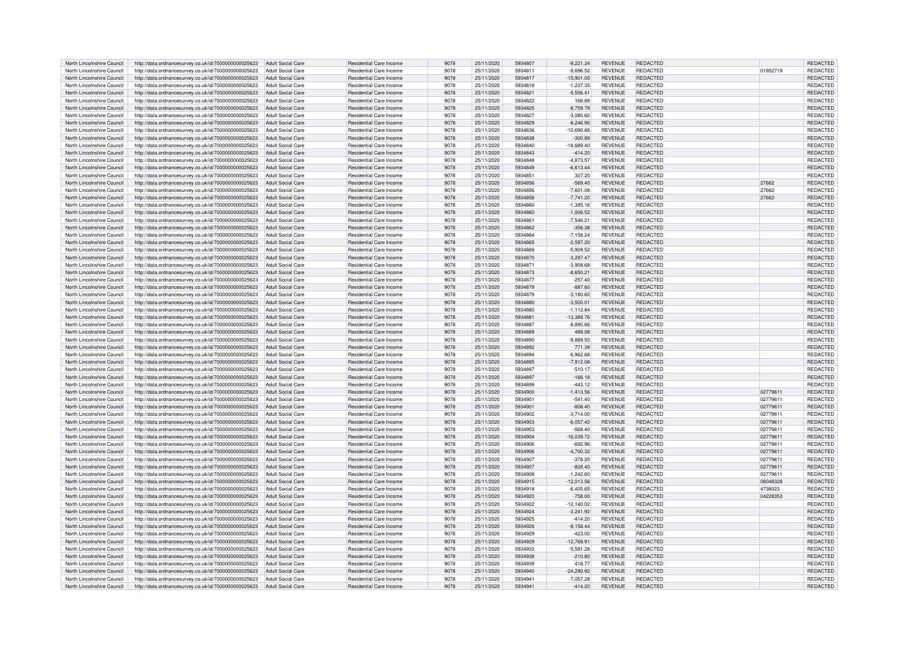| North Lincolnshire Council | http://data.ordnancesurvey.co.uk/id/7000000000025623 | Adult Social Care        | Residential Care Income        | 9078 | 25/11/2020 | 5934807 | $-9.221.24$  | <b>REVENUE</b> | REDACTED        |          | REDACTED        |
|----------------------------|------------------------------------------------------|--------------------------|--------------------------------|------|------------|---------|--------------|----------------|-----------------|----------|-----------------|
| North Lincolnshire Council | http://data.ordnancesurvey.co.uk/id/7000000000025623 | <b>Adult Social Care</b> | Residential Care Income        | 9078 | 25/11/2020 | 5934811 | $-9,696.52$  | <b>REVENUE</b> | REDACTED        | 01952719 | REDACTED        |
| North Lincolnshire Council | http://data.ordnancesurvey.co.uk/id/7000000000025623 | <b>Adult Social Care</b> | Residential Care Income        | 9078 | 25/11/2020 | 5934817 | $-15,901.05$ | <b>REVENUE</b> | REDACTED        |          | REDACTED        |
| North Lincolnshire Council | http://data.ordnancesurvey.co.uk/id/7000000000025623 | <b>Adult Social Care</b> | <b>Residential Care Income</b> | 9078 | 25/11/2020 | 5934818 | $-1,237.35$  | <b>REVENUE</b> | REDACTED        |          | REDACTED        |
| North Lincolnshire Council |                                                      | <b>Adult Social Care</b> | Residential Care Income        | 9078 | 25/11/2020 | 5934821 | $-5,556.41$  | <b>REVENUE</b> | REDACTED        |          | REDACTED        |
|                            | http://data.ordnancesurvey.co.uk/id/7000000000025623 |                          |                                |      |            | 5934822 |              |                |                 |          |                 |
| North Lincolnshire Council | http://data.ordnancesurvey.co.uk/id/7000000000025623 | <b>Adult Social Care</b> | <b>Residential Care Income</b> | 9078 | 25/11/2020 |         | 166.89       | <b>REVENUE</b> | REDACTED        |          | REDACTED        |
| North Lincolnshire Council | http://data.ordnancesurvey.co.uk/id/7000000000025623 | <b>Adult Social Care</b> | Residential Care Income        | 9078 | 25/11/2020 | 5934825 | $-8,759.79$  | <b>REVENUE</b> | <b>REDACTED</b> |          | REDACTED        |
| North Lincolnshire Council | http://data.ordnancesurvey.co.uk/id/7000000000025623 | <b>Adult Social Care</b> | Residential Care Income        | 9078 | 25/11/2020 | 5934827 | $-3,080.60$  | <b>REVENUE</b> | <b>REDACTED</b> |          | REDACTED        |
| North Lincolnshire Council | http://data.ordnancesurvey.co.uk/id/7000000000025623 | <b>Adult Social Care</b> | Residential Care Income        | 9078 | 25/11/2020 | 5934829 | $-8.246.90$  | <b>REVENUE</b> | REDACTED        |          | REDACTED        |
| North Lincolnshire Council | http://data.ordnancesurvey.co.uk/id/7000000000025623 | <b>Adult Social Care</b> | <b>Residential Care Income</b> | 9078 | 25/11/2020 | 5934836 | 10,690.86    | <b>REVENUE</b> | <b>REDACTED</b> |          | REDACTED        |
| North Lincolnshire Council | http://data.ordnancesurvey.co.uk/id/7000000000025623 | <b>Adult Social Care</b> | Residential Care Income        | 9078 | 25/11/2020 | 5934838 | $-300.89$    | <b>REVENUE</b> | REDACTED        |          | REDACTED        |
| North Lincolnshire Council | http://data.ordnancesurvey.co.uk/id/7000000000025623 | <b>Adult Social Care</b> | Residential Care Income        | 9078 | 25/11/2020 | 5934840 | $-18.689.40$ | <b>REVENUE</b> | REDACTED        |          | REDACTED        |
| North Lincolnshire Council | http://data.ordnancesurvey.co.uk/id/7000000000025623 | Adult Social Care        | Residential Care Income        | 9078 | 25/11/2020 | 5934843 | $-414.20$    | <b>REVENUE</b> | <b>REDACTED</b> |          | REDACTED        |
| North Lincolnshire Council | http://data.ordnancesurvey.co.uk/id/7000000000025623 | <b>Adult Social Care</b> | Residential Care Income        | 9078 | 25/11/2020 | 5934848 | $-4.873.57$  | <b>REVENUE</b> | REDACTED        |          | REDACTED        |
| North Lincolnshire Council |                                                      | Adult Social Care        | <b>Residential Care Income</b> | 9078 | 25/11/2020 | 5934849 |              | <b>REVENUE</b> | <b>REDACTED</b> |          | REDACTED        |
|                            | http://data.ordnancesurvey.co.uk/id/7000000000025623 |                          |                                |      |            |         | $-6,613.44$  |                |                 |          |                 |
| North Lincolnshire Council | http://data.ordnancesurvey.co.uk/id/7000000000025623 | <b>Adult Social Care</b> | <b>Residential Care Income</b> | 9078 | 25/11/2020 | 5934851 | 307.20       | <b>REVENUE</b> | <b>REDACTED</b> |          | REDACTED        |
| North Lincolnshire Council | http://data.ordnancesurvey.co.uk/id/7000000000025623 | <b>Adult Social Care</b> | Residential Care Income        | 9078 | 25/11/2020 | 5934856 | $-569.40$    | <b>REVENUE</b> | <b>REDACTED</b> | 27662    | REDACTED        |
| North Lincolnshire Council | http://data.ordnancesurvey.co.uk/id/7000000000025623 | <b>Adult Social Care</b> | <b>Residential Care Income</b> | 9078 | 25/11/2020 | 5934856 | $-7,601.08$  | <b>REVENUE</b> | <b>REDACTED</b> | 27662    | REDACTED        |
| North Lincolnshire Council | http://data.ordnancesurvey.co.uk/id/7000000000025623 | <b>Adult Social Care</b> | Residential Care Income        | 9078 | 25/11/2020 | 5934858 | $-7,741.20$  | <b>REVENUE</b> | REDACTED        | 27662    | REDACTED        |
| North Lincolnshire Council | http://data.ordnancesurvey.co.uk/id/7000000000025623 | <b>Adult Social Care</b> | <b>Residential Care Income</b> | 9078 | 25/11/2020 | 5934860 | $-1,395.16$  | <b>REVENUE</b> | <b>REDACTED</b> |          | REDACTED        |
| North Lincolnshire Council | http://data.ordnancesurvey.co.uk/id/7000000000025623 | Adult Social Care        | Residential Care Income        | 9078 | 25/11/2020 | 5934860 | $-1,006.52$  | <b>REVENUE</b> | <b>REDACTED</b> |          | REDACTED        |
| North Lincolnshire Council | http://data.ordnancesurvey.co.uk/id/7000000000025623 | <b>Adult Social Care</b> | Residential Care Income        | 9078 | 25/11/2020 | 5934861 | $-7.546.21$  | <b>REVENUE</b> | REDACTED        |          | REDACTED        |
| North Lincolnshire Council | http://data.ordnancesurvey.co.uk/id/7000000000025623 | <b>Adult Social Care</b> | <b>Residential Care Income</b> | 9078 | 25/11/2020 | 5934862 | $-356.38$    | <b>REVENUE</b> | <b>REDACTED</b> |          | REDACTED        |
| North Lincolnshire Council |                                                      | <b>Adult Social Care</b> | <b>Residential Care Income</b> | 9078 | 25/11/2020 | 5934864 | $-7,158.24$  | <b>REVENUE</b> | <b>REDACTED</b> |          | REDACTED        |
|                            | http://data.ordnancesurvey.co.uk/id/7000000000025623 |                          |                                |      |            |         |              |                |                 |          |                 |
| North Lincolnshire Council | http://data.ordnancesurvey.co.uk/id/7000000000025623 | <b>Adult Social Care</b> | Residential Care Income        | 9078 | 25/11/2020 | 5934865 | $-2,597.20$  | <b>REVENUE</b> | <b>REDACTED</b> |          | REDACTED        |
| North Lincolnshire Council | http://data.ordnancesurvey.co.uk/id/7000000000025623 | <b>Adult Social Care</b> | Residential Care Income        | 9078 | 25/11/2020 | 5934868 | $-5,909.52$  | <b>REVENUE</b> | <b>REDACTED</b> |          | REDACTED        |
| North Lincolnshire Council | http://data.ordnancesurvey.co.uk/id/7000000000025623 | <b>Adult Social Care</b> | Residential Care Income        | 9078 | 25/11/2020 | 5934870 | $-3,297.47$  | <b>REVENUE</b> | REDACTED        |          | REDACTED        |
| North Lincolnshire Council | http://data.ordnancesurvey.co.uk/id/7000000000025623 | <b>Adult Social Care</b> | Residential Care Income        | 9078 | 25/11/2020 | 5934871 | $-3.908.68$  | <b>REVENUE</b> | <b>REDACTED</b> |          | REDACTED        |
| North Lincolnshire Council | http://data.ordnancesurvey.co.uk/id/7000000000025623 | <b>Adult Social Care</b> | <b>Residential Care Income</b> | 9078 | 25/11/2020 | 5934873 | $-8,650.21$  | <b>REVENUE</b> | REDACTED        |          | REDACTED        |
| North Lincolnshire Council | http://data.ordnancesurvey.co.uk/id/7000000000025623 | <b>Adult Social Care</b> | <b>Residential Care Income</b> | 9078 | 25/11/2020 | 5934877 | $-257.40$    | <b>REVENUE</b> | <b>REDACTED</b> |          | REDACTED        |
| North Lincolnshire Council | http://data.ordnancesurvey.co.uk/id/7000000000025623 | <b>Adult Social Care</b> | Residential Care Income        | 9078 | 25/11/2020 | 5934879 | $-887.60$    | <b>REVENUE</b> | REDACTED        |          | REDACTED        |
| North Lincolnshire Council | http://data.ordnancesurvey.co.uk/id/7000000000025623 | <b>Adult Social Care</b> | <b>Residential Care Income</b> | 9078 | 25/11/2020 | 5934879 | $-3,180.60$  | <b>REVENUE</b> | <b>REDACTED</b> |          | REDACTED        |
| North Lincolnshire Council | http://data.ordnancesurvey.co.uk/id/7000000000025623 | Adult Social Care        | Residential Care Income        | 9078 | 25/11/2020 | 5934880 | $-3,500.01$  | <b>REVENUE</b> | REDACTED        |          | REDACTED        |
| North Lincolnshire Council | http://data.ordnancesurvey.co.uk/id/7000000000025623 | <b>Adult Social Care</b> | Residential Care Income        | 9078 | 25/11/2020 | 5934880 | $-1, 112.84$ | <b>REVENUE</b> | REDACTED        |          | REDACTED        |
|                            |                                                      |                          |                                |      |            |         |              |                |                 |          |                 |
| North Lincolnshire Council | http://data.ordnancesurvey.co.uk/id/7000000000025623 | <b>Adult Social Care</b> | Residential Care Income        | 9078 | 25/11/2020 | 5934881 | -13,389.76   | <b>REVENUE</b> | REDACTED        |          | <b>REDACTED</b> |
| North Lincolnshire Council | http://data.ordnancesurvey.co.uk/id/7000000000025623 | <b>Adult Social Care</b> | Residential Care Income        | 9078 | 25/11/2020 | 5934887 | $-8,890.66$  | <b>REVENUE</b> | REDACTED        |          | REDACTED        |
| North Lincolnshire Council | http://data.ordnancesurvey.co.uk/id/7000000000025623 | <b>Adult Social Care</b> | <b>Residential Care Income</b> | 9078 | 25/11/2020 | 5934889 | 489.08       | <b>REVENUE</b> | <b>REDACTED</b> |          | REDACTED        |
| North Lincolnshire Council | http://data.ordnancesurvey.co.uk/id/7000000000025623 | <b>Adult Social Care</b> | Residential Care Income        | 9078 | 25/11/2020 | 5934890 | $-9,889.50$  | <b>REVENUE</b> | <b>REDACTED</b> |          | REDACTED        |
| North Lincolnshire Council | http://data.ordnancesurvey.co.uk/id/7000000000025623 | <b>Adult Social Care</b> | Residential Care Income        | 9078 | 25/11/2020 | 5934892 | 771.39       | <b>REVENUE</b> | <b>REDACTED</b> |          | REDACTED        |
| North Lincolnshire Council | http://data.ordnancesurvey.co.uk/id/7000000000025623 | <b>Adult Social Care</b> | Residential Care Income        | 9078 | 25/11/2020 | 5934894 | $-6,962.68$  | <b>REVENUE</b> | REDACTED        |          | REDACTED        |
| North Lincolnshire Council | http://data.ordnancesurvey.co.uk/id/7000000000025623 | <b>Adult Social Care</b> | Residential Care Income        | 9078 | 25/11/2020 | 5934895 | $-7,912.08$  | <b>REVENUE</b> | REDACTED        |          | REDACTED        |
| North Lincolnshire Council | http://data.ordnancesurvey.co.uk/id/7000000000025623 | <b>Adult Social Care</b> | Residential Care Income        | 9078 | 25/11/2020 | 5934897 | $-510.17$    | <b>REVENUE</b> | REDACTED        |          | REDACTED        |
| North Lincolnshire Council | http://data.ordnancesurvey.co.uk/id/7000000000025623 | <b>Adult Social Care</b> | Residential Care Income        | 9078 | 25/11/2020 | 5934897 | $-166.18$    | <b>REVENUE</b> | REDACTED        |          | REDACTED        |
| North Lincolnshire Council |                                                      | <b>Adult Social Care</b> | <b>Residential Care Income</b> | 9078 |            | 5934899 |              | <b>REVENUE</b> | REDACTED        |          |                 |
|                            | http://data.ordnancesurvey.co.uk/id/7000000000025623 |                          |                                |      | 25/11/2020 |         | $-443.12$    |                |                 |          | REDACTED        |
| North Lincolnshire Council | http://data.ordnancesurvey.co.uk/id/7000000000025623 | <b>Adult Social Care</b> | Residential Care Income        | 9078 | 25/11/2020 | 5934900 | $-1,413.56$  | <b>REVENUE</b> | REDACTED        | 02779611 | REDACTED        |
| North Lincolnshire Council | http://data.ordnancesurvey.co.uk/id/7000000000025623 | <b>Adult Social Care</b> | Residential Care Income        | 9078 | 25/11/2020 | 5934901 | $-541.40$    | <b>REVENUE</b> | REDACTED        | 0277961  | REDACTED        |
| North Lincolnshire Council | http://data.ordnancesurvey.co.uk/id/7000000000025623 | <b>Adult Social Care</b> | Residential Care Income        | 9078 | 25/11/2020 | 5934901 | $-808.40$    | <b>REVENUE</b> | <b>REDACTED</b> | 02779611 | <b>REDACTED</b> |
| North Lincolnshire Council | http://data.ordnancesurvey.co.uk/id/7000000000025623 | <b>Adult Social Care</b> | Residential Care Income        | 9078 | 25/11/2020 | 5934902 | $-3.714.00$  | <b>REVENUE</b> | REDACTED        | 0277961  | REDACTED        |
| North Lincolnshire Council | http://data.ordnancesurvey.co.uk/id/7000000000025623 | <b>Adult Social Care</b> | Residential Care Income        | 9078 | 25/11/2020 | 5934903 | $-6.057.40$  | <b>REVENUE</b> | <b>REDACTED</b> | 02779611 | REDACTED        |
| North Lincolnshire Council | http://data.ordnancesurvey.co.uk/id/7000000000025623 | <b>Adult Social Care</b> | <b>Residential Care Income</b> | 9078 | 25/11/2020 | 5934903 | $-569.40$    | <b>REVENUE</b> | <b>REDACTED</b> | 02779611 | REDACTED        |
| North Lincolnshire Council | http://data.ordnancesurvey.co.uk/id/7000000000025623 | Adult Social Care        | Residential Care Income        | 9078 | 25/11/2020 | 5934904 | 16,039.72    | <b>REVENUE</b> | REDACTED        | 02779611 | REDACTED        |
| North Lincolnshire Council | http://data.ordnancesurvey.co.uk/id/7000000000025623 | <b>Adult Social Care</b> | Residential Care Income        | 9078 | 25/11/2020 | 5934906 | $-692.96$    | <b>REVENUE</b> | <b>REDACTED</b> | 02779611 | REDACTED        |
| North Lincolnshire Council | http://data.ordnancesurvey.co.uk/id/7000000000025623 | Adult Social Care        | Residential Care Income        | 9078 | 25/11/2020 | 5934906 | $-4,700.32$  | <b>REVENUE</b> | REDACTED        | 02779611 | REDACTED        |
| North Lincolnshire Council |                                                      |                          | Residential Care Income        | 9078 |            | 5934907 |              |                |                 |          |                 |
|                            | http://data.ordnancesurvey.co.uk/id/7000000000025623 | <b>Adult Social Care</b> |                                |      | 25/11/2020 |         | $-378.20$    | <b>REVENUE</b> | REDACTED        | 02779611 | REDACTED        |
| North Lincolnshire Council | http://data.ordnancesurvey.co.uk/id/7000000000025623 | <b>Adult Social Care</b> | <b>Residential Care Income</b> | 9078 | 25/11/2020 | 5934907 | $-828.40$    | <b>REVENUE</b> | <b>REDACTED</b> | 02779611 | REDACTED        |
| North Lincolnshire Council | http://data.ordnancesurvey.co.uk/id/7000000000025623 | <b>Adult Social Care</b> | Residential Care Income        | 9078 | 25/11/2020 | 5934908 | $-1,242.60$  | <b>REVENUE</b> | <b>REDACTED</b> | 02779611 | REDACTED        |
| North Lincolnshire Council | http://data.ordnancesurvey.co.uk/id/7000000000025623 | <b>Adult Social Care</b> | Residential Care Income        | 9078 | 25/11/2020 | 5934915 | 12,013.56    | <b>REVENUE</b> | <b>REDACTED</b> | 06048328 | REDACTED        |
| North Lincolnshire Council | http://data.ordnancesurvey.co.uk/id/7000000000025623 | <b>Adult Social Care</b> | Residential Care Income        | 9078 | 25/11/2020 | 5934918 | $-6.405.65$  | <b>REVENUE</b> | REDACTED        | 4738023  | REDACTED        |
| North Lincolnshire Council | http://data.ordnancesurvey.co.uk/id/7000000000025623 | <b>Adult Social Care</b> | <b>Residential Care Income</b> | 9078 | 25/11/2020 | 5934920 | $-758.00$    | <b>REVENUE</b> | <b>REDACTED</b> | 04228353 | REDACTED        |
| North Lincolnshire Council | http://data.ordnancesurvey.co.uk/id/7000000000025623 | <b>Adult Social Care</b> | Residential Care Income        | 9078 | 25/11/2020 | 5934922 | $-12.140.02$ | <b>REVENUE</b> | <b>REDACTED</b> |          | REDACTED        |
| North Lincolnshire Council | http://data.ordnancesurvey.co.uk/id/7000000000025623 | <b>Adult Social Care</b> | Residential Care Income        | 9078 | 25/11/2020 | 5934924 | $-3,241.92$  | <b>REVENUE</b> | REDACTED        |          | REDACTED        |
| North Lincolnshire Council | http://data.ordnancesurvey.co.uk/id/7000000000025623 | <b>Adult Social Care</b> | <b>Residential Care Income</b> | 9078 | 25/11/2020 | 5934925 | $-414.20$    | <b>REVENUE</b> | <b>REDACTED</b> |          | REDACTED        |
| North Lincolnshire Council | http://data.ordnancesurvey.co.uk/id/7000000000025623 | <b>Adult Social Care</b> | Residential Care Income        | 9078 | 25/11/2020 | 5934926 | $-8.158.44$  | <b>REVENUE</b> | <b>REDACTED</b> |          | REDACTED        |
|                            |                                                      |                          |                                |      |            |         |              |                |                 |          |                 |
| North Lincolnshire Council | http://data.ordnancesurvey.co.uk/id/7000000000025623 | <b>Adult Social Care</b> | <b>Residential Care Income</b> | 9078 | 25/11/2020 | 5934929 | $-423.00$    | <b>REVENUE</b> | <b>REDACTED</b> |          | REDACTED        |
| North Lincolnshire Council | http://data.ordnancesurvey.co.uk/id/7000000000025623 | <b>Adult Social Care</b> | <b>Residential Care Income</b> | 9078 | 25/11/2020 | 5934929 | $-12,769.91$ | <b>REVENUE</b> | <b>REDACTED</b> |          | REDACTED        |
| North Lincolnshire Council | http://data.ordnancesurvey.co.uk/id/7000000000025623 | <b>Adult Social Care</b> | Residential Care Income        | 9078 | 25/11/2020 | 5934933 | $-5.591.28$  | <b>REVENUE</b> | REDACTED        |          | REDACTED        |
| North Lincolnshire Council | http://data.ordnancesurvey.co.uk/id/7000000000025623 | <b>Adult Social Care</b> | <b>Residential Care Income</b> | 9078 | 25/11/2020 | 5934938 | $-210.80$    | <b>REVENUE</b> | <b>REDACTED</b> |          | REDACTED        |
| North Lincolnshire Council | http://data.ordnancesurvey.co.uk/id/7000000000025623 | <b>Adult Social Care</b> | Residential Care Income        | 9078 | 25/11/2020 | 5934939 | 418.77       | <b>REVENUE</b> | REDACTED        |          | REDACTED        |
| North Lincolnshire Council | http://data.ordnancesurvey.co.uk/id/7000000000025623 | <b>Adult Social Care</b> | <b>Residential Care Income</b> | 9078 | 25/11/2020 | 5934940 | $-24.290.92$ | <b>REVENUE</b> | REDACTED        |          | REDACTED        |
| North Lincolnshire Council | http://data.ordnancesurvey.co.uk/id/7000000000025623 | Adult Social Care        | Residential Care Income        | 9078 | 25/11/2020 | 5934941 | $-7.057.28$  | <b>REVENUE</b> | <b>REDACTED</b> |          | <b>REDACTED</b> |
| North Lincolnshire Council | http://data.ordnancesurvey.co.uk/id/7000000000025623 | Adult Social Care        | Residential Care Income        | 9078 | 25/11/2020 | 5934941 | $-414.20$    | <b>REVENUE</b> | REDACTED        |          | REDACTED        |
|                            |                                                      |                          |                                |      |            |         |              |                |                 |          |                 |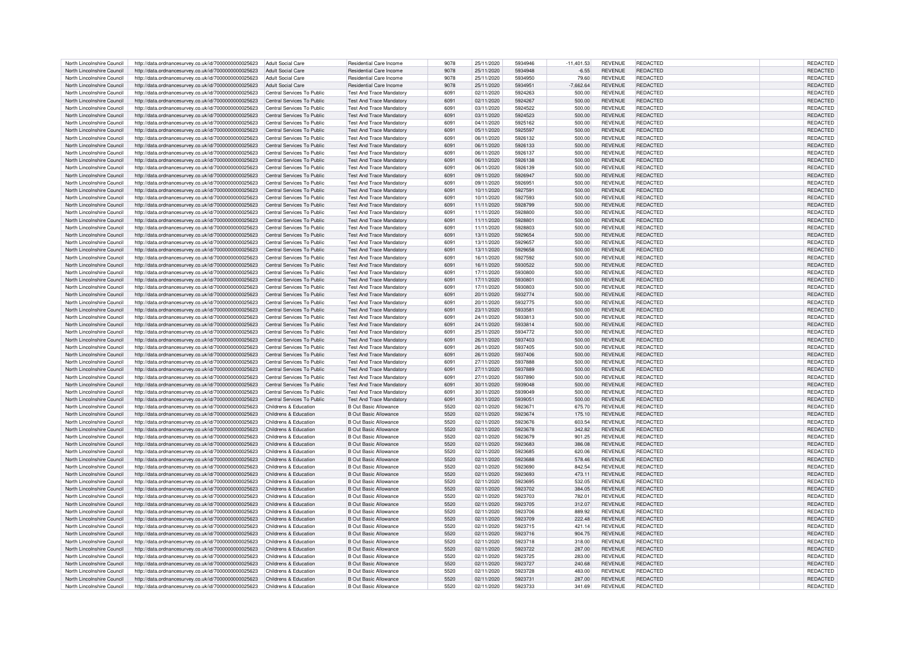| North Lincolnshire Council | http://data.ordnancesurvey.co.uk/id/7000000000025623 | <b>Adult Social Care</b>   | Residential Care Income         | 9078 | 25/11/2020 | 5934946 | $-11,401.53$ | <b>REVENUE</b> | <b>REDACTED</b> | REDACTED        |
|----------------------------|------------------------------------------------------|----------------------------|---------------------------------|------|------------|---------|--------------|----------------|-----------------|-----------------|
| North Lincolnshire Council | http://data.ordnancesurvey.co.uk/id/7000000000025623 | Adult Social Care          | Residential Care Income         | 9078 | 25/11/2020 | 5934948 | $-6.55$      | <b>REVENUE</b> | REDACTED        | <b>REDACTED</b> |
|                            |                                                      |                            |                                 |      |            |         |              |                |                 |                 |
| North Lincolnshire Council | http://data.ordnancesurvey.co.uk/id/7000000000025623 | <b>Adult Social Care</b>   | Residential Care Income         | 9078 | 25/11/2020 | 5934950 | 79.60        | <b>REVENUE</b> | REDACTED        | REDACTED        |
| North Lincolnshire Council | http://data.ordnancesurvey.co.uk/id/7000000000025623 | <b>Adult Social Care</b>   | <b>Residential Care Income</b>  | 9078 | 25/11/2020 | 5934951 | $-7,662.64$  | <b>REVENUE</b> | <b>REDACTED</b> | <b>REDACTED</b> |
| North Lincolnshire Council | http://data.ordnancesurvey.co.uk/id/7000000000025623 | Central Services To Public | <b>Test And Trace Mandatory</b> | 6091 | 02/11/2020 | 5924263 | 500.00       | <b>REVENUE</b> | REDACTED        | REDACTED        |
| North Lincolnshire Council | http://data.ordnancesurvey.co.uk/id/7000000000025623 | Central Services To Public | <b>Test And Trace Mandator</b>  | 6091 | 02/11/2020 | 5924267 | 500.00       | <b>REVENUE</b> | <b>REDACTED</b> | REDACTED        |
|                            |                                                      |                            |                                 |      |            |         |              |                |                 |                 |
| North Lincolnshire Council | http://data.ordnancesurvey.co.uk/id/7000000000025623 | Central Services To Public | <b>Test And Trace Mandaton</b>  | 6091 | 03/11/2020 | 5924522 | 500.00       | <b>REVENUE</b> | <b>REDACTED</b> | REDACTED        |
| North Lincolnshire Council | http://data.ordnancesurvey.co.uk/id/7000000000025623 | Central Services To Public | <b>Test And Trace Mandatory</b> | 6091 | 03/11/2020 | 5924523 | 500.00       | <b>REVENUE</b> | <b>REDACTED</b> | REDACTED        |
| North Lincolnshire Council | http://data.ordnancesurvey.co.uk/id/7000000000025623 | Central Services To Public | <b>Test And Trace Mandatory</b> | 609  | 04/11/2020 | 5925162 | 500.00       | <b>REVENUE</b> | <b>REDACTED</b> | REDACTED        |
| North Lincolnshire Council | http://data.ordnancesurvey.co.uk/id/7000000000025623 | Central Services To Public | <b>Test And Trace Mandatory</b> | 6091 | 05/11/2020 | 5925597 | 500.00       | <b>REVENUE</b> | REDACTED        | REDACTED        |
| North Lincolnshire Council | http://data.ordnancesurvey.co.uk/id/7000000000025623 | Central Services To Public | <b>Test And Trace Mandatory</b> | 6091 | 06/11/2020 | 5926132 | 500.00       | <b>REVENUE</b> | <b>REDACTED</b> | REDACTED        |
|                            |                                                      |                            |                                 |      |            |         |              |                |                 |                 |
| North Lincolnshire Council | http://data.ordnancesurvey.co.uk/id/7000000000025623 | Central Services To Public | <b>Test And Trace Mandatory</b> | 6091 | 06/11/2020 | 5926133 | 500.00       | <b>REVENUE</b> | REDACTED        | REDACTED        |
| North Lincolnshire Council | http://data.ordnancesurvey.co.uk/id/7000000000025623 | Central Services To Public | Test And Trace Mandatory        | 609  | 06/11/2020 | 5926137 | 500.00       | <b>REVENUE</b> | <b>REDACTED</b> | REDACTED        |
| North Lincolnshire Council | http://data.ordnancesurvey.co.uk/id/7000000000025623 | Central Services To Public | <b>Test And Trace Mandatory</b> | 6091 | 06/11/2020 | 5926138 | 500.00       | <b>REVENUE</b> | <b>REDACTED</b> | REDACTED        |
| North Lincolnshire Council | http://data.ordnancesurvey.co.uk/id/7000000000025623 | Central Services To Public | <b>Test And Trace Mandatory</b> | 6091 | 06/11/2020 | 5926139 | 500.00       | <b>REVENUE</b> | <b>REDACTED</b> | REDACTED        |
| North Lincolnshire Council | http://data.ordnancesurvey.co.uk/id/7000000000025623 | Central Services To Public | <b>Test And Trace Mandatory</b> | 6091 | 09/11/2020 | 5926947 | 500.00       | <b>REVENUE</b> | <b>REDACTED</b> | REDACTED        |
|                            |                                                      |                            |                                 |      |            |         |              |                |                 |                 |
| North Lincolnshire Council | http://data.ordnancesurvey.co.uk/id/7000000000025623 | Central Services To Public | <b>Test And Trace Mandatory</b> | 6091 | 09/11/2020 | 5926951 | 500.00       | <b>REVENUE</b> | REDACTED        | REDACTED        |
| North Lincolnshire Council | http://data.ordnancesurvey.co.uk/id/7000000000025623 | Central Services To Public | <b>Test And Trace Mandatory</b> | 6091 | 10/11/2020 | 5927591 | 500.00       | <b>REVENUE</b> | <b>REDACTED</b> | REDACTED        |
| North Lincolnshire Council | http://data.ordnancesurvey.co.uk/id/7000000000025623 | Central Services To Public | <b>Test And Trace Mandatory</b> | 6091 | 10/11/2020 | 5927593 | 500.00       | <b>REVENUE</b> | <b>REDACTED</b> | REDACTED        |
| North Lincolnshire Council | http://data.ordnancesurvey.co.uk/id/7000000000025623 | Central Services To Public | <b>Test And Trace Mandatory</b> | 6091 | 11/11/2020 | 5928799 | 500.00       | <b>REVENUE</b> | REDACTED        | REDACTED        |
| North Lincolnshire Council | http://data.ordnancesurvey.co.uk/id/7000000000025623 | Central Services To Public | <b>Test And Trace Mandatory</b> | 609  | 11/11/2020 | 5928800 | 500.00       | <b>REVENUE</b> | <b>REDACTED</b> | REDACTED        |
|                            |                                                      |                            |                                 |      |            |         |              |                |                 |                 |
| North Lincolnshire Council | http://data.ordnancesurvey.co.uk/id/7000000000025623 | Central Services To Public | <b>Test And Trace Mandatory</b> | 6091 | 11/11/2020 | 5928801 | 500.00       | <b>REVENUE</b> | REDACTED        | REDACTED        |
| North Lincolnshire Council | http://data.ordnancesurvey.co.uk/id/7000000000025623 | Central Services To Public | <b>Test And Trace Mandatory</b> | 6091 | 11/11/2020 | 5928803 | 500.00       | <b>REVENUE</b> | REDACTED        | REDACTED        |
| North Lincolnshire Council | http://data.ordnancesurvey.co.uk/id/7000000000025623 | Central Services To Public | <b>Test And Trace Mandatory</b> | 6091 | 13/11/2020 | 5929654 | 500.00       | <b>REVENUE</b> | REDACTED        | REDACTED        |
| North Lincolnshire Council | http://data.ordnancesurvey.co.uk/id/7000000000025623 | Central Services To Public | <b>Test And Trace Mandator</b>  | 6091 | 13/11/2020 | 5929657 | 500.00       | <b>REVENUE</b> | REDACTED        | REDACTED        |
| North Lincolnshire Council | http://data.ordnancesurvey.co.uk/id/7000000000025623 | Central Services To Public | <b>Test And Trace Mandator</b>  | 6091 | 13/11/2020 | 5929658 | 500.00       | <b>REVENUE</b> | <b>REDACTED</b> | <b>REDACTED</b> |
| North Lincolnshire Council | http://data.ordnancesurvey.co.uk/id/7000000000025623 | Central Services To Public | <b>Test And Trace Mandatory</b> | 609  | 16/11/2020 | 5927592 | 500.00       | <b>REVENUE</b> | <b>REDACTED</b> | REDACTED        |
|                            |                                                      |                            |                                 |      |            |         |              |                |                 |                 |
| North Lincolnshire Council | http://data.ordnancesurvey.co.uk/id/7000000000025623 | Central Services To Public | <b>Test And Trace Mandatory</b> | 6091 | 16/11/2020 | 5930522 | 500.00       | <b>REVENUE</b> | <b>REDACTED</b> | <b>REDACTED</b> |
| North Lincolnshire Council | http://data.ordnancesurvey.co.uk/id/7000000000025623 | Central Services To Public | <b>Test And Trace Mandatory</b> | 6091 | 17/11/2020 | 5930800 | 500.00       | <b>REVENUE</b> | <b>REDACTED</b> | REDACTED        |
| North Lincolnshire Council | http://data.ordnancesurvey.co.uk/id/7000000000025623 | Central Services To Public | <b>Test And Trace Mandatory</b> | 6091 | 17/11/2020 | 5930801 | 500.00       | <b>REVENUE</b> | <b>REDACTED</b> | REDACTED        |
| North Lincolnshire Council | http://data.ordnancesurvey.co.uk/id/7000000000025623 | Central Services To Public | <b>Test And Trace Mandatory</b> | 609  | 17/11/2020 | 5930803 | 500.00       | <b>REVENUE</b> | REDACTED        | REDACTED        |
| North Lincolnshire Council | http://data.ordnancesurvey.co.uk/id/7000000000025623 | Central Services To Public | <b>Test And Trace Mandatory</b> | 6091 | 20/11/2020 | 5932774 | 500.00       | <b>REVENUE</b> | REDACTED        | REDACTED        |
|                            |                                                      |                            |                                 |      |            |         |              |                |                 |                 |
| North Lincolnshire Council | http://data.ordnancesurvey.co.uk/id/7000000000025623 | Central Services To Public | <b>Test And Trace Mandatory</b> | 6091 | 20/11/2020 | 5932775 | 500.00       | <b>REVENUE</b> | <b>REDACTED</b> | REDACTED        |
| North Lincolnshire Council | http://data.ordnancesurvey.co.uk/id/7000000000025623 | Central Services To Public | <b>Test And Trace Mandatory</b> | 6091 | 23/11/2020 | 5933581 | 500.00       | <b>REVENUE</b> | <b>REDACTED</b> | REDACTED        |
| North Lincolnshire Council | http://data.ordnancesurvey.co.uk/id/7000000000025623 | Central Services To Public | <b>Test And Trace Mandatory</b> | 6091 | 24/11/2020 | 5933813 | 500.00       | <b>REVENUE</b> | <b>REDACTED</b> | REDACTED        |
| North Lincolnshire Council | http://data.ordnancesurvey.co.uk/id/7000000000025623 | Central Services To Public | <b>Test And Trace Mandatory</b> | 6091 | 24/11/2020 | 5933814 | 500.00       | <b>REVENUE</b> | <b>REDACTED</b> | REDACTED        |
| North Lincolnshire Council | http://data.ordnancesurvey.co.uk/id/7000000000025623 | Central Services To Public | <b>Test And Trace Mandatory</b> | 6091 | 25/11/2020 | 5934772 | 500.00       | <b>REVENUE</b> | <b>REDACTED</b> | REDACTED        |
|                            |                                                      |                            |                                 |      |            |         |              |                |                 |                 |
| North Lincolnshire Council | http://data.ordnancesurvey.co.uk/id/7000000000025623 | Central Services To Public | <b>Test And Trace Mandatory</b> | 6091 | 26/11/2020 | 5937403 | 500.00       | <b>REVENUE</b> | <b>REDACTED</b> | REDACTED        |
| North Lincolnshire Council | http://data.ordnancesurvey.co.uk/id/7000000000025623 | Central Services To Public | <b>Test And Trace Mandatory</b> | 6091 | 26/11/2020 | 5937405 | 500.00       | <b>REVENUE</b> | <b>REDACTED</b> | REDACTED        |
| North Lincolnshire Council | http://data.ordnancesurvey.co.uk/id/7000000000025623 | Central Services To Public | <b>Test And Trace Mandatory</b> | 6091 | 26/11/2020 | 5937406 | 500.00       | <b>REVENUE</b> | REDACTED        | REDACTED        |
| North Lincolnshire Council | http://data.ordnancesurvey.co.uk/id/7000000000025623 | Central Services To Public | <b>Test And Trace Mandaton</b>  | 609  | 27/11/2020 | 5937888 | 500.00       | <b>REVENUE</b> | <b>REDACTED</b> | <b>REDACTED</b> |
| North Lincolnshire Council | http://data.ordnancesurvey.co.uk/id/7000000000025623 | Central Services To Public | <b>Test And Trace Mandatory</b> | 6091 | 27/11/2020 | 5937889 | 500.00       | <b>REVENUE</b> | REDACTED        | REDACTED        |
|                            |                                                      |                            |                                 |      |            |         |              |                |                 |                 |
| North Lincolnshire Council | http://data.ordnancesurvey.co.uk/id/7000000000025623 | Central Services To Public | <b>Test And Trace Mandatory</b> | 6091 | 27/11/2020 | 5937890 | 500.00       | <b>REVENUE</b> | REDACTED        | REDACTED        |
| North Lincolnshire Council | http://data.ordnancesurvey.co.uk/id/7000000000025623 | Central Services To Public | <b>Test And Trace Mandatory</b> | 6091 | 30/11/2020 | 5939048 | 500.00       | <b>REVENUE</b> | REDACTED        | REDACTED        |
| North Lincolnshire Council | http://data.ordnancesurvey.co.uk/id/7000000000025623 | Central Services To Public | <b>Test And Trace Mandatory</b> | 6091 | 30/11/2020 | 5939049 | 500.00       | <b>REVENUE</b> | REDACTED        | REDACTED        |
| North Lincolnshire Council | http://data.ordnancesurvey.co.uk/id/7000000000025623 | Central Services To Public | <b>Test And Trace Mandator</b>  | 6091 | 30/11/2020 | 5939051 | 500.00       | <b>REVENUE</b> | <b>REDACTED</b> | <b>REDACTED</b> |
| North Lincolnshire Council | http://data.ordnancesurvey.co.uk/id/7000000000025623 | Childrens & Education      | <b>B Out Basic Allowance</b>    | 5520 | 02/11/2020 | 592367  | 675.70       | <b>REVENUE</b> | <b>REDACTED</b> | REDACTED        |
|                            |                                                      |                            |                                 | 5520 |            | 5923674 |              |                | <b>REDACTED</b> |                 |
| North Lincolnshire Council | http://data.ordnancesurvey.co.uk/id/7000000000025623 | Childrens & Education      | <b>B Out Basic Allowance</b>    |      | 02/11/2020 |         | 175.10       | <b>REVENUE</b> |                 | <b>REDACTED</b> |
| North Lincolnshire Council | http://data.ordnancesurvey.co.uk/id/7000000000025623 | Childrens & Education      | <b>B Out Basic Allowance</b>    | 5520 | 02/11/2020 | 5923676 | 603.54       | <b>REVENUE</b> | <b>REDACTED</b> | REDACTED        |
| North Lincolnshire Council | http://data.ordnancesurvey.co.uk/id/7000000000025623 | Childrens & Education      | <b>B</b> Out Basic Allowance    | 5520 | 02/11/2020 | 5923678 | 342.82       | <b>REVENUE</b> | <b>REDACTED</b> | REDACTED        |
| North Lincolnshire Council | http://data.ordnancesurvey.co.uk/id/7000000000025623 | Childrens & Education      | <b>B</b> Out Basic Allowance    | 5520 | 02/11/2020 | 5923679 | 901.25       | <b>REVENUE</b> | REDACTED        | REDACTED        |
| North Lincolnshire Council | http://data.ordnancesurvey.co.uk/id/7000000000025623 | Childrens & Education      | <b>B Out Basic Allowance</b>    | 5520 | 02/11/2020 | 5923683 | 386.08       | <b>REVENUE</b> | REDACTED        | REDACTED        |
| North Lincolnshire Council |                                                      | Childrens & Education      | B Out Basic Allowance           | 5520 | 02/11/2020 | 5923685 | 620.06       | <b>REVENUE</b> | <b>REDACTED</b> | REDACTED        |
|                            | http://data.ordnancesurvey.co.uk/id/7000000000025623 |                            |                                 |      |            |         |              |                |                 |                 |
| North Lincolnshire Council | http://data.ordnancesurvey.co.uk/id/7000000000025623 | Childrens & Education      | B Out Basic Allowance           | 5520 | 02/11/2020 | 5923688 | 578.46       | <b>REVENUE</b> | <b>REDACTED</b> | REDACTED        |
| North Lincolnshire Council | http://data.ordnancesurvey.co.uk/id/7000000000025623 | Childrens & Education      | B Out Basic Allowance           | 5520 | 02/11/2020 | 5923690 | 842.54       | <b>REVENUE</b> | <b>REDACTED</b> | <b>REDACTED</b> |
| North Lincolnshire Council | http://data.ordnancesurvey.co.uk/id/7000000000025623 | Childrens & Education      | <b>B Out Basic Allowance</b>    | 5520 | 02/11/2020 | 5923693 | 473.11       | <b>REVENUE</b> | REDACTED        | REDACTED        |
| North Lincolnshire Council | http://data.ordnancesurvey.co.uk/id/7000000000025623 | Childrens & Education      | <b>B Out Basic Allowance</b>    | 5520 | 02/11/2020 | 5923695 | 532.05       | <b>REVENUE</b> | <b>REDACTED</b> | REDACTED        |
| North Lincolnshire Council | http://data.ordnancesurvey.co.uk/id/7000000000025623 | Childrens & Education      | <b>B Out Basic Allowance</b>    | 5520 | 02/11/2020 | 5923702 | 384.05       | <b>REVENUE</b> | <b>REDACTED</b> | REDACTED        |
|                            |                                                      |                            | <b>B.Out Basic Allowance</b>    | 5520 |            | 5923703 |              |                | <b>REDACTED</b> |                 |
| North Lincolnshire Council | http://data.ordnancesurvey.co.uk/id/7000000000025623 | Childrens & Education      |                                 |      | 02/11/2020 |         | 782.01       | <b>REVENUE</b> |                 | REDACTED        |
| North Lincolnshire Council | http://data.ordnancesurvey.co.uk/id/7000000000025623 | Childrens & Education      | B Out Basic Allowance           | 5520 | 02/11/2020 | 5923705 | 312.07       | <b>REVENUE</b> | <b>REDACTED</b> | REDACTED        |
| North Lincolnshire Council | http://data.ordnancesurvey.co.uk/id/7000000000025623 | Childrens & Education      | <b>B Out Basic Allowance</b>    | 5520 | 02/11/2020 | 5923706 | 889.92       | <b>REVENUE</b> | REDACTED        | REDACTED        |
| North Lincolnshire Council | http://data.ordnancesurvey.co.uk/id/7000000000025623 | Childrens & Education      | <b>B Out Basic Allowance</b>    | 5520 | 02/11/2020 | 5923709 | 222.48       | <b>REVENUE</b> | REDACTED        | REDACTED        |
| North Lincolnshire Council | http://data.ordnancesurvey.co.uk/id/7000000000025623 | Childrens & Education      | <b>B Out Basic Allowance</b>    | 5520 | 02/11/2020 | 5923715 | 421.14       | <b>REVENUE</b> | REDACTED        | REDACTED        |
| North Lincolnshire Council | http://data.ordnancesurvey.co.uk/id/7000000000025623 | Childrens & Education      | <b>B Out Basic Allowance</b>    | 5520 | 02/11/2020 | 5923716 | 904.75       | <b>REVENUE</b> | <b>REDACTED</b> | REDACTED        |
|                            |                                                      |                            |                                 |      |            |         |              |                |                 |                 |
| North Lincolnshire Council | http://data.ordnancesurvey.co.uk/id/7000000000025623 | Childrens & Education      | <b>B Out Basic Allowance</b>    | 5520 | 02/11/2020 | 5923718 | 318.00       | <b>REVENUE</b> | <b>REDACTED</b> | REDACTED        |
| North Lincolnshire Council | http://data.ordnancesurvey.co.uk/id/7000000000025623 | Childrens & Education      | <b>B Out Basic Allowance</b>    | 5520 | 02/11/2020 | 5923722 | 287.00       | <b>REVENUE</b> | <b>REDACTED</b> | REDACTED        |
| North Lincolnshire Council | http://data.ordnancesurvey.co.uk/id/7000000000025623 | Childrens & Education      | <b>B Out Basic Allowance</b>    | 5520 | 02/11/2020 | 5923725 | 283.00       | <b>REVENUE</b> | <b>REDACTED</b> | REDACTED        |
| North Lincolnshire Council | http://data.ordnancesurvey.co.uk/id/7000000000025623 | Childrens & Education      | <b>B Out Basic Allowance</b>    | 5520 | 02/11/2020 | 5923727 | 240.68       | <b>REVENUE</b> | REDACTED        | <b>REDACTED</b> |
| North Lincolnshire Council | http://data.ordnancesurvey.co.uk/id/7000000000025623 | Childrens & Education      | <b>B Out Basic Allowance</b>    | 5520 | 02/11/2020 | 5923728 | 483.00       | <b>REVENUE</b> | <b>REDACTED</b> | REDACTED        |
|                            |                                                      |                            |                                 | 5520 |            |         |              |                |                 |                 |
| North Lincolnshire Council | http://data.ordnancesurvey.co.uk/id/7000000000025623 | Childrens & Education      | B Out Basic Allowance           |      | 02/11/2020 | 5923731 | 287.00       | <b>REVENUE</b> | REDACTED        | <b>REDACTED</b> |
| North Lincolnshire Council | http://data.ordnancesurvey.co.uk/id/7000000000025623 | Childrens & Education      | <b>B Out Basic Allowance</b>    | 5520 | 02/11/2020 | 5923733 | 341.69       | <b>REVENUE</b> | REDACTED        | REDACTED        |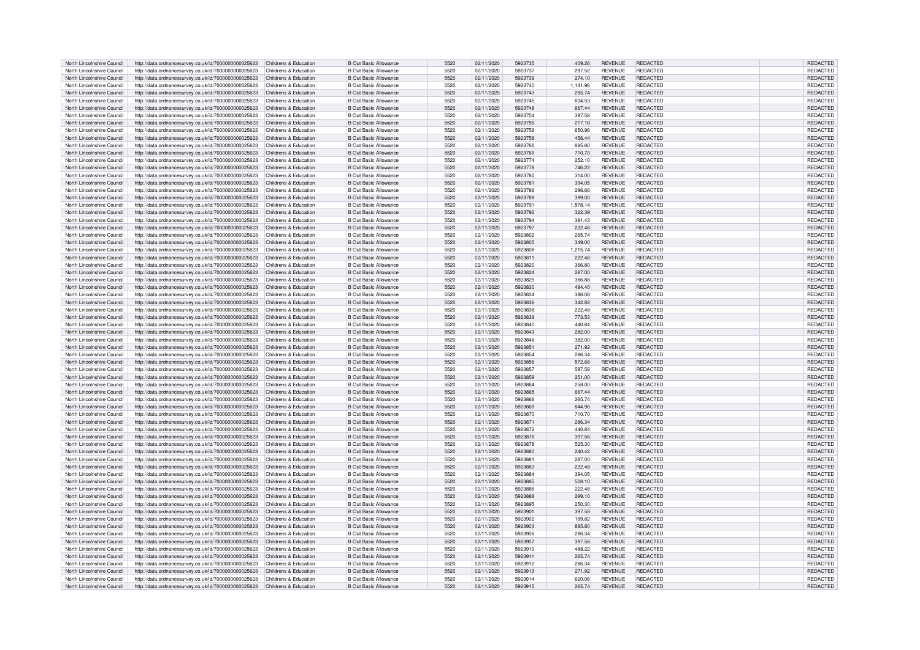| North Lincolnshire Council | http://data.ordnancesurvey.co.uk/id/7000000000025623                       | Childrens & Education | <b>B Out Basic Allowance</b> | 5520 | 02/11/2020 | 5923735 | 409.26   | <b>REVENUE</b> | <b>REDACTED</b> | REDACTED        |
|----------------------------|----------------------------------------------------------------------------|-----------------------|------------------------------|------|------------|---------|----------|----------------|-----------------|-----------------|
| North Lincolnshire Council | http://data.ordnancesurvey.co.uk/id/7000000000025623                       | Childrens & Education | <b>B Out Basic Allowance</b> | 5520 | 02/11/2020 | 5923737 | 297.52   | <b>REVENUE</b> | REDACTED        | REDACTED        |
| North Lincolnshire Council | http://data.ordnancesurvey.co.uk/id/7000000000025623                       | Childrens & Education | <b>B Out Basic Allowance</b> | 5520 | 02/11/2020 | 5923739 | 274.10   | <b>REVENUE</b> | REDACTED        | REDACTED        |
|                            |                                                                            |                       |                              |      |            |         |          |                |                 |                 |
| North Lincolnshire Council | http://data.ordnancesurvey.co.uk/id/7000000000025623                       | Childrens & Education | <b>B Out Basic Allowance</b> | 5520 | 02/11/2020 | 5923740 | 1.141.96 | <b>REVENUE</b> | REDACTED        | REDACTED        |
| North Lincolnshire Council | http://data.ordnancesurvey.co.uk/id/7000000000025623                       | Childrens & Education | <b>B Out Basic Allowance</b> | 5520 | 02/11/2020 | 5923743 | 265.74   | <b>REVENUE</b> | <b>REDACTED</b> | REDACTED        |
| North Lincolnshire Council | http://data.ordnancesurvey.co.uk/id/7000000000025623                       | Childrens & Education | <b>B Out Basic Allowance</b> | 5520 | 02/11/2020 | 5923745 | 634.53   | <b>REVENUE</b> | <b>REDACTED</b> | REDACTED        |
| North Lincolnshire Council | http://data.ordnancesurvey.co.uk/id/7000000000025623                       | Childrens & Education | <b>B Out Basic Allowance</b> | 5520 | 02/11/2020 | 5923748 | 667.44   | <b>REVENUE</b> | REDACTED        | REDACTED        |
| North Lincolnshire Council | http://data.ordnancesurvey.co.uk/id/7000000000025623                       | Childrens & Education | <b>B Out Basic Allowance</b> | 5520 | 02/11/2020 | 5923754 | 397.58   | <b>REVENUE</b> | <b>REDACTED</b> | REDACTED        |
| North Lincolnshire Council | http://data.ordnancesurvey.co.uk/id/7000000000025623                       | Childrens & Education | <b>B Out Basic Allowance</b> | 5520 | 02/11/2020 | 5923755 | 217.18   | <b>REVENUE</b> | REDACTED        | REDACTED        |
| North Lincolnshire Council | http://data.ordnancesurvey.co.uk/id/7000000000025623                       | Childrens & Education | <b>B Out Basic Allowance</b> | 5520 | 02/11/2020 | 5923756 | 650.96   | <b>REVENUE</b> | <b>REDACTED</b> | REDACTED        |
|                            |                                                                            |                       |                              |      |            |         |          |                |                 |                 |
| North Lincolnshire Council | http://data.ordnancesurvey.co.uk/id/7000000000025623                       | Childrens & Education | <b>B Out Basic Allowance</b> | 5520 | 02/11/2020 | 5923758 | 456.44   | <b>REVENUE</b> | <b>REDACTED</b> | REDACTED        |
| North Lincolnshire Council | http://data.ordnancesurvey.co.uk/id/7000000000025623                       | Childrens & Education | <b>B Out Basic Allowance</b> | 5520 | 02/11/2020 | 5923766 | 885.80   | <b>REVENUE</b> | REDACTED        | REDACTED        |
| North Lincolnshire Council | http://data.ordnancesurvey.co.uk/id/7000000000025623                       | Childrens & Education | <b>B Out Basic Allowance</b> | 5520 | 02/11/2020 | 5923769 | 710.70   | <b>REVENUE</b> | <b>REDACTED</b> | REDACTED        |
| North Lincolnshire Council | http://data.ordnancesurvey.co.uk/id/7000000000025623                       | Childrens & Education | <b>B Out Basic Allowance</b> | 5520 | 02/11/2020 | 5923774 | 252.10   | <b>REVENUE</b> | <b>REDACTED</b> | REDACTED        |
| North Lincolnshire Council | http://data.ordnancesurvey.co.uk/id/7000000000025623                       | Childrens & Education | <b>B Out Basic Allowance</b> | 5520 | 02/11/2020 | 5923778 | 746.22   | <b>REVENUE</b> | <b>REDACTED</b> | REDACTED        |
| North Lincolnshire Council | http://data.ordnancesurvey.co.uk/id/7000000000025623                       | Childrens & Education | <b>B Out Basic Allowance</b> | 5520 | 02/11/2020 | 5923780 | 314.00   | <b>REVENUE</b> | <b>REDACTED</b> | REDACTED        |
| North Lincolnshire Council |                                                                            | Childrens & Education | <b>B Out Basic Allowance</b> | 5520 | 02/11/2020 | 5923781 | 394.05   | <b>REVENUE</b> | REDACTED        | REDACTED        |
|                            | http://data.ordnancesurvey.co.uk/id/7000000000025623                       |                       |                              |      |            |         |          |                |                 |                 |
| North Lincolnshire Council | http://data.ordnancesurvey.co.uk/id/7000000000025623                       | Childrens & Education | <b>B Out Basic Allowance</b> | 5520 | 02/11/2020 | 5923786 | 296.66   | <b>REVENUE</b> | <b>REDACTED</b> | REDACTED        |
| North Lincolnshire Council | http://data.ordnancesurvey.co.uk/id/7000000000025623                       | Childrens & Education | <b>B Out Basic Allowance</b> | 5520 | 02/11/2020 | 5923789 | 399.00   | <b>REVENUE</b> | REDACTED        | REDACTED        |
| North Lincolnshire Council | http://data.ordnancesurvey.co.uk/id/7000000000025623                       | Childrens & Education | <b>B Out Basic Allowance</b> | 5520 | 02/11/2020 | 5923791 | 1,578.14 | <b>REVENUE</b> | <b>REDACTED</b> | REDACTED        |
| North Lincolnshire Council | http://data.ordnancesurvey.co.uk/id/7000000000025623                       | Childrens & Education | <b>B Out Basic Allowance</b> | 5520 | 02/11/2020 | 5923792 | 322.39   | <b>REVENUE</b> | <b>REDACTED</b> | REDACTED        |
| North Lincolnshire Council | http://data.ordnancesurvey.co.uk/id/7000000000025623                       | Childrens & Education | <b>B Out Basic Allowance</b> | 5520 | 02/11/2020 | 5923794 | 391.43   | <b>REVENUE</b> | REDACTED        | REDACTED        |
| North Lincolnshire Council | http://data.ordnancesurvey.co.uk/id/7000000000025623                       | Childrens & Education | <b>B Out Basic Allowance</b> | 5520 | 02/11/2020 | 5923797 | 222.48   | <b>REVENUE</b> | <b>REDACTED</b> | REDACTED        |
| North Lincolnshire Council |                                                                            |                       | <b>B Out Basic Allowance</b> | 5520 |            | 5923802 |          | <b>REVENUE</b> | <b>REDACTED</b> | REDACTED        |
|                            | http://data.ordnancesurvey.co.uk/id/7000000000025623                       | Childrens & Education |                              |      | 02/11/2020 |         | 265.74   |                |                 |                 |
| North Lincolnshire Council | http://data.ordnancesurvey.co.uk/id/7000000000025623                       | Childrens & Education | <b>B Out Basic Allowance</b> | 5520 | 02/11/2020 | 5923805 | 349.00   | <b>REVENUE</b> | <b>REDACTED</b> | REDACTED        |
| North Lincolnshire Council | http://data.ordnancesurvey.co.uk/id/7000000000025623                       | Childrens & Education | <b>B Out Basic Allowance</b> | 5520 | 02/11/2020 | 5923808 | 1,215.74 | <b>REVENUE</b> | <b>REDACTED</b> | REDACTED        |
| North Lincolnshire Council | http://data.ordnancesurvey.co.uk/id/7000000000025623                       | Childrens & Education | <b>B Out Basic Allowance</b> | 5520 | 02/11/2020 | 5923811 | 222.48   | <b>REVENUE</b> | REDACTED        | REDACTED        |
| North Lincolnshire Council | http://data.ordnancesurvey.co.uk/id/7000000000025623                       | Childrens & Education | <b>B Out Basic Allowance</b> | 5520 | 02/11/2020 | 5923820 | 366.80   | <b>REVENUE</b> | <b>REDACTED</b> | REDACTED        |
| North Lincolnshire Council | http://data.ordnancesurvey.co.uk/id/7000000000025623                       | Childrens & Education | <b>B Out Basic Allowance</b> | 5520 | 02/11/2020 | 5923824 | 287.00   | <b>REVENUE</b> | REDACTED        | REDACTED        |
| North Lincolnshire Council | http://data.ordnancesurvey.co.uk/id/7000000000025623                       | Childrens & Education | <b>B Out Basic Allowance</b> | 5520 | 02/11/2020 | 5923825 | 366.88   | <b>REVENUE</b> | <b>REDACTED</b> | REDACTED        |
|                            |                                                                            |                       |                              |      |            |         |          |                |                 |                 |
| North Lincolnshire Council | http://data.ordnancesurvey.co.uk/id/7000000000025623                       | Childrens & Education | <b>B Out Basic Allowance</b> | 5520 | 02/11/2020 | 5923830 | 494.40   | <b>REVENUE</b> | REDACTED        | REDACTED        |
| North Lincolnshire Council | http://data.ordnancesurvey.co.uk/id/7000000000025623                       | Childrens & Education | <b>B Out Basic Allowance</b> | 5520 | 02/11/2020 | 5923834 | 386.08   | <b>REVENUE</b> | <b>REDACTED</b> | REDACTED        |
| North Lincolnshire Council | http://data.ordnancesurvey.co.uk/id/7000000000025623                       | Childrens & Education | <b>B Out Basic Allowance</b> | 5520 | 02/11/2020 | 5923836 | 342.82   | <b>REVENUE</b> | REDACTED        | REDACTED        |
| North Lincolnshire Council | http://data.ordnancesurvey.co.uk/id/7000000000025623                       | Childrens & Education | <b>B Out Basic Allowance</b> | 5520 | 02/11/2020 | 5923838 | 222.48   | <b>REVENUE</b> | REDACTED        | REDACTED        |
| North Lincolnshire Council | http://data.ordnancesurvey.co.uk/id/7000000000025623                       | Childrens & Education | <b>B Out Basic Allowance</b> | 5520 | 02/11/2020 | 5923839 | 773.53   | <b>REVENUE</b> | REDACTED        | REDACTED        |
| North Lincolnshire Council | http://data.ordnancesurvey.co.uk/id/7000000000025623                       | Childrens & Education | <b>B Out Basic Allowance</b> | 5520 | 02/11/2020 | 5923840 | 440.84   | <b>REVENUE</b> | REDACTED        | REDACTED        |
| North Lincolnshire Council | http://data.ordnancesurvey.co.uk/id/7000000000025623                       | Childrens & Education | <b>B Out Basic Allowance</b> | 5520 | 02/11/2020 | 5923843 | 282.00   | <b>REVENUE</b> | <b>REDACTED</b> | <b>REDACTED</b> |
|                            |                                                                            |                       |                              |      |            |         |          |                |                 |                 |
| North Lincolnshire Council | http://data.ordnancesurvey.co.uk/id/7000000000025623                       | Childrens & Education | <b>B Out Basic Allowance</b> | 5520 | 02/11/2020 | 5923846 | 382.00   | <b>REVENUE</b> | <b>REDACTED</b> | REDACTED        |
| North Lincolnshire Council | http://data.ordnancesurvey.co.uk/id/7000000000025623                       | Childrens & Education | <b>B Out Basic Allowance</b> | 5520 | 02/11/2020 | 5923851 | 271.92   | <b>REVENUE</b> | REDACTED        | REDACTED        |
| North Lincolnshire Council | http://data.ordnancesurvey.co.uk/id/7000000000025623                       | Childrens & Education | <b>B Out Basic Allowance</b> | 5520 | 02/11/2020 | 5923854 | 286.34   | <b>REVENUE</b> | <b>REDACTED</b> | REDACTED        |
| North Lincolnshire Council | http://data.ordnancesurvey.co.uk/id/7000000000025623                       | Childrens & Education | <b>B Out Basic Allowance</b> | 5520 | 02/11/2020 | 5923856 | 572.68   | <b>REVENUE</b> | REDACTED        | REDACTED        |
| North Lincolnshire Council | http://data.ordnancesurvey.co.uk/id/7000000000025623                       | Childrens & Education | <b>B Out Basic Allowance</b> | 5520 | 02/11/2020 | 5923857 | 597.58   | <b>REVENUE</b> | REDACTED        | <b>REDACTED</b> |
| North Lincolnshire Council | http://data.ordnancesurvey.co.uk/id/7000000000025623                       | Childrens & Education | <b>B Out Basic Allowance</b> | 5520 | 02/11/2020 | 5923859 | 251.00   | <b>REVENUE</b> | REDACTED        | REDACTED        |
| North Lincolnshire Council | http://data.ordnancesurvey.co.uk/id/7000000000025623                       | Childrens & Education | <b>B Out Basic Allowance</b> | 5520 | 02/11/2020 | 5923864 | 258.00   | <b>REVENUE</b> | REDACTED        | REDACTED        |
|                            |                                                                            |                       |                              |      |            |         |          |                |                 |                 |
| North Lincolnshire Council | http://data.ordnancesurvey.co.uk/id/7000000000025623                       | Childrens & Education | <b>B Out Basic Allowance</b> | 5520 | 02/11/2020 | 5923865 | 667.44   | <b>REVENUE</b> | REDACTED        | REDACTED        |
| North Lincolnshire Council | http://data.ordnancesurvey.co.uk/id/7000000000025623                       | Childrens & Education | <b>B Out Basic Allowance</b> | 5520 | 02/11/2020 | 5923866 | 265.74   | <b>REVENUE</b> | <b>REDACTED</b> | REDACTED        |
| North Lincolnshire Council | http://data.ordnancesurvey.co.uk/id/7000000000025623                       | Childrens & Education | <b>B Out Basic Allowance</b> | 5520 | 02/11/2020 | 5923869 | 844.96   | <b>REVENUE</b> | <b>REDACTED</b> | REDACTED        |
| North Lincolnshire Council | http://data.ordnancesurvey.co.uk/id/7000000000025623                       | Childrens & Education | <b>B Out Basic Allowance</b> | 5520 | 02/11/2020 | 5923870 | 710.70   | <b>REVENUE</b> | REDACTED        | REDACTED        |
| North Lincolnshire Council | http://data.ordnancesurvey.co.uk/id/7000000000025623                       | Childrens & Education | <b>B Out Basic Allowance</b> | 5520 | 02/11/2020 | 5923871 | 286.34   | <b>REVENUE</b> | <b>REDACTED</b> | REDACTED        |
| North Lincolnshire Council | http://data.ordnancesurvey.co.uk/id/7000000000025623                       | Childrens & Education | <b>B Out Basic Allowance</b> | 5520 | 02/11/2020 | 5923872 | 440.84   | <b>REVENUE</b> | <b>REDACTED</b> | REDACTED        |
| North Lincolnshire Council | http://data.ordnancesurvey.co.uk/id/7000000000025623                       | Childrens & Education | <b>B Out Basic Allowance</b> | 5520 | 02/11/2020 | 5923876 | 397.58   | <b>REVENUE</b> | <b>REDACTED</b> | REDACTED        |
|                            |                                                                            |                       |                              |      |            |         |          |                |                 |                 |
| North Lincolnshire Council | http://data.ordnancesurvey.co.uk/id/7000000000025623                       | Childrens & Education | <b>B Out Basic Allowance</b> | 5520 | 02/11/2020 | 5923878 | 525.30   | <b>REVENUE</b> | <b>REDACTED</b> | REDACTED        |
| North Lincolnshire Council | http://data.ordnancesurvey.co.uk/id/7000000000025623                       | Childrens & Education | <b>B Out Basic Allowance</b> | 5520 | 02/11/2020 | 5923880 | 240.42   | <b>REVENUE</b> | REDACTED        | <b>REDACTED</b> |
| North Lincolnshire Council | http://data.ordnancesurvey.co.uk/id/7000000000025623                       | Childrens & Education | <b>B Out Basic Allowance</b> | 5520 | 02/11/2020 | 5923881 | 287.00   | <b>REVENUE</b> | <b>REDACTED</b> | REDACTED        |
| North Lincolnshire Council | http://data.ordnancesurvey.co.uk/id/7000000000025623                       | Childrens & Education | <b>B Out Basic Allowance</b> | 5520 | 02/11/2020 | 5923883 | 222.48   | <b>REVENUE</b> | <b>REDACTED</b> | REDACTED        |
| North Lincolnshire Council | http://data.ordnancesurvey.co.uk/id/7000000000025623                       | Childrens & Education | <b>B Out Basic Allowance</b> | 5520 | 02/11/2020 | 5923884 | 394.05   | <b>REVENUE</b> | <b>REDACTED</b> | <b>REDACTED</b> |
| North Lincolnshire Council | http://data.ordnancesurvey.co.uk/id/7000000000025623                       | Childrens & Education | <b>B Out Basic Allowance</b> | 5520 | 02/11/2020 | 5923885 | 508.10   | <b>REVENUE</b> | <b>REDACTED</b> | REDACTED        |
| North Lincolnshire Council | http://data.ordnancesurvey.co.uk/id/7000000000025623                       | Childrens & Education | <b>B Out Basic Allowance</b> | 5520 | 02/11/2020 | 5923886 | 222.48   | <b>REVENUE</b> | REDACTED        | REDACTED        |
| North Lincolnshire Council |                                                                            | Childrens & Education | <b>B Out Basic Allowance</b> | 5520 |            | 5923888 |          |                | <b>REDACTED</b> |                 |
|                            | http://data.ordnancesurvey.co.uk/id/7000000000025623                       |                       |                              |      | 02/11/2020 |         | 299.10   | <b>REVENUE</b> |                 | REDACTED        |
| North Lincolnshire Council | http://data.ordnancesurvey.co.uk/id/7000000000025623                       | Childrens & Education | <b>B Out Basic Allowance</b> | 5520 | 02/11/2020 | 5923895 | 250.30   | <b>REVENUE</b> | <b>REDACTED</b> | REDACTED        |
| North Lincolnshire Council | http://data.ordnancesurvey.co.uk/id/7000000000025623                       | Childrens & Education | <b>B Out Basic Allowance</b> | 5520 | 02/11/2020 | 5923901 | 397.58   | <b>REVENUE</b> | REDACTED        | REDACTED        |
| North Lincolnshire Council | http://data.ordnancesurvey.co.uk/id/7000000000025623                       | Childrens & Education | <b>B Out Basic Allowance</b> | 5520 | 02/11/2020 | 5923902 | 199.82   | <b>REVENUE</b> | <b>REDACTED</b> | REDACTED        |
| North Lincolnshire Council | http://data.ordnancesurvey.co.uk/id/7000000000025623                       | Childrens & Education | <b>B Out Basic Allowance</b> | 5520 | 02/11/2020 | 5923903 | 885.80   | <b>REVENUE</b> | <b>REDACTED</b> | <b>REDACTED</b> |
| North Lincolnshire Council | http://data.ordnancesurvey.co.uk/id/7000000000025623                       | Childrens & Education | <b>B Out Basic Allowance</b> | 5520 | 02/11/2020 | 5923906 | 286.34   | <b>REVENUE</b> | REDACTED        | REDACTED        |
|                            |                                                                            |                       |                              | 5520 |            | 5923907 |          |                | <b>REDACTED</b> |                 |
| North Lincolnshire Council | http://data.ordnancesurvey.co.uk/id/7000000000025623                       | Childrens & Education | <b>B Out Basic Allowance</b> |      | 02/11/2020 |         | 397.58   | <b>REVENUE</b> |                 | REDACTED        |
| North Lincolnshire Council | http://data.ordnancesurvey.co.uk/id/7000000000025623                       | Childrens & Education | <b>B Out Basic Allowance</b> | 5520 | 02/11/2020 | 5923910 | 488.22   | <b>REVENUE</b> | REDACTED        | REDACTED        |
| North Lincolnshire Council | http://data.ordnancesurvey.co.uk/id/7000000000025623                       | Childrens & Education | <b>B Out Basic Allowance</b> | 5520 | 02/11/2020 | 5923911 | 265.74   | <b>REVENUE</b> | <b>REDACTED</b> | REDACTED        |
| North Lincolnshire Council | http://data.ordnancesurvey.co.uk/id/7000000000025623                       | Childrens & Education | <b>B Out Basic Allowance</b> | 5520 | 02/11/2020 | 5923912 | 286.34   | <b>REVENUE</b> | REDACTED        | REDACTED        |
| North Lincolnshire Council | http://data.ordnancesurvey.co.uk/id/7000000000025623                       | Childrens & Education | B Out Basic Allowance        | 5520 | 02/11/2020 | 5923913 | 271.92   | <b>REVENUE</b> | REDACTED        | <b>REDACTED</b> |
| North Lincolnshire Council | http://data.ordnancesurvey.co.uk/id/7000000000025623                       | Childrens & Education | B Out Basic Allowance        | 5520 | 02/11/2020 | 5923914 | 620.06   | <b>REVENUE</b> | <b>REDACTED</b> | <b>REDACTED</b> |
| North Lincolnshire Council | http://data.ordnancesurvey.co.uk/id/7000000000025623 Childrens & Education |                       | <b>B Out Basic Allowance</b> | 5520 | 02/11/2020 | 5923915 | 265.74   | <b>REVENUE</b> | REDACTED        | REDACTED        |
|                            |                                                                            |                       |                              |      |            |         |          |                |                 |                 |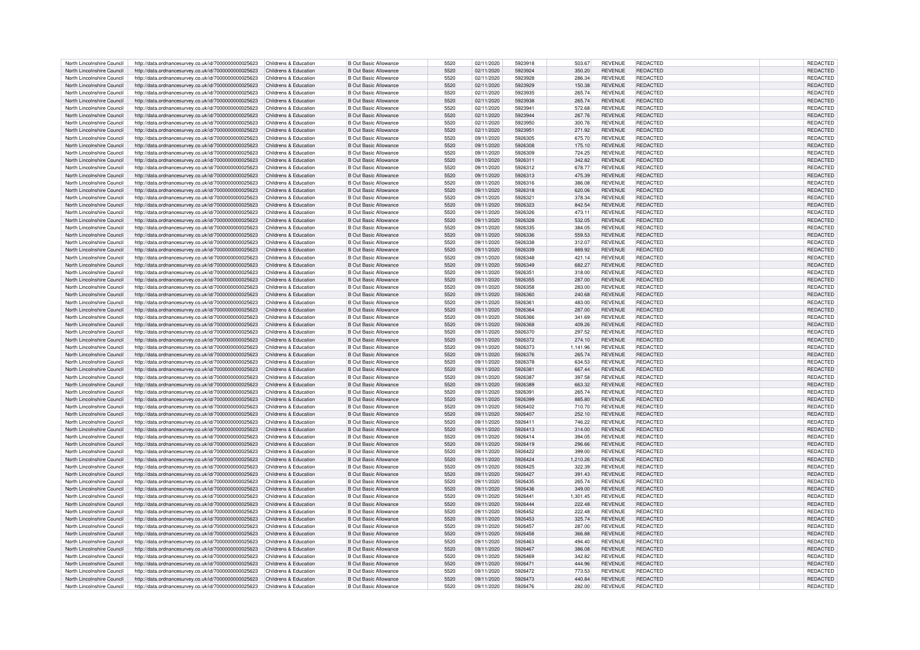| North Lincolnshire Council                               | http://data.ordnancesurvey.co.uk/id/7000000000025623                                                                               | Childrens & Education | <b>B Out Basic Allowance</b>                          | 5520         | 02/11/2020               | 5923918            | 503.67           | <b>REVENUE</b>                   | REDACTED                    | <b>REDACTED</b>             |
|----------------------------------------------------------|------------------------------------------------------------------------------------------------------------------------------------|-----------------------|-------------------------------------------------------|--------------|--------------------------|--------------------|------------------|----------------------------------|-----------------------------|-----------------------------|
|                                                          | http://data.ordnancesurvey.co.uk/id/7000000000025623                                                                               | Childrens & Education | <b>B Out Basic Allowance</b>                          | 5520         | 02/11/2020               | 5923924            | 350.20           | <b>REVENUE</b>                   | REDACTED                    | REDACTED                    |
| North Lincolnshire Council                               | http://data.ordnancesurvey.co.uk/id/7000000000025623                                                                               | Childrens & Education | <b>B Out Basic Allowance</b>                          | 5520         | 02/11/2020               | 5923928            | 286.34           | <b>REVENUE</b>                   | REDACTED                    | REDACTED                    |
| North Lincolnshire Council                               | http://data.ordnancesurvey.co.uk/id/7000000000025623                                                                               | Childrens & Education | B Out Basic Allowance                                 | 5520         | 02/11/2020               | 5923929            | 150.38           | <b>REVENUE</b>                   | <b>REDACTED</b>             | REDACTED                    |
|                                                          |                                                                                                                                    |                       |                                                       |              |                          |                    |                  |                                  |                             |                             |
| North Lincolnshire Council                               | http://data.ordnancesurvey.co.uk/id/7000000000025623                                                                               | Childrens & Education | <b>B Out Basic Allowance</b>                          | 5520         | 02/11/2020               | 5923935            | 265.74           | <b>REVENUE</b>                   | <b>REDACTED</b>             | REDACTED                    |
| North Lincolnshire Council                               | http://data.ordnancesurvey.co.uk/id/7000000000025623                                                                               | Childrens & Education | <b>B Out Basic Allowance</b>                          | 5520         | 02/11/2020               | 5923938            | 265.74           | <b>REVENUE</b>                   | <b>REDACTED</b>             | REDACTED                    |
| North Lincolnshire Council                               | http://data.ordnancesurvey.co.uk/id/7000000000025623                                                                               | Childrens & Education | <b>B Out Basic Allowance</b>                          | 5520         | 02/11/2020               | 5923941            | 572.68           | <b>REVENUE</b>                   | REDACTED                    | REDACTED                    |
| North Lincolnshire Council                               | http://data.ordnancesurvey.co.uk/id/7000000000025623                                                                               | Childrens & Education | <b>B Out Basic Allowance</b>                          | 5520         | 02/11/2020               | 5923944            | 267.76           | <b>REVENUE</b>                   | <b>REDACTED</b>             | REDACTED                    |
| North Lincolnshire Council                               | http://data.ordnancesurvey.co.uk/id/7000000000025623                                                                               | Childrens & Education | <b>B Out Basic Allowance</b>                          | 5520         | 02/11/2020               | 5923950            | 300.76           | <b>REVENUE</b>                   | REDACTED                    | REDACTED                    |
| North Lincolnshire Council                               | http://data.ordnancesurvey.co.uk/id/7000000000025623                                                                               | Childrens & Education | <b>B Out Basic Allowance</b>                          | 5520         | 02/11/2020               | 5923951            | 271.92           | <b>REVENUE</b>                   | <b>REDACTED</b>             | REDACTED                    |
| North Lincolnshire Council                               | http://data.ordnancesurvey.co.uk/id/7000000000025623                                                                               | Childrens & Education | <b>B Out Basic Allowance</b>                          | 5520         | 09/11/2020               | 5926305            | 675.70           | <b>REVENUE</b>                   | <b>REDACTED</b>             | REDACTED                    |
|                                                          |                                                                                                                                    |                       |                                                       |              |                          |                    |                  |                                  |                             |                             |
| North Lincolnshire Council                               | http://data.ordnancesurvey.co.uk/id/7000000000025623                                                                               | Childrens & Education | <b>B Out Basic Allowance</b>                          | 5520         | 09/11/2020               | 5926308            | 175.10           | <b>REVENUE</b>                   | REDACTED                    | REDACTED                    |
| North Lincolnshire Council                               | http://data.ordnancesurvey.co.uk/id/7000000000025623                                                                               | Childrens & Education | <b>B Out Basic Allowance</b>                          | 5520         | 09/11/2020               | 5926309            | 724.25           | <b>REVENUE</b>                   | REDACTED                    | REDACTED                    |
| North Lincolnshire Council                               | http://data.ordnancesurvey.co.uk/id/7000000000025623                                                                               | Childrens & Education | <b>B Out Basic Allowance</b>                          | 5520         | 09/11/2020               | 5926311            | 342.82           | <b>REVENUE</b>                   | <b>REDACTED</b>             | REDACTED                    |
| North Lincolnshire Council                               | http://data.ordnancesurvey.co.uk/id/7000000000025623                                                                               | Childrens & Education | <b>B Out Basic Allowance</b>                          | 5520         | 09/11/2020               | 5926312            | 678.77           | <b>REVENUE</b>                   | <b>REDACTED</b>             | REDACTED                    |
| North Lincolnshire Council                               | http://data.ordnancesurvey.co.uk/id/7000000000025623                                                                               | Childrens & Education | <b>B Out Basic Allowance</b>                          | 5520         | 09/11/2020               | 5926313            | 475.39           | <b>REVENUE</b>                   | <b>REDACTED</b>             | REDACTED                    |
| North Lincolnshire Council                               | http://data.ordnancesurvey.co.uk/id/7000000000025623                                                                               | Childrens & Education | <b>B Out Basic Allowance</b>                          | 5520         | 09/11/2020               | 5926316            | 386.08           | <b>REVENUE</b>                   | REDACTED                    | <b>REDACTED</b>             |
| North Lincolnshire Council                               | http://data.ordnancesurvey.co.uk/id/7000000000025623                                                                               | Childrens & Education | <b>B Out Basic Allowance</b>                          | 5520         | 09/11/2020               | 5926318            | 620.06           | <b>REVENUE</b>                   | <b>REDACTED</b>             | REDACTED                    |
| North Lincolnshire Council                               | http://data.ordnancesurvey.co.uk/id/7000000000025623                                                                               | Childrens & Education | <b>B Out Basic Allowance</b>                          | 5520         | 09/11/2020               | 5926321            | 378.34           | <b>REVENUE</b>                   | REDACTED                    | REDACTED                    |
| North Lincolnshire Council                               |                                                                                                                                    | Childrens & Education | B Out Basic Allowance                                 | 5520         | 09/11/2020               | 5926323            | 842.54           | <b>REVENUE</b>                   | <b>REDACTED</b>             | REDACTED                    |
|                                                          | http://data.ordnancesurvey.co.uk/id/7000000000025623                                                                               |                       |                                                       |              |                          |                    |                  |                                  |                             |                             |
| North Lincolnshire Council                               | http://data.ordnancesurvey.co.uk/id/7000000000025623                                                                               | Childrens & Education | <b>B Out Basic Allowance</b>                          | 5520         | 09/11/2020               | 5926326            | 473.11           | <b>REVENUE</b>                   | <b>REDACTED</b>             | REDACTED                    |
| North Lincolnshire Council                               | http://data.ordnancesurvey.co.uk/id/7000000000025623                                                                               | Childrens & Education | <b>B Out Basic Allowance</b>                          | 5520         | 09/11/2020               | 5926328            | 532.05           | <b>REVENUE</b>                   | REDACTED                    | REDACTED                    |
| North Lincolnshire Council                               | http://data.ordnancesurvey.co.uk/id/7000000000025623                                                                               | Childrens & Education | <b>B Out Basic Allowance</b>                          | 5520         | 09/11/2020               | 5926335            | 384.05           | <b>REVENUE</b>                   | <b>REDACTED</b>             | REDACTED                    |
| North Lincolnshire Council                               | http://data.ordnancesurvey.co.uk/id/7000000000025623                                                                               | Childrens & Education | <b>B Out Basic Allowance</b>                          | 5520         | 09/11/2020               | 5926336            | 559.53           | <b>REVENUE</b>                   | <b>REDACTED</b>             | REDACTED                    |
| North Lincolnshire Council                               | http://data.ordnancesurvey.co.uk/id/7000000000025623                                                                               | Childrens & Education | <b>B Out Basic Allowance</b>                          | 5520         | 09/11/2020               | 5926338            | 312.07           | <b>REVENUE</b>                   | <b>REDACTED</b>             | REDACTED                    |
| North Lincolnshire Council                               | http://data.ordnancesurvey.co.uk/id/7000000000025623                                                                               | Childrens & Education | <b>B Out Basic Allowance</b>                          | 5520         | 09/11/2020               | 5926339            | 889.92           | <b>REVENUE</b>                   | <b>REDACTED</b>             | REDACTED                    |
| North Lincolnshire Council                               | http://data.ordnancesurvey.co.uk/id/7000000000025623                                                                               | Childrens & Education | <b>B Out Basic Allowance</b>                          | 5520         | 09/11/2020               | 5926348            | 421.14           | <b>REVENUE</b>                   | REDACTED                    | REDACTED                    |
| North Lincolnshire Council                               | http://data.ordnancesurvey.co.uk/id/7000000000025623                                                                               | Childrens & Education | <b>B Out Basic Allowance</b>                          | 5520         | 09/11/2020               | 5926349            | 682.27           | <b>REVENUE</b>                   | <b>REDACTED</b>             | REDACTED                    |
| North Lincolnshire Council                               |                                                                                                                                    | Childrens & Education | <b>B Out Basic Allowance</b>                          | 5520         | 09/11/2020               | 5926351            | 318.00           | <b>REVENUE</b>                   | REDACTED                    | REDACTED                    |
|                                                          | http://data.ordnancesurvey.co.uk/id/7000000000025623                                                                               |                       |                                                       |              |                          |                    |                  |                                  |                             |                             |
| North Lincolnshire Council                               | http://data.ordnancesurvey.co.uk/id/7000000000025623                                                                               | Childrens & Education | <b>B Out Basic Allowance</b>                          | 5520         | 09/11/2020               | 5926355            | 287.00           | <b>REVENUE</b>                   | REDACTED                    | REDACTED                    |
| North Lincolnshire Council                               | http://data.ordnancesurvey.co.uk/id/7000000000025623                                                                               | Childrens & Education | <b>B Out Basic Allowance</b>                          | 5520         | 09/11/2020               | 5926358            | 283.00           | <b>REVENUE</b>                   | REDACTED                    | REDACTED                    |
| North Lincolnshire Council                               | http://data.ordnancesurvey.co.uk/id/7000000000025623                                                                               | Childrens & Education | <b>B Out Basic Allowance</b>                          | 5520         | 09/11/2020               | 5926360            | 240.68           | <b>REVENUE</b>                   | <b>REDACTED</b>             | REDACTED                    |
| North Lincolnshire Council                               | http://data.ordnancesurvey.co.uk/id/7000000000025623                                                                               | Childrens & Education | <b>B Out Basic Allowance</b>                          | 5520         | 09/11/2020               | 5926361            | 483.00           | <b>REVENUE</b>                   | REDACTED                    | REDACTED                    |
| North Lincolnshire Council                               | http://data.ordnancesurvey.co.uk/id/7000000000025623                                                                               | Childrens & Education | <b>B Out Basic Allowance</b>                          | 5520         | 09/11/2020               | 5926364            | 287.00           | <b>REVENUE</b>                   | REDACTED                    | REDACTED                    |
| North Lincolnshire Council                               | http://data.ordnancesurvey.co.uk/id/7000000000025623                                                                               | Childrens & Education | <b>B Out Basic Allowance</b>                          | 5520         | 09/11/2020               | 5926366            | 341.69           | <b>REVENUE</b>                   | <b>REDACTED</b>             | REDACTED                    |
| North Lincolnshire Council                               | http://data.ordnancesurvey.co.uk/id/7000000000025623                                                                               | Childrens & Education | <b>B Out Basic Allowance</b>                          | 5520         | 09/11/2020               | 5926368            | 409.26           | <b>REVENUE</b>                   | <b>REDACTED</b>             | REDACTED                    |
| North Lincolnshire Council                               | http://data.ordnancesurvey.co.uk/id/7000000000025623                                                                               | Childrens & Education | <b>B Out Basic Allowance</b>                          | 5520         | 09/11/2020               | 5926370            | 297.52           | <b>REVENUE</b>                   | <b>REDACTED</b>             | REDACTED                    |
| North Lincolnshire Council                               | http://data.ordnancesurvey.co.uk/id/7000000000025623                                                                               | Childrens & Education | <b>B Out Basic Allowance</b>                          | 5520         | 09/11/2020               | 5926372            | 274.10           | <b>REVENUE</b>                   | <b>REDACTED</b>             | REDACTED                    |
| North Lincolnshire Council                               |                                                                                                                                    | Childrens & Education | <b>B Out Basic Allowance</b>                          | 5520         | 09/11/2020               | 5926373            | 1.141.96         | <b>REVENUE</b>                   | REDACTED                    | REDACTED                    |
|                                                          | http://data.ordnancesurvey.co.uk/id/7000000000025623                                                                               |                       |                                                       |              |                          |                    |                  |                                  |                             |                             |
| North Lincolnshire Council                               | http://data.ordnancesurvey.co.uk/id/7000000000025623                                                                               | Childrens & Education | <b>B Out Basic Allowance</b>                          | 5520         | 09/11/2020               | 5926376            | 265.74           | <b>REVENUE</b>                   | <b>REDACTED</b>             | REDACTED                    |
| North Lincolnshire Council                               | http://data.ordnancesurvey.co.uk/id/7000000000025623                                                                               | Childrens & Education | <b>B Out Basic Allowance</b>                          | 5520         | 09/11/2020               | 5926378            | 634.53           | <b>REVENUE</b>                   | REDACTED                    | REDACTED                    |
| North Lincolnshire Council                               |                                                                                                                                    |                       |                                                       |              |                          |                    |                  |                                  |                             |                             |
|                                                          | http://data.ordnancesurvey.co.uk/id/7000000000025623                                                                               | Childrens & Education | B Out Basic Allowance                                 | 5520         | 09/11/2020               | 5926381            | 667.44           | <b>REVENUE</b>                   | <b>REDACTED</b>             | REDACTED                    |
| North Lincolnshire Council                               | http://data.ordnancesurvey.co.uk/id/7000000000025623                                                                               | Childrens & Education | <b>B Out Basic Allowance</b>                          | 5520         | 09/11/2020               | 5926387            | 397.58           | <b>REVENUE</b>                   | REDACTED                    | REDACTED                    |
| North Lincolnshire Council                               | http://data.ordnancesurvey.co.uk/id/7000000000025623                                                                               | Childrens & Education | <b>B Out Basic Allowance</b>                          | 5520         | 09/11/2020               | 5926389            | 663.32           | <b>REVENUE</b>                   | <b>REDACTED</b>             | <b>REDACTED</b>             |
| North Lincolnshire Council                               |                                                                                                                                    | Childrens & Education | <b>B Out Basic Allowance</b>                          | 5520         |                          | 5926391            |                  | <b>REVENUE</b>                   | <b>REDACTED</b>             |                             |
|                                                          | http://data.ordnancesurvey.co.uk/id/7000000000025623                                                                               |                       |                                                       |              | 09/11/2020               |                    | 265.74           |                                  |                             | <b>REDACTED</b>             |
| North Lincolnshire Council                               | http://data.ordnancesurvey.co.uk/id/7000000000025623                                                                               | Childrens & Education | <b>B Out Basic Allowance</b>                          | 5520         | 09/11/2020               | 5926399            | 885.80           | <b>REVENUE</b>                   | <b>REDACTED</b>             | REDACTED                    |
| North Lincolnshire Council                               | http://data.ordnancesurvey.co.uk/id/7000000000025623                                                                               | Childrens & Education | <b>B Out Basic Allowance</b>                          | 5520         | 09/11/2020               | 5926402            | 710.70           | <b>REVENUE</b>                   | <b>REDACTED</b>             | <b>REDACTED</b>             |
| North Lincolnshire Council                               | http://data.ordnancesurvey.co.uk/id/7000000000025623                                                                               | Childrens & Education | <b>B Out Basic Allowance</b>                          | 5520         | 09/11/2020               | 5926407            | 252.10           | <b>REVENUE</b>                   | <b>REDACTED</b>             | <b>REDACTED</b>             |
| North Lincolnshire Council                               | http://data.ordnancesurvey.co.uk/id/7000000000025623                                                                               | Childrens & Education | <b>B Out Basic Allowance</b>                          | 5520         | 09/11/2020               | 5926411            | 746.22           | <b>REVENUE</b>                   | <b>REDACTED</b>             | <b>REDACTED</b>             |
| North Lincolnshire Council                               | http://data.ordnancesurvey.co.uk/id/7000000000025623                                                                               | Childrens & Education | <b>B Out Basic Allowance</b>                          | 5520         | 09/11/2020               | 5926413            | 314.00           | <b>REVENUE</b>                   | REDACTED                    | REDACTED                    |
| North Lincolnshire Council                               | http://data.ordnancesurvey.co.uk/id/7000000000025623                                                                               | Childrens & Education | <b>B Out Basic Allowance</b>                          | 5520         | 09/11/2020               | 5926414            | 394.05           | <b>REVENUE</b>                   | REDACTED                    | REDACTED                    |
| North Lincolnshire Council                               | http://data.ordnancesurvey.co.uk/id/7000000000025623                                                                               | Childrens & Education | <b>B Out Basic Allowance</b>                          | 5520         | 09/11/2020               | 5926419            | 296.66           | <b>REVENUE</b>                   | <b>REDACTED</b>             | REDACTED                    |
| North Lincolnshire Council                               | http://data.ordnancesurvey.co.uk/id/7000000000025623                                                                               | Childrens & Education | B Out Basic Allowance                                 | 5520         | 09/11/2020               | 5926422            | 399.00           | <b>REVENUE</b>                   | REDACTED                    | <b>REDACTED</b>             |
| North Lincolnshire Council                               |                                                                                                                                    | Childrens & Education | <b>B Out Basic Allowance</b>                          | 5520         |                          | 5926424            |                  | <b>REVENUE</b>                   | REDACTED                    | REDACTED                    |
| North Lincolnshire Council                               | http://data.ordnancesurvey.co.uk/id/7000000000025623                                                                               | Childrens & Education | B Out Basic Allowance                                 | 5520         | 09/11/2020               | 5926425            | 1,210.26         |                                  | <b>REDACTED</b>             |                             |
|                                                          | http://data.ordnancesurvey.co.uk/id/7000000000025623                                                                               |                       |                                                       |              | 09/11/2020               |                    | 322.39           | <b>REVENUE</b>                   |                             | REDACTED                    |
| North Lincolnshire Council                               | http://data.ordnancesurvey.co.uk/id/7000000000025623                                                                               | Childrens & Education | <b>B Out Basic Allowance</b>                          | 5520         | 09/11/2020               | 5926427            | 391.43           | <b>REVENUE</b>                   | <b>REDACTED</b>             | <b>REDACTED</b>             |
| North Lincolnshire Council                               | http://data.ordnancesurvey.co.uk/id/7000000000025623                                                                               | Childrens & Education | <b>B Out Basic Allowance</b>                          | 5520         | 09/11/2020               | 5926435            | 265.74           | <b>REVENUE</b>                   | <b>REDACTED</b>             | REDACTED                    |
| North Lincolnshire Council                               | http://data.ordnancesurvey.co.uk/id/7000000000025623                                                                               | Childrens & Education | <b>B Out Basic Allowance</b>                          | 5520         | 09/11/2020               | 5926438            | 349.00           | <b>REVENUE</b>                   | REDACTED                    | <b>REDACTED</b>             |
| North Lincolnshire Council                               | http://data.ordnancesurvey.co.uk/id/7000000000025623                                                                               | Childrens & Education | <b>B Out Basic Allowance</b>                          | 5520         | 09/11/2020               | 5926441            | 1,301.45         | <b>REVENUE</b>                   | <b>REDACTED</b>             | REDACTED                    |
| North Lincolnshire Council                               | http://data.ordnancesurvey.co.uk/id/7000000000025623                                                                               | Childrens & Education | <b>B Out Basic Allowance</b>                          | 5520         | 09/11/2020               | 5926444            | 222.48           | <b>REVENUE</b>                   | <b>REDACTED</b>             | REDACTED                    |
| North Lincolnshire Council                               | http://data.ordnancesurvey.co.uk/id/7000000000025623                                                                               | Childrens & Education | <b>B Out Basic Allowance</b>                          | 5520         | 09/11/2020               | 5926452            | 222.48           | <b>REVENUE</b>                   | REDACTED                    | REDACTED                    |
| North Lincolnshire Council                               | http://data.ordnancesurvey.co.uk/id/7000000000025623                                                                               | Childrens & Education | <b>B Out Basic Allowance</b>                          | 5520         | 09/11/2020               | 5926453            | 325.74           | <b>REVENUE</b>                   | <b>REDACTED</b>             | REDACTED                    |
| North Lincolnshire Council                               | http://data.ordnancesurvey.co.uk/id/7000000000025623                                                                               | Childrens & Education | B Out Basic Allowance                                 | 5520         | 09/11/2020               | 5926457            | 287.00           | <b>REVENUE</b>                   | REDACTED                    | <b>REDACTED</b>             |
| North Lincolnshire Council                               |                                                                                                                                    | Childrens & Education | <b>B Out Basic Allowance</b>                          | 5520         | 09/11/2020               | 5926458            | 366.88           | <b>REVENUE</b>                   | <b>REDACTED</b>             | REDACTED                    |
|                                                          | http://data.ordnancesurvey.co.uk/id/7000000000025623                                                                               |                       |                                                       |              |                          |                    |                  |                                  |                             |                             |
| North Lincolnshire Council                               | http://data.ordnancesurvey.co.uk/id/7000000000025623                                                                               | Childrens & Education | <b>B</b> Out Basic Allowance                          | 5520         | 09/11/2020               | 5926463            | 494.40           | <b>REVENUE</b>                   | <b>REDACTED</b>             | REDACTED                    |
| North Lincolnshire Council                               | http://data.ordnancesurvey.co.uk/id/7000000000025623                                                                               | Childrens & Education | <b>B Out Basic Allowance</b>                          | 5520         | 09/11/2020               | 5926467            | 386.08           | <b>REVENUE</b>                   | <b>REDACTED</b>             | REDACTED                    |
| North Lincolnshire Council                               | http://data.ordnancesurvey.co.uk/id/7000000000025623                                                                               | Childrens & Education | <b>B Out Basic Allowance</b>                          | 5520         | 09/11/2020               | 5926469            | 342.82           | <b>REVENUE</b>                   | <b>REDACTED</b>             | REDACTED                    |
| North Lincolnshire Council                               | http://data.ordnancesurvey.co.uk/id/7000000000025623                                                                               | Childrens & Education | <b>B Out Basic Allowance</b>                          | 5520         | 09/11/2020               | 5926471            | 444.96           | <b>REVENUE</b>                   | REDACTED                    | REDACTED                    |
| North Lincolnshire Council                               | http://data.ordnancesurvey.co.uk/id/7000000000025623                                                                               | Childrens & Education | B Out Basic Allowance                                 | 5520         | 09/11/2020               | 5926472            | 773.53           | <b>REVENUE</b>                   | REDACTED                    | <b>REDACTED</b>             |
| North Lincolnshire Council<br>North Lincolnshire Council | http://data.ordnancesurvey.co.uk/id/7000000000025623<br>http://data.ordnancesurvey.co.uk/id/7000000000025623 Childrens & Education | Childrens & Education | B Out Basic Allowance<br><b>B</b> Out Basic Allowance | 5520<br>5520 | 09/11/2020<br>09/11/2020 | 5926473<br>5926476 | 440.84<br>282.00 | <b>REVENUE</b><br><b>REVENUE</b> | <b>REDACTED</b><br>REDACTED | <b>REDACTED</b><br>REDACTED |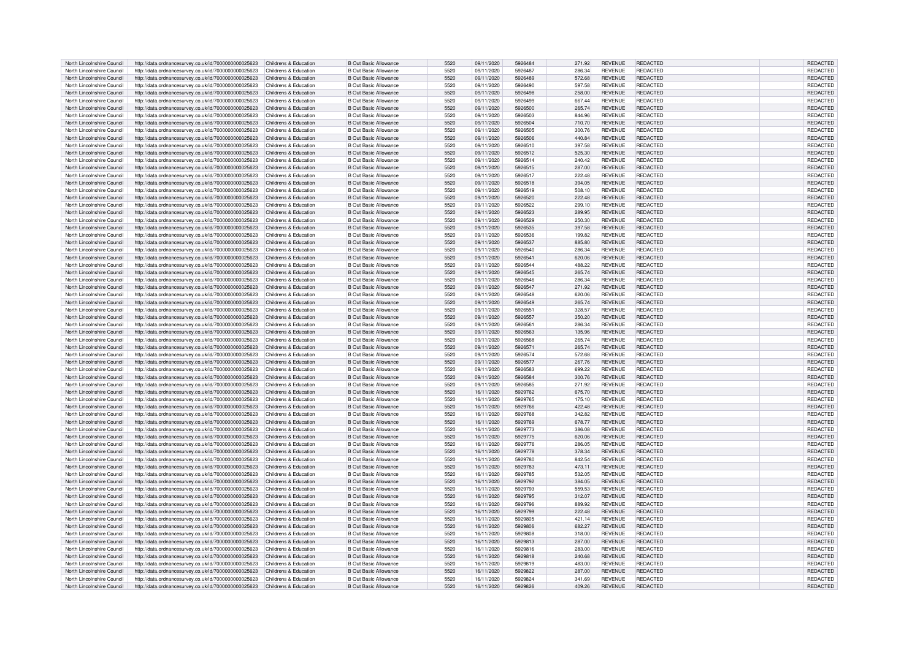| North Lincolnshire Council | http://data.ordnancesurvey.co.uk/id/7000000000025623                       | Childrens & Education | <b>B Out Basic Allowance</b> | 5520 | 09/11/2020 | 5926484 | 271.92 | <b>REVENUE</b> | REDACTED        | REDACTED        |
|----------------------------|----------------------------------------------------------------------------|-----------------------|------------------------------|------|------------|---------|--------|----------------|-----------------|-----------------|
| North Lincolnshire Council | http://data.ordnancesurvey.co.uk/id/7000000000025623                       | Childrens & Education | <b>B Out Basic Allowance</b> | 5520 | 09/11/2020 | 5926487 | 286.34 | <b>REVENUE</b> | REDACTED        | REDACTED        |
| North Lincolnshire Council | http://data.ordnancesurvey.co.uk/id/7000000000025623                       | Childrens & Education | <b>B Out Basic Allowance</b> | 5520 | 09/11/2020 | 5926489 | 572.68 | <b>REVENUE</b> | REDACTED        | REDACTED        |
|                            |                                                                            |                       |                              |      |            |         |        |                |                 |                 |
| North Lincolnshire Council | http://data.ordnancesurvey.co.uk/id/7000000000025623                       | Childrens & Education | <b>B Out Basic Allowance</b> | 5520 | 09/11/2020 | 5926490 | 597.58 | <b>REVENUE</b> | REDACTED        | REDACTED        |
| North Lincolnshire Council | http://data.ordnancesurvey.co.uk/id/7000000000025623                       | Childrens & Education | <b>B Out Basic Allowance</b> | 5520 | 09/11/2020 | 5926498 | 258.00 | <b>REVENUE</b> | <b>REDACTED</b> | REDACTED        |
| North Lincolnshire Council | http://data.ordnancesurvey.co.uk/id/7000000000025623                       | Childrens & Education | <b>B Out Basic Allowance</b> | 5520 | 09/11/2020 | 5926499 | 667.44 | <b>REVENUE</b> | <b>REDACTED</b> | REDACTED        |
| North Lincolnshire Council | http://data.ordnancesurvey.co.uk/id/7000000000025623                       | Childrens & Education | <b>B Out Basic Allowance</b> | 5520 | 09/11/2020 | 5926500 | 265.74 | <b>REVENUE</b> | REDACTED        | REDACTED        |
| North Lincolnshire Council | http://data.ordnancesurvey.co.uk/id/7000000000025623                       | Childrens & Education | <b>B Out Basic Allowance</b> | 5520 | 09/11/2020 | 5926503 | 844.96 | <b>REVENUE</b> | <b>REDACTED</b> | REDACTED        |
| North Lincolnshire Council | http://data.ordnancesurvey.co.uk/id/7000000000025623                       | Childrens & Education | <b>B Out Basic Allowance</b> | 5520 | 09/11/2020 | 5926504 | 710.70 | <b>REVENUE</b> | REDACTED        | REDACTED        |
| North Lincolnshire Council | http://data.ordnancesurvey.co.uk/id/7000000000025623                       | Childrens & Education | <b>B Out Basic Allowance</b> | 5520 | 09/11/2020 | 5926505 | 300.76 | <b>REVENUE</b> | <b>REDACTED</b> | REDACTED        |
|                            |                                                                            |                       |                              |      |            |         |        |                |                 |                 |
| North Lincolnshire Council | http://data.ordnancesurvey.co.uk/id/7000000000025623                       | Childrens & Education | <b>B Out Basic Allowance</b> | 5520 | 09/11/2020 | 5926506 | 440.84 | <b>REVENUE</b> | <b>REDACTED</b> | REDACTED        |
| North Lincolnshire Council | http://data.ordnancesurvey.co.uk/id/7000000000025623                       | Childrens & Education | <b>B Out Basic Allowance</b> | 5520 | 09/11/2020 | 5926510 | 397.58 | <b>REVENUE</b> | REDACTED        | REDACTED        |
| North Lincolnshire Council | http://data.ordnancesurvey.co.uk/id/7000000000025623                       | Childrens & Education | <b>B Out Basic Allowance</b> | 5520 | 09/11/2020 | 5926512 | 525.30 | <b>REVENUE</b> | <b>REDACTED</b> | REDACTED        |
| North Lincolnshire Council | http://data.ordnancesurvey.co.uk/id/7000000000025623                       | Childrens & Education | <b>B Out Basic Allowance</b> | 5520 | 09/11/2020 | 5926514 | 240.42 | <b>REVENUE</b> | <b>REDACTED</b> | REDACTED        |
| North Lincolnshire Council | http://data.ordnancesurvey.co.uk/id/7000000000025623                       | Childrens & Education | <b>B Out Basic Allowance</b> | 5520 | 09/11/2020 | 5926515 | 287.00 | <b>REVENUE</b> | <b>REDACTED</b> | REDACTED        |
| North Lincolnshire Council | http://data.ordnancesurvey.co.uk/id/7000000000025623                       | Childrens & Education | <b>B Out Basic Allowance</b> | 5520 | 09/11/2020 | 5926517 | 222.48 | <b>REVENUE</b> | <b>REDACTED</b> | REDACTED        |
| North Lincolnshire Council |                                                                            | Childrens & Education | <b>B Out Basic Allowance</b> | 5520 | 09/11/2020 | 5926518 | 394.05 | <b>REVENUE</b> | REDACTED        | REDACTED        |
|                            | http://data.ordnancesurvey.co.uk/id/7000000000025623                       |                       |                              |      |            |         |        |                |                 |                 |
| North Lincolnshire Council | http://data.ordnancesurvey.co.uk/id/7000000000025623                       | Childrens & Education | <b>B Out Basic Allowance</b> | 5520 | 09/11/2020 | 5926519 | 508.10 | <b>REVENUE</b> | <b>REDACTED</b> | REDACTED        |
| North Lincolnshire Council | http://data.ordnancesurvey.co.uk/id/7000000000025623                       | Childrens & Education | <b>B Out Basic Allowance</b> | 5520 | 09/11/2020 | 5926520 | 222.48 | <b>REVENUE</b> | REDACTED        | REDACTED        |
| North Lincolnshire Council | http://data.ordnancesurvey.co.uk/id/7000000000025623                       | Childrens & Education | <b>B Out Basic Allowance</b> | 5520 | 09/11/2020 | 5926522 | 299.10 | <b>REVENUE</b> | <b>REDACTED</b> | REDACTED        |
| North Lincolnshire Council | http://data.ordnancesurvey.co.uk/id/7000000000025623                       | Childrens & Education | <b>B Out Basic Allowance</b> | 5520 | 09/11/2020 | 5926523 | 289.95 | <b>REVENUE</b> | <b>REDACTED</b> | REDACTED        |
| North Lincolnshire Council | http://data.ordnancesurvey.co.uk/id/7000000000025623                       | Childrens & Education | <b>B Out Basic Allowance</b> | 5520 | 09/11/2020 | 5926529 | 250.30 | <b>REVENUE</b> | REDACTED        | REDACTED        |
| North Lincolnshire Council | http://data.ordnancesurvey.co.uk/id/7000000000025623                       | Childrens & Education | <b>B Out Basic Allowance</b> | 5520 | 09/11/2020 | 5926535 | 397.58 | <b>REVENUE</b> | <b>REDACTED</b> | REDACTED        |
| North Lincolnshire Council |                                                                            |                       | <b>B Out Basic Allowance</b> | 5520 |            | 5926536 |        | <b>REVENUE</b> | <b>REDACTED</b> | REDACTED        |
|                            | http://data.ordnancesurvey.co.uk/id/7000000000025623                       | Childrens & Education |                              |      | 09/11/2020 |         | 199.82 |                |                 |                 |
| North Lincolnshire Council | http://data.ordnancesurvey.co.uk/id/7000000000025623                       | Childrens & Education | <b>B Out Basic Allowance</b> | 5520 | 09/11/2020 | 5926537 | 885.80 | <b>REVENUE</b> | <b>REDACTED</b> | REDACTED        |
| North Lincolnshire Council | http://data.ordnancesurvey.co.uk/id/7000000000025623                       | Childrens & Education | <b>B Out Basic Allowance</b> | 5520 | 09/11/2020 | 5926540 | 286.34 | <b>REVENUE</b> | <b>REDACTED</b> | REDACTED        |
| North Lincolnshire Council | http://data.ordnancesurvey.co.uk/id/7000000000025623                       | Childrens & Education | <b>B Out Basic Allowance</b> | 5520 | 09/11/2020 | 5926541 | 620.06 | <b>REVENUE</b> | REDACTED        | REDACTED        |
| North Lincolnshire Council | http://data.ordnancesurvey.co.uk/id/7000000000025623                       | Childrens & Education | <b>B Out Basic Allowance</b> | 5520 | 09/11/2020 | 5926544 | 488.22 | <b>REVENUE</b> | <b>REDACTED</b> | REDACTED        |
| North Lincolnshire Council | http://data.ordnancesurvey.co.uk/id/7000000000025623                       | Childrens & Education | <b>B Out Basic Allowance</b> | 5520 | 09/11/2020 | 5926545 | 265.74 | <b>REVENUE</b> | REDACTED        | REDACTED        |
| North Lincolnshire Council | http://data.ordnancesurvey.co.uk/id/7000000000025623                       | Childrens & Education | <b>B Out Basic Allowance</b> | 5520 | 09/11/2020 | 5926546 | 286.34 | <b>REVENUE</b> | <b>REDACTED</b> | REDACTED        |
|                            |                                                                            |                       |                              |      |            |         |        |                |                 |                 |
| North Lincolnshire Council | http://data.ordnancesurvey.co.uk/id/7000000000025623                       | Childrens & Education | <b>B Out Basic Allowance</b> | 5520 | 09/11/2020 | 5926547 | 271.92 | <b>REVENUE</b> | REDACTED        | REDACTED        |
| North Lincolnshire Council | http://data.ordnancesurvey.co.uk/id/7000000000025623                       | Childrens & Education | <b>B Out Basic Allowance</b> | 5520 | 09/11/2020 | 5926548 | 620.06 | <b>REVENUE</b> | <b>REDACTED</b> | REDACTED        |
| North Lincolnshire Council | http://data.ordnancesurvey.co.uk/id/7000000000025623                       | Childrens & Education | <b>B Out Basic Allowance</b> | 5520 | 09/11/2020 | 5926549 | 265.74 | <b>REVENUE</b> | REDACTED        | REDACTED        |
| North Lincolnshire Council | http://data.ordnancesurvey.co.uk/id/7000000000025623                       | Childrens & Education | <b>B Out Basic Allowance</b> | 5520 | 09/11/2020 | 5926551 | 328.57 | <b>REVENUE</b> | REDACTED        | REDACTED        |
| North Lincolnshire Council | http://data.ordnancesurvey.co.uk/id/7000000000025623                       | Childrens & Education | <b>B Out Basic Allowance</b> | 5520 | 09/11/2020 | 5926557 | 350.20 | <b>REVENUE</b> | REDACTED        | REDACTED        |
| North Lincolnshire Council | http://data.ordnancesurvey.co.uk/id/7000000000025623                       | Childrens & Education | <b>B Out Basic Allowance</b> | 5520 | 09/11/2020 | 5926561 | 286.34 | <b>REVENUE</b> | REDACTED        | REDACTED        |
| North Lincolnshire Council | http://data.ordnancesurvey.co.uk/id/7000000000025623                       | Childrens & Education | <b>B Out Basic Allowance</b> | 5520 | 09/11/2020 | 5926563 | 135.96 | <b>REVENUE</b> | <b>REDACTED</b> | <b>REDACTED</b> |
|                            |                                                                            |                       |                              |      |            |         |        |                |                 |                 |
| North Lincolnshire Council | http://data.ordnancesurvey.co.uk/id/7000000000025623                       | Childrens & Education | <b>B Out Basic Allowance</b> | 5520 | 09/11/2020 | 5926568 | 265.74 | <b>REVENUE</b> | <b>REDACTED</b> | REDACTED        |
| North Lincolnshire Council | http://data.ordnancesurvey.co.uk/id/7000000000025623                       | Childrens & Education | <b>B Out Basic Allowance</b> | 5520 | 09/11/2020 | 5926571 | 265.74 | <b>REVENUE</b> | <b>REDACTED</b> | REDACTED        |
| North Lincolnshire Council | http://data.ordnancesurvey.co.uk/id/7000000000025623                       | Childrens & Education | <b>B Out Basic Allowance</b> | 5520 | 09/11/2020 | 5926574 | 572.68 | <b>REVENUE</b> | <b>REDACTED</b> | REDACTED        |
| North Lincolnshire Council | http://data.ordnancesurvey.co.uk/id/7000000000025623                       | Childrens & Education | <b>B Out Basic Allowance</b> | 5520 | 09/11/2020 | 5926577 | 267.76 | <b>REVENUE</b> | REDACTED        | REDACTED        |
| North Lincolnshire Council | http://data.ordnancesurvey.co.uk/id/7000000000025623                       | Childrens & Education | <b>B Out Basic Allowance</b> | 5520 | 09/11/2020 | 5926583 | 699.22 | <b>REVENUE</b> | REDACTED        | <b>REDACTED</b> |
| North Lincolnshire Council | http://data.ordnancesurvey.co.uk/id/7000000000025623                       | Childrens & Education | <b>B Out Basic Allowance</b> | 5520 | 09/11/2020 | 5926584 | 300.76 | <b>REVENUE</b> | REDACTED        | REDACTED        |
| North Lincolnshire Council | http://data.ordnancesurvey.co.uk/id/7000000000025623                       | Childrens & Education | <b>B Out Basic Allowance</b> | 5520 | 09/11/2020 | 5926585 | 271.92 | <b>REVENUE</b> | REDACTED        | <b>REDACTED</b> |
|                            |                                                                            |                       |                              |      |            |         |        |                |                 |                 |
| North Lincolnshire Council | http://data.ordnancesurvey.co.uk/id/7000000000025623                       | Childrens & Education | <b>B Out Basic Allowance</b> | 5520 | 16/11/2020 | 5929762 | 675.70 | <b>REVENUE</b> | REDACTED        | REDACTED        |
| North Lincolnshire Council | http://data.ordnancesurvey.co.uk/id/7000000000025623                       | Childrens & Education | <b>B Out Basic Allowance</b> | 5520 | 16/11/2020 | 5929765 | 175.10 | <b>REVENUE</b> | <b>REDACTED</b> | REDACTED        |
| North Lincolnshire Council | http://data.ordnancesurvey.co.uk/id/7000000000025623                       | Childrens & Education | <b>B Out Basic Allowance</b> | 5520 | 16/11/2020 | 5929766 | 422.48 | <b>REVENUE</b> | <b>REDACTED</b> | REDACTED        |
| North Lincolnshire Council | http://data.ordnancesurvey.co.uk/id/7000000000025623                       | Childrens & Education | <b>B Out Basic Allowance</b> | 5520 | 16/11/2020 | 5929768 | 342.82 | <b>REVENUE</b> | REDACTED        | REDACTED        |
| North Lincolnshire Council | http://data.ordnancesurvey.co.uk/id/7000000000025623                       | Childrens & Education | <b>B Out Basic Allowance</b> | 5520 | 16/11/2020 | 5929769 | 678.77 | <b>REVENUE</b> | <b>REDACTED</b> | REDACTED        |
| North Lincolnshire Council | http://data.ordnancesurvey.co.uk/id/7000000000025623                       | Childrens & Education | <b>B Out Basic Allowance</b> | 5520 | 16/11/2020 | 5929773 | 386.08 | <b>REVENUE</b> | <b>REDACTED</b> | REDACTED        |
| North Lincolnshire Council | http://data.ordnancesurvey.co.uk/id/7000000000025623                       | Childrens & Education | <b>B Out Basic Allowance</b> | 5520 | 16/11/2020 | 5929775 | 620.06 | <b>REVENUE</b> | <b>REDACTED</b> | REDACTED        |
|                            |                                                                            |                       |                              |      |            |         |        |                |                 |                 |
| North Lincolnshire Council | http://data.ordnancesurvey.co.uk/id/7000000000025623                       | Childrens & Education | <b>B Out Basic Allowance</b> | 5520 | 16/11/2020 | 5929776 | 286.05 | <b>REVENUE</b> | <b>REDACTED</b> | REDACTED        |
| North Lincolnshire Council | http://data.ordnancesurvey.co.uk/id/7000000000025623                       | Childrens & Education | <b>B Out Basic Allowance</b> | 5520 | 16/11/2020 | 5929778 | 378.34 | <b>REVENUE</b> | <b>REDACTED</b> | <b>REDACTED</b> |
| North Lincolnshire Council | http://data.ordnancesurvey.co.uk/id/7000000000025623                       | Childrens & Education | <b>B Out Basic Allowance</b> | 5520 | 16/11/2020 | 5929780 | 842.54 | <b>REVENUE</b> | <b>REDACTED</b> | REDACTED        |
| North Lincolnshire Council | http://data.ordnancesurvey.co.uk/id/7000000000025623                       | Childrens & Education | <b>B Out Basic Allowance</b> | 5520 | 16/11/2020 | 5929783 | 473.11 | <b>REVENUE</b> | <b>REDACTED</b> | REDACTED        |
| North Lincolnshire Council | http://data.ordnancesurvey.co.uk/id/7000000000025623                       | Childrens & Education | <b>B Out Basic Allowance</b> | 5520 | 16/11/2020 | 5929785 | 532.05 | <b>REVENUE</b> | <b>REDACTED</b> | <b>REDACTED</b> |
| North Lincolnshire Council | http://data.ordnancesurvey.co.uk/id/7000000000025623                       | Childrens & Education | <b>B Out Basic Allowance</b> | 5520 | 16/11/2020 | 5929792 | 384.05 | <b>REVENUE</b> | <b>REDACTED</b> | REDACTED        |
| North Lincolnshire Council | http://data.ordnancesurvey.co.uk/id/7000000000025623                       | Childrens & Education | <b>B Out Basic Allowance</b> | 5520 | 16/11/2020 | 5929793 | 559.53 | <b>REVENUE</b> | REDACTED        | REDACTED        |
|                            |                                                                            |                       |                              |      |            |         |        |                |                 |                 |
| North Lincolnshire Council | http://data.ordnancesurvey.co.uk/id/7000000000025623                       | Childrens & Education | <b>B Out Basic Allowance</b> | 5520 | 16/11/2020 | 5929795 | 312.07 | <b>REVENUE</b> | <b>REDACTED</b> | REDACTED        |
| North Lincolnshire Council | http://data.ordnancesurvey.co.uk/id/7000000000025623                       | Childrens & Education | <b>B Out Basic Allowance</b> | 5520 | 16/11/2020 | 5929796 | 889.92 | <b>REVENUE</b> | <b>REDACTED</b> | REDACTED        |
| North Lincolnshire Council | http://data.ordnancesurvey.co.uk/id/7000000000025623                       | Childrens & Education | <b>B Out Basic Allowance</b> | 5520 | 16/11/2020 | 5929799 | 222.48 | <b>REVENUE</b> | REDACTED        | REDACTED        |
| North Lincolnshire Council | http://data.ordnancesurvey.co.uk/id/7000000000025623                       | Childrens & Education | <b>B Out Basic Allowance</b> | 5520 | 16/11/2020 | 5929805 | 421.14 | <b>REVENUE</b> | <b>REDACTED</b> | REDACTED        |
| North Lincolnshire Council | http://data.ordnancesurvey.co.uk/id/7000000000025623                       | Childrens & Education | <b>B Out Basic Allowance</b> | 5520 | 16/11/2020 | 5929806 | 682.27 | <b>REVENUE</b> | <b>REDACTED</b> | <b>REDACTED</b> |
| North Lincolnshire Council | http://data.ordnancesurvey.co.uk/id/7000000000025623                       | Childrens & Education | <b>B Out Basic Allowance</b> | 5520 | 16/11/2020 | 5929808 | 318.00 | <b>REVENUE</b> | REDACTED        | REDACTED        |
|                            |                                                                            |                       |                              | 5520 |            | 5929813 |        |                | <b>REDACTED</b> |                 |
| North Lincolnshire Council | http://data.ordnancesurvey.co.uk/id/7000000000025623                       | Childrens & Education | <b>B Out Basic Allowance</b> |      | 16/11/2020 |         | 287.00 | <b>REVENUE</b> |                 | REDACTED        |
| North Lincolnshire Council | http://data.ordnancesurvey.co.uk/id/7000000000025623                       | Childrens & Education | <b>B Out Basic Allowance</b> | 5520 | 16/11/2020 | 5929816 | 283.00 | <b>REVENUE</b> | REDACTED        | REDACTED        |
| North Lincolnshire Council | http://data.ordnancesurvey.co.uk/id/7000000000025623                       | Childrens & Education | <b>B Out Basic Allowance</b> | 5520 | 16/11/2020 | 5929818 | 240.68 | <b>REVENUE</b> | <b>REDACTED</b> | REDACTED        |
| North Lincolnshire Council | http://data.ordnancesurvey.co.uk/id/7000000000025623                       | Childrens & Education | <b>B Out Basic Allowance</b> | 5520 | 16/11/2020 | 5929819 | 483.00 | <b>REVENUE</b> | REDACTED        | REDACTED        |
| North Lincolnshire Council | http://data.ordnancesurvey.co.uk/id/7000000000025623                       | Childrens & Education | B Out Basic Allowance        | 5520 | 16/11/2020 | 5929822 | 287.00 | <b>REVENUE</b> | REDACTED        | <b>REDACTED</b> |
| North Lincolnshire Council | http://data.ordnancesurvey.co.uk/id/7000000000025623                       | Childrens & Education | B Out Basic Allowance        | 5520 | 16/11/2020 | 5929824 | 341.69 | <b>REVENUE</b> | <b>REDACTED</b> | <b>REDACTED</b> |
| North Lincolnshire Council | http://data.ordnancesurvey.co.uk/id/7000000000025623 Childrens & Education |                       | <b>B Out Basic Allowance</b> | 5520 | 16/11/2020 | 5929826 | 409.26 | <b>REVENUE</b> | REDACTED        | REDACTED        |
|                            |                                                                            |                       |                              |      |            |         |        |                |                 |                 |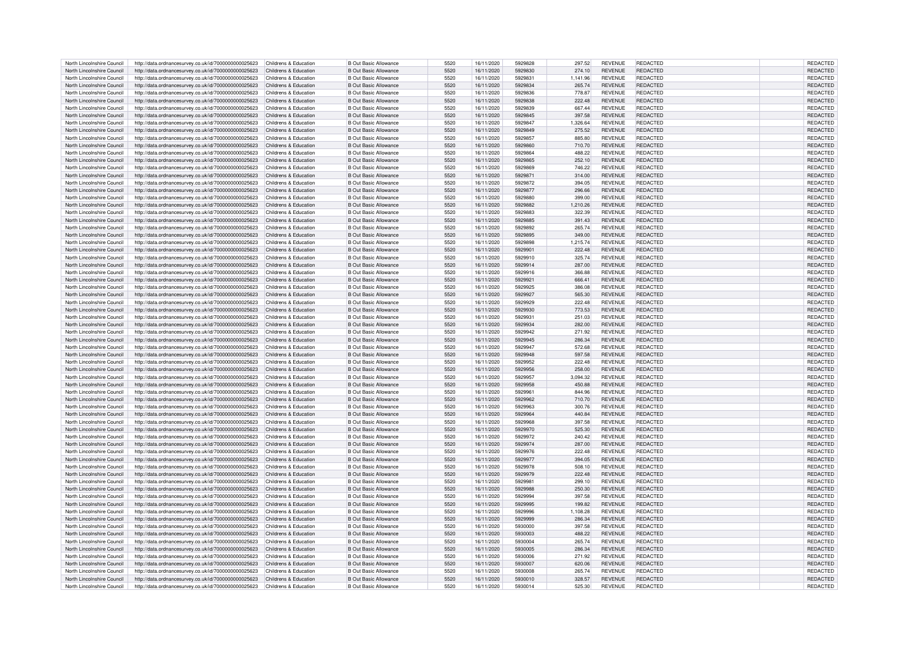| North Lincolnshire Council | http://data.ordnancesurvey.co.uk/id/7000000000025623                       | Childrens & Education | <b>B Out Basic Allowance</b> | 5520 | 16/11/2020 | 5929828 | 297.52   | <b>REVENUE</b> | REDACTED        | <b>REDACTED</b> |
|----------------------------|----------------------------------------------------------------------------|-----------------------|------------------------------|------|------------|---------|----------|----------------|-----------------|-----------------|
| North Lincolnshire Council | http://data.ordnancesurvey.co.uk/id/7000000000025623                       | Childrens & Education | <b>B Out Basic Allowance</b> | 5520 | 16/11/2020 | 5929830 | 274.10   | <b>REVENUE</b> | REDACTED        | REDACTED        |
| North Lincolnshire Council | http://data.ordnancesurvey.co.uk/id/7000000000025623                       | Childrens & Education | <b>B Out Basic Allowance</b> | 5520 | 16/11/2020 | 5929831 | 1,141.96 | <b>REVENUE</b> | REDACTED        | REDACTED        |
|                            |                                                                            |                       |                              |      |            |         |          |                |                 |                 |
| North Lincolnshire Council | http://data.ordnancesurvey.co.uk/id/7000000000025623                       | Childrens & Education | B Out Basic Allowance        | 5520 | 16/11/2020 | 5929834 | 265.74   | <b>REVENUE</b> | <b>REDACTED</b> | REDACTED        |
| North Lincolnshire Council | http://data.ordnancesurvey.co.uk/id/7000000000025623                       | Childrens & Education | <b>B Out Basic Allowance</b> | 5520 | 16/11/2020 | 5929836 | 778.87   | <b>REVENUE</b> | <b>REDACTED</b> | REDACTED        |
| North Lincolnshire Council | http://data.ordnancesurvey.co.uk/id/7000000000025623                       | Childrens & Education | <b>B Out Basic Allowance</b> | 5520 | 16/11/2020 | 5929838 | 222.48   | <b>REVENUE</b> | <b>REDACTED</b> | REDACTED        |
| North Lincolnshire Council | http://data.ordnancesurvey.co.uk/id/7000000000025623                       | Childrens & Education | <b>B Out Basic Allowance</b> | 5520 | 16/11/2020 | 5929839 | 667.44   | <b>REVENUE</b> | REDACTED        | REDACTED        |
| North Lincolnshire Council | http://data.ordnancesurvey.co.uk/id/7000000000025623                       | Childrens & Education | <b>B Out Basic Allowance</b> | 5520 | 16/11/2020 | 5929845 | 397.58   | <b>REVENUE</b> | <b>REDACTED</b> | REDACTED        |
| North Lincolnshire Council | http://data.ordnancesurvey.co.uk/id/7000000000025623                       | Childrens & Education | <b>B Out Basic Allowance</b> | 5520 | 16/11/2020 | 5929847 | 1.326.64 | <b>REVENUE</b> | REDACTED        | REDACTED        |
| North Lincolnshire Council | http://data.ordnancesurvey.co.uk/id/7000000000025623                       | Childrens & Education | <b>B Out Basic Allowance</b> | 5520 | 16/11/2020 | 5929849 | 275.52   | <b>REVENUE</b> | <b>REDACTED</b> | REDACTED        |
|                            |                                                                            |                       |                              |      |            |         |          |                |                 |                 |
| North Lincolnshire Council | http://data.ordnancesurvey.co.uk/id/7000000000025623                       | Childrens & Education | <b>B Out Basic Allowance</b> | 5520 | 16/11/2020 | 5929857 | 885.80   | <b>REVENUE</b> | <b>REDACTED</b> | REDACTED        |
| North Lincolnshire Council | http://data.ordnancesurvey.co.uk/id/7000000000025623                       | Childrens & Education | <b>B Out Basic Allowance</b> | 5520 | 16/11/2020 | 5929860 | 710.70   | <b>REVENUE</b> | REDACTED        | REDACTED        |
| North Lincolnshire Council | http://data.ordnancesurvey.co.uk/id/7000000000025623                       | Childrens & Education | <b>B Out Basic Allowance</b> | 5520 | 16/11/2020 | 5929864 | 488.22   | <b>REVENUE</b> | REDACTED        | REDACTED        |
| North Lincolnshire Council | http://data.ordnancesurvey.co.uk/id/7000000000025623                       | Childrens & Education | <b>B Out Basic Allowance</b> | 5520 | 16/11/2020 | 5929865 | 252.10   | <b>REVENUE</b> | <b>REDACTED</b> | REDACTED        |
| North Lincolnshire Council | http://data.ordnancesurvey.co.uk/id/7000000000025623                       | Childrens & Education | <b>B Out Basic Allowance</b> | 5520 | 16/11/2020 | 5929869 | 746.22   | <b>REVENUE</b> | <b>REDACTED</b> | REDACTED        |
| North Lincolnshire Council | http://data.ordnancesurvey.co.uk/id/7000000000025623                       | Childrens & Education | <b>B Out Basic Allowance</b> | 5520 | 16/11/2020 | 5929871 | 314.00   | <b>REVENUE</b> | <b>REDACTED</b> | REDACTED        |
| North Lincolnshire Council |                                                                            | Childrens & Education | <b>B Out Basic Allowance</b> | 5520 | 16/11/2020 | 5929872 | 394.05   | <b>REVENUE</b> | REDACTED        | <b>REDACTED</b> |
|                            | http://data.ordnancesurvey.co.uk/id/7000000000025623                       |                       |                              |      |            |         |          |                |                 |                 |
| North Lincolnshire Council | http://data.ordnancesurvey.co.uk/id/7000000000025623                       | Childrens & Education | <b>B Out Basic Allowance</b> | 5520 | 16/11/2020 | 5929877 | 296.66   | <b>REVENUE</b> | <b>REDACTED</b> | REDACTED        |
| North Lincolnshire Council | http://data.ordnancesurvey.co.uk/id/7000000000025623                       | Childrens & Education | <b>B Out Basic Allowance</b> | 5520 | 16/11/2020 | 5929880 | 399.00   | <b>REVENUE</b> | REDACTED        | REDACTED        |
| North Lincolnshire Council | http://data.ordnancesurvey.co.uk/id/7000000000025623                       | Childrens & Education | B Out Basic Allowance        | 5520 | 16/11/2020 | 5929882 | 1,210.26 | <b>REVENUE</b> | <b>REDACTED</b> | REDACTED        |
| North Lincolnshire Council | http://data.ordnancesurvey.co.uk/id/7000000000025623                       | Childrens & Education | <b>B Out Basic Allowance</b> | 5520 | 16/11/2020 | 5929883 | 322.39   | <b>REVENUE</b> | <b>REDACTED</b> | REDACTED        |
| North Lincolnshire Council | http://data.ordnancesurvey.co.uk/id/7000000000025623                       | Childrens & Education | <b>B Out Basic Allowance</b> | 5520 | 16/11/2020 | 5929885 | 391.43   | <b>REVENUE</b> | REDACTED        | REDACTED        |
| North Lincolnshire Council | http://data.ordnancesurvey.co.uk/id/7000000000025623                       | Childrens & Education | <b>B Out Basic Allowance</b> | 5520 | 16/11/2020 | 5929892 | 265.74   | <b>REVENUE</b> | <b>REDACTED</b> | REDACTED        |
|                            |                                                                            | Childrens & Education |                              | 5520 |            | 5929895 |          |                | <b>REDACTED</b> | REDACTED        |
| North Lincolnshire Council | http://data.ordnancesurvey.co.uk/id/7000000000025623                       |                       | <b>B Out Basic Allowance</b> |      | 16/11/2020 |         | 349.00   | <b>REVENUE</b> |                 |                 |
| North Lincolnshire Council | http://data.ordnancesurvey.co.uk/id/7000000000025623                       | Childrens & Education | <b>B Out Basic Allowance</b> | 5520 | 16/11/2020 | 5929898 | 1,215.74 | <b>REVENUE</b> | <b>REDACTED</b> | REDACTED        |
| North Lincolnshire Council | http://data.ordnancesurvey.co.uk/id/7000000000025623                       | Childrens & Education | <b>B Out Basic Allowance</b> | 5520 | 16/11/2020 | 5929901 | 222.48   | <b>REVENUE</b> | <b>REDACTED</b> | REDACTED        |
| North Lincolnshire Council | http://data.ordnancesurvey.co.uk/id/7000000000025623                       | Childrens & Education | <b>B Out Basic Allowance</b> | 5520 | 16/11/2020 | 5929910 | 325.74   | <b>REVENUE</b> | REDACTED        | REDACTED        |
| North Lincolnshire Council | http://data.ordnancesurvey.co.uk/id/7000000000025623                       | Childrens & Education | <b>B Out Basic Allowance</b> | 5520 | 16/11/2020 | 5929914 | 287.00   | <b>REVENUE</b> | <b>REDACTED</b> | REDACTED        |
| North Lincolnshire Council | http://data.ordnancesurvey.co.uk/id/7000000000025623                       | Childrens & Education | <b>B Out Basic Allowance</b> | 5520 | 16/11/2020 | 5929916 | 366.88   | <b>REVENUE</b> | REDACTED        | REDACTED        |
| North Lincolnshire Council | http://data.ordnancesurvey.co.uk/id/7000000000025623                       | Childrens & Education | <b>B Out Basic Allowance</b> | 5520 | 16/11/2020 | 5929921 | 666.41   | <b>REVENUE</b> | REDACTED        | REDACTED        |
|                            |                                                                            |                       |                              |      |            |         |          |                |                 |                 |
| North Lincolnshire Council | http://data.ordnancesurvey.co.uk/id/7000000000025623                       | Childrens & Education | <b>B Out Basic Allowance</b> | 5520 | 16/11/2020 | 5929925 | 386.08   | <b>REVENUE</b> | REDACTED        | REDACTED        |
| North Lincolnshire Council | http://data.ordnancesurvey.co.uk/id/7000000000025623                       | Childrens & Education | <b>B Out Basic Allowance</b> | 5520 | 16/11/2020 | 5929927 | 565.30   | <b>REVENUE</b> | <b>REDACTED</b> | REDACTED        |
| North Lincolnshire Council | http://data.ordnancesurvey.co.uk/id/7000000000025623                       | Childrens & Education | <b>B Out Basic Allowance</b> | 5520 | 16/11/2020 | 5929920 | 222.48   | <b>REVENUE</b> | REDACTED        | REDACTED        |
| North Lincolnshire Council | http://data.ordnancesurvey.co.uk/id/7000000000025623                       | Childrens & Education | <b>B Out Basic Allowance</b> | 5520 | 16/11/2020 | 5929930 | 773.53   | <b>REVENUE</b> | REDACTED        | REDACTED        |
| North Lincolnshire Council | http://data.ordnancesurvey.co.uk/id/7000000000025623                       | Childrens & Education | <b>B Out Basic Allowance</b> | 5520 | 16/11/2020 | 5929931 | 251.03   | <b>REVENUE</b> | <b>REDACTED</b> | REDACTED        |
| North Lincolnshire Council | http://data.ordnancesurvey.co.uk/id/7000000000025623                       | Childrens & Education | <b>B Out Basic Allowance</b> | 5520 | 16/11/2020 | 5929934 | 282.00   | <b>REVENUE</b> | <b>REDACTED</b> | REDACTED        |
| North Lincolnshire Council | http://data.ordnancesurvey.co.uk/id/7000000000025623                       | Childrens & Education | <b>B Out Basic Allowance</b> | 5520 | 16/11/2020 | 5929942 | 271.92   | <b>REVENUE</b> | <b>REDACTED</b> | REDACTED        |
|                            |                                                                            |                       |                              |      |            |         |          |                |                 |                 |
| North Lincolnshire Council | http://data.ordnancesurvey.co.uk/id/7000000000025623                       | Childrens & Education | <b>B Out Basic Allowance</b> | 5520 | 16/11/2020 | 5929945 | 286.34   | <b>REVENUE</b> | <b>REDACTED</b> | REDACTED        |
| North Lincolnshire Council | http://data.ordnancesurvey.co.uk/id/7000000000025623                       | Childrens & Education | <b>B Out Basic Allowance</b> | 5520 | 16/11/2020 | 5929947 | 572.68   | <b>REVENUE</b> | REDACTED        | REDACTED        |
| North Lincolnshire Council | http://data.ordnancesurvey.co.uk/id/7000000000025623                       | Childrens & Education | <b>B Out Basic Allowance</b> | 5520 | 16/11/2020 | 5929948 | 597.58   | <b>REVENUE</b> | <b>REDACTED</b> | REDACTED        |
| North Lincolnshire Council | http://data.ordnancesurvey.co.uk/id/7000000000025623                       | Childrens & Education | <b>B Out Basic Allowance</b> | 5520 | 16/11/2020 | 5929952 | 222.48   | <b>REVENUE</b> | REDACTED        | REDACTED        |
| North Lincolnshire Council | http://data.ordnancesurvey.co.uk/id/7000000000025623                       | Childrens & Education | B Out Basic Allowance        | 5520 | 16/11/2020 | 5929956 | 258.00   | <b>REVENUE</b> | <b>REDACTED</b> | REDACTED        |
| North Lincolnshire Council | http://data.ordnancesurvey.co.uk/id/7000000000025623                       | Childrens & Education | <b>B Out Basic Allowance</b> | 5520 | 16/11/2020 | 5929957 | 3,094.32 | <b>REVENUE</b> | REDACTED        | REDACTED        |
|                            | http://data.ordnancesurvey.co.uk/id/7000000000025623                       | Childrens & Education | <b>B Out Basic Allowance</b> | 5520 | 16/11/2020 | 5929958 | 450.88   | <b>REVENUE</b> | <b>REDACTED</b> | <b>REDACTED</b> |
| North Lincolnshire Council |                                                                            |                       |                              |      |            |         |          |                |                 |                 |
| North Lincolnshire Council | http://data.ordnancesurvey.co.uk/id/7000000000025623                       | Childrens & Education | <b>B Out Basic Allowance</b> | 5520 | 16/11/2020 | 5929961 | 844.96   | <b>REVENUE</b> | <b>REDACTED</b> | REDACTED        |
| North Lincolnshire Council | http://data.ordnancesurvey.co.uk/id/7000000000025623                       | Childrens & Education | <b>B Out Basic Allowance</b> | 5520 | 16/11/2020 | 5929962 | 710.70   | <b>REVENUE</b> | <b>REDACTED</b> | REDACTED        |
| North Lincolnshire Council | http://data.ordnancesurvey.co.uk/id/7000000000025623                       | Childrens & Education | <b>B Out Basic Allowance</b> | 5520 | 16/11/2020 | 5929963 | 300.76   | <b>REVENUE</b> | <b>REDACTED</b> | <b>REDACTED</b> |
| North Lincolnshire Council | http://data.ordnancesurvey.co.uk/id/7000000000025623                       | Childrens & Education | <b>B Out Basic Allowance</b> | 5520 | 16/11/2020 | 5929964 | 440.84   | <b>REVENUE</b> | <b>REDACTED</b> | <b>REDACTED</b> |
| North Lincolnshire Council | http://data.ordnancesurvey.co.uk/id/7000000000025623                       | Childrens & Education | <b>B Out Basic Allowance</b> | 5520 | 16/11/2020 | 5929968 | 397.58   | <b>REVENUE</b> | <b>REDACTED</b> | <b>REDACTED</b> |
| North Lincolnshire Council | http://data.ordnancesurvey.co.uk/id/7000000000025623                       | Childrens & Education | <b>B Out Basic Allowance</b> | 5520 | 16/11/2020 | 5929970 | 525.30   | <b>REVENUE</b> | REDACTED        | REDACTED        |
| North Lincolnshire Council | http://data.ordnancesurvey.co.uk/id/7000000000025623                       | Childrens & Education | <b>B Out Basic Allowance</b> | 5520 | 16/11/2020 | 5929972 | 240.42   | <b>REVENUE</b> | <b>REDACTED</b> | REDACTED        |
|                            |                                                                            |                       |                              |      |            |         |          |                |                 |                 |
| North Lincolnshire Council | http://data.ordnancesurvey.co.uk/id/7000000000025623                       | Childrens & Education | <b>B Out Basic Allowance</b> | 5520 | 16/11/2020 | 5929974 | 287.00   | <b>REVENUE</b> | <b>REDACTED</b> | REDACTED        |
| North Lincolnshire Council | http://data.ordnancesurvey.co.uk/id/7000000000025623                       | Childrens & Education | B Out Basic Allowance        | 5520 | 16/11/2020 | 5929976 | 222.48   | <b>REVENUE</b> | REDACTED        | <b>REDACTED</b> |
| North Lincolnshire Council | http://data.ordnancesurvey.co.uk/id/7000000000025623                       | Childrens & Education | <b>B Out Basic Allowance</b> | 5520 | 16/11/2020 | 5929977 | 394.05   | <b>REVENUE</b> | REDACTED        | REDACTED        |
| North Lincolnshire Council | http://data.ordnancesurvey.co.uk/id/7000000000025623                       | Childrens & Education | B Out Basic Allowance        | 5520 | 16/11/2020 | 5929978 | 508.10   | <b>REVENUE</b> | <b>REDACTED</b> | REDACTED        |
| North Lincolnshire Council | http://data.ordnancesurvey.co.uk/id/7000000000025623                       | Childrens & Education | <b>B Out Basic Allowance</b> | 5520 | 16/11/2020 | 5929979 | 222.48   | <b>REVENUE</b> | <b>REDACTED</b> | <b>REDACTED</b> |
| North Lincolnshire Council | http://data.ordnancesurvey.co.uk/id/7000000000025623                       | Childrens & Education | <b>B Out Basic Allowance</b> | 5520 | 16/11/2020 | 5929981 | 299.10   | <b>REVENUE</b> | <b>REDACTED</b> | REDACTED        |
| North Lincolnshire Council | http://data.ordnancesurvey.co.uk/id/7000000000025623                       | Childrens & Education | <b>B Out Basic Allowance</b> | 5520 | 16/11/2020 | 5929988 | 250.30   | <b>REVENUE</b> | REDACTED        | <b>REDACTED</b> |
| North Lincolnshire Council |                                                                            | Childrens & Education | <b>B Out Basic Allowance</b> | 5520 |            | 5929994 |          | <b>REVENUE</b> | <b>REDACTED</b> |                 |
|                            | http://data.ordnancesurvey.co.uk/id/7000000000025623                       |                       |                              |      | 16/11/2020 |         | 397.58   |                |                 | REDACTED        |
| North Lincolnshire Council | http://data.ordnancesurvey.co.uk/id/7000000000025623                       | Childrens & Education | <b>B Out Basic Allowance</b> | 5520 | 16/11/2020 | 5929995 | 199.82   | <b>REVENUE</b> | <b>REDACTED</b> | REDACTED        |
| North Lincolnshire Council | http://data.ordnancesurvey.co.uk/id/7000000000025623                       | Childrens & Education | <b>B Out Basic Allowance</b> | 5520 | 16/11/2020 | 5929996 | 1.108.28 | <b>REVENUE</b> | REDACTED        | REDACTED        |
| North Lincolnshire Council | http://data.ordnancesurvey.co.uk/id/7000000000025623                       | Childrens & Education | <b>B Out Basic Allowance</b> | 5520 | 16/11/2020 | 5929999 | 286.34   | <b>REVENUE</b> | <b>REDACTED</b> | REDACTED        |
| North Lincolnshire Council | http://data.ordnancesurvey.co.uk/id/7000000000025623                       | Childrens & Education | B Out Basic Allowance        | 5520 | 16/11/2020 | 5930000 | 397.58   | <b>REVENUE</b> | REDACTED        | <b>REDACTED</b> |
| North Lincolnshire Council | http://data.ordnancesurvey.co.uk/id/7000000000025623                       | Childrens & Education | <b>B Out Basic Allowance</b> | 5520 | 16/11/2020 | 5930003 | 488.22   | <b>REVENUE</b> | <b>REDACTED</b> | REDACTED        |
| North Lincolnshire Council | http://data.ordnancesurvey.co.uk/id/7000000000025623                       | Childrens & Education | <b>B</b> Out Basic Allowance | 5520 | 16/11/2020 | 5930004 | 265.74   | <b>REVENUE</b> | <b>REDACTED</b> | REDACTED        |
| North Lincolnshire Council |                                                                            | Childrens & Education | <b>B Out Basic Allowance</b> | 5520 | 16/11/2020 | 5930005 | 286.34   | <b>REVENUE</b> | <b>REDACTED</b> | REDACTED        |
|                            | http://data.ordnancesurvey.co.uk/id/7000000000025623                       |                       |                              |      |            |         |          |                |                 |                 |
| North Lincolnshire Council | http://data.ordnancesurvey.co.uk/id/7000000000025623                       | Childrens & Education | <b>B Out Basic Allowance</b> | 5520 | 16/11/2020 | 5930006 | 271.92   | <b>REVENUE</b> | <b>REDACTED</b> | REDACTED        |
| North Lincolnshire Council | http://data.ordnancesurvey.co.uk/id/7000000000025623                       | Childrens & Education | <b>B Out Basic Allowance</b> | 5520 | 16/11/2020 | 5930007 | 620.06   | <b>REVENUE</b> | REDACTED        | REDACTED        |
| North Lincolnshire Council | http://data.ordnancesurvey.co.uk/id/7000000000025623                       | Childrens & Education | B Out Basic Allowance        | 5520 | 16/11/2020 | 5930008 | 265.74   | <b>REVENUE</b> | REDACTED        | <b>REDACTED</b> |
| North Lincolnshire Council | http://data.ordnancesurvey.co.uk/id/7000000000025623                       | Childrens & Education | B Out Basic Allowance        | 5520 | 16/11/2020 | 5930010 | 328.57   | <b>REVENUE</b> | <b>REDACTED</b> | <b>REDACTED</b> |
| North Lincolnshire Council | http://data.ordnancesurvey.co.uk/id/7000000000025623 Childrens & Education |                       | <b>B</b> Out Basic Allowance | 5520 | 16/11/2020 | 5930014 | 525.30   | <b>REVENUE</b> | REDACTED        | REDACTED        |
|                            |                                                                            |                       |                              |      |            |         |          |                |                 |                 |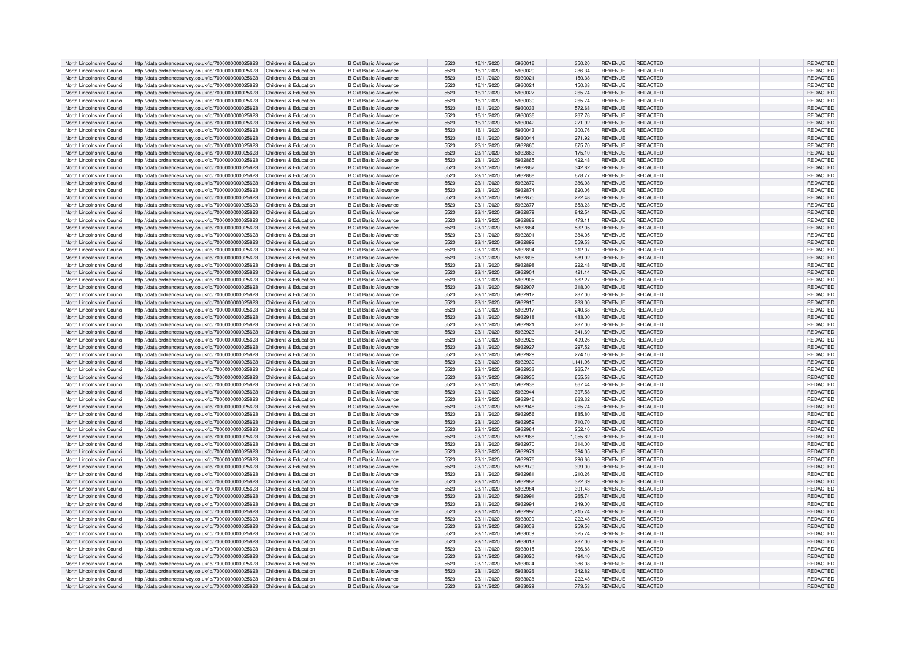| North Lincolnshire Council | http://data.ordnancesurvey.co.uk/id/7000000000025623                       | Childrens & Education | <b>B Out Basic Allowance</b> | 5520 | 16/11/2020 | 5930016 | 350.20   | <b>REVENUE</b> | <b>REDACTED</b> | REDACTED        |
|----------------------------|----------------------------------------------------------------------------|-----------------------|------------------------------|------|------------|---------|----------|----------------|-----------------|-----------------|
| North Lincolnshire Council | http://data.ordnancesurvey.co.uk/id/7000000000025623                       | Childrens & Education | <b>B Out Basic Allowance</b> | 5520 | 16/11/2020 | 5930020 | 286.34   | <b>REVENUE</b> | REDACTED        | REDACTED        |
| North Lincolnshire Council | http://data.ordnancesurvey.co.uk/id/7000000000025623                       | Childrens & Education | <b>B Out Basic Allowance</b> | 5520 | 16/11/2020 | 5930021 | 150.38   | <b>REVENUE</b> | REDACTED        | REDACTED        |
| North Lincolnshire Council | http://data.ordnancesurvey.co.uk/id/7000000000025623                       | Childrens & Education | <b>B Out Basic Allowance</b> | 5520 | 16/11/2020 | 5930024 | 150.38   | <b>REVENUE</b> | REDACTED        | REDACTED        |
|                            |                                                                            |                       |                              |      |            |         |          |                |                 |                 |
| North Lincolnshire Council | http://data.ordnancesurvey.co.uk/id/7000000000025623                       | Childrens & Education | <b>B Out Basic Allowance</b> | 5520 | 16/11/2020 | 5930027 | 265.74   | <b>REVENUE</b> | <b>REDACTED</b> | REDACTED        |
| North Lincolnshire Council | http://data.ordnancesurvey.co.uk/id/7000000000025623                       | Childrens & Education | <b>B Out Basic Allowance</b> | 5520 | 16/11/2020 | 5930030 | 265.74   | <b>REVENUE</b> | <b>REDACTED</b> | REDACTED        |
| North Lincolnshire Council | http://data.ordnancesurvey.co.uk/id/7000000000025623                       | Childrens & Education | <b>B Out Basic Allowance</b> | 5520 | 16/11/2020 | 5930033 | 572.68   | <b>REVENUE</b> | REDACTED        | REDACTED        |
| North Lincolnshire Council | http://data.ordnancesurvey.co.uk/id/7000000000025623                       | Childrens & Education | <b>B Out Basic Allowance</b> | 5520 | 16/11/2020 | 5930036 | 267.76   | <b>REVENUE</b> | <b>REDACTED</b> | REDACTED        |
| North Lincolnshire Council | http://data.ordnancesurvey.co.uk/id/7000000000025623                       | Childrens & Education | <b>B Out Basic Allowance</b> | 5520 | 16/11/2020 | 5930042 | 271.92   | <b>REVENUE</b> | REDACTED        | REDACTED        |
| North Lincolnshire Council | http://data.ordnancesurvey.co.uk/id/7000000000025623                       | Childrens & Education | <b>B Out Basic Allowance</b> | 5520 | 16/11/2020 | 5930043 | 300.76   | <b>REVENUE</b> | <b>REDACTED</b> | REDACTED        |
| North Lincolnshire Council | http://data.ordnancesurvey.co.uk/id/7000000000025623                       | Childrens & Education | <b>B Out Basic Allowance</b> | 5520 | 16/11/2020 | 5930044 | 271.92   | <b>REVENUE</b> | <b>REDACTED</b> | REDACTED        |
|                            |                                                                            |                       |                              |      |            |         |          |                |                 |                 |
| North Lincolnshire Council | http://data.ordnancesurvey.co.uk/id/7000000000025623                       | Childrens & Education | <b>B Out Basic Allowance</b> | 5520 | 23/11/2020 | 5932860 | 675.70   | <b>REVENUE</b> | REDACTED        | REDACTED        |
| North Lincolnshire Council | http://data.ordnancesurvey.co.uk/id/7000000000025623                       | Childrens & Education | <b>B Out Basic Allowance</b> | 5520 | 23/11/2020 | 5932863 | 175.10   | <b>REVENUE</b> | <b>REDACTED</b> | REDACTED        |
| North Lincolnshire Council | http://data.ordnancesurvey.co.uk/id/7000000000025623                       | Childrens & Education | <b>B Out Basic Allowance</b> | 5520 | 23/11/2020 | 5932865 | 422.48   | <b>REVENUE</b> | <b>REDACTED</b> | REDACTED        |
| North Lincolnshire Council | http://data.ordnancesurvey.co.uk/id/7000000000025623                       | Childrens & Education | <b>B Out Basic Allowance</b> | 5520 | 23/11/2020 | 5932867 | 342.82   | <b>REVENUE</b> | <b>REDACTED</b> | REDACTED        |
| North Lincolnshire Council | http://data.ordnancesurvey.co.uk/id/7000000000025623                       | Childrens & Education | <b>B Out Basic Allowance</b> | 5520 | 23/11/2020 | 5932868 | 678.77   | <b>REVENUE</b> | <b>REDACTED</b> | REDACTED        |
| North Lincolnshire Council | http://data.ordnancesurvey.co.uk/id/7000000000025623                       | Childrens & Education | <b>B Out Basic Allowance</b> | 5520 | 23/11/2020 | 5932872 | 386.08   | <b>REVENUE</b> | REDACTED        | REDACTED        |
| North Lincolnshire Council | http://data.ordnancesurvey.co.uk/id/7000000000025623                       | Childrens & Education | <b>B Out Basic Allowance</b> | 5520 | 23/11/2020 | 5932874 | 620.06   | <b>REVENUE</b> | <b>REDACTED</b> | REDACTED        |
| North Lincolnshire Council | http://data.ordnancesurvey.co.uk/id/7000000000025623                       | Childrens & Education | <b>B Out Basic Allowance</b> | 5520 | 23/11/2020 | 5932875 | 222.48   | <b>REVENUE</b> | REDACTED        | REDACTED        |
| North Lincolnshire Council | http://data.ordnancesurvey.co.uk/id/7000000000025623                       | Childrens & Education | <b>B Out Basic Allowance</b> | 5520 | 23/11/2020 | 5932877 | 653.23   | <b>REVENUE</b> | <b>REDACTED</b> | REDACTED        |
|                            |                                                                            |                       |                              |      |            |         |          |                |                 |                 |
| North Lincolnshire Council | http://data.ordnancesurvey.co.uk/id/7000000000025623                       | Childrens & Education | <b>B Out Basic Allowance</b> | 5520 | 23/11/2020 | 5932879 | 842.54   | <b>REVENUE</b> | <b>REDACTED</b> | REDACTED        |
| North Lincolnshire Council | http://data.ordnancesurvey.co.uk/id/7000000000025623                       | Childrens & Education | <b>B Out Basic Allowance</b> | 5520 | 23/11/2020 | 5932882 | 473.1    | <b>REVENUE</b> | REDACTED        | REDACTED        |
| North Lincolnshire Council | http://data.ordnancesurvey.co.uk/id/7000000000025623                       | Childrens & Education | <b>B Out Basic Allowance</b> | 5520 | 23/11/2020 | 5932884 | 532.05   | <b>REVENUE</b> | <b>REDACTED</b> | REDACTED        |
| North Lincolnshire Council | http://data.ordnancesurvey.co.uk/id/7000000000025623                       | Childrens & Education | <b>B Out Basic Allowance</b> | 5520 | 23/11/2020 | 5932891 | 384.05   | <b>REVENUE</b> | <b>REDACTED</b> | REDACTED        |
| North Lincolnshire Council | http://data.ordnancesurvey.co.uk/id/7000000000025623                       | Childrens & Education | <b>B Out Basic Allowance</b> | 5520 | 23/11/2020 | 5932892 | 559.53   | <b>REVENUE</b> | <b>REDACTED</b> | REDACTED        |
| North Lincolnshire Council | http://data.ordnancesurvey.co.uk/id/7000000000025623                       | Childrens & Education | <b>B Out Basic Allowance</b> | 5520 | 23/11/2020 | 5932894 | 312.07   | <b>REVENUE</b> | <b>REDACTED</b> | REDACTED        |
| North Lincolnshire Council | http://data.ordnancesurvey.co.uk/id/7000000000025623                       | Childrens & Education | <b>B Out Basic Allowance</b> | 5520 | 23/11/2020 | 5932895 | 889.92   | <b>REVENUE</b> | REDACTED        | REDACTED        |
| North Lincolnshire Council | http://data.ordnancesurvey.co.uk/id/7000000000025623                       | Childrens & Education | <b>B Out Basic Allowance</b> | 5520 | 23/11/2020 | 5932898 | 222.48   | <b>REVENUE</b> | <b>REDACTED</b> | REDACTED        |
| North Lincolnshire Council |                                                                            | Childrens & Education | <b>B Out Basic Allowance</b> | 5520 | 23/11/2020 | 5932904 | 421.14   | <b>REVENUE</b> | <b>REDACTED</b> | REDACTED        |
|                            | http://data.ordnancesurvey.co.uk/id/7000000000025623                       |                       |                              |      |            |         |          |                |                 |                 |
| North Lincolnshire Council | http://data.ordnancesurvey.co.uk/id/7000000000025623                       | Childrens & Education | <b>B Out Basic Allowance</b> | 5520 | 23/11/2020 | 5932905 | 682.27   | <b>REVENUE</b> | <b>REDACTED</b> | REDACTED        |
| North Lincolnshire Council | http://data.ordnancesurvey.co.uk/id/7000000000025623                       | Childrens & Education | <b>B Out Basic Allowance</b> | 5520 | 23/11/2020 | 5932907 | 318.00   | <b>REVENUE</b> | REDACTED        | REDACTED        |
| North Lincolnshire Council | http://data.ordnancesurvey.co.uk/id/7000000000025623                       | Childrens & Education | <b>B Out Basic Allowance</b> | 5520 | 23/11/2020 | 5932912 | 287.00   | <b>REVENUE</b> | <b>REDACTED</b> | REDACTED        |
| North Lincolnshire Council | http://data.ordnancesurvey.co.uk/id/7000000000025623                       | Childrens & Education | <b>B Out Basic Allowance</b> | 5520 | 23/11/2020 | 5932915 | 283.00   | <b>REVENUE</b> | REDACTED        | REDACTED        |
| North Lincolnshire Council | http://data.ordnancesurvey.co.uk/id/7000000000025623                       | Childrens & Education | <b>B Out Basic Allowance</b> | 5520 | 23/11/2020 | 5932917 | 240.68   | <b>REVENUE</b> | REDACTED        | REDACTED        |
| North Lincolnshire Council | http://data.ordnancesurvey.co.uk/id/7000000000025623                       | Childrens & Education | <b>B Out Basic Allowance</b> | 5520 | 23/11/2020 | 5932918 | 483.00   | <b>REVENUE</b> | REDACTED        | REDACTED        |
| North Lincolnshire Council | http://data.ordnancesurvey.co.uk/id/7000000000025623                       | Childrens & Education | <b>B Out Basic Allowance</b> | 5520 | 23/11/2020 | 5932921 | 287.00   | <b>REVENUE</b> | REDACTED        | REDACTED        |
| North Lincolnshire Council | http://data.ordnancesurvey.co.uk/id/7000000000025623                       | Childrens & Education | <b>B Out Basic Allowance</b> | 5520 | 23/11/2020 | 5932923 | 341.69   | <b>REVENUE</b> | <b>REDACTED</b> | <b>REDACTED</b> |
|                            |                                                                            |                       |                              | 5520 |            | 5932925 |          |                | <b>REDACTED</b> |                 |
| North Lincolnshire Council | http://data.ordnancesurvey.co.uk/id/7000000000025623                       | Childrens & Education | <b>B Out Basic Allowance</b> |      | 23/11/2020 |         | 409.26   | <b>REVENUE</b> |                 | REDACTED        |
| North Lincolnshire Council | http://data.ordnancesurvey.co.uk/id/7000000000025623                       | Childrens & Education | <b>B Out Basic Allowance</b> | 5520 | 23/11/2020 | 5932927 | 297.52   | <b>REVENUE</b> | <b>REDACTED</b> | REDACTED        |
| North Lincolnshire Council | http://data.ordnancesurvey.co.uk/id/7000000000025623                       | Childrens & Education | <b>B Out Basic Allowance</b> | 5520 | 23/11/2020 | 5932929 | 274.10   | <b>REVENUE</b> | <b>REDACTED</b> | REDACTED        |
| North Lincolnshire Council | http://data.ordnancesurvey.co.uk/id/7000000000025623                       | Childrens & Education | <b>B Out Basic Allowance</b> | 5520 | 23/11/2020 | 5932930 | 1,141.96 | <b>REVENUE</b> | REDACTED        | REDACTED        |
| North Lincolnshire Council | http://data.ordnancesurvey.co.uk/id/7000000000025623                       | Childrens & Education | <b>B Out Basic Allowance</b> | 5520 | 23/11/2020 | 5932933 | 265.74   | <b>REVENUE</b> | REDACTED        | <b>REDACTED</b> |
| North Lincolnshire Council | http://data.ordnancesurvey.co.uk/id/7000000000025623                       | Childrens & Education | <b>B Out Basic Allowance</b> | 5520 | 23/11/2020 | 5932935 | 655.58   | <b>REVENUE</b> | REDACTED        | REDACTED        |
| North Lincolnshire Council | http://data.ordnancesurvey.co.uk/id/7000000000025623                       | Childrens & Education | <b>B Out Basic Allowance</b> | 5520 | 23/11/2020 | 5932938 | 667.44   | <b>REVENUE</b> | REDACTED        | <b>REDACTED</b> |
| North Lincolnshire Council | http://data.ordnancesurvey.co.uk/id/7000000000025623                       | Childrens & Education | <b>B Out Basic Allowance</b> | 5520 | 23/11/2020 | 5932944 | 397.58   | <b>REVENUE</b> | REDACTED        | REDACTED        |
| North Lincolnshire Council | http://data.ordnancesurvey.co.uk/id/7000000000025623                       | Childrens & Education | <b>B Out Basic Allowance</b> | 5520 | 23/11/2020 | 5932946 | 663.32   | <b>REVENUE</b> | <b>REDACTED</b> | REDACTED        |
| North Lincolnshire Council |                                                                            | Childrens & Education | <b>B Out Basic Allowance</b> | 5520 | 23/11/2020 | 5932948 | 265.74   | <b>REVENUE</b> | <b>REDACTED</b> | REDACTED        |
|                            | http://data.ordnancesurvey.co.uk/id/7000000000025623                       |                       |                              |      |            |         |          |                |                 |                 |
| North Lincolnshire Council | http://data.ordnancesurvey.co.uk/id/7000000000025623                       | Childrens & Education | <b>B Out Basic Allowance</b> | 5520 | 23/11/2020 | 5932956 | 885.80   | <b>REVENUE</b> | REDACTED        | REDACTED        |
| North Lincolnshire Council | http://data.ordnancesurvey.co.uk/id/7000000000025623                       | Childrens & Education | <b>B Out Basic Allowance</b> | 5520 | 23/11/2020 | 5932959 | 710.70   | <b>REVENUE</b> | <b>REDACTED</b> | REDACTED        |
| North Lincolnshire Council | http://data.ordnancesurvey.co.uk/id/7000000000025623                       | Childrens & Education | <b>B Out Basic Allowance</b> | 5520 | 23/11/2020 | 5932964 | 252.10   | <b>REVENUE</b> | <b>REDACTED</b> | REDACTED        |
| North Lincolnshire Council | http://data.ordnancesurvey.co.uk/id/7000000000025623                       | Childrens & Education | <b>B Out Basic Allowance</b> | 5520 | 23/11/2020 | 5932968 | 1,055.82 | <b>REVENUE</b> | <b>REDACTED</b> | REDACTED        |
| North Lincolnshire Council | http://data.ordnancesurvey.co.uk/id/7000000000025623                       | Childrens & Education | <b>B Out Basic Allowance</b> | 5520 | 23/11/2020 | 5932970 | 314.00   | <b>REVENUE</b> | <b>REDACTED</b> | REDACTED        |
| North Lincolnshire Council | http://data.ordnancesurvey.co.uk/id/7000000000025623                       | Childrens & Education | <b>B Out Basic Allowance</b> | 5520 | 23/11/2020 | 5932971 | 394.05   | <b>REVENUE</b> | <b>REDACTED</b> | <b>REDACTED</b> |
| North Lincolnshire Council | http://data.ordnancesurvey.co.uk/id/7000000000025623                       | Childrens & Education | <b>B Out Basic Allowance</b> | 5520 | 23/11/2020 | 5932976 | 296.66   | <b>REVENUE</b> | <b>REDACTED</b> | REDACTED        |
| North Lincolnshire Council | http://data.ordnancesurvey.co.uk/id/7000000000025623                       | Childrens & Education | <b>B Out Basic Allowance</b> | 5520 | 23/11/2020 | 5932979 | 399.00   | <b>REVENUE</b> | <b>REDACTED</b> | REDACTED        |
|                            |                                                                            |                       |                              | 5520 |            | 5932981 |          |                | <b>REDACTED</b> |                 |
| North Lincolnshire Council | http://data.ordnancesurvey.co.uk/id/7000000000025623                       | Childrens & Education | <b>B Out Basic Allowance</b> |      | 23/11/2020 |         | 1,210.26 | <b>REVENUE</b> |                 | <b>REDACTED</b> |
| North Lincolnshire Council | http://data.ordnancesurvey.co.uk/id/7000000000025623                       | Childrens & Education | <b>B Out Basic Allowance</b> | 5520 | 23/11/2020 | 5932982 | 322.39   | <b>REVENUE</b> | <b>REDACTED</b> | REDACTED        |
| North Lincolnshire Council | http://data.ordnancesurvey.co.uk/id/7000000000025623                       | Childrens & Education | <b>B Out Basic Allowance</b> | 5520 | 23/11/2020 | 5932984 | 391.43   | <b>REVENUE</b> | REDACTED        | REDACTED        |
| North Lincolnshire Council | http://data.ordnancesurvey.co.uk/id/7000000000025623                       | Childrens & Education | <b>B Out Basic Allowance</b> | 5520 | 23/11/2020 | 5932991 | 265.74   | <b>REVENUE</b> | <b>REDACTED</b> | REDACTED        |
| North Lincolnshire Council | http://data.ordnancesurvey.co.uk/id/7000000000025623                       | Childrens & Education | <b>B Out Basic Allowance</b> | 5520 | 23/11/2020 | 5932994 | 349.00   | <b>REVENUE</b> | <b>REDACTED</b> | REDACTED        |
| North Lincolnshire Council | http://data.ordnancesurvey.co.uk/id/7000000000025623                       | Childrens & Education | <b>B Out Basic Allowance</b> | 5520 | 23/11/2020 | 5932997 | 1,215.74 | <b>REVENUE</b> | REDACTED        | REDACTED        |
| North Lincolnshire Council | http://data.ordnancesurvey.co.uk/id/7000000000025623                       | Childrens & Education | <b>B Out Basic Allowance</b> | 5520 | 23/11/2020 | 5933000 | 222.48   | <b>REVENUE</b> | <b>REDACTED</b> | REDACTED        |
| North Lincolnshire Council | http://data.ordnancesurvey.co.uk/id/7000000000025623                       | Childrens & Education | <b>B Out Basic Allowance</b> | 5520 | 23/11/2020 | 5933008 | 259.56   | <b>REVENUE</b> | <b>REDACTED</b> | <b>REDACTED</b> |
| North Lincolnshire Council | http://data.ordnancesurvey.co.uk/id/7000000000025623                       | Childrens & Education | <b>B Out Basic Allowance</b> | 5520 | 23/11/2020 | 5933009 | 325.74   | <b>REVENUE</b> | REDACTED        | REDACTED        |
|                            |                                                                            |                       |                              | 5520 |            | 5933013 |          |                | <b>REDACTED</b> |                 |
| North Lincolnshire Council | http://data.ordnancesurvey.co.uk/id/7000000000025623                       | Childrens & Education | <b>B Out Basic Allowance</b> |      | 23/11/2020 |         | 287.00   | <b>REVENUE</b> |                 | REDACTED        |
| North Lincolnshire Council | http://data.ordnancesurvey.co.uk/id/7000000000025623                       | Childrens & Education | <b>B Out Basic Allowance</b> | 5520 | 23/11/2020 | 5933015 | 366.88   | <b>REVENUE</b> | REDACTED        | REDACTED        |
| North Lincolnshire Council | http://data.ordnancesurvey.co.uk/id/7000000000025623                       | Childrens & Education | <b>B Out Basic Allowance</b> | 5520 | 23/11/2020 | 5933020 | 494.40   | <b>REVENUE</b> | <b>REDACTED</b> | REDACTED        |
| North Lincolnshire Council | http://data.ordnancesurvey.co.uk/id/7000000000025623                       | Childrens & Education | <b>B Out Basic Allowance</b> | 5520 | 23/11/2020 | 5933024 | 386.08   | <b>REVENUE</b> | REDACTED        | REDACTED        |
| North Lincolnshire Council | http://data.ordnancesurvey.co.uk/id/7000000000025623                       | Childrens & Education | B Out Basic Allowance        | 5520 | 23/11/2020 | 5933026 | 342.82   | <b>REVENUE</b> | REDACTED        | <b>REDACTED</b> |
| North Lincolnshire Council | http://data.ordnancesurvey.co.uk/id/7000000000025623                       | Childrens & Education | B Out Basic Allowance        | 5520 | 23/11/2020 | 5933028 | 222.48   | <b>REVENUE</b> | <b>REDACTED</b> | <b>REDACTED</b> |
| North Lincolnshire Council | http://data.ordnancesurvey.co.uk/id/7000000000025623 Childrens & Education |                       | <b>B Out Basic Allowance</b> | 5520 | 23/11/2020 | 5933029 | 773.53   | <b>REVENUE</b> | REDACTED        | REDACTED        |
|                            |                                                                            |                       |                              |      |            |         |          |                |                 |                 |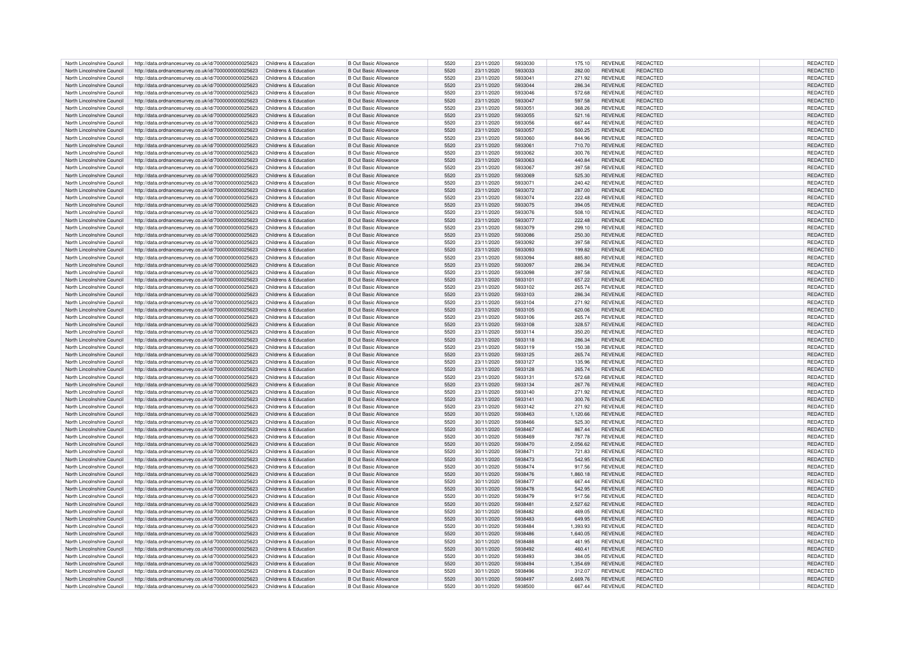| North Lincolnshire Council | http://data.ordnancesurvey.co.uk/id/7000000000025623                       | Childrens & Education | <b>B Out Basic Allowance</b> | 5520 | 23/11/2020 | 5933030 | 175.10             | <b>REVENUE</b> | REDACTED        | REDACTED                    |
|----------------------------|----------------------------------------------------------------------------|-----------------------|------------------------------|------|------------|---------|--------------------|----------------|-----------------|-----------------------------|
| North Lincolnshire Council | http://data.ordnancesurvey.co.uk/id/7000000000025623                       | Childrens & Education | <b>B Out Basic Allowance</b> | 5520 | 23/11/2020 | 5933033 | 282.00             | <b>REVENUE</b> | <b>REDACTED</b> | REDACTED                    |
| North Lincolnshire Council | http://data.ordnancesurvey.co.uk/id/7000000000025623                       | Childrens & Education | <b>B Out Basic Allowance</b> | 5520 | 23/11/2020 | 5933041 | 271.92             | <b>REVENUE</b> | REDACTED        | REDACTED                    |
| North Lincolnshire Council | http://data.ordnancesurvey.co.uk/id/7000000000025623                       | Childrens & Education | <b>B Out Basic Allowance</b> | 5520 | 23/11/2020 | 5933044 | 286.34             | <b>REVENUE</b> | <b>REDACTED</b> | REDACTED                    |
|                            |                                                                            |                       |                              |      |            |         |                    |                |                 |                             |
| North Lincolnshire Council | http://data.ordnancesurvey.co.uk/id/7000000000025623                       | Childrens & Education | <b>B Out Basic Allowance</b> | 5520 | 23/11/2020 | 5933046 | 572.68             | <b>REVENUE</b> | REDACTED        | REDACTED                    |
| North Lincolnshire Council | http://data.ordnancesurvey.co.uk/id/7000000000025623                       | Childrens & Education | <b>B Out Basic Allowance</b> | 5520 | 23/11/2020 | 5933047 | 597.58             | <b>REVENUE</b> | <b>REDACTED</b> | REDACTED                    |
| North Lincolnshire Council | http://data.ordnancesurvey.co.uk/id/7000000000025623                       | Childrens & Education | <b>B Out Basic Allowance</b> | 5520 | 23/11/2020 | 5933051 | 368.26             | <b>REVENUE</b> | <b>REDACTED</b> | REDACTED                    |
| North Lincolnshire Council | http://data.ordnancesurvey.co.uk/id/7000000000025623                       | Childrens & Education | <b>B Out Basic Allowance</b> | 5520 | 23/11/2020 | 5933055 | 521.16             | <b>REVENUE</b> | REDACTED        | REDACTED                    |
| North Lincolnshire Council | http://data.ordnancesurvey.co.uk/id/7000000000025623                       | Childrens & Education | <b>B Out Basic Allowance</b> | 5520 | 23/11/2020 | 5933056 | 667.44             | <b>REVENUE</b> | <b>REDACTED</b> | REDACTED                    |
| North Lincolnshire Council | http://data.ordnancesurvey.co.uk/id/7000000000025623                       | Childrens & Education | <b>B Out Basic Allowance</b> | 5520 | 23/11/2020 | 5933057 | 500.25             | REVENUE        | REDACTED        | REDACTED                    |
| North Lincolnshire Council | http://data.ordnancesurvey.co.uk/id/7000000000025623                       | Childrens & Education | <b>B Out Basic Allowance</b> | 5520 | 23/11/2020 | 5933060 | 844.96             | <b>REVENUE</b> | REDACTED        | <b>REDACTED</b>             |
| North Lincolnshire Council | http://data.ordnancesurvey.co.uk/id/7000000000025623                       | Childrens & Education | <b>B Out Basic Allowance</b> | 5520 | 23/11/2020 | 5933061 | 710.70             | <b>REVENUE</b> | REDACTED        | REDACTED                    |
|                            |                                                                            |                       |                              |      |            |         |                    |                |                 |                             |
| North Lincolnshire Council | http://data.ordnancesurvey.co.uk/id/7000000000025623                       | Childrens & Education | <b>B Out Basic Allowance</b> | 5520 | 23/11/2020 | 5933062 | 300.76             | <b>REVENUE</b> | REDACTED        | REDACTED                    |
| North Lincolnshire Council | http://data.ordnancesurvey.co.uk/id/7000000000025623                       | Childrens & Education | <b>B Out Basic Allowance</b> | 5520 | 23/11/2020 | 5933063 | 440.84             | <b>REVENUE</b> | REDACTED        | REDACTED                    |
| North Lincolnshire Council | http://data.ordnancesurvey.co.uk/id/7000000000025623                       | Childrens & Education | B Out Basic Allowance        | 5520 | 23/11/2020 | 5933067 | 397.58             | <b>REVENUE</b> | REDACTED        | REDACTED                    |
| North Lincolnshire Council | http://data.ordnancesurvey.co.uk/id/7000000000025623                       | Childrens & Education | <b>B Out Basic Allowance</b> | 5520 | 23/11/2020 | 5933069 | 525.30             | <b>REVENUE</b> | REDACTED        | <b>REDACTED</b>             |
| North Lincolnshire Council | http://data.ordnancesurvey.co.uk/id/7000000000025623                       | Childrens & Education | <b>B Out Basic Allowance</b> | 5520 | 23/11/2020 | 5933071 | 240.42             | <b>REVENUE</b> | REDACTED        | REDACTED                    |
| North Lincolnshire Council | http://data.ordnancesurvey.co.uk/id/7000000000025623                       | Childrens & Education | <b>B Out Basic Allowance</b> | 5520 | 23/11/2020 | 5933072 | 287.00             | <b>REVENUE</b> | <b>REDACTED</b> | <b>REDACTED</b>             |
| North Lincolnshire Council | http://data.ordnancesurvey.co.uk/id/7000000000025623                       | Childrens & Education | B Out Basic Allowance        | 5520 | 23/11/2020 | 5933074 | 222.48             | <b>REVENUE</b> | <b>REDACTED</b> | REDACTED                    |
|                            |                                                                            |                       |                              |      |            |         |                    |                |                 |                             |
| North Lincolnshire Council | http://data.ordnancesurvey.co.uk/id/7000000000025623                       | Childrens & Education | <b>B Out Basic Allowance</b> | 5520 | 23/11/2020 | 5933075 | 394.05             | <b>REVENUE</b> | <b>REDACTED</b> | REDACTED                    |
| North Lincolnshire Council | http://data.ordnancesurvey.co.uk/id/7000000000025623                       | Childrens & Education | <b>B Out Basic Allowance</b> | 5520 | 23/11/2020 | 5933076 | 508.10             | <b>REVENUE</b> | REDACTED        | REDACTED                    |
| North Lincolnshire Council | http://data.ordnancesurvey.co.uk/id/7000000000025623                       | Childrens & Education | <b>B Out Basic Allowance</b> | 5520 | 23/11/2020 | 5933077 | 222.48             | <b>REVENUE</b> | <b>REDACTED</b> | REDACTED                    |
| North Lincolnshire Council | http://data.ordnancesurvey.co.uk/id/7000000000025623                       | Childrens & Education | <b>B Out Basic Allowance</b> | 5520 | 23/11/2020 | 5933079 | 299.10             | <b>REVENUE</b> | REDACTED        | REDACTED                    |
| North Lincolnshire Council | http://data.ordnancesurvey.co.uk/id/7000000000025623                       | Childrens & Education | <b>B Out Basic Allowance</b> | 5520 | 23/11/2020 | 5933086 | 250.30             | <b>REVENUE</b> | <b>REDACTED</b> | REDACTED                    |
| North Lincolnshire Council | http://data.ordnancesurvey.co.uk/id/7000000000025623                       | Childrens & Education | <b>B Out Basic Allowance</b> | 5520 | 23/11/2020 | 5933092 | 397.58             | <b>REVENUE</b> | <b>REDACTED</b> | REDACTED                    |
| North Lincolnshire Council | http://data.ordnancesurvey.co.uk/id/7000000000025623                       | Childrens & Education | <b>B Out Basic Allowance</b> | 5520 | 23/11/2020 | 5933093 | 199.82             | <b>REVENUE</b> | <b>REDACTED</b> | REDACTED                    |
|                            |                                                                            |                       |                              |      |            |         |                    |                |                 |                             |
| North Lincolnshire Council | http://data.ordnancesurvey.co.uk/id/7000000000025623                       | Childrens & Education | <b>B Out Basic Allowance</b> | 5520 | 23/11/2020 | 5933094 | 885.80             | <b>REVENUE</b> | <b>REDACTED</b> | <b>REDACTED</b>             |
| North Lincolnshire Council | http://data.ordnancesurvey.co.uk/id/7000000000025623                       | Childrens & Education | <b>B Out Basic Allowance</b> | 5520 | 23/11/2020 | 5933097 | 286.34             | <b>REVENUE</b> | <b>REDACTED</b> | REDACTED                    |
| North Lincolnshire Council | http://data.ordnancesurvey.co.uk/id/7000000000025623                       | Childrens & Education | <b>B Out Basic Allowance</b> | 5520 | 23/11/2020 | 5933098 | 397.58             | <b>REVENUE</b> | REDACTED        | REDACTED                    |
| North Lincolnshire Council | http://data.ordnancesurvey.co.uk/id/7000000000025623                       | Childrens & Education | <b>B Out Basic Allowance</b> | 5520 | 23/11/2020 | 5933101 | 657.22             | <b>REVENUE</b> | REDACTED        | REDACTED                    |
| North Lincolnshire Council | http://data.ordnancesurvey.co.uk/id/7000000000025623                       | Childrens & Education | <b>B Out Basic Allowance</b> | 5520 | 23/11/2020 | 5933102 | 265.74             | <b>REVENUE</b> | REDACTED        | REDACTED                    |
| North Lincolnshire Council | http://data.ordnancesurvey.co.uk/id/7000000000025623                       | Childrens & Education | <b>B Out Basic Allowance</b> | 5520 | 23/11/2020 | 5933103 | 286.34             | <b>REVENUE</b> | REDACTED        | REDACTED                    |
| North Lincolnshire Council | http://data.ordnancesurvey.co.uk/id/7000000000025623                       | Childrens & Education | B Out Basic Allowance        | 5520 | 23/11/2020 | 5933104 | 271.92             | <b>REVENUE</b> | REDACTED        | REDACTED                    |
|                            |                                                                            |                       |                              |      |            |         |                    |                |                 |                             |
| North Lincolnshire Council | http://data.ordnancesurvey.co.uk/id/7000000000025623                       | Childrens & Education | B Out Basic Allowance        | 5520 | 23/11/2020 | 5933105 | 620.06             | <b>REVENUE</b> | REDACTED        | <b>REDACTED</b>             |
| North Lincolnshire Council | http://data.ordnancesurvey.co.uk/id/7000000000025623                       | Childrens & Education | B Out Basic Allowance        | 5520 | 23/11/2020 | 5933106 | 265.74             | <b>REVENUE</b> | <b>REDACTED</b> | REDACTED                    |
| North Lincolnshire Council | http://data.ordnancesurvey.co.uk/id/7000000000025623                       | Childrens & Education | B Out Basic Allowance        | 5520 | 23/11/2020 | 5933108 | 328.57             | <b>REVENUE</b> | <b>REDACTED</b> | <b>REDACTED</b>             |
| North Lincolnshire Council | http://data.ordnancesurvey.co.uk/id/7000000000025623                       | Childrens & Education | <b>B Out Basic Allowance</b> | 5520 | 23/11/2020 | 5933114 | 350.20             | <b>REVENUE</b> | <b>REDACTED</b> | REDACTED                    |
| North Lincolnshire Council | http://data.ordnancesurvey.co.uk/id/7000000000025623                       | Childrens & Education | <b>B Out Basic Allowance</b> | 5520 | 23/11/2020 | 5933118 | 286.34             | <b>REVENUE</b> | <b>REDACTED</b> | REDACTED                    |
| North Lincolnshire Council | http://data.ordnancesurvey.co.uk/id/7000000000025623                       | Childrens & Education | <b>B Out Basic Allowance</b> | 5520 | 23/11/2020 | 5933119 | 150.38             | <b>REVENUE</b> | <b>REDACTED</b> | REDACTED                    |
|                            |                                                                            |                       |                              |      |            |         |                    |                |                 |                             |
| North Lincolnshire Council | http://data.ordnancesurvey.co.uk/id/7000000000025623                       | Childrens & Education | <b>B Out Basic Allowance</b> | 5520 | 23/11/2020 | 5933125 | 265.74             | <b>REVENUE</b> | REDACTED        | REDACTED                    |
| North Lincolnshire Council | http://data.ordnancesurvey.co.uk/id/7000000000025623                       | Childrens & Education | <b>B Out Basic Allowance</b> | 5520 | 23/11/2020 | 5933127 | 135.96             | <b>REVENUE</b> | REDACTED        | REDACTED                    |
| North Lincolnshire Council | http://data.ordnancesurvey.co.uk/id/7000000000025623                       | Childrens & Education | <b>B Out Basic Allowance</b> | 5520 | 23/11/2020 | 5933128 | 265.74             | <b>REVENUE</b> | REDACTED        | REDACTED                    |
| North Lincolnshire Council | http://data.ordnancesurvey.co.uk/id/7000000000025623                       | Childrens & Education | <b>B Out Basic Allowance</b> | 5520 | 23/11/2020 | 5933131 | 572.68             | <b>REVENUE</b> | REDACTED        | REDACTED                    |
| North Lincolnshire Council | http://data.ordnancesurvey.co.uk/id/7000000000025623                       | Childrens & Education | <b>B Out Basic Allowance</b> | 5520 | 23/11/2020 | 5933134 | 267.76             | <b>REVENUE</b> | <b>REDACTED</b> | REDACTED                    |
| North Lincolnshire Council | http://data.ordnancesurvey.co.uk/id/7000000000025623                       | Childrens & Education | <b>B Out Basic Allowance</b> | 5520 | 23/11/2020 | 5933140 | 271.92             | <b>REVENUE</b> | <b>REDACTED</b> | <b>REDACTED</b>             |
| North Lincolnshire Council | http://data.ordnancesurvey.co.uk/id/7000000000025623                       | Childrens & Education | <b>B Out Basic Allowance</b> | 5520 | 23/11/2020 | 5933141 | 300.76             | <b>REVENUE</b> | <b>REDACTED</b> | REDACTED                    |
| North Lincolnshire Council | http://data.ordnancesurvey.co.uk/id/7000000000025623                       | Childrens & Education | <b>B Out Basic Allowance</b> | 5520 | 23/11/2020 | 5933142 | 271.92             | <b>REVENUE</b> | <b>REDACTED</b> | REDACTED                    |
|                            |                                                                            |                       |                              |      |            |         |                    |                |                 |                             |
| North Lincolnshire Council | http://data.ordnancesurvey.co.uk/id/7000000000025623                       | Childrens & Education | <b>B Out Basic Allowance</b> | 5520 | 30/11/2020 | 5938463 | 1,120.66           | <b>REVENUE</b> | <b>REDACTED</b> | REDACTED                    |
| North Lincolnshire Council | http://data.ordnancesurvey.co.uk/id/7000000000025623                       | Childrens & Education | <b>B Out Basic Allowance</b> | 5520 | 30/11/2020 | 5938466 | 525.30             | <b>REVENUE</b> | <b>REDACTED</b> | REDACTED                    |
| North Lincolnshire Council | http://data.ordnancesurvey.co.uk/id/7000000000025623                       | Childrens & Education | <b>B Out Basic Allowance</b> | 5520 | 30/11/2020 | 5938467 | 867.44             | <b>REVENUE</b> | <b>REDACTED</b> | <b>REDACTED</b>             |
| North Lincolnshire Council | http://data.ordnancesurvey.co.uk/id/7000000000025623                       | Childrens & Education | <b>B Out Basic Allowance</b> | 5520 | 30/11/2020 | 5938469 | 787.78             | <b>REVENUE</b> | REDACTED        | REDACTED                    |
| North Lincolnshire Council | http://data.ordnancesurvey.co.uk/id/7000000000025623                       | Childrens & Education | <b>B Out Basic Allowance</b> | 5520 | 30/11/2020 | 5938470 | 2,056.62           | <b>REVENUE</b> | REDACTED        | REDACTED                    |
| North Lincolnshire Council | http://data.ordnancesurvey.co.uk/id/7000000000025623                       | Childrens & Education | B Out Basic Allowance        | 5520 | 30/11/2020 | 5938471 | 721.83             | <b>REVENUE</b> | <b>REDACTED</b> | REDACTED                    |
| North Lincolnshire Council |                                                                            | Childrens & Education | <b>B Out Basic Allowance</b> | 5520 | 30/11/2020 | 5938473 | 542.95             | <b>REVENUE</b> | REDACTED        | REDACTED                    |
|                            | http://data.ordnancesurvey.co.uk/id/7000000000025623                       |                       |                              |      |            |         |                    |                |                 |                             |
| North Lincolnshire Council | http://data.ordnancesurvey.co.uk/id/7000000000025623                       | Childrens & Education | B Out Basic Allowance        | 5520 | 30/11/2020 | 5938474 | 917.56             | <b>REVENUE</b> | <b>REDACTED</b> | REDACTED                    |
| North Lincolnshire Council | http://data.ordnancesurvey.co.uk/id/7000000000025623                       | Childrens & Education | <b>B Out Basic Allowance</b> | 5520 | 30/11/2020 | 5938476 | 1,860.18           | <b>REVENUE</b> | <b>REDACTED</b> | REDACTED                    |
| North Lincolnshire Council | http://data.ordnancesurvey.co.uk/id/7000000000025623                       | Childrens & Education | <b>B Out Basic Allowance</b> | 5520 | 30/11/2020 | 5938477 | 667.44             | <b>REVENUE</b> | <b>REDACTED</b> | REDACTED                    |
| North Lincolnshire Council | http://data.ordnancesurvey.co.uk/id/7000000000025623                       | Childrens & Education | <b>B Out Basic Allowance</b> | 5520 | 30/11/2020 | 5938478 | 542.95             | <b>REVENUE</b> | REDACTED        | REDACTED                    |
| North Lincolnshire Council | http://data.ordnancesurvey.co.uk/id/7000000000025623                       | Childrens & Education | <b>B Out Basic Allowance</b> | 5520 | 30/11/2020 | 5938479 | 917.56             | <b>REVENUE</b> | <b>REDACTED</b> | REDACTED                    |
| North Lincolnshire Council | http://data.ordnancesurvey.co.uk/id/7000000000025623                       | Childrens & Education | <b>B Out Basic Allowance</b> | 5520 | 30/11/2020 | 5938481 | 2,527.62           | <b>REVENUE</b> | <b>REDACTED</b> | REDACTED                    |
| North Lincolnshire Council | http://data.ordnancesurvey.co.uk/id/7000000000025623                       | Childrens & Education | <b>B Out Basic Allowance</b> | 5520 | 30/11/2020 | 5938482 | 469.05             | <b>REVENUE</b> | REDACTED        | <b>REDACTED</b>             |
| North Lincolnshire Council | http://data.ordnancesurvey.co.uk/id/7000000000025623                       | Childrens & Education | <b>B Out Basic Allowance</b> | 5520 | 30/11/2020 | 5938483 | 649.95             | <b>REVENUE</b> | REDACTED        | REDACTED                    |
|                            |                                                                            |                       |                              |      |            |         |                    |                |                 |                             |
| North Lincolnshire Council | http://data.ordnancesurvey.co.uk/id/7000000000025623                       | Childrens & Education | B Out Basic Allowance        | 5520 | 30/11/2020 | 5938484 | 1.393.93           | <b>REVENUE</b> | REDACTED        | REDACTED                    |
| North Lincolnshire Council | http://data.ordnancesurvey.co.uk/id/7000000000025623                       | Childrens & Education | <b>B Out Basic Allowance</b> | 5520 | 30/11/2020 | 5938486 | 1,640.05           | <b>REVENUE</b> | <b>REDACTED</b> | REDACTED                    |
| North Lincolnshire Council | http://data.ordnancesurvey.co.uk/id/7000000000025623                       | Childrens & Education | <b>B Out Basic Allowance</b> | 5520 | 30/11/2020 | 5938488 | 461.95             | <b>REVENUE</b> | <b>REDACTED</b> | REDACTED                    |
| North Lincolnshire Council | http://data.ordnancesurvey.co.uk/id/7000000000025623                       | Childrens & Education | <b>B Out Basic Allowance</b> | 5520 | 30/11/2020 | 5938492 | 460.4              | <b>REVENUE</b> | <b>REDACTED</b> | <b>REDACTED</b>             |
| North Lincolnshire Council | http://data.ordnancesurvey.co.uk/id/7000000000025623                       | Childrens & Education | <b>B Out Basic Allowance</b> | 5520 | 30/11/2020 | 5938493 | 384.05             | <b>REVENUE</b> | <b>REDACTED</b> | REDACTED                    |
| North Lincolnshire Council | http://data.ordnancesurvey.co.uk/id/7000000000025623                       | Childrens & Education | <b>B Out Basic Allowance</b> | 5520 | 30/11/2020 | 5938494 | 1,354.69           | <b>REVENUE</b> | REDACTED        | REDACTED                    |
| North Lincolnshire Council | http://data.ordnancesurvey.co.uk/id/7000000000025623                       | Childrens & Education | B Out Basic Allowance        | 5520 | 30/11/2020 | 5938496 | 312.07             | <b>REVENUE</b> | REDACTED        | <b>REDACTED</b>             |
|                            |                                                                            | Childrens & Education |                              | 5520 |            | 5938497 |                    | <b>REVENUE</b> | <b>REDACTED</b> |                             |
| North Lincolnshire Council | http://data.ordnancesurvey.co.uk/id/7000000000025623                       |                       | <b>B Out Basic Allowance</b> |      | 30/11/2020 |         | 2,669.76<br>667.44 | <b>REVENUE</b> | REDACTED        | <b>REDACTED</b><br>REDACTED |
| North Lincolnshire Council | http://data.ordnancesurvey.co.uk/id/7000000000025623 Childrens & Education |                       | <b>B</b> Out Basic Allowance | 5520 | 30/11/2020 | 5938500 |                    |                |                 |                             |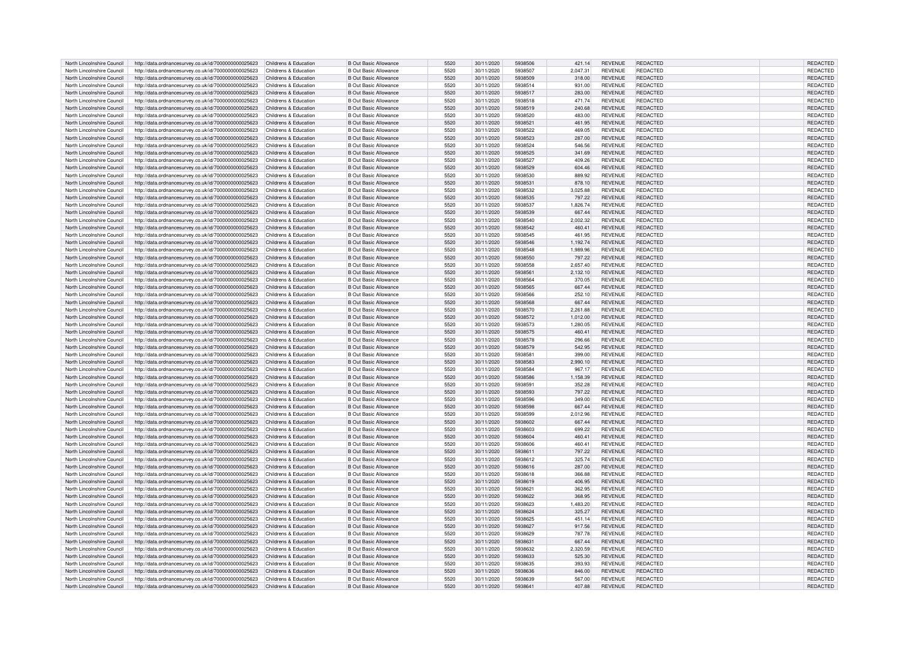| North Lincolnshire Council | http://data.ordnancesurvey.co.uk/id/7000000000025623                       | Childrens & Education | <b>B Out Basic Allowance</b> | 5520 | 30/11/2020 | 5938506 | 421.14   | <b>REVENUE</b> | <b>REDACTED</b> | REDACTED        |
|----------------------------|----------------------------------------------------------------------------|-----------------------|------------------------------|------|------------|---------|----------|----------------|-----------------|-----------------|
| North Lincolnshire Council | http://data.ordnancesurvey.co.uk/id/7000000000025623                       | Childrens & Education | <b>B Out Basic Allowance</b> | 5520 | 30/11/2020 | 5938507 | 2,047.31 | <b>REVENUE</b> | REDACTED        | REDACTED        |
| North Lincolnshire Council | http://data.ordnancesurvey.co.uk/id/7000000000025623                       | Childrens & Education | <b>B Out Basic Allowance</b> | 5520 | 30/11/2020 | 5938509 | 318.00   | <b>REVENUE</b> | REDACTED        | REDACTED        |
|                            |                                                                            |                       |                              |      |            |         |          |                |                 |                 |
| North Lincolnshire Council | http://data.ordnancesurvey.co.uk/id/7000000000025623                       | Childrens & Education | <b>B Out Basic Allowance</b> | 5520 | 30/11/2020 | 5938514 | 931.00   | <b>REVENUE</b> | REDACTED        | REDACTED        |
| North Lincolnshire Council | http://data.ordnancesurvey.co.uk/id/7000000000025623                       | Childrens & Education | <b>B Out Basic Allowance</b> | 5520 | 30/11/2020 | 5938517 | 283.00   | <b>REVENUE</b> | <b>REDACTED</b> | REDACTED        |
| North Lincolnshire Council | http://data.ordnancesurvey.co.uk/id/7000000000025623                       | Childrens & Education | <b>B Out Basic Allowance</b> | 5520 | 30/11/2020 | 5938518 | 471.74   | <b>REVENUE</b> | <b>REDACTED</b> | REDACTED        |
| North Lincolnshire Council | http://data.ordnancesurvey.co.uk/id/7000000000025623                       | Childrens & Education | <b>B Out Basic Allowance</b> | 5520 | 30/11/2020 | 5938519 | 240.68   | <b>REVENUE</b> | REDACTED        | REDACTED        |
| North Lincolnshire Council | http://data.ordnancesurvey.co.uk/id/7000000000025623                       | Childrens & Education | <b>B Out Basic Allowance</b> | 5520 | 30/11/2020 | 5938520 | 483.00   | <b>REVENUE</b> | <b>REDACTED</b> | REDACTED        |
| North Lincolnshire Council | http://data.ordnancesurvey.co.uk/id/7000000000025623                       | Childrens & Education | <b>B Out Basic Allowance</b> | 5520 | 30/11/2020 | 5938521 | 461.95   | <b>REVENUE</b> | REDACTED        | REDACTED        |
| North Lincolnshire Council | http://data.ordnancesurvey.co.uk/id/7000000000025623                       | Childrens & Education | <b>B Out Basic Allowance</b> | 5520 | 30/11/2020 | 5938522 | 469.05   | <b>REVENUE</b> | <b>REDACTED</b> | REDACTED        |
|                            |                                                                            |                       |                              |      |            |         |          |                |                 |                 |
| North Lincolnshire Council | http://data.ordnancesurvey.co.uk/id/7000000000025623                       | Childrens & Education | <b>B Out Basic Allowance</b> | 5520 | 30/11/2020 | 5938523 | 287.00   | <b>REVENUE</b> | <b>REDACTED</b> | REDACTED        |
| North Lincolnshire Council | http://data.ordnancesurvey.co.uk/id/7000000000025623                       | Childrens & Education | <b>B Out Basic Allowance</b> | 5520 | 30/11/2020 | 5938524 | 546.56   | <b>REVENUE</b> | REDACTED        | REDACTED        |
| North Lincolnshire Council | http://data.ordnancesurvey.co.uk/id/7000000000025623                       | Childrens & Education | <b>B Out Basic Allowance</b> | 5520 | 30/11/2020 | 5938525 | 341.69   | <b>REVENUE</b> | <b>REDACTED</b> | REDACTED        |
| North Lincolnshire Council | http://data.ordnancesurvey.co.uk/id/7000000000025623                       | Childrens & Education | <b>B Out Basic Allowance</b> | 5520 | 30/11/2020 | 5938527 | 409.26   | <b>REVENUE</b> | <b>REDACTED</b> | REDACTED        |
| North Lincolnshire Council | http://data.ordnancesurvey.co.uk/id/7000000000025623                       | Childrens & Education | <b>B Out Basic Allowance</b> | 5520 | 30/11/2020 | 5938529 | 604.46   | <b>REVENUE</b> | <b>REDACTED</b> | REDACTED        |
| North Lincolnshire Council | http://data.ordnancesurvey.co.uk/id/7000000000025623                       | Childrens & Education | <b>B Out Basic Allowance</b> | 5520 | 30/11/2020 | 5938530 | 889.92   | <b>REVENUE</b> | <b>REDACTED</b> | REDACTED        |
| North Lincolnshire Council |                                                                            | Childrens & Education | <b>B Out Basic Allowance</b> | 5520 | 30/11/2020 | 5938531 | 878.10   | <b>REVENUE</b> | REDACTED        | REDACTED        |
|                            | http://data.ordnancesurvey.co.uk/id/7000000000025623                       |                       |                              |      |            |         |          |                |                 |                 |
| North Lincolnshire Council | http://data.ordnancesurvey.co.uk/id/7000000000025623                       | Childrens & Education | <b>B Out Basic Allowance</b> | 5520 | 30/11/2020 | 5938532 | 3.025.88 | <b>REVENUE</b> | <b>REDACTED</b> | REDACTED        |
| North Lincolnshire Council | http://data.ordnancesurvey.co.uk/id/7000000000025623                       | Childrens & Education | <b>B Out Basic Allowance</b> | 5520 | 30/11/2020 | 5938535 | 797.22   | <b>REVENUE</b> | REDACTED        | REDACTED        |
| North Lincolnshire Council | http://data.ordnancesurvey.co.uk/id/7000000000025623                       | Childrens & Education | <b>B Out Basic Allowance</b> | 5520 | 30/11/2020 | 5938537 | 1,826.74 | <b>REVENUE</b> | <b>REDACTED</b> | REDACTED        |
| North Lincolnshire Council | http://data.ordnancesurvey.co.uk/id/7000000000025623                       | Childrens & Education | <b>B Out Basic Allowance</b> | 5520 | 30/11/2020 | 5938539 | 667.44   | <b>REVENUE</b> | <b>REDACTED</b> | REDACTED        |
| North Lincolnshire Council | http://data.ordnancesurvey.co.uk/id/7000000000025623                       | Childrens & Education | <b>B Out Basic Allowance</b> | 5520 | 30/11/2020 | 5938540 | 2,002.32 | <b>REVENUE</b> | REDACTED        | REDACTED        |
| North Lincolnshire Council | http://data.ordnancesurvey.co.uk/id/7000000000025623                       | Childrens & Education | <b>B Out Basic Allowance</b> | 5520 | 30/11/2020 | 5938542 | 460.41   | <b>REVENUE</b> | <b>REDACTED</b> | REDACTED        |
| North Lincolnshire Council |                                                                            |                       | <b>B Out Basic Allowance</b> | 5520 |            | 5938545 |          | <b>REVENUE</b> | <b>REDACTED</b> | REDACTED        |
|                            | http://data.ordnancesurvey.co.uk/id/7000000000025623                       | Childrens & Education |                              |      | 30/11/2020 |         | 461.95   |                |                 |                 |
| North Lincolnshire Council | http://data.ordnancesurvey.co.uk/id/7000000000025623                       | Childrens & Education | <b>B Out Basic Allowance</b> | 5520 | 30/11/2020 | 5938546 | 1,192.74 | <b>REVENUE</b> | <b>REDACTED</b> | REDACTED        |
| North Lincolnshire Council | http://data.ordnancesurvey.co.uk/id/7000000000025623                       | Childrens & Education | <b>B Out Basic Allowance</b> | 5520 | 30/11/2020 | 5938548 | 1,989.96 | <b>REVENUE</b> | <b>REDACTED</b> | REDACTED        |
| North Lincolnshire Council | http://data.ordnancesurvey.co.uk/id/7000000000025623                       | Childrens & Education | <b>B Out Basic Allowance</b> | 5520 | 30/11/2020 | 5938550 | 797.22   | <b>REVENUE</b> | REDACTED        | REDACTED        |
| North Lincolnshire Council | http://data.ordnancesurvey.co.uk/id/7000000000025623                       | Childrens & Education | <b>B Out Basic Allowance</b> | 5520 | 30/11/2020 | 5938558 | 2.657.40 | <b>REVENUE</b> | <b>REDACTED</b> | REDACTED        |
| North Lincolnshire Council | http://data.ordnancesurvey.co.uk/id/7000000000025623                       | Childrens & Education | <b>B Out Basic Allowance</b> | 5520 | 30/11/2020 | 5938561 | 2,132.10 | <b>REVENUE</b> | <b>REDACTED</b> | REDACTED        |
| North Lincolnshire Council | http://data.ordnancesurvey.co.uk/id/7000000000025623                       | Childrens & Education | <b>B Out Basic Allowance</b> | 5520 | 30/11/2020 | 5938564 | 370.05   | <b>REVENUE</b> | <b>REDACTED</b> | REDACTED        |
|                            |                                                                            |                       |                              |      |            |         |          |                |                 |                 |
| North Lincolnshire Council | http://data.ordnancesurvey.co.uk/id/7000000000025623                       | Childrens & Education | <b>B Out Basic Allowance</b> | 5520 | 30/11/2020 | 5938565 | 667.44   | <b>REVENUE</b> | REDACTED        | REDACTED        |
| North Lincolnshire Council | http://data.ordnancesurvey.co.uk/id/7000000000025623                       | Childrens & Education | <b>B Out Basic Allowance</b> | 5520 | 30/11/2020 | 5938566 | 252.10   | <b>REVENUE</b> | <b>REDACTED</b> | REDACTED        |
| North Lincolnshire Council | http://data.ordnancesurvey.co.uk/id/7000000000025623                       | Childrens & Education | <b>B Out Basic Allowance</b> | 5520 | 30/11/2020 | 5938568 | 667.44   | <b>REVENUE</b> | REDACTED        | REDACTED        |
| North Lincolnshire Council | http://data.ordnancesurvey.co.uk/id/7000000000025623                       | Childrens & Education | <b>B Out Basic Allowance</b> | 5520 | 30/11/2020 | 5938570 | 2,261.88 | <b>REVENUE</b> | REDACTED        | REDACTED        |
| North Lincolnshire Council | http://data.ordnancesurvey.co.uk/id/7000000000025623                       | Childrens & Education | B Out Basic Allowance        | 5520 | 30/11/2020 | 5938572 | 1,012.00 | <b>REVENUE</b> | REDACTED        | REDACTED        |
| North Lincolnshire Council | http://data.ordnancesurvey.co.uk/id/7000000000025623                       | Childrens & Education | <b>B Out Basic Allowance</b> | 5520 | 30/11/2020 | 5938573 | 1,280.05 | <b>REVENUE</b> | REDACTED        | REDACTED        |
| North Lincolnshire Council | http://data.ordnancesurvey.co.uk/id/7000000000025623                       | Childrens & Education | <b>B Out Basic Allowance</b> | 5520 | 30/11/2020 | 5938575 | 460.4    | <b>REVENUE</b> | <b>REDACTED</b> | <b>REDACTED</b> |
|                            |                                                                            |                       |                              |      |            |         |          |                |                 |                 |
| North Lincolnshire Council | http://data.ordnancesurvey.co.uk/id/7000000000025623                       | Childrens & Education | <b>B Out Basic Allowance</b> | 5520 | 30/11/2020 | 5938578 | 296.66   | <b>REVENUE</b> | <b>REDACTED</b> | REDACTED        |
| North Lincolnshire Council | http://data.ordnancesurvey.co.uk/id/7000000000025623                       | Childrens & Education | <b>B Out Basic Allowance</b> | 5520 | 30/11/2020 | 5938579 | 542.95   | <b>REVENUE</b> | <b>REDACTED</b> | REDACTED        |
| North Lincolnshire Council | http://data.ordnancesurvey.co.uk/id/7000000000025623                       | Childrens & Education | <b>B Out Basic Allowance</b> | 5520 | 30/11/2020 | 5938581 | 399.00   | <b>REVENUE</b> | <b>REDACTED</b> | REDACTED        |
| North Lincolnshire Council | http://data.ordnancesurvey.co.uk/id/7000000000025623                       | Childrens & Education | <b>B Out Basic Allowance</b> | 5520 | 30/11/2020 | 5938583 | 2,990.10 | <b>REVENUE</b> | REDACTED        | REDACTED        |
| North Lincolnshire Council | http://data.ordnancesurvey.co.uk/id/7000000000025623                       | Childrens & Education | <b>B Out Basic Allowance</b> | 5520 | 30/11/2020 | 5938584 | 967.17   | <b>REVENUE</b> | REDACTED        | <b>REDACTED</b> |
| North Lincolnshire Council | http://data.ordnancesurvey.co.uk/id/7000000000025623                       | Childrens & Education | <b>B Out Basic Allowance</b> | 5520 | 30/11/2020 | 5938586 | 1,158.39 | <b>REVENUE</b> | REDACTED        | REDACTED        |
| North Lincolnshire Council | http://data.ordnancesurvey.co.uk/id/7000000000025623                       | Childrens & Education | <b>B Out Basic Allowance</b> | 5520 | 30/11/2020 | 5938591 | 352.28   | <b>REVENUE</b> | REDACTED        | <b>REDACTED</b> |
|                            |                                                                            |                       |                              |      |            |         |          |                |                 |                 |
| North Lincolnshire Council | http://data.ordnancesurvey.co.uk/id/7000000000025623                       | Childrens & Education | <b>B Out Basic Allowance</b> | 5520 | 30/11/2020 | 5938593 | 797.22   | <b>REVENUE</b> | REDACTED        | REDACTED        |
| North Lincolnshire Council | http://data.ordnancesurvey.co.uk/id/7000000000025623                       | Childrens & Education | <b>B Out Basic Allowance</b> | 5520 | 30/11/2020 | 5938596 | 349.00   | <b>REVENUE</b> | <b>REDACTED</b> | REDACTED        |
| North Lincolnshire Council | http://data.ordnancesurvey.co.uk/id/7000000000025623                       | Childrens & Education | <b>B Out Basic Allowance</b> | 5520 | 30/11/2020 | 5938598 | 667.44   | <b>REVENUE</b> | <b>REDACTED</b> | REDACTED        |
| North Lincolnshire Council | http://data.ordnancesurvey.co.uk/id/7000000000025623                       | Childrens & Education | <b>B Out Basic Allowance</b> | 5520 | 30/11/2020 | 5938599 | 2.012.96 | <b>REVENUE</b> | REDACTED        | REDACTED        |
| North Lincolnshire Council | http://data.ordnancesurvey.co.uk/id/7000000000025623                       | Childrens & Education | <b>B Out Basic Allowance</b> | 5520 | 30/11/2020 | 5938602 | 667.44   | <b>REVENUE</b> | <b>REDACTED</b> | REDACTED        |
| North Lincolnshire Council | http://data.ordnancesurvey.co.uk/id/7000000000025623                       | Childrens & Education | <b>B Out Basic Allowance</b> | 5520 | 30/11/2020 | 5938603 | 699.22   | <b>REVENUE</b> | <b>REDACTED</b> | REDACTED        |
| North Lincolnshire Council | http://data.ordnancesurvey.co.uk/id/7000000000025623                       | Childrens & Education | <b>B Out Basic Allowance</b> | 5520 | 30/11/2020 | 5938604 | 460.41   | <b>REVENUE</b> | <b>REDACTED</b> | REDACTED        |
|                            |                                                                            |                       |                              |      |            |         |          |                |                 |                 |
| North Lincolnshire Council | http://data.ordnancesurvey.co.uk/id/7000000000025623                       | Childrens & Education | <b>B Out Basic Allowance</b> | 5520 | 30/11/2020 | 5938606 | 460.41   | <b>REVENUE</b> | <b>REDACTED</b> | REDACTED        |
| North Lincolnshire Council | http://data.ordnancesurvey.co.uk/id/7000000000025623                       | Childrens & Education | <b>B Out Basic Allowance</b> | 5520 | 30/11/2020 | 5938611 | 797.22   | <b>REVENUE</b> | <b>REDACTED</b> | <b>REDACTED</b> |
| North Lincolnshire Council | http://data.ordnancesurvey.co.uk/id/7000000000025623                       | Childrens & Education | <b>B Out Basic Allowance</b> | 5520 | 30/11/2020 | 5938612 | 325.74   | <b>REVENUE</b> | <b>REDACTED</b> | REDACTED        |
| North Lincolnshire Council | http://data.ordnancesurvey.co.uk/id/7000000000025623                       | Childrens & Education | <b>B Out Basic Allowance</b> | 5520 | 30/11/2020 | 5938616 | 287.00   | <b>REVENUE</b> | <b>REDACTED</b> | REDACTED        |
| North Lincolnshire Council | http://data.ordnancesurvey.co.uk/id/7000000000025623                       | Childrens & Education | <b>B Out Basic Allowance</b> | 5520 | 30/11/2020 | 5938618 | 366.88   | <b>REVENUE</b> | <b>REDACTED</b> | <b>REDACTED</b> |
| North Lincolnshire Council | http://data.ordnancesurvey.co.uk/id/7000000000025623                       | Childrens & Education | <b>B Out Basic Allowance</b> | 5520 | 30/11/2020 | 5938619 | 406.95   | <b>REVENUE</b> | <b>REDACTED</b> | REDACTED        |
| North Lincolnshire Council | http://data.ordnancesurvey.co.uk/id/7000000000025623                       | Childrens & Education | <b>B Out Basic Allowance</b> | 5520 | 30/11/2020 | 5938621 | 362.95   | <b>REVENUE</b> | REDACTED        | REDACTED        |
|                            |                                                                            |                       |                              |      |            |         |          |                |                 |                 |
| North Lincolnshire Council | http://data.ordnancesurvey.co.uk/id/7000000000025623                       | Childrens & Education | <b>B Out Basic Allowance</b> | 5520 | 30/11/2020 | 5938622 | 368.95   | <b>REVENUE</b> | <b>REDACTED</b> | REDACTED        |
| North Lincolnshire Council | http://data.ordnancesurvey.co.uk/id/7000000000025623                       | Childrens & Education | <b>B Out Basic Allowance</b> | 5520 | 30/11/2020 | 5938623 | 1,483.20 | <b>REVENUE</b> | <b>REDACTED</b> | REDACTED        |
| North Lincolnshire Council | http://data.ordnancesurvey.co.uk/id/7000000000025623                       | Childrens & Education | <b>B Out Basic Allowance</b> | 5520 | 30/11/2020 | 5938624 | 325.27   | <b>REVENUE</b> | REDACTED        | REDACTED        |
| North Lincolnshire Council | http://data.ordnancesurvey.co.uk/id/7000000000025623                       | Childrens & Education | <b>B Out Basic Allowance</b> | 5520 | 30/11/2020 | 5938625 | 451.14   | <b>REVENUE</b> | <b>REDACTED</b> | REDACTED        |
| North Lincolnshire Council | http://data.ordnancesurvey.co.uk/id/7000000000025623                       | Childrens & Education | <b>B Out Basic Allowance</b> | 5520 | 30/11/2020 | 5938627 | 917.56   | <b>REVENUE</b> | <b>REDACTED</b> | <b>REDACTED</b> |
| North Lincolnshire Council | http://data.ordnancesurvey.co.uk/id/7000000000025623                       | Childrens & Education | <b>B Out Basic Allowance</b> | 5520 | 30/11/2020 | 5938629 | 787.78   | <b>REVENUE</b> | REDACTED        | REDACTED        |
|                            |                                                                            |                       |                              | 5520 |            | 5938631 |          |                | <b>REDACTED</b> |                 |
| North Lincolnshire Council | http://data.ordnancesurvey.co.uk/id/7000000000025623                       | Childrens & Education | <b>B Out Basic Allowance</b> |      | 30/11/2020 |         | 667.44   | <b>REVENUE</b> |                 | REDACTED        |
| North Lincolnshire Council | http://data.ordnancesurvey.co.uk/id/7000000000025623                       | Childrens & Education | <b>B Out Basic Allowance</b> | 5520 | 30/11/2020 | 5938632 | 2.320.59 | <b>REVENUE</b> | REDACTED        | REDACTED        |
| North Lincolnshire Council | http://data.ordnancesurvey.co.uk/id/7000000000025623                       | Childrens & Education | <b>B Out Basic Allowance</b> | 5520 | 30/11/2020 | 5938633 | 525.30   | <b>REVENUE</b> | <b>REDACTED</b> | REDACTED        |
| North Lincolnshire Council | http://data.ordnancesurvey.co.uk/id/7000000000025623                       | Childrens & Education | <b>B Out Basic Allowance</b> | 5520 | 30/11/2020 | 5938635 | 393.93   | <b>REVENUE</b> | REDACTED        | REDACTED        |
| North Lincolnshire Council | http://data.ordnancesurvey.co.uk/id/7000000000025623                       | Childrens & Education | B Out Basic Allowance        | 5520 | 30/11/2020 | 5938636 | 846.00   | <b>REVENUE</b> | REDACTED        | <b>REDACTED</b> |
| North Lincolnshire Council | http://data.ordnancesurvey.co.uk/id/7000000000025623                       | Childrens & Education | B Out Basic Allowance        | 5520 | 30/11/2020 | 5938639 | 567.00   | <b>REVENUE</b> | <b>REDACTED</b> | <b>REDACTED</b> |
| North Lincolnshire Council | http://data.ordnancesurvey.co.uk/id/7000000000025623 Childrens & Education |                       | <b>B Out Basic Allowance</b> | 5520 | 30/11/2020 | 5938641 | 407.88   | <b>REVENUE</b> | REDACTED        | REDACTED        |
|                            |                                                                            |                       |                              |      |            |         |          |                |                 |                 |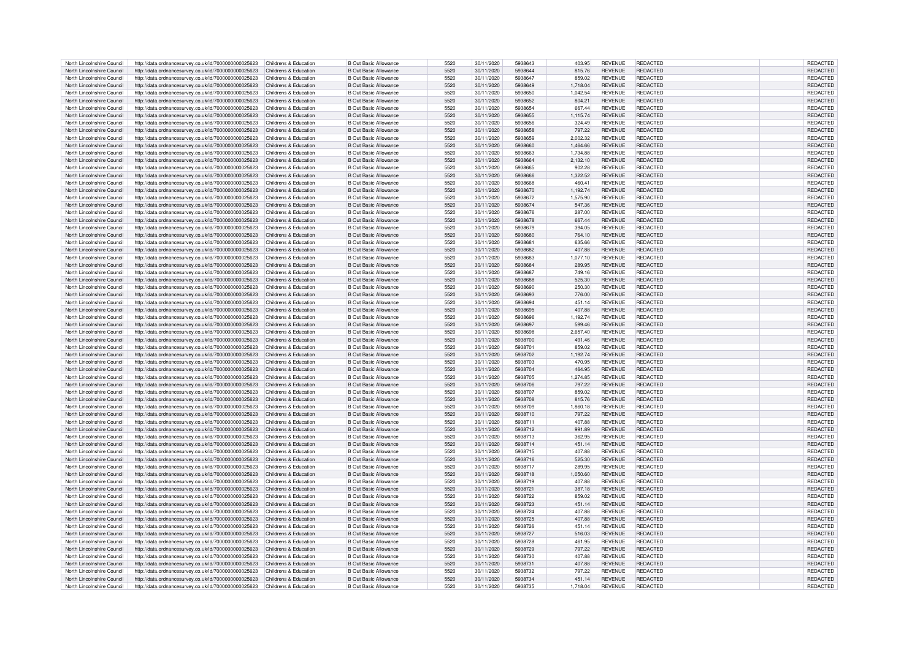| North Lincolnshire Council | http://data.ordnancesurvey.co.uk/id/7000000000025623                       | Childrens & Education | <b>B Out Basic Allowance</b> | 5520 | 30/11/2020 | 5938643 | 403.95   | <b>REVENUE</b> | REDACTED        | REDACTED        |  |
|----------------------------|----------------------------------------------------------------------------|-----------------------|------------------------------|------|------------|---------|----------|----------------|-----------------|-----------------|--|
| North Lincolnshire Council | http://data.ordnancesurvey.co.uk/id/7000000000025623                       | Childrens & Education | <b>B Out Basic Allowance</b> | 5520 | 30/11/2020 | 5938644 | 815.76   | <b>REVENUE</b> | <b>REDACTED</b> | REDACTED        |  |
| North Lincolnshire Council |                                                                            | Childrens & Education | <b>B Out Basic Allowance</b> | 5520 | 30/11/2020 | 5938647 | 859.02   | <b>REVENUE</b> | REDACTED        | REDACTED        |  |
|                            | http://data.ordnancesurvey.co.uk/id/7000000000025623                       |                       |                              |      |            |         |          |                |                 |                 |  |
| North Lincolnshire Council | http://data.ordnancesurvey.co.uk/id/7000000000025623                       | Childrens & Education | <b>B Out Basic Allowance</b> | 5520 | 30/11/2020 | 5938649 | 1,718.04 | <b>REVENUE</b> | <b>REDACTED</b> | REDACTED        |  |
| North Lincolnshire Council | http://data.ordnancesurvey.co.uk/id/7000000000025623                       | Childrens & Education | <b>B Out Basic Allowance</b> | 5520 | 30/11/2020 | 5938650 | 1.042.54 | <b>REVENUE</b> | REDACTED        | REDACTED        |  |
| North Lincolnshire Council | http://data.ordnancesurvey.co.uk/id/7000000000025623                       | Childrens & Education | <b>B Out Basic Allowance</b> | 5520 | 30/11/2020 | 5938652 | 804.21   | <b>REVENUE</b> | <b>REDACTED</b> | REDACTED        |  |
| North Lincolnshire Council | http://data.ordnancesurvey.co.uk/id/7000000000025623                       | Childrens & Education | <b>B Out Basic Allowance</b> | 5520 | 30/11/2020 | 5938654 | 667.44   | <b>REVENUE</b> | <b>REDACTED</b> | REDACTED        |  |
| North Lincolnshire Council |                                                                            | Childrens & Education | <b>B Out Basic Allowance</b> | 5520 | 30/11/2020 | 5938655 |          | <b>REVENUE</b> | REDACTED        | REDACTED        |  |
|                            | http://data.ordnancesurvey.co.uk/id/7000000000025623                       |                       |                              |      |            |         | 1,115.74 |                |                 |                 |  |
| North Lincolnshire Council | http://data.ordnancesurvey.co.uk/id/7000000000025623                       | Childrens & Education | <b>B Out Basic Allowance</b> | 5520 | 30/11/2020 | 5938656 | 324.49   | <b>REVENUE</b> | <b>REDACTED</b> | REDACTED        |  |
| North Lincolnshire Council | http://data.ordnancesurvey.co.uk/id/7000000000025623                       | Childrens & Education | <b>B Out Basic Allowance</b> | 5520 | 30/11/2020 | 5938658 | 797.22   | REVENUE        | REDACTED        | REDACTED        |  |
| North Lincolnshire Council | http://data.ordnancesurvey.co.uk/id/7000000000025623                       | Childrens & Education | <b>B Out Basic Allowance</b> | 5520 | 30/11/2020 | 5938659 | 2,002.32 | <b>REVENUE</b> | REDACTED        | <b>REDACTED</b> |  |
|                            |                                                                            |                       |                              | 5520 |            | 5938660 |          |                |                 |                 |  |
| North Lincolnshire Council | http://data.ordnancesurvey.co.uk/id/7000000000025623                       | Childrens & Education | <b>B Out Basic Allowance</b> |      | 30/11/2020 |         | 1,464.66 | <b>REVENUE</b> | REDACTED        | REDACTED        |  |
| North Lincolnshire Council | http://data.ordnancesurvey.co.uk/id/7000000000025623                       | Childrens & Education | <b>B Out Basic Allowance</b> | 5520 | 30/11/2020 | 5938663 | 1.734.88 | <b>REVENUE</b> | REDACTED        | REDACTED        |  |
| North Lincolnshire Council | http://data.ordnancesurvey.co.uk/id/7000000000025623                       | Childrens & Education | <b>B Out Basic Allowance</b> | 5520 | 30/11/2020 | 5938664 | 2,132.10 | <b>REVENUE</b> | REDACTED        | REDACTED        |  |
| North Lincolnshire Council | http://data.ordnancesurvey.co.uk/id/7000000000025623                       | Childrens & Education | B Out Basic Allowance        | 5520 | 30/11/2020 | 5938665 | 902.28   | <b>REVENUE</b> | REDACTED        | REDACTED        |  |
| North Lincolnshire Council |                                                                            | Childrens & Education | <b>B Out Basic Allowance</b> | 5520 | 30/11/2020 | 5938666 | 1,322.52 | <b>REVENUE</b> | REDACTED        | <b>REDACTED</b> |  |
|                            | http://data.ordnancesurvey.co.uk/id/7000000000025623                       |                       |                              |      |            |         |          |                |                 |                 |  |
| North Lincolnshire Council | http://data.ordnancesurvey.co.uk/id/7000000000025623                       | Childrens & Education | <b>B Out Basic Allowance</b> | 5520 | 30/11/2020 | 5938668 | 460.41   | <b>REVENUE</b> | REDACTED        | REDACTED        |  |
| North Lincolnshire Council | http://data.ordnancesurvey.co.uk/id/7000000000025623                       | Childrens & Education | <b>B Out Basic Allowance</b> | 5520 | 30/11/2020 | 5938670 | 1.192.74 | <b>REVENUE</b> | <b>REDACTED</b> | <b>REDACTED</b> |  |
| North Lincolnshire Council | http://data.ordnancesurvey.co.uk/id/7000000000025623                       | Childrens & Education | B Out Basic Allowance        | 5520 | 30/11/2020 | 5938672 | 1,575.90 | <b>REVENUE</b> | <b>REDACTED</b> | REDACTED        |  |
| North Lincolnshire Council | http://data.ordnancesurvey.co.uk/id/7000000000025623                       | Childrens & Education | <b>B Out Basic Allowance</b> | 5520 | 30/11/2020 | 5938674 | 547.36   | <b>REVENUE</b> | <b>REDACTED</b> | REDACTED        |  |
|                            |                                                                            |                       |                              |      |            |         |          |                |                 |                 |  |
| North Lincolnshire Council | http://data.ordnancesurvey.co.uk/id/7000000000025623                       | Childrens & Education | <b>B Out Basic Allowance</b> | 5520 | 30/11/2020 | 5938676 | 287.00   | <b>REVENUE</b> | REDACTED        | REDACTED        |  |
| North Lincolnshire Council | http://data.ordnancesurvey.co.uk/id/7000000000025623                       | Childrens & Education | <b>B Out Basic Allowance</b> | 5520 | 30/11/2020 | 5938678 | 667.44   | <b>REVENUE</b> | <b>REDACTED</b> | REDACTED        |  |
| North Lincolnshire Council | http://data.ordnancesurvey.co.uk/id/7000000000025623                       | Childrens & Education | <b>B Out Basic Allowance</b> | 5520 | 30/11/2020 | 5938679 | 394.05   | <b>REVENUE</b> | REDACTED        | REDACTED        |  |
| North Lincolnshire Council | http://data.ordnancesurvey.co.uk/id/7000000000025623                       | Childrens & Education | <b>B Out Basic Allowance</b> | 5520 | 30/11/2020 | 5938680 | 764.10   | <b>REVENUE</b> | <b>REDACTED</b> | REDACTED        |  |
|                            |                                                                            |                       |                              |      |            |         |          |                |                 |                 |  |
| North Lincolnshire Council | http://data.ordnancesurvey.co.uk/id/7000000000025623                       | Childrens & Education | <b>B Out Basic Allowance</b> | 5520 | 30/11/2020 | 5938681 | 635.66   | <b>REVENUE</b> | <b>REDACTED</b> | REDACTED        |  |
| North Lincolnshire Council | http://data.ordnancesurvey.co.uk/id/7000000000025623                       | Childrens & Education | <b>B Out Basic Allowance</b> | 5520 | 30/11/2020 | 5938682 | 407.88   | <b>REVENUE</b> | <b>REDACTED</b> | REDACTED        |  |
| North Lincolnshire Council | http://data.ordnancesurvey.co.uk/id/7000000000025623                       | Childrens & Education | <b>B Out Basic Allowance</b> | 5520 | 30/11/2020 | 5938683 | 1.077.10 | <b>REVENUE</b> | <b>REDACTED</b> | <b>REDACTED</b> |  |
| North Lincolnshire Council | http://data.ordnancesurvey.co.uk/id/7000000000025623                       | Childrens & Education | <b>B Out Basic Allowance</b> | 5520 | 30/11/2020 | 5938684 | 289.95   | <b>REVENUE</b> | <b>REDACTED</b> | REDACTED        |  |
|                            |                                                                            | Childrens & Education | <b>B Out Basic Allowance</b> | 5520 | 30/11/2020 | 5938687 | 749.16   | <b>REVENUE</b> | REDACTED        | REDACTED        |  |
| North Lincolnshire Council | http://data.ordnancesurvey.co.uk/id/7000000000025623                       |                       |                              |      |            |         |          |                |                 |                 |  |
| North Lincolnshire Council | http://data.ordnancesurvey.co.uk/id/7000000000025623                       | Childrens & Education | <b>B Out Basic Allowance</b> | 5520 | 30/11/2020 | 5938688 | 525.30   | <b>REVENUE</b> | REDACTED        | REDACTED        |  |
| North Lincolnshire Council | http://data.ordnancesurvey.co.uk/id/7000000000025623                       | Childrens & Education | <b>B Out Basic Allowance</b> | 5520 | 30/11/2020 | 5938690 | 250.30   | <b>REVENUE</b> | REDACTED        | REDACTED        |  |
| North Lincolnshire Council | http://data.ordnancesurvey.co.uk/id/7000000000025623                       | Childrens & Education | <b>B Out Basic Allowance</b> | 5520 | 30/11/2020 | 5938693 | 776.00   | <b>REVENUE</b> | REDACTED        | REDACTED        |  |
| North Lincolnshire Council | http://data.ordnancesurvey.co.uk/id/7000000000025623                       | Childrens & Education | B Out Basic Allowance        | 5520 | 30/11/2020 | 5938694 | 451.14   | <b>REVENUE</b> | REDACTED        | REDACTED        |  |
|                            |                                                                            |                       |                              |      |            |         |          |                |                 |                 |  |
| North Lincolnshire Council | http://data.ordnancesurvey.co.uk/id/7000000000025623                       | Childrens & Education | B Out Basic Allowance        | 5520 | 30/11/2020 | 5938695 | 407.88   | <b>REVENUE</b> | REDACTED        | <b>REDACTED</b> |  |
| North Lincolnshire Council | http://data.ordnancesurvey.co.uk/id/7000000000025623                       | Childrens & Education | B Out Basic Allowance        | 5520 | 30/11/2020 | 5938696 | 1,192.74 | <b>REVENUE</b> | <b>REDACTED</b> | REDACTED        |  |
| North Lincolnshire Council | http://data.ordnancesurvey.co.uk/id/7000000000025623                       | Childrens & Education | B Out Basic Allowance        | 5520 | 30/11/2020 | 5938697 | 599.46   | <b>REVENUE</b> | <b>REDACTED</b> | <b>REDACTED</b> |  |
| North Lincolnshire Council | http://data.ordnancesurvey.co.uk/id/7000000000025623                       | Childrens & Education | <b>B Out Basic Allowance</b> | 5520 | 30/11/2020 | 5938698 | 2,657.40 | <b>REVENUE</b> | <b>REDACTED</b> | REDACTED        |  |
|                            |                                                                            |                       |                              |      |            |         |          |                |                 |                 |  |
| North Lincolnshire Council | http://data.ordnancesurvey.co.uk/id/7000000000025623                       | Childrens & Education | <b>B Out Basic Allowance</b> | 5520 | 30/11/2020 | 5938700 | 491.46   | <b>REVENUE</b> | <b>REDACTED</b> | REDACTED        |  |
| North Lincolnshire Council | http://data.ordnancesurvey.co.uk/id/7000000000025623                       | Childrens & Education | <b>B Out Basic Allowance</b> | 5520 | 30/11/2020 | 5938701 | 859.02   | <b>REVENUE</b> | <b>REDACTED</b> | REDACTED        |  |
| North Lincolnshire Council | http://data.ordnancesurvey.co.uk/id/7000000000025623                       | Childrens & Education | <b>B Out Basic Allowance</b> | 5520 | 30/11/2020 | 5938702 | 1,192.74 | <b>REVENUE</b> | REDACTED        | REDACTED        |  |
| North Lincolnshire Council |                                                                            | Childrens & Education | <b>B Out Basic Allowance</b> | 5520 | 30/11/2020 | 5938703 | 470.95   | <b>REVENUE</b> | REDACTED        | REDACTED        |  |
|                            | http://data.ordnancesurvey.co.uk/id/7000000000025623                       |                       |                              |      |            |         |          |                |                 |                 |  |
| North Lincolnshire Council | http://data.ordnancesurvey.co.uk/id/7000000000025623                       | Childrens & Education | <b>B Out Basic Allowance</b> | 5520 | 30/11/2020 | 5938704 | 464.95   | <b>REVENUE</b> | <b>REDACTED</b> | REDACTED        |  |
| North Lincolnshire Council | http://data.ordnancesurvey.co.uk/id/7000000000025623                       | Childrens & Education | <b>B Out Basic Allowance</b> | 5520 | 30/11/2020 | 5938705 | 1.274.85 | <b>REVENUE</b> | REDACTED        | REDACTED        |  |
| North Lincolnshire Council | http://data.ordnancesurvey.co.uk/id/7000000000025623                       | Childrens & Education | <b>B Out Basic Allowance</b> | 5520 | 30/11/2020 | 5938706 | 797.22   | <b>REVENUE</b> | <b>REDACTED</b> | <b>REDACTED</b> |  |
| North Lincolnshire Council | http://data.ordnancesurvey.co.uk/id/7000000000025623                       | Childrens & Education | <b>B Out Basic Allowance</b> | 5520 | 30/11/2020 | 5938707 | 859.02   | <b>REVENUE</b> | <b>REDACTED</b> | <b>REDACTED</b> |  |
|                            |                                                                            |                       |                              |      |            |         |          |                |                 |                 |  |
| North Lincolnshire Council | http://data.ordnancesurvey.co.uk/id/7000000000025623                       | Childrens & Education | <b>B Out Basic Allowance</b> | 5520 | 30/11/2020 | 5938708 | 815.76   | <b>REVENUE</b> | <b>REDACTED</b> | REDACTED        |  |
| North Lincolnshire Council | http://data.ordnancesurvey.co.uk/id/7000000000025623                       | Childrens & Education | <b>B Out Basic Allowance</b> | 5520 | 30/11/2020 | 5938709 | 1,860.18 | <b>REVENUE</b> | <b>REDACTED</b> | REDACTED        |  |
| North Lincolnshire Council | http://data.ordnancesurvey.co.uk/id/7000000000025623                       | Childrens & Education | <b>B Out Basic Allowance</b> | 5520 | 30/11/2020 | 5938710 | 797.22   | <b>REVENUE</b> | <b>REDACTED</b> | REDACTED        |  |
| North Lincolnshire Council | http://data.ordnancesurvey.co.uk/id/7000000000025623                       | Childrens & Education | <b>B Out Basic Allowance</b> | 5520 | 30/11/2020 | 5938711 | 407.88   | <b>REVENUE</b> | <b>REDACTED</b> | REDACTED        |  |
|                            |                                                                            |                       |                              |      |            |         |          |                |                 |                 |  |
| North Lincolnshire Council | http://data.ordnancesurvey.co.uk/id/7000000000025623                       | Childrens & Education | <b>B Out Basic Allowance</b> | 5520 | 30/11/2020 | 5938712 | 991.89   | <b>REVENUE</b> | <b>REDACTED</b> | <b>REDACTED</b> |  |
| North Lincolnshire Council | http://data.ordnancesurvey.co.uk/id/7000000000025623                       | Childrens & Education | <b>B Out Basic Allowance</b> | 5520 | 30/11/2020 | 5938713 | 362.95   | <b>REVENUE</b> | REDACTED        | REDACTED        |  |
| North Lincolnshire Council | http://data.ordnancesurvey.co.uk/id/7000000000025623                       | Childrens & Education | <b>B Out Basic Allowance</b> | 5520 | 30/11/2020 | 5938714 | 451.14   | <b>REVENUE</b> | REDACTED        | REDACTED        |  |
| North Lincolnshire Council | http://data.ordnancesurvey.co.uk/id/7000000000025623                       | Childrens & Education | B Out Basic Allowance        | 5520 | 30/11/2020 | 5938715 | 407.88   | <b>REVENUE</b> | <b>REDACTED</b> | REDACTED        |  |
| North Lincolnshire Council |                                                                            | Childrens & Education | B Out Basic Allowance        | 5520 | 30/11/2020 | 5938716 | 525.30   | <b>REVENUE</b> | <b>REDACTED</b> | REDACTED        |  |
|                            | http://data.ordnancesurvey.co.uk/id/7000000000025623                       |                       |                              |      |            |         |          |                |                 |                 |  |
| North Lincolnshire Council | http://data.ordnancesurvey.co.uk/id/7000000000025623                       | Childrens & Education | B Out Basic Allowance        | 5520 | 30/11/2020 | 5938717 | 289.95   | <b>REVENUE</b> | <b>REDACTED</b> | REDACTED        |  |
| North Lincolnshire Council | http://data.ordnancesurvey.co.uk/id/7000000000025623                       | Childrens & Education | <b>B Out Basic Allowance</b> | 5520 | 30/11/2020 | 5938718 | 1,050.60 | <b>REVENUE</b> | <b>REDACTED</b> | REDACTED        |  |
| North Lincolnshire Council | http://data.ordnancesurvey.co.uk/id/7000000000025623                       | Childrens & Education | <b>B Out Basic Allowance</b> | 5520 | 30/11/2020 | 5938719 | 407.88   | <b>REVENUE</b> | <b>REDACTED</b> | REDACTED        |  |
| North Lincolnshire Council | http://data.ordnancesurvey.co.uk/id/7000000000025623                       | Childrens & Education | <b>B Out Basic Allowance</b> | 5520 | 30/11/2020 | 5938721 | 387.18   | <b>REVENUE</b> | <b>REDACTED</b> | REDACTED        |  |
| North Lincolnshire Council |                                                                            | Childrens & Education |                              | 5520 |            | 5938722 | 859.02   |                | <b>REDACTED</b> |                 |  |
|                            | http://data.ordnancesurvey.co.uk/id/7000000000025623                       |                       | <b>B Out Basic Allowance</b> |      | 30/11/2020 |         |          | <b>REVENUE</b> |                 | REDACTED        |  |
| North Lincolnshire Council | http://data.ordnancesurvey.co.uk/id/7000000000025623                       | Childrens & Education | <b>B Out Basic Allowance</b> | 5520 | 30/11/2020 | 5938723 | 451.14   | <b>REVENUE</b> | <b>REDACTED</b> | REDACTED        |  |
| North Lincolnshire Council | http://data.ordnancesurvey.co.uk/id/7000000000025623                       | Childrens & Education | <b>B Out Basic Allowance</b> | 5520 | 30/11/2020 | 5938724 | 407.88   | <b>REVENUE</b> | REDACTED        | <b>REDACTED</b> |  |
| North Lincolnshire Council | http://data.ordnancesurvey.co.uk/id/7000000000025623                       | Childrens & Education | <b>B Out Basic Allowance</b> | 5520 | 30/11/2020 | 5938725 | 407.88   | <b>REVENUE</b> | REDACTED        | REDACTED        |  |
| North Lincolnshire Council | http://data.ordnancesurvey.co.uk/id/7000000000025623                       | Childrens & Education | B Out Basic Allowance        | 5520 | 30/11/2020 | 5938726 | 451.14   | <b>REVENUE</b> | REDACTED        | REDACTED        |  |
|                            |                                                                            |                       |                              |      |            |         |          |                |                 |                 |  |
| North Lincolnshire Council | http://data.ordnancesurvey.co.uk/id/7000000000025623                       | Childrens & Education | <b>B Out Basic Allowance</b> | 5520 | 30/11/2020 | 5938727 | 516.03   | <b>REVENUE</b> | <b>REDACTED</b> | REDACTED        |  |
| North Lincolnshire Council | http://data.ordnancesurvey.co.uk/id/7000000000025623                       | Childrens & Education | <b>B Out Basic Allowance</b> | 5520 | 30/11/2020 | 5938728 | 461.95   | <b>REVENUE</b> | <b>REDACTED</b> | REDACTED        |  |
| North Lincolnshire Council | http://data.ordnancesurvey.co.uk/id/7000000000025623                       | Childrens & Education | <b>B Out Basic Allowance</b> | 5520 | 30/11/2020 | 5938729 | 797.22   | <b>REVENUE</b> | <b>REDACTED</b> | <b>REDACTED</b> |  |
| North Lincolnshire Council | http://data.ordnancesurvey.co.uk/id/7000000000025623                       | Childrens & Education | <b>B Out Basic Allowance</b> | 5520 | 30/11/2020 | 5938730 | 407.88   | <b>REVENUE</b> | <b>REDACTED</b> | REDACTED        |  |
|                            |                                                                            |                       |                              | 5520 |            |         |          |                |                 |                 |  |
| North Lincolnshire Council | http://data.ordnancesurvey.co.uk/id/7000000000025623                       | Childrens & Education | <b>B Out Basic Allowance</b> |      | 30/11/2020 | 5938731 | 407.88   | <b>REVENUE</b> | REDACTED        | REDACTED        |  |
| North Lincolnshire Council | http://data.ordnancesurvey.co.uk/id/7000000000025623                       | Childrens & Education | B Out Basic Allowance        | 5520 | 30/11/2020 | 5938732 | 797.22   | <b>REVENUE</b> | REDACTED        | <b>REDACTED</b> |  |
| North Lincolnshire Council | http://data.ordnancesurvey.co.uk/id/7000000000025623                       | Childrens & Education | B Out Basic Allowance        | 5520 | 30/11/2020 | 5938734 | 451.14   | <b>REVENUE</b> | <b>REDACTED</b> | <b>REDACTED</b> |  |
| North Lincolnshire Council | http://data.ordnancesurvey.co.uk/id/7000000000025623 Childrens & Education |                       | <b>B</b> Out Basic Allowance | 5520 | 30/11/2020 | 5938735 | 1.718.04 | <b>REVENUE</b> | REDACTED        | REDACTED        |  |
|                            |                                                                            |                       |                              |      |            |         |          |                |                 |                 |  |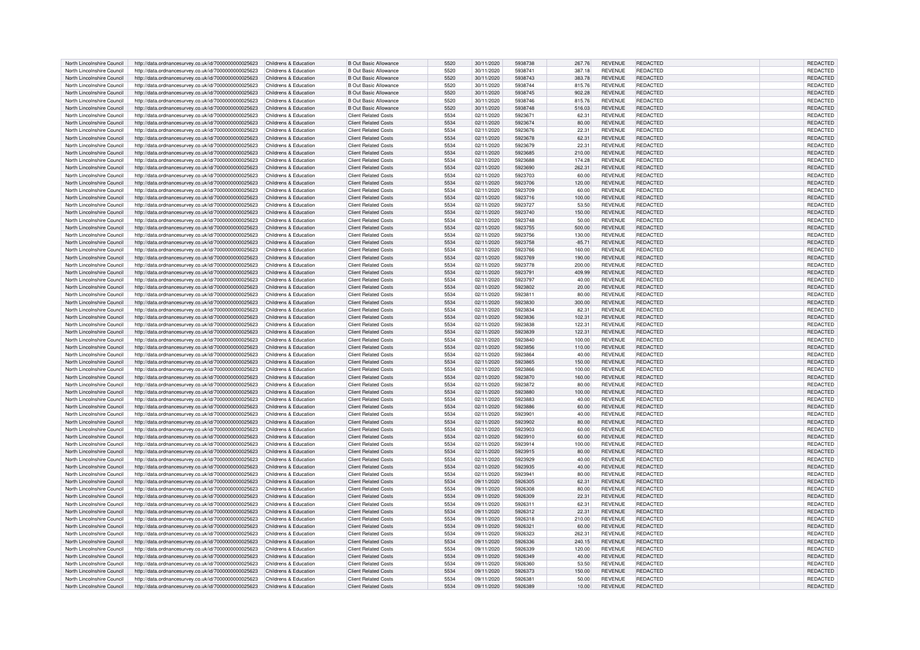| North Lincolnshire Council | http://data.ordnancesurvey.co.uk/id/7000000000025623                       | Childrens & Education | <b>B Out Basic Allowance</b> | 5520 | 30/11/2020 | 5938738 | 267.76   | <b>REVENUE</b> | <b>REDACTED</b> | <b>REDACTED</b> |
|----------------------------|----------------------------------------------------------------------------|-----------------------|------------------------------|------|------------|---------|----------|----------------|-----------------|-----------------|
| North Lincolnshire Council | http://data.ordnancesurvey.co.uk/id/7000000000025623                       | Childrens & Education | <b>B Out Basic Allowance</b> | 5520 | 30/11/2020 | 5938741 | 387.18   | <b>REVENUE</b> | <b>REDACTED</b> | REDACTED        |
|                            |                                                                            |                       |                              | 5520 |            |         |          |                |                 |                 |
| North Lincolnshire Council | http://data.ordnancesurvey.co.uk/id/7000000000025623                       | Childrens & Education | <b>B Out Basic Allowance</b> |      | 30/11/2020 | 5938743 | 383.78   | <b>REVENUE</b> | REDACTED        | REDACTED        |
| North Lincolnshire Council | http://data.ordnancesurvey.co.uk/id/7000000000025623                       | Childrens & Education | <b>B Out Basic Allowance</b> | 5520 | 30/11/2020 | 5938744 | 815.76   | <b>REVENUE</b> | REDACTED        | REDACTED        |
| North Lincolnshire Council | http://data.ordnancesurvey.co.uk/id/7000000000025623                       | Childrens & Education | <b>B Out Basic Allowance</b> | 5520 | 30/11/2020 | 5938745 | 902.28   | <b>REVENUE</b> | <b>REDACTED</b> | REDACTED        |
| North Lincolnshire Council | http://data.ordnancesurvey.co.uk/id/7000000000025623                       | Childrens & Education | <b>B Out Basic Allowance</b> | 5520 | 30/11/2020 | 5938746 | 815.76   | <b>REVENUE</b> | <b>REDACTED</b> | REDACTED        |
| North Lincolnshire Council | http://data.ordnancesurvey.co.uk/id/7000000000025623                       | Childrens & Education | <b>B Out Basic Allowance</b> | 5520 | 30/11/2020 | 5938748 | 516.03   | <b>REVENUE</b> | REDACTED        | <b>REDACTED</b> |
|                            |                                                                            |                       |                              | 5534 |            | 592367  |          |                | <b>REDACTED</b> |                 |
| North Lincolnshire Council | http://data.ordnancesurvey.co.uk/id/7000000000025623                       | Childrens & Education | <b>Client Related Costs</b>  |      | 02/11/2020 |         | 62.31    | <b>REVENUE</b> |                 | REDACTED        |
| North Lincolnshire Council | http://data.ordnancesurvey.co.uk/id/7000000000025623                       | Childrens & Education | <b>Client Related Costs</b>  | 5534 | 02/11/2020 | 5923674 | 80.00    | <b>REVENUE</b> | REDACTED        | <b>REDACTED</b> |
| North Lincolnshire Council | http://data.ordnancesurvey.co.uk/id/7000000000025623                       | Childrens & Education | Client Related Costs         | 5534 | 02/11/2020 | 5923676 | 22.31    | <b>REVENUE</b> | <b>REDACTED</b> | REDACTED        |
| North Lincolnshire Council | http://data.ordnancesurvey.co.uk/id/7000000000025623                       | Childrens & Education | <b>Client Related Costs</b>  | 5534 | 02/11/2020 | 5923678 | 62.31    | <b>REVENUE</b> | REDACTED        | REDACTED        |
| North Lincolnshire Council |                                                                            | Childrens & Education | <b>Client Related Costs</b>  | 5534 | 02/11/2020 | 5923679 | 22.31    | <b>REVENUE</b> | REDACTED        | REDACTED        |
|                            | http://data.ordnancesurvey.co.uk/id/7000000000025623                       |                       |                              |      |            |         |          |                |                 |                 |
| North Lincolnshire Council | http://data.ordnancesurvey.co.uk/id/7000000000025623                       | Childrens & Education | <b>Client Related Costs</b>  | 5534 | 02/11/2020 | 5923685 | 210.00   | <b>REVENUE</b> | <b>REDACTED</b> | REDACTED        |
| North Lincolnshire Council | http://data.ordnancesurvey.co.uk/id/7000000000025623                       | Childrens & Education | <b>Client Related Costs</b>  | 5534 | 02/11/2020 | 5923688 | 174.28   | <b>REVENUE</b> | <b>REDACTED</b> | REDACTED        |
| North Lincolnshire Council | http://data.ordnancesurvey.co.uk/id/7000000000025623                       | Childrens & Education | <b>Client Related Costs</b>  | 5534 | 02/11/2020 | 5923690 | 262.31   | <b>REVENUE</b> | REDACTED        | REDACTED        |
| North Lincolnshire Council | http://data.ordnancesurvey.co.uk/id/7000000000025623                       | Childrens & Education | <b>Client Related Costs</b>  | 5534 | 02/11/2020 | 5923703 | 60.00    | <b>REVENUE</b> | <b>REDACTED</b> | REDACTED        |
|                            |                                                                            |                       |                              |      |            |         |          |                |                 |                 |
| North Lincolnshire Council | http://data.ordnancesurvey.co.uk/id/7000000000025623                       | Childrens & Education | <b>Client Related Costs</b>  | 5534 | 02/11/2020 | 5923706 | 120.00   | <b>REVENUE</b> | REDACTED        | REDACTED        |
| North Lincolnshire Council | http://data.ordnancesurvey.co.uk/id/7000000000025623                       | Childrens & Education | Client Related Costs         | 5534 | 02/11/2020 | 5923709 | 60.00    | <b>REVENUE</b> | <b>REDACTED</b> | <b>REDACTED</b> |
| North Lincolnshire Council | http://data.ordnancesurvey.co.uk/id/7000000000025623                       | Childrens & Education | <b>Client Related Costs</b>  | 5534 | 02/11/2020 | 5923716 | 100.00   | <b>REVENUE</b> | <b>REDACTED</b> | REDACTED        |
| North Lincolnshire Council | http://data.ordnancesurvey.co.uk/id/7000000000025623                       | Childrens & Education | Client Related Costs         | 5534 | 02/11/2020 | 5923727 | 53.50    | <b>REVENUE</b> | <b>REDACTED</b> | REDACTED        |
| North Lincolnshire Council |                                                                            | Childrens & Education |                              | 5534 |            | 5923740 |          |                | <b>REDACTED</b> |                 |
|                            | http://data.ordnancesurvey.co.uk/id/7000000000025623                       |                       | <b>Client Related Costs</b>  |      | 02/11/2020 |         | 150.00   | <b>REVENUE</b> |                 | REDACTED        |
| North Lincolnshire Council | http://data.ordnancesurvey.co.uk/id/7000000000025623                       | Childrens & Education | <b>Client Related Costs</b>  | 5534 | 02/11/2020 | 5923748 | 50.00    | <b>REVENUE</b> | REDACTED        | REDACTED        |
| North Lincolnshire Council | http://data.ordnancesurvey.co.uk/id/7000000000025623                       | Childrens & Education | <b>Client Related Costs</b>  | 5534 | 02/11/2020 | 5923755 | 500.00   | <b>REVENUE</b> | <b>REDACTED</b> | REDACTED        |
| North Lincolnshire Council | http://data.ordnancesurvey.co.uk/id/7000000000025623                       | Childrens & Education | <b>Client Related Costs</b>  | 5534 | 02/11/2020 | 5923756 | 130.00   | <b>REVENUE</b> | <b>REDACTED</b> | REDACTED        |
| North Lincolnshire Council | http://data.ordnancesurvey.co.uk/id/7000000000025623                       | Childrens & Education | <b>Client Related Costs</b>  | 5534 | 02/11/2020 | 5923758 | $-85.71$ | <b>REVENUE</b> | REDACTED        | REDACTED        |
|                            |                                                                            |                       |                              |      |            |         |          |                |                 |                 |
| North Lincolnshire Council | http://data.ordnancesurvey.co.uk/id/7000000000025623                       | Childrens & Education | <b>Client Related Costs</b>  | 5534 | 02/11/2020 | 5923766 | 160.00   | <b>REVENUE</b> | <b>REDACTED</b> | REDACTED        |
| North Lincolnshire Council | http://data.ordnancesurvey.co.uk/id/7000000000025623                       | Childrens & Education | <b>Client Related Costs</b>  | 5534 | 02/11/2020 | 5923769 | 190.00   | <b>REVENUE</b> | <b>REDACTED</b> | REDACTED        |
| North Lincolnshire Council | http://data.ordnancesurvey.co.uk/id/7000000000025623                       | Childrens & Education | <b>Client Related Costs</b>  | 5534 | 02/11/2020 | 5923778 | 200.00   | <b>REVENUE</b> | <b>REDACTED</b> | <b>REDACTED</b> |
| North Lincolnshire Council | http://data.ordnancesurvey.co.uk/id/7000000000025623                       | Childrens & Education | <b>Client Related Costs</b>  | 5534 | 02/11/2020 | 5923791 | 409.99   | <b>REVENUE</b> | REDACTED        | <b>REDACTED</b> |
|                            |                                                                            |                       |                              |      |            |         |          |                |                 |                 |
| North Lincolnshire Council | http://data.ordnancesurvey.co.uk/id/7000000000025623                       | Childrens & Education | <b>Client Related Costs</b>  | 5534 | 02/11/2020 | 5923797 | 40.00    | <b>REVENUE</b> | <b>REDACTED</b> | REDACTED        |
| North Lincolnshire Council | http://data.ordnancesurvey.co.uk/id/7000000000025623                       | Childrens & Education | <b>Client Related Costs</b>  | 5534 | 02/11/2020 | 5923802 | 20.00    | <b>REVENUE</b> | <b>REDACTED</b> | REDACTED        |
| North Lincolnshire Council | http://data.ordnancesurvey.co.uk/id/7000000000025623                       | Childrens & Education | <b>Client Related Costs</b>  | 5534 | 02/11/2020 | 5923811 | 80.00    | <b>REVENUE</b> | <b>REDACTED</b> | <b>REDACTED</b> |
| North Lincolnshire Council | http://data.ordnancesurvey.co.uk/id/7000000000025623                       | Childrens & Education | <b>Client Related Costs</b>  | 5534 | 02/11/2020 | 5923830 | 300.00   | <b>REVENUE</b> | <b>REDACTED</b> | REDACTED        |
|                            |                                                                            |                       |                              |      |            |         |          |                |                 |                 |
| North Lincolnshire Council | http://data.ordnancesurvey.co.uk/id/7000000000025623                       | Childrens & Education | <b>Client Related Costs</b>  | 5534 | 02/11/2020 | 5923834 | 82.31    | <b>REVENUE</b> | REDACTED        | <b>REDACTED</b> |
| North Lincolnshire Council | http://data.ordnancesurvey.co.uk/id/7000000000025623                       | Childrens & Education | <b>Client Related Costs</b>  | 5534 | 02/11/2020 | 5923836 | 102.31   | <b>REVENUE</b> | REDACTED        | REDACTED        |
| North Lincolnshire Council | http://data.ordnancesurvey.co.uk/id/7000000000025623                       | Childrens & Education | <b>Client Related Costs</b>  | 5534 | 02/11/2020 | 5923838 | 122.31   | <b>REVENUE</b> | REDACTED        | REDACTED        |
| North Lincolnshire Council | http://data.ordnancesurvey.co.uk/id/7000000000025623                       | Childrens & Education | <b>Client Related Costs</b>  | 5534 | 02/11/2020 | 5923839 | 122.31   | <b>REVENUE</b> | <b>REDACTED</b> | <b>REDACTED</b> |
|                            |                                                                            |                       |                              |      |            |         |          |                |                 |                 |
| North Lincolnshire Council | http://data.ordnancesurvey.co.uk/id/7000000000025623                       | Childrens & Education | <b>Client Related Costs</b>  | 5534 | 02/11/2020 | 5923840 | 100.00   | <b>REVENUE</b> | <b>REDACTED</b> | REDACTED        |
| North Lincolnshire Council | http://data.ordnancesurvey.co.uk/id/7000000000025623                       | Childrens & Education | <b>Client Related Costs</b>  | 5534 | 02/11/2020 | 5923856 | 110.00   | <b>REVENUE</b> | REDACTED        | REDACTED        |
| North Lincolnshire Council | http://data.ordnancesurvey.co.uk/id/7000000000025623                       | Childrens & Education | <b>Client Related Costs</b>  | 5534 | 02/11/2020 | 5923864 | 40.00    | <b>REVENUE</b> | <b>REDACTED</b> | REDACTED        |
| North Lincolnshire Council | http://data.ordnancesurvey.co.uk/id/7000000000025623                       | Childrens & Education | <b>Client Related Costs</b>  | 5534 | 02/11/2020 | 5923865 | 150.00   | <b>REVENUE</b> | <b>REDACTED</b> | REDACTED        |
| North Lincolnshire Council |                                                                            | Childrens & Education | <b>Client Related Costs</b>  | 5534 | 02/11/2020 | 5923866 | 100.00   | <b>REVENUE</b> | REDACTED        | REDACTED        |
|                            | http://data.ordnancesurvey.co.uk/id/7000000000025623                       |                       |                              |      |            |         |          |                |                 |                 |
| North Lincolnshire Council | http://data.ordnancesurvey.co.uk/id/7000000000025623                       | Childrens & Education | <b>Client Related Costs</b>  | 5534 | 02/11/2020 | 5923870 | 160.00   | <b>REVENUE</b> | <b>REDACTED</b> | REDACTED        |
| North Lincolnshire Council | http://data.ordnancesurvey.co.uk/id/7000000000025623                       | Childrens & Education | <b>Client Related Costs</b>  | 5534 | 02/11/2020 | 5923872 | 80.00    | <b>REVENUE</b> | <b>REDACTED</b> | REDACTED        |
| North Lincolnshire Council | http://data.ordnancesurvey.co.uk/id/7000000000025623                       | Childrens & Education | <b>Client Related Costs</b>  | 5534 | 02/11/2020 | 5923880 | 100.00   | <b>REVENUE</b> | <b>REDACTED</b> | REDACTED        |
| North Lincolnshire Council | http://data.ordnancesurvey.co.uk/id/7000000000025623                       | Childrens & Education | <b>Client Related Costs</b>  | 5534 | 02/11/2020 | 5923883 | 40.00    | <b>REVENUE</b> | <b>REDACTED</b> | REDACTED        |
|                            |                                                                            |                       |                              |      |            |         |          |                |                 |                 |
| North Lincolnshire Council | http://data.ordnancesurvey.co.uk/id/7000000000025623                       | Childrens & Education | <b>Client Related Costs</b>  | 5534 | 02/11/2020 | 5923886 | 60.00    | <b>REVENUE</b> | <b>REDACTED</b> | REDACTED        |
| North Lincolnshire Council | http://data.ordnancesurvey.co.uk/id/7000000000025623                       | Childrens & Education | <b>Client Related Costs</b>  | 5534 | 02/11/2020 | 5923901 | 40.00    | <b>REVENUE</b> | REDACTED        | REDACTED        |
| North Lincolnshire Council | http://data.ordnancesurvey.co.uk/id/7000000000025623                       | Childrens & Education | <b>Client Related Costs</b>  | 5534 | 02/11/2020 | 5923902 | 80.00    | <b>REVENUE</b> | <b>REDACTED</b> | <b>REDACTED</b> |
| North Lincolnshire Council | http://data.ordnancesurvey.co.uk/id/7000000000025623                       | Childrens & Education | <b>Client Related Costs</b>  | 5534 | 02/11/2020 | 5923903 | 60.00    | <b>REVENUE</b> | <b>REDACTED</b> | REDACTED        |
|                            |                                                                            |                       |                              | 5534 |            | 5923910 |          |                | <b>REDACTED</b> |                 |
| North Lincolnshire Council | http://data.ordnancesurvey.co.uk/id/7000000000025623                       | Childrens & Education | <b>Client Related Costs</b>  |      | 02/11/2020 |         | 60.00    | <b>REVENUE</b> |                 | REDACTED        |
| North Lincolnshire Council | http://data.ordnancesurvey.co.uk/id/7000000000025623                       | Childrens & Education | <b>Client Related Costs</b>  | 5534 | 02/11/2020 | 5923914 | 100.00   | <b>REVENUE</b> | <b>REDACTED</b> | REDACTED        |
| North Lincolnshire Council | http://data.ordnancesurvey.co.uk/id/7000000000025623                       | Childrens & Education | <b>Client Related Costs</b>  | 5534 | 02/11/2020 | 5923915 | 80.00    | <b>REVENUE</b> | REDACTED        | REDACTED        |
| North Lincolnshire Council | http://data.ordnancesurvey.co.uk/id/7000000000025623                       | Childrens & Education | Client Related Costs         | 5534 | 02/11/2020 | 5923929 | 40.00    | <b>REVENUE</b> | <b>REDACTED</b> | REDACTED        |
| North Lincolnshire Council | http://data.ordnancesurvey.co.uk/id/7000000000025623                       | Childrens & Education | <b>Client Related Costs</b>  | 5534 | 02/11/2020 | 5923935 | 40.00    | <b>REVENUE</b> | <b>REDACTED</b> | REDACTED        |
|                            |                                                                            |                       |                              |      |            |         |          |                |                 |                 |
| North Lincolnshire Council | http://data.ordnancesurvey.co.uk/id/7000000000025623                       | Childrens & Education | <b>Client Related Costs</b>  | 5534 | 02/11/2020 | 5923941 | 80.00    | <b>REVENUE</b> | <b>REDACTED</b> | <b>REDACTED</b> |
| North Lincolnshire Council | http://data.ordnancesurvey.co.uk/id/7000000000025623                       | Childrens & Education | <b>Client Related Costs</b>  | 5534 | 09/11/2020 | 5926305 | 62.31    | <b>REVENUE</b> | <b>REDACTED</b> | REDACTED        |
| North Lincolnshire Council | http://data.ordnancesurvey.co.uk/id/7000000000025623                       | Childrens & Education | <b>Client Related Costs</b>  | 5534 | 09/11/2020 | 5926308 | 80.00    | <b>REVENUE</b> | REDACTED        | REDACTED        |
| North Lincolnshire Council | http://data.ordnancesurvey.co.uk/id/7000000000025623                       | Childrens & Education | <b>Client Related Costs</b>  | 5534 | 09/11/2020 | 5926309 | 22.31    | <b>REVENUE</b> | <b>REDACTED</b> | REDACTED        |
| North Lincolnshire Council |                                                                            | Childrens & Education | <b>Client Related Costs</b>  | 5534 | 09/11/2020 | 5926311 |          | <b>REVENUE</b> | <b>REDACTED</b> |                 |
|                            | http://data.ordnancesurvey.co.uk/id/7000000000025623                       |                       |                              |      |            |         | 62.31    |                |                 | REDACTED        |
| North Lincolnshire Council | http://data.ordnancesurvey.co.uk/id/7000000000025623                       | Childrens & Education | <b>Client Related Costs</b>  | 5534 | 09/11/2020 | 5926312 | 22.31    | <b>REVENUE</b> | <b>REDACTED</b> | REDACTED        |
| North Lincolnshire Council | http://data.ordnancesurvey.co.uk/id/7000000000025623                       | Childrens & Education | <b>Client Related Costs</b>  | 5534 | 09/11/2020 | 5926318 | 210.00   | <b>REVENUE</b> | <b>REDACTED</b> | REDACTED        |
| North Lincolnshire Council | http://data.ordnancesurvev.co.uk/id/7000000000025623                       | Childrens & Education | <b>Client Related Costs</b>  | 5534 | 09/11/2020 | 5926321 | 60.00    | <b>REVENUE</b> | REDACTED        | REDACTED        |
| North Lincolnshire Council | http://data.ordnancesurvey.co.uk/id/7000000000025623                       | Childrens & Education | <b>Client Related Costs</b>  | 5534 | 09/11/2020 | 5926323 | 262.31   | <b>REVENUE</b> | REDACTED        | REDACTED        |
|                            |                                                                            |                       |                              |      |            |         |          |                |                 |                 |
| North Lincolnshire Council | http://data.ordnancesurvey.co.uk/id/7000000000025623                       | Childrens & Education | <b>Client Related Costs</b>  | 5534 | 09/11/2020 | 5926336 | 240.15   | <b>REVENUE</b> | <b>REDACTED</b> | REDACTED        |
| North Lincolnshire Council | http://data.ordnancesurvey.co.uk/id/7000000000025623                       | Childrens & Education | <b>Client Related Costs</b>  | 5534 | 09/11/2020 | 5926339 | 120.00   | <b>REVENUE</b> | REDACTED        | REDACTED        |
| North Lincolnshire Council | http://data.ordnancesurvey.co.uk/id/7000000000025623                       | Childrens & Education | <b>Client Related Costs</b>  | 5534 | 09/11/2020 | 5926349 | 40.00    | <b>REVENUE</b> | <b>REDACTED</b> | REDACTED        |
| North Lincolnshire Council | http://data.ordnancesurvey.co.uk/id/7000000000025623                       | Childrens & Education | <b>Client Related Costs</b>  | 5534 | 09/11/2020 | 5926360 | 53.50    | <b>REVENUE</b> | <b>REDACTED</b> | REDACTED        |
| North Lincolnshire Council |                                                                            | Childrens & Education | <b>Client Related Costs</b>  | 5534 | 09/11/2020 | 5926373 |          | <b>REVENUE</b> | <b>REDACTED</b> | <b>REDACTED</b> |
|                            | http://data.ordnancesurvey.co.uk/id/7000000000025623                       |                       |                              |      |            |         | 150.00   |                |                 |                 |
| North Lincolnshire Council | http://data.ordnancesurvey.co.uk/id/7000000000025623                       | Childrens & Education | <b>Client Related Costs</b>  | 5534 | 09/11/2020 | 5926381 | 50.00    | <b>REVENUE</b> | <b>REDACTED</b> | REDACTED        |
| North Lincolnshire Council | http://data.ordnancesurvey.co.uk/id/7000000000025623 Childrens & Education |                       | <b>Client Related Costs</b>  | 5534 | 09/11/2020 | 5926389 | 10.00    | <b>REVENUE</b> | <b>REDACTED</b> | REDACTED        |
|                            |                                                                            |                       |                              |      |            |         |          |                |                 |                 |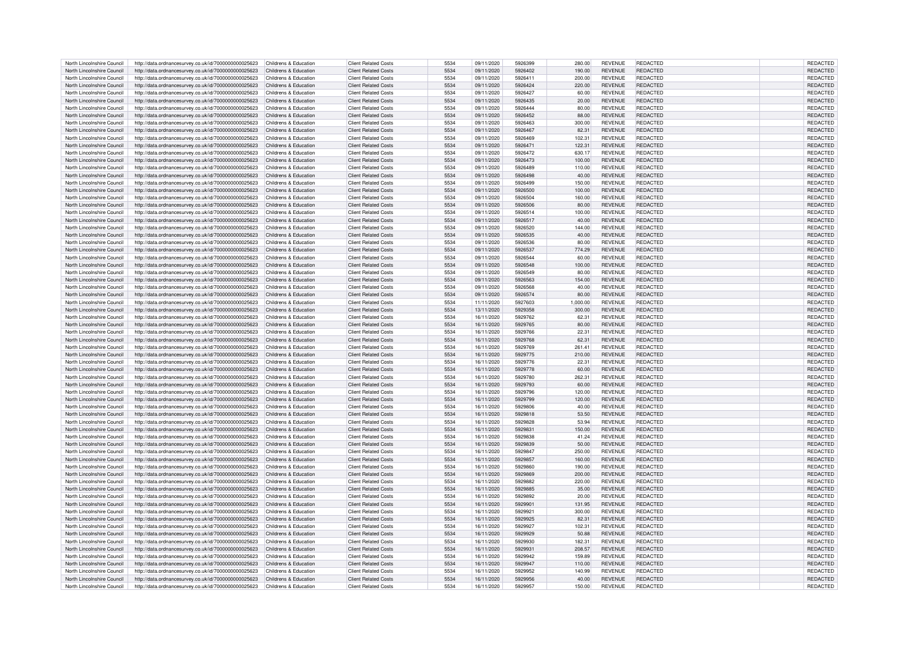| North Lincolnshire Council                               | http://data.ordnancesurvey.co.uk/id/7000000000025623                                                         | Childrens & Education                          | <b>Client Related Costs</b>                                | 5534         | 09/11/2020               | 5926399            | 280.00          | <b>REVENUE</b>                   | REDACTED             | REDACTED             |
|----------------------------------------------------------|--------------------------------------------------------------------------------------------------------------|------------------------------------------------|------------------------------------------------------------|--------------|--------------------------|--------------------|-----------------|----------------------------------|----------------------|----------------------|
| North Lincolnshire Council                               | http://data.ordnancesurvey.co.uk/id/7000000000025623                                                         | Childrens & Education                          | <b>Client Related Costs</b>                                | 5534         | 09/11/2020               | 5926402            | 190.00          | <b>REVENUE</b>                   | REDACTED             | <b>REDACTED</b>      |
|                                                          |                                                                                                              |                                                |                                                            |              |                          |                    |                 |                                  |                      |                      |
| North Lincolnshire Council                               | http://data.ordnancesurvey.co.uk/id/7000000000025623                                                         | Childrens & Education                          | <b>Client Related Costs</b>                                | 5534         | 09/11/2020               | 5926411            | 200.00          | <b>REVENUE</b>                   | REDACTED             | REDACTED             |
| North Lincolnshire Council                               | http://data.ordnancesurvey.co.uk/id/7000000000025623                                                         | Childrens & Education                          | <b>Client Related Costs</b>                                | 5534         | 09/11/2020               | 5926424            | 220.00          | <b>REVENUE</b>                   | REDACTED             | REDACTED             |
| North Lincolnshire Council                               | http://data.ordnancesurvey.co.uk/id/7000000000025623                                                         | Childrens & Education                          | <b>Client Related Costs</b>                                | 5534         | 09/11/2020               | 5926427            | 60.00           | <b>REVENUE</b>                   | REDACTED             | REDACTED             |
| North Lincolnshire Council                               | http://data.ordnancesurvey.co.uk/id/7000000000025623                                                         | Childrens & Education                          | <b>Client Related Costs</b>                                | 5534         | 09/11/2020               | 5926435            | 20.00           | <b>REVENUE</b>                   | REDACTED             | REDACTED             |
| North Lincolnshire Council                               | http://data.ordnancesurvey.co.uk/id/7000000000025623                                                         | Childrens & Education                          | <b>Client Related Costs</b>                                | 5534         | 09/11/2020               | 5926444            | 80.00           | <b>REVENUE</b>                   | <b>REDACTED</b>      | REDACTED             |
|                                                          |                                                                                                              |                                                |                                                            |              |                          |                    |                 |                                  |                      |                      |
| North Lincolnshire Council                               | http://data.ordnancesurvey.co.uk/id/7000000000025623                                                         | Childrens & Education                          | <b>Client Related Costs</b>                                | 5534         | 09/11/2020               | 5926452            | 88.00           | <b>REVENUE</b>                   | REDACTED             | <b>REDACTED</b>      |
| North Lincolnshire Council                               | http://data.ordnancesurvey.co.uk/id/7000000000025623                                                         | Childrens & Education                          | <b>Client Related Costs</b>                                | 5534         | 09/11/2020               | 5926463            | 300.00          | <b>REVENUE</b>                   | <b>REDACTED</b>      | <b>REDACTED</b>      |
| North Lincolnshire Council                               | http://data.ordnancesurvey.co.uk/id/7000000000025623                                                         | Childrens & Education                          | <b>Client Related Costs</b>                                | 5534         | 09/11/2020               | 5926467            | 82.31           | <b>REVENUE</b>                   | <b>REDACTED</b>      | REDACTED             |
| North Lincolnshire Council                               | http://data.ordnancesurvey.co.uk/id/7000000000025623                                                         | Childrens & Education                          | <b>Client Related Costs</b>                                | 5534         | 09/11/2020               | 5926469            | 102.31          | <b>REVENUE</b>                   | REDACTED             | <b>REDACTED</b>      |
|                                                          |                                                                                                              |                                                |                                                            |              |                          |                    |                 |                                  |                      |                      |
| North Lincolnshire Council                               | http://data.ordnancesurvey.co.uk/id/7000000000025623                                                         | Childrens & Education                          | <b>Client Related Costs</b>                                | 5534         | 09/11/2020               | 5926471            | 122.31          | <b>REVENUE</b>                   | <b>REDACTED</b>      | REDACTED             |
| North Lincolnshire Council                               | http://data.ordnancesurvey.co.uk/id/7000000000025623                                                         | Childrens & Education                          | <b>Client Related Costs</b>                                | 5534         | 09/11/2020               | 5926472            | 630.17          | <b>REVENUE</b>                   | REDACTED             | REDACTED             |
| North Lincolnshire Council                               | http://data.ordnancesurvey.co.uk/id/7000000000025623                                                         | Childrens & Education                          | Client Related Costs                                       | 5534         | 09/11/2020               | 5926473            | 100.00          | <b>REVENUE</b>                   | <b>REDACTED</b>      | REDACTED             |
| North Lincolnshire Council                               | http://data.ordnancesurvey.co.uk/id/7000000000025623                                                         | Childrens & Education                          | <b>Client Related Costs</b>                                | 5534         | 09/11/2020               | 5926489            | 110.00          | <b>REVENUE</b>                   | <b>REDACTED</b>      | REDACTED             |
|                                                          |                                                                                                              |                                                |                                                            |              |                          |                    |                 |                                  |                      |                      |
| North Lincolnshire Council                               | http://data.ordnancesurvey.co.uk/id/7000000000025623                                                         | Childrens & Education                          | <b>Client Related Costs</b>                                | 5534         | 09/11/2020               | 5926498            | 40.00           | <b>REVENUE</b>                   | REDACTED             | REDACTED             |
| North Lincolnshire Council                               | http://data.ordnancesurvey.co.uk/id/7000000000025623                                                         | Childrens & Education                          | <b>Client Related Costs</b>                                | 5534         | 09/11/2020               | 5926499            | 150.00          | <b>REVENUE</b>                   | <b>REDACTED</b>      | <b>REDACTED</b>      |
| North Lincolnshire Council                               | http://data.ordnancesurvey.co.uk/id/7000000000025623                                                         | Childrens & Education                          | <b>Client Related Costs</b>                                | 5534         | 09/11/2020               | 5926500            | 100.00          | <b>REVENUE</b>                   | REDACTED             | REDACTED             |
| North Lincolnshire Council                               | http://data.ordnancesurvey.co.uk/id/7000000000025623                                                         | Childrens & Education                          | <b>Client Related Costs</b>                                | 5534         | 09/11/2020               | 5926504            | 160.00          | <b>REVENUE</b>                   | <b>REDACTED</b>      | REDACTED             |
|                                                          |                                                                                                              |                                                |                                                            |              |                          |                    |                 |                                  |                      |                      |
| North Lincolnshire Council                               | http://data.ordnancesurvey.co.uk/id/7000000000025623                                                         | Childrens & Education                          | <b>Client Related Costs</b>                                | 5534         | 09/11/2020               | 5926506            | 80.00           | <b>REVENUE</b>                   | <b>REDACTED</b>      | REDACTED             |
| North Lincolnshire Council                               | http://data.ordnancesurvey.co.uk/id/7000000000025623                                                         | Childrens & Education                          | <b>Client Related Costs</b>                                | 5534         | 09/11/2020               | 5926514            | 100.00          | <b>REVENUE</b>                   | REDACTED             | REDACTED             |
| North Lincolnshire Council                               | http://data.ordnancesurvey.co.uk/id/7000000000025623                                                         | Childrens & Education                          | <b>Client Related Costs</b>                                | 5534         | 09/11/2020               | 5926517            | 40.00           | <b>REVENUE</b>                   | <b>REDACTED</b>      | REDACTED             |
| North Lincolnshire Council                               | http://data.ordnancesurvey.co.uk/id/7000000000025623                                                         | Childrens & Education                          | <b>Client Related Costs</b>                                | 5534         | 09/11/2020               | 5926520            | 144.00          | <b>REVENUE</b>                   | REDACTED             | REDACTED             |
| North Lincolnshire Council                               |                                                                                                              |                                                | <b>Client Related Costs</b>                                | 5534         |                          | 5926535            |                 | <b>REVENUE</b>                   | REDACTED             |                      |
|                                                          | http://data.ordnancesurvey.co.uk/id/7000000000025623                                                         | Childrens & Education                          |                                                            |              | 09/11/2020               |                    | 40.00           |                                  |                      | REDACTED             |
| North Lincolnshire Council                               | http://data.ordnancesurvey.co.uk/id/7000000000025623                                                         | Childrens & Education                          | <b>Client Related Costs</b>                                | 5534         | 09/11/2020               | 5926536            | 80.00           | <b>REVENUE</b>                   | <b>REDACTED</b>      | REDACTED             |
| North Lincolnshire Council                               | http://data.ordnancesurvey.co.uk/id/7000000000025623                                                         | Childrens & Education                          | <b>Client Related Costs</b>                                | 5534         | 09/11/2020               | 5926537            | 774.29          | <b>REVENUE</b>                   | REDACTED             | REDACTED             |
| North Lincolnshire Council                               | http://data.ordnancesurvey.co.uk/id/7000000000025623                                                         | Childrens & Education                          | <b>Client Related Costs</b>                                | 5534         | 09/11/2020               | 5926544            | 60.00           | <b>REVENUE</b>                   | <b>REDACTED</b>      | <b>REDACTED</b>      |
| North Lincolnshire Council                               |                                                                                                              | Childrens & Education                          | <b>Client Related Costs</b>                                | 5534         | 09/11/2020               | 5926548            | 100.00          | <b>REVENUE</b>                   | <b>REDACTED</b>      | <b>REDACTED</b>      |
|                                                          | http://data.ordnancesurvey.co.uk/id/7000000000025623                                                         |                                                |                                                            |              |                          |                    |                 |                                  |                      |                      |
| North Lincolnshire Council                               | http://data.ordnancesurvey.co.uk/id/7000000000025623                                                         | Childrens & Education                          | <b>Client Related Costs</b>                                | 5534         | 09/11/2020               | 5926549            | 80.00           | <b>REVENUE</b>                   | <b>REDACTED</b>      | REDACTED             |
| North Lincolnshire Council                               | http://data.ordnancesurvey.co.uk/id/7000000000025623                                                         | Childrens & Education                          | <b>Client Related Costs</b>                                | 5534         | 09/11/2020               | 5926563            | 154.00          | <b>REVENUE</b>                   | <b>REDACTED</b>      | REDACTED             |
| North Lincolnshire Council                               | http://data.ordnancesurvey.co.uk/id/7000000000025623                                                         | Childrens & Education                          | <b>Client Related Costs</b>                                | 5534         | 09/11/2020               | 5926568            | 40.00           | <b>REVENUE</b>                   | <b>REDACTED</b>      | REDACTED             |
|                                                          |                                                                                                              |                                                |                                                            | 5534         |                          | 5926574            |                 |                                  | <b>REDACTED</b>      |                      |
| North Lincolnshire Council                               | http://data.ordnancesurvey.co.uk/id/7000000000025623                                                         | Childrens & Education                          | <b>Client Related Costs</b>                                |              | 09/11/2020               |                    | 80.00           | <b>REVENUE</b>                   |                      | REDACTED             |
| North Lincolnshire Council                               | http://data.ordnancesurvey.co.uk/id/7000000000025623                                                         | Childrens & Education                          | <b>Client Related Costs</b>                                | 5534         | 11/11/2020               | 5927603            | 1,000.00        | <b>REVENUE</b>                   | REDACTED             | REDACTED             |
| North Lincolnshire Council                               | http://data.ordnancesurvey.co.uk/id/7000000000025623                                                         | Childrens & Education                          | Client Related Costs                                       | 5534         | 13/11/2020               | 5929358            | 300.00          | <b>REVENUE</b>                   | <b>REDACTED</b>      | REDACTED             |
| North Lincolnshire Council                               | http://data.ordnancesurvey.co.uk/id/7000000000025623                                                         | Childrens & Education                          | <b>Client Related Costs</b>                                | 5534         | 16/11/2020               | 5929762            | 62.31           | <b>REVENUE</b>                   | <b>REDACTED</b>      | REDACTED             |
| North Lincolnshire Council                               |                                                                                                              | Childrens & Education                          | <b>Client Related Costs</b>                                | 5534         | 16/11/2020               | 5929765            |                 | <b>REVENUE</b>                   | <b>REDACTED</b>      | <b>REDACTED</b>      |
|                                                          | http://data.ordnancesurvey.co.uk/id/7000000000025623                                                         |                                                |                                                            |              |                          |                    | 80.00           |                                  |                      |                      |
| North Lincolnshire Council                               | http://data.ordnancesurvey.co.uk/id/7000000000025623                                                         | Childrens & Education                          | <b>Client Related Costs</b>                                | 5534         | 16/11/2020               | 5929766            | 22.31           | <b>REVENUE</b>                   | <b>REDACTED</b>      | REDACTED             |
| North Lincolnshire Council                               | http://data.ordnancesurvey.co.uk/id/7000000000025623                                                         | Childrens & Education                          | <b>Client Related Costs</b>                                | 5534         | 16/11/2020               | 5929768            | 62.31           | <b>REVENUE</b>                   | REDACTED             | REDACTED             |
| North Lincolnshire Council                               | http://data.ordnancesurvey.co.uk/id/7000000000025623                                                         | Childrens & Education                          | Client Related Costs                                       | 5534         | 16/11/2020               | 5929769            | 261.41          | <b>REVENUE</b>                   | <b>REDACTED</b>      | REDACTED             |
| North Lincolnshire Council                               | http://data.ordnancesurvey.co.uk/id/7000000000025623                                                         | Childrens & Education                          | <b>Client Related Costs</b>                                | 5534         | 16/11/2020               | 5929775            | 210.00          | <b>REVENUE</b>                   | <b>REDACTED</b>      | REDACTED             |
|                                                          |                                                                                                              |                                                |                                                            |              |                          |                    |                 |                                  |                      |                      |
| North Lincolnshire Council                               | http://data.ordnancesurvey.co.uk/id/7000000000025623                                                         | Childrens & Education                          | <b>Client Related Costs</b>                                | 5534         | 16/11/2020               | 5929776            | 22.31           | <b>REVENUE</b>                   | REDACTED             | REDACTED             |
| North Lincolnshire Council                               | http://data.ordnancesurvey.co.uk/id/7000000000025623                                                         | Childrens & Education                          | <b>Client Related Costs</b>                                | 5534         | 16/11/2020               | 5929778            | 60.00           | <b>REVENUE</b>                   | <b>REDACTED</b>      | REDACTED             |
| North Lincolnshire Council                               | http://data.ordnancesurvey.co.uk/id/7000000000025623                                                         | Childrens & Education                          | <b>Client Related Costs</b>                                | 5534         | 16/11/2020               | 5929780            | 262.31          | <b>REVENUE</b>                   | REDACTED             | REDACTED             |
| North Lincolnshire Council                               | http://data.ordnancesurvey.co.uk/id/7000000000025623                                                         | Childrens & Education                          | <b>Client Related Costs</b>                                | 5534         | 16/11/2020               | 5929793            | 60.00           | <b>REVENUE</b>                   | <b>REDACTED</b>      | REDACTED             |
|                                                          |                                                                                                              |                                                |                                                            |              |                          |                    |                 |                                  |                      |                      |
| North Lincolnshire Council                               | http://data.ordnancesurvey.co.uk/id/7000000000025623                                                         | Childrens & Education                          | <b>Client Related Costs</b>                                | 5534         | 16/11/2020               | 5929796            | 120.00          | <b>REVENUE</b>                   | <b>REDACTED</b>      | <b>REDACTED</b>      |
| North Lincolnshire Council                               | http://data.ordnancesurvey.co.uk/id/7000000000025623                                                         | Childrens & Education                          | <b>Client Related Costs</b>                                | 5534         | 16/11/2020               | 5929799            | 120.00          | <b>REVENUE</b>                   | REDACTED             | REDACTED             |
| North Lincolnshire Council                               | http://data.ordnancesurvey.co.uk/id/7000000000025623                                                         | Childrens & Education                          | <b>Client Related Costs</b>                                | 5534         | 16/11/2020               | 5929806            | 40.00           | <b>REVENUE</b>                   | <b>REDACTED</b>      | REDACTED             |
| North Lincolnshire Council                               | http://data.ordnancesurvey.co.uk/id/7000000000025623                                                         | Childrens & Education                          | <b>Client Related Costs</b>                                | 5534         | 16/11/2020               | 5929818            | 53.50           | <b>REVENUE</b>                   | REDACTED             | REDACTED             |
|                                                          |                                                                                                              |                                                |                                                            |              |                          |                    |                 |                                  |                      |                      |
| North Lincolnshire Council                               | http://data.ordnancesurvey.co.uk/id/7000000000025623                                                         | Childrens & Education                          | Client Related Costs                                       | 5534         | 16/11/2020               | 5929828            | 53.94           | <b>REVENUE</b>                   | <b>REDACTED</b>      | REDACTED             |
| North Lincolnshire Council                               | http://data.ordnancesurvey.co.uk/id/7000000000025623                                                         | Childrens & Education                          | <b>Client Related Costs</b>                                | 5534         | 16/11/2020               | 5929831            | 150.00          | <b>REVENUE</b>                   | <b>REDACTED</b>      | REDACTED             |
| North Lincolnshire Council                               | http://data.ordnancesurvey.co.uk/id/7000000000025623                                                         | Childrens & Education                          | <b>Client Related Costs</b>                                | 5534         | 16/11/2020               | 5929838            | 41.24           | <b>REVENUE</b>                   | REDACTED             | REDACTED             |
| North Lincolnshire Council                               | http://data.ordnancesurvey.co.uk/id/7000000000025623                                                         | Childrens & Education                          | <b>Client Related Costs</b>                                | 5534         | 16/11/2020               | 5929839            | 50.00           | <b>REVENUE</b>                   | <b>REDACTED</b>      | REDACTED             |
| North Lincolnshire Council                               | http://data.ordnancesurvey.co.uk/id/7000000000025623                                                         | Childrens & Education                          | <b>Client Related Costs</b>                                | 5534         | 16/11/2020               | 5929847            | 250.00          | <b>REVENUE</b>                   | REDACTED             | <b>REDACTED</b>      |
|                                                          |                                                                                                              |                                                |                                                            |              |                          |                    |                 |                                  |                      |                      |
| North Lincolnshire Council                               | http://data.ordnancesurvey.co.uk/id/7000000000025623                                                         | Childrens & Education                          | <b>Client Related Costs</b>                                | 5534         | 16/11/2020               | 5929857            | 160.00          | <b>REVENUE</b>                   | <b>REDACTED</b>      | REDACTED             |
| North Lincolnshire Council                               | http://data.ordnancesurvey.co.uk/id/7000000000025623                                                         | Childrens & Education                          | <b>Client Related Costs</b>                                | 5534         | 16/11/2020               | 5929860            | 190.00          | <b>REVENUE</b>                   | <b>REDACTED</b>      | REDACTED             |
| North Lincolnshire Council                               | http://data.ordnancesurvey.co.uk/id/7000000000025623                                                         | Childrens & Education                          | <b>Client Related Costs</b>                                | 5534         | 16/11/2020               | 5929869            | 200.00          | <b>REVENUE</b>                   | <b>REDACTED</b>      | REDACTED             |
| North Lincolnshire Council                               | http://data.ordnancesurvey.co.uk/id/7000000000025623                                                         | Childrens & Education                          | <b>Client Related Costs</b>                                | 5534         | 16/11/2020               | 5929882            | 220.00          | <b>REVENUE</b>                   | <b>REDACTED</b>      | REDACTED             |
|                                                          |                                                                                                              |                                                |                                                            |              |                          |                    |                 |                                  |                      |                      |
| North Lincolnshire Council                               | http://data.ordnancesurvey.co.uk/id/7000000000025623                                                         | Childrens & Education                          | <b>Client Related Costs</b>                                | 5534         | 16/11/2020               | 5929885            | 35.00           | <b>REVENUE</b>                   | REDACTED             | REDACTED             |
| North Lincolnshire Council                               | http://data.ordnancesurvey.co.uk/id/7000000000025623                                                         | Childrens & Education                          | Client Related Costs                                       | 5534         | 16/11/2020               | 5929892            | 20.00           | <b>REVENUE</b>                   | <b>REDACTED</b>      | REDACTED             |
| North Lincolnshire Council                               | http://data.ordnancesurvey.co.uk/id/7000000000025623                                                         | Childrens & Education                          | <b>Client Related Costs</b>                                | 5534         | 16/11/2020               | 5929901            | 131.95          | <b>REVENUE</b>                   | <b>REDACTED</b>      | REDACTED             |
| North Lincolnshire Council                               | http://data.ordnancesurvey.co.uk/id/7000000000025623                                                         | Childrens & Education                          | <b>Client Related Costs</b>                                | 5534         | 16/11/2020               | 5929921            | 300.00          | <b>REVENUE</b>                   | REDACTED             | REDACTED             |
|                                                          |                                                                                                              |                                                |                                                            |              |                          |                    |                 |                                  |                      |                      |
| North Lincolnshire Council                               | http://data.ordnancesurvey.co.uk/id/7000000000025623                                                         | Childrens & Education                          | <b>Client Related Costs</b>                                | 5534         | 16/11/2020               | 5929925            | 82.31           | <b>REVENUE</b>                   | <b>REDACTED</b>      | REDACTED             |
| North Lincolnshire Council                               | http://data.ordnancesurvey.co.uk/id/7000000000025623                                                         | Childrens & Education                          | <b>Client Related Costs</b>                                | 5534         | 16/11/2020               | 5929927            | 102.31          | <b>REVENUE</b>                   | REDACTED             | REDACTED             |
| North Lincolnshire Council                               | http://data.ordnancesurvey.co.uk/id/7000000000025623                                                         | Childrens & Education                          | <b>Client Related Costs</b>                                | 5534         | 16/11/2020               | 5929929            | 50.88           | <b>REVENUE</b>                   | <b>REDACTED</b>      | REDACTED             |
| North Lincolnshire Council                               | http://data.ordnancesurvey.co.uk/id/7000000000025623                                                         | Childrens & Education                          | <b>Client Related Costs</b>                                | 5534         | 16/11/2020               | 5929930            | 182.31          | <b>REVENUE</b>                   | <b>REDACTED</b>      | REDACTED             |
|                                                          |                                                                                                              |                                                |                                                            |              |                          |                    |                 |                                  |                      |                      |
| North Lincolnshire Council                               | http://data.ordnancesurvey.co.uk/id/7000000000025623                                                         | Childrens & Education                          | <b>Client Related Costs</b>                                | 5534         | 16/11/2020               | 5929931            | 208.57          | <b>REVENUE</b>                   | <b>REDACTED</b>      | REDACTED             |
| North Lincolnshire Council                               | http://data.ordnancesurvey.co.uk/id/7000000000025623                                                         | Childrens & Education                          | <b>Client Related Costs</b>                                | 5534         | 16/11/2020               | 5929942            | 159.89          | <b>REVENUE</b>                   | <b>REDACTED</b>      | REDACTED             |
| North Lincolnshire Council                               | http://data.ordnancesurvey.co.uk/id/7000000000025623                                                         | Childrens & Education                          | <b>Client Related Costs</b>                                | 5534         | 16/11/2020               | 5929947            | 110.00          | <b>REVENUE</b>                   | <b>REDACTED</b>      | REDACTED             |
| North Lincolnshire Council                               | http://data.ordnancesurvey.co.uk/id/7000000000025623                                                         | Childrens & Education                          | <b>Client Related Costs</b>                                | 5534         | 16/11/2020               | 5929952            | 140.99          | <b>REVENUE</b>                   | <b>REDACTED</b>      | REDACTED             |
|                                                          |                                                                                                              |                                                |                                                            |              |                          |                    |                 |                                  |                      |                      |
|                                                          |                                                                                                              |                                                |                                                            |              |                          |                    |                 |                                  |                      |                      |
| North Lincolnshire Council<br>North Lincolnshire Council | http://data.ordnancesurvey.co.uk/id/7000000000025623<br>http://data.ordnancesurvey.co.uk/id/7000000000025623 | Childrens & Education<br>Childrens & Education | <b>Client Related Costs</b><br><b>Client Related Costs</b> | 5534<br>5534 | 16/11/2020<br>16/11/2020 | 5929956<br>5929957 | 40.00<br>150.00 | <b>REVENUE</b><br><b>REVENUE</b> | REDACTED<br>REDACTED | REDACTED<br>REDACTED |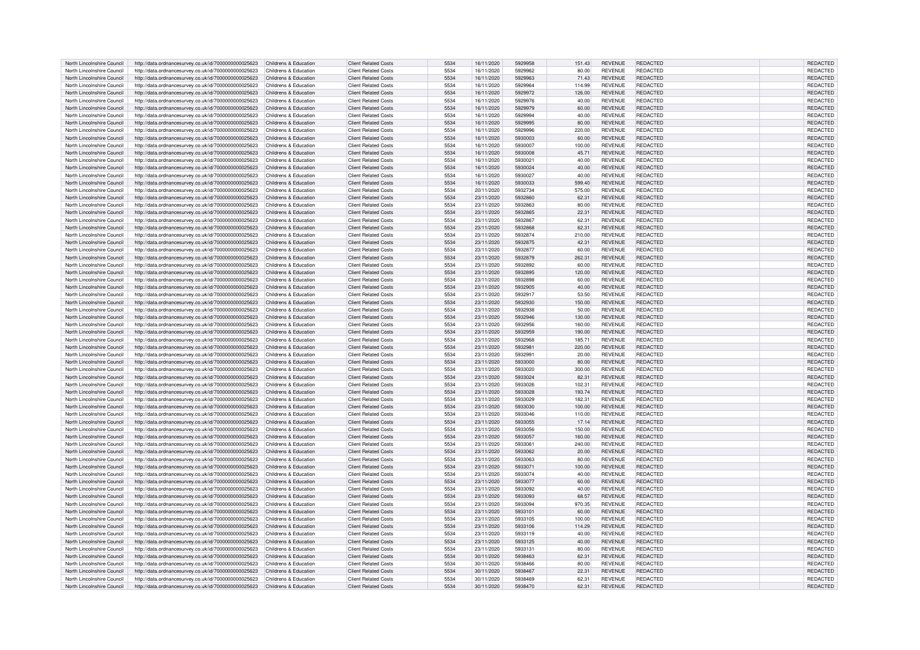| North Lincolnshire Council | http://data.ordnancesurvey.co.uk/id/7000000000025623                       | Childrens & Education | <b>Client Related Costs</b> | 5534 | 16/11/2020 | 5929958 | 151.43 | <b>REVENUE</b> | <b>REDACTED</b> | REDACTED        |
|----------------------------|----------------------------------------------------------------------------|-----------------------|-----------------------------|------|------------|---------|--------|----------------|-----------------|-----------------|
| North Lincolnshire Council | http://data.ordnancesurvey.co.uk/id/7000000000025623                       | Childrens & Education | <b>Client Related Costs</b> | 5534 | 16/11/2020 | 5929962 | 80.00  | <b>REVENUE</b> | <b>REDACTED</b> | REDACTED        |
| North Lincolnshire Council | http://data.ordnancesurvey.co.uk/id/7000000000025623                       | Childrens & Education | <b>Client Related Costs</b> | 5534 | 16/11/2020 | 5929963 | 71.43  | <b>REVENUE</b> | REDACTED        | REDACTED        |
| North Lincolnshire Council | http://data.ordnancesurvey.co.uk/id/7000000000025623                       | Childrens & Education | <b>Client Related Costs</b> | 5534 | 16/11/2020 | 5929964 | 114.99 | <b>REVENUE</b> | REDACTED        | REDACTED        |
|                            |                                                                            |                       |                             |      |            |         |        |                |                 |                 |
| North Lincolnshire Council | http://data.ordnancesurvey.co.uk/id/7000000000025623                       | Childrens & Education | Client Related Costs        | 5534 | 16/11/2020 | 5929972 | 126.00 | <b>REVENUE</b> | <b>REDACTED</b> | REDACTED        |
| North Lincolnshire Council | http://data.ordnancesurvey.co.uk/id/7000000000025623                       | Childrens & Education | <b>Client Related Costs</b> | 5534 | 16/11/2020 | 5929976 | 40.00  | <b>REVENUE</b> | <b>REDACTED</b> | REDACTED        |
| North Lincolnshire Council | http://data.ordnancesurvey.co.uk/id/7000000000025623                       | Childrens & Education | <b>Client Related Costs</b> | 5534 | 16/11/2020 | 5929979 | 60.00  | <b>REVENUE</b> | <b>REDACTED</b> | REDACTED        |
| North Lincolnshire Council | http://data.ordnancesurvey.co.uk/id/7000000000025623                       | Childrens & Education | <b>Client Related Costs</b> | 5534 | 16/11/2020 | 5929994 | 40.00  | <b>REVENUE</b> | <b>REDACTED</b> | REDACTED        |
| North Lincolnshire Council | http://data.ordnancesurvey.co.uk/id/7000000000025623                       | Childrens & Education | <b>Client Related Costs</b> | 5534 | 16/11/2020 | 5929995 | 80.00  | <b>REVENUE</b> | REDACTED        | REDACTED        |
| North Lincolnshire Council | http://data.ordnancesurvey.co.uk/id/7000000000025623                       | Childrens & Education | <b>Client Related Costs</b> | 5534 | 16/11/2020 | 5929996 | 220.00 | <b>REVENUE</b> | REDACTED        | REDACTED        |
| North Lincolnshire Council | http://data.ordnancesurvey.co.uk/id/7000000000025623                       | Childrens & Education | <b>Client Related Costs</b> | 5534 | 16/11/2020 | 5930003 | 60.00  | <b>REVENUE</b> | REDACTED        | REDACTED        |
|                            |                                                                            |                       |                             |      |            |         |        |                |                 |                 |
| North Lincolnshire Council | http://data.ordnancesurvey.co.uk/id/7000000000025623                       | Childrens & Education | <b>Client Related Costs</b> | 5534 | 16/11/2020 | 5930007 | 100.00 | <b>REVENUE</b> | REDACTED        | REDACTED        |
| North Lincolnshire Council | http://data.ordnancesurvey.co.uk/id/7000000000025623                       | Childrens & Education | <b>Client Related Costs</b> | 5534 | 16/11/2020 | 5930008 | 45.71  | <b>REVENUE</b> | <b>REDACTED</b> | REDACTED        |
| North Lincolnshire Council | http://data.ordnancesurvey.co.uk/id/7000000000025623                       | Childrens & Education | <b>Client Related Costs</b> | 5534 | 16/11/2020 | 5930021 | 40.00  | <b>REVENUE</b> | REDACTED        | REDACTED        |
| North Lincolnshire Council | http://data.ordnancesurvey.co.uk/id/7000000000025623                       | Childrens & Education | <b>Client Related Costs</b> | 5534 | 16/11/2020 | 5930024 | 40.00  | <b>REVENUE</b> | REDACTED        | REDACTED        |
| North Lincolnshire Council | http://data.ordnancesurvey.co.uk/id/7000000000025623                       | Childrens & Education | <b>Client Related Costs</b> | 5534 | 16/11/2020 | 5930027 | 40.00  | <b>REVENUE</b> | <b>REDACTED</b> | REDACTED        |
| North Lincolnshire Council | http://data.ordnancesurvey.co.uk/id/7000000000025623                       | Childrens & Education | <b>Client Related Costs</b> | 5534 | 16/11/2020 | 5930033 | 599.40 | <b>REVENUE</b> | REDACTED        | REDACTED        |
| North Lincolnshire Council | http://data.ordnancesurvey.co.uk/id/7000000000025623                       | Childrens & Education | <b>Client Related Costs</b> | 5534 | 20/11/2020 | 5932734 | 575.00 | <b>REVENUE</b> | <b>REDACTED</b> | REDACTED        |
| North Lincolnshire Council | http://data.ordnancesurvey.co.uk/id/7000000000025623                       | Childrens & Education | <b>Client Related Costs</b> | 5534 | 23/11/2020 | 5932860 | 62.31  | <b>REVENUE</b> | <b>REDACTED</b> | REDACTED        |
| North Lincolnshire Council |                                                                            | Childrens & Education | <b>Client Related Costs</b> | 5534 | 23/11/2020 | 5932863 |        | <b>REVENUE</b> | <b>REDACTED</b> |                 |
|                            | http://data.ordnancesurvey.co.uk/id/7000000000025623                       |                       |                             |      |            |         | 80.00  |                |                 | REDACTED        |
| North Lincolnshire Council | http://data.ordnancesurvey.co.uk/id/7000000000025623                       | Childrens & Education | <b>Client Related Costs</b> | 5534 | 23/11/2020 | 5932865 | 22.31  | <b>REVENUE</b> | <b>REDACTED</b> | REDACTED        |
| North Lincolnshire Council | http://data.ordnancesurvey.co.uk/id/7000000000025623                       | Childrens & Education | <b>Client Related Costs</b> | 5534 | 23/11/2020 | 5932867 | 62.31  | <b>REVENUE</b> | REDACTED        | REDACTED        |
| North Lincolnshire Council | http://data.ordnancesurvey.co.uk/id/7000000000025623                       | Childrens & Education | <b>Client Related Costs</b> | 5534 | 23/11/2020 | 5932868 | 62.3   | <b>REVENUE</b> | <b>REDACTED</b> | REDACTED        |
| North Lincolnshire Council | http://data.ordnancesurvey.co.uk/id/7000000000025623                       | Childrens & Education | <b>Client Related Costs</b> | 5534 | 23/11/2020 | 5932874 | 210.00 | <b>REVENUE</b> | <b>REDACTED</b> | REDACTED        |
| North Lincolnshire Council | http://data.ordnancesurvey.co.uk/id/7000000000025623                       | Childrens & Education | <b>Client Related Costs</b> | 5534 | 23/11/2020 | 5932875 | 42.31  | <b>REVENUE</b> | <b>REDACTED</b> | REDACTED        |
| North Lincolnshire Council | http://data.ordnancesurvey.co.uk/id/7000000000025623                       | Childrens & Education | <b>Client Related Costs</b> | 5534 | 23/11/2020 | 5932877 | 60.00  | <b>REVENUE</b> | <b>REDACTED</b> | REDACTED        |
| North Lincolnshire Council | http://data.ordnancesurvey.co.uk/id/7000000000025623                       | Childrens & Education | <b>Client Related Costs</b> | 5534 | 23/11/2020 | 5932879 | 262.31 | <b>REVENUE</b> | <b>REDACTED</b> | REDACTED        |
|                            |                                                                            |                       |                             | 5534 |            | 5932892 |        |                | <b>REDACTED</b> |                 |
| North Lincolnshire Council | http://data.ordnancesurvey.co.uk/id/7000000000025623                       | Childrens & Education | <b>Client Related Costs</b> |      | 23/11/2020 |         | 60.00  | <b>REVENUE</b> |                 | REDACTED        |
| North Lincolnshire Council | http://data.ordnancesurvey.co.uk/id/7000000000025623                       | Childrens & Education | <b>Client Related Costs</b> | 5534 | 23/11/2020 | 5932895 | 120.00 | <b>REVENUE</b> | <b>REDACTED</b> | REDACTED        |
| North Lincolnshire Council | http://data.ordnancesurvey.co.uk/id/7000000000025623                       | Childrens & Education | <b>Client Related Costs</b> | 5534 | 23/11/2020 | 5932898 | 60.00  | <b>REVENUE</b> | <b>REDACTED</b> | REDACTED        |
| North Lincolnshire Council | http://data.ordnancesurvey.co.uk/id/7000000000025623                       | Childrens & Education | <b>Client Related Costs</b> | 5534 | 23/11/2020 | 5932905 | 40.00  | <b>REVENUE</b> | REDACTED        | REDACTED        |
| North Lincolnshire Council | http://data.ordnancesurvey.co.uk/id/7000000000025623                       | Childrens & Education | <b>Client Related Costs</b> | 5534 | 23/11/2020 | 5932917 | 53.50  | <b>REVENUE</b> | <b>REDACTED</b> | REDACTED        |
| North Lincolnshire Council | http://data.ordnancesurvey.co.uk/id/7000000000025623                       | Childrens & Education | <b>Client Related Costs</b> | 5534 | 23/11/2020 | 5932930 | 150.00 | <b>REVENUE</b> | REDACTED        | REDACTED        |
| North Lincolnshire Council | http://data.ordnancesurvey.co.uk/id/7000000000025623                       | Childrens & Education | <b>Client Related Costs</b> | 5534 | 23/11/2020 | 5932938 | 50.00  | <b>REVENUE</b> | REDACTED        | REDACTED        |
| North Lincolnshire Council |                                                                            | Childrens & Education | <b>Client Related Costs</b> | 5534 | 23/11/2020 | 5932946 | 130.00 | <b>REVENUE</b> | REDACTED        | REDACTED        |
|                            | http://data.ordnancesurvey.co.uk/id/7000000000025623                       |                       |                             |      |            |         |        |                |                 |                 |
| North Lincolnshire Council | http://data.ordnancesurvey.co.uk/id/7000000000025623                       | Childrens & Education | <b>Client Related Costs</b> | 5534 | 23/11/2020 | 5932956 | 160.00 | <b>REVENUE</b> | REDACTED        | REDACTED        |
| North Lincolnshire Council | http://data.ordnancesurvey.co.uk/id/7000000000025623                       | Childrens & Education | <b>Client Related Costs</b> | 5534 | 23/11/2020 | 5932959 | 190.00 | <b>REVENUE</b> | <b>REDACTED</b> | <b>REDACTED</b> |
| North Lincolnshire Council | http://data.ordnancesurvey.co.uk/id/7000000000025623                       | Childrens & Education | <b>Client Related Costs</b> | 5534 | 23/11/2020 | 5932968 | 185.71 | <b>REVENUE</b> | <b>REDACTED</b> | REDACTED        |
| North Lincolnshire Council | http://data.ordnancesurvey.co.uk/id/7000000000025623                       | Childrens & Education | <b>Client Related Costs</b> | 5534 | 23/11/2020 | 5932981 | 220.00 | <b>REVENUE</b> | REDACTED        | REDACTED        |
| North Lincolnshire Council | http://data.ordnancesurvey.co.uk/id/7000000000025623                       | Childrens & Education | <b>Client Related Costs</b> | 5534 | 23/11/2020 | 5932991 | 20.00  | <b>REVENUE</b> | <b>REDACTED</b> | REDACTED        |
| North Lincolnshire Council | http://data.ordnancesurvey.co.uk/id/7000000000025623                       | Childrens & Education | <b>Client Related Costs</b> | 5534 | 23/11/2020 | 5933000 | 80.00  | <b>REVENUE</b> | REDACTED        | REDACTED        |
| North Lincolnshire Council | http://data.ordnancesurvey.co.uk/id/7000000000025623                       | Childrens & Education | <b>Client Related Costs</b> | 5534 | 23/11/2020 | 5933020 | 300.00 | <b>REVENUE</b> | REDACTED        | REDACTED        |
| North Lincolnshire Council | http://data.ordnancesurvey.co.uk/id/7000000000025623                       | Childrens & Education | <b>Client Related Costs</b> | 5534 | 23/11/2020 | 5933024 | 82.31  | <b>REVENUE</b> | <b>REDACTED</b> | REDACTED        |
| North Lincolnshire Council |                                                                            | Childrens & Education | <b>Client Related Costs</b> | 5534 |            | 5933026 |        | <b>REVENUE</b> | <b>REDACTED</b> | REDACTED        |
|                            | http://data.ordnancesurvey.co.uk/id/7000000000025623                       |                       |                             |      | 23/11/2020 |         | 102.31 |                |                 |                 |
| North Lincolnshire Council | http://data.ordnancesurvey.co.uk/id/7000000000025623                       | Childrens & Education | <b>Client Related Costs</b> | 5534 | 23/11/2020 | 5933028 | 193.74 | <b>REVENUE</b> | <b>REDACTED</b> | REDACTED        |
| North Lincolnshire Council | http://data.ordnancesurvey.co.uk/id/7000000000025623                       | Childrens & Education | <b>Client Related Costs</b> | 5534 | 23/11/2020 | 5933029 | 182.31 | <b>REVENUE</b> | <b>REDACTED</b> | REDACTED        |
| North Lincolnshire Council | http://data.ordnancesurvey.co.uk/id/7000000000025623                       | Childrens & Education | <b>Client Related Costs</b> | 5534 | 23/11/2020 | 5933030 | 100.00 | <b>REVENUE</b> | <b>REDACTED</b> | REDACTED        |
| North Lincolnshire Council | http://data.ordnancesurvey.co.uk/id/7000000000025623                       | Childrens & Education | <b>Client Related Costs</b> | 5534 | 23/11/2020 | 5933046 | 110.00 | <b>REVENUE</b> | REDACTED        | REDACTED        |
| North Lincolnshire Council | http://data.ordnancesurvey.co.uk/id/7000000000025623                       | Childrens & Education | <b>Client Related Costs</b> | 5534 | 23/11/2020 | 5933055 | 17.14  | <b>REVENUE</b> | <b>REDACTED</b> | REDACTED        |
| North Lincolnshire Council | http://data.ordnancesurvey.co.uk/id/7000000000025623                       | Childrens & Education | <b>Client Related Costs</b> | 5534 | 23/11/2020 | 5933056 | 150.00 | <b>REVENUE</b> | <b>REDACTED</b> | REDACTED        |
| North Lincolnshire Council | http://data.ordnancesurvey.co.uk/id/7000000000025623                       | Childrens & Education | <b>Client Related Costs</b> | 5534 | 23/11/2020 | 5933057 | 160.00 | <b>REVENUE</b> | <b>REDACTED</b> | REDACTED        |
| North Lincolnshire Council | http://data.ordnancesurvey.co.uk/id/7000000000025623                       | Childrens & Education | <b>Client Related Costs</b> | 5534 | 23/11/2020 | 5933061 | 240.00 | <b>REVENUE</b> | <b>REDACTED</b> | REDACTED        |
|                            |                                                                            |                       |                             |      |            |         |        |                |                 |                 |
| North Lincolnshire Council | http://data.ordnancesurvey.co.uk/id/7000000000025623                       | Childrens & Education | <b>Client Related Costs</b> | 5534 | 23/11/2020 | 5933062 | 20.00  | <b>REVENUE</b> | <b>REDACTED</b> | REDACTED        |
| North Lincolnshire Council | http://data.ordnancesurvey.co.uk/id/7000000000025623                       | Childrens & Education | Client Related Costs        | 5534 | 23/11/2020 | 5933063 | 80.00  | <b>REVENUE</b> | <b>REDACTED</b> | REDACTED        |
| North Lincolnshire Council | http://data.ordnancesurvey.co.uk/id/7000000000025623                       | Childrens & Education | <b>Client Related Costs</b> | 5534 | 23/11/2020 | 5933071 | 100.00 | <b>REVENUE</b> | <b>REDACTED</b> | REDACTED        |
| North Lincolnshire Council | http://data.ordnancesurvey.co.uk/id/7000000000025623                       | Childrens & Education | <b>Client Related Costs</b> | 5534 | 23/11/2020 | 5933074 | 40.00  | <b>REVENUE</b> | <b>REDACTED</b> | REDACTED        |
| North Lincolnshire Council | http://data.ordnancesurvey.co.uk/id/7000000000025623                       | Childrens & Education | <b>Client Related Costs</b> | 5534 | 23/11/2020 | 5933077 | 60.00  | <b>REVENUE</b> | <b>REDACTED</b> | REDACTED        |
| North Lincolnshire Council | http://data.ordnancesurvey.co.uk/id/7000000000025623                       | Childrens & Education | <b>Client Related Costs</b> | 5534 | 23/11/2020 | 5933092 | 40.00  | <b>REVENUE</b> | REDACTED        | REDACTED        |
| North Lincolnshire Council | http://data.ordnancesurvey.co.uk/id/7000000000025623                       | Childrens & Education | <b>Client Related Costs</b> | 5534 | 23/11/2020 | 5933093 | 68.57  | <b>REVENUE</b> | <b>REDACTED</b> | REDACTED        |
| North Lincolnshire Council | http://data.ordnancesurvey.co.uk/id/7000000000025623                       | Childrens & Education | <b>Client Related Costs</b> | 5534 | 23/11/2020 | 5933094 | 970.35 | <b>REVENUE</b> | <b>REDACTED</b> | REDACTED        |
|                            |                                                                            |                       |                             |      |            |         |        |                |                 |                 |
| North Lincolnshire Council | http://data.ordnancesurvey.co.uk/id/7000000000025623                       | Childrens & Education | <b>Client Related Costs</b> | 5534 | 23/11/2020 | 5933101 | 60.00  | <b>REVENUE</b> | REDACTED        | REDACTED        |
| North Lincolnshire Council | http://data.ordnancesurvey.co.uk/id/7000000000025623                       | Childrens & Education | <b>Client Related Costs</b> | 5534 | 23/11/2020 | 5933105 | 100.00 | <b>REVENUE</b> | <b>REDACTED</b> | REDACTED        |
| North Lincolnshire Council | http://data.ordnancesurvey.co.uk/id/7000000000025623                       | Childrens & Education | <b>Client Related Costs</b> | 5534 | 23/11/2020 | 5933106 | 114.29 | <b>REVENUE</b> | <b>REDACTED</b> | REDACTED        |
| North Lincolnshire Council | http://data.ordnancesurvey.co.uk/id/7000000000025623                       | Childrens & Education | <b>Client Related Costs</b> | 5534 | 23/11/2020 | 5933119 | 40.00  | <b>REVENUE</b> | REDACTED        | REDACTED        |
| North Lincolnshire Council | http://data.ordnancesurvey.co.uk/id/7000000000025623                       | Childrens & Education | <b>Client Related Costs</b> | 5534 | 23/11/2020 | 5933125 | 40.00  | <b>REVENUE</b> | <b>REDACTED</b> | REDACTED        |
| North Lincolnshire Council | http://data.ordnancesurvey.co.uk/id/7000000000025623                       | Childrens & Education | <b>Client Related Costs</b> | 5534 | 23/11/2020 | 5933131 | 80.00  | <b>REVENUE</b> | REDACTED        | REDACTED        |
| North Lincolnshire Council | http://data.ordnancesurvey.co.uk/id/7000000000025623                       | Childrens & Education | <b>Client Related Costs</b> | 5534 | 30/11/2020 | 5938463 | 62.31  | <b>REVENUE</b> | <b>REDACTED</b> | REDACTED        |
| North Lincolnshire Council | http://data.ordnancesurvey.co.uk/id/7000000000025623                       | Childrens & Education | <b>Client Related Costs</b> | 5534 | 30/11/2020 | 5938466 | 80.00  | <b>REVENUE</b> | <b>REDACTED</b> | REDACTED        |
| North Lincolnshire Council |                                                                            | Childrens & Education | <b>Client Related Costs</b> | 5534 | 30/11/2020 | 5938467 | 22.3   | <b>REVENUE</b> | REDACTED        | <b>REDACTED</b> |
|                            | http://data.ordnancesurvey.co.uk/id/7000000000025623                       |                       |                             |      |            |         |        |                | <b>REDACTED</b> |                 |
| North Lincolnshire Council | http://data.ordnancesurvey.co.uk/id/7000000000025623                       | Childrens & Education | <b>Client Related Costs</b> | 5534 | 30/11/2020 | 5938469 | 62.31  | <b>REVENUE</b> |                 | REDACTED        |
| North Lincolnshire Council | http://data.ordnancesurvey.co.uk/id/7000000000025623 Childrens & Education |                       | <b>Client Related Costs</b> | 5534 | 30/11/2020 | 5938470 | 62.31  | <b>REVENUE</b> | REDACTED        | REDACTED        |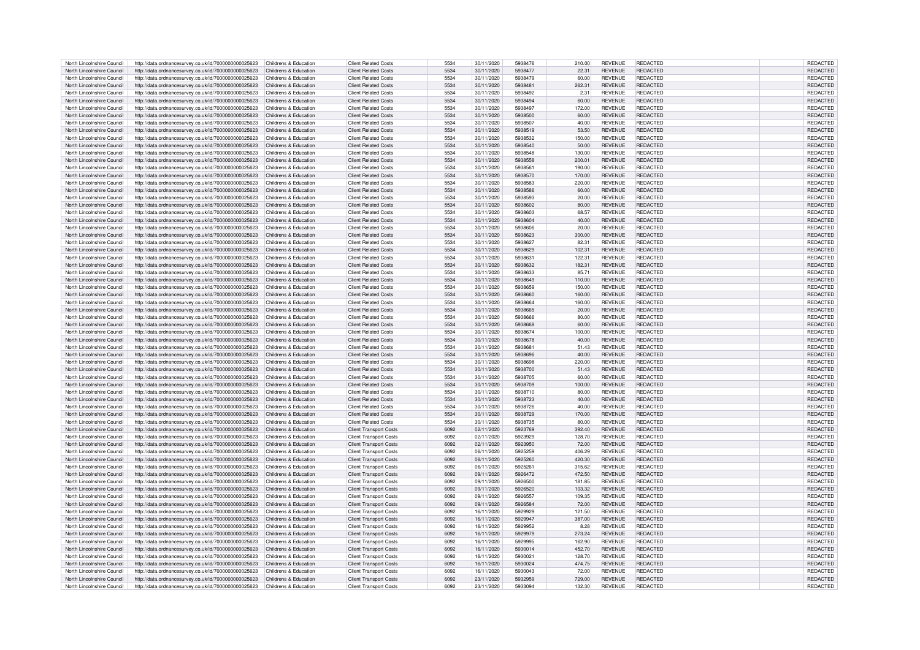| North Lincolnshire Council | http://data.ordnancesurvey.co.uk/id/7000000000025623                                                         | Childrens & Education | <b>Client Related Costs</b>   | 5534 | 30/11/2020 | 5938476 | 210.00 | <b>REVENUE</b> | REDACTED        | REDACTED        |
|----------------------------|--------------------------------------------------------------------------------------------------------------|-----------------------|-------------------------------|------|------------|---------|--------|----------------|-----------------|-----------------|
| North Lincolnshire Council | http://data.ordnancesurvey.co.uk/id/7000000000025623                                                         | Childrens & Education | <b>Client Related Costs</b>   | 5534 | 30/11/2020 | 5938477 | 22.31  | <b>REVENUE</b> | REDACTED        | <b>REDACTED</b> |
|                            |                                                                                                              |                       |                               |      |            |         |        |                |                 |                 |
| North Lincolnshire Council | http://data.ordnancesurvey.co.uk/id/7000000000025623                                                         | Childrens & Education | <b>Client Related Costs</b>   | 5534 | 30/11/2020 | 5938479 | 60.00  | <b>REVENUE</b> | REDACTED        | REDACTED        |
| North Lincolnshire Council | http://data.ordnancesurvey.co.uk/id/7000000000025623                                                         | Childrens & Education | <b>Client Related Costs</b>   | 5534 | 30/11/2020 | 5938481 | 262.31 | <b>REVENUE</b> | REDACTED        | REDACTED        |
| North Lincolnshire Council | http://data.ordnancesurvey.co.uk/id/7000000000025623                                                         | Childrens & Education | <b>Client Related Costs</b>   | 5534 | 30/11/2020 | 5938492 | 2.31   | <b>REVENUE</b> | REDACTED        | REDACTED        |
| North Lincolnshire Council | http://data.ordnancesurvey.co.uk/id/7000000000025623                                                         | Childrens & Education | <b>Client Related Costs</b>   | 5534 | 30/11/2020 | 5938494 | 60.00  | <b>REVENUE</b> | REDACTED        | REDACTED        |
| North Lincolnshire Council | http://data.ordnancesurvey.co.uk/id/7000000000025623                                                         | Childrens & Education | <b>Client Related Costs</b>   | 5534 | 30/11/2020 | 5938497 | 172.00 | <b>REVENUE</b> | <b>REDACTED</b> | REDACTED        |
|                            |                                                                                                              |                       |                               |      |            |         |        |                |                 |                 |
| North Lincolnshire Council | http://data.ordnancesurvey.co.uk/id/7000000000025623                                                         | Childrens & Education | <b>Client Related Costs</b>   | 5534 | 30/11/2020 | 5938500 | 60.00  | <b>REVENUE</b> | REDACTED        | <b>REDACTED</b> |
| North Lincolnshire Council | http://data.ordnancesurvey.co.uk/id/7000000000025623                                                         | Childrens & Education | <b>Client Related Costs</b>   | 5534 | 30/11/2020 | 5938507 | 40.00  | <b>REVENUE</b> | <b>REDACTED</b> | <b>REDACTED</b> |
| North Lincolnshire Council | http://data.ordnancesurvey.co.uk/id/7000000000025623                                                         | Childrens & Education | <b>Client Related Costs</b>   | 5534 | 30/11/2020 | 5938519 | 53.50  | <b>REVENUE</b> | REDACTED        | REDACTED        |
| North Lincolnshire Council | http://data.ordnancesurvey.co.uk/id/7000000000025623                                                         | Childrens & Education | <b>Client Related Costs</b>   | 5534 | 30/11/2020 | 5938532 | 150.00 | <b>REVENUE</b> | REDACTED        | <b>REDACTED</b> |
|                            |                                                                                                              |                       |                               | 5534 |            | 5938540 |        |                | <b>REDACTED</b> |                 |
| North Lincolnshire Council | http://data.ordnancesurvey.co.uk/id/7000000000025623                                                         | Childrens & Education | <b>Client Related Costs</b>   |      | 30/11/2020 |         | 50.00  | <b>REVENUE</b> |                 | REDACTED        |
| North Lincolnshire Council | http://data.ordnancesurvey.co.uk/id/7000000000025623                                                         | Childrens & Education | <b>Client Related Costs</b>   | 5534 | 30/11/2020 | 5938548 | 130.00 | <b>REVENUE</b> | REDACTED        | REDACTED        |
| North Lincolnshire Council | http://data.ordnancesurvey.co.uk/id/7000000000025623                                                         | Childrens & Education | Client Related Costs          | 5534 | 30/11/2020 | 5938558 | 200.01 | <b>REVENUE</b> | <b>REDACTED</b> | REDACTED        |
| North Lincolnshire Council | http://data.ordnancesurvey.co.uk/id/7000000000025623                                                         | Childrens & Education | <b>Client Related Costs</b>   | 5534 | 30/11/2020 | 5938561 | 190.00 | <b>REVENUE</b> | <b>REDACTED</b> | REDACTED        |
| North Lincolnshire Council |                                                                                                              | Childrens & Education | <b>Client Related Costs</b>   | 5534 | 30/11/2020 | 5938570 | 170.00 | <b>REVENUE</b> | REDACTED        | REDACTED        |
|                            | http://data.ordnancesurvey.co.uk/id/7000000000025623                                                         |                       |                               |      |            |         |        |                |                 |                 |
| North Lincolnshire Council | http://data.ordnancesurvey.co.uk/id/7000000000025623                                                         | Childrens & Education | <b>Client Related Costs</b>   | 5534 | 30/11/2020 | 5938583 | 220.00 | <b>REVENUE</b> | <b>REDACTED</b> | REDACTED        |
| North Lincolnshire Council | http://data.ordnancesurvey.co.uk/id/7000000000025623                                                         | Childrens & Education | <b>Client Related Costs</b>   | 5534 | 30/11/2020 | 5938586 | 60.00  | <b>REVENUE</b> | REDACTED        | <b>REDACTED</b> |
| North Lincolnshire Council | http://data.ordnancesurvey.co.uk/id/7000000000025623                                                         | Childrens & Education | <b>Client Related Costs</b>   | 5534 | 30/11/2020 | 5938593 | 20.00  | <b>REVENUE</b> | <b>REDACTED</b> | REDACTED        |
| North Lincolnshire Council | http://data.ordnancesurvey.co.uk/id/7000000000025623                                                         | Childrens & Education | <b>Client Related Costs</b>   | 5534 | 30/11/2020 | 5938602 | 80.00  | <b>REVENUE</b> | <b>REDACTED</b> | REDACTED        |
|                            |                                                                                                              |                       |                               |      |            |         |        |                |                 |                 |
| North Lincolnshire Council | http://data.ordnancesurvey.co.uk/id/7000000000025623                                                         | Childrens & Education | <b>Client Related Costs</b>   | 5534 | 30/11/2020 | 5938603 | 68.57  | <b>REVENUE</b> | REDACTED        | REDACTED        |
| North Lincolnshire Council | http://data.ordnancesurvey.co.uk/id/7000000000025623                                                         | Childrens & Education | <b>Client Related Costs</b>   | 5534 | 30/11/2020 | 5938604 | 40.00  | <b>REVENUE</b> | <b>REDACTED</b> | REDACTED        |
| North Lincolnshire Council | http://data.ordnancesurvey.co.uk/id/7000000000025623                                                         | Childrens & Education | <b>Client Related Costs</b>   | 5534 | 30/11/2020 | 5938606 | 20.00  | <b>REVENUE</b> | REDACTED        | REDACTED        |
| North Lincolnshire Council | http://data.ordnancesurvey.co.uk/id/7000000000025623                                                         | Childrens & Education | <b>Client Related Costs</b>   | 5534 | 30/11/2020 | 5938623 | 300.00 | <b>REVENUE</b> | <b>REDACTED</b> | REDACTED        |
| North Lincolnshire Council | http://data.ordnancesurvey.co.uk/id/7000000000025623                                                         | Childrens & Education | <b>Client Related Costs</b>   | 5534 | 30/11/2020 | 5938627 | 82.31  | <b>REVENUE</b> | <b>REDACTED</b> | REDACTED        |
|                            |                                                                                                              |                       |                               |      |            |         |        |                |                 |                 |
| North Lincolnshire Council | http://data.ordnancesurvey.co.uk/id/7000000000025623                                                         | Childrens & Education | <b>Client Related Costs</b>   | 5534 | 30/11/2020 | 5938629 | 102.31 | <b>REVENUE</b> | <b>REDACTED</b> | REDACTED        |
| North Lincolnshire Council | http://data.ordnancesurvey.co.uk/id/7000000000025623                                                         | Childrens & Education | <b>Client Related Costs</b>   | 5534 | 30/11/2020 | 593863  | 122.31 | <b>REVENUE</b> | <b>REDACTED</b> | <b>REDACTED</b> |
| North Lincolnshire Council | http://data.ordnancesurvey.co.uk/id/7000000000025623                                                         | Childrens & Education | <b>Client Related Costs</b>   | 5534 | 30/11/2020 | 5938632 | 182.31 | <b>REVENUE</b> | <b>REDACTED</b> | <b>REDACTED</b> |
| North Lincolnshire Council | http://data.ordnancesurvey.co.uk/id/7000000000025623                                                         | Childrens & Education | <b>Client Related Costs</b>   | 5534 | 30/11/2020 | 5938633 | 85.71  | <b>REVENUE</b> | <b>REDACTED</b> | REDACTED        |
|                            |                                                                                                              |                       |                               |      |            |         |        |                |                 |                 |
| North Lincolnshire Council | http://data.ordnancesurvey.co.uk/id/7000000000025623                                                         | Childrens & Education | <b>Client Related Costs</b>   | 5534 | 30/11/2020 | 5938649 | 110.00 | <b>REVENUE</b> | <b>REDACTED</b> | REDACTED        |
| North Lincolnshire Council | http://data.ordnancesurvey.co.uk/id/7000000000025623                                                         | Childrens & Education | <b>Client Related Costs</b>   | 5534 | 30/11/2020 | 5938659 | 150.00 | <b>REVENUE</b> | <b>REDACTED</b> | REDACTED        |
| North Lincolnshire Council | http://data.ordnancesurvey.co.uk/id/7000000000025623                                                         | Childrens & Education | <b>Client Related Costs</b>   | 5534 | 30/11/2020 | 5938660 | 160.00 | <b>REVENUE</b> | <b>REDACTED</b> | REDACTED        |
| North Lincolnshire Council | http://data.ordnancesurvey.co.uk/id/7000000000025623                                                         | Childrens & Education | <b>Client Related Costs</b>   | 5534 | 30/11/2020 | 5938664 | 160.00 | <b>REVENUE</b> | REDACTED        | REDACTED        |
|                            |                                                                                                              |                       |                               | 5534 |            | 5938665 |        |                | <b>REDACTED</b> |                 |
| North Lincolnshire Council | http://data.ordnancesurvey.co.uk/id/7000000000025623                                                         | Childrens & Education | <b>Client Related Costs</b>   |      | 30/11/2020 |         | 20.00  | <b>REVENUE</b> |                 | REDACTED        |
| North Lincolnshire Council | http://data.ordnancesurvey.co.uk/id/7000000000025623                                                         | Childrens & Education | <b>Client Related Costs</b>   | 5534 | 30/11/2020 | 5938666 | 80.00  | <b>REVENUE</b> | <b>REDACTED</b> | REDACTED        |
| North Lincolnshire Council | http://data.ordnancesurvey.co.uk/id/7000000000025623                                                         | Childrens & Education | <b>Client Related Costs</b>   | 5534 | 30/11/2020 | 5938668 | 60.00  | <b>REVENUE</b> | <b>REDACTED</b> | <b>REDACTED</b> |
| North Lincolnshire Council | http://data.ordnancesurvey.co.uk/id/7000000000025623                                                         | Childrens & Education | <b>Client Related Costs</b>   | 5534 | 30/11/2020 | 5938674 | 100.00 | <b>REVENUE</b> | <b>REDACTED</b> | REDACTED        |
| North Lincolnshire Council |                                                                                                              | Childrens & Education | <b>Client Related Costs</b>   | 5534 | 30/11/2020 | 5938678 | 40.00  | <b>REVENUE</b> | REDACTED        | <b>REDACTED</b> |
|                            | http://data.ordnancesurvey.co.uk/id/7000000000025623                                                         |                       |                               |      |            |         |        |                |                 |                 |
| North Lincolnshire Council | http://data.ordnancesurvey.co.uk/id/7000000000025623                                                         | Childrens & Education | Client Related Costs          | 5534 | 30/11/2020 | 593868  | 51.43  | <b>REVENUE</b> | <b>REDACTED</b> | REDACTED        |
| North Lincolnshire Council | http://data.ordnancesurvey.co.uk/id/7000000000025623                                                         | Childrens & Education | <b>Client Related Costs</b>   | 5534 | 30/11/2020 | 5938696 | 40.00  | <b>REVENUE</b> | <b>REDACTED</b> | REDACTED        |
| North Lincolnshire Council | http://data.ordnancesurvey.co.uk/id/7000000000025623                                                         | Childrens & Education | <b>Client Related Costs</b>   | 5534 | 30/11/2020 | 5938698 | 220.00 | <b>REVENUE</b> | REDACTED        | REDACTED        |
| North Lincolnshire Council | http://data.ordnancesurvey.co.uk/id/7000000000025623                                                         | Childrens & Education | <b>Client Related Costs</b>   | 5534 | 30/11/2020 | 5938700 | 51.43  | <b>REVENUE</b> | <b>REDACTED</b> | REDACTED        |
|                            |                                                                                                              |                       |                               |      |            |         |        |                |                 |                 |
| North Lincolnshire Council | http://data.ordnancesurvey.co.uk/id/7000000000025623                                                         | Childrens & Education | <b>Client Related Costs</b>   | 5534 | 30/11/2020 | 5938705 | 60.00  | <b>REVENUE</b> | <b>REDACTED</b> | REDACTED        |
| North Lincolnshire Council | http://data.ordnancesurvey.co.uk/id/7000000000025623                                                         | Childrens & Education | <b>Client Related Costs</b>   | 5534 | 30/11/2020 | 5938709 | 100.00 | <b>REVENUE</b> | <b>REDACTED</b> | REDACTED        |
| North Lincolnshire Council | http://data.ordnancesurvey.co.uk/id/7000000000025623                                                         | Childrens & Education | <b>Client Related Costs</b>   | 5534 | 30/11/2020 | 5938710 | 80.00  | <b>REVENUE</b> | <b>REDACTED</b> | <b>REDACTED</b> |
| North Lincolnshire Council | http://data.ordnancesurvey.co.uk/id/7000000000025623                                                         | Childrens & Education | <b>Client Related Costs</b>   | 5534 | 30/11/2020 | 5938723 | 40.00  | <b>REVENUE</b> | <b>REDACTED</b> | REDACTED        |
|                            |                                                                                                              |                       |                               |      |            |         |        |                |                 |                 |
| North Lincolnshire Council | http://data.ordnancesurvey.co.uk/id/7000000000025623                                                         | Childrens & Education | <b>Client Related Costs</b>   | 5534 | 30/11/2020 | 5938726 | 40.00  | <b>REVENUE</b> | <b>REDACTED</b> | REDACTED        |
| North Lincolnshire Council | http://data.ordnancesurvey.co.uk/id/7000000000025623                                                         | Childrens & Education | <b>Client Related Costs</b>   | 5534 | 30/11/2020 | 5938729 | 170.00 | <b>REVENUE</b> | REDACTED        | REDACTED        |
| North Lincolnshire Council | http://data.ordnancesurvey.co.uk/id/7000000000025623                                                         | Childrens & Education | <b>Client Related Costs</b>   | 5534 | 30/11/2020 | 5938735 | 80.00  | <b>REVENUE</b> | REDACTED        | REDACTED        |
| North Lincolnshire Council | http://data.ordnancesurvey.co.uk/id/7000000000025623                                                         | Childrens & Education | <b>Client Transport Costs</b> | 6092 | 02/11/2020 | 5923769 | 392.40 | <b>REVENUE</b> | <b>REDACTED</b> | REDACTED        |
| North Lincolnshire Council | http://data.ordnancesurvey.co.uk/id/7000000000025623                                                         | Childrens & Education | <b>Client Transport Costs</b> | 6092 | 02/11/2020 | 5923929 | 128.70 | <b>REVENUE</b> | REDACTED        | REDACTED        |
|                            |                                                                                                              |                       |                               |      |            |         |        |                |                 |                 |
| North Lincolnshire Council | http://data.ordnancesurvey.co.uk/id/7000000000025623                                                         | Childrens & Education | <b>Client Transport Costs</b> | 6092 | 02/11/2020 | 5923950 | 72.00  | <b>REVENUE</b> | <b>REDACTED</b> | REDACTED        |
| North Lincolnshire Council | http://data.ordnancesurvey.co.uk/id/7000000000025623                                                         | Childrens & Education | <b>Client Transport Costs</b> | 6092 | 06/11/2020 | 5925259 | 406.29 | <b>REVENUE</b> | REDACTED        | REDACTED        |
| North Lincolnshire Council | http://data.ordnancesurvey.co.uk/id/7000000000025623                                                         | Childrens & Education | <b>Client Transport Costs</b> | 6092 | 06/11/2020 | 5925260 | 420.30 | <b>REVENUE</b> | <b>REDACTED</b> | <b>REDACTED</b> |
| North Lincolnshire Council | http://data.ordnancesurvey.co.uk/id/7000000000025623                                                         | Childrens & Education | <b>Client Transport Costs</b> | 6092 | 06/11/2020 | 5925261 | 315.62 | <b>REVENUE</b> | REDACTED        | REDACTED        |
| North Lincolnshire Council | http://data.ordnancesurvey.co.uk/id/7000000000025623                                                         | Childrens & Education | <b>Client Transport Costs</b> | 6092 | 09/11/2020 | 5926472 | 472.50 | <b>REVENUE</b> | <b>REDACTED</b> | REDACTED        |
|                            |                                                                                                              |                       |                               |      |            |         |        |                |                 |                 |
| North Lincolnshire Council | http://data.ordnancesurvey.co.uk/id/7000000000025623                                                         | Childrens & Education | <b>Client Transport Costs</b> | 6092 | 09/11/2020 | 5926500 | 181.85 | <b>REVENUE</b> | <b>REDACTED</b> | REDACTED        |
| North Lincolnshire Council | http://data.ordnancesurvey.co.uk/id/7000000000025623                                                         | Childrens & Education | <b>Client Transport Costs</b> | 6092 | 09/11/2020 | 5926520 | 103.32 | <b>REVENUE</b> | REDACTED        | REDACTED        |
| North Lincolnshire Council | http://data.ordnancesurvey.co.uk/id/7000000000025623                                                         | Childrens & Education | <b>Client Transport Costs</b> | 6092 | 09/11/2020 | 5926557 | 109.35 | <b>REVENUE</b> | <b>REDACTED</b> | REDACTED        |
| North Lincolnshire Council | http://data.ordnancesurvey.co.uk/id/7000000000025623                                                         | Childrens & Education | <b>Client Transport Costs</b> | 6092 | 09/11/2020 | 5926584 | 72.00  | <b>REVENUE</b> | <b>REDACTED</b> | REDACTED        |
|                            |                                                                                                              |                       |                               |      |            |         |        |                |                 |                 |
| North Lincolnshire Council | http://data.ordnancesurvey.co.uk/id/7000000000025623                                                         | Childrens & Education | <b>Client Transport Costs</b> | 6092 | 16/11/2020 | 5929929 | 121.50 | <b>REVENUE</b> | REDACTED        | REDACTED        |
| North Lincolnshire Council | http://data.ordnancesurvey.co.uk/id/7000000000025623                                                         | Childrens & Education | <b>Client Transport Costs</b> | 6092 | 16/11/2020 | 5929947 | 387.00 | <b>REVENUE</b> | <b>REDACTED</b> | REDACTED        |
| North Lincolnshire Council | http://data.ordnancesurvey.co.uk/id/7000000000025623                                                         | Childrens & Education | Client Transport Costs        | 6092 | 16/11/2020 | 5929952 | 8.28   | <b>REVENUE</b> | REDACTED        | REDACTED        |
| North Lincolnshire Council | http://data.ordnancesurvey.co.uk/id/7000000000025623                                                         | Childrens & Education | <b>Client Transport Costs</b> | 6092 | 16/11/2020 | 5929979 | 273.24 | <b>REVENUE</b> | <b>REDACTED</b> | REDACTED        |
| North Lincolnshire Council | http://data.ordnancesurvey.co.uk/id/7000000000025623                                                         | Childrens & Education | <b>Client Transport Costs</b> | 6092 | 16/11/2020 | 5929995 | 162.90 | <b>REVENUE</b> | <b>REDACTED</b> | REDACTED        |
|                            |                                                                                                              |                       |                               |      |            |         |        |                |                 |                 |
| North Lincolnshire Council | http://data.ordnancesurvey.co.uk/id/7000000000025623                                                         | Childrens & Education | <b>Client Transport Costs</b> | 6092 | 16/11/2020 | 5930014 | 452.70 | <b>REVENUE</b> | <b>REDACTED</b> | REDACTED        |
| North Lincolnshire Council | http://data.ordnancesurvey.co.uk/id/7000000000025623                                                         | Childrens & Education | <b>Client Transport Costs</b> | 6092 | 16/11/2020 | 593002  | 128.70 | <b>REVENUE</b> | <b>REDACTED</b> | REDACTED        |
| North Lincolnshire Council | http://data.ordnancesurvey.co.uk/id/7000000000025623                                                         | Childrens & Education | <b>Client Transport Costs</b> | 6092 | 16/11/2020 | 5930024 | 474.75 | <b>REVENUE</b> | <b>REDACTED</b> | REDACTED        |
| North Lincolnshire Council | http://data.ordnancesurvey.co.uk/id/7000000000025623                                                         | Childrens & Education | <b>Client Transport Costs</b> | 6092 | 16/11/2020 | 5930043 | 72.00  | <b>REVENUE</b> | <b>REDACTED</b> | REDACTED        |
| North Lincolnshire Council |                                                                                                              | Childrens & Education |                               | 6092 | 23/11/2020 | 5932959 | 729.00 | <b>REVENUE</b> | REDACTED        | <b>REDACTED</b> |
| North Lincolnshire Council | http://data.ordnancesurvey.co.uk/id/7000000000025623<br>http://data.ordnancesurvey.co.uk/id/7000000000025623 |                       | <b>Client Transport Costs</b> |      |            |         |        |                |                 |                 |
|                            |                                                                                                              | Childrens & Education | <b>Client Transport Costs</b> | 6092 | 23/11/2020 | 5933094 | 132.30 | <b>REVENUE</b> | REDACTED        | REDACTED        |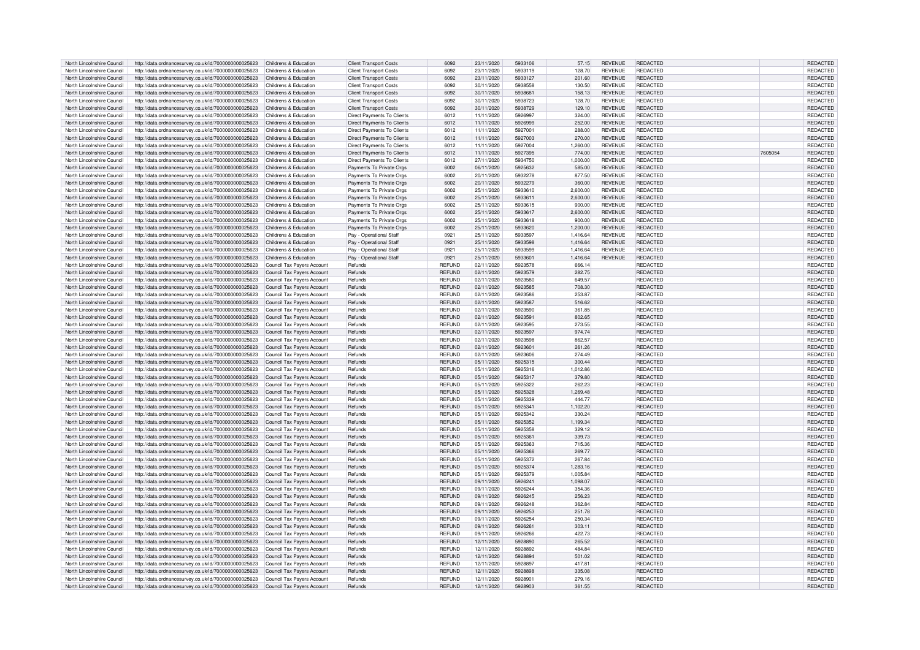| North Lincolnshire Council | http://data.ordnancesurvey.co.uk/id/7000000000025623                            | Childrens & Education             | <b>Client Transport Costs</b>     | 6092          | 23/11/2020 | 5933106 | 57.15    | <b>REVENUE</b> | REDACTED        |         | REDACTED        |
|----------------------------|---------------------------------------------------------------------------------|-----------------------------------|-----------------------------------|---------------|------------|---------|----------|----------------|-----------------|---------|-----------------|
|                            |                                                                                 |                                   |                                   |               |            |         |          |                |                 |         |                 |
| North Lincolnshire Council | http://data.ordnancesurvey.co.uk/id/7000000000025623                            | Childrens & Education             | <b>Client Transport Costs</b>     | 6092          | 23/11/2020 | 5933119 | 128.70   | <b>REVENUE</b> | REDACTED        |         | <b>REDACTED</b> |
| North Lincolnshire Council | http://data.ordnancesurvey.co.uk/id/7000000000025623                            | Childrens & Education             | <b>Client Transport Costs</b>     | 6092          | 23/11/2020 | 5933127 | 201.60   | <b>REVENUE</b> | <b>REDACTED</b> |         | <b>REDACTED</b> |
| North Lincolnshire Council | http://data.ordnancesurvey.co.uk/id/7000000000025623                            | Childrens & Education             | <b>Client Transport Costs</b>     | 6092          | 30/11/2020 | 5938558 | 130.50   | <b>REVENUE</b> | REDACTED        |         | <b>REDACTED</b> |
| North Lincolnshire Council | http://data.ordnancesurvey.co.uk/id/7000000000025623                            | Childrens & Education             | <b>Client Transport Costs</b>     | 6092          | 30/11/2020 | 5938681 | 158.13   | <b>REVENUE</b> | <b>REDACTED</b> |         | REDACTED        |
|                            |                                                                                 |                                   |                                   |               |            |         |          |                |                 |         |                 |
| North Lincolnshire Council | http://data.ordnancesurvey.co.uk/id/7000000000025623                            | Childrens & Education             | <b>Client Transport Costs</b>     | 6092          | 30/11/2020 | 5938723 | 128.70   | <b>REVENUE</b> | <b>REDACTED</b> |         | REDACTED        |
| North Lincolnshire Council | http://data.ordnancesurvey.co.uk/id/7000000000025623                            | Childrens & Education             | <b>Client Transport Costs</b>     | 6092          | 30/11/2020 | 5938729 | 129.10   | <b>REVENUE</b> | REDACTED        |         | REDACTED        |
| North Lincolnshire Council | http://data.ordnancesurvey.co.uk/id/7000000000025623                            | Childrens & Education             | Direct Payments To Clients        | 6012          | 11/11/2020 | 5926997 | 324.00   | <b>REVENUE</b> | REDACTED        |         | <b>REDACTED</b> |
| North Lincolnshire Council | http://data.ordnancesurvey.co.uk/id/7000000000025623                            | Childrens & Education             | Direct Payments To Clients        | 6012          | 11/11/2020 | 5926999 | 252.00   | <b>REVENUE</b> | <b>REDACTED</b> |         | <b>REDACTED</b> |
|                            |                                                                                 |                                   |                                   |               |            |         |          |                |                 |         |                 |
| North Lincolnshire Council | http://data.ordnancesurvey.co.uk/id/7000000000025623                            | Childrens & Education             | Direct Payments To Clients        | 6012          | 11/11/2020 | 5927001 | 288.00   | <b>REVENUE</b> | REDACTED        |         | REDACTED        |
| North Lincolnshire Council | http://data.ordnancesurvey.co.uk/id/7000000000025623                            | Childrens & Education             | <b>Direct Payments To Clients</b> | 6012          | 11/11/2020 | 5927003 | 270.00   | <b>REVENUE</b> | REDACTED        |         | REDACTED        |
| North Lincolnshire Council | http://data.ordnancesurvey.co.uk/id/7000000000025623                            | Childrens & Education             | <b>Direct Payments To Clients</b> | 6012          | 11/11/2020 | 5927004 | 1,260.00 | <b>REVENUE</b> | <b>REDACTED</b> |         | REDACTED        |
|                            |                                                                                 |                                   |                                   |               |            |         |          |                |                 |         |                 |
| North Lincolnshire Council | http://data.ordnancesurvey.co.uk/id/7000000000025623                            | Childrens & Education             | <b>Direct Payments To Clients</b> | 6012          | 11/11/2020 | 5927395 | 774.00   | <b>REVENUE</b> | REDACTED        | 7605054 | <b>REDACTED</b> |
| North Lincolnshire Council | http://data.ordnancesurvey.co.uk/id/7000000000025623                            | Childrens & Education             | Direct Payments To Clients        | 6012          | 27/11/2020 | 5934750 | 1,000.00 | <b>REVENUE</b> | REDACTED        |         | REDACTED        |
| North Lincolnshire Council | http://data.ordnancesurvey.co.uk/id/7000000000025623                            | Childrens & Education             | Payments To Private Orgs          | 6002          | 06/11/2020 | 5925632 | 585.00   | <b>REVENUE</b> | REDACTED        |         | REDACTED        |
| North Lincolnshire Council | http://data.ordnancesurvey.co.uk/id/7000000000025623                            | Childrens & Education             | Payments To Private Orgs          | 6002          | 20/11/2020 | 5932278 | 877.50   | <b>REVENUE</b> | REDACTED        |         | REDACTED        |
|                            |                                                                                 |                                   |                                   |               |            |         |          |                |                 |         |                 |
| North Lincolnshire Council | http://data.ordnancesurvey.co.uk/id/7000000000025623                            | Childrens & Education             | Payments To Private Orgs          | 6002          | 20/11/2020 | 5932279 | 360.00   | <b>REVENUE</b> | <b>REDACTED</b> |         | REDACTED        |
| North Lincolnshire Council | http://data.ordnancesurvey.co.uk/id/7000000000025623                            | Childrens & Education             | Payments To Private Orgs          | 6002          | 25/11/2020 | 5933610 | 2.600.00 | <b>REVENUE</b> | REDACTED        |         | REDACTED        |
| North Lincolnshire Council | http://data.ordnancesurvey.co.uk/id/7000000000025623                            | Childrens & Education             | Payments To Private Orgs          | 6002          | 25/11/2020 | 5933611 | 2,600.00 | <b>REVENUE</b> | <b>REDACTED</b> |         | REDACTED        |
|                            |                                                                                 |                                   |                                   |               |            | 5933615 |          |                | REDACTED        |         |                 |
| North Lincolnshire Council | http://data.ordnancesurvey.co.uk/id/7000000000025623                            | Childrens & Education             | Payments To Private Orgs          | 6002          | 25/11/2020 |         | 900.00   | <b>REVENUE</b> |                 |         | REDACTED        |
| North Lincolnshire Council | http://data.ordnancesurvey.co.uk/id/7000000000025623                            | Childrens & Education             | Payments To Private Orgs          | 6002          | 25/11/2020 | 5933617 | 2,600.00 | <b>REVENUE</b> | REDACTED        |         | REDACTED        |
| North Lincolnshire Council | http://data.ordnancesurvey.co.uk/id/7000000000025623                            | Childrens & Education             | Payments To Private Orgs          | 6002          | 25/11/2020 | 5933618 | 900.00   | <b>REVENUE</b> | <b>REDACTED</b> |         | REDACTED        |
| North Lincolnshire Council | http://data.ordnancesurvey.co.uk/id/7000000000025623                            | Childrens & Education             | Payments To Private Orgs          | 6002          | 25/11/2020 | 5933620 | 1,200.00 | <b>REVENUE</b> | REDACTED        |         | REDACTED        |
|                            |                                                                                 |                                   |                                   |               |            |         |          |                |                 |         |                 |
| North Lincolnshire Council | http://data.ordnancesurvey.co.uk/id/7000000000025623                            | Childrens & Education             | Pay - Operational Staff           | 0921          | 25/11/2020 | 5933597 | 1.416.64 | <b>REVENUE</b> | <b>REDACTED</b> |         | REDACTED        |
| North Lincolnshire Council | http://data.ordnancesurvey.co.uk/id/7000000000025623                            | Childrens & Education             | Pay - Operational Staf            | 0921          | 25/11/2020 | 5933598 | 1,416.64 | <b>REVENUE</b> | <b>REDACTED</b> |         | REDACTED        |
| North Lincolnshire Council | http://data.ordnancesurvey.co.uk/id/7000000000025623                            | Childrens & Education             | Pay - Operational Staff           | 0921          | 25/11/2020 | 5933599 | 1.416.64 | <b>REVENUE</b> | <b>REDACTED</b> |         | REDACTED        |
|                            |                                                                                 | Childrens & Education             |                                   | 0921          | 25/11/2020 | 5933601 |          | <b>REVENUE</b> | <b>REDACTED</b> |         |                 |
| North Lincolnshire Council | http://data.ordnancesurvey.co.uk/id/7000000000025623                            |                                   | Pay - Operational Staff           |               |            |         | 1,416.64 |                |                 |         | <b>REDACTED</b> |
| North Lincolnshire Council | http://data.ordnancesurvey.co.uk/id/7000000000025623                            | Council Tax Payers Account        | Refunds                           | <b>REFUND</b> | 02/11/2020 | 5923578 | 666.14   |                | <b>REDACTED</b> |         | <b>REDACTED</b> |
| North Lincolnshire Council | http://data.ordnancesurvey.co.uk/id/7000000000025623                            | Council Tax Payers Account        | Refunds                           | <b>REFUND</b> | 02/11/2020 | 5923579 | 282.75   |                | REDACTED        |         | <b>REDACTED</b> |
| North Lincolnshire Council | http://data.ordnancesurvey.co.uk/id/7000000000025623                            | Council Tax Payers Account        | Refunds                           | <b>REFUND</b> | 02/11/2020 | 5923580 | 649.57   |                | REDACTED        |         | REDACTED        |
|                            |                                                                                 |                                   |                                   |               |            |         |          |                |                 |         |                 |
| North Lincolnshire Council | http://data.ordnancesurvey.co.uk/id/7000000000025623                            | Council Tax Payers Account        | Refunds                           | <b>REFUND</b> | 02/11/2020 | 5923585 | 708.30   |                | REDACTED        |         | REDACTED        |
| North Lincolnshire Council | http://data.ordnancesurvey.co.uk/id/7000000000025623                            | Council Tax Payers Account        | Refunds                           | <b>REFUND</b> | 02/11/2020 | 5923586 | 253.87   |                | REDACTED        |         | REDACTED        |
| North Lincolnshire Council | http://data.ordnancesurvey.co.uk/id/7000000000025623                            | Council Tax Payers Account        | Refunds                           | <b>REFUND</b> | 02/11/2020 | 5923587 | 516.62   |                | REDACTED        |         | <b>REDACTED</b> |
|                            |                                                                                 |                                   |                                   |               |            |         |          |                |                 |         |                 |
| North Lincolnshire Council | http://data.ordnancesurvey.co.uk/id/7000000000025623                            | Council Tax Payers Account        | Refunds                           | <b>REFUND</b> | 02/11/2020 | 5923590 | 361.85   |                | REDACTED        |         | REDACTED        |
| North Lincolnshire Council | http://data.ordnancesurvey.co.uk/id/7000000000025623                            | Council Tax Payers Account        | Refunds                           | <b>REFUND</b> | 02/11/2020 | 5923591 | 802.65   |                | REDACTED        |         | REDACTED        |
| North Lincolnshire Council | http://data.ordnancesurvey.co.uk/id/7000000000025623                            | Council Tax Payers Account        | Refunds                           | <b>REFUND</b> | 02/11/2020 | 5923595 | 273.55   |                | REDACTED        |         | <b>REDACTED</b> |
| North Lincolnshire Council | http://data.ordnancesurvey.co.uk/id/7000000000025623                            | <b>Council Tax Payers Account</b> | Refunds                           | <b>REFUND</b> | 02/11/2020 | 5923597 | 974.74   |                | REDACTED        |         | REDACTED        |
|                            |                                                                                 |                                   |                                   |               |            |         |          |                |                 |         |                 |
| North Lincolnshire Council | http://data.ordnancesurvey.co.uk/id/7000000000025623                            | Council Tax Pavers Account        | Refunds                           | <b>REFUND</b> | 02/11/2020 | 5923598 | 862.57   |                | REDACTED        |         | <b>REDACTED</b> |
| North Lincolnshire Council | http://data.ordnancesurvey.co.uk/id/7000000000025623                            | Council Tax Payers Account        | Refunds                           | <b>REFUND</b> | 02/11/2020 | 5923601 | 261.26   |                | REDACTED        |         | REDACTED        |
| North Lincolnshire Council | http://data.ordnancesurvey.co.uk/id/7000000000025623                            | Council Tax Payers Account        | Refunds                           | <b>REFUND</b> | 02/11/2020 | 5923606 | 274.49   |                | REDACTED        |         | REDACTED        |
|                            |                                                                                 |                                   |                                   |               |            |         |          |                |                 |         |                 |
| North Lincolnshire Council | http://data.ordnancesurvey.co.uk/id/7000000000025623                            | Council Tax Payers Account        | Refunds                           | <b>REFUND</b> | 05/11/2020 | 5925315 | 300.44   |                | REDACTED        |         | REDACTED        |
| North Lincolnshire Council | http://data.ordnancesurvey.co.uk/id/7000000000025623                            | Council Tax Payers Account        | Refunds                           | <b>REFUND</b> | 05/11/2020 | 5925316 | 1,012.86 |                | REDACTED        |         | REDACTED        |
| North Lincolnshire Council | http://data.ordnancesurvey.co.uk/id/7000000000025623                            | Council Tax Payers Account        | Refunds                           | <b>REFUND</b> | 05/11/2020 | 5925317 | 379.80   |                | REDACTED        |         | REDACTED        |
|                            |                                                                                 |                                   |                                   |               |            |         |          |                |                 |         |                 |
| North Lincolnshire Council | http://data.ordnancesurvey.co.uk/id/7000000000025623                            | Council Tax Payers Account        | Refunds                           | <b>REFUND</b> | 05/11/2020 | 5925322 | 262.23   |                | REDACTED        |         | REDACTED        |
| North Lincolnshire Council | http://data.ordnancesurvey.co.uk/id/7000000000025623                            | Council Tax Payers Account        | Refunds                           | <b>REFUND</b> | 05/11/2020 | 5925328 | 1,269.48 |                | <b>REDACTED</b> |         | <b>REDACTED</b> |
| North Lincolnshire Council | http://data.ordnancesurvey.co.uk/id/7000000000025623                            | Council Tax Payers Account        | Refunds                           | <b>REFUND</b> | 05/11/2020 | 5925339 | 444.77   |                | REDACTED        |         | REDACTED        |
| North Lincolnshire Council | http://data.ordnancesurvey.co.uk/id/7000000000025623                            | <b>Council Tax Payers Account</b> | Refunds                           | <b>REFUND</b> | 05/11/2020 | 5925341 | 1,102.20 |                | <b>REDACTED</b> |         | <b>REDACTED</b> |
|                            |                                                                                 |                                   |                                   |               |            |         |          |                |                 |         |                 |
| North Lincolnshire Council | http://data.ordnancesurvey.co.uk/id/7000000000025623                            | Council Tax Payers Account        | Refunds                           | <b>REFUND</b> | 05/11/2020 | 5925342 | 330.24   |                | REDACTED        |         | <b>REDACTED</b> |
| North Lincolnshire Council | http://data.ordnancesurvey.co.uk/id/7000000000025623                            | <b>Council Tax Payers Account</b> | Refunds                           | <b>REFUND</b> | 05/11/2020 | 5925352 | 1,199.34 |                | REDACTED        |         | <b>REDACTED</b> |
| North Lincolnshire Council | http://data.ordnancesurvey.co.uk/id/7000000000025623                            | Council Tax Payers Account        | Refunds                           | <b>REFUND</b> | 05/11/2020 | 5925358 | 329.12   |                | REDACTED        |         | REDACTED        |
| North Lincolnshire Council | http://data.ordnancesurvey.co.uk/id/7000000000025623                            | Council Tax Payers Account        | Refunds                           | <b>REFUND</b> | 05/11/2020 | 5925361 | 339.73   |                | REDACTED        |         | <b>REDACTED</b> |
|                            |                                                                                 |                                   |                                   |               |            |         |          |                |                 |         |                 |
| North Lincolnshire Council | http://data.ordnancesurvey.co.uk/id/7000000000025623                            | Council Tax Payers Account        | Refunds                           | <b>REFUND</b> | 05/11/2020 | 5925363 | 715.36   |                | <b>REDACTED</b> |         | REDACTED        |
| North Lincolnshire Council | http://data.ordnancesurvey.co.uk/id/7000000000025623                            | Council Tax Payers Account        | Refunds                           | <b>REFUND</b> | 05/11/2020 | 5925366 | 269.77   |                | REDACTED        |         | <b>REDACTED</b> |
| North Lincolnshire Council | http://data.ordnancesurvey.co.uk/id/7000000000025623                            | Council Tax Payers Account        | Refunds                           | <b>REFUND</b> | 05/11/2020 | 5925372 | 267.84   |                | REDACTED        |         | REDACTED        |
| North Lincolnshire Council |                                                                                 |                                   | Refunds                           |               |            | 5925374 | 1,283.16 |                | REDACTED        |         | REDACTED        |
|                            | http://data.ordnancesurvey.co.uk/id/7000000000025623                            | Council Tax Payers Account        |                                   | <b>REFUND</b> | 05/11/2020 |         |          |                |                 |         |                 |
| North Lincolnshire Council | http://data.ordnancesurvey.co.uk/id/7000000000025623                            | Council Tax Payers Account        | Refunds                           | <b>REFUND</b> | 05/11/2020 | 5925379 | 1,005.84 |                | REDACTED        |         | REDACTED        |
| North Lincolnshire Council | http://data.ordnancesurvey.co.uk/id/7000000000025623                            | Council Tax Payers Account        | Refunds                           | <b>REFUND</b> | 09/11/2020 | 5926241 | 1,098.07 |                | REDACTED        |         | REDACTED        |
| North Lincolnshire Council | http://data.ordnancesurvey.co.uk/id/7000000000025623                            | Council Tax Payers Account        | Refunds                           | <b>REFUND</b> | 09/11/2020 | 5926244 | 354.36   |                | REDACTED        |         | <b>REDACTED</b> |
|                            |                                                                                 |                                   |                                   |               |            | 5926245 |          |                |                 |         |                 |
| North Lincolnshire Council | http://data.ordnancesurvey.co.uk/id/7000000000025623                            | Council Tax Payers Account        | Refunds                           | <b>REFUND</b> | 09/11/2020 |         | 256.23   |                | REDACTED        |         | <b>REDACTED</b> |
| North Lincolnshire Council | http://data.ordnancesurvey.co.uk/id/7000000000025623                            | Council Tax Payers Account        | Refunds                           | <b>REFUND</b> | 09/11/2020 | 5926248 | 362.84   |                | REDACTED        |         | REDACTED        |
| North Lincolnshire Council | http://data.ordnancesurvey.co.uk/id/7000000000025623                            | Council Tax Payers Account        | Refunds                           | <b>REFUND</b> | 09/11/2020 | 5926253 | 251.78   |                | REDACTED        |         | <b>REDACTED</b> |
| North Lincolnshire Council | http://data.ordnancesurvey.co.uk/id/7000000000025623                            | Council Tax Payers Account        | Refunds                           | <b>REFUND</b> | 09/11/2020 | 5926254 | 250.34   |                | REDACTED        |         | REDACTED        |
|                            |                                                                                 |                                   |                                   |               |            |         |          |                |                 |         |                 |
| North Lincolnshire Council | http://data.ordnancesurvey.co.uk/id/7000000000025623                            | Council Tax Payers Account        | Refunds                           | <b>REFUND</b> | 09/11/2020 | 5926261 | 303.11   |                | REDACTED        |         | <b>REDACTED</b> |
| North Lincolnshire Council | http://data.ordnancesurvey.co.uk/id/7000000000025623                            | Council Tax Payers Account        | Refunds                           | <b>REFUND</b> | 09/11/2020 | 5926266 | 422.73   |                | REDACTED        |         | REDACTED        |
| North Lincolnshire Council | http://data.ordnancesurvey.co.uk/id/7000000000025623                            | Council Tax Payers Account        | Refunds                           | <b>REFUND</b> | 12/11/2020 | 5928890 | 265.52   |                | REDACTED        |         | REDACTED        |
| North Lincolnshire Council | http://data.ordnancesurvey.co.uk/id/7000000000025623                            | Council Tax Payers Account        | Refunds                           | <b>REFUND</b> | 12/11/2020 | 5928892 | 484.84   |                | REDACTED        |         | REDACTED        |
|                            |                                                                                 |                                   |                                   |               |            |         |          |                |                 |         |                 |
| North Lincolnshire Council | http://data.ordnancesurvey.co.uk/id/7000000000025623                            | Council Tax Payers Account        | Refunds                           | <b>REFUND</b> | 12/11/2020 | 5928894 | 501.02   |                | REDACTED        |         | REDACTED        |
| North Lincolnshire Council | http://data.ordnancesurvey.co.uk/id/7000000000025623                            | Council Tax Payers Account        | Refunds                           | <b>REFUND</b> | 12/11/2020 | 5928897 | 417.81   |                | <b>REDACTED</b> |         | REDACTED        |
| North Lincolnshire Council | http://data.ordnancesurvey.co.uk/id/7000000000025623                            | Council Tax Payers Account        | Refunds                           | <b>REFUND</b> | 12/11/2020 | 5928898 | 335.08   |                | REDACTED        |         | <b>REDACTED</b> |
| North Lincolnshire Council |                                                                                 |                                   | Refunds                           | <b>REFUND</b> |            | 5928901 | 279.16   |                | REDACTED        |         | <b>REDACTED</b> |
|                            | http://data.ordnancesurvey.co.uk/id/7000000000025623                            | Council Tax Payers Account        |                                   |               | 12/11/2020 |         |          |                |                 |         |                 |
| North Lincolnshire Council | http://data.ordnancesurvey.co.uk/id/7000000000025623 Council Tax Payers Account |                                   | Refunds                           | <b>REFUND</b> | 12/11/2020 | 5928903 | 361.55   |                | REDACTED        |         | REDACTED        |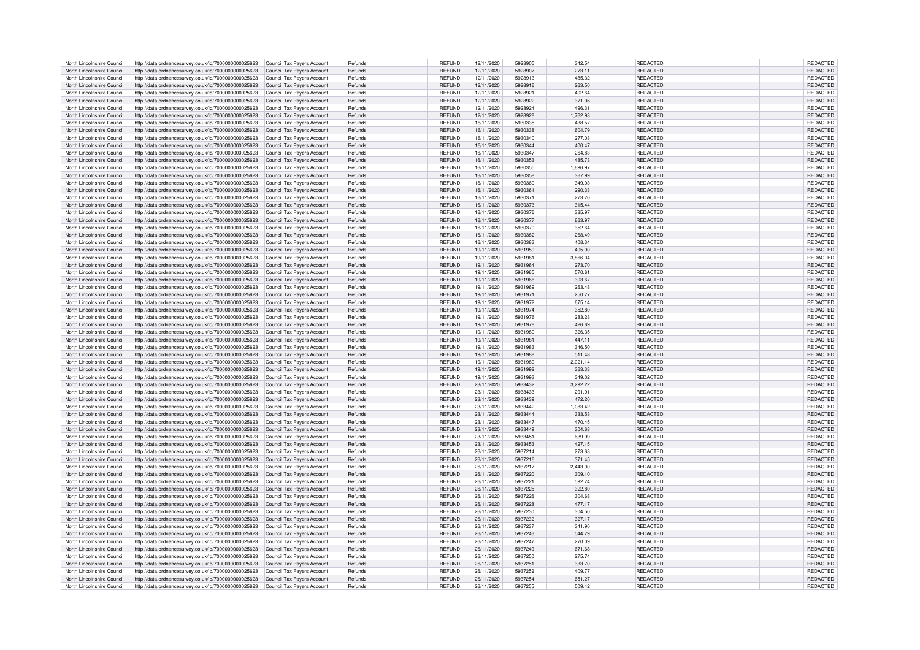|                            | http://data.ordnancesurvey.co.uk/id/7000000000025623 | Council Tax Payers Account | Refunds | <b>REFUND</b> | 12/11/2020 | 5928905 | 342.54   | REDACTED        | REDACTED        |
|----------------------------|------------------------------------------------------|----------------------------|---------|---------------|------------|---------|----------|-----------------|-----------------|
| North Lincolnshire Council |                                                      |                            |         |               |            |         |          |                 |                 |
| North Lincolnshire Council | http://data.ordnancesurvey.co.uk/id/7000000000025623 | Council Tax Payers Account | Refunds | <b>REFUND</b> | 12/11/2020 | 5928907 | 273.11   | <b>REDACTED</b> | <b>REDACTED</b> |
| North Lincolnshire Council | http://data.ordnancesurvey.co.uk/id/7000000000025623 | Council Tax Payers Account | Refunds | <b>REFUND</b> | 12/11/2020 | 5928913 | 485.32   | <b>REDACTED</b> | REDACTED        |
|                            |                                                      |                            |         |               |            |         |          |                 |                 |
| North Lincolnshire Council | http://data.ordnancesurvey.co.uk/id/7000000000025623 | Council Tax Payers Account | Refunds | <b>REFUND</b> | 12/11/2020 | 5928916 | 263.50   | REDACTED        | <b>REDACTED</b> |
| North Lincolnshire Council | http://data.ordnancesurvey.co.uk/id/7000000000025623 | Council Tax Payers Account | Refunds | <b>REFUND</b> | 12/11/2020 | 5928921 | 402.64   | <b>REDACTED</b> | REDACTED        |
| North Lincolnshire Council | http://data.ordnancesurvey.co.uk/id/7000000000025623 | Council Tax Payers Account | Refunds | <b>REFUND</b> | 12/11/2020 | 5928922 | 371.06   | REDACTED        | REDACTED        |
|                            |                                                      |                            |         |               |            |         |          |                 |                 |
| North Lincolnshire Council | http://data.ordnancesurvey.co.uk/id/7000000000025623 | Council Tax Payers Account | Refunds | <b>REFUND</b> | 12/11/2020 | 5928924 | 496.31   | REDACTED        | REDACTED        |
| North Lincolnshire Council | http://data.ordnancesurvey.co.uk/id/7000000000025623 | Council Tax Payers Account | Refunds | <b>REFUND</b> | 12/11/2020 | 5928928 | 1.762.93 | <b>REDACTED</b> | <b>REDACTED</b> |
|                            |                                                      |                            |         |               |            |         |          |                 |                 |
| North Lincolnshire Council | http://data.ordnancesurvey.co.uk/id/7000000000025623 | Council Tax Payers Account | Refunds | <b>REFUND</b> | 16/11/2020 | 5930335 | 438.57   | <b>REDACTED</b> | REDACTED        |
| North Lincolnshire Council | http://data.ordnancesurvey.co.uk/id/7000000000025623 | Council Tax Payers Account | Refunds | <b>REFUND</b> | 16/11/2020 | 5930338 | 604.79   | REDACTED        | REDACTED        |
|                            |                                                      |                            |         |               |            |         |          |                 |                 |
| North Lincolnshire Council | http://data.ordnancesurvey.co.uk/id/7000000000025623 | Council Tax Payers Account | Refunds | <b>REFUND</b> | 16/11/2020 | 5930340 | 277.03   | <b>REDACTED</b> | REDACTED        |
| North Lincolnshire Council | http://data.ordnancesurvey.co.uk/id/7000000000025623 | Council Tax Payers Account | Refunds | <b>REFUND</b> | 16/11/2020 | 5930344 | 400.47   | <b>REDACTED</b> | REDACTED        |
|                            |                                                      |                            |         |               |            |         |          |                 |                 |
| North Lincolnshire Council | http://data.ordnancesurvey.co.uk/id/7000000000025623 | Council Tax Payers Account | Refunds | <b>REFUND</b> | 16/11/2020 | 5930347 | 264.83   | REDACTED        | REDACTED        |
| North Lincolnshire Council | http://data.ordnancesurvey.co.uk/id/7000000000025623 | Council Tax Payers Account | Refunds | <b>REFUND</b> | 16/11/2020 | 5930353 | 485.73   | <b>REDACTED</b> | REDACTED        |
|                            |                                                      |                            |         |               |            |         |          |                 |                 |
| North Lincolnshire Council | http://data.ordnancesurvey.co.uk/id/7000000000025623 | Council Tax Payers Account | Refunds | <b>REFUND</b> | 16/11/2020 | 5930355 | 1,696.97 | <b>REDACTED</b> | REDACTED        |
| North Lincolnshire Council | http://data.ordnancesurvey.co.uk/id/7000000000025623 | Council Tax Payers Account | Refunds | <b>REFUND</b> | 16/11/2020 | 5930358 | 367.99   | <b>REDACTED</b> | REDACTED        |
| North Lincolnshire Council |                                                      |                            | Refunds | <b>REFUND</b> |            | 5930360 | 349.03   | <b>REDACTED</b> | <b>REDACTED</b> |
|                            | http://data.ordnancesurvey.co.uk/id/7000000000025623 | Council Tax Payers Account |         |               | 16/11/2020 |         |          |                 |                 |
| North Lincolnshire Council | http://data.ordnancesurvey.co.uk/id/7000000000025623 | Council Tax Payers Account | Refunds | <b>REFUND</b> | 16/11/2020 | 5930361 | 290.33   | <b>REDACTED</b> | REDACTED        |
| North Lincolnshire Council | http://data.ordnancesurvey.co.uk/id/7000000000025623 | Council Tax Pavers Account | Refunds | <b>REFUND</b> | 16/11/2020 | 5930371 | 273.70   | REDACTED        | <b>REDACTED</b> |
|                            |                                                      |                            |         |               |            |         |          |                 |                 |
| North Lincolnshire Council | http://data.ordnancesurvey.co.uk/id/7000000000025623 | Council Tax Payers Account | Refunds | <b>REFUND</b> | 16/11/2020 | 5930373 | 315.44   | REDACTED        | REDACTED        |
| North Lincolnshire Council | http://data.ordnancesurvey.co.uk/id/7000000000025623 | Council Tax Payers Account | Refunds | <b>REFUND</b> | 16/11/2020 | 5930376 | 385.97   | REDACTED        | REDACTED        |
|                            |                                                      |                            |         |               |            |         |          |                 |                 |
| North Lincolnshire Council | http://data.ordnancesurvey.co.uk/id/7000000000025623 | Council Tax Payers Account | Refunds | <b>REFUND</b> | 16/11/2020 | 5930377 | 663.97   | REDACTED        | REDACTED        |
| North Lincolnshire Council | http://data.ordnancesurvey.co.uk/id/7000000000025623 | Council Tax Payers Account | Refunds | <b>REFUND</b> | 16/11/2020 | 5930379 | 352.64   | REDACTED        | REDACTED        |
|                            |                                                      |                            |         |               |            |         |          |                 |                 |
| North Lincolnshire Council | http://data.ordnancesurvey.co.uk/id/7000000000025623 | Council Tax Payers Account | Refunds | <b>REFUND</b> | 16/11/2020 | 5930382 | 268.49   | REDACTED        | REDACTED        |
| North Lincolnshire Council | http://data.ordnancesurvey.co.uk/id/7000000000025623 | Council Tax Payers Account | Refunds | <b>REFUND</b> | 16/11/2020 | 5930383 | 408.34   | REDACTED        | REDACTED        |
|                            |                                                      |                            |         |               |            |         |          |                 |                 |
| North Lincolnshire Council | http://data.ordnancesurvey.co.uk/id/7000000000025623 | Council Tax Payers Account | Refunds | <b>REFUND</b> | 19/11/2020 | 5931959 | 405.00   | <b>REDACTED</b> | REDACTED        |
| North Lincolnshire Council | http://data.ordnancesurvey.co.uk/id/7000000000025623 | Council Tax Payers Account | Refunds | <b>REFUND</b> | 19/11/2020 | 5931961 | 3,866.04 | REDACTED        | REDACTED        |
|                            |                                                      |                            |         |               |            |         |          |                 |                 |
| North Lincolnshire Council | http://data.ordnancesurvey.co.uk/id/7000000000025623 | Council Tax Payers Account | Refunds | <b>REFUND</b> | 19/11/2020 | 5931964 | 273.70   | REDACTED        | REDACTED        |
| North Lincolnshire Council | http://data.ordnancesurvey.co.uk/id/7000000000025623 | Council Tax Payers Account | Refunds | <b>REFUND</b> | 19/11/2020 | 5931965 | 570.61   | REDACTED        | <b>REDACTED</b> |
| North Lincolnshire Council |                                                      |                            | Refunds | <b>REFUND</b> | 19/11/2020 | 5931966 | 303.67   | REDACTED        | REDACTED        |
|                            | http://data.ordnancesurvey.co.uk/id/7000000000025623 | Council Tax Payers Account |         |               |            |         |          |                 |                 |
| North Lincolnshire Council | http://data.ordnancesurvey.co.uk/id/7000000000025623 | Council Tax Payers Account | Refunds | <b>REFUND</b> | 19/11/2020 | 5931969 | 263.48   | REDACTED        | REDACTED        |
| North Lincolnshire Council | http://data.ordnancesurvey.co.uk/id/7000000000025623 | Council Tax Payers Account | Refunds | <b>REFUND</b> | 19/11/2020 | 5931971 | 250.77   | REDACTED        | REDACTED        |
|                            |                                                      |                            |         |               |            |         |          |                 |                 |
| North Lincolnshire Council | http://data.ordnancesurvey.co.uk/id/7000000000025623 | Council Tax Payers Account | Refunds | <b>REFUND</b> | 19/11/2020 | 5931972 | 675.14   | REDACTED        | REDACTED        |
| North Lincolnshire Council | http://data.ordnancesurvey.co.uk/id/7000000000025623 | Council Tax Payers Account | Refunds | <b>REFUND</b> | 19/11/2020 | 5931974 | 352.80   | REDACTED        | REDACTED        |
|                            |                                                      |                            |         |               |            |         |          |                 |                 |
| North Lincolnshire Council | http://data.ordnancesurvey.co.uk/id/7000000000025623 | Council Tax Payers Account | Refunds | <b>REFUND</b> | 19/11/2020 | 5931976 | 283.23   | REDACTED        | REDACTED        |
| North Lincolnshire Council | http://data.ordnancesurvey.co.uk/id/7000000000025623 | Council Tax Payers Account | Refunds | <b>REFUND</b> | 19/11/2020 | 5931978 | 426.69   | REDACTED        | REDACTED        |
|                            |                                                      |                            |         |               |            |         |          |                 |                 |
| North Lincolnshire Council | http://data.ordnancesurvey.co.uk/id/7000000000025623 | Council Tax Payers Account | Refunds | <b>REFUND</b> | 19/11/2020 | 5931980 | 326.35   | REDACTED        | REDACTED        |
| North Lincolnshire Council | http://data.ordnancesurvey.co.uk/id/7000000000025623 | Council Tax Payers Account | Refunds | <b>REFUND</b> | 19/11/2020 | 5931981 | 447.11   | REDACTED        | REDACTED        |
|                            |                                                      |                            |         |               |            |         |          |                 |                 |
| North Lincolnshire Council | http://data.ordnancesurvey.co.uk/id/7000000000025623 | Council Tax Payers Account | Refunds | <b>REFUND</b> | 19/11/2020 | 5931983 | 346.50   | REDACTED        | REDACTED        |
| North Lincolnshire Council | http://data.ordnancesurvey.co.uk/id/7000000000025623 | Council Tax Payers Account | Refunds | <b>REFUND</b> | 19/11/2020 | 5931988 | 511.48   | REDACTED        | REDACTED        |
| North Lincolnshire Council |                                                      |                            | Refunds | <b>REFUND</b> |            | 5931989 | 2,021.14 | REDACTED        | REDACTED        |
|                            | http://data.ordnancesurvey.co.uk/id/7000000000025623 | Council Tax Payers Account |         |               | 19/11/2020 |         |          |                 |                 |
| North Lincolnshire Council | http://data.ordnancesurvey.co.uk/id/7000000000025623 | Council Tax Payers Account | Refunds | <b>REFUND</b> | 19/11/2020 | 5931992 | 363.33   | REDACTED        | REDACTED        |
| North Lincolnshire Council | http://data.ordnancesurvey.co.uk/id/7000000000025623 | Council Tax Payers Account | Refunds | <b>REFUND</b> | 19/11/2020 | 5931993 | 349.02   | REDACTED        | <b>REDACTED</b> |
|                            |                                                      |                            |         |               |            |         |          |                 |                 |
| North Lincolnshire Council | http://data.ordnancesurvey.co.uk/id/7000000000025623 | Council Tax Payers Account | Refunds | <b>REFUND</b> | 23/11/2020 | 5933432 | 3,292.22 | REDACTED        | <b>REDACTED</b> |
| North Lincolnshire Council | http://data.ordnancesurvey.co.uk/id/7000000000025623 | Council Tax Payers Account | Refunds | <b>REFUND</b> | 23/11/2020 | 5933433 | 291.91   | REDACTED        |                 |
|                            |                                                      |                            |         |               |            |         |          |                 |                 |
| North Lincolnshire Council | http://data.ordnancesurvey.co.uk/id/7000000000025623 | Council Tax Payers Account | Refunds | <b>REFUND</b> |            |         |          |                 | REDACTED        |
| North Lincolnshire Council |                                                      |                            |         |               | 23/11/2020 | 5933439 | 472.20   | REDACTED        | REDACTED        |
|                            |                                                      |                            |         |               |            |         |          |                 |                 |
|                            | http://data.ordnancesurvey.co.uk/id/7000000000025623 | Council Tax Payers Account | Refunds | <b>REFUND</b> | 23/11/2020 | 5933442 | 1,083.42 | REDACTED        | REDACTED        |
| North Lincolnshire Council | http://data.ordnancesurvey.co.uk/id/7000000000025623 | Council Tax Payers Account | Refunds | <b>REFUND</b> | 23/11/2020 | 5933444 | 333.53   | REDACTED        | REDACTED        |
| North Lincolnshire Council | http://data.ordnancesurvey.co.uk/id/7000000000025623 | Council Tax Pavers Account | Refunds | <b>REFUND</b> | 23/11/2020 | 5933447 | 470.45   | <b>REDACTED</b> | <b>REDACTED</b> |
|                            |                                                      |                            |         |               |            |         |          |                 |                 |
| North Lincolnshire Council | http://data.ordnancesurvey.co.uk/id/7000000000025623 | Council Tax Payers Account | Refunds | <b>REFUND</b> | 23/11/2020 | 5933449 | 304.68   | REDACTED        | <b>REDACTED</b> |
| North Lincolnshire Council | http://data.ordnancesurvey.co.uk/id/7000000000025623 | Council Tax Payers Account | Refunds | <b>REFUND</b> | 23/11/2020 | 5933451 | 639.99   | REDACTED        | REDACTED        |
|                            |                                                      |                            |         |               |            |         |          |                 |                 |
| North Lincolnshire Council | http://data.ordnancesurvey.co.uk/id/7000000000025623 | Council Tax Payers Account | Refunds | <b>REFUND</b> | 23/11/2020 | 5933453 | 427.15   | REDACTED        | REDACTED        |
| North Lincolnshire Council | http://data.ordnancesurvey.co.uk/id/7000000000025623 | Council Tax Payers Account | Refunds | <b>REFUND</b> | 26/11/2020 | 5937214 | 273.63   | REDACTED        | REDACTED        |
| North Lincolnshire Council | http://data.ordnancesurvey.co.uk/id/7000000000025623 | Council Tax Payers Account | Refunds | <b>REFUND</b> | 26/11/2020 | 5937216 | 371.45   | REDACTED        | REDACTED        |
|                            |                                                      |                            |         |               |            |         |          |                 |                 |
| North Lincolnshire Council | http://data.ordnancesurvey.co.uk/id/7000000000025623 | Council Tax Payers Account | Refunds | <b>REFUND</b> | 26/11/2020 | 5937217 | 2,443.00 | REDACTED        | REDACTED        |
| North Lincolnshire Council | http://data.ordnancesurvey.co.uk/id/7000000000025623 | Council Tax Payers Account | Refunds | <b>REFUND</b> | 26/11/2020 | 5937220 | 309.10   | REDACTED        | REDACTED        |
|                            |                                                      |                            |         |               |            |         |          |                 |                 |
| North Lincolnshire Council | http://data.ordnancesurvey.co.uk/id/7000000000025623 | Council Tax Payers Account | Refunds | <b>REFUND</b> | 26/11/2020 | 5937221 | 592.74   | REDACTED        | REDACTED        |
| North Lincolnshire Council | http://data.ordnancesurvey.co.uk/id/7000000000025623 | Council Tax Payers Account | Refunds | <b>REFUND</b> | 26/11/2020 | 5937225 | 322.80   | REDACTED        | REDACTED        |
|                            |                                                      |                            |         |               |            |         | 304.68   |                 |                 |
| North Lincolnshire Council | http://data.ordnancesurvey.co.uk/id/7000000000025623 | Council Tax Payers Account | Refunds | <b>REFUND</b> | 26/11/2020 | 5937226 |          | REDACTED        | REDACTED        |
| North Lincolnshire Council | http://data.ordnancesurvey.co.uk/id/7000000000025623 | Council Tax Payers Account | Refunds | <b>REFUND</b> | 26/11/2020 | 5937228 | 477.17   | REDACTED        | REDACTED        |
| North Lincolnshire Council |                                                      |                            | Refunds | <b>REFUND</b> |            | 5937230 | 304.50   |                 |                 |
|                            | http://data.ordnancesurvey.co.uk/id/7000000000025623 | Council Tax Payers Account |         |               | 26/11/2020 |         |          | REDACTED        | REDACTED        |
| North Lincolnshire Council | http://data.ordnancesurvey.co.uk/id/7000000000025623 | Council Tax Payers Account | Refunds | <b>REFUND</b> | 26/11/2020 | 5937232 | 327.17   | REDACTED        | REDACTED        |
| North Lincolnshire Council | http://data.ordnancesurvey.co.uk/id/7000000000025623 | Council Tax Payers Account | Refunds | <b>REFUND</b> | 26/11/2020 | 5937237 | 341.90   | REDACTED        | REDACTED        |
|                            |                                                      |                            |         |               |            |         |          |                 |                 |
| North Lincolnshire Council | http://data.ordnancesurvey.co.uk/id/7000000000025623 | Council Tax Payers Account | Refunds | <b>REFUND</b> | 26/11/2020 | 5937246 | 544.79   | <b>REDACTED</b> | <b>REDACTED</b> |
| North Lincolnshire Council | http://data.ordnancesurvey.co.uk/id/7000000000025623 | Council Tax Payers Account | Refunds | <b>REFUND</b> | 26/11/2020 | 5937247 | 270.09   | REDACTED        | REDACTED        |
| North Lincolnshire Council |                                                      |                            | Refunds |               |            | 5937249 |          |                 |                 |
|                            | http://data.ordnancesurvey.co.uk/id/7000000000025623 | Council Tax Payers Account |         | <b>REFUND</b> | 26/11/2020 |         | 671.68   | REDACTED        | <b>REDACTED</b> |
| North Lincolnshire Council | http://data.ordnancesurvey.co.uk/id/7000000000025623 | Council Tax Payers Account | Refunds | <b>REFUND</b> | 26/11/2020 | 5937250 | 275.74   | REDACTED        | REDACTED        |
| North Lincolnshire Council | http://data.ordnancesurvey.co.uk/id/7000000000025623 | Council Tax Payers Account | Refunds | <b>REFUND</b> | 26/11/2020 | 5937251 | 333.70   | REDACTED        | REDACTED        |
|                            |                                                      |                            |         |               |            |         |          |                 |                 |
| North Lincolnshire Council | http://data.ordnancesurvey.co.uk/id/7000000000025623 | Council Tax Payers Account | Refunds | <b>REFUND</b> | 26/11/2020 | 5937252 | 409.77   | <b>REDACTED</b> | REDACTED        |
| North Lincolnshire Council | http://data.ordnancesurvey.co.uk/id/7000000000025623 | Council Tax Payers Account | Refunds | <b>REFUND</b> | 26/11/2020 | 5937254 | 651.27   | REDACTED        | <b>REDACTED</b> |
| North Lincolnshire Council | http://data.ordnancesurvey.co.uk/id/7000000000025623 | Council Tax Payers Account | Refunds | <b>REFUND</b> | 26/11/2020 | 5937255 | 509.42   | REDACTED        | <b>REDACTED</b> |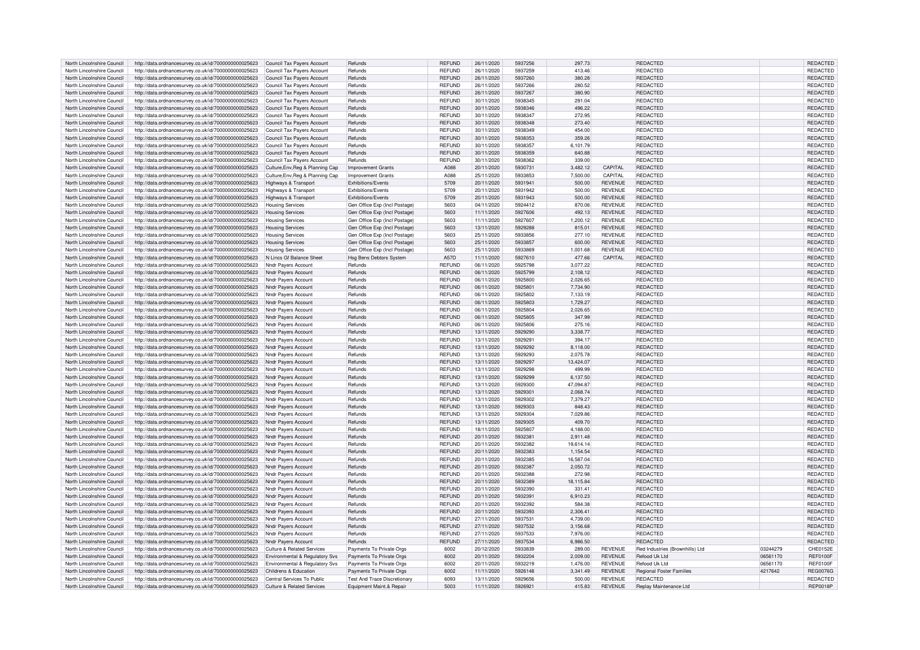| North Lincolnshire Council | http://data.ordnancesurvey.co.uk/id/7000000000025623 | Council Tax Payers Account            | Refunds                             | <b>REFUND</b> | 26/11/2020 | 5937256 | 297.73    |                | REDACTED                        |          | REDACTED        |
|----------------------------|------------------------------------------------------|---------------------------------------|-------------------------------------|---------------|------------|---------|-----------|----------------|---------------------------------|----------|-----------------|
| North Lincolnshire Council | http://data.ordnancesurvey.co.uk/id/7000000000025623 | Council Tax Pavers Account            | Refunds                             | <b>REFUND</b> | 26/11/2020 | 5937259 | 413.46    |                | REDACTED                        |          | REDACTED        |
|                            |                                                      |                                       |                                     |               |            |         |           |                |                                 |          |                 |
| North Lincolnshire Council | http://data.ordnancesurvey.co.uk/id/7000000000025623 | Council Tax Payers Account            | Refunds                             | <b>REFUND</b> | 26/11/2020 | 5937260 | 380.28    |                | REDACTED                        |          | REDACTED        |
| North Lincolnshire Council | http://data.ordnancesurvey.co.uk/id/7000000000025623 | Council Tax Payers Account            | Refunds                             | <b>REFUND</b> | 26/11/2020 | 5937266 | 280.52    |                | REDACTED                        |          | REDACTED        |
| North Lincolnshire Council | http://data.ordnancesurvey.co.uk/id/7000000000025623 | Council Tax Payers Account            | Refunds                             | <b>REFUND</b> | 26/11/2020 | 5937267 | 380.90    |                | REDACTED                        |          | REDACTED        |
| North Lincolnshire Council | http://data.ordnancesurvey.co.uk/id/7000000000025623 | Council Tax Payers Account            | Refunds                             | <b>REFUND</b> | 30/11/2020 | 5938345 | 291.04    |                | REDACTED                        |          | REDACTED        |
| North Lincolnshire Council | http://data.ordnancesurvey.co.uk/id/7000000000025623 | Council Tax Payers Account            | Refunds                             | <b>REFUND</b> | 30/11/2020 | 5938346 | 496.22    |                | REDACTED                        |          | REDACTED        |
| North Lincolnshire Council | http://data.ordnancesurvey.co.uk/id/7000000000025623 | Council Tax Payers Account            | Refunds                             | <b>REFUND</b> | 30/11/2020 | 5938347 | 272.95    |                | <b>REDACTED</b>                 |          | REDACTED        |
| North Lincolnshire Council | http://data.ordnancesurvey.co.uk/id/7000000000025623 | Council Tax Payers Account            | Refunds                             | <b>REFUND</b> | 30/11/2020 | 5938348 | 273.40    |                | <b>REDACTED</b>                 |          | REDACTED        |
| North Lincolnshire Council | http://data.ordnancesurvey.co.uk/id/7000000000025623 | Council Tax Payers Account            | Refunds                             | <b>REFUND</b> | 30/11/2020 | 5938349 | 454.00    |                | REDACTED                        |          | REDACTED        |
|                            |                                                      |                                       |                                     |               |            |         |           |                |                                 |          |                 |
| North Lincolnshire Council | http://data.ordnancesurvey.co.uk/id/7000000000025623 | Council Tax Pavers Account            | Refunds                             | <b>REFUND</b> | 30/11/2020 | 5938353 | 359.26    |                | REDACTED                        |          | <b>REDACTED</b> |
| North Lincolnshire Council | http://data.ordnancesurvey.co.uk/id/7000000000025623 | Council Tax Payers Account            | Refunds                             | <b>REFUND</b> | 30/11/2020 | 5938357 | 6,101.79  |                | REDACTED                        |          | REDACTED        |
| North Lincolnshire Council | http://data.ordnancesurvey.co.uk/id/7000000000025623 | Council Tax Payers Account            | Refunds                             | <b>REFUND</b> | 30/11/2020 | 5938359 | 640.88    |                | REDACTED                        |          | REDACTED        |
| North Lincolnshire Council | http://data.ordnancesurvey.co.uk/id/7000000000025623 | Council Tax Payers Account            | Refunds                             | <b>REFUND</b> | 30/11/2020 | 5938362 | 339.00    |                | REDACTED                        |          | REDACTED        |
| North Lincolnshire Council | http://data.ordnancesurvey.co.uk/id/7000000000025623 | Culture, Env, Reg & Planning Cap      | <b>Improvement Grants</b>           | A088          | 20/11/2020 | 5930731 | 3,482.12  | CAPITAL        | <b>REDACTED</b>                 |          | REDACTED        |
| North Lincolnshire Council | http://data.ordnancesurvey.co.uk/id/7000000000025623 | Culture, Env, Reg & Planning Cap      | <b>Improvement Grants</b>           | A088          | 25/11/2020 | 5933853 | 7,500.00  | CAPITAL        | REDACTED                        |          | REDACTED        |
| North Lincolnshire Council | http://data.ordnancesurvey.co.uk/id/7000000000025623 | Highways & Transport                  | <b>Exhibitions/Events</b>           | 5709          | 20/11/2020 | 5931941 | 500.00    | <b>REVENUE</b> | <b>REDACTED</b>                 |          | REDACTED        |
| North Lincolnshire Council | http://data.ordnancesurvey.co.uk/id/7000000000025623 | Highways & Transport                  | <b>Exhibitions/Events</b>           | 5709          | 20/11/2020 | 5931942 | 500.00    | <b>REVENUE</b> | <b>REDACTED</b>                 |          | REDACTED        |
|                            |                                                      |                                       |                                     |               |            |         |           |                |                                 |          |                 |
| North Lincolnshire Council | http://data.ordnancesurvey.co.uk/id/7000000000025623 | Highways & Transport                  | Exhibitions/Events                  | 5709          | 20/11/2020 | 5931943 | 500.00    | <b>REVENUE</b> | REDACTED                        |          | REDACTED        |
| North Lincolnshire Council | http://data.ordnancesurvey.co.uk/id/7000000000025623 | <b>Housing Services</b>               | Gen Office Exp (Incl Postage)       | 5603          | 04/11/2020 | 5924412 | 870.06    | <b>REVENUE</b> | <b>REDACTED</b>                 |          | <b>REDACTED</b> |
| North Lincolnshire Council | http://data.ordnancesurvey.co.uk/id/7000000000025623 | <b>Housing Services</b>               | Gen Office Exp (Incl Postage)       | 5603          | 11/11/2020 | 5927606 | 492.13    | <b>REVENUE</b> | REDACTED                        |          | REDACTED        |
| North Lincolnshire Council | http://data.ordnancesurvey.co.uk/id/7000000000025623 | <b>Housing Services</b>               | Gen Office Exp (Incl Postage)       | 5603          | 11/11/2020 | 5927607 | 1.200.12  | <b>REVENUE</b> | REDACTED                        |          | REDACTED        |
| North Lincolnshire Council | http://data.ordnancesurvey.co.uk/id/7000000000025623 | <b>Housing Services</b>               | Gen Office Exp (Incl Postage)       | 5603          | 13/11/2020 | 5929288 | 815.01    | <b>REVENUE</b> | REDACTED                        |          | REDACTED        |
| North Lincolnshire Council | http://data.ordnancesurvey.co.uk/id/7000000000025623 | <b>Housing Services</b>               | Gen Office Exp (Incl Postage)       | 5603          | 25/11/2020 | 5933856 | 277.10    | <b>REVENUE</b> | REDACTED                        |          | REDACTED        |
| North Lincolnshire Council | http://data.ordnancesurvey.co.uk/id/7000000000025623 | <b>Housing Services</b>               | Gen Office Exp (Incl Postage)       | 5603          | 25/11/2020 | 5933857 | 600.00    | <b>REVENUE</b> | REDACTED                        |          | <b>REDACTED</b> |
|                            |                                                      |                                       |                                     | 5603          |            | 5933869 |           |                |                                 |          |                 |
| North Lincolnshire Council | http://data.ordnancesurvey.co.uk/id/7000000000025623 | <b>Housing Services</b>               | Gen Office Exp (Incl Postage)       |               | 25/11/2020 |         | 1,001.68  | <b>REVENUE</b> | REDACTED                        |          | REDACTED        |
| North Lincolnshire Council | http://data.ordnancesurvey.co.uk/id/7000000000025623 | N Lincs Gf Balance Sheet              | Hsg Bens Debtors System             | A57D          | 11/11/2020 | 5927610 | 477.66    | CAPITAL        | REDACTED                        |          | <b>REDACTED</b> |
| North Lincolnshire Council | http://data.ordnancesurvey.co.uk/id/7000000000025623 | Nndr Payers Account                   | Refunds                             | <b>REFUND</b> | 06/11/2020 | 5925798 | 3,077.22  |                | <b>REDACTED</b>                 |          | REDACTED        |
| North Lincolnshire Council | http://data.ordnancesurvey.co.uk/id/7000000000025623 | Nndr Payers Account                   | Refunds                             | <b>REFUND</b> | 06/11/2020 | 5925799 | 2,108.12  |                | <b>REDACTED</b>                 |          | <b>REDACTED</b> |
| North Lincolnshire Council | http://data.ordnancesurvey.co.uk/id/7000000000025623 | Nndr Pavers Account                   | Refunds                             | <b>REFUND</b> | 06/11/2020 | 5925800 | 2,026.65  |                | REDACTED                        |          | REDACTED        |
| North Lincolnshire Council | http://data.ordnancesurvey.co.uk/id/7000000000025623 | Nndr Payers Account                   | Refunds                             | <b>REFUND</b> | 06/11/2020 | 5925801 | 7,734.90  |                | REDACTED                        |          | REDACTED        |
| North Lincolnshire Council | http://data.ordnancesurvey.co.uk/id/7000000000025623 | Nndr Pavers Account                   | Refunds                             | <b>REFUND</b> | 06/11/2020 | 5925802 | 7,133.19  |                | REDACTED                        |          | REDACTED        |
|                            |                                                      |                                       |                                     |               |            | 5925803 |           |                | <b>REDACTED</b>                 |          |                 |
| North Lincolnshire Council | http://data.ordnancesurvey.co.uk/id/7000000000025623 | Nndr Payers Account                   | Refunds                             | <b>REFUND</b> | 06/11/2020 |         | 1,729.27  |                |                                 |          | REDACTED        |
| North Lincolnshire Council | http://data.ordnancesurvey.co.uk/id/7000000000025623 | Nndr Payers Account                   | Refunds                             | <b>REFUND</b> | 06/11/2020 | 5925804 | 2,026.65  |                | REDACTED                        |          | REDACTED        |
| North Lincolnshire Council | http://data.ordnancesurvey.co.uk/id/7000000000025623 | <b>Nndr Pavers Account</b>            | Refunds                             | <b>REFUND</b> | 06/11/2020 | 5925805 | 347.99    |                | REDACTED                        |          | REDACTED        |
| North Lincolnshire Council | http://data.ordnancesurvey.co.uk/id/7000000000025623 | Nndr Pavers Account                   | Refunds                             | <b>REFUND</b> | 06/11/2020 | 5925806 | 275.16    |                | REDACTED                        |          | REDACTED        |
| North Lincolnshire Council | http://data.ordnancesurvey.co.uk/id/7000000000025623 | Nndr Payers Account                   | Refunds                             | <b>REFUND</b> | 13/11/2020 | 5929290 | 3.338.77  |                | <b>REDACTED</b>                 |          | REDACTED        |
| North Lincolnshire Council | http://data.ordnancesurvey.co.uk/id/7000000000025623 | Nndr Payers Account                   | Refunds                             | <b>REFUND</b> | 13/11/2020 | 5929291 | 394.17    |                | REDACTED                        |          | REDACTED        |
| North Lincolnshire Council | http://data.ordnancesurvey.co.uk/id/7000000000025623 | Nndr Payers Account                   | Refunds                             | <b>REFUND</b> | 13/11/2020 | 5929292 | 8,118.00  |                | REDACTED                        |          | REDACTED        |
| North Lincolnshire Council | http://data.ordnancesurvey.co.uk/id/7000000000025623 | Nndr Payers Account                   | Refunds                             | <b>REFUND</b> | 13/11/2020 | 5929293 | 2,075.78  |                | <b>REDACTED</b>                 |          | REDACTED        |
|                            |                                                      |                                       |                                     |               |            |         |           |                |                                 |          |                 |
| North Lincolnshire Council | http://data.ordnancesurvey.co.uk/id/7000000000025623 | Nndr Pavers Account                   | Refunds                             | <b>REFUND</b> | 13/11/2020 | 5929297 | 13,424.07 |                | REDACTED                        |          | REDACTED        |
| North Lincolnshire Council | http://data.ordnancesurvey.co.uk/id/7000000000025623 | Nndr Payers Account                   | Refunds                             | <b>REFUND</b> | 13/11/2020 | 5929298 | 499.99    |                | <b>REDACTED</b>                 |          | REDACTED        |
| North Lincolnshire Council | http://data.ordnancesurvey.co.uk/id/7000000000025623 | <b>Nndr Payers Account</b>            | Refunds                             | <b>REFUND</b> | 13/11/2020 | 5929299 | 6,137.50  |                | REDACTED                        |          | REDACTED        |
| North Lincolnshire Council | http://data.ordnancesurvey.co.uk/id/7000000000025623 | Nndr Pavers Account                   | Refunds                             | <b>REFUND</b> | 13/11/2020 | 5929300 | 47,094.87 |                | REDACTED                        |          | REDACTED        |
| North Lincolnshire Council | http://data.ordnancesurvey.co.uk/id/7000000000025623 | Nndr Payers Account                   | Refunds                             | <b>REFUND</b> | 13/11/2020 | 5929301 | 2.068.74  |                | <b>REDACTED</b>                 |          | <b>REDACTED</b> |
| North Lincolnshire Council | http://data.ordnancesurvey.co.uk/id/7000000000025623 | Nndr Payers Account                   | Refunds                             | <b>REFUND</b> | 13/11/2020 | 5929302 | 7,379.27  |                | REDACTED                        |          | REDACTED        |
| North Lincolnshire Council | http://data.ordnancesurvey.co.uk/id/7000000000025623 | Nndr Payers Account                   | Refunds                             | <b>REFUND</b> | 13/11/2020 | 5929303 | 848.43    |                | <b>REDACTED</b>                 |          | <b>REDACTED</b> |
|                            |                                                      |                                       |                                     |               |            | 5929304 | 7,029.86  |                |                                 |          |                 |
| North Lincolnshire Council | http://data.ordnancesurvey.co.uk/id/7000000000025623 | Nndr Payers Account                   | Refunds                             | <b>REFUND</b> | 13/11/2020 |         |           |                | REDACTED                        |          | REDACTED        |
| North Lincolnshire Council | http://data.ordnancesurvey.co.uk/id/7000000000025623 | Nndr Payers Account                   | Refunds                             | <b>REFUND</b> | 13/11/2020 | 5929305 | 409.70    |                | REDACTED                        |          | REDACTED        |
| North Lincolnshire Council | http://data.ordnancesurvey.co.uk/id/7000000000025623 | Nndr Payers Account                   | Refunds                             | <b>REFUND</b> | 18/11/2020 | 5925807 | 4,188.00  |                | REDACTED                        |          | REDACTED        |
| North Lincolnshire Council | http://data.ordnancesurvey.co.uk/id/7000000000025623 | Nndr Payers Account                   | Refunds                             | <b>REFUND</b> | 20/11/2020 | 5932381 | 2,911.48  |                | REDACTED                        |          | <b>REDACTED</b> |
| North Lincolnshire Council | http://data.ordnancesurvey.co.uk/id/7000000000025623 | Nndr Payers Account                   | Refunds                             | <b>REFUND</b> | 20/11/2020 | 5932382 | 19,614.14 |                | REDACTED                        |          | REDACTED        |
| North Lincolnshire Council | http://data.ordnancesurvey.co.uk/id/7000000000025623 | Nndr Payers Account                   | Refunds                             | <b>REFUND</b> | 20/11/2020 | 5932383 | 1,154.54  |                | REDACTED                        |          | <b>REDACTED</b> |
| North Lincolnshire Council | http://data.ordnancesurvey.co.uk/id/7000000000025623 | Nndr Payers Account                   | Refunds                             | <b>REFUND</b> | 20/11/2020 | 5932385 | 16,587.04 |                | REDACTED                        |          | <b>REDACTED</b> |
| North Lincolnshire Council | http://data.ordnancesurvey.co.uk/id/7000000000025623 | Nndr Pavers Account                   | Refunds                             | <b>REFUND</b> | 20/11/2020 | 5932387 | 2,050.72  |                | REDACTED                        |          | <b>REDACTED</b> |
| North Lincolnshire Council | http://data.ordnancesurvey.co.uk/id/7000000000025623 | Nndr Payers Account                   | Refunds                             | <b>REFUND</b> | 20/11/2020 | 5932388 | 272.98    |                | <b>REDACTED</b>                 |          | REDACTED        |
|                            |                                                      |                                       | Refunds                             | <b>REFUND</b> | 20/11/2020 | 5932389 |           |                | <b>REDACTED</b>                 |          |                 |
| North Lincolnshire Council | http://data.ordnancesurvey.co.uk/id/7000000000025623 | Nndr Payers Account                   |                                     |               |            |         | 18,115.84 |                |                                 |          | <b>REDACTED</b> |
| North Lincolnshire Council | http://data.ordnancesurvey.co.uk/id/7000000000025623 | Nndr Pavers Account                   | Refunds                             | <b>REFUND</b> | 20/11/2020 | 5932390 | 331.41    |                | <b>REDACTED</b>                 |          | REDACTED        |
| North Lincolnshire Council | http://data.ordnancesurvey.co.uk/id/7000000000025623 | Nndr Payers Account                   | Refunds                             | <b>REFUND</b> | 20/11/2020 | 5932391 | 6,910.23  |                | REDACTED                        |          | <b>REDACTED</b> |
| North Lincolnshire Council | http://data.ordnancesurvey.co.uk/id/7000000000025623 | Nndr Pavers Account                   | Refunds                             | <b>REFUND</b> | 20/11/2020 | 5932392 | 584.38    |                | REDACTED                        |          | REDACTED        |
| North Lincolnshire Council | http://data.ordnancesurvey.co.uk/id/7000000000025623 | Nndr Payers Account                   | Refunds                             | <b>REFUND</b> | 20/11/2020 | 5932393 | 2,306.41  |                | REDACTED                        |          | REDACTED        |
| North Lincolnshire Council | http://data.ordnancesurvey.co.uk/id/7000000000025623 | Nndr Payers Account                   | Refunds                             | <b>REFUND</b> | 27/11/2020 | 5937531 | 4.739.00  |                | REDACTED                        |          | REDACTED        |
| North Lincolnshire Council | http://data.ordnancesurvey.co.uk/id/7000000000025623 | Nndr Payers Account                   | Refunds                             | <b>REFUND</b> | 27/11/2020 | 5937532 | 3.156.68  |                | REDACTED                        |          | REDACTED        |
| North Lincolnshire Council |                                                      |                                       | Refunds                             | <b>REFUND</b> |            | 5937533 |           |                | REDACTED                        |          |                 |
|                            | http://data.ordnancesurvey.co.uk/id/7000000000025623 | Nndr Payers Account                   |                                     |               | 27/11/2020 |         | 7,976.00  |                |                                 |          | REDACTED        |
| North Lincolnshire Council | http://data.ordnancesurvey.co.uk/id/7000000000025623 | Nndr Payers Account                   | Refunds                             | <b>REFUND</b> | 27/11/2020 | 5937534 | 6.986.50  |                | <b>REDACTED</b>                 |          | REDACTED        |
| North Lincolnshire Council | http://data.ordnancesurvey.co.uk/id/7000000000025623 | <b>Culture &amp; Related Services</b> | Payments To Private Orgs            | 6002          | 20/12/2020 | 5933839 | 289.00    | <b>REVENUE</b> | Red Industries (Brownhills) Ltd | 03244279 | CHE0152E        |
| North Lincolnshire Council | http://data.ordnancesurvey.co.uk/id/7000000000025623 | Environmental & Regulatory Svs        | Payments To Private Orgs            | 6002          | 20/11/2020 | 5932204 | 2.009.00  | <b>REVENUE</b> | Refood Uk Ltd                   | 06561170 | REF0100F        |
| North Lincolnshire Council | http://data.ordnancesurvey.co.uk/id/7000000000025623 | Environmental & Regulatory Svs        | Payments To Private Orgs            | 5002          | 20/11/2020 | 5932219 | 1,476.00  | <b>REVENUE</b> | Refood Uk Ltd                   | 06561170 | <b>REF0100F</b> |
| North Lincolnshire Council | http://data.ordnancesurvey.co.uk/id/7000000000025623 | Childrens & Education                 | Payments To Private Orgs            | 6002          | 11/11/2020 | 5926148 | 3,341.49  | <b>REVENUE</b> | <b>Regional Foster Families</b> | 4217642  | <b>REG0076G</b> |
| North Lincolnshire Council | http://data.ordnancesurvey.co.uk/id/7000000000025623 | Central Services To Public            | <b>Test And Trace Discretionary</b> | 6093          | 13/11/2020 | 5929656 | 500.00    | <b>REVENUE</b> | <b>REDACTED</b>                 |          | REDACTED        |
| North Lincolnshire Council | http://data.ordnancesurvey.co.uk/id/7000000000025623 | Culture & Related Services            | Equipment Maint.& Repair            | 5003          | 11/11/2020 | 5926921 | 415.83    | <b>REVENUE</b> | Replay Maintenance Ltd          |          | <b>REP0018P</b> |
|                            |                                                      |                                       |                                     |               |            |         |           |                |                                 |          |                 |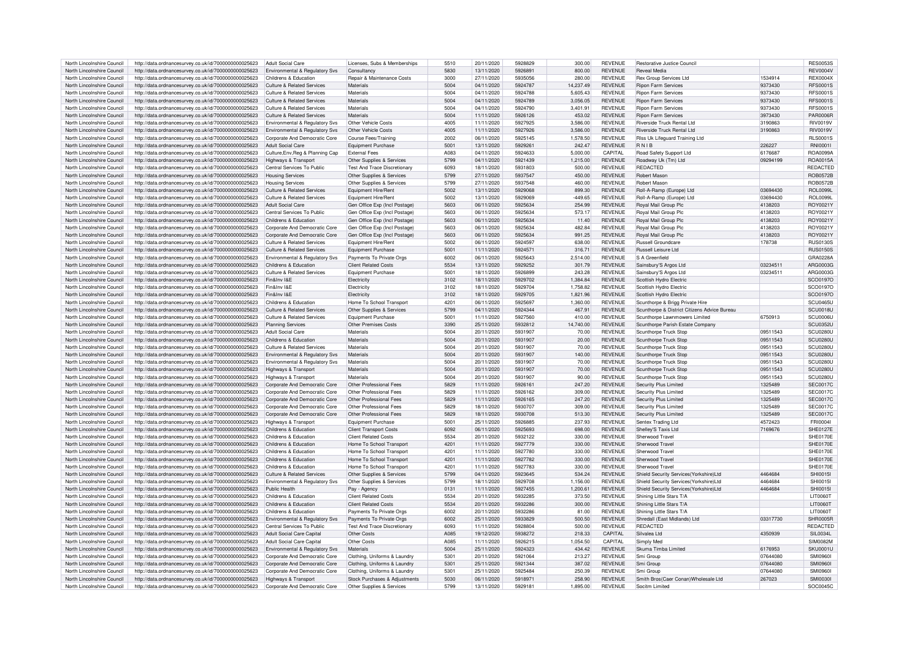| North Lincolnshire Council                               | http://data.ordnancesurvey.co.uk/id/7000000000025623                                                         | Adult Social Care                                     | Licenses, Subs & Memberships                               | 5510         | 20/11/2020               | 5928829            | 300.00             | <b>REVENUE</b>                   | Restorative Justice Council                            |          | <b>RES0053S</b>             |
|----------------------------------------------------------|--------------------------------------------------------------------------------------------------------------|-------------------------------------------------------|------------------------------------------------------------|--------------|--------------------------|--------------------|--------------------|----------------------------------|--------------------------------------------------------|----------|-----------------------------|
| North Lincolnshire Council                               | http://data.ordnancesurvey.co.uk/id/7000000000025623                                                         | Environmental & Regulatory Svs                        | Consultancy                                                | 5830         | 13/11/2020               | 5926891            | 800.00             | <b>REVENUE</b>                   | Reveal Media                                           |          | <b>RFV0004V</b>             |
| North Lincolnshire Council                               | http://data.ordnancesurvey.co.uk/id/7000000000025623                                                         | Childrens & Education                                 | Repair & Maintenance Costs                                 | 3000         | 27/11/2020               | 5935056            | 280.00             | <b>REVENUE</b>                   | Rex Group Services Ltd                                 | 1534914  | <b>REX0004X</b>             |
|                                                          |                                                                                                              |                                                       |                                                            |              |                          |                    |                    |                                  |                                                        |          |                             |
| North Lincolnshire Council                               | http://data.ordnancesurvey.co.uk/id/7000000000025623                                                         | Culture & Related Services                            | Materials                                                  | 5004         | 04/11/2020               | 5924787            | 14.237.49          | <b>REVENUE</b>                   | <b>Binon Farm Services</b>                             | 9373430  | <b>RFS0001S</b>             |
| North Lincolnshire Council                               | http://data.ordnancesurvey.co.uk/id/7000000000025623                                                         | Culture & Related Services                            | Materials                                                  | 5004         | 04/11/2020               | 5924788            | 5,605.43           | REVENUE                          | <b>Ripon Farm Services</b>                             | 9373430  | <b>RES0001S</b>             |
| North Lincolnshire Council                               | http://data.ordnancesurvey.co.uk/id/7000000000025623                                                         | <b>Culture &amp; Related Services</b>                 | Materials                                                  | 5004         | 04/11/2020               | 5924789            | 3.056.05           | <b>REVENUE</b>                   | <b>Ripon Farm Services</b>                             | 9373430  | <b>RFS0001S</b>             |
| North Lincolnshire Council                               | http://data.ordnancesurvey.co.uk/id/7000000000025623                                                         | Culture & Related Services                            | Materials                                                  | 5004         | 04/11/2020               | 5924790            | 3,401.91           | <b>REVENUE</b>                   | <b>Ripon Farm Services</b>                             | 9373430  | <b>RFS0001S</b>             |
| North Lincolnshire Council                               | http://data.ordnancesurvey.co.uk/id/7000000000025623                                                         | <b>Culture &amp; Related Services</b>                 | Materials                                                  | 5004         | 11/11/2020               | 5926126            | 453.02             | <b>REVENUE</b>                   | <b>Ripon Farm Services</b>                             | 3973430  | PAR0006F                    |
| North Lincolnshire Council                               | http://data.ordnancesurvey.co.uk/id/7000000000025623                                                         | Environmental & Regulatory Svs                        | Other Vehicle Costs                                        | 4005         | 11/11/2020               | 5927925            | 3,586.00           | <b>REVENUE</b>                   | Riverside Truck Rental Ltd                             | 3190863  | <b>RIV0019V</b>             |
| North Lincolnshire Council                               | http://data.ordnancesurvey.co.uk/id/7000000000025623                                                         | Environmental & Regulatory Svs                        | Other Vehicle Costs                                        | 4005         | 11/11/2020               | 5927926            | 3,586.00           | <b>REVENUE</b>                   | Riverside Truck Rental I td                            | 3190863  | <b>RIV0019V</b>             |
| North Lincolnshire Council                               | http://data.ordnancesurvey.co.uk/id/7000000000025623                                                         | Corporate And Democratic Core                         | Course Fees/Training                                       | 2002         | 06/11/2020               | 5925145            | 1,578.50           | <b>REVENUE</b>                   | RIss Uk Lifeguard Training Ltd                         |          | <b>RLS0001S</b>             |
|                                                          |                                                                                                              | <b>Adult Social Care</b>                              |                                                            | 5001         |                          | 5929261            |                    | <b>REVENUE</b>                   | RNIB                                                   | 226227   | RNI0001I                    |
| North Lincolnshire Council                               | http://data.ordnancesurvey.co.uk/id/7000000000025623                                                         |                                                       | Equipment Purchase                                         |              | 13/11/2020               |                    | 242.47             |                                  |                                                        |          |                             |
| North Lincolnshire Council                               | http://data.ordnancesurvey.co.uk/id/7000000000025623                                                         | Culture, Env, Reg & Planning Cap                      | <b>External Fees</b>                                       | A083         | 04/11/2020               | 5924633            | 5.000.00           | CAPITAL                          | Road Safety Support Ltd                                | 6176687  | <b>ROA0099</b>              |
| North Lincolnshire Council                               | http://data.ordnancesurvey.co.uk/id/7000000000025623                                                         | Highways & Transport                                  | Other Supplies & Services                                  | 5799         | 04/11/2020               | 5921439            | 1,215.00           | REVENUE                          | Roadway Uk (Tm) Ltd                                    | 09294199 | ROA0015A                    |
| North Lincolnshire Council                               | http://data.ordnancesurvey.co.uk/id/7000000000025623                                                         | Central Services To Public                            | Test And Trace Discretionar                                | 6093         | 18/11/2020               | 5931803            | 500.00             | <b>REVENUE</b>                   | REDACTED                                               |          | <b>REDACTED</b>             |
| North Lincolnshire Council                               | http://data.ordnancesurvey.co.uk/id/7000000000025623                                                         | <b>Housing Services</b>                               | Other Supplies & Services                                  | 5799         | 27/11/2020               | 5937547            | 450.00             | <b>REVENUE</b>                   | Robert Mason                                           |          | <b>ROB0572E</b>             |
| North Lincolnshire Council                               | http://data.ordnancesurvey.co.uk/id/7000000000025623                                                         | Housing Services                                      | Other Supplies & Services                                  | 5799         | 27/11/2020               | 5937548            | 460.00             | <b>REVENUE</b>                   | <b>Robert Masor</b>                                    |          | <b>ROB0572B</b>             |
| North Lincolnshire Council                               | http://data.ordnancesurvey.co.uk/id/7000000000025623                                                         | Culture & Related Services                            | Equipment Hire/Rent                                        | 5002         | 13/11/2020               | 5929068            | 899.30             | <b>REVENUE</b>                   | Roll-A-Ramp (Europe) Ltd                               | 03694430 | <b>ROL0099L</b>             |
| North Lincolnshire Council                               | http://data.ordnancesurvey.co.uk/id/7000000000025623                                                         | <b>Culture &amp; Related Services</b>                 | Equipment Hire/Rent                                        | 5002         | 13/11/2020               | 5929069            | $-449.65$          | REVENUE                          | Roll-A-Ramp (Europe) Ltd                               | 03694430 | <b>ROL0099L</b>             |
|                                                          |                                                                                                              |                                                       |                                                            |              |                          |                    |                    |                                  |                                                        |          |                             |
| North Lincolnshire Council                               | http://data.ordnancesurvey.co.uk/id/7000000000025623                                                         | <b>Adult Social Care</b>                              | Gen Office Exp (Incl Postage)                              | 5603         | 06/11/2020               | 5925634            | 254.99             | <b>REVENUE</b>                   | Royal Mail Group Plc                                   | 4138203  | ROY0021\                    |
| North Lincolnshire Council                               | http://data.ordnancesurvey.co.uk/id/7000000000025623                                                         | Central Services To Public                            | Gen Office Exp (Incl Postage)                              | 5603         | 06/11/2020               | 5925634            | 573.17             | <b>REVENUE</b>                   | Royal Mail Group Plc                                   | 4138203  | ROY0021Y                    |
| North Lincolnshire Council                               | http://data.ordnancesurvey.co.uk/id/7000000000025623                                                         | Childrens & Education                                 | Gen Office Exp (Incl Postage)                              | 5603         | 06/11/2020               | 5925634            | 11.40              | <b>REVENUE</b>                   | Royal Mail Group Plc                                   | 4138203  | ROY0021Y                    |
| North Lincolnshire Council                               | http://data.ordnancesurvey.co.uk/id/7000000000025623                                                         | Corporate And Democratic Core                         | Gen Office Exp (Incl Postage)                              | 5603         | 06/11/2020               | 5925634            | 482.84             | <b>REVENUE</b>                   | Royal Mail Group Plc                                   | 4138203  | ROY0021Y                    |
| North Lincolnshire Council                               | http://data.ordnancesurvey.co.uk/id/7000000000025623                                                         | Corporate And Democratic Core                         | Gen Office Exp (Incl Postage)                              | 5603         | 06/11/2020               | 5925634            | 991.25             | REVENUE                          | Roval Mail Group Plo                                   | 4138203  | ROY0021\                    |
| North Lincolnshire Council                               | http://data.ordnancesurvey.co.uk/id/7000000000025623                                                         | <b>Culture &amp; Related Services</b>                 | Equipment Hire/Rent                                        | 5002         | 06/11/2020               | 592459             | 638.00             | REVENUE                          | Russell Groundcare                                     | 178738   | <b>BUS01305</b>             |
| North Lincolnshire Council                               | http://data.ordnancesurvey.co.uk/id/7000000000025623                                                         | <b>Culture &amp; Related Services</b>                 | Equipment Purchase                                         | 5001         | 11/11/2020               | 5924571            | 316.71             | <b>REVENUE</b>                   | Russell Leisure Ltd                                    |          | <b>RUS0150S</b>             |
|                                                          |                                                                                                              |                                                       |                                                            |              |                          |                    |                    |                                  |                                                        |          |                             |
| North Lincolnshire Council                               | http://data.ordnancesurvey.co.uk/id/7000000000025623                                                         | Environmental & Regulatory Svs                        | Payments To Private Orgs                                   | 6002         | 06/11/2020               | 5925643            | 2.514.00           | <b>REVENUE</b>                   | S A Greenfield                                         |          | GRA0228A                    |
| North Lincolnshire Council                               | http://data.ordnancesurvey.co.uk/id/7000000000025623                                                         | Childrens & Education                                 | <b>Client Related Costs</b>                                | 5534         | 13/11/2020               | 5929252            | 301.79             | <b>REVENUE</b>                   | Sainsbury'S Argos Ltd                                  | 03234511 | ARG0003G                    |
| North Lincolnshire Council                               | http://data.ordnancesurvey.co.uk/id/7000000000025623                                                         | Culture & Related Services                            | Equipment Purchase                                         | 5001         | 18/11/2020               | 5926899            | 243.28             | <b>REVENUE</b>                   | Sainsbury'S Argos Ltd                                  | 03234511 | ARG0003G                    |
| North Lincolnshire Council                               | http://data.ordnancesurvey.co.uk/id/7000000000025623                                                         | Fin&Inv I&F                                           | Flectricity                                                | 3102         | 18/11/2020               | 5929702            | 1.384.84           | <b>REVENUE</b>                   | Scottish Hydro Electric                                |          | SCO0197C                    |
| North Lincolnshire Council                               | http://data.ordnancesurvey.co.uk/id/7000000000025623                                                         | Fin&Inv I&F                                           | Electricity                                                | 3102         | 18/11/2020               | 5929704            | 1,758.82           | <b>REVENUE</b>                   | Scottish Hydro Electric                                |          | SCO0197O                    |
| North Lincolnshire Council                               | http://data.ordnancesurvey.co.uk/id/7000000000025623                                                         | Fin&Inv I&F                                           | Electricity                                                | 3102         | 18/11/2020               | 5929705            | 1,821.96           | <b>REVENUE</b>                   | Scottish Hydro Electric                                |          | SCO0197C                    |
| North Lincolnshire Council                               |                                                                                                              | Childrens & Education                                 |                                                            | 4201         |                          | 5925697            | 1.360.00           | <b>REVENUE</b>                   |                                                        |          | SCU0465L                    |
|                                                          | http://data.ordnancesurvey.co.uk/id/7000000000025623                                                         |                                                       | Home To School Transport                                   |              | 06/11/2020               |                    |                    |                                  | Scunthorpe & Brigg Private Hire                        |          |                             |
| North Lincolnshire Council                               | http://data.ordnancesurvey.co.uk/id/7000000000025623                                                         | <b>Culture &amp; Related Services</b>                 | Other Supplies & Services                                  | 5799         | 04/11/2020               | 5924344            | 467.91             | <b>REVENUE</b>                   | Scunthorpe & District Citizens Advice Bureau           |          | SCU0018U                    |
| North Lincolnshire Council                               | http://data.ordnancesurvey.co.uk/id/7000000000025623                                                         | Culture & Related Services                            | Equipment Purchase                                         | 5001         | 11/11/2020               | 5927560            | 410.00             | <b>REVENUE</b>                   | Scunthorne Lawnmowers Limited                          | 6750913  | SCLIDDDRL                   |
| North Lincolnshire Council                               | http://data.ordnancesurvey.co.uk/id/7000000000025623                                                         | Planning Services                                     | Other Premises Costs                                       | 3390         | 25/11/2020               | 5932812            | 14.740.00          | <b>REVENUE</b>                   | Scunthorpe Parish Estate Company                       |          | SCU0352U                    |
|                                                          |                                                                                                              |                                                       |                                                            |              |                          |                    |                    |                                  |                                                        |          |                             |
| North Lincolnshire Council                               | http://data.ordnancesurvey.co.uk/id/7000000000025623                                                         | Adult Social Care                                     | Materials                                                  | 5004         | 20/11/2020               | 5931907            | 70.00              | <b>REVENUE</b>                   | Scunthorne Truck Stor                                  | 09511543 | SCI IO280L                  |
| North Lincolnshire Council                               |                                                                                                              | Childrens & Education                                 | Materials                                                  | 5004         |                          | 5931907            |                    |                                  |                                                        |          |                             |
|                                                          | http://data.ordnancesurvey.co.uk/id/7000000000025623                                                         |                                                       |                                                            |              | 20/11/2020               |                    | 20.00              | <b>REVENUE</b>                   | Scunthorpe Truck Stop                                  | 09511543 | SCU0280U                    |
| North Lincolnshire Council                               | http://data.ordnancesurvey.co.uk/id/7000000000025623                                                         | Culture & Related Services                            | Materials                                                  | 5004         | 20/11/2020               | 5931907            | 70.00              | <b>REVENUE</b>                   | Scunthorpe Truck Stop                                  | 09511543 | <b>SCU0280L</b>             |
| North Lincolnshire Council                               | http://data.ordnancesurvey.co.uk/id/7000000000025623                                                         | Environmental & Regulatory Svs                        | Materials                                                  | 5004         | 20/11/2020               | 5931907            | 140.00             | <b>REVENUE</b>                   | Scunthorpe Truck Stop                                  | 09511543 | SCU0280U                    |
| North Lincolnshire Council                               | http://data.ordnancesurvey.co.uk/id/7000000000025623                                                         | <b>Environmental &amp; Requlatory Sys</b>             | Materials                                                  | 5004         | 20/11/2020               | 5931907            | 70.00              | <b>REVENUE</b>                   | Scunthorne Truck Stor                                  | 09511543 | SCU0280U                    |
| North Lincolnshire Council                               | http://data.ordnancesurvey.co.uk/id/7000000000025623                                                         | Highways & Transport                                  | Materials                                                  | 5004         | 20/11/2020               | 5931907            | 70.00              | <b>REVENUE</b>                   | Scunthorpe Truck Stop                                  | 09511543 | <b>SCU0280L</b>             |
| North Lincolnshire Council                               | http://data.ordnancesurvey.co.uk/id/7000000000025623                                                         | Highways & Transport                                  | Materials                                                  | 5004         | 20/11/2020               | 5931907            | 90.00              | <b>REVENUE</b>                   | Scunthorpe Truck Stop                                  | 09511543 | <b>SCU0280L</b>             |
| North Lincolnshire Council                               | http://data.ordnancesurvey.co.uk/id/7000000000025623                                                         | Corporate And Democratic Core                         | Other Professional Fees                                    | 5829         | 11/11/2020               | 5926161            | 247.20             | REVENUE                          | Security Plus Limite                                   | 1325489  | <b>SEC0017C</b>             |
| North Lincolnshire Council                               | http://data.ordnancesurvey.co.uk/id/7000000000025623                                                         | Corporate And Democratic Core                         | Other Professional Fees                                    | 5829         | 11/11/2020               | 5926162            | 309.00             | REVENUE                          | Security Plus Limited                                  | 1325489  | SEC0017C                    |
|                                                          |                                                                                                              |                                                       |                                                            | 5829         |                          | 5926165            |                    |                                  |                                                        |          |                             |
| North Lincolnshire Council                               | http://data.ordnancesurvey.co.uk/id/7000000000025623                                                         | Corporate And Democratic Core                         | Other Professional Fees                                    |              | 11/11/2020               |                    | 247.20             | <b>REVENUE</b>                   | Security Plus Limited                                  | 1325489  | <b>SEC0017C</b>             |
| North Lincolnshire Council                               | http://data.ordnancesurvey.co.uk/id/7000000000025623                                                         | Corporate And Democratic Core                         | Other Professional Fees                                    | 5829         | 18/11/2020               | 5930707            | 309.00             | <b>REVENUE</b>                   | Security Plus Limited                                  | 1325489  | <b>SEC0017C</b>             |
| North Lincolnshire Council                               | http://data.ordnancesurvey.co.uk/id/7000000000025623                                                         | Corporate And Democratic Core                         | Other Professional Fees                                    | 5829         | 18/11/2020               | 5930708            | 513.30             | <b>REVENUE</b>                   | Security Plus Limited                                  | 1325489  | <b>SEC0017C</b>             |
| North Lincolnshire Council                               | http://data.ordnancesurvey.co.uk/id/7000000000025623                                                         | Highways & Transport                                  | Equipment Purchase                                         | 5001         | 25/11/2020               | 5926885            | 237.93             | <b>REVENUE</b>                   | Sentex Trading Ltd                                     | 4572423  | <b>FRI0004I</b>             |
| North Lincolnshire Council                               | http://data.ordnancesurvey.co.uk/id/7000000000025623                                                         | Childrens & Education                                 | <b>Client Transport Costs</b>                              | 6092         | 06/11/2020               | 5925693            | 698.00             | <b>REVENUE</b>                   | Shelley'S Taxis Ltd                                    | 7169676  | <b>SHF0127F</b>             |
| North Lincolnshire Council                               | http://data.ordnancesurvey.co.uk/id/7000000000025623                                                         | Childrens & Education                                 | <b>Client Related Costs</b>                                | 5534         | 20/11/2020               | 5932122            | 330.00             | <b>REVENUE</b>                   | Sherwood Travel                                        |          | SHE0170E                    |
| North Lincolnshire Council                               | http://data.ordnancesurvey.co.uk/id/7000000000025623                                                         | Childrens & Education                                 | Home To School Transport                                   | 4201         | 11/11/2020               | 5927779            | 330.00             | <b>REVENUE</b>                   | Sherwood Travel                                        |          | <b>SHF0170F</b>             |
| North Lincolnshire Council                               | http://data.ordnancesurvey.co.uk/id/7000000000025623                                                         | Childrens & Education                                 | Home To School Transport                                   | 4201         | 11/11/2020               | 5927780            | 330.00             | <b>REVENUE</b>                   | Sherwood Trave                                         |          | SHE0170E                    |
|                                                          |                                                                                                              |                                                       |                                                            | 4201         |                          | 5927782            |                    | <b>REVENUE</b>                   |                                                        |          | <b>SHF0170F</b>             |
| North Lincolnshire Council                               | http://data.ordnancesurvey.co.uk/id/7000000000025623                                                         | Childrens & Education                                 | Home To School Transport                                   |              | 11/11/2020               |                    | 330.00             |                                  | Sherwood Travel                                        |          |                             |
| North Lincolnshire Council                               | http://data.ordnancesurvey.co.uk/id/7000000000025623                                                         | Childrens & Education                                 | Home To School Transport                                   | 4201         | 11/11/2020               | 5927783            | 330.00             | <b>REVENUE</b>                   | Sherwood Travel                                        |          | <b>SHE0170E</b>             |
| North Lincolnshire Council                               | http://data.ordnancesurvey.co.uk/id/7000000000025623                                                         | <b>Culture &amp; Related Services</b>                 | Other Supplies & Services                                  | 5799         | 04/11/2020               | 5923645            | 534.24             | <b>REVENUE</b>                   | Shield Security Services(Yorkshire)Ltd                 | 4464684  | <b>SHI0015I</b>             |
| North Lincolnshire Council                               | http://data.ordnancesurvey.co.uk/id/7000000000025623                                                         | Environmental & Regulatory Sys                        | Other Supplies & Services                                  | 5799         | 18/11/2020               | 5929708            | 1,156.00           | <b>REVENUE</b>                   | Shield Security Services(Yorkshire)Ltd                 | 4464684  | SHI0015I                    |
| North Lincolnshire Council                               | http://data.ordnancesurvey.co.uk/id/7000000000025623                                                         | Public Health                                         | Pay - Agency                                               | 0131         | 11/11/2020               | 5927455            | 1,200.61           | <b>REVENUE</b>                   | Shield Security Services(Yorkshire)Ltd                 | 4464684  | <b>SHI0015I</b>             |
| North Lincolnshire Council                               | http://data.ordnancesurvey.co.uk/id/7000000000025623                                                         | Childrens & Education                                 | <b>Client Related Costs</b>                                | 5534         | 20/11/2020               | 5932285            | 373.50             | <b>REVENUE</b>                   | Shining Little Stars T/A                               |          | <b>LIT0060T</b>             |
| North Lincolnshire Council                               | http://data.ordnancesurvey.co.uk/id/7000000000025623                                                         | Childrens & Education                                 | <b>Client Related Costs</b>                                | 5534         | 20/11/2020               | 5932286            | 300.00             | <b>REVENUE</b>                   | Shining Little Stars T/A                               |          | <b>LIT0060T</b>             |
| North Lincolnshire Council                               | http://data.ordnancesurvey.co.uk/id/7000000000025623                                                         | Childrens & Education                                 | Payments To Private Orgs                                   | 6002         | 20/11/2020               | 5932286            | 81.00              | <b>REVENUE</b>                   | Shining Little Stars T/A                               |          | <b>LIT0060T</b>             |
| North Lincolnshire Council                               |                                                                                                              |                                                       |                                                            | 6002         | 25/11/2020               | 5933829            | 500.50             | <b>REVENUE</b>                   | Shredall (Fast Midlands) Ltd                           | 03317730 |                             |
|                                                          | http://data.ordnancesurvey.co.uk/id/7000000000025623                                                         | Environmental & Regulatory Sys                        | Payments To Private Oras                                   |              |                          |                    |                    |                                  |                                                        |          | SHR0005F                    |
| North Lincolnshire Council                               | http://data.ordnancesurvey.co.uk/id/7000000000025623                                                         | Central Services To Public                            | <b>Test And Trace Discretionary</b>                        | 6093         | 11/11/2020               | 5928804            | 500.00             | <b>REVENUE</b>                   | <b>REDACTED</b>                                        |          | REDACTED                    |
| North Lincolnshire Council                               | http://data.ordnancesurvey.co.uk/id/7000000000025623                                                         | <b>Adult Social Care Capital</b>                      | Other Costs                                                | A085         | 19/12/2020               | 5938272            | 218.33             | CAPITAL                          | Silvalea Ltd                                           | 4350939  | SIL0034L                    |
| North Lincolnshire Council                               | http://data.ordnancesurvey.co.uk/id/7000000000025623                                                         | <b>Adult Social Care Capital</b>                      | Other Costs                                                | A085         | 11/11/2020               | 5926215            | 1.054.50           | CAPITAL                          | Simply Med                                             |          | SIM0082M                    |
| North Lincolnshire Council                               | http://data.ordnancesurvey.co.uk/id/7000000000025623                                                         | Environmental & Regulatory Svs                        | Materials                                                  | 5004         | 25/11/2020               | 5924323            | 434.42             | <b>REVENUE</b>                   | Skuma Timba Limited                                    | 6176953  | <b>SKU0001U</b>             |
| North Lincolnshire Council                               | http://data.ordnancesurvey.co.uk/id/7000000000025623                                                         | Corporate And Democratic Core                         | Clothing, Uniforms & Laundry                               | 5301         | 20/11/2020               | 5921064            | 213.27             | <b>REVENUE</b>                   | Smi Group                                              | 07644080 | <b>SMI0960I</b>             |
| North Lincolnshire Council                               | http://data.ordnancesurvey.co.uk/id/7000000000025623                                                         | Corporate And Democratic Core                         | Clothing, Uniforms & Laundry                               | 5301         | 25/11/2020               | 5921344            | 387.02             | <b>REVENUE</b>                   | Smi Group                                              | 07644080 | SMI0960I                    |
| North Lincolnshire Council                               |                                                                                                              |                                                       |                                                            |              |                          | 5925484            |                    |                                  |                                                        |          |                             |
|                                                          | http://data.ordnancesurvey.co.uk/id/7000000000025623                                                         | Corporate And Democratic Core                         | Clothing, Uniforms & Laundry                               | 5301         | 25/11/2020               |                    | 250.39             | <b>REVENUE</b>                   | Smi Group                                              | 07644080 | <b>SMI09601</b>             |
| North Lincolnshire Council<br>North Lincolnshire Council | http://data.ordnancesurvey.co.uk/id/7000000000025623<br>http://data.ordnancesurvey.co.uk/id/7000000000025623 | Highways & Transport<br>Corporate And Democratic Core | Stock Purchases & Adjustments<br>Other Supplies & Services | 5030<br>5799 | 06/11/2020<br>13/11/2020 | 5918971<br>5929181 | 258.90<br>1.895.00 | <b>REVENUE</b><br><b>REVENUE</b> | Smith Bros(Caer Conan) Wholesale Ltd<br>Socitm Limited | 267023   | <b>SMI00301</b><br>SOC0045C |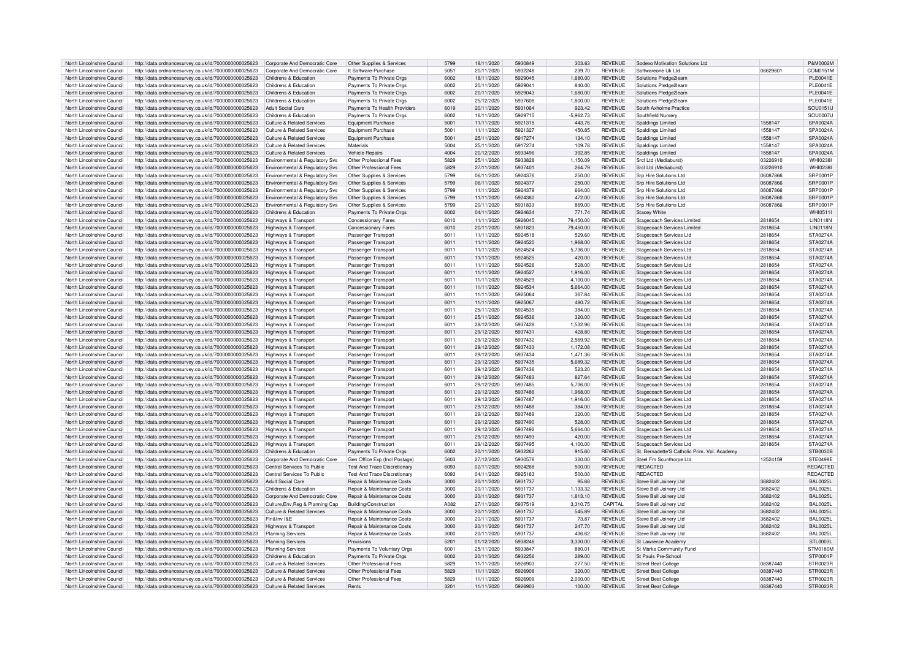| North Lincolnshire Council | http://data.ordnancesurvey.co.uk/id/7000000000025623 | Corporate And Democratic Core             | Other Supplies & Services             | 5799 | 18/11/2020 | 5930849 | 303.63      | <b>REVENUE</b> | Sodexo Motivation Solutions Ltd              |          | P&M0002M        |
|----------------------------|------------------------------------------------------|-------------------------------------------|---------------------------------------|------|------------|---------|-------------|----------------|----------------------------------------------|----------|-----------------|
| North Lincolnshire Council | http://data.ordnancesurvey.co.uk/id/7000000000025623 | Corporate And Democratic Core             | It Software-Purchase                  | 5051 | 20/11/2020 | 5932248 | 239.70      | <b>REVENUE</b> | Softwareone Uk I td                          | 0662960  | COM0151M        |
| North Lincolnshire Council | http://data.ordnancesurvey.co.uk/id/7000000000025623 | Childrens & Education                     | Payments To Private Orgs              | 6002 | 18/11/2020 | 5929045 | 1.680.00    | <b>REVENUE</b> | Solutions Pledge2learn                       |          | <b>PLE0041E</b> |
| North Lincolnshire Council | http://data.ordnancesurvey.co.uk/id/7000000000025623 | Childrens & Education                     | Payments To Private Orgs              | 6002 | 20/11/2020 | 5929041 | 840.00      | <b>REVENUE</b> | Solutions Pledge2learn                       |          | <b>PLE0041E</b> |
| North Lincolnshire Council | http://data.ordnancesurvey.co.uk/id/7000000000025623 | Childrens & Education                     | Payments To Private Orgs              | 6002 | 20/11/2020 | 5929043 | 1.680.00    | <b>REVENUE</b> | Solutions Pledge2learn                       |          | PI F0041F       |
| North Lincolnshire Council | http://data.ordnancesurvey.co.uk/id/7000000000025623 | Childrens & Education                     | Payments To Private Orgs              | 6002 | 25/12/2020 | 5937608 | 1,800.00    | <b>REVENUE</b> | Solutions Pledge2learn                       |          | PLE0041E        |
| North Lincolnshire Council | http://data.ordnancesurvey.co.uk/id/7000000000025623 | <b>Adult Social Care</b>                  | Payments To Health Providers          | 6019 | 20/11/2020 | 5931064 | 923.42      | <b>REVENUE</b> | South Axholme Practice                       |          | SOU0151U        |
| North Lincolnshire Council | http://data.ordnancesurvey.co.uk/id/7000000000025623 | Childrens & Education                     | Payments To Private Orgs              | 6002 | 16/11/2020 | 5929715 | $-5.962.73$ | <b>REVENUE</b> | Southfield Nursery                           |          | <b>SOU0007U</b> |
| North Lincolnshire Council |                                                      | <b>Culture &amp; Related Services</b>     | <b>Equipment Purchase</b>             | 5001 | 11/11/2020 | 5921315 | 443.76      | <b>REVENUE</b> | <b>Spaldings Limited</b>                     | 1558147  | SPA0024A        |
|                            | http://data.ordnancesurvey.co.uk/id/7000000000025623 |                                           |                                       |      |            | 5921327 |             |                |                                              |          |                 |
| North Lincolnshire Council | http://data.ordnancesurvey.co.uk/id/7000000000025623 | Culture & Related Services                | <b>Equipment Purchase</b>             | 5001 | 11/11/2020 |         | 450.85      | <b>REVENUE</b> | Spaldings Limited                            | 1558147  | SPA0024A        |
| North Lincolnshire Council | http://data.ordnancesurvey.co.uk/id/7000000000025623 | Culture & Related Services                | <b>Equipment Purchase</b>             | 5001 | 25/11/2020 | 5917274 | 134.10      | <b>REVENUE</b> | <b>Spaldings Limited</b>                     | 1558147  | SPA0024A        |
| North Lincolnshire Council | http://data.ordnancesurvey.co.uk/id/7000000000025623 | <b>Culture &amp; Related Services</b>     | Materials                             | 5004 | 25/11/2020 | 5917274 | 109.78      | <b>REVENUE</b> | <b>Spaldings Limited</b>                     | 1558147  | SPA0024A        |
| North Lincolnshire Council | http://data.ordnancesurvey.co.uk/id/7000000000025623 | Culture & Related Services                | Vehicle Renairs                       | 4004 | 20/12/2020 | 5933496 | 392.85      | <b>REVENUE</b> | Spaldings Limited                            | 1558147  | SPA0024A        |
| North Lincolnshire Council | http://data.ordnancesurvey.co.uk/id/7000000000025623 | Environmental & Regulatory Svs            | Other Professional Fees               | 5829 | 25/11/2020 | 5933828 | 1,150.09    | <b>REVENUE</b> | SrcI Ltd (Mediaburst)                        | 03226910 | WHI0238         |
| North Lincolnshire Council | http://data.ordnancesurvey.co.uk/id/7000000000025623 | Environmental & Regulatory Svs            | Other Professional Fees               | 5829 | 27/11/2020 | 5937401 | 264.79      | <b>REVENUE</b> | Srcl Ltd (Mediaburst)                        | 03226910 | WHI0238I        |
| North Lincolnshire Council | http://data.ordnancesurvey.co.uk/id/7000000000025623 | Environmental & Regulatory Svs            | Other Supplies & Services             | 5799 | 06/11/2020 | 5924376 | 250.00      | <b>REVENUE</b> | Srp Hire Solutions Ltd                       | 06087866 | SRP0001P        |
| North Lincolnshire Council | http://data.ordnancesurvey.co.uk/id/7000000000025623 | <b>Environmental &amp; Regulatory Svs</b> | Other Supplies & Services             | 5799 | 06/11/2020 | 5924377 | 250.00      | <b>REVENUE</b> | Srp Hire Solutions Ltd                       | 06087866 | SRP0001P        |
| North Lincolnshire Council | http://data.ordnancesurvey.co.uk/id/7000000000025623 | Environmental & Regulatory Svs            | Other Supplies & Services             | 5799 | 11/11/2020 | 5924379 | 664.00      | <b>REVENUE</b> | Srp Hire Solutions Ltd                       | 06087866 | SRP0001P        |
| North Lincolnshire Council | http://data.ordnancesurvey.co.uk/id/7000000000025623 | Environmental & Regulatory Svs            | Other Supplies & Services             | 5799 | 11/11/2020 | 5924380 | 472.00      | <b>REVENUE</b> | Srn Hire Solutions Ltd                       | 06087866 | <b>SRP0001P</b> |
| North Lincolnshire Council | http://data.ordnancesurvey.co.uk/id/7000000000025623 | Environmental & Regulatory Svs            | Other Supplies & Services             | 5799 | 20/11/2020 | 5931833 | 869.00      | <b>REVENUE</b> | <b>Srp Hire Solutions Ltd</b>                | 06087866 | SRP0001P        |
| North Lincolnshire Council | http://data.ordnancesurvey.co.uk/id/7000000000025623 | Childrens & Education                     | Payments To Private Orgs              | 6002 | 04/11/2020 | 5924634 | 771.74      | <b>REVENUE</b> | Stacey White                                 |          | WHI05111        |
| North Lincolnshire Council | http://data.ordnancesurvey.co.uk/id/7000000000025623 | Highways & Transport                      | <b>Concessionary Fares</b>            | 6010 | 11/11/2020 | 5926045 | 79,450.00   | <b>REVENUE</b> | Stagecoach Services Limited                  | 2818654  | <b>LIN0118N</b> |
| North Lincolnshire Council | http://data.ordnancesurvey.co.uk/id/7000000000025623 | Highways & Transport                      | <b>Concessionary Fares</b>            | 6010 | 20/11/2020 | 5931823 | 79,450.00   | <b>REVENUE</b> | Stagecoach Services Limited                  | 2818654  | <b>LIN0118N</b> |
| North Lincolnshire Council |                                                      |                                           |                                       | 6011 |            | 5924518 | 529.60      | <b>REVENUE</b> |                                              | 2818654  | <b>STA0274A</b> |
|                            | http://data.ordnancesurvey.co.uk/id/7000000000025623 | Highways & Transport                      | Passenger Transpor                    |      | 11/11/2020 |         |             |                | Stagecoach Services Ltd                      |          |                 |
| North Lincolnshire Council | http://data.ordnancesurvey.co.uk/id/7000000000025623 | <b>Highways &amp; Transport</b>           | Passenger Transport                   | 6011 | 11/11/2020 | 5924520 | 1,968.00    | <b>REVENUE</b> | Stagecoach Services Ltd                      | 2818654  | <b>STA0274A</b> |
| North Lincolnshire Council | http://data.ordnancesurvey.co.uk/id/7000000000025623 | Highways & Transport                      | Passenger Transport                   | 6011 | 11/11/2020 | 5924524 | 5.736.00    | <b>REVENUE</b> | Stagecoach Services Ltd                      | 2818654  | STA0274A        |
| North Lincolnshire Council | http://data.ordnancesurvey.co.uk/id/7000000000025623 | Highways & Transport                      | Passenger Transport                   | 6011 | 11/11/2020 | 5924525 | 420.00      | <b>REVENUE</b> | Stagecoach Services Ltd                      | 2818654  | <b>STA0274A</b> |
| North Lincolnshire Council | http://data.ordnancesurvey.co.uk/id/7000000000025623 | Highways & Transport                      | Passenger Transport                   | 6011 | 11/11/2020 | 5924526 | 528.00      | <b>REVENUE</b> | Stagecoach Services Ltd                      | 2818654  | <b>STA0274A</b> |
| North Lincolnshire Council | http://data.ordnancesurvey.co.uk/id/7000000000025623 | Highways & Transport                      | Passenger Transport                   | 6011 | 11/11/2020 | 5924527 | 1,916.00    | <b>REVENUE</b> | Stagecoach Services Ltd                      | 2818654  | <b>STA0274A</b> |
| North Lincolnshire Council | http://data.ordnancesurvey.co.uk/id/7000000000025623 | Highways & Transport                      | Passenger Transport                   | 6011 | 11/11/2020 | 5924529 | 4,100.00    | <b>REVENUE</b> | Stagecoach Services Ltd                      | 2818654  | <b>STA0274A</b> |
| North Lincolnshire Council | http://data.ordnancesurvey.co.uk/id/7000000000025623 | <b>Highways &amp; Transport</b>           | Passenger Transport                   | 6011 | 11/11/2020 | 5924534 | 5.664.00    | <b>REVENUE</b> | Stagecoach Services Ltd                      | 2818654  | <b>STA0274A</b> |
| North Lincolnshire Council | http://data.ordnancesurvey.co.uk/id/7000000000025623 | Highways & Transport                      | Passenger Transport                   | 6011 | 11/11/2020 | 5925064 | 367.84      | <b>REVENUE</b> | Stagecoach Services Ltd                      | 2818654  | <b>STA0274A</b> |
| North Lincolnshire Council | http://data.ordnancesurvey.co.uk/id/7000000000025623 | Highways & Transport                      | Passenger Transport                   | 6011 | 11/11/2020 | 5925067 | 480.72      | <b>REVENUE</b> | Stagecoach Services Ltd                      | 2818654  | <b>STA0274A</b> |
| North Lincolnshire Council | http://data.ordnancesurvey.co.uk/id/7000000000025623 | Highways & Transport                      | Passenger Transport                   | 6011 | 25/11/2020 | 5924535 | 384.00      | <b>REVENUE</b> | Stagecoach Services Ltd                      | 2818654  | STA0274A        |
| North Lincolnshire Council | http://data.ordnancesurvey.co.uk/id/7000000000025623 | Highways & Transport                      | Passenger Transport                   | 6011 | 25/11/2020 | 5924536 | 320.00      | <b>REVENUE</b> | Stagecoach Services Ltd                      | 2818654  | <b>STA0274A</b> |
| North Lincolnshire Council | http://data.ordnancesurvey.co.uk/id/7000000000025623 | Highways & Transport                      | Passenger Transport                   | 6011 | 28/12/2020 | 5937428 | 1,532.96    | <b>REVENUE</b> | Stagecoach Services Ltd                      | 2818654  | <b>STA0274A</b> |
| North Lincolnshire Council | http://data.ordnancesurvey.co.uk/id/7000000000025623 | Highways & Transport                      | Passenger Transport                   | 6011 | 29/12/2020 | 5937431 | 428.80      | <b>REVENUE</b> | Stagecoach Services Ltd                      | 2818654  | <b>STA0274A</b> |
| North Lincolnshire Council | http://data.ordnancesurvey.co.uk/id/7000000000025623 | Highways & Transport                      | Passenger Transpor                    | 6011 | 29/12/2020 | 5937432 | 2.569.92    | <b>REVENUE</b> | Stagecoach Services Ltd                      | 2818654  | <b>STA0274A</b> |
| North Lincolnshire Council | http://data.ordnancesurvey.co.uk/id/7000000000025623 | Highways & Transport                      | Passenger Transpor                    | 6011 | 29/12/2020 | 5937433 | 1,172.08    | <b>REVENUE</b> | Stagecoach Services Ltd                      | 2818654  | <b>STA0274A</b> |
| North Lincolnshire Council |                                                      |                                           |                                       | 6011 | 29/12/2020 | 5937434 | 1.471.36    | <b>REVENUE</b> |                                              | 2818654  | <b>STA0274A</b> |
|                            | http://data.ordnancesurvey.co.uk/id/7000000000025623 | Highways & Transport                      | Passenger Transpor                    |      |            |         |             |                | Stagecoach Services Ltd                      |          |                 |
| North Lincolnshire Council | http://data.ordnancesurvey.co.uk/id/7000000000025623 | Highways & Transport                      | Passenger Transport                   | 6011 | 29/12/2020 | 5937435 | 5,689.32    | <b>REVENUE</b> | Stagecoach Services Ltd                      | 2818654  | <b>STA0274A</b> |
| North Lincolnshire Council | http://data.ordnancesurvey.co.uk/id/7000000000025623 | Highways & Transport                      | Passenger Transport                   | 6011 | 29/12/2020 | 5937436 | 523.20      | <b>REVENUE</b> | Stagecoach Services Ltd                      | 2818654  | <b>STA0274A</b> |
| North Lincolnshire Council | http://data.ordnancesurvey.co.uk/id/7000000000025623 | Highways & Transport                      | Passenger Transport                   | 6011 | 29/12/2020 | 5937483 | 827.64      | <b>REVENUE</b> | Stagecoach Services Ltd                      | 2818654  | <b>STA0274A</b> |
| North Lincolnshire Council | http://data.ordnancesurvey.co.uk/id/7000000000025623 | Highways & Transport                      | Passenger Transpor                    | 6011 | 29/12/2020 | 5937485 | 5,736.00    | <b>REVENUE</b> | Stagecoach Services Ltd                      | 2818654  | STA0274A        |
| North Lincolnshire Council | http://data.ordnancesurvey.co.uk/id/7000000000025623 | Highways & Transport                      | Passenger Transport                   | 6011 | 29/12/2020 | 5937486 | 1.968.00    | <b>REVENUE</b> | Stagecoach Services Ltd                      | 2818654  | STA0274A        |
| North Lincolnshire Council | http://data.ordnancesurvey.co.uk/id/7000000000025623 | Highways & Transport                      | Passenger Transport                   | 6011 | 29/12/2020 | 5937487 | 1,916.00    | <b>REVENUE</b> | Stagecoach Services Ltd                      | 2818654  | <b>STA0274A</b> |
| North Lincolnshire Council | http://data.ordnancesurvey.co.uk/id/7000000000025623 | Highways & Transport                      | Passenger Transport                   | 6011 | 29/12/2020 | 5937488 | 384.00      | <b>REVENUE</b> | Stagecoach Services Ltd                      | 2818654  | <b>STA0274A</b> |
| North Lincolnshire Council | http://data.ordnancesurvey.co.uk/id/7000000000025623 | Highways & Transport                      | Passenger Transport                   | 6011 | 29/12/2020 | 5937489 | 320.00      | <b>REVENUE</b> | Stagecoach Services Ltd                      | 2818654  | <b>STA0274A</b> |
| North Lincolnshire Council | http://data.ordnancesurvey.co.uk/id/7000000000025623 | Highways & Transport                      | Passenger Transport                   | 6011 | 29/12/2020 | 5937490 | 528.00      | <b>REVENUE</b> | Stagecoach Services Ltd                      | 2818654  | <b>STA0274A</b> |
| North Lincolnshire Council | http://data.ordnancesurvey.co.uk/id/7000000000025623 | Highways & Transport                      | Passenger Transport                   | 6011 | 29/12/2020 | 5937492 | 5,664.00    | <b>REVENUE</b> | Stagecoach Services Ltd                      | 2818654  | <b>STA0274A</b> |
| North Lincolnshire Council | http://data.ordnancesurvey.co.uk/id/7000000000025623 | Highways & Transport                      | Passenger Transport                   | 6011 | 29/12/2020 | 5937493 | 420.00      | <b>REVENUE</b> | Stagecoach Services Ltd                      | 2818654  | <b>STA0274A</b> |
| North Lincolnshire Council | http://data.ordnancesurvey.co.uk/id/7000000000025623 | Highways & Transport                      | Passenger Transport                   | 6011 | 29/12/2020 | 5937495 | 4,100.00    | <b>REVENUE</b> | Stagecoach Services Ltd                      | 2818654  | <b>STA0274A</b> |
| North Lincolnshire Council | http://data.ordnancesurvey.co.uk/id/7000000000025623 | Childrens & Education                     | Payments To Private Orgs              | 6002 | 20/11/2020 | 5932262 | 915.60      | <b>REVENUE</b> | St. Bernadette'S Catholic Prim. Vol. Academy |          | STB0030B        |
| North Lincolnshire Council | http://data.ordnancesurvey.co.uk/id/7000000000025623 | Corporate And Democratic Core             | Gen Office Exp (Incl Postage)         | 5603 | 27/12/2020 | 5930578 | 320.00      | <b>REVENUE</b> | Steel Fm Scunthorpe Ltd                      | 12524159 | <b>STE0499E</b> |
| North Lincolnshire Council | http://data.ordnancesurvey.co.uk/id/7000000000025623 | Central Services To Public                | <b>Test And Trace Discretionary</b>   | 6093 | 02/11/2020 | 5924268 | 500.00      | <b>REVENUE</b> | <b>REDACTED</b>                              |          | <b>REDACTED</b> |
| North Lincolnshire Council | http://data.ordnancesurvey.co.uk/id/7000000000025623 | Central Services To Public                | <b>Test And Trace Discretionary</b>   | 6093 | 04/11/2020 | 5925163 | 500.00      | <b>REVENUE</b> | <b>REDACTED</b>                              |          | REDACTED        |
| North Lincolnshire Council |                                                      | Adult Social Care                         | Repair & Maintenance Costs            | 3000 | 20/11/2020 | 5931737 | 95.68       | <b>REVENUE</b> | Steve Ball Joinery Ltd                       | 3682402  | <b>BAL0025L</b> |
|                            | http://data.ordnancesurvey.co.uk/id/7000000000025623 |                                           |                                       |      |            |         |             |                |                                              |          |                 |
| North Lincolnshire Council | http://data.ordnancesurvey.co.uk/id/7000000000025623 | Childrens & Education                     | Repair & Maintenance Costs            | 3000 | 20/11/2020 | 5931737 | 1.133.32    | <b>REVENUE</b> | Steve Ball Joinery Ltd                       | 3682402  | <b>BAL0025L</b> |
| North Lincolnshire Council | http://data.ordnancesurvey.co.uk/id/7000000000025623 | Corporate And Democratic Core             | Repair & Maintenance Costs            | 3000 | 20/11/2020 | 5931737 | 1,813.10    | <b>REVENUE</b> | Steve Ball Joinery Ltd                       | 3682402  | <b>BAL0025L</b> |
| North Lincolnshire Council | http://data.ordnancesurvey.co.uk/id/7000000000025623 | Culture, Env, Reg & Planning Cap          | Building/Construction                 | A082 | 27/11/2020 | 5937519 | 3.310.75    | CAPITAL        | Steve Ball Joinery Ltd                       | 3682402  | <b>BAL0025L</b> |
| North Lincolnshire Council | http://data.ordnancesurvey.co.uk/id/7000000000025623 | Culture & Related Services                | <b>Repair &amp; Maintenance Costs</b> | 3000 | 20/11/2020 | 5931737 | 545.89      | <b>REVENUE</b> | Steve Ball Joinery Ltd                       | 3682402  | <b>BAL0025L</b> |
| North Lincolnshire Council | http://data.ordnancesurvey.co.uk/id/7000000000025623 | Fin&Inv I&F                               | Repair & Maintenance Costs            | 3000 | 20/11/2020 | 5931737 | 73.87       | <b>REVENUE</b> | Steve Ball Joinery Ltd                       | 3682402  | <b>BAL0025L</b> |
| North Lincolnshire Council | http://data.ordnancesurvey.co.uk/id/7000000000025623 | Highways & Transport                      | Repair & Maintenance Costs            | 3000 | 20/11/2020 | 5931737 | 247.70      | <b>REVENUE</b> | Steve Ball Joinery Ltd                       | 3682402  | <b>BAL0025L</b> |
| North Lincolnshire Council | http://data.ordnancesurvey.co.uk/id/7000000000025623 | <b>Planning Services</b>                  | Repair & Maintenance Costs            | 3000 | 20/11/2020 | 5931737 | 436.62      | <b>REVENUE</b> | Steve Ball Joinery Ltd                       | 3682402  | <b>BAL0025L</b> |
| North Lincolnshire Council | http://data.ordnancesurvey.co.uk/id/7000000000025623 | <b>Planning Services</b>                  | Provisions                            | 5201 | 01/12/2020 | 5938246 | 3,330.00    | <b>REVENUE</b> | St Lawrence Academy                          |          | STL0003L        |
| North Lincolnshire Council | http://data.ordnancesurvey.co.uk/id/7000000000025623 | <b>Planning Services</b>                  | Payments To Voluntary Orgs            | 6001 | 25/11/2020 | 5933847 | 880.01      | <b>REVENUE</b> | St Marks Community Fund                      |          | <b>STM0180M</b> |
| North Lincolnshire Council | http://data.ordnancesurvey.co.uk/id/7000000000025623 | Childrens & Education                     | Payments To Private Orgs              | 6002 | 20/11/2020 | 5932256 | 289.00      | <b>REVENUE</b> | St Pauls Pre-School                          |          | STP0001P        |
| North Lincolnshire Council | http://data.ordnancesurvey.co.uk/id/7000000000025623 | Culture & Related Services                | Other Professional Fees               | 5829 | 11/11/2020 | 5926903 | 277.50      | <b>REVENUE</b> | Street Beat College                          | 08387440 | STR0023R        |
| North Lincolnshire Council | http://data.ordnancesurvey.co.uk/id/7000000000025623 | Culture & Related Services                | Other Professional Fees               | 5829 | 11/11/2020 | 5926908 | 320.00      | <b>REVENUE</b> | <b>Street Beat College</b>                   | 08387440 | STR0023R        |
| North Lincolnshire Council | http://data.ordnancesurvey.co.uk/id/7000000000025623 | Culture & Related Services                | Other Professional Fees               | 5829 | 11/11/2020 | 5926909 | 2,000.00    | <b>REVENUE</b> | <b>Street Beat College</b>                   | 08387440 | STR0023R        |
| North Lincolnshire Council | http://data.ordnancesurvey.co.uk/id/7000000000025623 | Culture & Related Services                | Rents                                 | 3201 | 11/11/2020 | 5926903 | 100.00      | <b>REVENUE</b> | Street Beat College                          | 08387440 | STR0023R        |
|                            |                                                      |                                           |                                       |      |            |         |             |                |                                              |          |                 |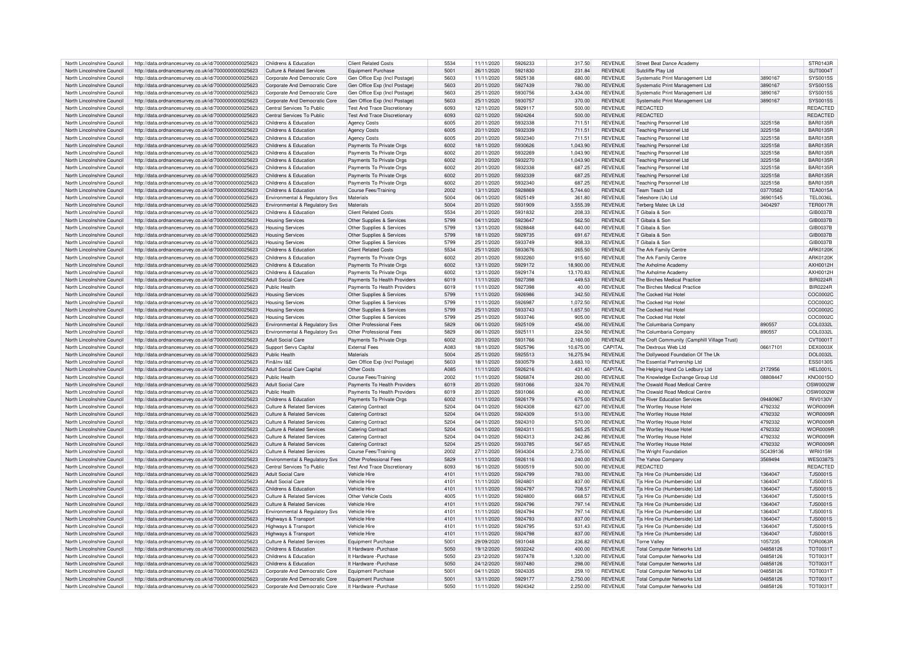| North Lincolnshire Council                               | http://data.ordnancesurvey.co.uk/id/7000000000025623                                                         | Childrens & Education                                          | <b>Client Related Costs</b>                         | 5534         | 11/11/2020               | 5926233            | 317.50               | <b>REVENUE</b>                   | Street Beat Dance Academy                                         |                      | STR0143R                    |
|----------------------------------------------------------|--------------------------------------------------------------------------------------------------------------|----------------------------------------------------------------|-----------------------------------------------------|--------------|--------------------------|--------------------|----------------------|----------------------------------|-------------------------------------------------------------------|----------------------|-----------------------------|
| North Lincolnshire Council                               | http://data.ordnancesurvey.co.uk/id/7000000000025623                                                         | Culture & Related Services                                     | <b>Foujoment Purchase</b>                           | 5001         | 26/11/2020               | 5921830            | 231.84               | <b>REVENUE</b>                   | Sutcliffe Play I td                                               |                      | SUT0004T                    |
|                                                          |                                                                                                              |                                                                |                                                     |              |                          |                    |                      |                                  |                                                                   |                      |                             |
| North Lincolnshire Council                               | http://data.ordnancesurvey.co.uk/id/7000000000025623                                                         | Corporate And Democratic Core                                  | Gen Office Exp (Incl Postage)                       | 5603         | 11/11/2020               | 5925138            | 680.00               | <b>REVENUE</b>                   | Systematic Print Management Ltd                                   | 3890167              | SYS0015S                    |
| North Lincolnshire Council                               | http://data.ordnancesurvey.co.uk/id/7000000000025623                                                         | Corporate And Democratic Core                                  | Gen Office Exp (Incl Postage)                       | 5603         | 20/11/2020               | 5927439            | 780.00               | <b>REVENUE</b>                   | Systematic Print Management Ltd                                   | 3890167              | SYS0015S                    |
| North Lincolnshire Council                               | http://data.ordnancesurvey.co.uk/id/7000000000025623                                                         | Corporate And Democratic Core                                  | Gen Office Exp (Incl Postage                        | 5603         | 25/11/2020               | 5930756            | 3.434.00             | <b>REVENUE</b>                   | Systematic Print Management Ltd                                   | 3890167              | SYS0015S                    |
| North Lincolnshire Council                               | http://data.ordnancesurvey.co.uk/id/7000000000025623                                                         | Corporate And Democratic Core                                  | Gen Office Exp (Incl Postage                        | 5603         | 25/11/2020               | 5930757            | 370.00               | <b>REVENUE</b>                   | Systematic Print Management Ltd                                   | 3890167              | SYS0015S                    |
|                                                          |                                                                                                              |                                                                |                                                     |              |                          | 5929117            |                      |                                  | <b>REDACTED</b>                                                   |                      |                             |
| North Lincolnshire Council                               | http://data.ordnancesurvey.co.uk/id/7000000000025623                                                         | Central Services To Public                                     | Test And Trace Discretionary                        | 6093         | 12/11/2020               |                    | 500.00               | <b>REVENUE</b>                   |                                                                   |                      | REDACTED                    |
| North Lincolnshire Council                               | http://data.ordnancesurvey.co.uk/id/7000000000025623                                                         | Central Services To Public                                     | <b>Test And Trace Discretionary</b>                 | 6093         | 02/11/2020               | 5924264            | 500.00               | <b>REVENUE</b>                   | <b>REDACTED</b>                                                   |                      | REDACTED                    |
| North Lincolnshire Council                               | http://data.ordnancesurvey.co.uk/id/7000000000025623                                                         | Childrens & Education                                          | <b>Agency Costs</b>                                 | 6005         | 20/11/2020               | 5932338            | 711.51               | <b>REVENUE</b>                   | <b>Teaching Personnel Ltd</b>                                     | 3225158              | <b>BAR0135R</b>             |
| North Lincolnshire Council                               | http://data.ordnancesurvey.co.uk/id/7000000000025623                                                         | Childrens & Education                                          | <b>Agency Costs</b>                                 | 6005         | 20/11/2020               | 5932339            | 711.51               | <b>REVENUE</b>                   | <b>Teaching Personnel Ltd</b>                                     | 3225158              | <b>BAR0135R</b>             |
|                                                          |                                                                                                              |                                                                |                                                     |              |                          |                    |                      |                                  |                                                                   |                      |                             |
| North Lincolnshire Council                               | http://data.ordnancesurvey.co.uk/id/7000000000025623                                                         | Childrens & Education                                          | <b>Agency Costs</b>                                 | 6005         | 20/11/2020               | 5932340            | 711.51               | <b>REVENUE</b>                   | <b>Teaching Personnel Ltd</b>                                     | 3225158              | <b>BAR0135R</b>             |
| North Lincolnshire Council                               | http://data.ordnancesurvey.co.uk/id/7000000000025623                                                         | Childrens & Education                                          | Payments To Private Orgs                            | 6002         | 18/11/2020               | 5930626            | 1,043.90             | <b>REVENUE</b>                   | <b>Teaching Personnel Ltd</b>                                     | 3225158              | <b>BAR0135R</b>             |
| North Lincolnshire Council                               | http://data.ordnancesurvey.co.uk/id/7000000000025623                                                         | Childrens & Education                                          | Payments To Private Orgs                            | 6002         | 20/11/2020               | 5932269            | 1.043.90             | <b>REVENUE</b>                   | Teaching Personnel Ltd                                            | 3225158              | <b>BAR0135R</b>             |
| North Lincolnshire Council                               | http://data.ordnancesurvey.co.uk/id/7000000000025623                                                         | Childrens & Education                                          | Payments To Private Orgs                            | 6002         | 20/11/2020               | 5932270            | 1.043.90             | <b>REVENUE</b>                   | <b>Teaching Personnel Ltd</b>                                     | 3225158              | <b>BAR0135R</b>             |
|                                                          |                                                                                                              |                                                                |                                                     |              |                          | 5932338            |                      |                                  |                                                                   |                      |                             |
| North Lincolnshire Council                               | http://data.ordnancesurvey.co.uk/id/7000000000025623                                                         | Childrens & Education                                          | Payments To Private Orgs                            | 6002         | 20/11/2020               |                    | 687.25               | <b>REVENUE</b>                   | <b>Teaching Personnel Ltd</b>                                     | 3225158              | <b>BAR0135R</b>             |
| North Lincolnshire Council                               | http://data.ordnancesurvey.co.uk/id/7000000000025623                                                         | Childrens & Education                                          | Payments To Private Orgs                            | 6002         | 20/11/2020               | 5932339            | 687.25               | <b>REVENUE</b>                   | <b>Teaching Personnel Ltd</b>                                     | 3225158              | <b>BAR0135R</b>             |
| North Lincolnshire Council                               | http://data.ordnancesurvey.co.uk/id/7000000000025623                                                         | Childrens & Education                                          | Payments To Private Orgs                            | 6002         | 20/11/2020               | 5932340            | 687.25               | <b>REVENUE</b>                   | <b>Teaching Personnel Ltd</b>                                     | 3225158              | <b>BAR0135R</b>             |
| North Lincolnshire Council                               | http://data.ordnancesurvey.co.uk/id/7000000000025623                                                         | Childrens & Education                                          | Course Fees/Training                                | 2002         | 13/11/2020               | 5928869            | 5.744.60             | <b>REVENUE</b>                   | Team Teach Ltd                                                    | 03770582             | <b>TEA0015A</b>             |
| North Lincolnshire Council                               |                                                                                                              |                                                                | Materials                                           | 5004         | 06/11/2020               | 5925149            |                      | <b>REVENUE</b>                   |                                                                   |                      | TEL0036L                    |
|                                                          | http://data.ordnancesurvey.co.uk/id/7000000000025623                                                         | Environmental & Regulatory Svs                                 |                                                     |              |                          |                    | 361.80               |                                  | Teleshore (Uk) Ltd                                                | 36901545             |                             |
| North Lincolnshire Council                               | http://data.ordnancesurvey.co.uk/id/7000000000025623                                                         | Environmental & Regulatory Svs                                 | Materials                                           | 5004         | 20/11/2020               | 5931909            | 3,555.39             | <b>REVENUE</b>                   | Terberg Matec Uk Ltd                                              | 3404297              | <b>TER0017F</b>             |
| North Lincolnshire Council                               | http://data.ordnancesurvey.co.uk/id/7000000000025623                                                         | Childrens & Education                                          | <b>Client Related Costs</b>                         | 5534         | 20/11/2020               | 5931832            | 208.33               | <b>REVENUE</b>                   | T Gibala & Son                                                    |                      | GIB0037F                    |
| North Lincolnshire Council                               | http://data.ordnancesurvey.co.uk/id/7000000000025623                                                         | <b>Housing Services</b>                                        | Other Supplies & Services                           | 5799         | 04/11/2020               | 5923647            | 562.50               | <b>REVENUE</b>                   | T Gibala & Son                                                    |                      | GIB0037B                    |
| North Lincolnshire Council                               | http://data.ordnancesurvey.co.uk/id/7000000000025623                                                         | <b>Housing Services</b>                                        | Other Supplies & Services                           | 5799         | 13/11/2020               | 5928848            | 640.00               | <b>REVENUE</b>                   | T Gibala & Son                                                    |                      | GIB0037B                    |
|                                                          |                                                                                                              |                                                                |                                                     |              |                          |                    |                      |                                  |                                                                   |                      |                             |
| North Lincolnshire Council                               | http://data.ordnancesurvey.co.uk/id/7000000000025623                                                         | <b>Housing Services</b>                                        | Other Supplies & Services                           | 5799         | 18/11/2020               | 5929735            | 691.67               | <b>REVENUE</b>                   | T Gibala & Son                                                    |                      | GIB0037B                    |
| North Lincolnshire Council                               | http://data.ordnancesurvey.co.uk/id/7000000000025623                                                         | <b>Housing Services</b>                                        | Other Supplies & Services                           | 5799         | 25/11/2020               | 5933749            | 908.33               | <b>REVENUE</b>                   | T Gibala & Son                                                    |                      | GIB0037B                    |
| North Lincolnshire Council                               | http://data.ordnancesurvey.co.uk/id/7000000000025623                                                         | Childrens & Education                                          | <b>Client Related Costs</b>                         | 5534         | 25/11/2020               | 5933676            | 265.50               | <b>REVENUE</b>                   | The Ark Family Centre                                             |                      | ARK0120K                    |
| North Lincolnshire Council                               | http://data.ordnancesurvey.co.uk/id/7000000000025623                                                         | Childrens & Education                                          | Payments To Private Orgs                            | 6002         | 20/11/2020               | 5932260            | 915.60               | <b>REVENUE</b>                   | The Ark Family Centre                                             |                      | ARK0120K                    |
|                                                          |                                                                                                              |                                                                |                                                     |              |                          |                    |                      |                                  |                                                                   |                      |                             |
| North Lincolnshire Council                               | http://data.ordnancesurvey.co.uk/id/7000000000025623                                                         | Childrens & Education                                          | Payments To Private Orgs                            | 6002         | 13/11/2020               | 5929172            | 18,900.00            | <b>REVENUE</b>                   | The Axholme Academ                                                |                      | AXH0012H                    |
| North Lincolnshire Council                               | http://data.ordnancesurvey.co.uk/id/7000000000025623                                                         | Childrens & Education                                          | Payments To Private Orgs                            | 6002         | 13/11/2020               | 5929174            | 13,170.83            | <b>REVENUE</b>                   | The Axholme Academy                                               |                      | AXH0012H                    |
| North Lincolnshire Council                               | http://data.ordnancesurvey.co.uk/id/7000000000025623                                                         | Adult Social Care                                              | Payments To Health Providers                        | 6019         | 11/11/2020               | 5927398            | 449.53               | <b>REVENUE</b>                   | The Birches Medical Practice                                      |                      | <b>BIR0224R</b>             |
| North Lincolnshire Council                               | http://data.ordnancesurvey.co.uk/id/7000000000025623                                                         | Public Health                                                  | Payments To Health Providers                        | 6019         | 11/11/2020               | 5927398            | 40.00                | <b>REVENUE</b>                   | The Birches Medical Practice                                      |                      | <b>BIR0224R</b>             |
|                                                          |                                                                                                              |                                                                |                                                     |              |                          |                    |                      |                                  |                                                                   |                      |                             |
| North Lincolnshire Council                               | http://data.ordnancesurvey.co.uk/id/7000000000025623                                                         | <b>Housing Services</b>                                        | Other Supplies & Services                           | 5799         | 11/11/2020               | 5926986            | 342.50               | <b>REVENUE</b>                   | The Cocked Hat Hotel                                              |                      | COC0002C                    |
| North Lincolnshire Council                               | http://data.ordnancesurvey.co.uk/id/7000000000025623                                                         | <b>Housing Services</b>                                        | Other Supplies & Services                           | 5799         | 11/11/2020               | 5926987            | 1,072.50             | <b>REVENUE</b>                   | The Cocked Hat Hote                                               |                      | COC00020                    |
| North Lincolnshire Council                               | http://data.ordnancesurvey.co.uk/id/7000000000025623                                                         | <b>Housing Services</b>                                        | Other Supplies & Services                           | 5799         | 25/11/2020               | 5933743            | 1,657.50             | <b>REVENUE</b>                   | The Cocked Hat Hotel                                              |                      | COC0002C                    |
| North Lincolnshire Council                               | http://data.ordnancesurvey.co.uk/id/7000000000025623                                                         | <b>Housing Services</b>                                        | Other Supplies & Services                           | 5799         | 25/11/2020               | 5933746            | 905.00               | <b>REVENUE</b>                   | The Cocked Hat Hote                                               |                      | COC0002C                    |
|                                                          |                                                                                                              |                                                                |                                                     |              |                          |                    |                      |                                  |                                                                   |                      |                             |
| North Lincolnshire Council                               | http://data.ordnancesurvey.co.uk/id/7000000000025623                                                         | <b>Environmental &amp; Regulatory Svs</b>                      | Other Professional Fees                             | 5829         | 06/11/2020               | 5925109            | 456.00               | <b>REVENUE</b>                   | The Columbaria Company                                            | 890557               | COL0332L                    |
| North Lincolnshire Council                               | http://data.ordnancesurvey.co.uk/id/7000000000025623                                                         | Environmental & Regulatory Sys                                 | Other Professional Fees                             | 5829         | 06/11/2020               | 5925111            | 224.50               | <b>REVENUE</b>                   | The Columbaria Company                                            | 890557               | COL0332L                    |
|                                                          |                                                                                                              |                                                                |                                                     |              |                          |                    |                      |                                  |                                                                   |                      |                             |
| North Lincolnshire Council                               |                                                                                                              |                                                                |                                                     | 6002         | 20/11/2020               | 5931766            |                      | <b>REVENUE</b>                   |                                                                   |                      |                             |
|                                                          | http://data.ordnancesurvey.co.uk/id/7000000000025623                                                         | <b>Adult Social Care</b>                                       | Payments To Private Orgs                            |              |                          |                    | 2,160.00             |                                  | The Croft Community (Camphill Village Trust)                      |                      | CVT0001T                    |
| North Lincolnshire Council                               | http://data.ordnancesurvey.co.uk/id/7000000000025623                                                         | Support Servs Capital                                          | <b>External Fees</b>                                | A083         | 18/11/2020               | 5925796            | 10,675.00            | CAPITAI                          | The Dextrous Web Ltd                                              | 06617101             | <b>DEX0003X</b>             |
| North Lincolnshire Council                               | http://data.ordnancesurvey.co.uk/id/7000000000025623                                                         | <b>Public Health</b>                                           | Materials                                           | 5004         | 25/11/2020               | 5925513            | 16,275.94            | <b>REVENUE</b>                   | The Dollywood Foundation Of The Uk                                |                      | <b>DOL0032L</b>             |
| North Lincolnshire Council                               | http://data.ordnancesurvey.co.uk/id/7000000000025623                                                         | Fin&Inv I&F                                                    | Gen Office Exp (Incl Postage)                       | 5603         | 18/11/2020               | 5930579            | 3,683.10             | REVENUE                          | The Essential Partnership Ltd                                     |                      | <b>ESS0130S</b>             |
|                                                          |                                                                                                              |                                                                |                                                     |              |                          |                    |                      |                                  |                                                                   |                      |                             |
| North Lincolnshire Council                               | http://data.ordnancesurvey.co.uk/id/7000000000025623                                                         | <b>Adult Social Care Capital</b>                               | Other Costs                                         | A085         | 11/11/2020               | 5926216            | 431.40               | CAPITAL                          | The Helping Hand Co Ledbury Ltd                                   | 2172956              | <b>HEL0001L</b>             |
| North Lincolnshire Council                               | http://data.ordnancesurvey.co.uk/id/7000000000025623                                                         | Public Health                                                  | Course Fees/Training                                | 2002         | 11/11/2020               | 5926874            | 260.00               | <b>REVENUE</b>                   | The Knowledge Exchange Group Ltd                                  | 08808447             | <b>KNO0015C</b>             |
| North Lincolnshire Council                               | http://data.ordnancesurvey.co.uk/id/7000000000025623                                                         | <b>Adult Social Care</b>                                       | Payments To Health Providers                        | 6019         | 20/11/2020               | 5931066            | 324.70               | <b>REVENUE</b>                   | The Oswald Road Medical Centre                                    |                      | OSW0002V                    |
| North Lincolnshire Council                               | http://data.ordnancesurvey.co.uk/id/7000000000025623                                                         | <b>Public Health</b>                                           | Payments To Health Providers                        | 6019         | 20/11/2020               | 5931066            | 40.00                | <b>REVENUE</b>                   | The Oswald Road Medical Centre                                    |                      | OSW0002V                    |
| North Lincolnshire Council                               |                                                                                                              | Childrens & Education                                          |                                                     | 6002         | 11/11/2020               | 5926179            | 675.00               | <b>REVENUE</b>                   | The River Education Services                                      | 09480967             | <b>RIV0130V</b>             |
|                                                          | http://data.ordnancesurvey.co.uk/id/7000000000025623                                                         |                                                                | Payments To Private Orgs                            |              |                          | 5924308            |                      |                                  |                                                                   |                      |                             |
| North Lincolnshire Council                               | http://data.ordnancesurvey.co.uk/id/7000000000025623                                                         | <b>Culture &amp; Related Services</b>                          | <b>Catering Contract</b>                            | 5204         | 04/11/2020               |                    | 627.00               | <b>REVENUE</b>                   | The Wortley House Hotel                                           | 4792332              | WOR0009F                    |
| North Lincolnshire Council                               | http://data.ordnancesurvey.co.uk/id/7000000000025623                                                         | <b>Culture &amp; Related Services</b>                          | <b>Catering Contract</b>                            | 5204         | 04/11/2020               | 5924309            | 513.00               | <b>REVENUE</b>                   | The Wortley House Hotel                                           | 4792332              | WOR0009F                    |
| North Lincolnshire Council                               | http://data.ordnancesurvey.co.uk/id/7000000000025623                                                         | Culture & Related Services                                     | <b>Catering Contract</b>                            | 5204         | 04/11/2020               | 5924310            | 570.00               | <b>REVENUE</b>                   | The Wortley House Hotel                                           | 4792332              | WOR0009F                    |
| North Lincolnshire Council                               | http://data.ordnancesurvey.co.uk/id/7000000000025623                                                         | <b>Culture &amp; Related Services</b>                          | <b>Catering Contract</b>                            | 5204         | 04/11/2020               | 5924311            | 565.25               | <b>REVENUE</b>                   | The Wortley House Hotel                                           | 4792332              | WOR0009R                    |
|                                                          |                                                                                                              | Culture & Related Services                                     |                                                     | 5204         |                          | 5924313            |                      | <b>REVENUE</b>                   |                                                                   |                      | <b>WOR0009R</b>             |
| North Lincolnshire Council                               | http://data.ordnancesurvey.co.uk/id/7000000000025623                                                         |                                                                | <b>Catering Contract</b>                            |              | 04/11/2020               |                    | 242.86               |                                  | The Wortley House Hotel                                           | 4792332              |                             |
| North Lincolnshire Council                               | http://data.ordnancesurvey.co.uk/id/7000000000025623                                                         | <b>Culture &amp; Related Services</b>                          | <b>Catering Contract</b>                            | 5204         | 25/11/2020               | 5933785            | 567.65               | <b>REVENUE</b>                   | The Wortley House Hotel                                           | 4792332              | <b>WOR0009R</b>             |
| North Lincolnshire Council                               | http://data.ordnancesurvey.co.uk/id/7000000000025623                                                         | Culture & Related Services                                     | Course Fees/Training                                | 2002         | 27/11/2020               | 5934304            | 2,735.00             | <b>REVENUE</b>                   | The Wright Foundation                                             | SC439136             | WRI0159I                    |
| North Lincolnshire Council                               | http://data.ordnancesurvey.co.uk/id/7000000000025623                                                         | Environmental & Regulatory Svs                                 | Other Professional Fees                             | 5829         | 11/11/2020               | 5926116            | 240.00               | <b>REVENUE</b>                   | The Yahoo Company                                                 | 3569494              | <b>WES03879</b>             |
|                                                          |                                                                                                              |                                                                |                                                     |              |                          |                    |                      |                                  | <b>REDACTED</b>                                                   |                      |                             |
| North Lincolnshire Council                               | http://data.ordnancesurvey.co.uk/id/7000000000025623                                                         | Central Services To Public                                     | <b>Test And Trace Discretionary</b>                 | 6093         | 16/11/2020               | 5930519            | 500.00               | <b>REVENUE</b>                   |                                                                   |                      | REDACTED                    |
| North Lincolnshire Council                               | http://data.ordnancesurvey.co.uk/id/7000000000025623                                                         | Adult Social Care                                              | Vehicle Hire                                        | 4101         | 11/11/2020               | 5924799            | 783.00               | <b>REVENUE</b>                   | Tis Hire Co (Humberside) I td                                     | 1364047              | <b>TJS0001S</b>             |
| North Lincolnshire Council                               | http://data.ordnancesurvey.co.uk/id/7000000000025623                                                         | Adult Social Care                                              | Vehicle Hire                                        | 4101         | 11/11/2020               | 5924801            | 837.00               | <b>REVENUE</b>                   | Tis Hire Co (Humberside) Ltd                                      | 1364047              | <b>TJS0001S</b>             |
| North Lincolnshire Council                               | http://data.ordnancesurvey.co.uk/id/7000000000025623                                                         | Childrens & Education                                          | Vehicle Hire                                        | 4101         | 11/11/2020               | 5924797            | 708.57               | <b>REVENUE</b>                   | Tis Hire Co (Humberside) I td                                     | 1364047              | <b>TJS0001S</b>             |
| North Lincolnshire Council                               | http://data.ordnancesurvey.co.uk/id/7000000000025623                                                         | <b>Culture &amp; Related Services</b>                          | Other Vehicle Costs                                 | 4005         | 11/11/2020               | 5924800            | 668.57               | <b>REVENUE</b>                   | Tjs Hire Co (Humberside) Ltd                                      | 1364047              | <b>TJS0001S</b>             |
|                                                          |                                                                                                              |                                                                |                                                     |              |                          |                    |                      |                                  |                                                                   |                      |                             |
| North Lincolnshire Council                               | http://data.ordnancesurvey.co.uk/id/7000000000025623                                                         | Culture & Related Services                                     | Vehicle Hire                                        | 4101         | 11/11/2020               | 5924796            | 797.14               | <b>REVENUE</b>                   | Tjs Hire Co (Humberside) Ltd                                      | 1364047              | <b>TJS0001S</b>             |
| North Lincolnshire Council                               | http://data.ordnancesurvey.co.uk/id/7000000000025623                                                         | Environmental & Regulatory Svs                                 | Vehicle Hire                                        | 4101         | 11/11/2020               | 5924794            | 797.14               | REVENUE                          | Tis Hire Co (Humberside) Ltd                                      | 1364047              | <b>TJS0001S</b>             |
| North Lincolnshire Council                               | http://data.ordnancesurvey.co.uk/id/7000000000025623                                                         | Highways & Transport                                           | Vehicle Hire                                        | 4101         | 11/11/2020               | 5924793            | 837.00               | <b>REVENUE</b>                   | Tis Hire Co (Humberside) I td                                     | 1364047              | <b>TJS0001S</b>             |
| North Lincolnshire Council                               | http://data.ordnancesurvey.co.uk/id/7000000000025623                                                         | Highways & Transport                                           | Vehicle Hire                                        | 4101         | 11/11/2020               | 5924795            | 531.43               | <b>REVENUE</b>                   | Tjs Hire Co (Humberside) Ltd                                      | 1364047              | <b>TJS0001S</b>             |
| North Lincolnshire Council                               |                                                                                                              |                                                                | Vehicle Hire                                        |              |                          | 5924798            |                      |                                  |                                                                   |                      |                             |
|                                                          | http://data.ordnancesurvey.co.uk/id/7000000000025623                                                         | Highways & Transport                                           |                                                     | 4101         | 11/11/2020               |                    | 837.00               | <b>REVENUE</b>                   | Tjs Hire Co (Humberside) Ltd                                      | 1364047              | <b>TJS0001S</b>             |
| North Lincolnshire Council                               | http://data.ordnancesurvey.co.uk/id/7000000000025623                                                         | Culture & Related Services                                     | Foujoment Purchase                                  | 5001         | 29/09/2020               | 5931048            | 236.82               | <b>REVENUE</b>                   | <b>Torne Valley</b>                                               | 1057235              | <b>TOR0063F</b>             |
| North Lincolnshire Council                               | http://data.ordnancesurvey.co.uk/id/7000000000025623                                                         | Childrens & Education                                          | It Hardware - Purchase                              | 5050         | 19/12/2020               | 5932242            | 400.00               | <b>REVENUE</b>                   | <b>Total Computer Networks Ltd</b>                                | 04858126             | TOT0031T                    |
| North Lincolnshire Council                               | http://data.ordnancesurvey.co.uk/id/7000000000025623                                                         | Childrens & Education                                          | It Hardware - Purchase                              | 5050         | 23/12/2020               | 5937478            | 1.320.00             | <b>REVENUE</b>                   | <b>Total Computer Networks Ltd</b>                                | 04858126             | TOT0031T                    |
| North Lincolnshire Council                               | http://data.ordnancesurvey.co.uk/id/7000000000025623                                                         | Childrens & Education                                          | It Hardware - Purchase                              | 5050         | 24/12/2020               | 5937480            | 298.00               | <b>REVENUE</b>                   | <b>Total Computer Networks Ltd</b>                                | 04858126             | <b>TOT0031T</b>             |
|                                                          |                                                                                                              |                                                                |                                                     |              |                          |                    |                      |                                  |                                                                   |                      |                             |
| North Lincolnshire Council                               | http://data.ordnancesurvey.co.uk/id/7000000000025623                                                         | Corporate And Democratic Core                                  | <b>Equipment Purchase</b>                           | 5001         | 04/11/2020               | 5924335            | 259.10               | <b>REVENUE</b>                   | <b>Total Computer Networks Ltd</b>                                | 04858126             | <b>TOT0031T</b>             |
| North Lincolnshire Council<br>North Lincolnshire Council | http://data.ordnancesurvey.co.uk/id/7000000000025623<br>http://data.ordnancesurvey.co.uk/id/7000000000025623 | Corporate And Democratic Core<br>Corporate And Democratic Core | <b>Equipment Purchase</b><br>It Hardware - Purchase | 5001<br>5050 | 13/11/2020<br>11/11/2020 | 5929177<br>5924342 | 2,750.00<br>2.250.00 | <b>REVENUE</b><br><b>REVENUE</b> | <b>Total Computer Networks Ltd</b><br>Total Computer Networks Ltd | 04858126<br>04858126 | <b>TOT0031T</b><br>TOT0031T |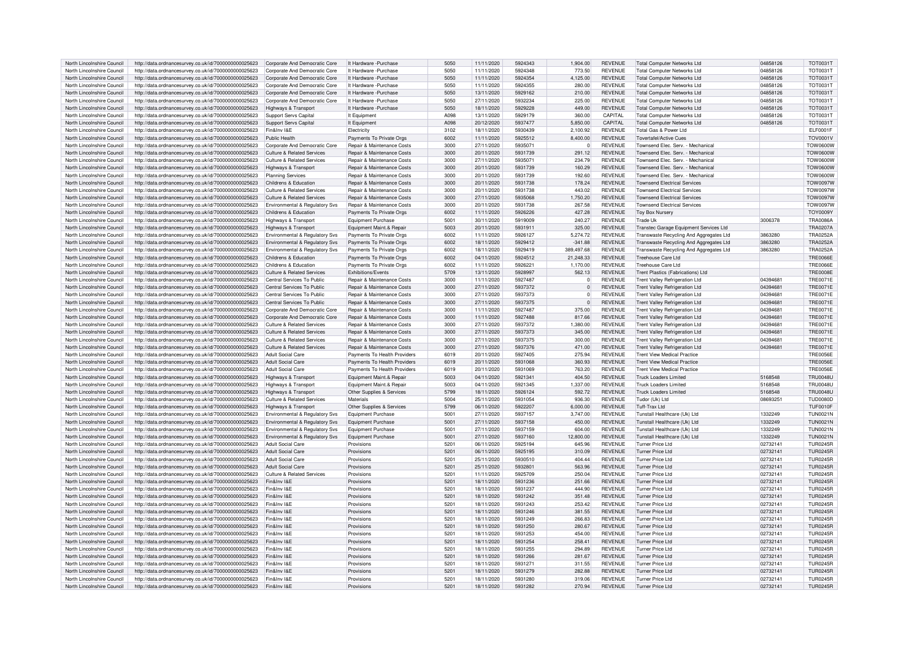| North Lincolnshire Council | http://data.ordnancesurvey.co.uk/id/7000000000025623                                                         | Corporate And Democratic Core             | It Hardware - Purchase                | 5050             | 11/11/2020 | 5924343            | 1.904.00        | <b>REVENUE</b> | <b>Total Computer Networks Ltd</b>      | 04858126             | TOT0031                     |
|----------------------------|--------------------------------------------------------------------------------------------------------------|-------------------------------------------|---------------------------------------|------------------|------------|--------------------|-----------------|----------------|-----------------------------------------|----------------------|-----------------------------|
| North Lincolnshire Council | http://data.ordnancesurvey.co.uk/id/7000000000025623                                                         | Corporate And Democratic Core             | It Hardware - Purchase                | 5050             | 11/11/2020 | 5924348            | 773.50          | <b>REVENUE</b> | <b>Total Computer Networks Ltd</b>      | 04858126             | TOT0031T                    |
| North Lincolnshire Council | http://data.ordnancesurvey.co.uk/id/7000000000025623                                                         | Corporate And Democratic Core             | It Hardware - Purchase                | 5050             | 11/11/2020 | 5924354            | 4.125.00        | <b>REVENUE</b> | <b>Total Computer Networks Ltd</b>      | 04858126             | TOT0031T                    |
| North Lincolnshire Council | http://data.ordnancesurvey.co.uk/id/7000000000025623                                                         | Corporate And Democratic Core             | It Hardware - Purchase                | 5050             | 11/11/2020 | 5924355            | 280.00          | <b>REVENUE</b> | <b>Total Computer Networks Ltd</b>      | 04858126             | TOT0031T                    |
| North Lincolnshire Council | http://data.ordnancesurvey.co.uk/id/7000000000025623                                                         | Corporate And Democratic Core             | It Hardware - Purchase                | 5050             | 13/11/2020 | 5929162            | 210.00          | <b>REVENUE</b> | <b>Total Computer Networks Ltd</b>      | 04858126             | <b>TOT0031T</b>             |
| North Lincolnshire Council | http://data.ordnancesurvey.co.uk/id/7000000000025623                                                         | Corporate And Democratic Core             | It Hardware - Purchase                | 5050             | 27/11/2020 | 5932234            | 225.00          | <b>REVENUE</b> | <b>Total Computer Networks Ltd</b>      | 04858126             | <b>TOT0031T</b>             |
| North Lincolnshire Council | http://data.ordnancesurvey.co.uk/id/7000000000025623                                                         | Highways & Transport                      | It Hardware - Purchase                | 5050             | 18/11/2020 | 5929228            | 449.00          | <b>REVENUE</b> | <b>Total Computer Networks Ltd</b>      | 04858126             | TOT0031T                    |
| North Lincolnshire Council | http://data.ordnancesurvey.co.uk/id/7000000000025623                                                         | Support Servs Capital                     | It Equipment                          | A098             | 13/11/2020 | 5929179            | 360.00          | CAPITAL        | <b>Total Computer Networks Ltd</b>      | 04858126             | TOT0031T                    |
| North Lincolnshire Council | http://data.ordnancesurvey.co.uk/id/7000000000025623                                                         | Support Servs Capital                     | It Equipment                          | A098             | 20/12/2020 | 5937477            | 5,850.00        | CAPITAL        | <b>Total Computer Networks Ltd</b>      | 04858126             | TOT0031T                    |
| North Lincolnshire Council | http://data.ordnancesurvey.co.uk/id/7000000000025623                                                         | Fin&Inv I&E                               | Electricity                           | 3102             | 18/11/2020 | 5930439            | 2.100.92        | <b>REVENUE</b> | Total Gas & Power Ltd                   |                      | ELF0001F                    |
| North Lincolnshire Council | http://data.ordnancesurvey.co.uk/id/7000000000025623                                                         | Public Health                             | Payments To Private Orgs              | 6002             | 11/11/2020 | 5925512            | 8,400.00        | <b>REVENUE</b> | <b>Tovertafel/Active Cues</b>           |                      | <b>TOV0001V</b>             |
| North Lincolnshire Council | http://data.ordnancesurvey.co.uk/id/7000000000025623                                                         | Corporate And Democratic Core             | Repair & Maintenance Costs            | 3000             | 27/11/2020 | 5935071            | $\Omega$        | <b>REVENUE</b> | Townsend Flec. Serv. - Mechanical       |                      | <b>TOW0600W</b>             |
| North Lincolnshire Council | http://data.ordnancesurvey.co.uk/id/7000000000025623                                                         | <b>Culture &amp; Related Services</b>     | Repair & Maintenance Costs            | 3000             | 20/11/2020 | 5931739            | 291.12          | <b>REVENUE</b> | Townsend Elec. Serv. - Mechanical       |                      | <b>TOW0600W</b>             |
| North Lincolnshire Council | http://data.ordnancesurvey.co.uk/id/7000000000025623                                                         | Culture & Related Services                | <b>Benair &amp; Maintenance Costs</b> | 3000             | 27/11/2020 | 5935071            | 234.79          | <b>REVENUE</b> | Townsend Flec. Serv. - Mechanical       |                      | <b>TOW0600W</b>             |
| North Lincolnshire Council | http://data.ordnancesurvey.co.uk/id/7000000000025623                                                         | Highways & Transport                      | Repair & Maintenance Costs            | 3000             | 20/11/2020 | 5931739            | 160.29          | <b>REVENUE</b> | Townsend Elec. Serv. - Mechanical       |                      | <b>TOW0600W</b>             |
| North Lincolnshire Council | http://data.ordnancesurvey.co.uk/id/7000000000025623                                                         | <b>Planning Services</b>                  | Repair & Maintenance Costs            | 3000             | 20/11/2020 | 5931739            | 192.60          | <b>REVENUE</b> | Townsend Elec, Serv - Mechanical        |                      | <b>TOW0600W</b>             |
| North Lincolnshire Council |                                                                                                              | Childrens & Education                     | Repair & Maintenance Costs            | 3000             | 20/11/2020 | 5931738            | 178.24          | <b>REVENUE</b> | <b>Townsend Flectrical Services</b>     |                      | <b>TOW0097W</b>             |
| North Lincolnshire Council | http://data.ordnancesurvey.co.uk/id/7000000000025623<br>http://data.ordnancesurvey.co.uk/id/7000000000025623 | <b>Culture &amp; Related Services</b>     | Repair & Maintenance Costs            | 3000             | 20/11/2020 | 5931738            | 443.02          | <b>REVENUE</b> | <b>Townsend Electrical Services</b>     |                      | <b>TOW0097W</b>             |
| North Lincolnshire Council |                                                                                                              | <b>Culture &amp; Related Services</b>     | Repair & Maintenance Costs            | 3000             | 27/11/2020 | 5935068            | 1.750.20        | <b>REVENUE</b> | <b>Townsend Electrical Services</b>     |                      | <b>TOW0097W</b>             |
| North Lincolnshire Council | http://data.ordnancesurvey.co.uk/id/7000000000025623                                                         | <b>Fnvironmental &amp; Requlatory Sys</b> | Repair & Maintenance Costs            | 3000             | 20/11/2020 | 5931738            | 267.58          | <b>REVENUE</b> | <b>Townsend Electrical Services</b>     |                      | <b>TOW0097W</b>             |
| North Lincolnshire Council | http://data.ordnancesurvey.co.uk/id/7000000000025623                                                         | Childrens & Education                     |                                       | 6002             |            | 5926226            |                 |                | <b>Toy Box Nursery</b>                  |                      |                             |
|                            | http://data.ordnancesurvey.co.uk/id/7000000000025623                                                         |                                           | Payments To Private Orgs              | 5001             | 11/11/2020 | 5919009            | 427.28          | <b>REVENUE</b> |                                         | 3006378              | <b>TOY0009Y</b>             |
| North Lincolnshire Council | http://data.ordnancesurvey.co.uk/id/7000000000025623                                                         | Highways & Transport                      | <b>Equipment Purchase</b>             |                  | 30/11/2020 |                    | 240.27          | <b>REVENUE</b> | Trade U                                 |                      | <b>TRA0086A</b>             |
| North Lincolnshire Council | http://data.ordnancesurvey.co.uk/id/7000000000025623                                                         | Highways & Transport                      | Equipment Maint.& Repair              | 5003             | 20/11/2020 | 5931911            | 325.00          | <b>REVENUE</b> | Transtec Garage Equipment Services Ltd  |                      | <b>TRA0207A</b>             |
| North Lincolnshire Council | http://data.ordnancesurvey.co.uk/id/7000000000025623                                                         | Environmental & Regulatory Svs            | Payments To Private Orgs              | 6002             | 11/11/2020 | 5926127            | 5.274.72        | <b>REVENUE</b> | Transwaste Recycling And Aggregates Ltd | 3863280              | TRA0252A                    |
| North Lincolnshire Council | http://data.ordnancesurvey.co.uk/id/7000000000025623                                                         | Environmental & Regulatory Sys            | Payments To Private Oras              | 6002             | 18/11/2020 | 5929412            | $-341.88$       | <b>REVENUE</b> | Transwaste Recycling And Aggregates Ltd | 3863280              | <b>TRA0252A</b>             |
| North Lincolnshire Council | http://data.ordnancesurvey.co.uk/id/7000000000025623                                                         | Environmental & Regulatory Svs            | Payments To Private Orgs              | 6002             | 18/11/2020 | 5929419            | 389.497.68      | <b>REVENUE</b> | Transwaste Recycling And Aggregates Ltd | 3863280              | <b>TRA0252A</b>             |
| North Lincolnshire Council | http://data.ordnancesurvey.co.uk/id/7000000000025623                                                         | Childrens & Education                     | Payments To Private Orgs              | 6002             | 04/11/2020 | 5924512            | 21.248.33       | <b>REVENUE</b> | Treehouse Care Ltd                      |                      | <b>TRE0066E</b>             |
| North Lincolnshire Council | http://data.ordnancesurvey.co.uk/id/7000000000025623                                                         | Childrens & Education                     | Payments To Private Orgs              | 6002             | 11/11/2020 | 5926221            | 1,170.00        | <b>REVENUE</b> | Treehouse Care Ltd                      |                      | <b>TRE0066E</b>             |
| North Lincolnshire Council | http://data.ordnancesurvey.co.uk/id/7000000000025623                                                         | Culture & Related Services                | <b>Exhibitions/Fvents</b>             | 5709             | 13/11/2020 | 5928997            | 562.13          | <b>REVENUE</b> | Trent Plastics (Fabrications) Ltd       |                      | <b>TRE0008E</b>             |
| North Lincolnshire Council | http://data.ordnancesurvey.co.uk/id/7000000000025623                                                         | Central Services To Public                | Repair & Maintenance Costs            | 3000             | 11/11/2020 | 5927487            | $\Omega$        | <b>REVENUE</b> | <b>Trent Valley Refrigeration Ltd</b>   | 0439468              | <b>TRE0071E</b>             |
| North Lincolnshire Council | http://data.ordnancesurvey.co.uk/id/7000000000025623                                                         | Central Services To Public                | Repair & Maintenance Costs            | 3000             | 27/11/2020 | 5937372            | $\Omega$        | <b>REVENUE</b> | <b>Trent Valley Refrigeration Ltd</b>   | 04394681             | <b>TRE0071E</b>             |
| North Lincolnshire Council | http://data.ordnancesurvey.co.uk/id/7000000000025623                                                         | Central Services To Public                | Repair & Maintenance Costs            | 3000             | 27/11/2020 | 5937373            | $\Omega$        | <b>REVENUE</b> | Trent Valley Refrigeration Ltd          | 04394681             | <b>TRE0071E</b>             |
| North Lincolnshire Council | http://data.ordnancesurvey.co.uk/id/7000000000025623                                                         | Central Services To Public                | Repair & Maintenance Costs            | 3000             | 27/11/2020 | 5937375            | $\Omega$        | <b>REVENUE</b> | <b>Trent Valley Refrigeration Ltd</b>   | 04394681             | <b>TRE0071E</b>             |
| North Lincolnshire Council | http://data.ordnancesurvey.co.uk/id/7000000000025623                                                         | Corporate And Democratic Core             | Repair & Maintenance Costs            | 3000             | 11/11/2020 | 5927487            | 375.00          | <b>REVENUE</b> | Trent Valley Refrigeration Ltd          | 04394681             | <b>TRE0071E</b>             |
| North Lincolnshire Council | http://data.ordnancesurvey.co.uk/id/7000000000025623                                                         | Corporate And Democratic Core             | <b>Benair &amp; Maintenance Costs</b> | 3000             | 11/11/2020 | 5927488            | 817.66          | <b>REVENUE</b> | <b>Trent Valley Refrigeration Ltd</b>   | 04394681             | TRF0071F                    |
| North Lincolnshire Council | http://data.ordnancesurvey.co.uk/id/7000000000025623                                                         | Culture & Related Services                | <b>Renair &amp; Maintenance Costs</b> | 3000             | 27/11/2020 | 5937372            | 1.380.00        | <b>REVENUE</b> | <b>Trent Valley Refrigeration Ltd</b>   | 04394681             | <b>TRE0071E</b>             |
| North Lincolnshire Council | http://data.ordnancesurvey.co.uk/id/7000000000025623                                                         | Culture & Related Services                | Repair & Maintenance Costs            | 3000             | 27/11/2020 | 5937373            | 345.00          | <b>REVENUE</b> | Trent Valley Refrigeration Ltd          | 04394681             | <b>TRE0071E</b>             |
| North Lincolnshire Council | http://data.ordnancesurvey.co.uk/id/7000000000025623                                                         | Culture & Related Services                | <b>Benair &amp; Maintenance Costs</b> | 3000             | 27/11/2020 | 5937375            | 300.00          | <b>REVENUE</b> | Trent Valley Refrigeration Ltd          | 0439468              | <b>TRE0071E</b>             |
| North Lincolnshire Council | http://data.ordnancesurvey.co.uk/id/7000000000025623                                                         | <b>Culture &amp; Related Services</b>     | Repair & Maintenance Costs            | 3000             | 27/11/2020 | 5937376            | 471.00          | <b>REVENUE</b> | <b>Trent Valley Refrigeration Ltd</b>   | 0439468              | <b>TRE0071E</b>             |
| North Lincolnshire Council | http://data.ordnancesurvey.co.uk/id/7000000000025623                                                         | Adult Social Care                         | Payments To Health Providers          | 6019             | 20/11/2020 | 5927405            | 275.94          | <b>REVENUE</b> | <b>Trent View Medical Practice</b>      |                      | <b>TRE0056E</b>             |
| North Lincolnshire Council | http://data.ordnancesurvey.co.uk/id/7000000000025623                                                         | Adult Social Care                         | Payments To Health Providers          | 6019             | 20/11/2020 | 5931068            | 360.93          | <b>REVENUE</b> | <b>Trent View Medical Practice</b>      |                      | <b>TRE0056E</b>             |
| North Lincolnshire Council | http://data.ordnancesurvey.co.uk/id/7000000000025623                                                         | <b>Adult Social Care</b>                  | Payments To Health Providers          | 6019             | 20/11/2020 | 5931069            | 763.20          | <b>REVENUE</b> | <b>Trent View Medical Practice</b>      |                      | <b>TRE0056E</b>             |
| North Lincolnshire Council | http://data.ordnancesurvey.co.uk/id/7000000000025623                                                         | Highways & Transport                      | Equipment Maint.& Repair              | 5003             | 04/11/2020 | 5921341            | 404.50          | <b>REVENUE</b> | Truck Loaders Limited                   | 5168548              | <b>TRU0048U</b>             |
| North Lincolnshire Council | http://data.ordnancesurvey.co.uk/id/7000000000025623                                                         | Highways & Transport                      | Equipment Maint.& Repair              | 5003             | 04/11/2020 | 5921345            | 1.337.00        | <b>REVENUE</b> | Truck Loaders Limited                   | 5168548              | <b>TRU0048U</b>             |
| North Lincolnshire Council | http://data.ordnancesurvey.co.uk/id/7000000000025623                                                         | Highways & Transport                      | Other Supplies & Services             | 5799             | 18/11/2020 | 5926124            | 592.72          | <b>REVENUE</b> | Truck Loaders Limited                   | 5168548              | <b>TRU0048U</b>             |
| North Lincolnshire Council | http://data.ordnancesurvey.co.uk/id/7000000000025623                                                         | Culture & Related Services                | Materials                             | 5004             | 25/11/2020 | 5931054            | 936.30          | <b>REVENUE</b> | Tudor (Uk) Ltd                          | 08693251             | <b>TUD0080D</b>             |
| North Lincolnshire Council | http://data.ordnancesurvey.co.uk/id/7000000000025623                                                         | Highways & Transport                      | Other Supplies & Services             | 5799             | 06/11/2020 | 5922207            | 6,000.00        | <b>REVENUE</b> | Tuff-Trax I td                          |                      | TUF0010F                    |
| North Lincolnshire Council | http://data.ordnancesurvey.co.uk/id/7000000000025623                                                         | Environmental & Regulatory Svs            | Equipment Purchase                    | 5001             | 27/11/2020 | 5937157            | 3,747.00        | <b>REVENUE</b> | Tunstall Healthcare (Uk) Ltd            | 1332249              | <b>TUN0021N</b>             |
| North Lincolnshire Council | http://data.ordnancesurvey.co.uk/id/7000000000025623                                                         | Environmental & Regulatory Svs            | <b>Equipment Purchase</b>             | 5001             | 27/11/2020 | 5937158            | 450.00          | <b>REVENUE</b> | Tunstall Healthcare (Uk) Ltd            | 1332249              | <b>TUN0021N</b>             |
| North Lincolnshire Council | http://data.ordnancesurvey.co.uk/id/7000000000025623                                                         | Environmental & Regulatory Svs            | <b>Equipment Purchase</b>             | $500^{\circ}$    | 27/11/2020 | 5937159            | 604.00          | <b>REVENUE</b> | Tunstall Healthcare (Uk) Ltd            | 1332249              | <b>TUN0021N</b>             |
| North Lincolnshire Council | http://data.ordnancesurvey.co.uk/id/7000000000025623                                                         | Environmental & Regulatory Svs            | Equipment Purchase                    | 5001             | 27/11/2020 | 5937160            | 12,800.00       | <b>REVENUE</b> | Tunstall Healthcare (Uk) Ltd            | 1332249              | <b>TUN0021N</b>             |
| North Lincolnshire Council | http://data.ordnancesurvey.co.uk/id/7000000000025623                                                         | <b>Adult Social Care</b>                  | Provisions                            | 5201             | 06/11/2020 | 5925194            | 645.96          | <b>REVENUE</b> | Turner Price I td                       | 02732141             | <b>TUR0245R</b>             |
| North Lincolnshire Council | http://data.ordnancesurvey.co.uk/id/7000000000025623                                                         | Adult Social Care                         | Provisions                            | 5201             | 06/11/2020 | 5925195            | 310.09          | <b>REVENUE</b> | Turner Price I td                       | 02732141             | TUR0245B                    |
| North Lincolnshire Council | http://data.ordnancesurvey.co.uk/id/7000000000025623                                                         | <b>Adult Social Care</b>                  | Provisions                            | 5201             | 25/11/2020 | 5930510            | 404.44          | <b>REVENUE</b> | Turner Price Ltd                        | 02732141             | <b>TUR0245R</b>             |
| North Lincolnshire Council | http://data.ordnancesurvey.co.uk/id/7000000000025623                                                         | Adult Social Care                         | Provisions                            | 5201             | 25/11/2020 | 5932801            | 563.96          | <b>REVENUE</b> | Turner Price Ltd                        | 02732141             | <b>TUR0245R</b>             |
| North Lincolnshire Council | http://data.ordnancesurvey.co.uk/id/7000000000025623                                                         | Culture & Related Services                | Provisions                            | 520 <sup>1</sup> | 11/11/2020 | 5925709            | 250.04          | <b>REVENUE</b> | Turner Price I td                       | 02732141             | <b>TUR0245R</b>             |
| North Lincolnshire Council | http://data.ordnancesurvey.co.uk/id/7000000000025623                                                         | Fin&Inv I&F                               | Provisions                            | 5201             | 18/11/2020 | 5931236            | 251.66          | <b>REVENUE</b> | Turner Price Ltd                        | 02732141             | <b>TUR0245R</b>             |
| North Lincolnshire Council | http://data.ordnancesurvey.co.uk/id/7000000000025623                                                         | Fin&Inv I&F                               | Provisions                            | 5201             | 18/11/2020 | 5931237            | 444.90          | <b>REVENUE</b> | Turner Price I td                       | 02732141             | <b>TUR0245R</b>             |
| North Lincolnshire Council | http://data.ordnancesurvey.co.uk/id/7000000000025623                                                         | Fin&Inv I&F                               | Provisions                            | 5201             | 18/11/2020 | 5931242            | 351.48          | <b>REVENUE</b> | Turner Price Ltd                        | 02732141             | <b>TUR0245R</b>             |
| North Lincolnshire Council | http://data.ordnancesurvey.co.uk/id/7000000000025623                                                         | Fin&Inv I&E                               | Provisions                            | 520 <sup>°</sup> | 18/11/2020 | 5931243            | 253.42          | <b>REVENUE</b> | Turner Price Ltd                        | 02732141             | <b>TUR0245R</b>             |
| North Lincolnshire Council | http://data.ordnancesurvey.co.uk/id/7000000000025623                                                         | Fin&Inv I&E                               | Provisions                            | 5201             | 18/11/2020 | 5931246            | 381.55          | <b>REVENUE</b> | Turner Price Ltd                        | 02732141             | <b>TUR0245R</b>             |
| North Lincolnshire Council | http://data.ordnancesurvey.co.uk/id/7000000000025623                                                         | Fin&Inv I&F                               | Provisions                            | 5201             | 18/11/2020 | 5931249            | 266.83          | <b>REVENUE</b> | Turner Price I td                       | 02732141             | <b>TUR0245R</b>             |
| North Lincolnshire Council | http://data.ordnancesurvey.co.uk/id/7000000000025623                                                         | Fin&Inv I&F                               | Provisions                            | 5201             | 18/11/2020 | 5931250            | 280.67          | <b>REVENUE</b> | Turner Price I td                       | 02732141             | <b>TUR0245R</b>             |
| North Lincolnshire Council |                                                                                                              | Fin&Inv I&E                               | Provisions                            | 520 <sup>°</sup> |            | 5931253            |                 | <b>REVENUE</b> | <b>Turner Price Ltd</b>                 |                      |                             |
|                            | http://data.ordnancesurvey.co.uk/id/7000000000025623                                                         | Fin&Inv I&F                               | Provisions                            | 520 <sup>1</sup> | 18/11/2020 | 5931254            | 454.00<br>258.4 | <b>REVENUE</b> | Turner Price I td                       | 02732141<br>02732141 | <b>TUR0245R</b><br>TUR0245B |
| North Lincolnshire Council | http://data.ordnancesurvey.co.uk/id/7000000000025623                                                         | Fin&Inv I&F                               |                                       | 5201             | 18/11/2020 | 5931255            | 294.89          |                |                                         |                      |                             |
| North Lincolnshire Council | http://data.ordnancesurvey.co.uk/id/7000000000025623                                                         |                                           | Provisions                            |                  | 18/11/2020 |                    |                 | <b>REVENUE</b> | Turner Price Ltd                        | 02732141             | <b>TUR0245R</b>             |
| North Lincolnshire Council | http://data.ordnancesurvey.co.uk/id/7000000000025623                                                         | Fin&Inv I&E<br>Fin&Inv I&F                | Provisions                            | 5201<br>5201     | 18/11/2020 | 5931266<br>5931271 | 281.67          | <b>REVENUE</b> | Turner Price Ltd<br>Turner Price Ltd    | 02732141             | <b>TUR0245R</b>             |
| North Lincolnshire Council | http://data.ordnancesurvey.co.uk/id/7000000000025623                                                         |                                           | Provisions                            |                  | 18/11/2020 |                    | 311.55          | <b>REVENUE</b> |                                         | 02732141             | <b>TUR0245R</b>             |
| North Lincolnshire Council | http://data.ordnancesurvey.co.uk/id/7000000000025623                                                         | Fin&Inv I&F                               | Provisions                            | 5201             | 18/11/2020 | 5931279            | 282.88          | <b>REVENUE</b> | Turner Price Ltd                        | 02732141             | <b>TUR0245R</b>             |
| North Lincolnshire Council | http://data.ordnancesurvey.co.uk/id/7000000000025623                                                         | Fin&Inv I&F                               | Provisions                            | $520 -$          | 18/11/2020 | 5931280            | 319.06          | <b>REVENUE</b> | Turner Price I td                       | 02732141             | <b>TUR0245R</b>             |
| North Lincolnshire Council | http://data.ordnancesurvey.co.uk/id/7000000000025623                                                         | Fin&Inv I&F                               | Provisions                            | 520 <sup>1</sup> | 18/11/2020 | 5931282            | 270.94          | <b>REVENUE</b> | Turner Price I td                       | 02732141             | <b>TUR0245R</b>             |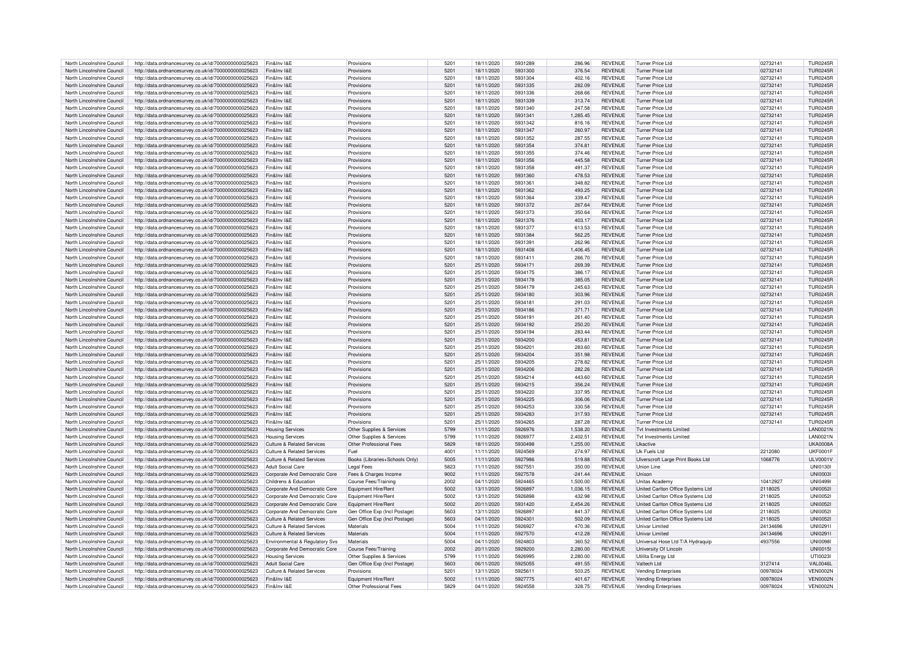| North Lincolnshire Council | http://data.ordnancesurvey.co.uk/id/7000000000025623 | Fin&Inv I&E                           | Provisions                     | 5201          | 18/11/2020 | 5931289 | 286.96    | <b>REVENUE</b> | <b>Turner Price Ltd</b>           | 02732141 | <b>TUR0245R</b>   |
|----------------------------|------------------------------------------------------|---------------------------------------|--------------------------------|---------------|------------|---------|-----------|----------------|-----------------------------------|----------|-------------------|
| North Lincolnshire Council | http://data.ordnancesurvey.co.uk/id/7000000000025623 | Fin&Inv I&E                           | Provisions                     | 5201          | 18/11/2020 | 5931300 | 376.54    | <b>REVENUE</b> | <b>Turner Price Ltd</b>           | 02732141 | <b>TUR0245R</b>   |
| North Lincolnshire Council | http://data.ordnancesurvey.co.uk/id/7000000000025623 | Fin&Inv I&F                           | Provisions                     | 5201          | 18/11/2020 | 5931304 | 402.16    | <b>REVENUE</b> | <b>Turner Price Ltd</b>           | 02732141 | <b>TUR0245R</b>   |
| North Lincolnshire Council | http://data.ordnancesurvey.co.uk/id/7000000000025623 | Fin&Inv I&F                           | Provisions                     | 5201          | 18/11/2020 | 5931335 | 282.09    | <b>REVENUE</b> | Turner Price I td                 | 02732141 | <b>TUR0245R</b>   |
| North Lincolnshire Council | http://data.ordnancesurvey.co.uk/id/7000000000025623 | Fin&Inv I&F                           | Provisions                     | 5201          | 18/11/2020 | 5931336 | 268.66    | <b>REVENUE</b> | Turner Price I td                 | 02732141 | <b>TUR0245R</b>   |
|                            |                                                      |                                       |                                |               |            |         |           |                |                                   |          |                   |
| North Lincolnshire Council | http://data.ordnancesurvey.co.uk/id/7000000000025623 | Fin&Inv I&E                           | Provisions                     | 5201          | 18/11/2020 | 5931339 | 313.74    | <b>REVENUE</b> | <b>Turner Price Ltd</b>           | 02732141 | <b>TUR0245R</b>   |
| North Lincolnshire Council | http://data.ordnancesurvey.co.uk/id/7000000000025623 | Fin&Inv I&F                           | Provisions                     | 5201          | 18/11/2020 | 5931340 | 247.58    | <b>REVENUE</b> | Turner Price I td                 | 02732141 | TUR0245F          |
| North Lincolnshire Council | http://data.ordnancesurvey.co.uk/id/7000000000025623 | Fin&Inv I&F                           | Provisions                     | 5201          | 18/11/2020 | 5931341 | 1,285.45  | <b>REVENUE</b> | Turner Price Ltd                  | 02732141 | <b>TUR0245R</b>   |
| North Lincolnshire Council | http://data.ordnancesurvey.co.uk/id/7000000000025623 | Fin&Inv I&E                           | Provisions                     | 5201          | 18/11/2020 | 5931342 | 816.16    | <b>REVENUE</b> | Turner Price I td                 | 02732141 | <b>TUR0245R</b>   |
| North Lincolnshire Council | http://data.ordnancesurvey.co.uk/id/7000000000025623 | Fin&Inv I&E                           | Provisions                     | 5201          | 18/11/2020 | 5931347 | 260.97    | <b>REVENUE</b> | Turner Price I td                 | 02732141 | <b>TUR0245R</b>   |
| North Lincolnshire Council | http://data.ordnancesurvey.co.uk/id/7000000000025623 | Fin&Inv I&E                           | Provisions                     | 5201          | 18/11/2020 | 5931352 | 287.55    | <b>REVENUE</b> | Turner Price Ltd                  | 02732141 | <b>TUR0245R</b>   |
| North Lincolnshire Council | http://data.ordnancesurvey.co.uk/id/7000000000025623 | Fin&Inv I&F                           | Provisions                     | $520^{\circ}$ | 18/11/2020 | 5931354 | 374.81    | <b>REVENUE</b> | Turner Price I td                 | 02732141 | <b>TUR0245R</b>   |
| North Lincolnshire Council | http://data.ordnancesurvey.co.uk/id/7000000000025623 | Fin&Inv I&E                           | Provisions                     | 5201          | 18/11/2020 | 5931355 | 374.46    | <b>REVENUE</b> | Turner Price Ltd                  | 02732141 | <b>TUR0245R</b>   |
| North Lincolnshire Council | http://data.ordnancesurvey.co.uk/id/7000000000025623 | Fin&Inv I&F                           | Provisions                     | 5201          | 18/11/2020 | 5931356 | 445.58    | <b>REVENUE</b> | Turner Price I td                 | 02732141 | TUR0245R          |
|                            |                                                      |                                       |                                |               |            |         |           |                |                                   |          |                   |
| North Lincolnshire Council | http://data.ordnancesurvey.co.uk/id/7000000000025623 | Fin&Inv I&F                           | Provisions                     | 5201          | 18/11/2020 | 5931358 | 491.37    | <b>REVENUE</b> | Turner Price I td                 | 02732141 | <b>TUR0245R</b>   |
| North Lincolnshire Council | http://data.ordnancesurvey.co.uk/id/7000000000025623 | Fin&Inv I&E                           | Provisions                     | 5201          | 18/11/2020 | 5931360 | 478.53    | <b>REVENUE</b> | Turner Price Ltd                  | 02732141 | <b>TUR0245R</b>   |
| North Lincolnshire Council | http://data.ordnancesurvey.co.uk/id/7000000000025623 | Fin&Inv I&F                           | Provisions                     | 5201          | 18/11/2020 | 5931361 | 348.82    | <b>REVENUE</b> | Turner Price Ltd                  | 02732141 | <b>TUR0245R</b>   |
| North Lincolnshire Council | http://data.ordnancesurvey.co.uk/id/7000000000025623 | Fin&Inv I&E                           | Provisions                     | 5201          | 18/11/2020 | 5931362 | 493.25    | <b>REVENUE</b> | Turner Price Ltd                  | 02732141 | <b>TUR0245R</b>   |
| North Lincolnshire Council | http://data.ordnancesurvey.co.uk/id/7000000000025623 | Fin&Inv I&E                           | Provisions                     | 5201          | 18/11/2020 | 5931364 | 339.47    | <b>REVENUE</b> | Turner Price Ltd                  | 02732141 | <b>TUR0245R</b>   |
| North Lincolnshire Council | http://data.ordnancesurvey.co.uk/id/7000000000025623 | Fin&Inv I&E                           | Provisions                     | 5201          | 18/11/2020 | 5931372 | 267.64    | <b>REVENUE</b> | <b>Turner Price Ltd</b>           | 02732141 | <b>TUR0245R</b>   |
| North Lincolnshire Council | http://data.ordnancesurvey.co.uk/id/7000000000025623 | Fin&Inv I&E                           | Provisions                     | 5201          | 18/11/2020 | 5931373 | 350.64    | <b>REVENUE</b> | Turner Price Ltd                  | 02732141 | <b>TUR0245R</b>   |
| North Lincolnshire Council |                                                      | Fin&Inv I&F                           | Provisions                     | $520^{\circ}$ |            | 5931376 | 403.17    |                |                                   |          |                   |
|                            | http://data.ordnancesurvey.co.uk/id/7000000000025623 |                                       |                                |               | 18/11/2020 |         |           | <b>REVENUE</b> | Turner Price Ltd                  | 02732141 | <b>TUR0245R</b>   |
| North Lincolnshire Council | http://data.ordnancesurvey.co.uk/id/7000000000025623 | Fin&Inv I&E                           | Provisions                     | 5201          | 18/11/2020 | 5931377 | 613.53    | <b>REVENUE</b> | Turner Price Ltd                  | 02732141 | <b>TUR0245R</b>   |
| North Lincolnshire Council | http://data.ordnancesurvey.co.uk/id/7000000000025623 | Fin&Inv I&F                           | Provisions                     | 5201          | 18/11/2020 | 5931384 | 562.25    | <b>REVENUE</b> | <b>Turner Price Ltd</b>           | 02732141 | <b>TUR0245R</b>   |
| North Lincolnshire Council | http://data.ordnancesurvey.co.uk/id/7000000000025623 | Fin&Inv I&F                           | Provisions                     | 5201          | 18/11/2020 | 5931391 | 262.96    | <b>REVENUE</b> | Turner Price Ltd                  | 02732141 | <b>TUR0245R</b>   |
| North Lincolnshire Council | http://data.ordnancesurvey.co.uk/id/7000000000025623 | Fin&Inv I&E                           | Provisions                     | 5201          | 18/11/2020 | 5931408 | 1.406.45  | <b>REVENUE</b> | <b>Turner Price Ltd</b>           | 02732141 | <b>TUR0245R</b>   |
| North Lincolnshire Council | http://data.ordnancesurvey.co.uk/id/7000000000025623 | Fin&Inv I&F                           | Provisions                     | $520^{\circ}$ | 18/11/2020 | 5931411 | 266.70    | <b>REVENUE</b> | Turner Price I td                 | 02732141 | <b>TUR0245R</b>   |
| North Lincolnshire Council | http://data.ordnancesurvey.co.uk/id/7000000000025623 | Fin&Inv I&F                           | Provisions                     | 5201          | 25/11/2020 | 5934171 | 269.39    | <b>REVENUE</b> | Turner Price I td                 | 02732141 | <b>TUR0245R</b>   |
|                            |                                                      | Fin&Inv I&F                           |                                | 5201          | 25/11/2020 | 5934175 | 386.17    | <b>REVENUE</b> | Turner Price I td                 | 02732141 | <b>TUR0245R</b>   |
| North Lincolnshire Council | http://data.ordnancesurvey.co.uk/id/7000000000025623 |                                       | Provisions                     |               |            |         |           |                |                                   |          |                   |
| North Lincolnshire Council | http://data.ordnancesurvey.co.uk/id/7000000000025623 | Fin&Inv I&E                           | Provisions                     | 5201          | 25/11/2020 | 5934178 | 385.05    | <b>REVENUE</b> | <b>Turner Price Ltd</b>           | 02732141 | <b>TUR0245R</b>   |
| North Lincolnshire Council | http://data.ordnancesurvey.co.uk/id/7000000000025623 | Fin&Inv I&E                           | Provisions                     | 520           | 25/11/2020 | 5934179 | 245.63    | <b>REVENUE</b> | Turner Price Ltd                  | 02732141 | <b>TUR0245R</b>   |
| North Lincolnshire Council | http://data.ordnancesurvey.co.uk/id/7000000000025623 | Fin&Inv I&E                           | Provisions                     | 5201          | 25/11/2020 | 5934180 | 303.96    | <b>REVENUE</b> | Turner Price I td                 | 02732141 | <b>TUR0245R</b>   |
| North Lincolnshire Council | http://data.ordnancesurvey.co.uk/id/7000000000025623 | Fin&Inv I&F                           | Provisions                     | 5201          | 25/11/2020 | 5934181 | 291.03    | <b>REVENUE</b> | Turner Price Ltd                  | 02732141 | <b>TUR0245R</b>   |
| North Lincolnshire Council | http://data.ordnancesurvey.co.uk/id/7000000000025623 | Fin&Inv I&E                           | Provisions                     | 5201          | 25/11/2020 | 5934186 | 371.71    | <b>REVENUE</b> | <b>Turner Price Ltd</b>           | 02732141 | <b>TUR0245R</b>   |
| North Lincolnshire Council | http://data.ordnancesurvey.co.uk/id/7000000000025623 | Fin&Inv I&F                           | Provisions                     | 5201          | 25/11/2020 | 5934191 | 261.40    | <b>REVENUE</b> | Turner Price Ltd                  | 02732141 | <b>TUR0245R</b>   |
|                            |                                                      |                                       |                                |               |            |         |           |                |                                   |          |                   |
| North Lincolnshire Council | http://data.ordnancesurvey.co.uk/id/7000000000025623 | Fin&Inv I&F                           | Provisions                     | 5201          | 25/11/2020 | 5934192 | 250.20    | <b>REVENUE</b> | Turner Price Ltd                  | 02732141 | <b>TUR0245R</b>   |
| North Lincolnshire Council | http://data.ordnancesurvey.co.uk/id/7000000000025623 | Fin&Inv I&E                           | Provisions                     | 5201          | 25/11/2020 | 5934194 | 283.44    | <b>REVENUE</b> | Turner Price Ltd                  | 02732141 | <b>TUR0245R</b>   |
| North Lincolnshire Council | http://data.ordnancesurvey.co.uk/id/7000000000025623 | Fin&Inv I&F                           | Provisions                     | 5201          | 25/11/2020 | 5934200 | 453.81    | <b>REVENUE</b> | Turner Price I td                 | 02732141 | <b>TUR0245R</b>   |
| North Lincolnshire Council | http://data.ordnancesurvey.co.uk/id/7000000000025623 | Fin&Inv I&F                           | Provisions                     | 5201          | 25/11/2020 | 5934201 | 283.60    | <b>REVENUE</b> | Turner Price I td                 | 02732141 | <b>TUR0245R</b>   |
| North Lincolnshire Council | http://data.ordnancesurvey.co.uk/id/7000000000025623 | Fin&Inv I&E                           | Provisions                     | 5201          | 25/11/2020 | 5934204 | 351.98    | <b>REVENUE</b> | <b>Turner Price Ltd</b>           | 02732141 | <b>TUR0245R</b>   |
| North Lincolnshire Council | http://data.ordnancesurvey.co.uk/id/7000000000025623 | Fin&Inv I&F                           | Provisions                     | $520^{\circ}$ | 25/11/2020 | 5934205 | 278.82    | <b>REVENUE</b> | Turner Price Ltd                  | 02732141 | <b>TUR0245R</b>   |
| North Lincolnshire Council | http://data.ordnancesurvey.co.uk/id/7000000000025623 | Fin&Inv I&E                           | Provisions                     | 5201          | 25/11/2020 | 5934206 | 282.26    | <b>REVENUE</b> | Turner Price I td                 | 02732141 | <b>TUR0245R</b>   |
| North Lincolnshire Council |                                                      | Fin&Inv I&F                           | Provisions                     | 5201          | 25/11/2020 | 5934214 | 443.60    | <b>REVENUE</b> | Turner Price Ltd                  |          | <b>TUR0245R</b>   |
|                            | http://data.ordnancesurvey.co.uk/id/7000000000025623 |                                       |                                |               |            |         |           |                |                                   | 02732141 |                   |
| North Lincolnshire Council | http://data.ordnancesurvey.co.uk/id/7000000000025623 | Fin&Inv I&F                           | Provisions                     | 5201          | 25/11/2020 | 5934215 | 356.24    | <b>REVENUE</b> | <b>Turner Price Ltd</b>           | 02732141 | <b>TUR0245R</b>   |
| North Lincolnshire Council | http://data.ordnancesurvey.co.uk/id/7000000000025623 | Fin&Inv I&E                           | Provisions                     | 5201          | 25/11/2020 | 5934220 | 337.95    | <b>REVENUE</b> | <b>Turner Price Ltd</b>           | 02732141 | <b>TUR0245R</b>   |
| North Lincolnshire Council | http://data.ordnancesurvey.co.uk/id/7000000000025623 | Fin&Inv I&F                           | Provisions                     | 5201          | 25/11/2020 | 5934225 | 306.06    | <b>REVENUE</b> | Turner Price I td                 | 02732141 | <b>TUR0245R</b>   |
| North Lincolnshire Council | http://data.ordnancesurvey.co.uk/id/7000000000025623 | Fin&Inv I&E                           | Provisions                     | 5201          | 25/11/2020 | 5934253 | 330.58    | <b>REVENUE</b> | Turner Price Ltd                  | 02732141 | <b>TUR0245R</b>   |
| North Lincolnshire Council | http://data.ordnancesurvey.co.uk/id/7000000000025623 | Fin&Inv I&E                           | Provisions                     | 5201          | 25/11/2020 | 5934263 | 317.93    | <b>REVENUE</b> | <b>Turner Price Ltd</b>           | 02732141 | <b>TUR0245R</b>   |
| North Lincolnshire Council | http://data.ordnancesurvey.co.uk/id/7000000000025623 | Fin&Inv I&F                           | Provisions                     | 5201          | 25/11/2020 | 5934265 | 287.28    | <b>REVENUE</b> | <b>Turner Price Ltd</b>           | 02732141 | <b>TUR0245R</b>   |
| North Lincolnshire Council | http://data.ordnancesurvey.co.uk/id/7000000000025623 | <b>Housing Services</b>               | Other Supplies & Services      | 5799          | 11/11/2020 | 5926976 | 1,538.20  | <b>REVENUE</b> | Tyt Investments I imited          |          | <b>LAN0021N</b>   |
|                            |                                                      |                                       |                                |               |            | 5926977 |           |                | Tyt Investments I imited          |          |                   |
| North Lincolnshire Council | http://data.ordnancesurvey.co.uk/id/7000000000025623 | <b>Housing Services</b>               | Other Supplies & Services      | 5799          | 11/11/2020 |         | 2,402.51  | <b>REVENUE</b> |                                   |          | <b>LAN0021N</b>   |
| North Lincolnshire Council | http://data.ordnancesurvey.co.uk/id/7000000000025623 | <b>Culture &amp; Related Services</b> | Other Professional Fees        | 5829          | 18/11/2020 | 5930498 | 1,255.00  | <b>REVENUE</b> | Ukactive                          |          | <b>UKA0008A</b>   |
| North Lincolnshire Council | http://data.ordnancesurvey.co.uk/id/7000000000025623 | <b>Culture &amp; Related Services</b> | Fuel                           | 4001          | 11/11/2020 | 5924569 | 274.97    | <b>REVENUE</b> | Uk Fuels Ltd                      | 2212080  | <b>UKF0001F</b>   |
| North Lincolnshire Council | http://data.ordnancesurvey.co.uk/id/7000000000025623 | <b>Culture &amp; Related Services</b> | Books (Libraries+Schools Only) | 5005          | 11/11/2020 | 5927986 | 519.88    | <b>REVENUE</b> | Ulverscroft Large Print Books Ltd | 1068776  | ULV0001V          |
| North Lincolnshire Council | http://data.ordnancesurvey.co.uk/id/7000000000025623 | <b>Adult Social Care</b>              | <b>Legal Fees</b>              | 5823          | 11/11/2020 | 592755  | 350.00    | <b>REVENUE</b> | <b>Union Line</b>                 |          | <b>UNI0130</b>    |
| North Lincolnshire Council | http://data.ordnancesurvey.co.uk/id/7000000000025623 | Corporate And Democratic Core         | Fees & Charges Income          | 9002          | 11/11/2020 | 5927578 | $-241.44$ | <b>REVENUE</b> | Unison                            |          | <b>UNI00031</b>   |
| North Lincolnshire Council | http://data.ordnancesurvey.co.uk/id/7000000000025623 | Childrens & Education                 | Course Fees/Training           | 2002          | 04/11/2020 | 5924465 | 1.500.00  | <b>REVENUE</b> | <b>Unitas Academy</b>             | 10412927 | <b>I INI04991</b> |
| North Lincolnshire Council |                                                      | Corporate And Democratic Core         |                                | 5002          | 13/11/2020 | 5926897 | 1,036.15  | <b>REVENUE</b> | United Carlton Office Systems Ltd | 2118025  | <b>UNI00521</b>   |
|                            | http://data.ordnancesurvey.co.uk/id/7000000000025623 |                                       | Equipment Hire/Rent            |               |            |         |           |                |                                   |          |                   |
| North Lincolnshire Council | http://data.ordnancesurvey.co.uk/id/7000000000025623 | Corporate And Democratic Core         | Equipment Hire/Rent            | 5002          | 13/11/2020 | 5926898 | 432.98    | <b>REVENUE</b> | United Carlton Office Systems Ltd | 2118025  | <b>UNI00521</b>   |
| North Lincolnshire Council | http://data.ordnancesurvey.co.uk/id/7000000000025623 | Corporate And Democratic Core         | Equipment Hire/Rent            | 5002          | 20/11/2020 | 5931420 | 2.454.26  | <b>REVENUE</b> | United Carlton Office Systems Ltd | 2118025  | <b>UNI00521</b>   |
| North Lincolnshire Council | http://data.ordnancesurvey.co.uk/id/7000000000025623 | Corporate And Democratic Core         | Gen Office Exp (Incl Postage)  | 5603          | 13/11/2020 | 5926897 | 841.37    | <b>REVENUE</b> | United Carlton Office Systems Ltd | 2118025  | <b>UNI0052I</b>   |
| North Lincolnshire Council | http://data.ordnancesurvey.co.uk/id/7000000000025623 | Culture & Related Services            | Gen Office Exp (Incl Postage)  | 5603          | 04/11/2020 | 5924301 | 502.09    | <b>REVENUE</b> | United Carlton Office Systems Ltd | 2118025  | <b>UNI0052I</b>   |
| North Lincolnshire Council | http://data.ordnancesurvey.co.uk/id/7000000000025623 | Culture & Related Services            | Materials                      | 5004          | 11/11/2020 | 5926927 | 470.36    | <b>REVENUE</b> | Univar Limited                    | 24134696 | UNI0291           |
| North Lincolnshire Council | http://data.ordnancesurvey.co.uk/id/7000000000025623 | <b>Culture &amp; Related Services</b> | Materials                      | 5004          | 11/11/2020 | 5927570 | 412.28    | <b>REVENUE</b> | <b>Univar Limited</b>             | 24134696 | <b>UNI0291I</b>   |
| North Lincolnshire Council | http://data.ordnancesurvey.co.uk/id/7000000000025623 | Environmental & Regulatory Svs        | Materials                      | 5004          | 04/11/2020 | 5924803 | 360.52    | <b>REVENUE</b> | Universal Hose Ltd T/A Hydraquip  | 4937556  | <b>UNI0098I</b>   |
| North Lincolnshire Council |                                                      |                                       |                                | 2002          | 20/11/2020 | 5929200 | 2.280.00  | <b>REVENUE</b> |                                   |          | <b>UNI0015I</b>   |
|                            | http://data.ordnancesurvey.co.uk/id/7000000000025623 | Corporate And Democratic Core         | Course Fees/Training           |               |            |         |           |                | University Of Lincoln             |          |                   |
| North Lincolnshire Council | http://data.ordnancesurvey.co.uk/id/7000000000025623 | <b>Housing Services</b>               | Other Supplies & Services      | 5799          | 11/11/2020 | 5926995 | 2.280.00  | <b>REVENUE</b> | Utilita Energy Ltd                |          | UTI0023I          |
| North Lincolnshire Council | http://data.ordnancesurvey.co.uk/id/7000000000025623 | <b>Adult Social Care</b>              | Gen Office Exp (Incl Postage)  | 5603          | 06/11/2020 | 5925055 | 491.55    | <b>REVENUE</b> | Valtech Ltd                       | 3127414  | <b>VAL0046L</b>   |
| North Lincolnshire Council | http://data.ordnancesurvey.co.uk/id/7000000000025623 | Culture & Related Services            | Provisions                     | $520^{\circ}$ | 13/11/2020 | 5925611 | 503.25    | <b>REVENUE</b> | <b>Vending Enterprises</b>        | 00978024 | VEN0002N          |
| North Lincolnshire Council | http://data.ordnancesurvey.co.uk/id/7000000000025623 | Fin&Inv I&F                           | Equipment Hire/Rent            | 5002          | 11/11/2020 | 5927775 | 401.67    | <b>REVENUE</b> | <b>Vending Enterprises</b>        | 00978024 | <b>VEN0002N</b>   |
| North Lincolnshire Council | http://data.ordnancesurvey.co.uk/id/7000000000025623 | Fin&Inv I&F                           | Other Professional Fees        | 5829          | 04/11/2020 | 5924558 | 328.75    | <b>REVENUE</b> | <b>Vending Enterprises</b>        | 00978024 | <b>VEN0002N</b>   |
|                            |                                                      |                                       |                                |               |            |         |           |                |                                   |          |                   |